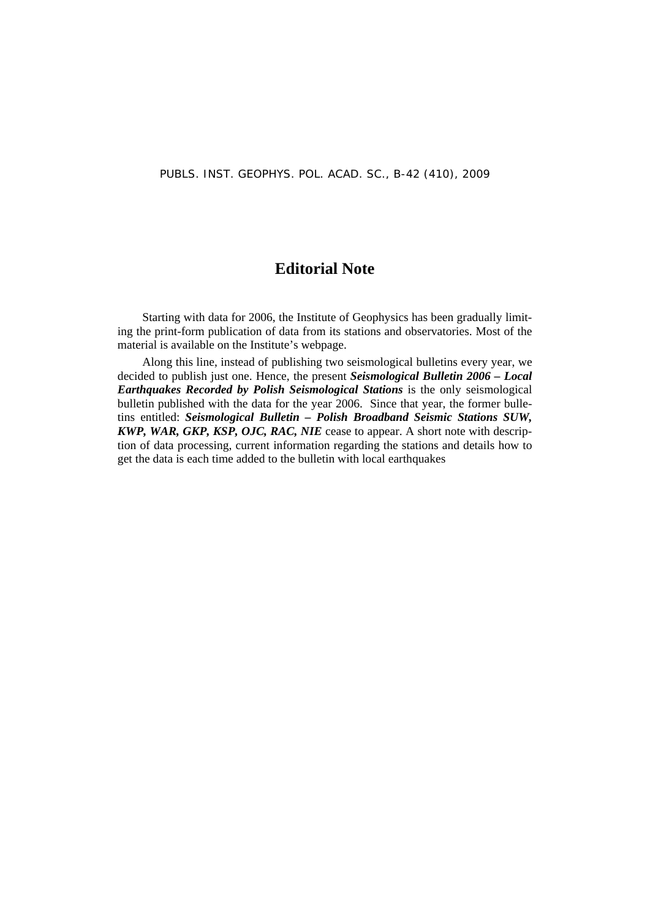#### **Editorial Note**

Starting with data for 2006, the Institute of Geophysics has been gradually limiting the print-form publication of data from its stations and observatories. Most of the material is available on the Institute's webpage.

Along this line, instead of publishing two seismological bulletins every year, we decided to publish just one. Hence, the present *Seismological Bulletin 2006 – Local Earthquakes Recorded by Polish Seismological Stations* is the only seismological bulletin published with the data for the year 2006. Since that year, the former bulletins entitled: *Seismological Bulletin – Polish Broadband Seismic Stations SUW, KWP, WAR, GKP, KSP, OJC, RAC, NIE* cease to appear. A short note with description of data processing, current information regarding the stations and details how to get the data is each time added to the bulletin with local earthquakes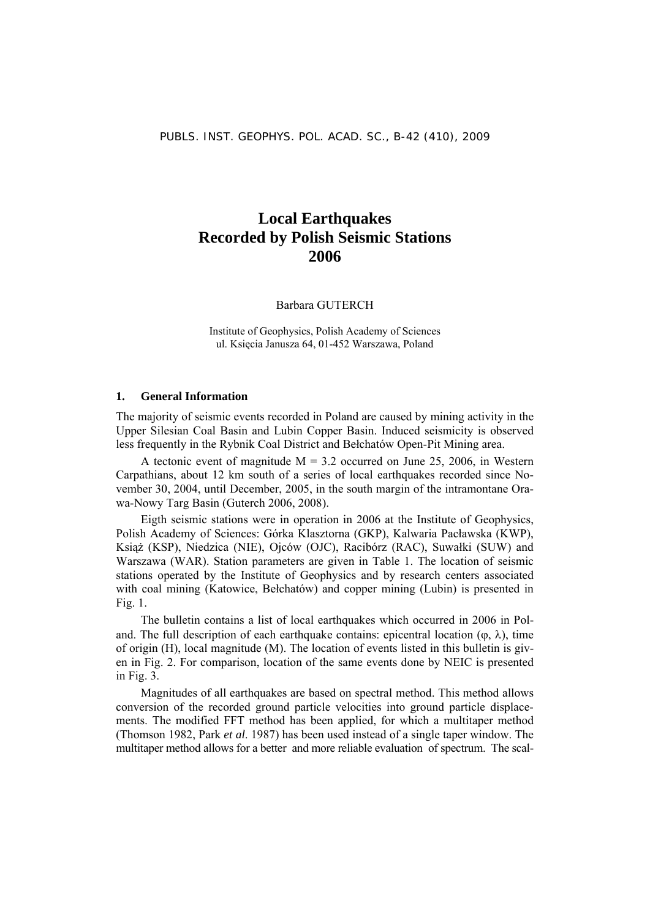#### **Local Earthquakes Recorded by Polish Seismic Stations 2006**

Barbara GUTERCH

Institute of Geophysics, Polish Academy of Sciences ul. Księcia Janusza 64, 01-452 Warszawa, Poland

#### **1. General Information**

The majority of seismic events recorded in Poland are caused by mining activity in the Upper Silesian Coal Basin and Lubin Copper Basin. Induced seismicity is observed less frequently in the Rybnik Coal District and Bełchatów Open-Pit Mining area.

A tectonic event of magnitude  $M = 3.2$  occurred on June 25, 2006, in Western Carpathians, about 12 km south of a series of local earthquakes recorded since November 30, 2004, until December, 2005, in the south margin of the intramontane Orawa-Nowy Targ Basin (Guterch 2006, 2008).

Eigth seismic stations were in operation in 2006 at the Institute of Geophysics, Polish Academy of Sciences: Górka Klasztorna (GKP), Kalwaria Pacławska (KWP), Książ (KSP), Niedzica (NIE), Ojców (OJC), Racibórz (RAC), Suwałki (SUW) and Warszawa (WAR). Station parameters are given in Table 1. The location of seismic stations operated by the Institute of Geophysics and by research centers associated with coal mining (Katowice, Bełchatów) and copper mining (Lubin) is presented in Fig. 1.

The bulletin contains a list of local earthquakes which occurred in 2006 in Poland. The full description of each earthquake contains: epicentral location ( $\varphi$ ,  $\lambda$ ), time of origin (H), local magnitude (M). The location of events listed in this bulletin is given in Fig. 2. For comparison, location of the same events done by NEIC is presented in Fig. 3.

Magnitudes of all earthquakes are based on spectral method. This method allows conversion of the recorded ground particle velocities into ground particle displacements. The modified FFT method has been applied, for which a multitaper method (Thomson 1982, Park *et al*. 1987) has been used instead of a single taper window. The multitaper method allows for a better and more reliable evaluation of spectrum. The scal-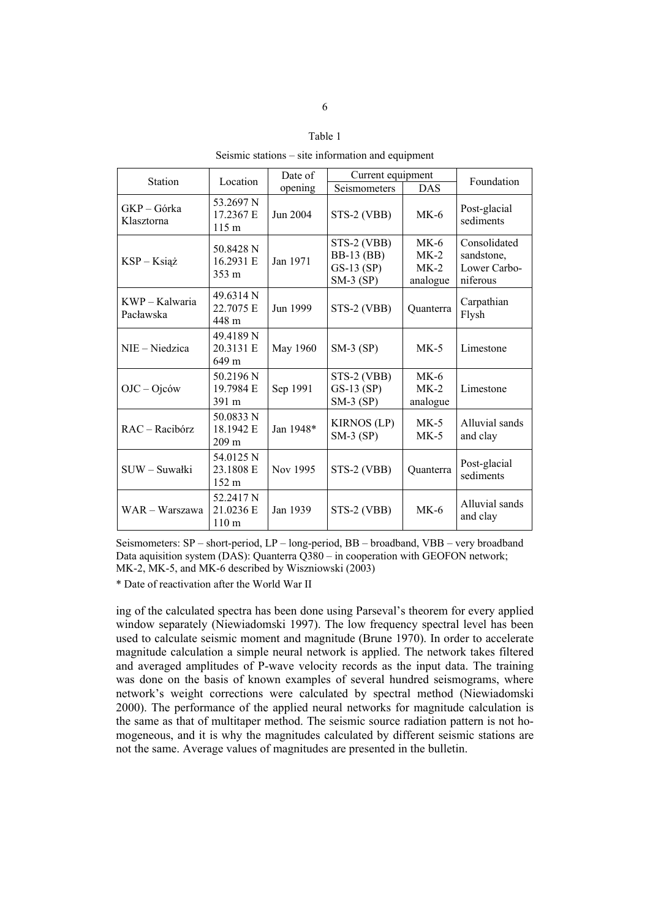#### Table 1

Seismic stations – site information and equipment

|                             |                                            | Date of   | Current equipment                                                 |                                        |                                                        |
|-----------------------------|--------------------------------------------|-----------|-------------------------------------------------------------------|----------------------------------------|--------------------------------------------------------|
| <b>Station</b>              | Location                                   | opening   | Seismometers                                                      | <b>DAS</b>                             | Foundation                                             |
| GKP-Górka<br>Klasztorna     | 53.2697 N<br>17.2367 E<br>$115 \text{ m}$  | Jun 2004  | STS-2 (VBB)                                                       | $MK-6$                                 | Post-glacial<br>sediments                              |
| $KSP - K sigz$              | 50.8428 N<br>16.2931 E<br>$353 \text{ m}$  | Jan 1971  | STS-2 (VBB)<br><b>BB-13 (BB)</b><br>$GS-13$ $(SP)$<br>$SM-3$ (SP) | $MK-6$<br>$MK-2$<br>$MK-2$<br>analogue | Consolidated<br>sandstone,<br>Lower Carbo-<br>niferous |
| KWP – Kalwaria<br>Pacławska | 49.6314 N<br>22.7075 E<br>448 m            | Jun 1999  | STS-2 (VBB)                                                       | Quanterra                              | Carpathian<br>Flysh                                    |
| NIE - Niedzica              | 49.4189 N<br>20.3131 E<br>649 m            | May 1960  | $SM-3$ (SP)                                                       | $MK-5$                                 | Limestone                                              |
| $OJC - Ojc$ ów              | 50.2196 N<br>19.7984 E<br>391 m            | Sep 1991  | STS-2 (VBB)<br>$GS-13$ $(SP)$<br>$SM-3$ (SP)                      | $MK-6$<br>$MK-2$<br>analogue           | Limestone                                              |
| $RAC - Racibocz$            | 50.0833 N<br>18.1942 E<br>209 <sub>m</sub> | Jan 1948* | <b>KIRNOS (LP)</b><br>$SM-3(SP)$                                  | $MK-5$<br>$MK-5$                       | Alluvial sands<br>and clay                             |
| SUW - Suwałki               | 54.0125 N<br>23.1808 E<br>152 m            | Nov 1995  | STS-2 (VBB)                                                       | Quanterra                              | Post-glacial<br>sediments                              |
| WAR – Warszawa              | 52.2417 N<br>21.0236 E<br>110 <sub>m</sub> | Jan 1939  | STS-2 (VBB)                                                       | $MK-6$                                 | Alluvial sands<br>and clay                             |

Seismometers: SP – short-period, LP – long-period, BB – broadband, VBB – very broadband Data aquisition system (DAS): Quanterra Q380 – in cooperation with GEOFON network; MK-2, MK-5, and MK-6 described by Wiszniowski (2003)

\* Date of reactivation after the World War II

ing of the calculated spectra has been done using Parseval's theorem for every applied window separately (Niewiadomski 1997). The low frequency spectral level has been used to calculate seismic moment and magnitude (Brune 1970). In order to accelerate magnitude calculation a simple neural network is applied. The network takes filtered and averaged amplitudes of P-wave velocity records as the input data. The training was done on the basis of known examples of several hundred seismograms, where network's weight corrections were calculated by spectral method (Niewiadomski 2000). The performance of the applied neural networks for magnitude calculation is the same as that of multitaper method. The seismic source radiation pattern is not homogeneous, and it is why the magnitudes calculated by different seismic stations are not the same. Average values of magnitudes are presented in the bulletin.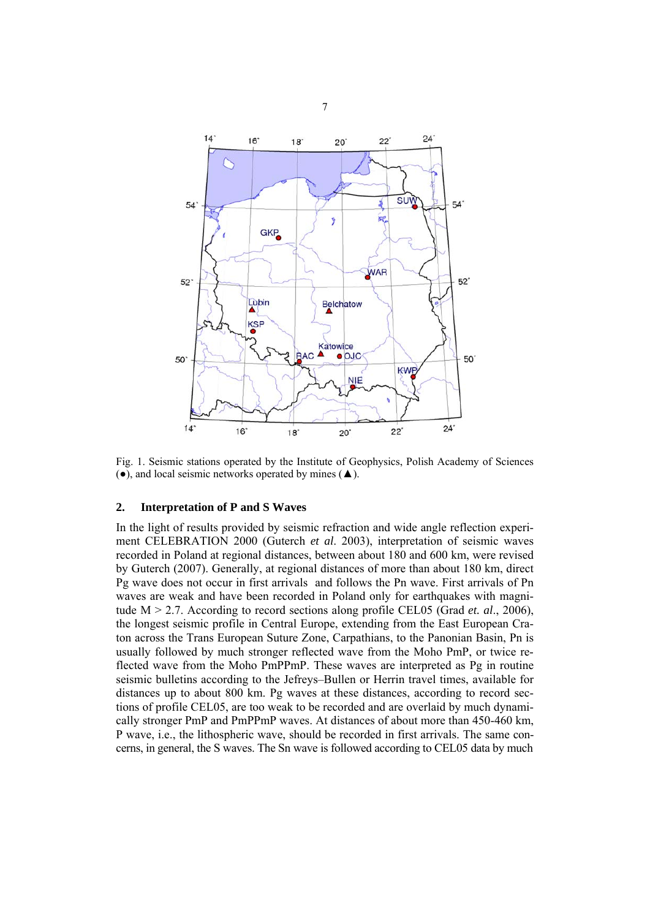

Fig. 1. Seismic stations operated by the Institute of Geophysics, Polish Academy of Sciences  $(•)$ , and local seismic networks operated by mines  $($ **A** $)$ .

#### **2. Interpretation of P and S Waves**

In the light of results provided by seismic refraction and wide angle reflection experiment CELEBRATION 2000 (Guterch *et al*. 2003), interpretation of seismic waves recorded in Poland at regional distances, between about 180 and 600 km, were revised by Guterch (2007). Generally, at regional distances of more than about 180 km, direct Pg wave does not occur in first arrivals and follows the Pn wave. First arrivals of Pn waves are weak and have been recorded in Poland only for earthquakes with magnitude M > 2.7. According to record sections along profile CEL05 (Grad *et. al*., 2006), the longest seismic profile in Central Europe, extending from the East European Craton across the Trans European Suture Zone, Carpathians, to the Panonian Basin, Pn is usually followed by much stronger reflected wave from the Moho PmP, or twice reflected wave from the Moho PmPPmP. These waves are interpreted as Pg in routine seismic bulletins according to the Jefreys–Bullen or Herrin travel times, available for distances up to about 800 km. Pg waves at these distances, according to record sections of profile CEL05, are too weak to be recorded and are overlaid by much dynamically stronger PmP and PmPPmP waves. At distances of about more than 450-460 km, P wave, i.e., the lithospheric wave, should be recorded in first arrivals. The same concerns, in general, the S waves. The Sn wave is followed according to CEL05 data by much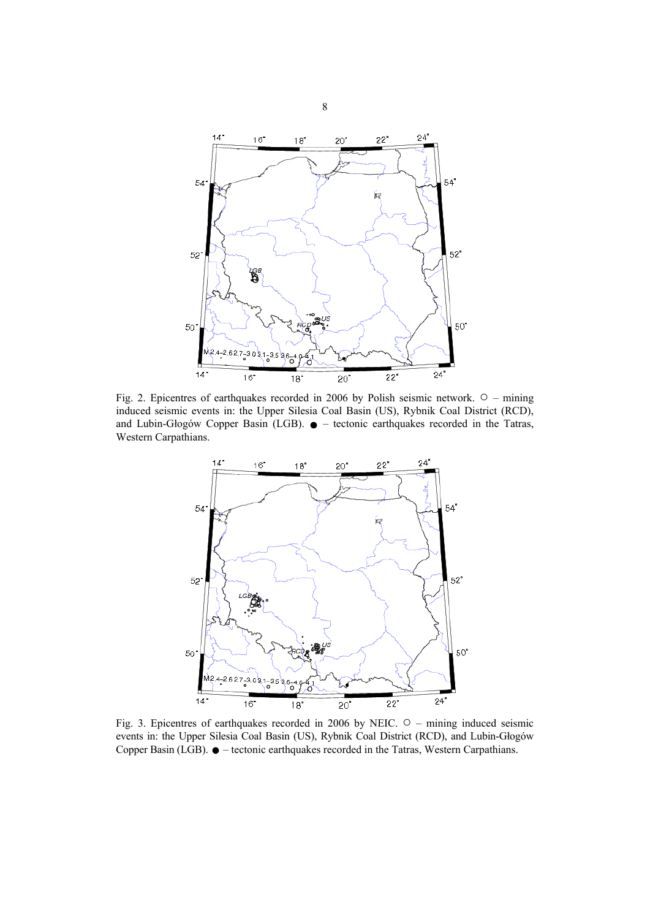

Fig. 2. Epicentres of earthquakes recorded in 2006 by Polish seismic network. ○ – mining induced seismic events in: the Upper Silesia Coal Basin (US), Rybnik Coal District (RCD), and Lubin-Głogów Copper Basin (LGB).  $\bullet$  – tectonic earthquakes recorded in the Tatras, Western Carpathians.



Fig. 3. Epicentres of earthquakes recorded in 2006 by NEIC. ○ – mining induced seismic events in: the Upper Silesia Coal Basin (US), Rybnik Coal District (RCD), and Lubin-Głogów Copper Basin (LGB). ● – tectonic earthquakes recorded in the Tatras, Western Carpathians.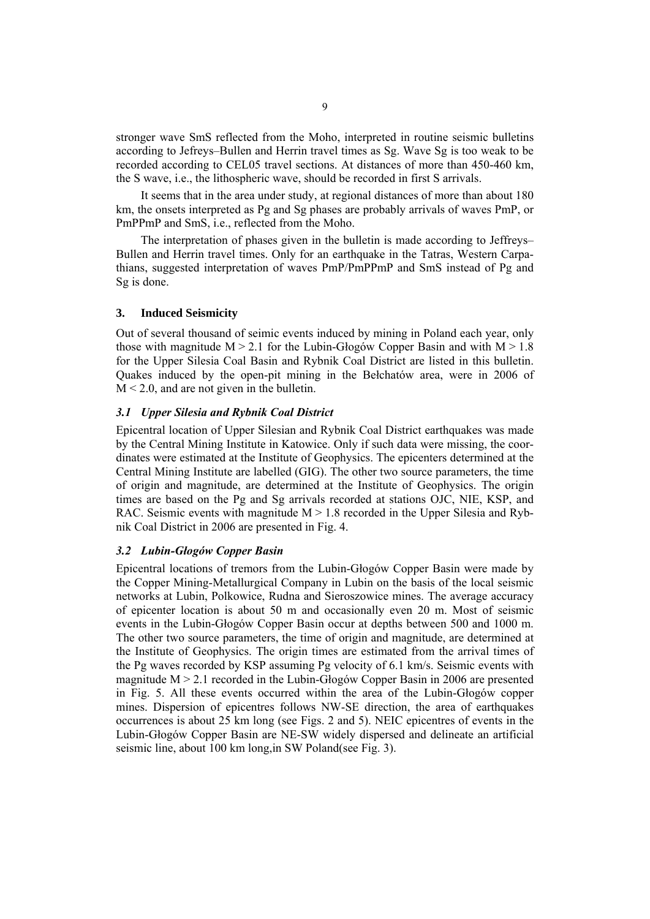stronger wave SmS reflected from the Moho, interpreted in routine seismic bulletins according to Jefreys–Bullen and Herrin travel times as Sg. Wave Sg is too weak to be recorded according to CEL05 travel sections. At distances of more than 450-460 km, the S wave, i.e., the lithospheric wave, should be recorded in first S arrivals.

It seems that in the area under study, at regional distances of more than about 180 km, the onsets interpreted as Pg and Sg phases are probably arrivals of waves PmP, or PmPPmP and SmS, i.e., reflected from the Moho.

The interpretation of phases given in the bulletin is made according to Jeffreys– Bullen and Herrin travel times. Only for an earthquake in the Tatras, Western Carpathians, suggested interpretation of waves PmP/PmPPmP and SmS instead of Pg and Sg is done.

#### **3. Induced Seismicity**

Out of several thousand of seimic events induced by mining in Poland each year, only those with magnitude  $M > 2.1$  for the Lubin-Głogów Copper Basin and with  $M > 1.8$ for the Upper Silesia Coal Basin and Rybnik Coal District are listed in this bulletin. Quakes induced by the open-pit mining in the Bełchatów area, were in 2006 of  $M < 2.0$ , and are not given in the bulletin.

#### *3.1 Upper Silesia and Rybnik Coal District*

Epicentral location of Upper Silesian and Rybnik Coal District earthquakes was made by the Central Mining Institute in Katowice. Only if such data were missing, the coordinates were estimated at the Institute of Geophysics. The epicenters determined at the Central Mining Institute are labelled (GIG). The other two source parameters, the time of origin and magnitude, are determined at the Institute of Geophysics. The origin times are based on the Pg and Sg arrivals recorded at stations OJC, NIE, KSP, and RAC. Seismic events with magnitude  $M > 1.8$  recorded in the Upper Silesia and Rybnik Coal District in 2006 are presented in Fig. 4.

#### *3.2 Lubin-Głogów Copper Basin*

Epicentral locations of tremors from the Lubin-Głogów Copper Basin were made by the Copper Mining-Metallurgical Company in Lubin on the basis of the local seismic networks at Lubin, Polkowice, Rudna and Sieroszowice mines. The average accuracy of epicenter location is about 50 m and occasionally even 20 m. Most of seismic events in the Lubin-Głogów Copper Basin occur at depths between 500 and 1000 m. The other two source parameters, the time of origin and magnitude, are determined at the Institute of Geophysics. The origin times are estimated from the arrival times of the Pg waves recorded by KSP assuming Pg velocity of 6.1 km/s. Seismic events with magnitude M > 2.1 recorded in the Lubin-Głogów Copper Basin in 2006 are presented in Fig. 5. All these events occurred within the area of the Lubin-Głogów copper mines. Dispersion of epicentres follows NW-SE direction, the area of earthquakes occurrences is about 25 km long (see Figs. 2 and 5). NEIC epicentres of events in the Lubin-Głogów Copper Basin are NE-SW widely dispersed and delineate an artificial seismic line, about 100 km long,in SW Poland(see Fig. 3).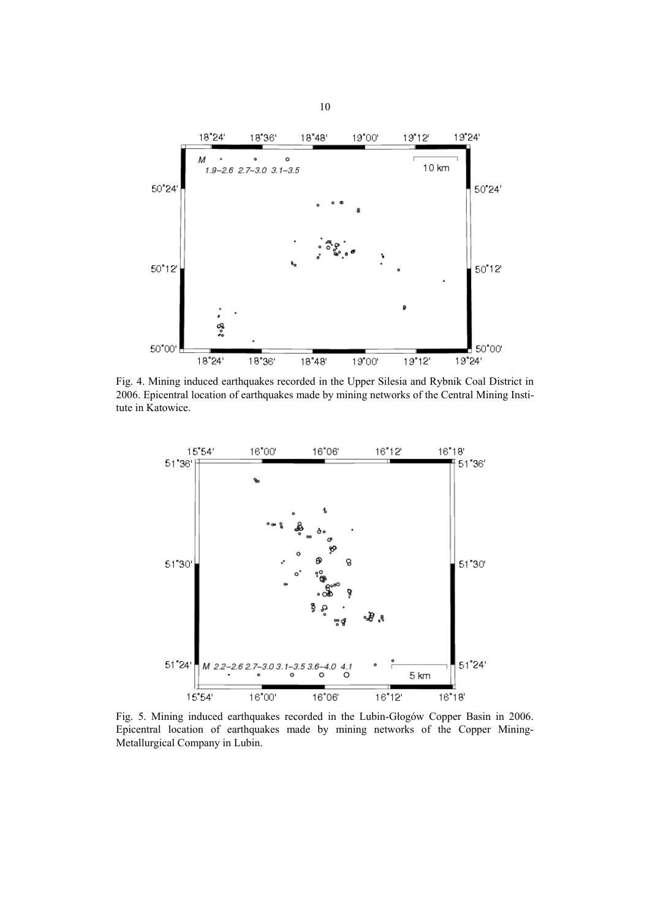

Fig. 4. Mining induced earthquakes recorded in the Upper Silesia and Rybnik Coal District in 2006. Epicentral location of earthquakes made by mining networks of the Central Mining Institute in Katowice.



Fig. 5. Mining induced earthquakes recorded in the Lubin-Głogów Copper Basin in 2006. Epicentral location of earthquakes made by mining networks of the Copper Mining-Metallurgical Company in Lubin.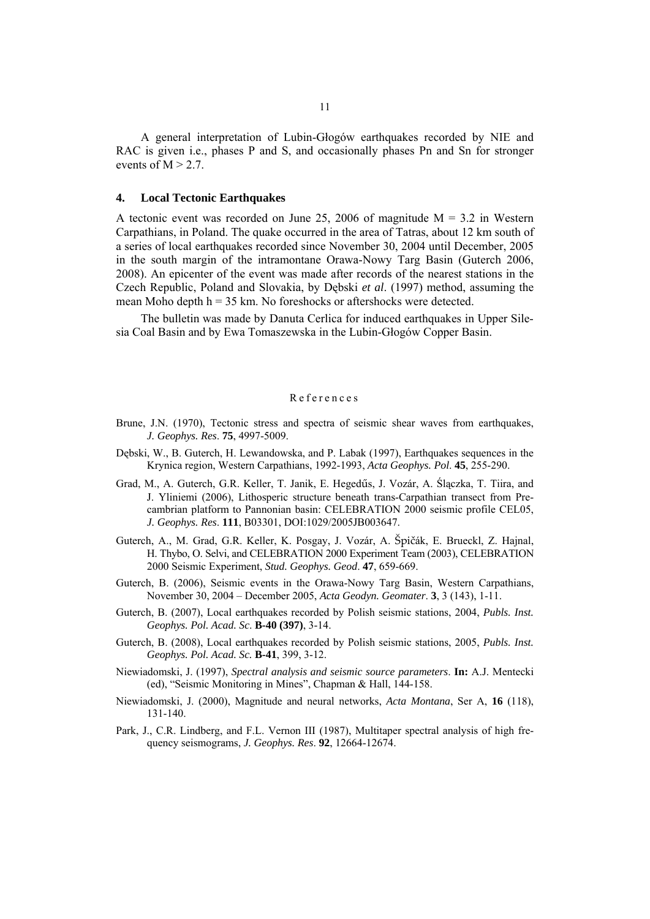A general interpretation of Lubin-Głogów earthquakes recorded by NIE and RAC is given i.e., phases P and S, and occasionally phases Pn and Sn for stronger events of  $M > 2.7$ .

#### **4. Local Tectonic Earthquakes**

A tectonic event was recorded on June 25, 2006 of magnitude  $M = 3.2$  in Western Carpathians, in Poland. The quake occurred in the area of Tatras, about 12 km south of a series of local earthquakes recorded since November 30, 2004 until December, 2005 in the south margin of the intramontane Orawa-Nowy Targ Basin (Guterch 2006, 2008). An epicenter of the event was made after records of the nearest stations in the Czech Republic, Poland and Slovakia, by Dębski *et al*. (1997) method, assuming the mean Moho depth  $h = 35$  km. No foreshocks or aftershocks were detected.

The bulletin was made by Danuta Cerlica for induced earthquakes in Upper Silesia Coal Basin and by Ewa Tomaszewska in the Lubin-Głogów Copper Basin.

#### References

- Brune, J.N. (1970), Tectonic stress and spectra of seismic shear waves from earthquakes, *J. Geophys. Res*. **75**, 4997-5009.
- Dębski, W., B. Guterch, H. Lewandowska, and P. Labak (1997), Earthquakes sequences in the Krynica region, Western Carpathians, 1992-1993, *Acta Geophys. Pol*. **45**, 255-290.
- Grad, M., A. Guterch, G.R. Keller, T. Janik, E. Hegedűs, J. Vozár, A. Ślączka, T. Tiira, and J. Yliniemi (2006), Lithosperic structure beneath trans-Carpathian transect from Precambrian platform to Pannonian basin: CELEBRATION 2000 seismic profile CEL05, *J. Geophys. Res*. **111**, B03301, DOI:1029/2005JB003647.
- Guterch, A., M. Grad, G.R. Keller, K. Posgay, J. Vozár, A. Špičák, E. Brueckl, Z. Hajnal, H. Thybo, O. Selvi, and CELEBRATION 2000 Experiment Team (2003), CELEBRATION 2000 Seismic Experiment, *Stud. Geophys. Geod*. **47**, 659-669.
- Guterch, B. (2006), Seismic events in the Orawa-Nowy Targ Basin, Western Carpathians, November 30, 2004 – December 2005, *Acta Geodyn. Geomater*. **3**, 3 (143), 1-11.
- Guterch, B. (2007), Local earthquakes recorded by Polish seismic stations, 2004, *Publs. Inst. Geophys. Pol. Acad. Sc*. **B-40 (397)**, 3-14.
- Guterch, B. (2008), Local earthquakes recorded by Polish seismic stations, 2005, *Publs. Inst. Geophys. Pol. Acad. Sc.* **B-41**, 399, 3-12.
- Niewiadomski, J. (1997), *Spectral analysis and seismic source parameters*. **In:** A.J. Mentecki (ed), "Seismic Monitoring in Mines", Chapman & Hall, 144-158.
- Niewiadomski, J. (2000), Magnitude and neural networks, *Acta Montana*, Ser A, **16** (118), 131-140.
- Park, J., C.R. Lindberg, and F.L. Vernon III (1987), Multitaper spectral analysis of high frequency seismograms, *J. Geophys. Res*. **92**, 12664-12674.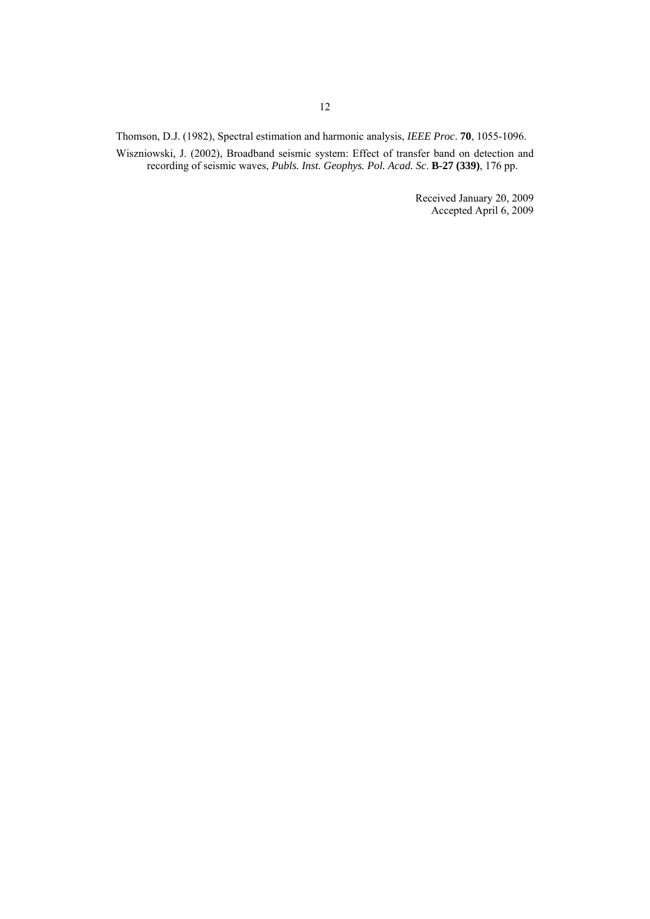Thomson, D.J. (1982), Spectral estimation and harmonic analysis, *IEEE Proc*. **70**, 1055-1096.

Wiszniowski, J. (2002), Broadband seismic system: Effect of transfer band on detection and recording of seismic waves, *Publs. Inst. Geophys. Pol. Acad. Sc*. **B-27 (339)**, 176 pp.

> Received January 20, 2009 Accepted April 6, 2009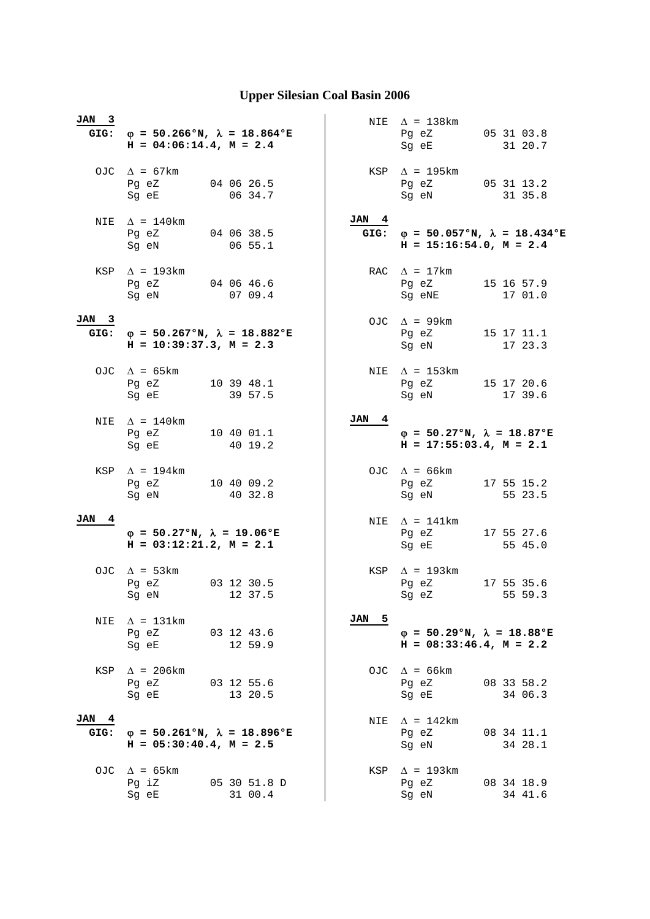| JAN 3         | GIG: $\varphi = 50.266$ °N, $\lambda = 18.864$ °E<br>$H = 04:06:14.4$ , $M = 2.4$ |                         |               | NIE $\Delta$ = 138 km<br>Pg eZ<br>Sg eE                                    | 05 31 03.8<br>31 20.7 |
|---------------|-----------------------------------------------------------------------------------|-------------------------|---------------|----------------------------------------------------------------------------|-----------------------|
|               | OJC $\Delta = 67 \text{km}$<br>Pg eZ<br>Sg eE                                     | 04 06 26.5<br>06 34.7   |               | $KSP \quad \Delta = 195km$<br>Pq eZ<br>Sg eN                               | 05 31 13.2<br>31 35.8 |
| NIE           | $\Delta$ = 140km<br>Pg eZ<br>Sq eN                                                | 04 06 38.5<br>06 55.1   | JAN 4<br>GIG: | $\varphi = 50.057$ °N, $\lambda = 18.434$ °E<br>$H = 15:16:54.0, M = 2.4$  |                       |
|               | KSP $\Delta$ = 193km<br>Pg eZ<br>Sg eN                                            | 04 06 46.6<br>0709.4    |               | RAC $\Delta = 17 \text{km}$<br>Pg eZ<br>Sg eNE                             | 15 16 57.9<br>17 01.0 |
| JAN 3<br>GIG: | $\varphi$ = 50.267°N, $\lambda$ = 18.882°E<br>$H = 10:39:37.3, M = 2.3$           |                         |               | OJC $\Delta$ = 99km<br>Pg eZ<br>Sg eN                                      | 15 17 11.1<br>17 23.3 |
|               | OJC $\Delta = 65 \text{km}$<br>Pq eZ<br>Sg eE                                     | 10 39 48.1<br>39 57.5   |               | NIE $\Delta$ = 153km<br>Pq eZ<br>Sg eN                                     | 15 17 20.6<br>17 39.6 |
| NIE           | $\Delta$ = 140km<br>Pg eZ 10 40 01.1<br>Sg eE                                     | 40 19.2                 | JAN 4         | $\varphi = 50.27$ °N, $\lambda = 18.87$ °E<br>$H = 17:55:03.4$ , $M = 2.1$ |                       |
| KSP           | $\Delta$ = 194km<br>Pg eZ 10 40 09.2<br>Sg eN                                     | 40 32.8                 |               | OJC $\Delta = 66 \text{km}$<br>Pg eZ<br>Sg eN                              | 17 55 15.2<br>55 23.5 |
| JAN 4         | $\varphi = 50.27$ °N, $\lambda = 19.06$ °E<br>$H = 03:12:21.2, M = 2.1$           |                         |               | NIE $\Delta = 141 \text{km}$<br>Pg eZ<br>Sg eE                             | 17 55 27.6<br>55 45.0 |
|               | OJC $\Delta = 53 \text{km}$<br>Pg eZ<br>Sg eN 12 37.5                             | 03 12 30.5              |               | KSP $\Delta$ = 193km<br>Pg eZ<br>Sg eZ                                     | 17 55 35.6<br>55 59.3 |
| NIE           | $\Delta$ = 131km<br>Pg eZ<br>Sq eE                                                | 03 12 43.6<br>12 59.9   | JAN 5         | $\varphi = 50.29$ °N, $\lambda = 18.88$ °E<br>$H = 08:33:46.4$ , $M = 2.2$ |                       |
| KSP           | $\Delta$ = 206km<br>Pg eZ<br>Sg eE                                                | 03 12 55.6<br>13 20.5   |               | OJC $\Delta = 66 \text{km}$<br>Pg eZ<br>Sg eE                              | 08 33 58.2<br>34 06.3 |
| JAN 4<br>GIG: | $\varphi = 50.261$ °N, $\lambda = 18.896$ °E<br>$H = 05:30:40.4$ , $M = 2.5$      |                         | NIE           | $\Delta$ = 142km<br>Pg eZ<br>Sg eN                                         | 08 34 11.1<br>34 28.1 |
| OJC           | $\Delta$ = 65km<br>Pg iZ<br>Sg eE                                                 | 05 30 51.8 D<br>31 00.4 | KSP           | $\Delta$ = 193km<br>Pg eZ<br>Sg eN                                         | 08 34 18.9<br>34 41.6 |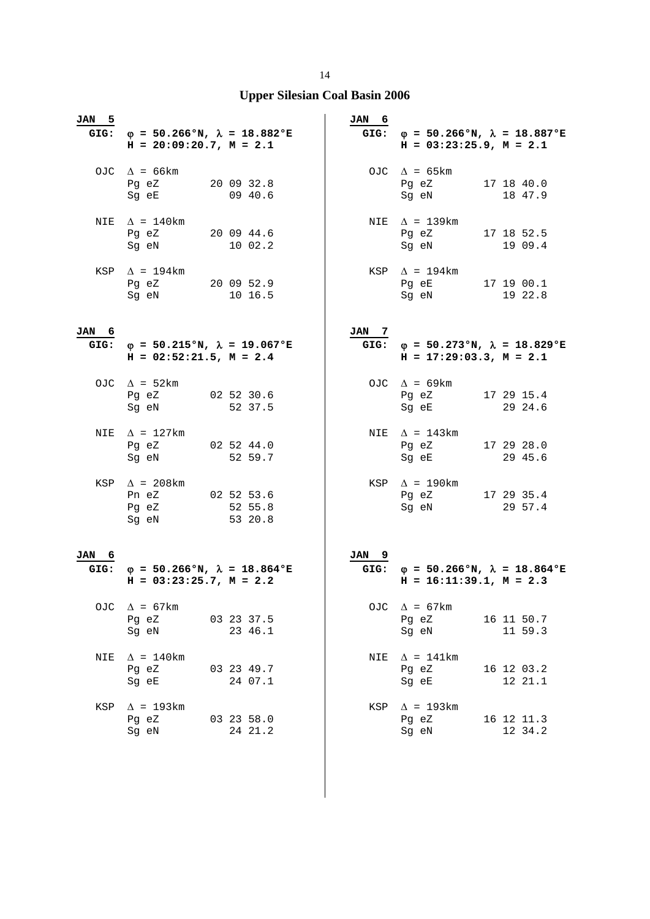| JAN 5 | GIG: $\varphi = 50.266$ °N, $\lambda = 18.882$ °E<br>$H = 20:09:20.7$ , $M = 2.1$                                                                                                                                                                               |                       | JAN 6 | GIG: $\varphi = 50.266$ °N, $\lambda = 18.887$ °E<br>$H = 03:23:25.9$ , $M = 2.1$                                                                                                                                                                                         |                       |
|-------|-----------------------------------------------------------------------------------------------------------------------------------------------------------------------------------------------------------------------------------------------------------------|-----------------------|-------|---------------------------------------------------------------------------------------------------------------------------------------------------------------------------------------------------------------------------------------------------------------------------|-----------------------|
|       | OJC $\Delta = 66 \text{km}$<br>Pg eZ 20 09 32.8<br>Sg eE                                                                                                                                                                                                        | 09 40.6               |       | OJC $\Delta = 65 \text{km}$<br>Pg eZ 17 18 40.0<br>Sg eN                                                                                                                                                                                                                  | 18 47.9               |
|       | NIE $\Delta = 140$ km<br>Pq eZ<br>Sg eN and the state of the state of the state of the state of the state of the state of the state of the state of the state of the state of the state of the state of the state of the state of the state of the state of the | 20 09 44.6<br>10 02.2 |       | NIE $\Delta$ = 139km<br>Pg eZ 17 18 52.5<br>Sg eN and the state of the state of the state of the state of the state of the state of the state of the state of the state of the state of the state of the state of the state of the state of the state of the state of the | 19 09.4               |
|       | KSP $\Delta$ = 194km<br>Pg eZ 20 09 52.9<br>Sg eN                                                                                                                                                                                                               | 10 16.5               |       | $KSP \quad \Delta = 194 \text{km}$<br>Pg eE 17 19 00.1<br>Sg eN                                                                                                                                                                                                           | 19 22.8               |
| JAN 6 | GIG: $\phi = 50.215$ °N, $\lambda = 19.067$ °E<br>$H = 02:52:21.5$ , $M = 2.4$                                                                                                                                                                                  |                       | JAN 7 | GIG: $\varphi = 50.273$ °N, $\lambda = 18.829$ °E<br>$H = 17:29:03.3, M = 2.1$                                                                                                                                                                                            |                       |
|       | OJC $\Delta = 52 \text{km}$<br>Pg eZ<br>Sg eN                                                                                                                                                                                                                   | 02 52 30.6<br>52 37.5 |       | OJC $\Delta = 69 \text{km}$<br>Pg eZ<br>Sg eE                                                                                                                                                                                                                             | 17 29 15.4<br>29 24.6 |
|       | NIE $\Delta$ = 127km<br>Pg eZ 02 52 44.0<br>Sg eN                                                                                                                                                                                                               | 52 59.7               |       | NIE $\Delta$ = 143km<br>Pg eZ 17 29 28.0<br>Sg eE                                                                                                                                                                                                                         | 29 45.6               |
|       | KSP $\Delta$ = 208km<br>Pn eZ 02 52 53.6<br>Pg eZ 52 55.8<br>Sg eN                                                                                                                                                                                              | 53 20.8               |       | KSP $\Delta$ = 190km<br>Pg eZ 17 29 35.4<br>Sg eN                                                                                                                                                                                                                         | 29 57.4               |
| JAN 6 |                                                                                                                                                                                                                                                                 |                       | JAN 9 |                                                                                                                                                                                                                                                                           |                       |
| GIG:  | $\varphi = 50.266$ °N, $\lambda = 18.864$ °E<br>$H = 03:23:25.7, M = 2.2$                                                                                                                                                                                       |                       |       | GIG: $\varphi = 50.266$ °N, $\lambda = 18.864$ °E<br>$H = 16:11:39.1, M = 2.3$                                                                                                                                                                                            |                       |
| OJC   | $\Delta$ = 67km<br>Pg eZ<br>Sg eN                                                                                                                                                                                                                               | 03 23 37.5<br>23 46.1 | OJC   | $\Delta$ = 67km<br>Pg eZ<br>Sq eN                                                                                                                                                                                                                                         | 16 11 50.7<br>11 59.3 |
| NIE   | $\Delta$ = 140km<br>Pg eZ<br>Sg eE                                                                                                                                                                                                                              | 03 23 49.7<br>24 07.1 |       | NIE $\Delta = 141$ km<br>Pg eZ<br>Sg eE                                                                                                                                                                                                                                   | 16 12 03.2<br>12 21.1 |
| KSP   | $\Delta$ = 193km<br>Pg eZ<br>Sg eN                                                                                                                                                                                                                              | 03 23 58.0<br>24 21.2 | KSP   | $\Delta$ = 193km<br>Pg eZ<br>Sg eN                                                                                                                                                                                                                                        | 16 12 11.3<br>12 34.2 |

14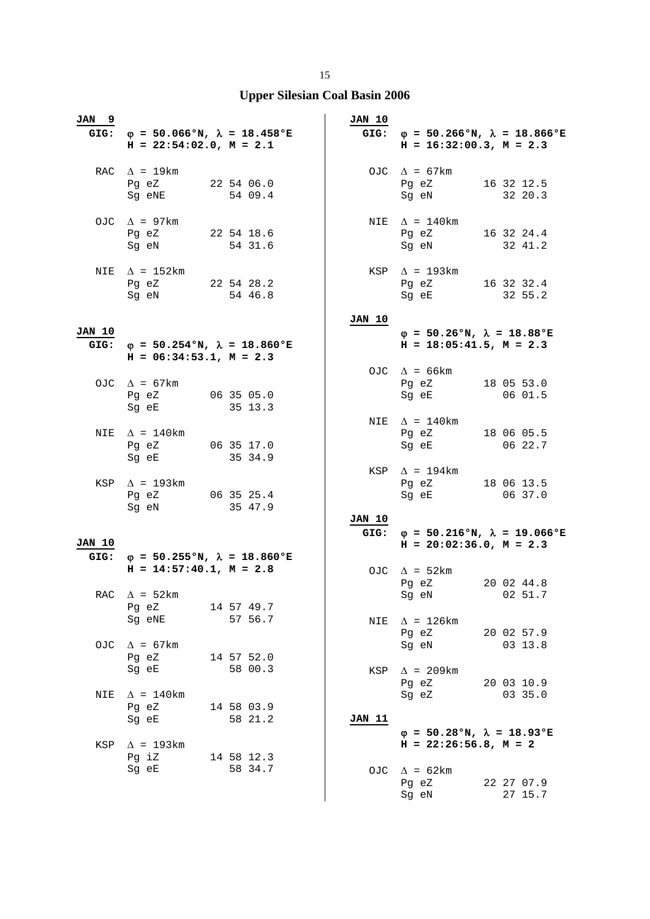| JAN 9         | GIG: $\varphi = 50.066$ °N, $\lambda = 18.458$ °E<br>$H = 22:54:02.0$ , $M = 2.1$ |                       | <b>JAN 10</b> | GIG: $\varphi = 50.266$ °N, $\lambda = 18.866$ °E<br>$H = 16:32:00.3$ , $M = 2.3$ |                       |
|---------------|-----------------------------------------------------------------------------------|-----------------------|---------------|-----------------------------------------------------------------------------------|-----------------------|
|               | RAC $\Delta$ = 19km<br>Pg eZ 22 54 06.0<br>Sg eNE                                 | 54 09.4               |               | OJC $\Delta = 67 \text{km}$<br>Pg eZ 16 32 12.5<br>Sg eN                          | 32 20.3               |
|               | OJC $\Delta$ = 97km<br>Pg eZ 22 54 18.6<br>Sg eN 54 31.6                          |                       |               | NIE $\Delta$ = 140km<br>Pg eZ 16 32 24.4<br>Sg eN 32 41.2                         |                       |
| NIE           | $\Delta$ = 152km<br>Pg eZ 22 54 28.2<br>Sg eN                                     | 54 46.8               |               | $KSP \triangle = 193km$<br>Pg eZ 16 32 32.4<br>Sg eE                              | 32 55.2               |
|               |                                                                                   |                       | <b>JAN 10</b> |                                                                                   |                       |
| <b>JAN 10</b> | GIG: $\varphi = 50.254$ °N, $\lambda = 18.860$ °E<br>$H = 06:34:53.1, M = 2.3$    |                       |               | $\varphi = 50.26$ °N, $\lambda = 18.88$ °E<br>$H = 18:05:41.5$ , $M = 2.3$        |                       |
|               | OJC $\Delta$ = 67km<br>Pg eZ 06 35 05.0<br>Sg eE                                  | 35 13.3               |               | OJC $\Delta$ = 66km<br>Pg eZ 18 05 53.0<br>Sg eE                                  | 06 01.5               |
|               | NIE $\Delta = 140$ km<br>Pg eZ 06 35 17.0<br>Sg eE                                | 35 34.9               |               | NIE $\Delta$ = 140 km<br>Pg eZ 18 06 05.5<br>Sg eE                                | 06 22.7               |
|               | KSP $\Delta$ = 193km<br>Pg eZ 06 35 25.4<br>Sg eN 35 47.9                         |                       | <b>JAN 10</b> | KSP $\Delta$ = 194km<br>Pg eZ 18 06 13.5<br>Sg eE 06 37.0                         |                       |
|               |                                                                                   |                       |               | GIG: $\varphi = 50.216$ °N, $\lambda = 19.066$ °E                                 |                       |
| <b>JAN 10</b> | GIG: $\phi = 50.255$ °N, $\lambda = 18.860$ °E                                    |                       |               | $H = 20:02:36.0, M = 2.3$                                                         |                       |
|               | $H = 14:57:40.1, M = 2.8$                                                         |                       |               | OJC $\Delta$ = 52km<br>Pg eZ                                                      | 20 02 44.8            |
|               | RAC $\Delta = 52 \text{km}$<br>Pg eZ<br>Sg eNE                                    | 14 57 49.7<br>57 56.7 | NIE           | Sg eN 02 51.7<br>$\Delta$ = 126km                                                 |                       |
| OJC           | $\Delta$ = 67km<br>Pg eZ                                                          | 14 57 52.0            |               | Pg eZ<br>Sg eN                                                                    | 20 02 57.9<br>03 13.8 |
|               | Sg eE                                                                             | 58 00.3               |               | KSP $\Delta$ = 209km<br>Pg eZ                                                     | 20 03 10.9            |
| NIE           | $\Delta$ = 140km<br>Pg eZ<br>Sg eE                                                | 14 58 03.9<br>58 21.2 | JAN 11        | Sg eZ                                                                             | 03 35.0               |
| KSP           | $\Delta$ = 193km<br>Pg iZ 14 58 12.3                                              |                       |               | $\varphi = 50.28$ °N, $\lambda = 18.93$ °E<br>$H = 22:26:56.8$ , $M = 2$          |                       |
|               | Sg eE                                                                             | 58 34.7               |               | OJC $\Delta = 62 \text{km}$<br>Pg eZ<br>Sg eN                                     | 22 27 07.9<br>27 15.7 |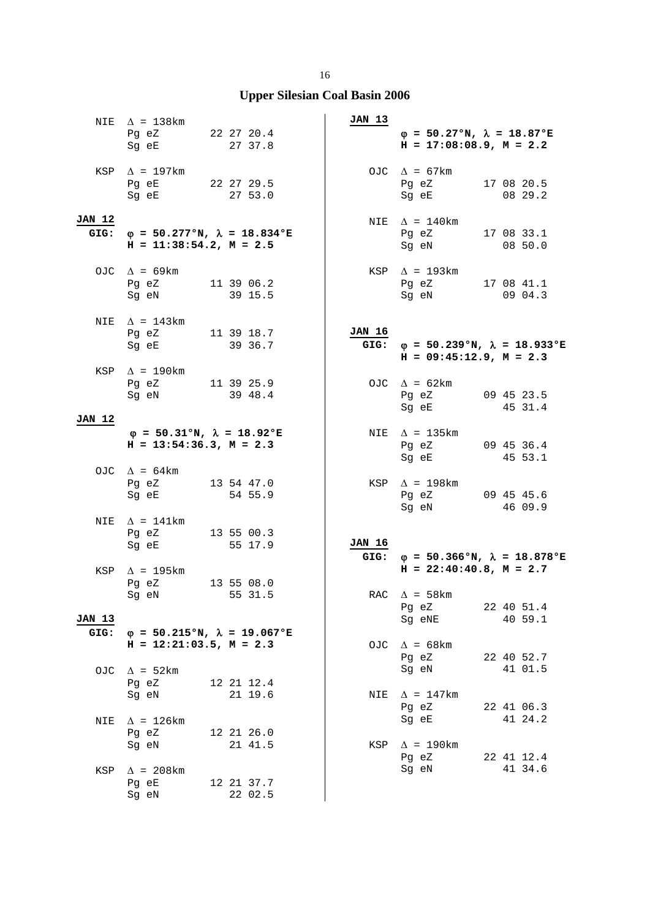|                       | NIE $\Delta$ = 138km<br>Pg eZ 22 27 20.4<br>Sg eE                                                                                                                                                                                                              | 27 37.8                                      | JAN 13        | $\varphi = 50.27$ °N, $\lambda = 18.87$ °E<br>$H = 17:08:08.9$ , $M = 2.2$     |                       |
|-----------------------|----------------------------------------------------------------------------------------------------------------------------------------------------------------------------------------------------------------------------------------------------------------|----------------------------------------------|---------------|--------------------------------------------------------------------------------|-----------------------|
|                       | KSP $\Delta$ = 197km<br>Pg eE 22 27 29.5<br>Sg eE                                                                                                                                                                                                              | 27 53.0                                      |               | OJC $\Delta = 67 \text{km}$<br>Pg eZ 17 08 20.5<br>Sg eE 08 29.2               |                       |
| <b>JAN 12</b><br>GIG: | $H = 11:38:54.2, M = 2.5$                                                                                                                                                                                                                                      | $\varphi = 50.277$ °N, $\lambda = 18.834$ °E |               | NIE $\Delta = 140$ km<br>Pg eZ 17 08 33.1<br>Sg eN 08 50.0                     |                       |
|                       | OJC $\Delta$ = 69km<br>Pg eZ 11 39 06.2<br>Sg eN                                                                                                                                                                                                               | 39 15.5                                      |               | $KSP \triangle = 193km$<br>Pg eZ 17 08 41.1<br>Sg eN                           | 0904.3                |
|                       | NIE $\Delta$ = 143km<br>Pg eZ 11 39 18.7<br>Sg eE 39 36.7                                                                                                                                                                                                      |                                              | JAN 16        | GIG: $\varphi = 50.239$ °N, $\lambda = 18.933$ °E<br>$H = 09:45:12.9, M = 2.3$ |                       |
|                       | KSP $\Delta$ = 190km<br>Pg eZ 11 39 25.9<br>Sg eN                                                                                                                                                                                                              | 39 48.4                                      |               | OJC $\Delta = 62 \text{km}$<br>Pg eZ<br>Sg eE                                  | 09 45 23.5<br>45 31.4 |
| <b>JAN 12</b>         |                                                                                                                                                                                                                                                                |                                              |               |                                                                                |                       |
|                       | $\varphi = 50.31$ °N, $\lambda = 18.92$ °E<br>$H = 13:54:36.3, M = 2.3$                                                                                                                                                                                        |                                              |               | NIE $\Delta$ = 135km<br>Pg eZ 09 45 36.4<br>Sg eE                              | 45 53.1               |
|                       | OJC $\Delta = 64 \text{km}$<br>Pg eZ 13 54 47.0<br>Sg eE 54 55.9                                                                                                                                                                                               |                                              |               | KSP $\Delta$ = 198km<br>Pg eZ 09 45 45.6<br>Sg eN 46 09.9                      |                       |
| NIE                   | $\Delta$ = 141km<br>Pg eZ 13 55 00.3<br>Sg eE                                                                                                                                                                                                                  | 55 17.9                                      | <b>JAN 16</b> | GIG: $\phi = 50.366$ °N, $\lambda = 18.878$ °E                                 |                       |
|                       | KSP $\Delta$ = 195km<br>Pg eZ<br>Sg eN and the state of the state of the state of the state of the state of the state of the state of the state of the state of the state of the state of the state of the state of the state of the state of the state of the | 13 55 08.0<br>55 31.5                        |               | $H = 22:40:40.8$ , $M = 2.7$<br>RAC $\Delta$ = 58km                            |                       |
| JAN 13                |                                                                                                                                                                                                                                                                |                                              |               | Pg eZ<br>Sg eNE                                                                | 22 40 51.4<br>40 59.1 |
| GIG:                  | $H = 12:21:03.5, M = 2.3$                                                                                                                                                                                                                                      | $\varphi = 50.215$ °N, $\lambda = 19.067$ °E |               | OJC $\Delta = 68 \text{km}$                                                    |                       |
| OJC                   | $\Delta$ = 52 km<br>Pg eZ                                                                                                                                                                                                                                      | 12 21 12.4                                   |               | Pg eZ<br>Sg eN                                                                 | 22 40 52.7<br>41 01.5 |
| NIE                   | Sg eN<br>$\Delta$ = 126km                                                                                                                                                                                                                                      | 21 19.6                                      |               | NIE $\Delta$ = 147km<br>Pg eZ<br>Sg eE                                         | 22 41 06.3<br>41 24.2 |
|                       | Pg eZ<br>Sg eN                                                                                                                                                                                                                                                 | 12 21 26.0<br>21 41.5                        | KSP           | $\Delta$ = 190km                                                               |                       |
| KSP                   | $\Delta$ = 208km<br>Pg eE                                                                                                                                                                                                                                      | 12 21 37.7                                   |               | Pg eZ<br>Sg eN                                                                 | 22 41 12.4<br>41 34.6 |
|                       | Sg eN                                                                                                                                                                                                                                                          | 22 02.5                                      |               |                                                                                |                       |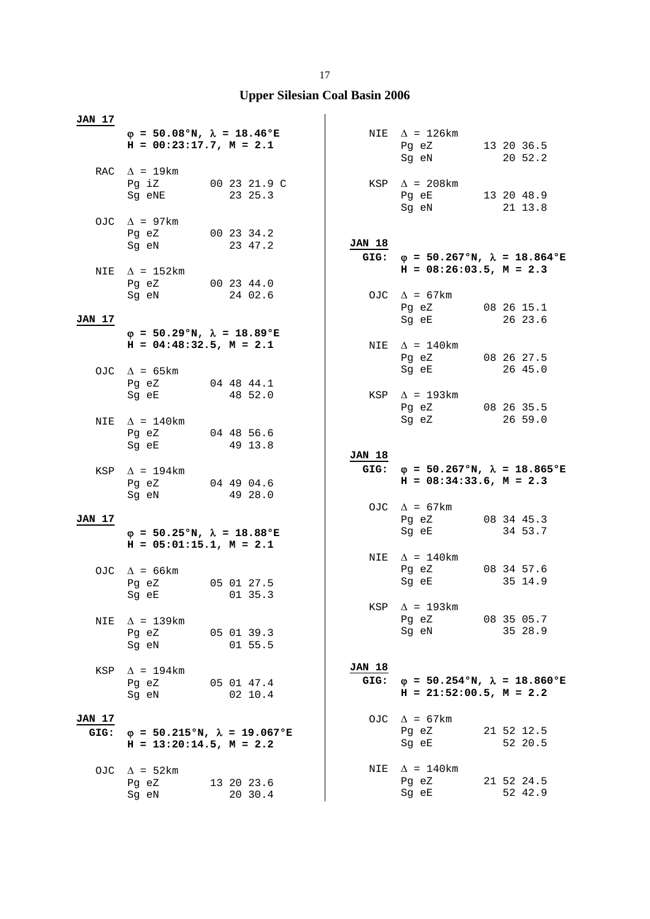| <u>JAN 17</u>  |                                                                                                                                                |                       |                       |                                                                                   |                       |
|----------------|------------------------------------------------------------------------------------------------------------------------------------------------|-----------------------|-----------------------|-----------------------------------------------------------------------------------|-----------------------|
|                | $\varphi = 50.08$ °N, $\lambda = 18.46$ °E<br>$H = 00:23:17.7, M = 2.1$                                                                        |                       |                       | NIE $\Delta$ = 126km<br>Pg eZ<br>Sg eN                                            | 13 20 36.5<br>20 52.2 |
|                | RAC $\Delta$ = 19km<br>Pq iZ 00 23 21.9 C<br>Sg eNE 23 25.3                                                                                    |                       |                       | KSP $\Delta$ = 208km<br>Pg eE 13 20 48.9<br>Sg eN 21 13.8                         |                       |
|                | OJC $\Delta$ = 97km<br>Pg eZ<br>Sg eN                                                                                                          | 00 23 34.2<br>23 47.2 | <b>JAN 18</b>         |                                                                                   |                       |
| NIE            | $\Delta$ = 152km<br>Pg eZ 00 23 44.0                                                                                                           |                       |                       | GIG: $\varphi = 50.267$ °N, $\lambda = 18.864$ °E<br>$H = 08:26:03.5$ , $M = 2.3$ |                       |
| JAN 17         | Sg eN<br>$\varphi = 50.29$ °N, $\lambda = 18.89$ °E                                                                                            | 24 02.6               |                       | OJC $\Delta = 67 \text{km}$<br>Pg eZ 08 26 15.1<br>Sg eE                          | 26 23.6               |
|                | $H = 04:48:32.5$ , $M = 2.1$<br>OJC $\Delta$ = 65 km                                                                                           |                       |                       | NIE $\Delta = 140$ km<br>Pg eZ<br>Sg eE                                           | 08 26 27.5<br>26 45.0 |
|                | Pg eZ<br>Sg eE                                                                                                                                 | 04 48 44.1<br>48 52.0 |                       | KSP $\Delta$ = 193km<br>Pg eZ 08 26 35.5                                          |                       |
|                | NIE $\Delta = 140 \text{km}$<br>Pg eZ 04 48 56.6<br>Sg eE                                                                                      | 49 13.8               |                       | Sg eZ                                                                             | 26 59.0               |
|                |                                                                                                                                                |                       |                       |                                                                                   |                       |
|                | KSP $\Delta$ = 194km<br>Pg eZ 04 49 04.6                                                                                                       |                       | <b>JAN 18</b><br>GIG: | $\varphi$ = 50.267°N, $\lambda$ = 18.865°E<br>$H = 08:34:33.6$ , $M = 2.3$        |                       |
| <b>JAN 17</b>  | Sg eN 49 28.0                                                                                                                                  |                       |                       | OJC $\Delta$ = 67km<br>Pg eZ<br>Sg eE                                             | 08 34 45.3<br>34 53.7 |
|                | $\varphi = 50.25$ °N, $\lambda = 18.88$ °E<br>$H = 05:01:15.1, M = 2.1$                                                                        |                       |                       |                                                                                   |                       |
|                | OJC $\Delta$ = 66km<br>Pg eZ<br>Sg eE and the state of the state of the state of the state of the state of the state of the state of the state | 05 01 27.5<br>01 35.3 |                       | NIE $\Delta = 140$ km<br>Pg eZ<br>Sg eE                                           | 08 34 57.6<br>35 14.9 |
| NIE            | $\Delta$ = 139km<br>Pg eZ<br>Sg eN                                                                                                             | 05 01 39.3<br>01 55.5 |                       | KSP $\Delta$ = 193km<br>Pg eZ<br>Sg eN                                            | 08 35 05.7<br>35 28.9 |
| KSP            | $\Delta$ = 194km<br>Pg eZ<br>Sg eN                                                                                                             | 05 01 47.4<br>02 10.4 | <b>JAN 18</b><br>GIG: | $\varphi = 50.254$ °N, $\lambda = 18.860$ °E<br>$H = 21:52:00.5$ , $M = 2.2$      |                       |
| JAN 17<br>GIG: | $\varphi = 50.215$ °N, $\lambda = 19.067$ °E<br>$H = 13:20:14.5$ , $M = 2.2$                                                                   |                       |                       | OJC $\Delta$ = 67km<br>Pg eZ<br>Sg eE                                             | 21 52 12.5<br>52 20.5 |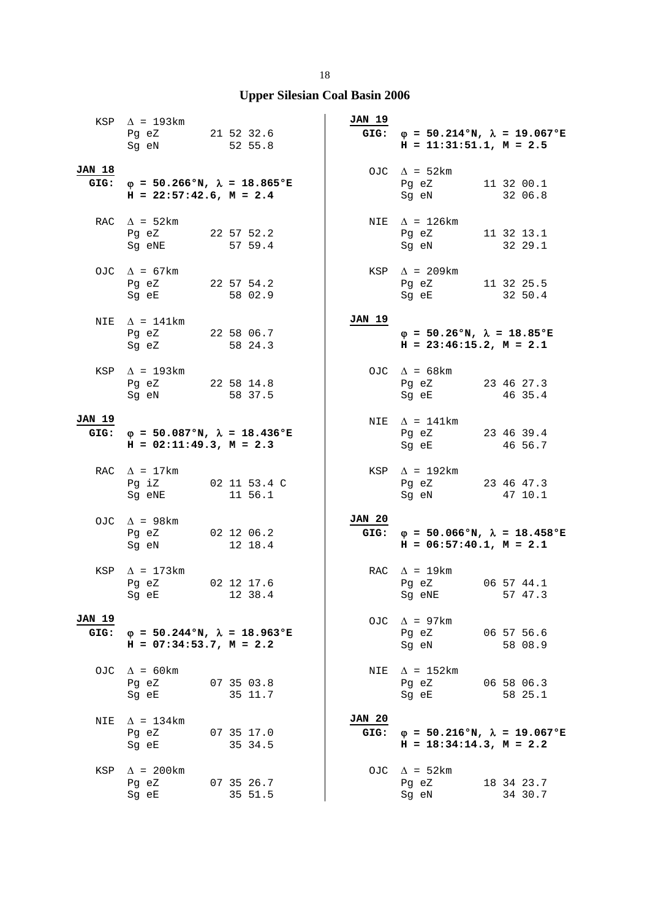|                       | KSP $\Delta$ = 193km<br>Pg eZ 21 52 32.6<br>Sg eN 52 55.8                         |                       | JAN 19                | GIG: $\varphi = 50.214$ °N, $\lambda = 19.067$ °E<br>$H = 11:31:51.1, M = 2.5$ |                       |
|-----------------------|-----------------------------------------------------------------------------------|-----------------------|-----------------------|--------------------------------------------------------------------------------|-----------------------|
| <b>JAN 18</b>         | GIG: $\varphi = 50.266$ °N, $\lambda = 18.865$ °E<br>$H = 22:57:42.6$ , $M = 2.4$ |                       |                       | OJC $\Delta$ = 52km<br>Pg eZ 11 32 00.1<br>Sg eN                               | 32 06.8               |
|                       | RAC $\Delta = 52 \text{km}$<br>Pg eZ 22 57 52.2<br>Sg eNE 57 59.4                 |                       |                       | NIE $\Delta$ = 126km<br>Pg eZ 11 32 13.1<br>Sg eN 32 29.1                      |                       |
|                       | OJC $\Delta$ = 67km<br>Pg eZ 22 57 54.2<br>Sg eE 58 02.9                          |                       |                       | $KSP \quad \Delta = 209km$<br>Pg eZ 11 32 25.5<br>Sg eE 32 50.4                |                       |
|                       | NIE $\Delta$ = 141km<br>Pg eZ 22 58 06.7<br>Sq eZ                                 | 58 24.3               | JAN 19                | $\varphi = 50.26$ °N, $\lambda = 18.85$ °E<br>$H = 23:46:15.2, M = 2.1$        |                       |
|                       | KSP $\Delta$ = 193km<br>Pg eZ 22 58 14.8<br>Sg eN 58 37.5                         |                       |                       | OJC $\Delta = 68$ km<br>Pg eZ 23 46 27.3<br>Sg eE 46 35.4                      |                       |
| <b>JAN 19</b>         | GIG: $\varphi = 50.087$ °N, $\lambda = 18.436$ °E<br>$H = 02:11:49.3, M = 2.3$    |                       |                       | NIE $\Delta$ = 141km<br>Pg eZ 23 46 39.4<br>Sg eE                              | 46 56.7               |
|                       | RAC $\Delta$ = 17km<br>Pg iZ 02 11 53.4 C<br>Sg eNE                               | 11 56.1               |                       | $KSP \quad \Delta = 192km$<br>Pg eZ 23 46 47.3<br>Sg eN                        | 47 10.1               |
|                       | OJC $\Delta$ = 98 km<br>Pg eZ 02 12 06.2<br>Sg eN 12 18.4                         |                       | <b>JAN 20</b>         | GIG: $\varphi = 50.066$ °N, $\lambda = 18.458$ °E<br>$H = 06:57:40.1, M = 2.1$ |                       |
|                       | KSP $\Delta$ = 173km<br>02 12 17.6<br>Pg eZ<br>Sg eE 12 38.4                      |                       |                       | RAC $\Delta$ = 19 km<br>Pg eZ<br>Sg eNE 57 47.3                                | 06 57 44.1            |
| <b>JAN 19</b><br>GIG: | $\varphi = 50.244$ °N, $\lambda = 18.963$ °E<br>$H = 07:34:53.7$ , $M = 2.2$      |                       |                       | OJC $\Delta$ = 97km<br>Pg eZ<br>Sg eN                                          | 06 57 56.6<br>58 08.9 |
|                       | OJC $\Delta$ = 60km<br>Pg eZ<br>Sq eE                                             | 07 35 03.8<br>35 11.7 | NIE                   | $\Delta$ = 152km<br>Pg eZ<br>Sg eE                                             | 06 58 06.3<br>58 25.1 |
| NIE                   | $\Delta$ = 134km<br>Pg eZ<br>Sg eE                                                | 07 35 17.0<br>35 34.5 | <b>JAN 20</b><br>GIG: | $\varphi = 50.216$ °N, $\lambda = 19.067$ °E<br>$H = 18:34:14.3, M = 2.2$      |                       |
| KSP                   | $\Delta$ = 200km<br>Pg eZ<br>Sg eE                                                | 07 35 26.7<br>35 51.5 |                       | OJC $\Delta$ = 52km<br>Pg eZ<br>Sg eN                                          | 18 34 23.7<br>34 30.7 |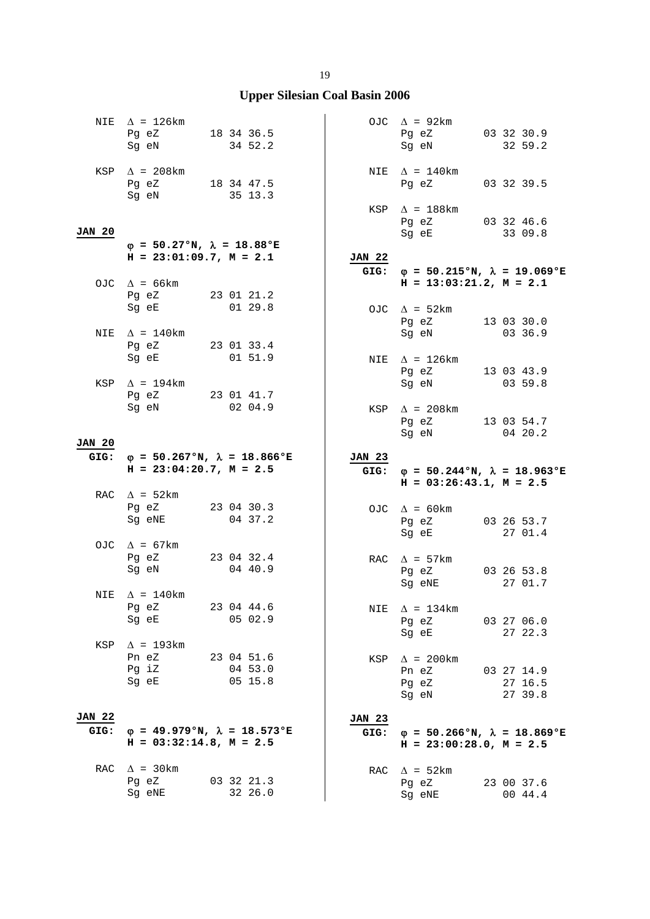|                       | NIE $\Delta$ = 126km<br>Pg eZ<br>18 34 36.5<br>Sg eN                                                                                   | 34 52.2                          |                       | OJC $\Delta$ = 92km<br>Pg eZ<br>Sg eN                                                                                                                      | 03 32 30.9<br>32 59.2                       |
|-----------------------|----------------------------------------------------------------------------------------------------------------------------------------|----------------------------------|-----------------------|------------------------------------------------------------------------------------------------------------------------------------------------------------|---------------------------------------------|
|                       | KSP $\Delta$ = 208km<br>Pg eZ 18 34 47.5<br>Sg eN                                                                                      | 35 13.3                          |                       | NIE $\Delta = 140$ km<br>Pg eZ 03 32 39.5                                                                                                                  |                                             |
| <b>JAN 20</b>         | $\varphi = 50.27$ °N, $\lambda = 18.88$ °E                                                                                             |                                  |                       | KSP $\Delta$ = 188km<br>Pg eZ 03 32 46.6<br>Sg eE and the state of the state of the state of the state of the state of the state of the state of the state | 33 09.8                                     |
|                       | $H = 23:01:09.7, M = 2.1$                                                                                                              |                                  | <b>JAN 22</b>         |                                                                                                                                                            |                                             |
|                       |                                                                                                                                        |                                  |                       | GIG: $\varphi = 50.215$ °N, $\lambda = 19.069$ °E                                                                                                          |                                             |
|                       | OJC $\Delta$ = 66km<br>Pg eZ 23 01 21.2<br>Sg eE                                                                                       | 01 29.8                          |                       | $H = 13:03:21.2$ , $M = 2.1$<br>OJC $\Delta = 52 \text{km}$<br>Pg eZ                                                                                       | 13 03 30.0                                  |
| NIE                   | $\Delta$ = 140km<br>Pg eZ 23 01 33.4                                                                                                   |                                  |                       | Sg eN                                                                                                                                                      | 03 36.9                                     |
|                       | Sg eE and the state of the state of the state of the state of the state of the state of the state of the state<br>KSP $\Delta$ = 194km | 01 51.9                          |                       | NIE $\Delta$ = 126km<br>Pq eZ<br>Sg eN                                                                                                                     | 13 03 43.9<br>0359.8                        |
|                       | Pg eZ 23 01 41.7<br>Sg eN                                                                                                              | 02 04.9                          |                       | KSP $\Delta$ = 208km<br>Pg eZ                                                                                                                              | 13 03 54.7                                  |
| <b>JAN 20</b>         |                                                                                                                                        |                                  |                       | Sg eN                                                                                                                                                      | 04 20.2                                     |
| GIG:                  | φ = 50.267°N, $\lambda$ = 18.866°E                                                                                                     |                                  |                       |                                                                                                                                                            |                                             |
|                       | $H = 23:04:20.7$ , $M = 2.5$                                                                                                           |                                  | <b>JAN 23</b>         | GIG: $\varphi = 50.244 \text{°N}$ , $\lambda = 18.963 \text{°E}$<br>$H = 03:26:43.1, M = 2.5$                                                              |                                             |
|                       | RAC $\Delta$ = 52km<br>Pg eZ<br>Sg eNE                                                                                                 | 23 04 30.3<br>04 37.2            |                       | OJC $\Delta = 60 \text{km}$<br>Pg eZ 03 26 53.7                                                                                                            |                                             |
|                       | OJC $\Delta$ = 67km                                                                                                                    |                                  |                       | Sg eE                                                                                                                                                      | 27 01.4                                     |
|                       | Pg eZ<br>Sg eN                                                                                                                         | 23 04 32.4<br>04 40.9            |                       | RAC $\Delta$ = 57km<br>Pq eZ<br>Sg eNE                                                                                                                     | 03 26 53.8<br>27 01.7                       |
|                       | NIE $\Delta = 140$ km<br>Pg eZ<br>Sg eE                                                                                                | 23 04 44.6<br>05 02.9            |                       | NIE $\Delta = 134 \text{km}$<br>Pg eZ                                                                                                                      | 03 27 06.0                                  |
| KSP                   | $\Delta$ = 193km<br>Pn eZ<br>Pg iZ<br>Sg eE                                                                                            | 23 04 51.6<br>04 53.0<br>05 15.8 | KSP                   | Sg eE<br>$\Delta$ = 200km<br>Pn eZ<br>Pg eZ<br>Sg eN                                                                                                       | 27 22.3<br>03 27 14.9<br>27 16.5<br>27 39.8 |
| <b>JAN 22</b><br>GIG: | $\varphi$ = 49.979°N, $\lambda$ = 18.573°E<br>$H = 03:32:14.8$ , $M = 2.5$                                                             |                                  | <b>JAN 23</b><br>GIG: | $\varphi = 50.266$ °N, $\lambda = 18.869$ °E<br>$H = 23:00:28.0$ , $M = 2.5$                                                                               |                                             |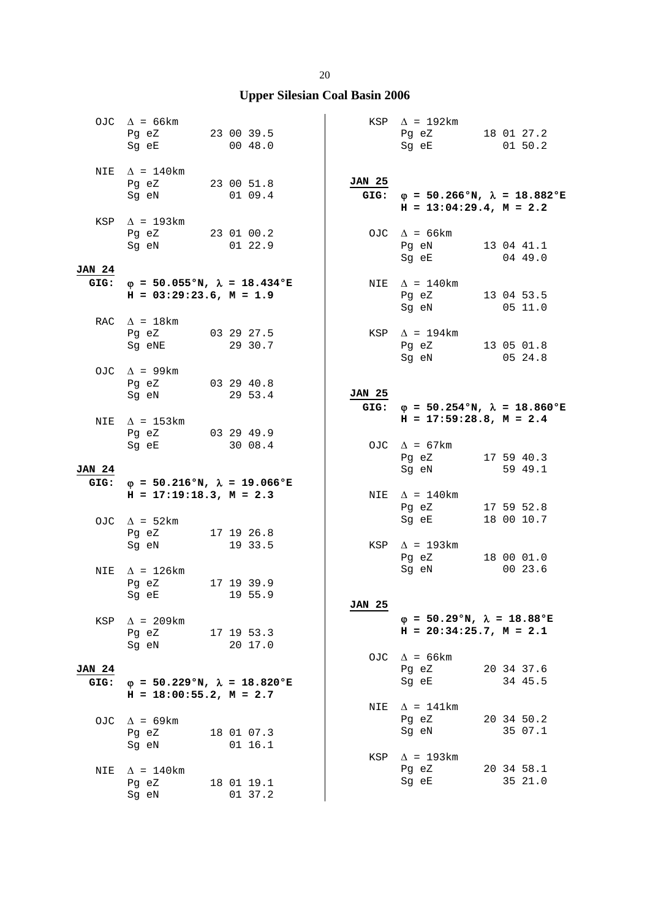|                       | OJC $\Delta$ = 66km<br>Pg eZ 23 00 39.5<br>Sg eE                        | 00 48.0                                           |               | $KSP \quad \Delta = 192 \text{km}$<br>Pg eZ 18 01 27.2<br>Sg eE              | 0150.2                                            |
|-----------------------|-------------------------------------------------------------------------|---------------------------------------------------|---------------|------------------------------------------------------------------------------|---------------------------------------------------|
|                       | NIE $\Delta = 140 \text{km}$<br>Pg eZ 23 00 51.8<br>Sg eN               | 0109.4                                            | <b>JAN 25</b> | $H = 13:04:29.4$ , $M = 2.2$                                                 | GIG: $\varphi = 50.266$ °N, $\lambda = 18.882$ °E |
|                       | $KSP \quad \Delta = 193 \text{km}$<br>Pg eZ 23 01 00.2<br>Sg eN 01 22.9 |                                                   |               | OJC $\Delta = 66 \text{km}$<br>Pg eN 13 04 41.1<br>Sg eE 04 49.0             |                                                   |
| <b>JAN 24</b><br>GIG: | $H = 03:29:23.6$ , $M = 1.9$                                            | $\varphi$ = 50.055°N, $\lambda$ = 18.434°E        |               | NIE $\Delta = 140 \text{km}$<br>Pg eZ<br>Sg eN                               | 13 04 53.5<br>05 11.0                             |
|                       | RAC $\Delta = 18$ km<br>Pg eZ 03 29 27.5<br>Sg eNE                      | 29 30.7                                           |               | KSP $\Delta$ = 194km<br>Pg eZ 13 05 01.8<br>Sq eN 05 24.8                    |                                                   |
|                       | OJC $\Delta$ = 99km<br>Pg eZ 03 29 40.8<br>Sg eN 29 53.4                |                                                   | <b>JAN 25</b> |                                                                              | GIG: $\phi = 50.254$ °N, $\lambda = 18.860$ °E    |
|                       | NIE $\Delta$ = 153km<br>Pg eZ 03 29 49.9<br>Sg eE                       | 30 08.4                                           |               | $H = 17:59:28.8, M = 2.4$<br>OJC $\Delta = 67 \text{km}$<br>Pg eZ 17 59 40.3 |                                                   |
| <b>JAN 24</b>         |                                                                         | GIG: $\varphi = 50.216$ °N, $\lambda = 19.066$ °E |               | Sg eN 59 49.1                                                                |                                                   |
|                       | $H = 17:19:18.3, M = 2.3$                                               |                                                   |               | NIE $\Delta$ = 140km<br>Pg eZ                                                | 17 59 52.8                                        |
|                       | OJC $\Delta$ = 52km<br>Pg eZ 17 19 26.8<br>Sg eN                        | 19 33.5                                           |               | Sg eE<br>KSP $\Delta$ = 193km<br>Pg eZ                                       | 18 00 10.7<br>18 00 01.0                          |
| NIE                   | $\Delta$ = 126km<br>Pg eZ<br>Sg eE 19 55.9                              | 17 19 39.9                                        |               | Sg eN                                                                        | 00 23.6                                           |
| KSP                   | $\Delta$ = 209km<br>Pg eZ<br>Sg eN                                      | 17 19 53.3<br>20 17.0                             | <b>JAN 25</b> | $\varphi = 50.29$ °N, $\lambda = 18.88$ °E<br>$H = 20:34:25.7$ , $M = 2.1$   |                                                   |
| <b>JAN 24</b><br>GIG: |                                                                         | $\varphi = 50.229$ °N, $\lambda = 18.820$ °E      |               | OJC $\Delta = 66 \text{km}$<br>Pg eZ<br>Sg eE                                | 20 34 37.6<br>34 45.5                             |
| OJC                   | $H = 18:00:55.2$ , $M = 2.7$<br>$\Delta$ = 69km<br>Pq eZ                | 18 01 07.3                                        | NIE           | $\Delta$ = 141km<br>Pg eZ<br>Sg eN                                           | 20 34 50.2<br>35 07.1                             |
| NIE                   | Sg eN<br>$\Delta$ = 140km                                               | 01 16.1                                           | KSP           | $\Delta$ = 193km<br>Pg eZ                                                    | 20 34 58.1                                        |
|                       | Pg eZ<br>Sg eN                                                          | 18 01 19.1<br>01 37.2                             |               | Sg eE                                                                        | 35 21.0                                           |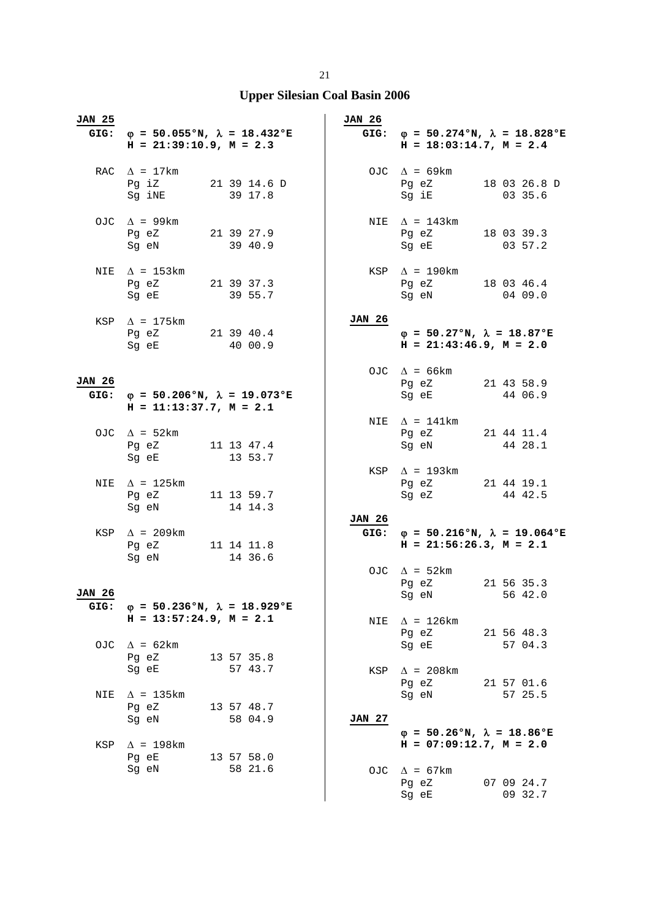| <b>JAN 25</b>         | GIG: $\varphi = 50.055$ °N, $\lambda = 18.432$ °E<br>$H = 21:39:10.9, M = 2.3$                                                                            |                       | JAN 26                | $H = 18:03:14.7$ , $M = 2.4$                                                                                                                   | GIG: $\varphi = 50.274$ °N, $\lambda = 18.828$ °E |
|-----------------------|-----------------------------------------------------------------------------------------------------------------------------------------------------------|-----------------------|-----------------------|------------------------------------------------------------------------------------------------------------------------------------------------|---------------------------------------------------|
|                       | RAC $\Delta = 17 \text{km}$<br>Pg iZ 21 39 14.6 D<br>Sg iNE 39 17.8                                                                                       |                       |                       | OJC $\Delta = 69 \text{km}$<br>Pg eZ<br>Sg iE 03 35.6                                                                                          | 18 03 26.8 D                                      |
|                       | OJC $\Delta$ = 99km<br>Pg eZ 21 39 27.9<br>Sg eN 39 40.9                                                                                                  |                       |                       | NIE $\Delta$ = 143km<br>Pg eZ<br>Sg eE 03 57.2                                                                                                 | 18 03 39.3                                        |
| NIE                   | $\Delta$ = 153km<br>Pg eZ 21 39 37.3<br>Sg eE                                                                                                             | 39 55.7               |                       | $KSP \triangle = 190km$<br>Pg eZ<br>Sg eN                                                                                                      | 18 03 46.4<br>04 09.0                             |
|                       | KSP $\Delta$ = 175 km<br>Pg eZ 21 39 40.4<br>Sg eE 40 00.9                                                                                                |                       | <b>JAN 26</b>         | $\varphi = 50.27$ °N, $\lambda = 18.87$ °E<br>$H = 21:43:46.9$ , $M = 2.0$                                                                     |                                                   |
| <b>JAN 26</b>         | GIG: $\varphi = 50.206$ °N, $\lambda = 19.073$ °E<br>$H = 11:13:37.7, M = 2.1$                                                                            |                       |                       | OJC $\Delta = 66 \text{km}$<br>Pg eZ<br>Sg eE                                                                                                  | 21 43 58.9<br>44 06.9                             |
|                       | OJC $\Delta$ = 52km<br>Pg eZ 11 13 47.4<br>Sg eE and the state of the state of the state of the state of the state of the state of the state of the state | 13 53.7               |                       | NIE $\Delta$ = 141km<br>Pg eZ 21 44 11.4<br>Sg eN                                                                                              | 44 28.1                                           |
| NIE                   | $\Delta$ = 125km<br>Pg eZ<br>11 13 59.7<br>Sg eN                                                                                                          | 14 14.3               |                       | KSP $\Delta$ = 193km<br>Pg eZ 21 44 19.1<br>Sg eZ 44 42.5                                                                                      |                                                   |
|                       | $KSP \quad \Delta = 209km$<br>Pq eZ 11 14 11.8<br>Sg eN                                                                                                   | 14 36.6               | <b>JAN 26</b><br>GIG: | $H = 21:56:26.3, M = 2.1$                                                                                                                      | $\varphi = 50.216$ °N, $\lambda = 19.064$ °E      |
| <b>JAN 26</b><br>GIG: | $\varphi = 50.236$ °N, $\lambda = 18.929$ °E                                                                                                              |                       |                       | OJC $\Delta$ = 52km<br>Pg eZ<br>Sg eN and the state of the state of the state of the state of the state of the state of the state of the state | 21 56 35.3<br>56 42.0                             |
| OJC                   | $H = 13:57:24.9$ , $M = 2.1$<br>$\Delta$ = 62km                                                                                                           |                       | NIE                   | $\Delta$ = 126km<br>Pg eZ<br>Sg eE                                                                                                             | 21 56 48.3<br>57 04.3                             |
|                       | Pg eZ<br>Sg eE                                                                                                                                            | 13 57 35.8<br>57 43.7 | KSP                   | $\Delta$ = 208km<br>Pg eZ                                                                                                                      | 21 57 01.6                                        |
| NIE                   | $\Delta$ = 135km<br>Pg eZ<br>Sg eN                                                                                                                        | 13 57 48.7<br>58 04.9 | <b>JAN 27</b>         | Sg eN                                                                                                                                          | 57 25.5                                           |
| KSP                   | $\Delta$ = 198km<br>Pg eE<br>Sg eN                                                                                                                        | 13 57 58.0<br>58 21.6 |                       | $\varphi = 50.26$ °N, $\lambda = 18.86$ °E<br>$H = 07:09:12.7$ , $M = 2.0$<br>OJC $\Delta = 67 \text{km}$                                      |                                                   |
|                       |                                                                                                                                                           |                       |                       | Pg eZ<br>Sg eE                                                                                                                                 | 07 09 24.7<br>09 32.7                             |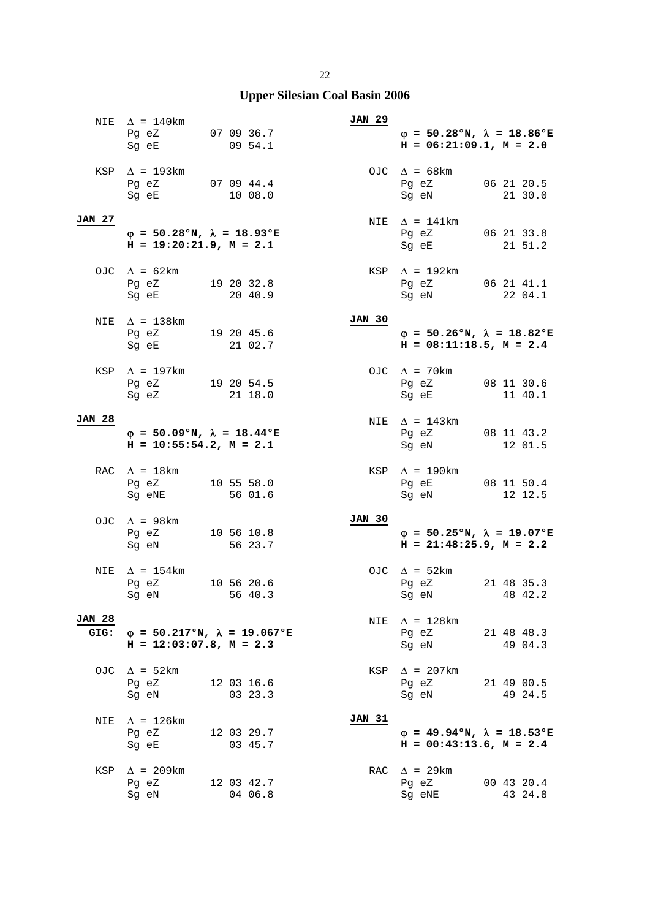|                       | NIE $\Delta = 140 \text{km}$<br>Pg eZ<br>Sg eE                                                                                              | 07 09 36.7<br>09 54.1                        | JAN 29        | $\varphi$ = 50.28°N, $\lambda$ = 18.86°E<br>$H = 06:21:09.1, M = 2.0$                                                                                              |                       |
|-----------------------|---------------------------------------------------------------------------------------------------------------------------------------------|----------------------------------------------|---------------|--------------------------------------------------------------------------------------------------------------------------------------------------------------------|-----------------------|
|                       | KSP $\Delta$ = 193km<br>Pg eZ 07 09 44.4<br>Sq eE                                                                                           | 10 08.0                                      |               | OJC $\Delta = 68 \text{km}$<br>Pg eZ<br>Sg eN                                                                                                                      | 06 21 20.5<br>21 30.0 |
| <b>JAN 27</b>         | $\varphi = 50.28$ °N, $\lambda = 18.93$ °E<br>$H = 19:20:21.9$ , $M = 2.1$                                                                  |                                              |               | NIE $\Delta = 141 \text{km}$<br>Pg eZ 06 21 33.8<br>Sg eE and the state of the state of the state of the state of the state of the state of the state of the state | 21 51.2               |
|                       | OJC $\Delta = 62 \text{km}$<br>Pq eZ<br>Sg eE                                                                                               | 19 20 32.8<br>20 40.9                        |               | $KSP \quad \Delta = 192 \text{km}$<br>Pg eZ<br>Sg eN                                                                                                               | 06 21 41.1<br>22 04.1 |
|                       | NIE $\Delta = 138 \text{km}$<br>Pg eZ 19 20 45.6<br>Sg eE                                                                                   | 21 02.7                                      | <b>JAN 30</b> | $\varphi = 50.26$ °N, $\lambda = 18.82$ °E<br>$H = 08:11:18.5$ , $M = 2.4$                                                                                         |                       |
|                       | KSP $\Delta$ = 197km<br>Pg eZ 19 20 54.5<br>Sq eZ                                                                                           | 21 18.0                                      |               | OJC $\Delta$ = 70 km<br>Pg eZ 08 11 30.6<br>Sq eE                                                                                                                  | 11 40.1               |
| <b>JAN 28</b>         | $\varphi = 50.09$ °N, $\lambda = 18.44$ °E<br>$H = 10:55:54.2$ , $M = 2.1$                                                                  |                                              |               | NIE $\Delta$ = 143 km<br>Pg eZ<br>Sg eN                                                                                                                            | 08 11 43.2<br>12 01.5 |
|                       | RAC $\Delta = 18 \text{km}$<br>Pg eZ<br>Sg eNE                                                                                              | 10 55 58.0<br>56 01.6                        |               | $KSP \quad \Delta = 190 \text{km}$<br>Pg eE 08 11 50.4<br>Sg eN                                                                                                    | 12 12.5               |
|                       | OJC $\Delta$ = 98km<br>Pg eZ<br>Sg eN                                                                                                       | 10 56 10.8<br>56 23.7                        | JAN 30        | $\varphi = 50.25$ °N, $\lambda = 19.07$ °E<br>$H = 21:48:25.9$ , $M = 2.2$                                                                                         |                       |
| NIE                   | $\Delta$ = 154km<br>Pq eZ<br>Sg eN and the state of the state of the state of the state of the state of the state of the state of the state | 10 56 20.6<br>56 40.3                        |               | OJC $\Delta = 52 \text{km}$<br>Pq eZ<br>Sg eN                                                                                                                      | 21 48 35.3<br>48 42.2 |
| <b>JAN 28</b><br>GIG: | $H = 12:03:07.8$ , $M = 2.3$                                                                                                                | $\varphi = 50.217$ °N, $\lambda = 19.067$ °E | NIE           | $\Delta$ = 128km<br>Pg eZ<br>Sq eN                                                                                                                                 | 21 48 48.3<br>49 04.3 |
| OJC                   | $\Delta$ = 52km<br>Pg eZ<br>Sg eN                                                                                                           | 12 03 16.6<br>03 23.3                        |               | $KSP \quad \Delta = 207km$<br>Pg eZ<br>Sg eN                                                                                                                       | 21 49 00.5<br>49 24.5 |
| NIE                   | $\Delta$ = 126km<br>Pg eZ<br>Sg eE                                                                                                          | 12 03 29.7<br>03 45.7                        | <b>JAN 31</b> | $\varphi = 49.94\text{°N}, \lambda = 18.53\text{°E}$<br>$H = 00:43:13.6$ , $M = 2.4$                                                                               |                       |
| KSP                   | $\Delta$ = 209km<br>Pg eZ<br>Sg eN                                                                                                          | 12 03 42.7<br>04 06.8                        |               | RAC $\Delta$ = 29km<br>Pg eZ<br>Sg eNE                                                                                                                             | 00 43 20.4<br>43 24.8 |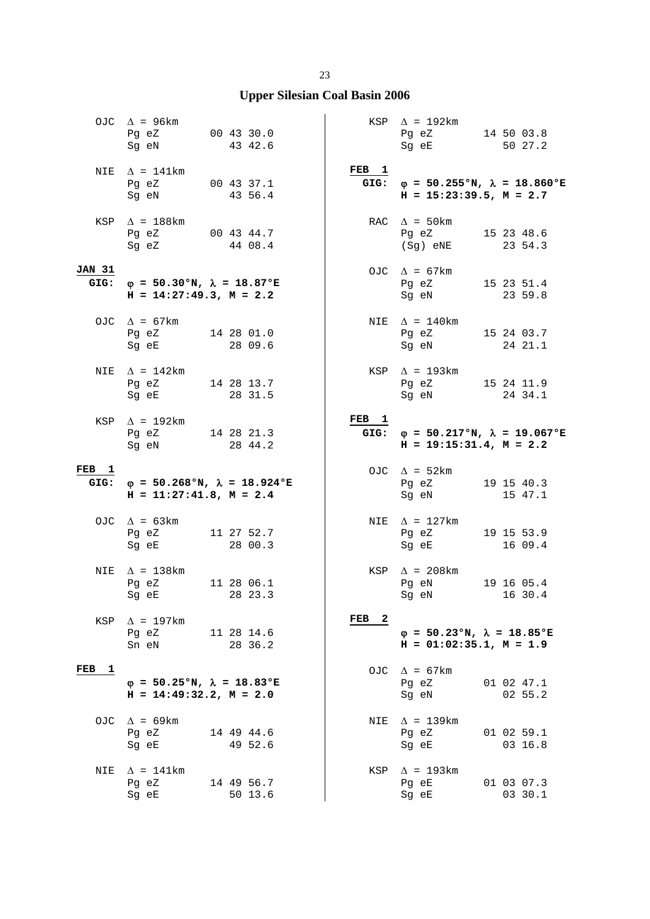|                       | OJC $\Delta$ = 96km<br>Pg eZ<br>Sg eN                                             | 00 43 30.0<br>43 42.6 |         |                                | $KSP \quad \Delta = 192 \text{km}$<br>Pg eZ 14 50 03.8<br>Sg eE                   | 50 27.2               |
|-----------------------|-----------------------------------------------------------------------------------|-----------------------|---------|--------------------------------|-----------------------------------------------------------------------------------|-----------------------|
| NIE                   | $\Delta$ = 141km<br>Pg eZ 00 43 37.1<br>Sg eN                                     |                       | 43 56.4 | FEB <sub>1</sub><br>GIG:       | $\varphi = 50.255$ °N, $\lambda = 18.860$ °E<br>$H = 15:23:39.5$ , $M = 2.7$      |                       |
|                       | KSP $\Delta$ = 188 km<br>Pg eZ 00 43 44.7<br>Sg eZ 44 08.4                        |                       |         |                                | RAC $\Delta$ = 50km<br>Pg eZ<br>(Sg) eNE 23 54.3                                  | 15 23 48.6            |
| <b>JAN 31</b><br>GIG: | $\varphi = 50.30$ °N, $\lambda = 18.87$ °E<br>$H = 14:27:49.3, M = 2.2$           |                       |         |                                | OJC $\Delta = 67 \text{km}$<br>Pg eZ<br>Sg eN                                     | 15 23 51.4<br>23 59.8 |
|                       | OJC $\Delta = 67 \text{km}$<br>Pg eZ 14 28 01.0<br>Sg eE                          |                       | 28 09.6 |                                | NIE $\Delta = 140$ km<br>Pg eZ<br>Sg eN                                           | 15 24 03.7<br>24 21.1 |
| NIE                   | $\Delta$ = 142km<br>Pg eZ 14 28 13.7<br>Sq eE                                     |                       | 28 31.5 |                                | KSP $\Delta$ = 193km<br>Pg eZ<br>Sq eN                                            | 15 24 11.9<br>24 34.1 |
|                       | KSP $\Delta$ = 192km<br>Pg eZ 14 28 21.3<br>Sg eN                                 | 28 44.2               |         | FEB <sub>1</sub>               | GIG: $\varphi = 50.217$ °N, $\lambda = 19.067$ °E<br>$H = 19:15:31.4$ , $M = 2.2$ |                       |
|                       |                                                                                   |                       |         |                                |                                                                                   |                       |
| FEB <sub>1</sub>      | GIG: $\varphi = 50.268$ °N, $\lambda = 18.924$ °E<br>$H = 11:27:41.8$ , $M = 2.4$ |                       |         |                                | OJC $\Delta = 52 \text{km}$<br>Pg eZ<br>Sg eN                                     | 19 15 40.3<br>15 47.1 |
|                       | OJC $\Delta = 63 \text{km}$<br>Pg eZ 11 27 52.7<br>Sq eE                          |                       | 28 00.3 |                                | NIE $\Delta = 127 \text{km}$<br>Pg eZ<br>Sg eE                                    | 19 15 53.9<br>16 09.4 |
| NIE                   | $\Delta$ = 138km<br>Pg eZ<br>Sg eE 28 23.3                                        | 11 28 06.1            |         |                                | KSP $\Delta$ = 208km<br>Pg eN<br>Sg eN 16 30.4                                    | 19 16 05.4            |
| KSP                   | $\Delta$ = 197km<br>Pg eZ<br>Sn eN                                                | 11 28 14.6            | 28 36.2 | FEB<br>$\overline{\mathbf{2}}$ | $\varphi = 50.23$ °N, $\lambda = 18.85$ °E<br>$H = 01:02:35.1, M = 1.9$           |                       |
| FEB 1                 | $\varphi = 50.25$ °N, $\lambda = 18.83$ °E<br>$H = 14:49:32.2, M = 2.0$           |                       |         |                                | OJC $\Delta = 67 \text{km}$<br>Pg eZ<br>Sg eN                                     | 01 02 47.1<br>02 55.2 |
| OJC.                  | $\Delta$ = 69km<br>Pg eZ<br>Sg eE                                                 | 14 49 44.6            | 49 52.6 | NIE                            | $\Delta$ = 139km<br>Pg eZ<br>Sg eE                                                | 01 02 59.1<br>03 16.8 |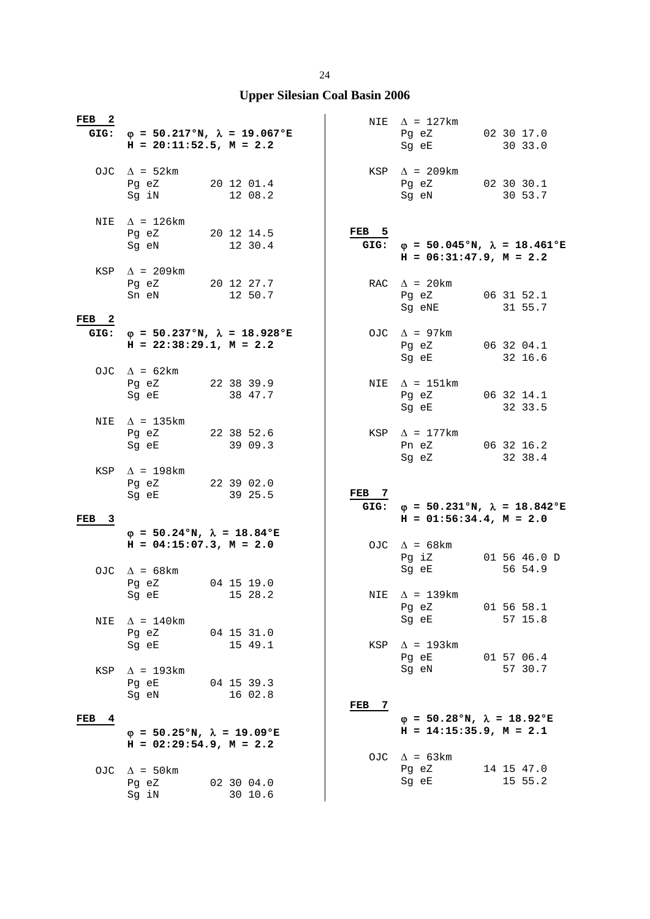| FEB 2                    | GIG: $\varphi = 50.217$ °N, $\lambda = 19.067$ °E<br>$H = 20:11:52.5$ , $M = 2.2$                                                                                                                                                                                            |  |                       |                          | NIE $\Delta$ = 127km<br>Pg eZ<br>Sg eE                                                         | 02 30 17.0<br>30 33.0   |
|--------------------------|------------------------------------------------------------------------------------------------------------------------------------------------------------------------------------------------------------------------------------------------------------------------------|--|-----------------------|--------------------------|------------------------------------------------------------------------------------------------|-------------------------|
|                          | OJC $\Delta = 52 \text{km}$<br>Pg eZ<br>Sg iN                                                                                                                                                                                                                                |  | 20 12 01.4<br>12 08.2 |                          | $KSP \quad \Delta = 209km$<br>Pg eZ 02 30 30.1<br>Sg eN                                        | 30 53.7                 |
|                          | NIE $\Delta$ = 126km<br>Pg eZ<br>20 12 14.5<br>Sg eN and the state of the state of the state of the state of the state of the state of the state of the state of the state of the state of the state of the state of the state of the state of the state of the state of the |  | 12 30.4               | FEB <sub>5</sub><br>GIG: | $\varphi = 50.045$ °N, $\lambda = 18.461$ °E<br>$H = 06:31:47.9$ , $M = 2.2$                   |                         |
|                          | KSP $\Delta$ = 209km<br>Pg eZ<br>Sn eN                                                                                                                                                                                                                                       |  | 20 12 27.7<br>12 50.7 |                          | RAC $\Delta$ = 20km<br>Pg eZ<br>Sg eNE                                                         | 06 31 52.1<br>31 55.7   |
| FEB <sub>2</sub><br>GIG: | φ = 50.237°N, $\lambda$ = 18.928°E<br>$H = 22:38:29.1, M = 2.2$                                                                                                                                                                                                              |  |                       |                          | OJC $\Delta$ = 97km<br>Pg eZ<br>Sg eE                                                          | 06 32 04.1<br>32 16.6   |
|                          | OJC $\Delta = 62 \text{km}$<br>Pg eZ<br>Sg eE                                                                                                                                                                                                                                |  | 22 38 39.9<br>38 47.7 |                          | NIE $\Delta$ = 151km<br>Pg eZ<br>Sg eE                                                         | 06 32 14.1<br>32 33.5   |
|                          | NIE $\Delta$ = 135km<br>Pg eZ 22 38 52.6<br>Sg eE                                                                                                                                                                                                                            |  | 39 09.3               |                          | $KSP \quad \Delta = 177 \text{km}$<br>Pn eZ 06 32 16.2<br>Sg eZ                                | 32 38.4                 |
|                          | KSP $\Delta$ = 198km<br>Pg eZ 22 39 02.0<br>Sg eE and the state of the state of the state of the state of the state of the state of the state of the state                                                                                                                   |  | 39 25.5               | FEB 7<br>GIG:            | $\varphi = 50.231$ °N, $\lambda = 18.842$ °E                                                   |                         |
| FEB <sub>3</sub>         |                                                                                                                                                                                                                                                                              |  |                       |                          | $H = 01:56:34.4$ , $M = 2.0$                                                                   |                         |
|                          | $\varphi = 50.24$ °N, $\lambda = 18.84$ °E<br>$H = 04:15:07.3$ , $M = 2.0$<br>OJC $\Delta$ = 68km                                                                                                                                                                            |  |                       |                          | OJC $\Delta = 68$ km<br>Pg iZ<br>Sq eE                                                         | 01 56 46.0 D<br>56 54.9 |
| <b>NIE</b>               | Pg eZ<br>Sg eE 15 28.2<br>$\Delta$ = 140km                                                                                                                                                                                                                                   |  | 04 15 19.0            |                          | NIE $\Delta$ = 139km<br>Pg eZ<br>Sg eE                                                         | 01 56 58.1<br>57 15.8   |
|                          | Pg eZ<br>Sg eE                                                                                                                                                                                                                                                               |  | 04 15 31.0<br>15 49.1 | KSP                      | $\Delta$ = 193km<br>Pg eE                                                                      | 01 57 06.4<br>57 30.7   |
| KSP                      | $\Delta$ = 193km<br>Pg eE<br>Sg eN                                                                                                                                                                                                                                           |  | 04 15 39.3<br>16 02.8 | FEB 7                    | Sg eN                                                                                          |                         |
| FEB<br>$\frac{4}{3}$     | $\varphi = 50.25$ °N, $\lambda = 19.09$ °E<br>$H = 02:29:54.9$ , $M = 2.2$                                                                                                                                                                                                   |  |                       |                          | $\varphi = 50.28$ °N, $\lambda = 18.92$ °E<br>$H = 14:15:35.9, M = 2.1$<br>OJC $\Delta$ = 63km |                         |
| OJC                      | $\Delta$ = 50 km<br>Pg eZ<br>Sg iN                                                                                                                                                                                                                                           |  | 02 30 04.0<br>30 10.6 |                          | Pg eZ<br>Sg eE                                                                                 | 14 15 47.0<br>15 55.2   |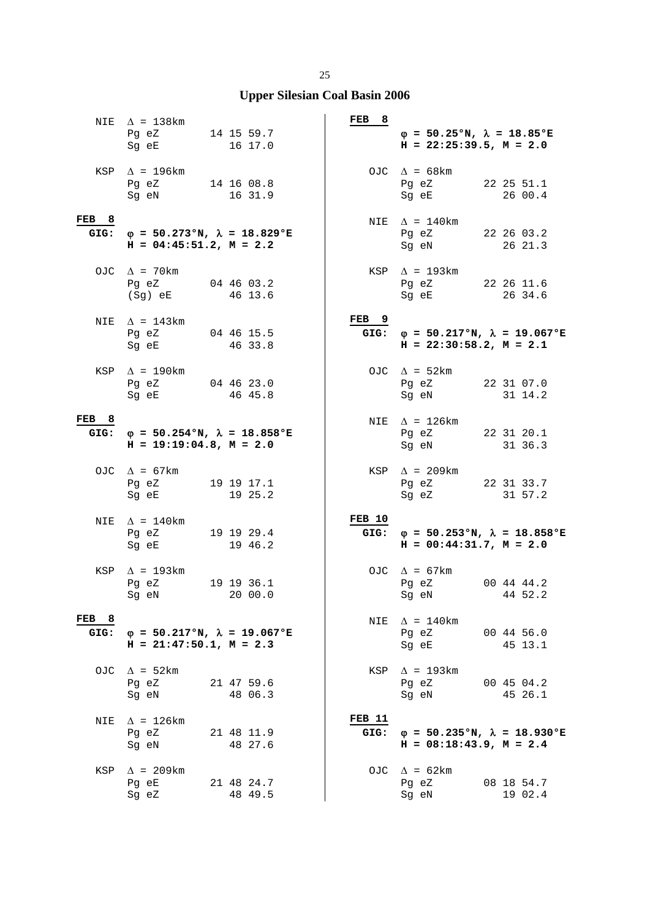|               | NIE $\Delta$ = 138km<br>Pg eZ 14 15 59.7<br>Sq eE                              | 16 17.0               | FEB 8            | $\varphi = 50.25$ °N, $\lambda = 18.85$ °E<br>$H = 22:25:39.5$ , $M = 2.0$        |                       |
|---------------|--------------------------------------------------------------------------------|-----------------------|------------------|-----------------------------------------------------------------------------------|-----------------------|
|               | KSP $\Delta$ = 196km<br>Pg eZ 14 16 08.8<br>Sg eN                              | 16 31.9               |                  | OJC $\Delta = 68 \text{km}$<br>Pg eZ<br>Sg eE                                     | 22 25 51.1<br>26 00.4 |
| FEB 8<br>GIG: | $\varphi = 50.273$ °N, $\lambda = 18.829$ °E<br>$H = 04:45:51.2, M = 2.2$      |                       |                  | NIE $\Delta = 140$ km<br>Pg eZ 22 26 03.2<br>Sg eN                                | 26 21.3               |
|               | OJC $\Delta$ = 70km<br>Pg eZ<br>(Sg) eE                                        | 04 46 03.2<br>46 13.6 |                  | $KSP \triangle = 193km$<br>Pg eZ<br>Sg eE                                         | 22 26 11.6<br>26 34.6 |
|               | NIE $\Delta$ = 143km<br>Pg eZ 04 46 15.5<br>Sg eE                              | 46 33.8               | FEB <sub>9</sub> | GIG: $\varphi = 50.217$ °N, $\lambda = 19.067$ °E<br>$H = 22:30:58.2, M = 2.1$    |                       |
|               | KSP $\Delta$ = 190km<br>Pg eZ 04 46 23.0<br>Sg eE                              | 46 45.8               |                  | OJC $\Delta = 52 \text{km}$<br>Pg eZ<br>Sg eN                                     | 22 31 07.0<br>31 14.2 |
| FEB 8         | GIG: $\varphi = 50.254$ °N, $\lambda = 18.858$ °E<br>$H = 19:19:04.8, M = 2.0$ |                       |                  | NIE $\Delta$ = 126km<br>Pg eZ<br>Sg eN                                            | 22 31 20.1<br>31 36.3 |
|               | OJC $\Delta = 67 \text{km}$<br>Pg eZ 19 19 17.1<br>Sg eE                       | 19 25.2               |                  | KSP $\Delta$ = 209km<br>Pg eZ 22 31 33.7<br>Sg eZ                                 | 31 57.2               |
| NIE           | $\Delta$ = 140km<br>Pg eZ<br>Sg eE                                             | 19 19 29.4<br>19 46.2 | FEB 10<br>GIG:   | $\varphi = 50.253$ °N, $\lambda = 18.858$ °E<br>$H = 00:44:31.7$ , $M = 2.0$      |                       |
|               | KSP $\Delta$ = 193km<br>Pq eZ<br>Sg eN 20 00.0                                 | 19 19 36.1            |                  | OJC $\Delta = 67 \text{km}$<br>Pg eZ<br>Sg eN 44 52.2                             | 00 44 44.2            |
| FEB 8<br>GIG: | $\varphi = 50.217$ °N, $\lambda = 19.067$ °E<br>$H = 21:47:50.1, M = 2.3$      |                       | NIE              | $\Delta$ = 140km<br>Pg eZ<br>Sg eE                                                | 00 44 56.0<br>45 13.1 |
|               | OJC $\Delta = 52 \text{km}$<br>Pg eZ<br>Sg eN                                  | 21 47 59.6<br>48 06.3 |                  | KSP $\Delta$ = 193km<br>Pg eZ<br>Sg eN                                            | 00 45 04.2<br>45 26.1 |
| NIE           | $\Delta$ = 126km<br>Pg eZ<br>Sg eN                                             | 21 48 11.9<br>48 27.6 | FEB 11           | GIG: $\varphi = 50.235$ °N, $\lambda = 18.930$ °E<br>$H = 08:18:43.9$ , $M = 2.4$ |                       |
| KSP           | $\Delta$ = 209km<br>Pg eE<br>Sg eZ                                             | 21 48 24.7<br>48 49.5 |                  | OJC $\Delta = 62 \text{km}$<br>Pg eZ<br>Sg eN                                     | 08 18 54.7<br>19 02.4 |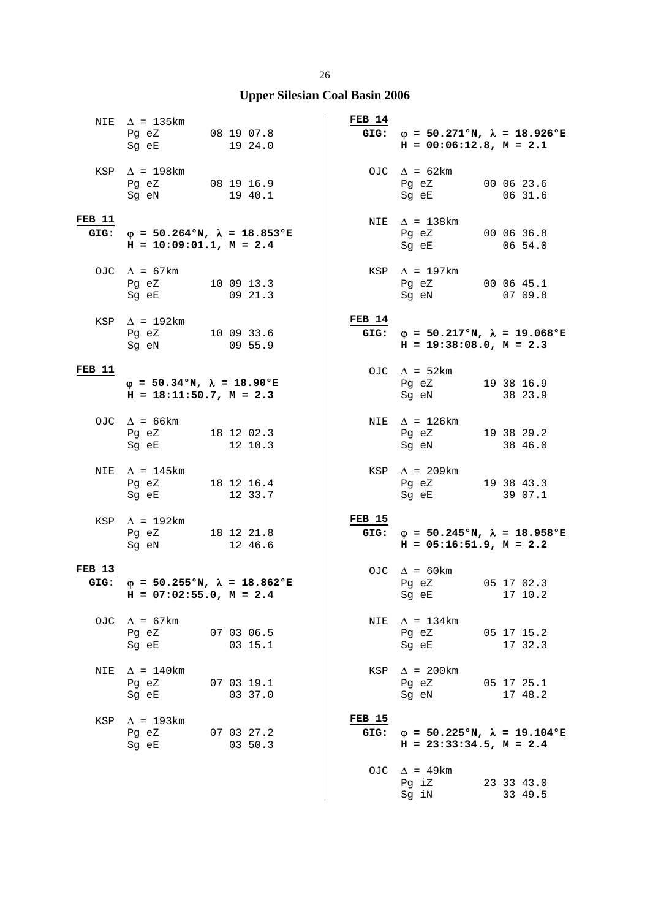# **Upper Silesian Coal Basin 2006**

|                       | NIE $\Delta$ = 135km<br>Pg eZ 08 19 07.8<br>Sg eE                                                                                                           |  | 19 24.0               | FEB 14                | GIG: $\varphi = 50.271$ °N, $\lambda = 18.926$ °E<br>$H = 00:06:12.8$ , $M = 2.1$                                                                      |                       |
|-----------------------|-------------------------------------------------------------------------------------------------------------------------------------------------------------|--|-----------------------|-----------------------|--------------------------------------------------------------------------------------------------------------------------------------------------------|-----------------------|
|                       | KSP $\Delta$ = 198km<br>Pg eZ 08 19 16.9<br>Sg eN                                                                                                           |  | 19 40.1               |                       | OJC $\Delta = 62 \text{km}$<br>Pg eZ 00 06 23.6<br>Sg eE                                                                                               | 06 31.6               |
| <b>FEB 11</b><br>GIG: | $\varphi = 50.264$ °N, $\lambda = 18.853$ °E<br>$H = 10:09:01.1, M = 2.4$                                                                                   |  |                       |                       | NIE $\Delta$ = 138km<br>Pg eZ 00 06 36.8<br>Sg eE 06 54.0                                                                                              |                       |
|                       | OJC $\Delta = 67 \text{km}$<br>Pg eZ 10 09 13.3<br>Sg eE                                                                                                    |  | 09 21.3               |                       | $KSP \quad \Delta = 197km$<br>Pg eZ 00 06 45.1<br>Sg eN                                                                                                | 07 09.8               |
|                       | KSP $\Delta$ = 192km<br>Pg eZ 10 09 33.6<br>Sg eN 09 55.9                                                                                                   |  |                       | FEB 14                | GIG: $\varphi = 50.217$ °N, $\lambda = 19.068$ °E<br>$H = 19:38:08.0, M = 2.3$                                                                         |                       |
| FEB 11                | $\varphi = 50.34$ °N, $\lambda = 18.90$ °E<br>$H = 18:11:50.7$ , $M = 2.3$                                                                                  |  |                       |                       | OJC $\Delta = 52 \text{km}$<br>Pg eZ 19 38 16.9<br>Sg eN                                                                                               | 38 23.9               |
|                       | OJC $\Delta = 66 \text{km}$<br>Pg eZ 18 12 02.3<br>Sg eE                                                                                                    |  | 12 10.3               |                       | NIE $\Delta$ = 126km<br>Pg eZ 19 38 29.2<br>Sg eN                                                                                                      | 38 46.0               |
|                       | NIE $\Delta$ = 145 km<br>Pg eZ 18 12 16.4<br>Sg eE and the state of the state of the state of the state of the state of the state of the state of the state |  | 12 33.7               | KSP                   | $\Delta$ = 209km<br>Pg eZ 19 38 43.3<br>Sg eE and the state of the state of the state of the state of the state of the state of the state of the state | 39 07.1               |
| KSP                   | $\Delta$ = 192km<br>Pg eZ 18 12 21.8<br>Sg eN                                                                                                               |  | 12 46.6               | <b>FEB 15</b><br>GIG: | $\varphi = 50.245$ °N, $\lambda = 18.958$ °E<br>$H = 05:16:51.9$ , $M = 2.2$                                                                           |                       |
| <b>FEB 13</b>         | GIG: $\varphi = 50.255$ °N, $\lambda = 18.862$ °E<br>$H = 07:02:55.0$ , $M = 2.4$                                                                           |  |                       |                       | OJC $\Delta$ = 60km<br>Pg eZ 05 17 02.3<br>Sg eE 17 10.2                                                                                               |                       |
|                       | OJC $\Delta = 67 \text{km}$<br>Pg eZ<br>07 03 06.5<br>Sq eE                                                                                                 |  | 03 15.1               |                       | NIE $\Delta = 134 \text{km}$<br>Pg eZ<br>Sg eE                                                                                                         | 05 17 15.2<br>17 32.3 |
| NIE                   | $\Delta$ = 140km<br>Pg eZ<br>Sg eE                                                                                                                          |  | 07 03 19.1<br>03 37.0 |                       | $KSP \quad \Delta = 200 \text{km}$<br>Pg eZ<br>Sg eN                                                                                                   | 05 17 25.1<br>17 48.2 |
| KSP                   | $\Delta$ = 193km<br>Pg eZ 07 03 27.2<br>Sg eE and the state of the state of the state of the state of the state of the state of the state of the state      |  | 03 50.3               | <b>FEB 15</b><br>GIG: | $\varphi = 50.225$ °N, $\lambda = 19.104$ °E<br>$H = 23:33:34.5$ , $M = 2.4$                                                                           |                       |
|                       |                                                                                                                                                             |  |                       |                       | OJC $\Delta$ = 49km<br>Pg iZ<br>Sg iN                                                                                                                  | 23 33 43.0<br>33 49.5 |

Sg iN 33 49.5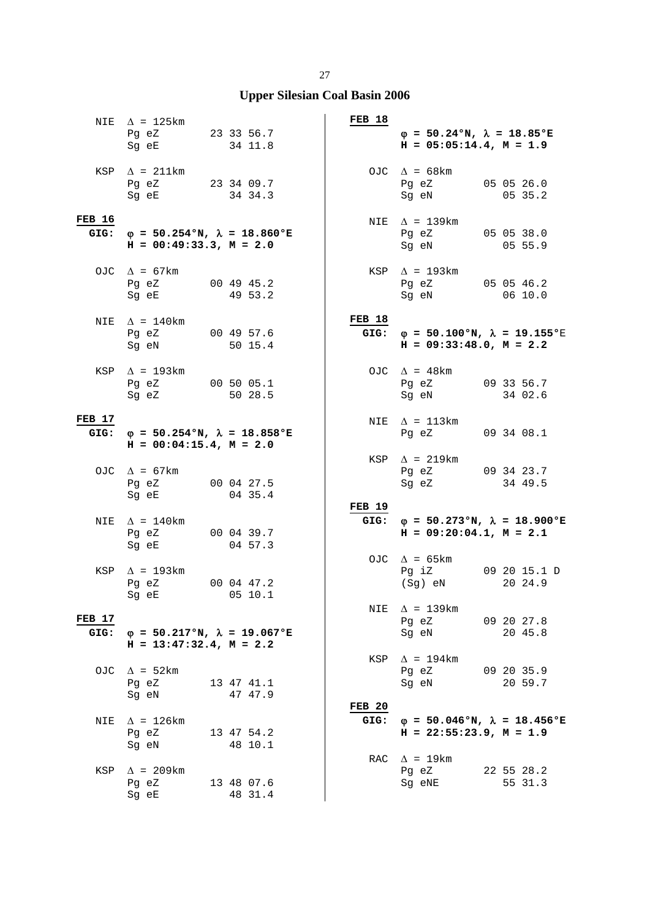|                       | NIE $\Delta$ = 125km<br>Pg eZ 23 33 56.7<br>Sg eE                              | 34 11.8               | FEB 18                | $\varphi = 50.24$ °N, $\lambda = 18.85$ °E<br>$H = 05:05:14.4$ , $M = 1.9$                  |                         |
|-----------------------|--------------------------------------------------------------------------------|-----------------------|-----------------------|---------------------------------------------------------------------------------------------|-------------------------|
|                       | KSP $\Delta$ = 211km<br>Pg eZ 23 34 09.7<br>Sg eE 34 34.3                      |                       |                       | OJC $\Delta = 68 \text{km}$<br>Pg eZ 05 05 26.0<br>Sg eN                                    | 05 35.2                 |
| <b>FEB 16</b><br>GIG: | $\varphi = 50.254$ °N, $\lambda = 18.860$ °E<br>$H = 00:49:33.3, M = 2.0$      |                       |                       | NIE $\Delta = 139 \text{km}$<br>Pg eZ 05 05 38.0<br>Sg eN 05 55.9                           |                         |
|                       | OJC $\Delta = 67 \text{km}$<br>Pg eZ<br>Sg eE                                  | 00 49 45.2<br>49 53.2 |                       | $KSP \triangle = 193km$<br>Pg eZ 05 05 46.2<br>Sg eN                                        | 06 10.0                 |
|                       | NIE $\Delta = 140$ km<br>Pq eZ 00 49 57.6<br>Sg eN 50 15.4                     |                       | FEB 18                | GIG: $\varphi = 50.100^{\circ}N$ , $\lambda = 19.155^{\circ}E$<br>$H = 09:33:48.0, M = 2.2$ |                         |
|                       | KSP $\Delta$ = 193km<br>Pg eZ 00 50 05.1<br>Sg eZ                              | 50 28.5               |                       | OJC $\Delta$ = 48km<br>Pg eZ 09 33 56.7<br>Sg eN                                            | 34 02.6                 |
| <b>FEB 17</b>         | GIG: $\varphi = 50.254$ °N, $\lambda = 18.858$ °E<br>$H = 00:04:15.4, M = 2.0$ |                       |                       | NIE $\Delta$ = 113km<br>Pg eZ 09 34 08.1                                                    |                         |
|                       | OJC $\Delta = 67 \text{km}$<br>Pg eZ 00 04 27.5<br>Sg eE 04 35.4               |                       |                       | $KSP \quad \Delta = 219km$<br>Pg eZ 09 34 23.7<br>Sg eZ                                     | 34 49.5                 |
| NIE                   | $\Delta$ = 140km<br>Pg eZ<br>Sg eE                                             | 00 04 39.7<br>04 57.3 | <b>FEB 19</b><br>GIG: | $\varphi = 50.273$ °N, $\lambda = 18.900$ °E<br>$H = 09:20:04.1, M = 2.1$                   |                         |
|                       | KSP $\Delta$ = 193km<br>Pq eZ<br>Sg eE 05 10.1                                 | 00 04 47.2            |                       | OJC $\Delta = 65 \text{km}$<br>Pg iZ<br>(Sg) eN                                             | 09 20 15.1 D<br>20 24.9 |
| <b>FEB 17</b><br>GIG: | $\varphi = 50.217$ °N, $\lambda = 19.067$ °E<br>$H = 13:47:32.4$ , $M = 2.2$   |                       |                       | NIE $\Delta$ = 139km<br>Pg eZ<br>Sg eN                                                      | 09 20 27.8<br>20 45.8   |
| OJC                   | $\Delta$ = 52 km<br>Pg eZ<br>Sg eN                                             | 13 47 41.1<br>47 47.9 | KSP                   | $\Delta$ = 194km<br>Pg eZ<br>Sg eN                                                          | 09 20 35.9<br>20 59.7   |
| NIE                   | $\Delta$ = 126km<br>Pq eZ<br>Sg eN                                             | 13 47 54.2<br>48 10.1 | <b>FEB 20</b>         | GIG: $\varphi = 50.046$ °N, $\lambda = 18.456$ °E<br>$H = 22:55:23.9, M = 1.9$              |                         |
| KSP                   | $\Delta$ = 209km<br>Pg eZ<br>Sg eE                                             | 13 48 07.6<br>48 31.4 |                       | RAC $\Delta$ = 19km<br>Pg eZ<br>Sg eNE                                                      | 22 55 28.2<br>55 31.3   |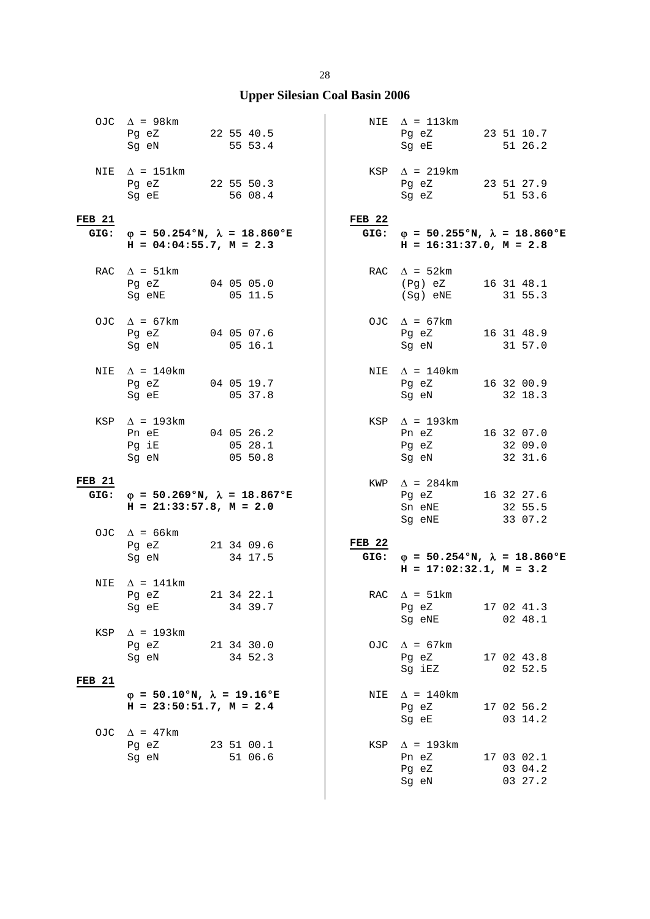|                       | OJC $\Delta$ = 98km<br>Pg eZ 22 55 40.5<br>Sg eN                                                                                                           | 55 53.4                                      |                           | NIE $\Delta = 113 \text{km}$<br>Pg eZ 23 51 10.7<br>Sg eE                   | 51 26.2                          |
|-----------------------|------------------------------------------------------------------------------------------------------------------------------------------------------------|----------------------------------------------|---------------------------|-----------------------------------------------------------------------------|----------------------------------|
|                       | NIE $\Delta$ = 151km<br>Pg eZ 22 55 50.3<br>Sg eE and the state of the state of the state of the state of the state of the state of the state of the state | 56 08.4                                      |                           | $KSP \quad \Delta = 219km$<br>Pg eZ 23 51 27.9<br>Sg eZ                     | 51 53.6                          |
| <b>FEB 21</b><br>GIG: | $H = 04:04:55.7$ , $M = 2.3$                                                                                                                               | $\varphi$ = 50.254°N, $\lambda$ = 18.860°E   | FEB <sub>22</sub><br>GIG: | $\varphi$ = 50.255°N, $\lambda$ = 18.860°E<br>$H = 16:31:37.0, M = 2.8$     |                                  |
|                       | RAC $\Delta = 51 \text{km}$<br>Pg eZ 04 05 05.0<br>Sg eNE                                                                                                  | 0511.5                                       |                           | RAC $\Delta = 52 \text{km}$<br>(Pg) eZ 16 31 48.1<br>(Sg) eNE               | 31 55.3                          |
|                       | OJC $\Delta = 67 \text{km}$<br>Pg eZ 04 05 07.6<br>Sg eN 05 16.1                                                                                           |                                              |                           | OJC $\Delta = 67 \text{km}$<br>Pg eZ 16 31 48.9<br>Sg eN 31 57.0            |                                  |
| NIE                   | $\Delta$ = 140km<br>Pg eZ 04 05 19.7<br>Sg eE                                                                                                              | 0537.8                                       |                           | NIE $\Delta = 140$ km<br>Pg eZ<br>Sg eN                                     | 16 32 00.9<br>32 18.3            |
|                       | KSP $\Delta$ = 193km<br>Pn eE 04 05 26.2<br>Pg iE<br>Sg eN 05 50.8                                                                                         | 0528.1                                       |                           | KSP $\Delta$ = 193km<br>Pn eZ 16 32 07.0<br>Pg eZ 32 09.0<br>Sg eN 32 31.6  |                                  |
| <b>FEB 21</b><br>GIG: | $H = 21:33:57.8$ , $M = 2.0$                                                                                                                               | $\varphi = 50.269$ °N, $\lambda = 18.867$ °E |                           | KWP $\Delta$ = 284km<br>Pg eZ 16 32 27.6<br>Sn eNE<br>Sg eNE                | 32 55.5<br>33 07.2               |
|                       | OJC $\Delta$ = 66km<br>Pg eZ 21 34 09.6<br>Sg eN                                                                                                           | 34 17.5                                      | FEB <sub>22</sub>         | GIG: $\phi = 50.254$ °N, $\lambda = 18.860$ °E<br>$H = 17:02:32.1, M = 3.2$ |                                  |
| NIE                   | $\Delta$ = 141km<br>Pg eZ<br>Sg eE                                                                                                                         | 21 34 22.1<br>34 39.7                        |                           | RAC $\Delta = 51 \text{km}$<br>Pg eZ<br>Sg eNE                              | 17 02 41.3<br>02 48.1            |
| KSP                   | $\Delta$ = 193km<br>Pg eZ<br>Sg eN                                                                                                                         | 21 34 30.0<br>34 52.3                        |                           | OJC $\Delta = 67 \text{km}$<br>Pg eZ<br>Sg iEZ                              | 17 02 43.8<br>02 52.5            |
| <b>FEB 21</b>         | $\varphi = 50.10$ °N, $\lambda = 19.16$ °E<br>$H = 23:50:51.7$ , $M = 2.4$                                                                                 |                                              | NIE                       | $\Delta$ = 140km<br>Pg eZ<br>Sg eE                                          | 17 02 56.2<br>03 14.2            |
| OJC                   | $\Delta$ = 47km<br>Pg eZ 23 51 00.1<br>Sq eN                                                                                                               | 51 06.6                                      | KSP                       | $\Delta$ = 193km<br>Pn eZ<br>Pg eZ<br>Sg eN                                 | 17 03 02.1<br>03 04.2<br>03 27.2 |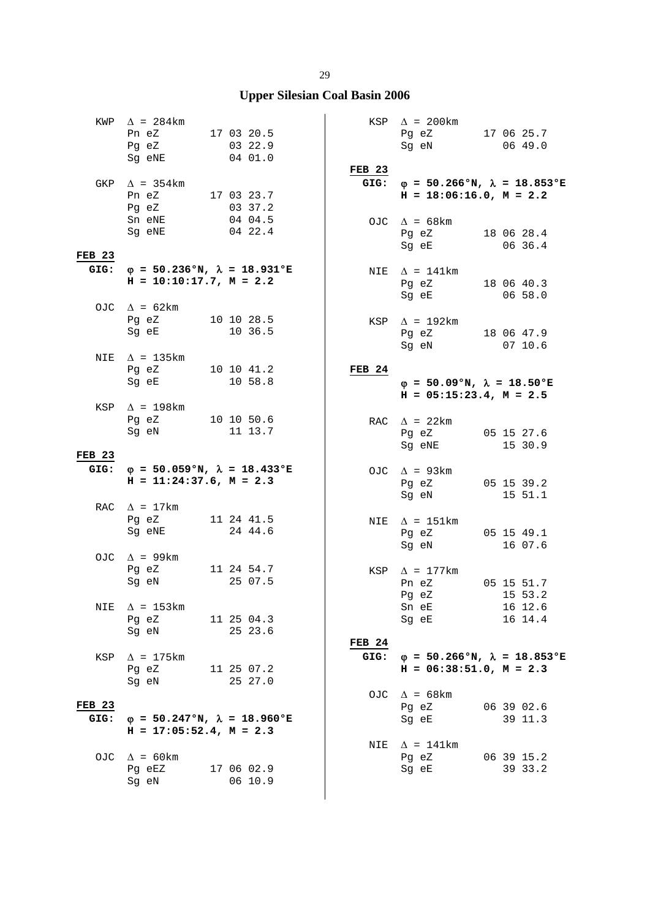|                       | KWP $\Delta$ = 284km<br>Pn eZ<br>Pg eZ<br>Sg eNE                             |  | 17 03 20.5<br>03 22.9<br>04 01.0 | <b>FEB 23</b> | $KSP \quad \Delta = 200 \text{km}$<br>Pg eZ 17 06 25.7<br>Sg eN                                   | 0649.0                |
|-----------------------|------------------------------------------------------------------------------|--|----------------------------------|---------------|---------------------------------------------------------------------------------------------------|-----------------------|
| GKP                   | $\Delta$ = 354 km<br>Pn eZ 17 03 23.7<br>Pg eZ<br>Sn eNE                     |  | 03 37.2<br>04 04.5               | GIG:          | $\varphi = 50.266$ °N, $\lambda = 18.853$ °E<br>$H = 18:06:16.0, M = 2.2$<br>OJC $\Delta = 68$ km |                       |
| <b>FEB 23</b><br>GIG: | Sq eNE<br>$\varphi = 50.236$ °N, $\lambda = 18.931$ °E                       |  | 04 22.4                          |               | Pg eZ<br>Sg eE 06 36.4                                                                            | 18 06 28.4            |
|                       | $H = 10:10:17.7, M = 2.2$                                                    |  |                                  |               | NIE $\Delta = 141 \text{km}$<br>Pg eZ<br>Sg eE                                                    | 18 06 40.3<br>06 58.0 |
|                       | OJC $\Delta = 62 \text{km}$<br>Pg eZ 10 10 28.5<br>Sg eE                     |  | 10 36.5                          |               | KSP $\Delta$ = 192km<br>Pg eZ 18 06 47.9<br>Sg eN                                                 | 0710.6                |
| NIE                   | $\Delta$ = 135km<br>Pg eZ 10 10 41.2<br>Sg eE                                |  | 10 58.8                          | <b>FEB 24</b> | $\varphi = 50.09$ °N, $\lambda = 18.50$ °E<br>$H = 05:15:23.4$ , $M = 2.5$                        |                       |
|                       | KSP $\Delta$ = 198km<br>Pg eZ 10 10 50.6<br>Sg eN                            |  | 11 13.7                          |               | RAC $\Delta$ = 22km<br>Pg eZ<br>Sg eNE                                                            | 05 15 27.6<br>15 30.9 |
| <b>FEB 23</b><br>GIG: | $\varphi$ = 50.059°N, $\lambda$ = 18.433°E                                   |  |                                  |               |                                                                                                   |                       |
|                       | $H = 11:24:37.6$ , $M = 2.3$                                                 |  |                                  |               | OJC $\Delta$ = 93km<br>Pg eZ 05 15 39.2<br>Sg eN                                                  | 15 51.1               |
|                       | RAC $\Delta = 17 \text{km}$<br>Pg eZ<br>Sq eNE                               |  | 11 24 41.5<br>24 44.6            |               | NIE $\Delta$ = 151km<br>Pg eZ<br>Sg eN                                                            | 05 15 49.1<br>16 07.6 |
|                       | OJC $\Delta$ = 99km<br>Pg eZ 11 24 54.7<br>Sg eN                             |  | 25 07.5                          |               | KSP $\Delta$ = 177km<br>Pn eZ<br>Pg eZ 15 53.2                                                    | 05 15 51.7            |
| NIE                   | $\Delta$ = 153km<br>Pg eZ<br>Sq eN                                           |  | 11 25 04.3<br>25 23.6            | <b>FEB 24</b> | Sn eE<br>Sg eE                                                                                    | 16 12.6<br>16 14.4    |
| KSP                   | $\Delta$ = 175km<br>Pq eZ<br>Sq eN                                           |  | 11 25 07.2<br>25 27.0            | GIG:          | $\varphi = 50.266$ °N, $\lambda = 18.853$ °E<br>$H = 06:38:51.0$ , $M = 2.3$                      |                       |
| <b>FEB 23</b><br>GIG: | $\varphi = 50.247$ °N, $\lambda = 18.960$ °E<br>$H = 17:05:52.4$ , $M = 2.3$ |  |                                  |               | OJC $\Delta = 68 \text{km}$<br>Pg eZ<br>Sg eE                                                     | 06 39 02.6<br>39 11.3 |
| OJC                   | $\Delta$ = 60 km<br>Pg eEZ<br>Sg eN                                          |  | 17 06 02.9<br>06 10.9            | NIE           | $\Delta$ = 141km<br>Pg eZ<br>Sg eE                                                                | 06 39 15.2<br>39 33.2 |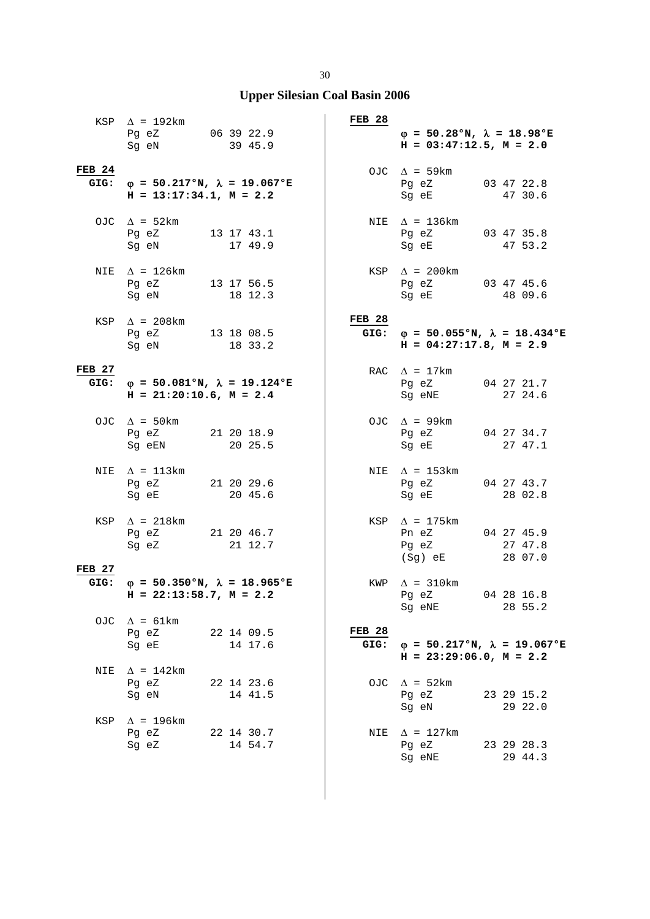|               | KSP $\Delta$ = 192km<br>Pg eZ 06 39 22.9<br>Sq eN                                 | 39 45.9               | $FEB$ 28                  | $\varphi = 50.28$ °N, $\lambda = 18.98$ °E<br>$H = 03:47:12.5$ , $M = 2.0$     |                       |
|---------------|-----------------------------------------------------------------------------------|-----------------------|---------------------------|--------------------------------------------------------------------------------|-----------------------|
| <b>FEB 24</b> | GIG: $\phi = 50.217$ °N, $\lambda = 19.067$ °E<br>$H = 13:17:34.1, M = 2.2$       |                       |                           | OJC $\Delta$ = 59km<br>Pg eZ 03 47 22.8<br>Sg eE 47 30.6                       |                       |
|               | OJC $\Delta = 52 \text{km}$<br>Pg eZ 13 17 43.1<br>Sg eN                          | 17 49.9               |                           | NIE $\Delta$ = 136km<br>Pg eZ 03 47 35.8<br>Sg eE 47 53.2                      |                       |
|               | NIE $\Delta$ = 126km<br>Pg eZ 13 17 56.5<br>Sg eN                                 | 18 12.3               |                           | $KSP \quad \Delta = 200 \text{km}$<br>Pg eZ 03 47 45.6<br>Sg eE                | 48 09.6               |
|               | KSP $\Delta$ = 208km<br>Pg eZ 13 18 08.5<br>Sg eN 18 33.2                         |                       | <b>FEB 28</b>             | GIG: $\varphi = 50.055$ °N, $\lambda = 18.434$ °E<br>$H = 04:27:17.8, M = 2.9$ |                       |
| <b>FEB 27</b> | GIG: $\varphi = 50.081$ °N, $\lambda = 19.124$ °E<br>$H = 21:20:10.6$ , $M = 2.4$ |                       |                           | RAC $\Delta = 17 \text{km}$<br>Pg eZ<br>Sg eNE                                 | 04 27 21.7<br>27 24.6 |
|               | OJC $\Delta$ = 50km<br>Pg eZ 21 20 18.9<br>Sg eEN                                 | 20 25.5               |                           | OJC $\Delta$ = 99km<br>Pg eZ 04 27 34.7<br>Sg eE                               | 27 47.1               |
|               | NIE $\Delta$ = 113km<br>Pg eZ 21 20 29.6<br>Sg eE 20 45.6                         |                       |                           | NIE $\Delta$ = 153km<br>Pg eZ 04 27 43.7<br>Sg eE 28 02.8                      |                       |
|               | KSP $\Delta$ = 218km<br>Pg eZ 21 20 46.7<br>Sg eZ                                 | 21 12.7               |                           | $KSP \quad \Delta = 175km$<br>Pn eZ 04 27 45.9<br>Pg eZ<br>$(Sg)$ eE           | 27 47.8<br>28 07.0    |
| <b>FEB 27</b> | GIG: $\varphi = 50.350$ °N, $\lambda = 18.965$ °E<br>$H = 22:13:58.7$ , $M = 2.2$ |                       |                           | KWP $\Delta$ = 310km<br>Pg eZ<br>Sg eNE                                        | 04 28 16.8<br>28 55.2 |
|               | OJC $\Delta = 61 \text{km}$<br>Pq eZ<br>Sg eE                                     | 22 14 09.5<br>14 17.6 | FEB <sub>28</sub><br>GIG: | $\varphi = 50.217$ °N, $\lambda = 19.067$ °E<br>$H = 23:29:06.0, M = 2.2$      |                       |
| NIE           | $\Delta$ = 142km<br>Pg eZ<br>Sq eN                                                | 22 14 23.6<br>14 41.5 |                           | OJC $\Delta = 52 \text{km}$<br>Pg eZ<br>Sg eN                                  | 23 29 15.2<br>29 22.0 |
| KSP           | $\Delta$ = 196km<br>Pg eZ<br>Sg eZ                                                | 22 14 30.7<br>14 54.7 | NIE                       | $\Delta$ = 127km<br>Pg eZ<br>Sg eNE                                            | 23 29 28.3<br>29 44.3 |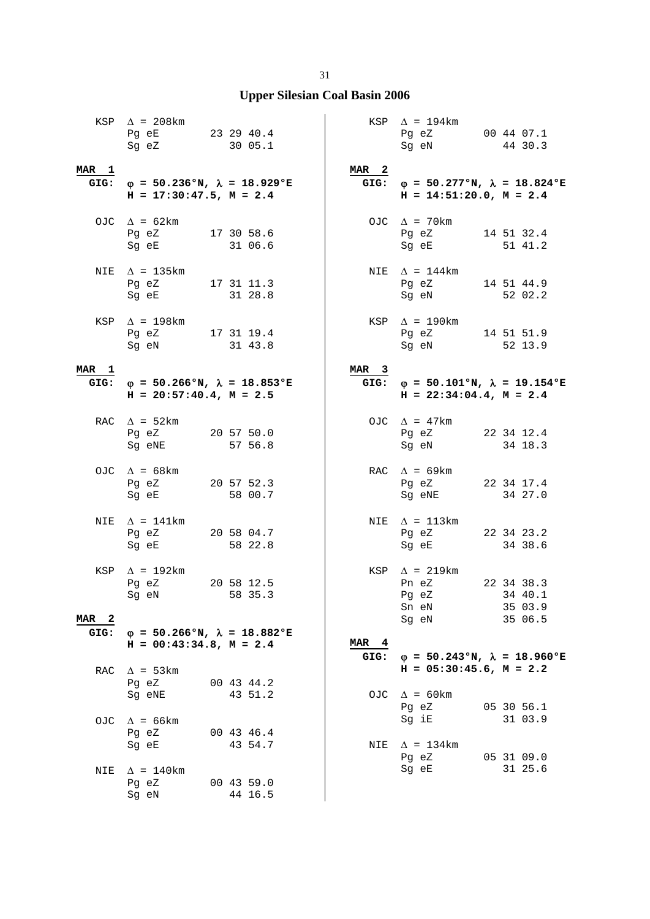|                  | KSP $\Delta$ = 208km<br>Pg eE<br>Sg eZ                                            | 23 29 40.4<br>30 05.1            |                  | KSP $\Delta$ = 194km<br>Pg eZ<br>Sg eN                                                                      | 00 44 07.1<br>44 30.3            |
|------------------|-----------------------------------------------------------------------------------|----------------------------------|------------------|-------------------------------------------------------------------------------------------------------------|----------------------------------|
| MAR 1            | GIG: $\varphi = 50.236$ °N, $\lambda = 18.929$ °E<br>$H = 17:30:47.5$ , $M = 2.4$ |                                  | MAR <sub>2</sub> | GIG: $\varphi = 50.277$ °N, $\lambda = 18.824$ °E<br>$H = 14:51:20.0, M = 2.4$                              |                                  |
|                  | OJC $\Delta$ = 62km<br>Pg eZ<br>Sg eE 31 06.6                                     | 17 30 58.6                       |                  | OJC $\Delta$ = 70km<br>Pg eZ<br>Sq eE                                                                       | 14 51 32.4<br>51 41.2            |
|                  | NIE $\Delta$ = 135km<br>Pg eZ 17 31 11.3<br>Sg eE                                 | 31 28.8                          |                  | NIE $\Delta = 144$ km<br>Pg eZ<br>Sg eN                                                                     | 14 51 44.9<br>52 02.2            |
|                  | KSP $\Delta$ = 198km<br>Pq eZ 17 31 19.4<br>Sg eN                                 | 31 43.8                          |                  | KSP $\Delta$ = 190km<br>Pg eZ<br>Sg eN                                                                      | 14 51 51.9<br>52 13.9            |
| MAR 1            | GIG: $\varphi = 50.266$ °N, $\lambda = 18.853$ °E<br>$H = 20:57:40.4$ , $M = 2.5$ |                                  | MAR <sub>3</sub> | GIG: $\varphi = 50.101$ °N, $\lambda = 19.154$ °E<br>$H = 22:34:04.4$ , $M = 2.4$                           |                                  |
|                  | RAC $\Delta = 52 \text{km}$<br>Pg eZ<br>Sg eNE                                    | 20 57 50.0<br>57 56.8            |                  | OJC $\Delta$ = 47km<br>Pg eZ<br>Sg eN                                                                       | 22 34 12.4<br>34 18.3            |
|                  | OJC $\Delta$ = 68km<br>Pg eZ 20 57 52.3<br>Sg eE                                  | 58 00.7                          |                  | RAC $\Delta$ = 69km<br>Pg eZ<br>Sg eNE                                                                      | 22 34 17.4<br>34 27.0            |
| NIE              | $\Delta$ = 141km<br>Pg eZ<br>Sg eE                                                | 20 58 04.7<br>58 22.8            |                  | NIE $\Delta = 113 \text{km}$<br>Pg eZ<br>Sg eE                                                              | 22 34 23.2<br>34 38.6            |
| MAR <sub>2</sub> | KSP $\Delta$ = 192km<br>Pq eZ<br>Sg eN                                            | 20 58 12.5<br>58 35.3            |                  | $KSP \quad \Delta = 219km$<br>Pn eZ<br>Pg eZ 34 40.1<br>Sn eN<br>Sg eN                                      | 22 34 38.3<br>35 03.9<br>35 06.5 |
| GIG:             | $\varphi = 50.266$ °N, $\lambda = 18.882$ °E<br>$H = 00:43:34.8$ , $M = 2.4$      |                                  | MAR <sub>4</sub> |                                                                                                             |                                  |
| RAC              | $\Delta$ = 53 km<br>Pg eZ<br>Sg eNE                                               | 00 43 44.2<br>43 51.2            | GIG:             | $\varphi = 50.243$ °N, $\lambda = 18.960$ °E<br>$H = 05:30:45.6$ , $M = 2.2$<br>OJC $\Delta = 60 \text{km}$ |                                  |
| OJ C             | $\Delta$ = 66km<br>Pg eZ                                                          | 00 43 46.4                       |                  | Pg eZ<br>Sg iE                                                                                              | 05 30 56.1<br>31 03.9            |
| NIE              | Sg eE<br>$\Delta$ = 140km<br>Pg eZ<br>Sg eN                                       | 43 54.7<br>00 43 59.0<br>44 16.5 | NIE              | $\Delta$ = 134km<br>Pg eZ<br>Sg eE                                                                          | 05 31 09.0<br>31 25.6            |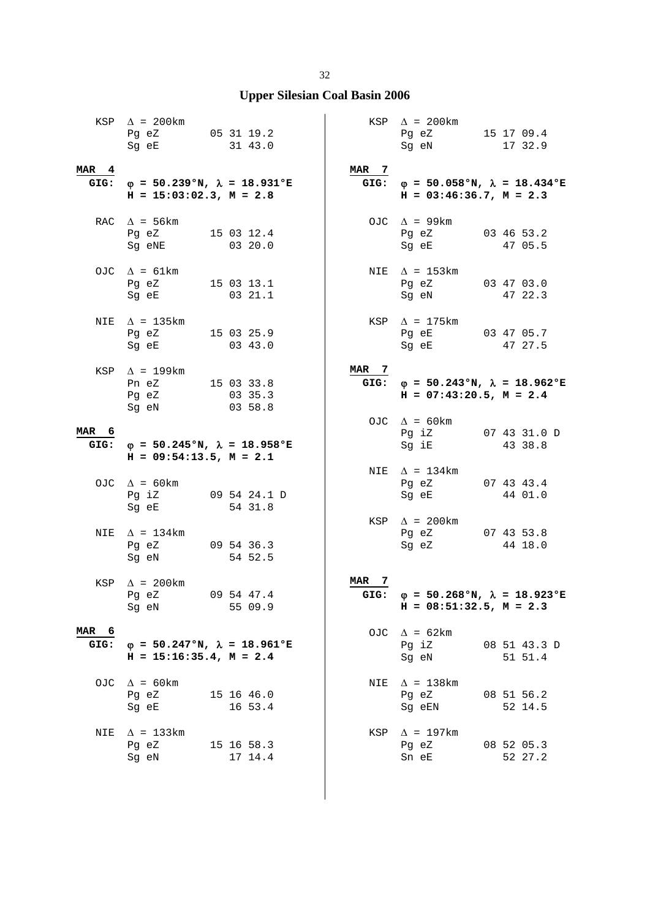|                  | KSP $\Delta$ = 200km<br>Pg eZ 05 31 19.2<br>Sg eE 31 43.0                                                                                                         |                                                   |                  | KSP $\Delta$ = 200 km<br>Pg eZ 15 17 09.4<br>Sg eN                                | 17 32.9                 |
|------------------|-------------------------------------------------------------------------------------------------------------------------------------------------------------------|---------------------------------------------------|------------------|-----------------------------------------------------------------------------------|-------------------------|
| MAR <sub>4</sub> | $H = 15:03:02.3, M = 2.8$                                                                                                                                         | GIG: $\varphi = 50.239$ °N, $\lambda = 18.931$ °E | MAR 7            | GIG: $\varphi = 50.058$ °N, $\lambda = 18.434$ °E<br>$H = 03:46:36.7$ , $M = 2.3$ |                         |
|                  | RAC $\Delta$ = 56 km<br>Pg eZ<br>Sg eNE                                                                                                                           | 15 03 12.4<br>03 20.0                             |                  | OJC $\Delta$ = 99km<br>Pg eZ<br>Sg eE                                             | 03 46 53.2<br>47 05.5   |
|                  | OJC $\Delta = 61 \text{km}$<br>Pg eZ 15 03 13.1<br>Sg eE and the state of the state of the state of the state of the state of the state of the state of the state | 03 21.1                                           |                  | NIE $\Delta$ = 153km<br>Pg eZ 03 47 03.0<br>Sg eN 47 22.3                         |                         |
|                  | NIE $\Delta$ = 135km<br>Pg eZ<br>Sg eE                                                                                                                            | 15 03 25.9<br>0343.0                              |                  | $KSP \quad \Delta = 175km$<br>Pg eE 03 47 05.7<br>Sg eE                           | 47 27.5                 |
|                  | KSP $\Delta$ = 199km<br>Pn eZ 15 03 33.8<br>Pq eZ<br>Sg eN                                                                                                        | 03 35.3<br>03 58.8                                | MAR <sub>7</sub> | GIG: $\varphi = 50.243$ °N, $\lambda = 18.962$ °E<br>$H = 07:43:20.5$ , $M = 2.4$ |                         |
| MAR 6            | $H = 09:54:13.5$ , $M = 2.1$                                                                                                                                      | GIG: $\varphi = 50.245$ °N, $\lambda = 18.958$ °E |                  | OJC $\Delta = 60 \text{km}$<br>Pg iZ 07 43 31.0 D<br>Sg iE                        | 43 38.8                 |
|                  | OJC $\Delta = 60 \text{km}$<br>Pg iZ<br>Sg eE                                                                                                                     | 09 54 24.1 D<br>54 31.8                           |                  | NIE $\Delta$ = 134km<br>Pg eZ<br>Sg eE                                            | 07 43 43.4<br>44 01.0   |
|                  | NIE $\Delta$ = 134km<br>Pg eZ 09 54 36.3<br>Sg eN                                                                                                                 | 54 52.5                                           |                  | KSP $\Delta$ = 200km<br>Pg eZ 07 43 53.8<br>Sg eZ                                 | 44 18.0                 |
|                  | KSP $\Delta$ = 200 km<br>Pg eZ 09 54 47.4<br>Sq eN                                                                                                                | 55 09.9                                           | MAR<br>-7        | GIG: $\varphi = 50.268$ °N, $\lambda = 18.923$ °E<br>$H = 08:51:32.5$ , $M = 2.3$ |                         |
| MAR 6<br>GIG:    | $H = 15:16:35.4$ , $M = 2.4$                                                                                                                                      | $\varphi = 50.247$ °N, $\lambda = 18.961$ °E      |                  | OJC $\Delta = 62 \text{km}$<br>Pg iZ<br>Sg eN                                     | 08 51 43.3 D<br>51 51.4 |
| OJC.             | $\Delta$ = 60 km<br>Pg eZ<br>Sg eE                                                                                                                                | 15 16 46.0<br>16 53.4                             | NIE              | $\Delta$ = 138km<br>Pg eZ<br>Sg eEN                                               | 08 51 56.2<br>52 14.5   |
| NIE              | $\Delta$ = 133km<br>Pg eZ<br>Sg eN                                                                                                                                | 15 16 58.3<br>17 14.4                             |                  | KSP $\Delta$ = 197km<br>Pg eZ<br>Sn eE                                            | 08 52 05.3<br>52 27.2   |

 $\overline{\phantom{a}}$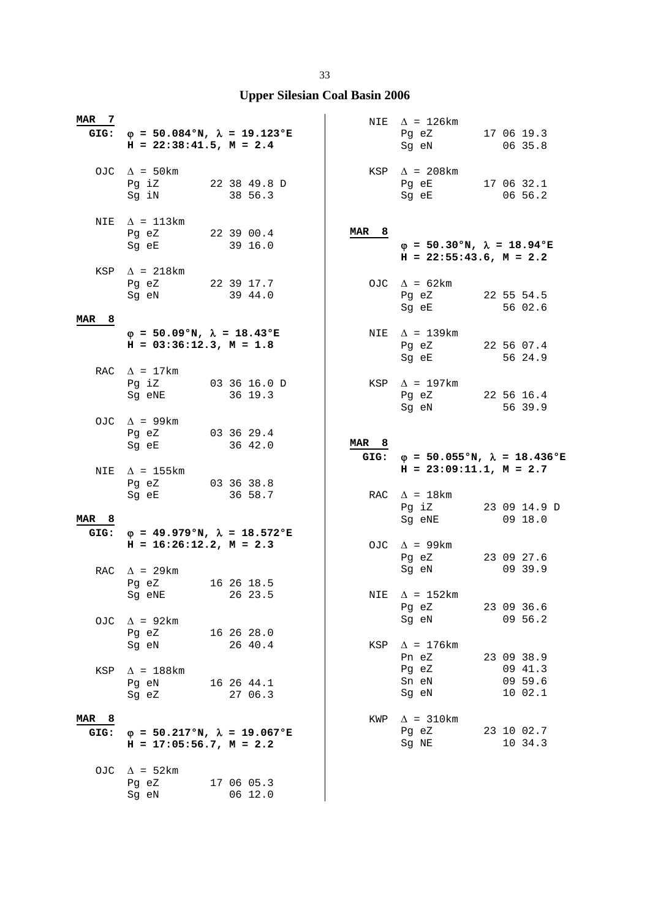| MAR 7                    | GIG: $\varphi = 50.084$ °N, $\lambda = 19.123$ °E<br>$H = 22:38:41.5$ , $M = 2.4$                                                                      |                         |                          | NIE $\Delta$ = 126km<br>Pg eZ<br>Sg eN                                                                                                                     | 17 06 19.3<br>06 35.8                       |
|--------------------------|--------------------------------------------------------------------------------------------------------------------------------------------------------|-------------------------|--------------------------|------------------------------------------------------------------------------------------------------------------------------------------------------------|---------------------------------------------|
|                          | OJC $\Delta$ = 50km<br>Pg iZ<br>Sg iN                                                                                                                  | 22 38 49.8 D<br>38 56.3 |                          | KSP $\Delta$ = 208km<br>Pg eE 17 06 32.1<br>Sg eE and the state of the state of the state of the state of the state of the state of the state of the state | 06 56.2                                     |
| NIE                      | $\Delta$ = 113km<br>Pg eZ<br>Sg eE and the state of the state of the state of the state of the state of the state of the state of the state            | 22 39 00.4<br>39 16.0   | MAR <sub>8</sub>         | $\varphi = 50.30$ °N, $\lambda = 18.94$ °E<br>$H = 22:55:43.6$ , $M = 2.2$                                                                                 |                                             |
|                          | KSP $\Delta$ = 218km<br>Pg eZ 22 39 17.7<br>Sg eN                                                                                                      | 39 44.0                 |                          | OJC $\Delta = 62 \text{km}$<br>Pg eZ<br>Sg eE                                                                                                              | 22 55 54.5<br>56 02.6                       |
| <b>MAR</b><br>8          | $\varphi = 50.09$ °N, $\lambda = 18.43$ °E<br>$H = 03:36:12.3, M = 1.8$                                                                                |                         |                          | NIE $\Delta$ = 139km<br>Pg eZ<br>Sg eE                                                                                                                     | 22 56 07.4<br>56 24.9                       |
|                          | RAC $\Delta = 17 \text{km}$<br>Pg iZ<br>Sq eNE                                                                                                         | 03 36 16.0 D<br>36 19.3 |                          | KSP $\Delta$ = 197km<br>Pg eZ 22 56 16.4<br>Sg eN                                                                                                          | 56 39.9                                     |
|                          | OJC $\Delta$ = 99km<br>Pq eZ<br>Sg eE                                                                                                                  | 03 36 29.4<br>36 42.0   | MAR <sub>8</sub><br>GIG: | $\varphi$ = 50.055°N, $\lambda$ = 18.436°E                                                                                                                 |                                             |
|                          |                                                                                                                                                        |                         |                          |                                                                                                                                                            |                                             |
| NIE                      | $\Delta$ = 155km<br>Pg eZ 03 36 38.8<br>Sg eE and the state of the state of the state of the state of the state of the state of the state of the state | 36 58.7                 |                          | $H = 23:09:11.1, M = 2.7$<br>RAC $\Delta = 18 \text{km}$<br>Pg iZ                                                                                          | 23 09 14.9 D                                |
| MAR <sub>8</sub><br>GIG: | $\varphi = 49.979$ °N, $\lambda = 18.572$ °E<br>$H = 16:26:12.2, M = 2.3$                                                                              |                         |                          | Sg eNE<br>OJC $\Delta$ = 99km<br>Pg eZ                                                                                                                     | 09 18.0<br>23 09 27.6                       |
|                          | RAC $\Delta$ = 29km<br>Pg eZ<br>Sg eNE 26 23.5                                                                                                         | 16 26 18.5              |                          | Sg eN<br>NIE $\Delta$ = 152km                                                                                                                              | 09 39.9<br>23 09 36.6                       |
| OJC                      | $\Delta$ = 92km<br>Pg eZ 16 26 28.0<br>Sq eN                                                                                                           | 26 40.4                 |                          | Pg eZ<br>Sg eN<br>KSP $\Delta$ = 176km                                                                                                                     | 09 56.2                                     |
| KSP                      | $\Delta$ = 188km<br>Pg eN 16 26 44.1<br>Sg eZ                                                                                                          | 27 06.3                 |                          | Pn eZ<br>Pg eZ<br>Sn eN<br>Sg eN                                                                                                                           | 23 09 38.9<br>09 41.3<br>09 59.6<br>10 02.1 |
| MAR <sub>8</sub><br>GIG: | $\varphi = 50.217$ °N, $\lambda = 19.067$ °E<br>$H = 17:05:56.7$ , $M = 2.2$                                                                           |                         | KWP                      | $\Delta$ = 310km<br>Pg eZ<br>Sg NE                                                                                                                         | 23 10 02.7<br>10 34.3                       |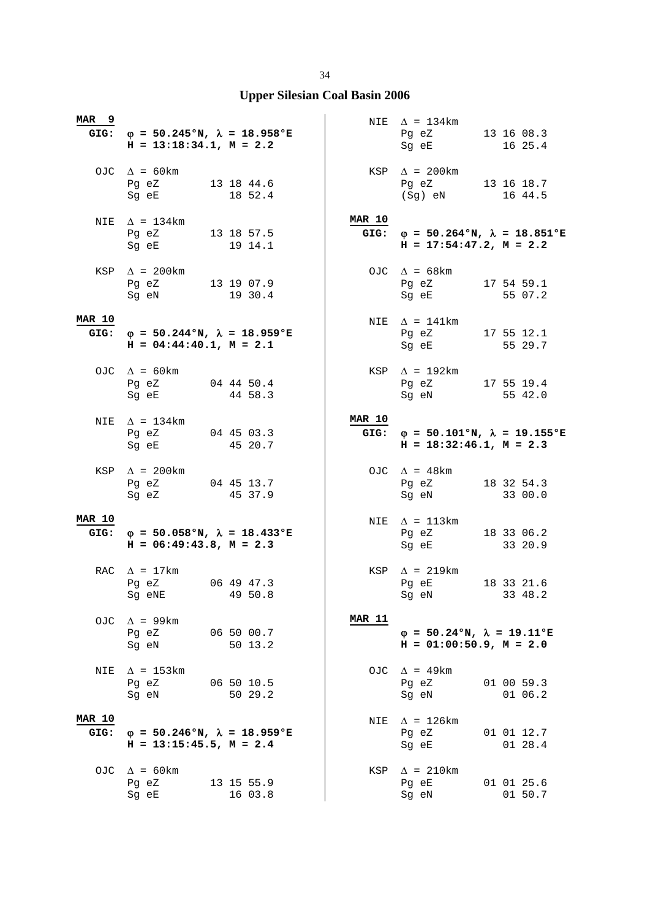| MAR <sub>9</sub>      | GIG: $\varphi = 50.245$ °N, $\lambda = 18.958$ °E<br>$H = 13:18:34.1, M = 2.2$                |         |                       | NIE $\Delta = 134 \text{km}$<br>Pg eZ 13 16 08.3<br>Sg eE                                   | 16 25.4               |
|-----------------------|-----------------------------------------------------------------------------------------------|---------|-----------------------|---------------------------------------------------------------------------------------------|-----------------------|
|                       | OJC $\Delta = 60 \text{km}$<br>Pg eZ 13 18 44.6<br>Sg eE                                      | 18 52.4 |                       | $KSP \quad \Delta = 200 \text{km}$<br>Pg eZ 13 16 18.7<br>$(Sg)$ eN                         | 16 44.5               |
|                       | NIE $\Delta$ = 134km<br>Pg eZ 13 18 57.5<br>Sg eE                                             | 19 14.1 | <b>MAR 10</b><br>GIG: | $\varphi = 50.264$ °N, $\lambda = 18.851$ °E<br>$H = 17:54:47.2, M = 2.2$                   |                       |
|                       | KSP $\Delta$ = 200km<br>Pg eZ 13 19 07.9<br>Sg eN                                             | 19 30.4 |                       | OJC $\Delta = 68 \text{km}$<br>Pg eZ<br>Sg eE                                               | 17 54 59.1<br>55 07.2 |
| <b>MAR 10</b>         | GIG: $\varphi = 50.244 \text{°N}$ , $\lambda = 18.959 \text{°E}$<br>$H = 04:44:40.1, M = 2.1$ |         |                       | NIE $\Delta = 141 \text{km}$<br>Pq eZ 17 55 12.1<br>Sg eE 55 29.7                           |                       |
|                       | OJC $\Delta = 60 \text{km}$<br>Pg eZ 04 44 50.4<br>Sg eE                                      | 44 58.3 |                       | KSP $\Delta$ = 192km<br>Pg eZ 17 55 19.4<br>Sg eN                                           | 55 42.0               |
|                       | NIE $\Delta = 134 \text{km}$<br>Pg eZ 04 45 03.3<br>Sg eE                                     | 45 20.7 | <b>MAR 10</b>         | GIG: $\varphi = 50.101^{\circ}N$ , $\lambda = 19.155^{\circ}E$<br>$H = 18:32:46.1, M = 2.3$ |                       |
|                       |                                                                                               |         |                       |                                                                                             |                       |
|                       | KSP $\Delta$ = 200km<br>Pg eZ 04 45 13.7<br>Sg eZ 45 37.9                                     |         |                       | OJC $\Delta$ = 48km<br>Pg eZ 18 32 54.3<br>Sg eN                                            | 33 00.0               |
| <b>MAR 10</b><br>GIG: | $\varphi = 50.058$ °N, $\lambda = 18.433$ °E<br>$H = 06:49:43.8$ , $M = 2.3$                  |         |                       | NIE $\Delta = 113 \text{km}$<br>Pg eZ 18 33 06.2<br>Sg eE                                   | 33 20.9               |
|                       | RAC $\Delta$ = 17km<br>Pg eZ 06 49 47.3<br>Sg eNE                                             | 49 50.8 |                       | KSP $\Delta$ = 219km<br>Pg eE<br>Sg eN 33 48.2                                              | 18 33 21.6            |
| OJC                   | $\Delta$ = 99km<br>Pg eZ 06 50 00.7<br>Sg eN                                                  | 50 13.2 | <b>MAR 11</b>         | $\varphi = 50.24$ °N, $\lambda = 19.11$ °E<br>$H = 01:00:50.9$ , $M = 2.0$                  |                       |
| NIE                   | $\Delta$ = 153km<br>Pg eZ 06 50 10.5<br>Sg eN                                                 | 50 29.2 |                       | OJC $\Delta$ = 49km<br>Pg eZ<br>Sg eN                                                       | 01 00 59.3<br>01 06.2 |
| <b>MAR 10</b><br>GIG: | $\varphi = 50.246$ °N, $\lambda = 18.959$ °E<br>$H = 13:15:45.5$ , $M = 2.4$                  |         |                       | NIE $\Delta$ = 126km<br>Pg eZ<br>Sg eE                                                      | 01 01 12.7<br>01 28.4 |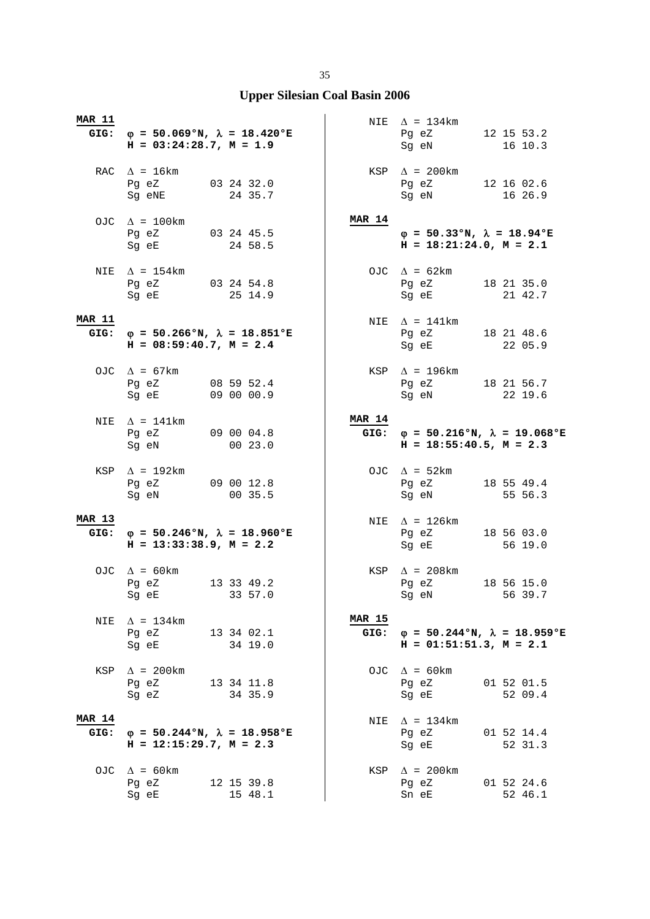| <b>MAR 11</b>         | GIG: $\varphi = 50.069$ °N, $\lambda = 18.420$ °E<br>$H = 03:24:28.7, M = 1.9$        |                          |                       | NIE $\Delta = 134 \text{km}$<br>Pg eZ 12 15 53.2<br>Sg eN                                                                                                                                                                                                      | 16 10.3               |
|-----------------------|---------------------------------------------------------------------------------------|--------------------------|-----------------------|----------------------------------------------------------------------------------------------------------------------------------------------------------------------------------------------------------------------------------------------------------------|-----------------------|
|                       | RAC $\Delta = 16 \text{km}$<br>Pg eZ 03 24 32.0<br>Sg eNE 24 35.7                     |                          |                       | KSP $\Delta$ = 200km<br>Pg eZ 12 16 02.6<br>Sg eN                                                                                                                                                                                                              | 16 26.9               |
|                       | OJC $\Delta = 100 \text{km}$<br>Pg eZ 03 24 45.5<br>Sg eE 24 58.5                     |                          | <b>MAR 14</b>         | $\varphi = 50.33$ °N, $\lambda = 18.94$ °E<br>$H = 18:21:24.0, M = 2.1$                                                                                                                                                                                        |                       |
| NIE                   | $\Delta$ = 154km<br>Pg eZ 03 24 54.8<br>Sg eE                                         | 25 14.9                  |                       | OJC $\Delta = 62 \text{km}$<br>Pg eZ<br>Sg eE                                                                                                                                                                                                                  | 18 21 35.0<br>21 42.7 |
| <b>MAR 11</b>         | GIG: $\varphi = 50.266$ °N, $\lambda = 18.851$ °E<br>$H = 08:59:40.7$ , $M = 2.4$     |                          |                       | NIE $\Delta$ = 141km<br>Pq eZ 18 21 48.6<br>Sg eE 22 05.9                                                                                                                                                                                                      |                       |
|                       | OJC $\Delta$ = 67km<br>Pg eZ<br>Sq eE                                                 | 08 59 52.4<br>09 00 00.9 |                       | KSP $\Delta$ = 196km<br>Pg eZ 18 21 56.7<br>Sg eN                                                                                                                                                                                                              | 22 19.6               |
|                       | NIE $\Delta = 141 \text{km}$<br>Pg eZ 09 00 04.8<br>Sg eN                             | 00 23.0                  | <b>MAR 14</b>         | GIG: $\varphi = 50.216$ °N, $\lambda = 19.068$ °E<br>$H = 18:55:40.5$ , $M = 2.3$                                                                                                                                                                              |                       |
|                       | KSP $\Delta$ = 192km<br>Pg eZ 09 00 12.8<br>Sg eN 00 35.5                             |                          |                       | OJC $\Delta = 52 \text{km}$<br>Pg eZ 18 55 49.4<br>Sg eN 55 56.3                                                                                                                                                                                               |                       |
| <b>MAR 13</b><br>GIG: | $\varphi = 50.246$ °N, $\lambda = 18.960$ °E<br>$H = 13:33:38.9$ , $M = 2.2$          |                          |                       | NIE $\Delta$ = 126km<br>Pg eZ 18 56 03.0<br>Sg eE                                                                                                                                                                                                              | 56 19.0               |
|                       | OJC $\Delta = 60 \text{km}$<br>Pg eZ 13 33 49.2<br>Sg eE 33 57.0                      |                          |                       | KSP $\Delta$ = 208km<br>Pg eZ<br>Sg eN and the state of the state of the state of the state of the state of the state of the state of the state of the state of the state of the state of the state of the state of the state of the state of the state of the | 18 56 15.0<br>56 39.7 |
| NIE                   |                                                                                       |                          |                       |                                                                                                                                                                                                                                                                |                       |
|                       | $\Delta$ = 134km<br>Pg eZ<br>Sg eE 34 19.0                                            | 13 34 02.1               | <b>MAR 15</b><br>GIG: | $\varphi = 50.244$ °N, $\lambda = 18.959$ °E<br>$H = 01:51:51.3$ , $M = 2.1$                                                                                                                                                                                   |                       |
| KSP                   | $\Delta$ = 200km<br>Pg eZ 13 34 11.8<br>Sg eZ                                         | 34 35.9                  |                       | OJC $\Delta = 60 \text{km}$<br>Pg eZ<br>Sg eE                                                                                                                                                                                                                  | 01 52 01.5<br>52 09.4 |
| <b>MAR 14</b><br>GIG: | $\varphi = 50.244 \text{°N}, \lambda = 18.958 \text{°E}$<br>$H = 12:15:29.7, M = 2.3$ |                          |                       | NIE $\Delta = 134 \text{km}$<br>Pg eZ<br>Sg eE                                                                                                                                                                                                                 | 01 52 14.4<br>52 31.3 |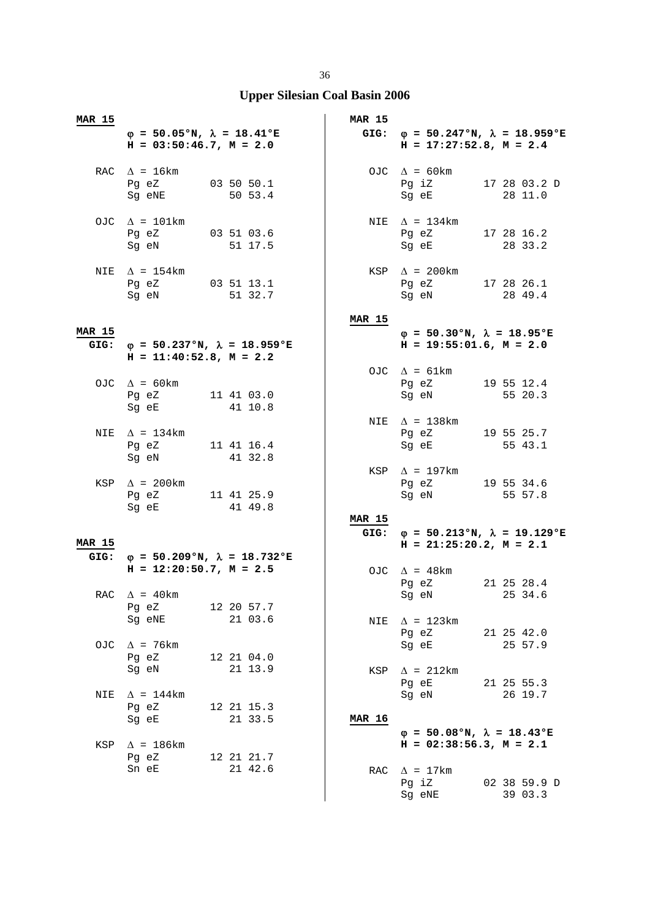| MAR 15        |                                                                            |                                                   | <b>MAR 15</b> |                                                                                                                                                                    |                         |
|---------------|----------------------------------------------------------------------------|---------------------------------------------------|---------------|--------------------------------------------------------------------------------------------------------------------------------------------------------------------|-------------------------|
|               | $\varphi = 50.05$ °N, $\lambda = 18.41$ °E<br>$H = 03:50:46.7$ , $M = 2.0$ |                                                   |               | GIG: $\varphi = 50.247$ °N, $\lambda = 18.959$ °E<br>$H = 17:27:52.8$ , $M = 2.4$                                                                                  |                         |
|               | RAC $\Delta = 16 \text{km}$<br>Pg eZ 03 50 50.1<br>Sg eNE                  | 50 53.4                                           |               | OJC $\Delta = 60 \text{km}$<br>Pg iZ 17 28 03.2 D<br>Sg eE 28 11.0                                                                                                 |                         |
|               | OJC $\Delta = 101 \text{km}$<br>Pg eZ 03 51 03.6<br>Sg eN 51 17.5          |                                                   |               | NIE $\Delta = 134 \text{km}$<br>Pg eZ 17 28 16.2<br>Sq eE and the state of the state of the state of the state of the state of the state of the state of the state | 28 33.2                 |
| NIE           | $\Delta$ = 154km<br>Pg eZ 03 51 13.1<br>Sg eN                              | 51 32.7                                           |               | $KSP \quad \Delta = 200 \text{km}$<br>Pg eZ 17 28 26.1<br>Sg eN                                                                                                    | 28 49.4                 |
|               |                                                                            |                                                   | <b>MAR 15</b> |                                                                                                                                                                    |                         |
| <b>MAR 15</b> | $H = 11:40:52.8$ , $M = 2.2$                                               | GIG: $\varphi = 50.237$ °N, $\lambda = 18.959$ °E |               | $\varphi = 50.30$ °N, $\lambda = 18.95$ °E<br>$H = 19:55:01.6$ , $M = 2.0$                                                                                         |                         |
|               | OJC $\Delta$ = 60 km<br>Pg eZ 11 41 03.0<br>Sg eE                          | 41 10.8                                           |               | OJC $\Delta = 61 \text{km}$<br>Pg eZ 19 55 12.4<br>Sg eN                                                                                                           | 55 20.3                 |
|               | NIE $\Delta = 134 \text{km}$<br>Pg eZ 11 41 16.4<br>Sg eN                  | 41 32.8                                           |               | NIE $\Delta$ = 138km<br>Pg eZ 19 55 25.7<br>Sg eE                                                                                                                  | 55 43.1                 |
|               | KSP $\Delta$ = 200km<br>Pg eZ 11 41 25.9<br>Sg eE 41 49.8                  |                                                   | <b>MAR 15</b> | KSP $\Delta$ = 197km<br>Pg eZ 19 55 34.6<br>Sg eN 55 57.8                                                                                                          |                         |
|               |                                                                            |                                                   |               | GIG: $\varphi = 50.213$ °N, $\lambda = 19.129$ °E                                                                                                                  |                         |
| <b>MAR 15</b> |                                                                            |                                                   |               | $H = 21:25:20.2, M = 2.1$                                                                                                                                          |                         |
|               | $H = 12:20:50.7$ , $M = 2.5$                                               | GIG: $\varphi = 50.209$ °N, $\lambda = 18.732$ °E |               | OJC $\Delta$ = 48km<br>Pg eZ                                                                                                                                       | 21 25 28.4              |
|               | RAC $\Delta$ = 40km<br>Pg eZ                                               | 12 20 57.7                                        |               | Sg eN 25 34.6                                                                                                                                                      |                         |
|               | Sg eNE                                                                     | 21 03.6                                           | NIE           | $\Delta$ = 123km<br>Pg eZ                                                                                                                                          | 21 25 42.0              |
| OJC           | $\Delta$ = 76 km<br>Pg eZ                                                  | 12 21 04.0                                        |               | Sg eE                                                                                                                                                              | 25 57.9                 |
|               | Sg eN                                                                      | 21 13.9                                           |               | $KSP \quad \Delta = 212km$<br>Pg eE                                                                                                                                | 21 25 55.3              |
| NIE           | $\Delta$ = 144km<br>Pg eZ<br>Sg eE                                         | 12 21 15.3<br>21 33.5                             | <b>MAR 16</b> | Sg eN                                                                                                                                                              | 26 19.7                 |
| KSP           | $\Delta$ = 186km                                                           |                                                   |               | $\varphi = 50.08$ °N, $\lambda = 18.43$ °E<br>$H = 02:38:56.3$ , $M = 2.1$                                                                                         |                         |
|               | Pg eZ<br>Sn eE                                                             | 12 21 21.7<br>21 42.6                             | RAC           | $\Delta$ = 17km<br>Pg iZ<br>Sg eNE                                                                                                                                 | 02 38 59.9 D<br>39 03.3 |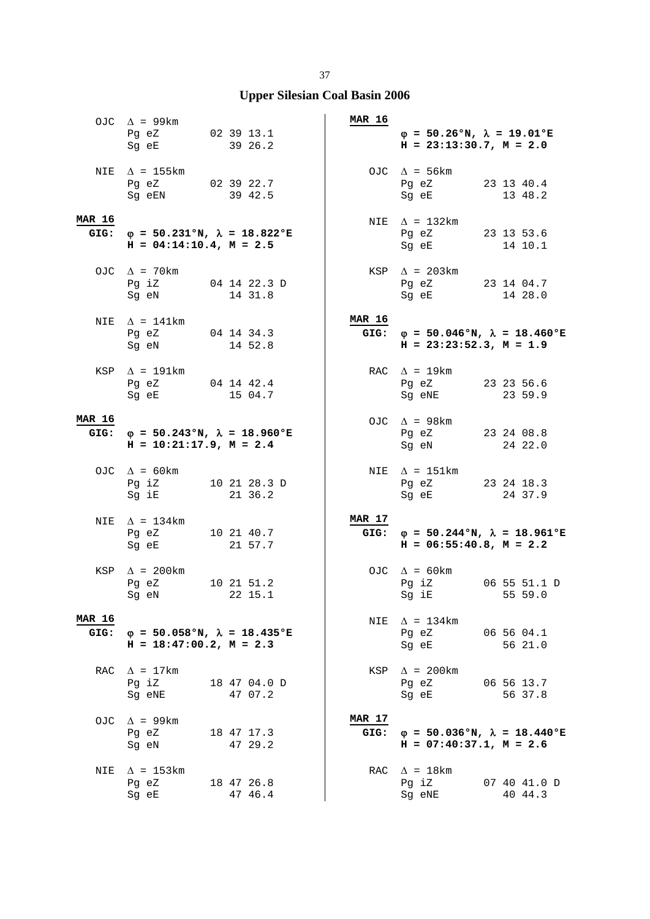|                       | OJC $\Delta$ = 99km<br>Pg eZ 02 39 13.1<br>Sg eE                                                                                                       | 39 26.2                 | MAR 16         | $\varphi = 50.26$ °N, $\lambda = 19.01$ °E<br>$H = 23:13:30.7$ , $M = 2.0$                                                                                 |                         |
|-----------------------|--------------------------------------------------------------------------------------------------------------------------------------------------------|-------------------------|----------------|------------------------------------------------------------------------------------------------------------------------------------------------------------|-------------------------|
|                       | NIE $\Delta$ = 155 km<br>Pg eZ 02 39 22.7<br>Sg eEN                                                                                                    | 39 42.5                 |                | OJC $\Delta$ = 56km<br>Pg eZ 23 13 40.4<br>Sg eE                                                                                                           | 13 48.2                 |
| <b>MAR 16</b><br>GIG: | $\varphi = 50.231$ °N, $\lambda = 18.822$ °E<br>$H = 04:14:10.4$ , $M = 2.5$                                                                           |                         |                | NIE $\Delta$ = 132km<br>Pg eZ 23 13 53.6<br>Sq eE and the state of the state of the state of the state of the state of the state of the state of the state | 14 10.1                 |
|                       | OJC $\Delta$ = 70km<br>Pg iZ 04 14 22.3 D<br>Sg eN                                                                                                     | 14 31.8                 |                | $KSP \quad \Delta = 203km$<br>Pg eZ 23 14 04.7<br>Sg eE                                                                                                    | 14 28.0                 |
|                       | NIE $\Delta$ = 141km<br>Pg eZ 04 14 34.3<br>Sg eN 14 52.8                                                                                              |                         | <b>MAR 16</b>  | GIG: $\phi = 50.046$ °N, $\lambda = 18.460$ °E<br>$H = 23:23:52.3, M = 1.9$                                                                                |                         |
|                       | KSP $\Delta$ = 191km<br>Pg eZ 04 14 42.4<br>Sg eE 15 04.7                                                                                              |                         |                | RAC $\Delta$ = 19km<br>Pg eZ 23 23 56.6<br>Sg eNE                                                                                                          | 23 59.9                 |
| <b>MAR 16</b>         | GIG: $\varphi = 50.243$ °N, $\lambda = 18.960$ °E<br>$H = 10:21:17.9$ , $M = 2.4$                                                                      |                         |                | OJC $\Delta$ = 98 km<br>Pg eZ 23 24 08.8<br>Sg eN                                                                                                          | 24 22.0                 |
|                       | OJC $\Delta = 60 \text{km}$<br>Pg iZ 10 21 28.3 D<br>$Sg$ iE and $Sg$                                                                                  | 21 36.2                 |                | NIE $\Delta$ = 151km<br>Pg eZ 23 24 18.3<br>Sg eE 24 37.9                                                                                                  |                         |
| NIE                   | $\Delta$ = 134km<br>Pg eZ 10 21 40.7<br>Sg eE and the state of the state of the state of the state of the state of the state of the state of the state | 21 57.7                 | MAR 17<br>GIG: | $\varphi = 50.244$ °N, $\lambda = 18.961$ °E<br>$H = 06:55:40.8$ , $M = 2.2$                                                                               |                         |
|                       | KSP $\Delta$ = 200km<br>Pq eZ<br>Sg eN                                                                                                                 | 10 21 51.2<br>22 15.1   |                | OJC $\Delta$ = 60km<br>Pg iZ<br>Sg iE and the state of the state of the state of the state of the state of the state of the state o                        | 06 55 51.1 D<br>55 59.0 |
| <b>MAR 16</b><br>GIG: | $\varphi = 50.058$ °N, $\lambda = 18.435$ °E<br>$H = 18:47:00.2$ , $M = 2.3$                                                                           |                         | NIE            | $\Delta$ = 134km<br>Pg eZ<br>Sg eE                                                                                                                         | 06 56 04.1<br>56 21.0   |
| RAC                   | $\Delta$ = 17km<br>Pg iZ<br>Sg eNE                                                                                                                     | 18 47 04.0 D<br>47 07.2 |                | $KSP \quad \Delta = 200 \text{km}$<br>Pg eZ<br>Sg eE                                                                                                       | 06 56 13.7<br>56 37.8   |
| OJC                   | $\Delta$ = 99km<br>Pg eZ<br>Sg eN                                                                                                                      | 18 47 17.3<br>47 29.2   | MAR 17         | GIG: $\varphi = 50.036$ °N, $\lambda = 18.440$ °E<br>$H = 07:40:37.1, M = 2.6$                                                                             |                         |
| NIE                   | $\Delta$ = 153km<br>Pg eZ<br>Sg eE                                                                                                                     | 18 47 26.8<br>47 46.4   |                | RAC $\Delta = 18$ km<br>Pg iZ<br>Sg eNE                                                                                                                    | 07 40 41.0 D<br>40 44.3 |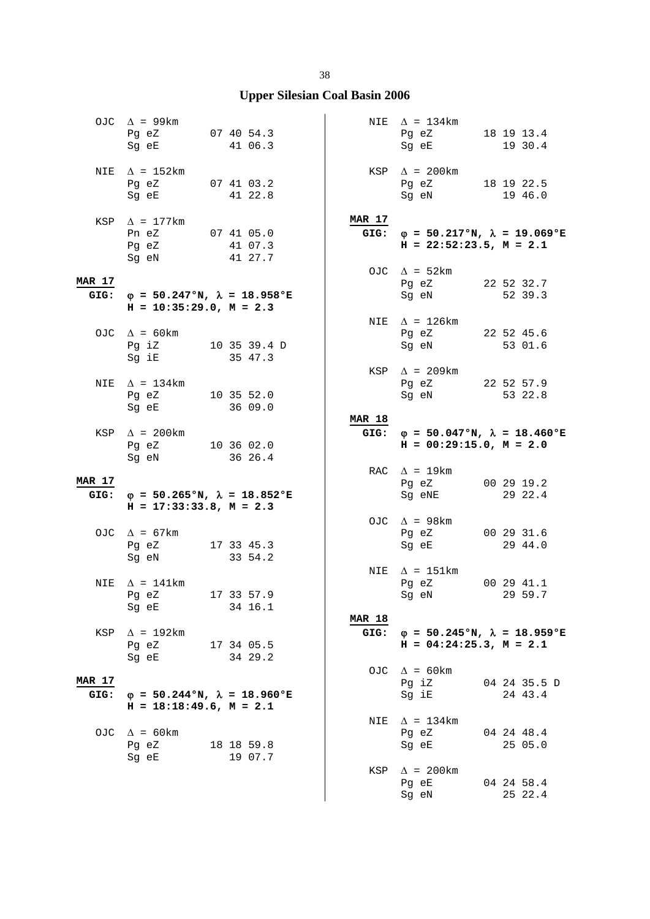|                       | OJC $\Delta$ = 99km<br>Pg eZ<br>Sg eE                                                                                                                      | 07 40 54.3<br>41 06.3 |                       | NIE $\Delta = 134 \text{km}$<br>Pg eZ 18 19 13.4<br>Sg eE                                                                                       | 19 30.4                 |
|-----------------------|------------------------------------------------------------------------------------------------------------------------------------------------------------|-----------------------|-----------------------|-------------------------------------------------------------------------------------------------------------------------------------------------|-------------------------|
|                       | NIE $\Delta$ = 152km<br>Pg eZ 07 41 03.2<br>Sg eE and the state of the state of the state of the state of the state of the state of the state of the state | 41 22.8               |                       | KSP $\Delta$ = 200km<br>Pg eZ 18 19 22.5<br>Sg eN 19 46.0                                                                                       |                         |
|                       | KSP $\Delta$ = 177km<br>Pn eZ 07 41 05.0<br>Pg eZ<br>Sg eN                                                                                                 | 41 07.3<br>41 27.7    | <b>MAR 17</b>         | GIG: $\varphi = 50.217$ °N, $\lambda = 19.069$ °E<br>$H = 22:52:23.5$ , $M = 2.1$                                                               |                         |
|                       |                                                                                                                                                            |                       |                       | OJC $\Delta = 52 \text{km}$                                                                                                                     |                         |
| <b>MAR 17</b><br>GIG: | $\varphi$ = 50.247°N, $\lambda$ = 18.958°E<br>$H = 10:35:29.0, M = 2.3$                                                                                    |                       |                       | Pg eZ<br>Sg eN                                                                                                                                  | 22 52 32.7<br>52 39.3   |
|                       | OJC $\Delta = 60 \text{km}$<br>Pg iZ 10 35 39.4 D<br>Sg iE                                                                                                 | 35 47.3               |                       | NIE $\Delta$ = 126km<br>Pg eZ 22 52 45.6<br>Sg eN 53 01.6                                                                                       |                         |
|                       | NIE $\Delta$ = 134km<br>Pg eZ 10 35 52.0<br>Sg eE                                                                                                          | 36 09.0               |                       | KSP $\Delta$ = 209km<br>Pg eZ 22 52 57.9<br>Sg eN                                                                                               | 53 22.8                 |
|                       | KSP $\Delta$ = 200km<br>Pg eZ 10 36 02.0<br>Sg eN                                                                                                          | 36 26.4               | <b>MAR 18</b>         | GIG: $\varphi = 50.047$ °N, $\lambda = 18.460$ °E<br>$H = 00:29:15.0, M = 2.0$                                                                  |                         |
| <b>MAR 17</b>         |                                                                                                                                                            |                       |                       | RAC $\Delta$ = 19km<br>Pg eZ 00 29 19.2                                                                                                         |                         |
|                       |                                                                                                                                                            |                       |                       |                                                                                                                                                 |                         |
| GIG:                  | $\varphi$ = 50.265°N, $\lambda$ = 18.852°E<br>$H = 17:33:33.8, M = 2.3$                                                                                    |                       |                       | Sg eNE                                                                                                                                          | 29 22.4                 |
|                       | OJC $\Delta = 67 \text{km}$<br>Pg eZ 17 33 45.3<br>Sg eN                                                                                                   | 33 54.2               |                       | OJC $\Delta$ = 98km<br>Pg eZ<br>Sg eE                                                                                                           | 00 29 31.6<br>29 44.0   |
| NIE                   | $\Delta$ = 141km<br>Pg eZ<br>Sg eE                                                                                                                         | 17 33 57.9<br>34 16.1 |                       | NIE $\Delta$ = 151km<br>Pg eZ<br>Sg eN and the state of the state of the state of the state of the state of the state of the state of the state | 00 29 41.1<br>29 59.7   |
| KSP                   | $\Delta$ = 192km<br>Pg eZ                                                                                                                                  | 17 34 05.5            | <b>MAR 18</b><br>GIG: | $\varphi = 50.245$ °N, $\lambda = 18.959$ °E<br>$H = 04:24:25.3$ , $M = 2.1$                                                                    |                         |
| <b>MAR 17</b><br>GIG: | Sg eE<br>$\varphi = 50.244\text{°N}, \lambda = 18.960\text{°E}$                                                                                            | 34 29.2               |                       | OJC $\Delta = 60 \text{km}$<br>Pg iZ<br>Sg iE                                                                                                   | 04 24 35.5 D<br>24 43.4 |
|                       | $H = 18:18:49.6$ , $M = 2.1$<br>OJC $\Delta = 60 \text{km}$<br>Pg eZ<br>Sg eE                                                                              | 18 18 59.8<br>19 07.7 |                       | NIE $\Delta = 134 \text{km}$<br>Pg eZ<br>Sg eE                                                                                                  | 04 24 48.4<br>25 05.0   |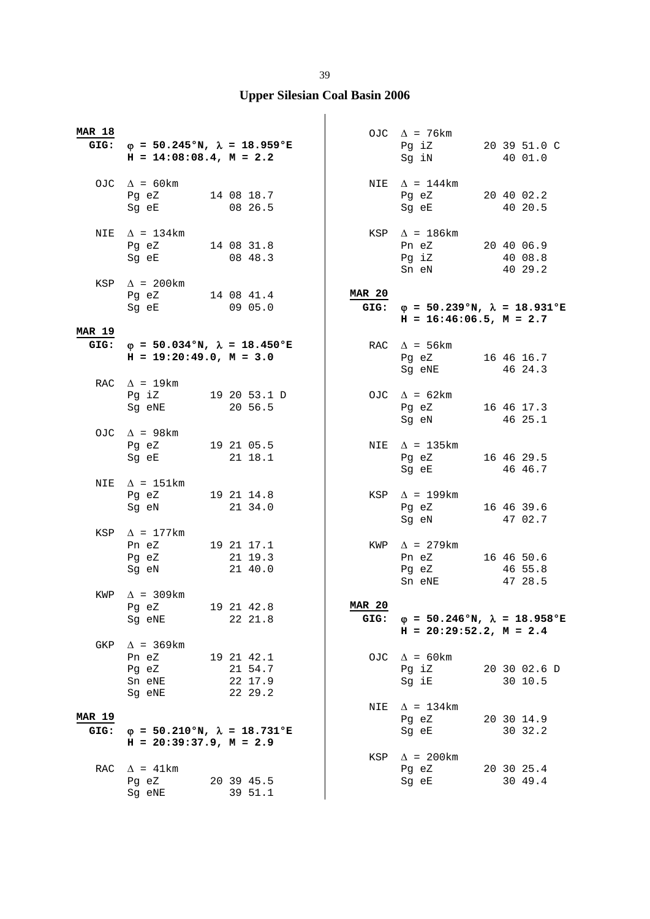| <b>MAR 18</b>         | GIG: $\varphi = 50.245$ °N, $\lambda = 18.959$ °E<br>$H = 14:08:08.4$ , $M = 2.2$                                                                                                                                                                                         |                                             |                       | OJC $\Delta$ = 76km<br>Pg iZ 20 39 51.0 C<br>Sg iN 40 01.0                        |                                  |
|-----------------------|---------------------------------------------------------------------------------------------------------------------------------------------------------------------------------------------------------------------------------------------------------------------------|---------------------------------------------|-----------------------|-----------------------------------------------------------------------------------|----------------------------------|
|                       | OJC $\Delta = 60 \text{km}$<br>Pg eZ 14 08 18.7<br>Sg eE 08 26.5                                                                                                                                                                                                          |                                             |                       | NIE $\Delta = 144$ km<br>Pg eZ 20 40 02.2<br>Sg eE                                | 40 20.5                          |
|                       | NIE $\Delta = 134 \text{km}$<br>Pg eZ 14 08 31.8<br>Sg eE                                                                                                                                                                                                                 | 08 48.3                                     |                       | KSP $\Delta$ = 186km<br>Pn eZ 20 40 06.9<br>Pg iZ<br>Sn eN                        | 40 08.8<br>40 29.2               |
|                       | KSP $\Delta$ = 200km<br>Pg eZ 14 08 41.4<br>Sg eE 09 05.0<br>Sg eE                                                                                                                                                                                                        | 09 05.0                                     | <b>MAR 20</b>         | GIG: $\varphi = 50.239$ °N, $\lambda = 18.931$ °E<br>$H = 16:46:06.5$ , $M = 2.7$ |                                  |
| <b>MAR 19</b><br>GIG: | $\varphi = 50.034$ °N, $\lambda = 18.450$ °E<br>$H = 19:20:49.0, M = 3.0$                                                                                                                                                                                                 |                                             |                       | RAC $\Delta$ = 56km<br>Pg eZ 16 46 16.7<br>Sg eNE 46 24.3                         |                                  |
|                       | RAC $\Delta$ = 19km<br>Pg iZ 19 20 53.1 D<br>Sg eNE                                                                                                                                                                                                                       | 20 56.5                                     |                       | OJC $\Delta = 62 \text{km}$<br>$\Delta = 64$<br>Pg eZ $16404$<br>$4625.1$         |                                  |
|                       | OJC $\Delta$ = 98km<br>Pg eZ 19 21 05.5<br>Sg eE                                                                                                                                                                                                                          | 21 18.1                                     |                       | NIE $\Delta$ = 135km<br>Pg eZ<br>Sg eE 46 46.7                                    | 16 46 29.5                       |
|                       | NIE $\Delta$ = 151km<br>Pg eZ 19 21 14.8<br>Sg eN and the state of the state of the state of the state of the state of the state of the state of the state of the state of the state of the state of the state of the state of the state of the state of the state of the | 21 34.0                                     |                       | KSP $\Delta$ = 199km<br>Pg eZ<br>Sg eN                                            | 16 46 39.6<br>47 02.7            |
|                       | KSP $\Delta$ = 177km<br>Pn eZ 19 21 17.1<br>Pg eZ<br>Sg eN                                                                                                                                                                                                                | 21 19.3<br>21 40.0                          |                       | KWP $\Delta$ = 279km<br>Pn eZ<br>Pg eZ<br>Sn eNE                                  | 16 46 50.6<br>46 55.8<br>47 28.5 |
| KWP                   | $\Lambda$ = 309 km<br>Pg eZ<br>Sg eNE                                                                                                                                                                                                                                     | 19 21 42.8<br>22 21.8                       | <b>MAR 20</b><br>GIG: | $\varphi = 50.246$ °N, $\lambda = 18.958$ °E<br>$H = 20:29:52.2, M = 2.4$         |                                  |
| GKP                   | $\Delta$ = 369 km<br>Pn eZ<br>Pg eZ<br>Sn eNE<br>Sg eNE                                                                                                                                                                                                                   | 19 21 42.1<br>21 54.7<br>22 17.9<br>22 29.2 |                       | OJC $\Delta = 60 \text{km}$<br>Pg iZ<br>Sg iE                                     | 20 30 02.6 D<br>30 10.5          |
| <b>MAR 19</b><br>GIG: | $\varphi = 50.210$ °N, $\lambda = 18.731$ °E<br>$H = 20:39:37.9$ , $M = 2.9$                                                                                                                                                                                              |                                             | NIE                   | $\Delta$ = 134km<br>Pg eZ<br>Sg eE                                                | 20 30 14.9<br>30 32.2            |
| RAC                   | $\Delta$ = 41km<br>Pg eZ<br>Sg eNE                                                                                                                                                                                                                                        | 20 39 45.5<br>39 51.1                       | KSP                   | $\Delta$ = 200km<br>Pg eZ<br>Sg eE                                                | 20 30 25.4<br>30 49.4            |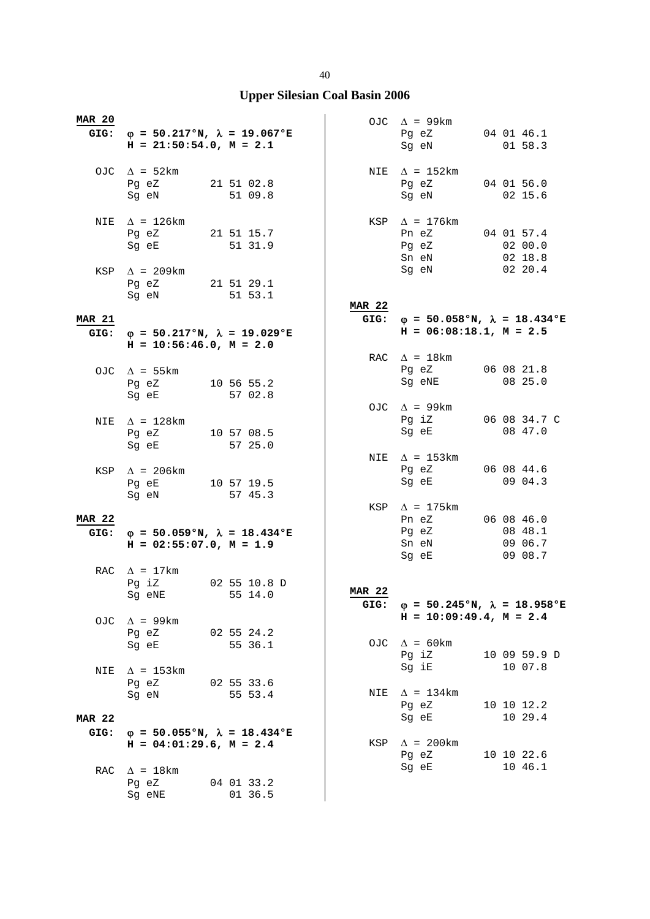| <b>MAR 20</b> | GIG: $\varphi = 50.217$ °N, $\lambda = 19.067$ °E<br>$H = 21:50:54.0$ , $M = 2.1$                                                           |                       |               | OJC $\Delta$ = 99km<br>Pg eZ<br>Sg eN                                      | 04 01 46.1<br>01 58.3 |
|---------------|---------------------------------------------------------------------------------------------------------------------------------------------|-----------------------|---------------|----------------------------------------------------------------------------|-----------------------|
|               | OJC $\Delta = 52 \text{km}$<br>Pg eZ 21 51 02.8<br>Sg eN                                                                                    | 51 09.8               |               | NIE $\Delta$ = 152km<br>Pg eZ 04 01 56.0<br>Sg eN                          | 02 15.6               |
| NIE           | $\Delta$ = 126km<br>Pg eZ<br>Sg eE and the state of the state of the state of the state of the state of the state of the state of the state | 21 51 15.7<br>51 31.9 |               | KSP $\Delta$ = 176km<br>Pn eZ 04 01 57.4<br>Pg eZ<br>Sn eN                 | 02 00.0<br>02 18.8    |
|               | KSP $\Delta$ = 209km<br>Pg eZ 21 51 29.1<br>Sg eN                                                                                           | 51 53.1               | <b>MAR 22</b> | Sg eN                                                                      | 0220.4                |
| <b>MAR 21</b> |                                                                                                                                             |                       |               | GIG: $\varphi = 50.058$ °N, $\lambda = 18.434$ °E                          |                       |
|               | GIG: $\varphi = 50.217$ °N, $\lambda = 19.029$ °E<br>$H = 10:56:46.0, M = 2.0$                                                              |                       |               | $H = 06:08:18.1, M = 2.5$                                                  |                       |
|               |                                                                                                                                             |                       |               | RAC $\Delta = 18 \text{km}$                                                |                       |
|               | OJC $\Delta$ = 55 km<br>Pg eZ 10 56 55.2<br>Sq eE                                                                                           | 57 02.8               |               | Pg eZ<br>Sg eNE                                                            | 06 08 21.8<br>08 25.0 |
|               |                                                                                                                                             |                       |               | OJC $\Delta$ = 99km                                                        |                       |
|               | NIE $\Delta$ = 128km                                                                                                                        |                       |               | Pg iZ 06 08 34.7 C                                                         |                       |
|               | Pg eZ 10 57 08.5<br>Sg eE                                                                                                                   | 57 25.0               |               | Sg eE                                                                      | 08 47.0               |
|               | $KSP \quad \Delta = 206 \text{km}$<br>Pg eE 10 57 19.5<br>Sg eN                                                                             | 57 45.3               | NIE           | $\Delta$ = 153km<br>Pg eZ<br>Sg eE                                         | 06 08 44.6<br>09 04.3 |
|               |                                                                                                                                             |                       |               | KSP $\Delta$ = 175 km                                                      |                       |
| <b>MAR 22</b> |                                                                                                                                             |                       |               | Pn eZ                                                                      | 06 08 46.0            |
| GIG:          | $\varphi = 50.059$ °N, $\lambda = 18.434$ °E<br>$H = 02:55:07.0$ , $M = 1.9$                                                                |                       |               | Pg eZ<br>Sn eN 09 06.7<br>Sg eE                                            | 08 48.1<br>09 08.7    |
|               | RAC $\Delta$ = 17km<br>Pg iZ                                                                                                                | 02 55 10.8 D          |               |                                                                            |                       |
|               | Sg eNE                                                                                                                                      | 55 14.0               | <b>MAR 22</b> |                                                                            |                       |
|               |                                                                                                                                             |                       | GIG:          | $\varphi$ = 50.245°N, $\lambda$ = 18.958°E<br>$H = 10:09:49.4$ , $M = 2.4$ |                       |
| OJC.          | $\Delta$ = 99km                                                                                                                             |                       |               |                                                                            |                       |
|               | Pg eZ<br>Sg eE                                                                                                                              | 02 55 24.2<br>55 36.1 |               | OJC $\Delta = 60 \text{km}$<br>Pg iZ                                       | 10 09 59.9 D          |
| NIE           | $\Delta$ = 153km                                                                                                                            |                       |               | Sg iE                                                                      | 10 07.8               |
|               | Pq eZ                                                                                                                                       | 02 55 33.6            |               |                                                                            |                       |
|               | Sq eN                                                                                                                                       | 55 53.4               | NIE           | $\Delta$ = 134km<br>Pg eZ<br>Sg eE                                         | 10 10 12.2<br>10 29.4 |
| <b>MAR 22</b> |                                                                                                                                             |                       |               |                                                                            |                       |
| GIG:          | $\varphi$ = 50.055°N, $\lambda$ = 18.434°E<br>$H = 04:01:29.6$ , $M = 2.4$                                                                  |                       | KSP           | $\Delta$ = 200 km                                                          |                       |
| RAC           | $\Delta$ = 18km                                                                                                                             |                       |               | Pg eZ<br>Sg eE                                                             | 10 10 22.6<br>10 46.1 |
|               | Pg eZ                                                                                                                                       | 04 01 33.2            |               |                                                                            |                       |
|               | Sg eNE                                                                                                                                      | 01 36.5               |               |                                                                            |                       |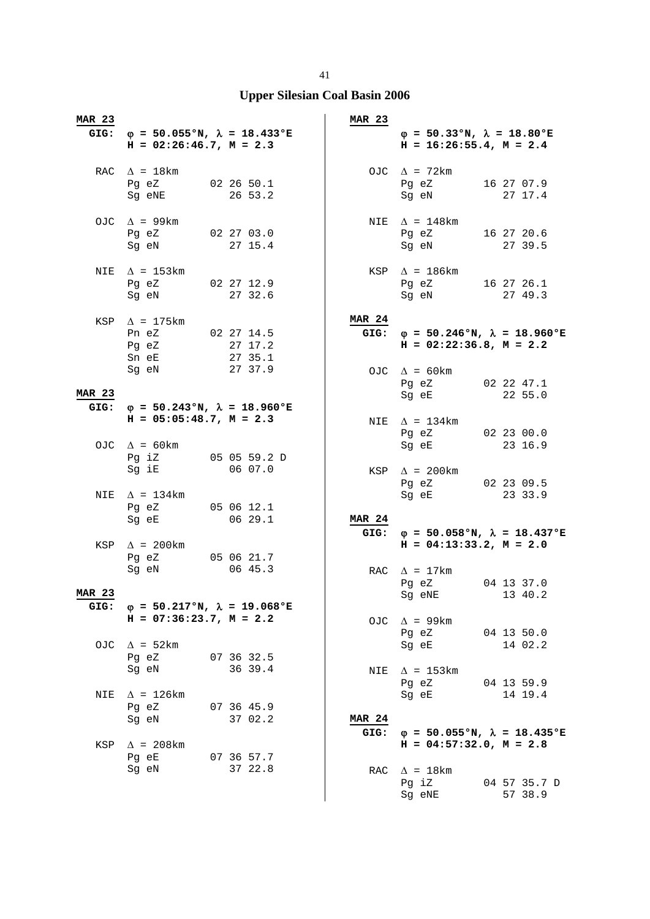| <b>MAR 23</b>         |                                                                                     |                                                   | <b>MAR 23</b> |                                                                                                                  |                         |
|-----------------------|-------------------------------------------------------------------------------------|---------------------------------------------------|---------------|------------------------------------------------------------------------------------------------------------------|-------------------------|
|                       | $H = 02:26:46.7$ , $M = 2.3$                                                        | GIG: $\varphi = 50.055$ °N, $\lambda = 18.433$ °E |               | $\varphi = 50.33$ °N, $\lambda = 18.80$ °E<br>$H = 16:26:55.4, M = 2.4$                                          |                         |
|                       | RAC $\Delta = 18 \text{km}$<br>Pg eZ 02 26 50.1<br>Sg eNE                           | 26 53.2                                           |               | OJC $\Delta$ = 72km<br>Pg eZ 16 27 07.9<br>Sg eN                                                                 | 27 17.4                 |
|                       | OJC $\Delta$ = 99km<br>Pg eZ 02 27 03.0<br>Sg eN 27 15.4                            |                                                   |               | NIE $\Delta$ = 148km<br>Pg eZ 16 27 20.6<br>Sg eN 27 39.5                                                        |                         |
| NIE                   | $\Delta$ = 153km<br>Pg eZ 02 27 12.9<br>Sg eN                                       | 27 32.6                                           |               | $KSP \triangle = 186km$<br>Pg eZ 16 27 26.1<br>Sg eN                                                             | 27 49.3                 |
|                       | KSP $\Delta$ = 175km<br>Pn eZ 02 27 14.5<br>Pg eZ 27 17.2<br>Sn eE 27 35.1<br>Sg eN | 27 37.9                                           | <b>MAR 24</b> | GIG: $\varphi = 50.246$ °N, $\lambda = 18.960$ °E<br>$H = 02:22:36.8$ , $M = 2.2$<br>OJC $\Delta = 60 \text{km}$ |                         |
| <b>MAR 23</b>         |                                                                                     | GIG: $\varphi = 50.243$ °N, $\lambda = 18.960$ °E |               | Pg eZ 02 22 47.1<br>Sg eE                                                                                        | 22 55.0                 |
|                       | $H = 05:05:48.7$ , $M = 2.3$<br>OJC $\Delta = 60 \text{km}$                         |                                                   |               | NIE $\Delta$ = 134km<br>Pg eZ 02 23 00.0<br>Sg eE                                                                | 23 16.9                 |
|                       | Sg iE 06 07.0                                                                       | Pg iZ 05 05 59.2 D                                |               | KSP $\Delta$ = 200km<br>Pg eZ 02 23 09.5                                                                         |                         |
|                       | NIE $\Delta = 134 \text{km}$<br>Pg eZ 05 06 12.1<br>Sg eE 06 29.1                   |                                                   | <b>MAR 24</b> | Sg eE 23 33.9                                                                                                    |                         |
|                       | KSP $\Delta$ = 200km<br>Pg eZ 05 06 21.7<br>Sg eN                                   | 06 45.3                                           |               | GIG: $\varphi = 50.058$ °N, $\lambda = 18.437$ °E<br>$H = 04:13:33.2, M = 2.0$<br>RAC $\Delta$ = 17km            |                         |
| <b>MAR 23</b><br>GIG: |                                                                                     | $\varphi = 50.217$ °N, $\lambda = 19.068$ °E      |               | Pg eZ 04 13 37.0<br>Sg eNE 13 40.2                                                                               |                         |
| OJC                   | $H = 07:36:23.7$ , $M = 2.2$<br>$\Delta$ = 52km                                     |                                                   | OJC           | $\Delta$ = 99km<br>Pg eZ<br>Sq eE                                                                                | 04 13 50.0<br>14 02.2   |
|                       | Pg eZ<br>Sg eN                                                                      | 07 36 32.5<br>36 39.4                             |               | NIE $\Delta$ = 153km<br>Pg eZ                                                                                    | 04 13 59.9              |
| NIE                   | $\Delta$ = 126km<br>Pg eZ<br>Sg eN                                                  | 07 36 45.9<br>37 02.2                             | <b>MAR 24</b> | Sg eE                                                                                                            | 14 19.4                 |
| KSP                   | $\Delta$ = 208km<br>Pg eE<br>Sg eN                                                  | 07 36 57.7<br>37 22.8                             |               | GIG: $\varphi = 50.055$ °N, $\lambda = 18.435$ °E<br>$H = 04:57:32.0$ , $M = 2.8$<br>RAC $\Delta$ = 18km         |                         |
|                       |                                                                                     |                                                   |               | Pg iZ<br>Sg eNE                                                                                                  | 04 57 35.7 D<br>57 38.9 |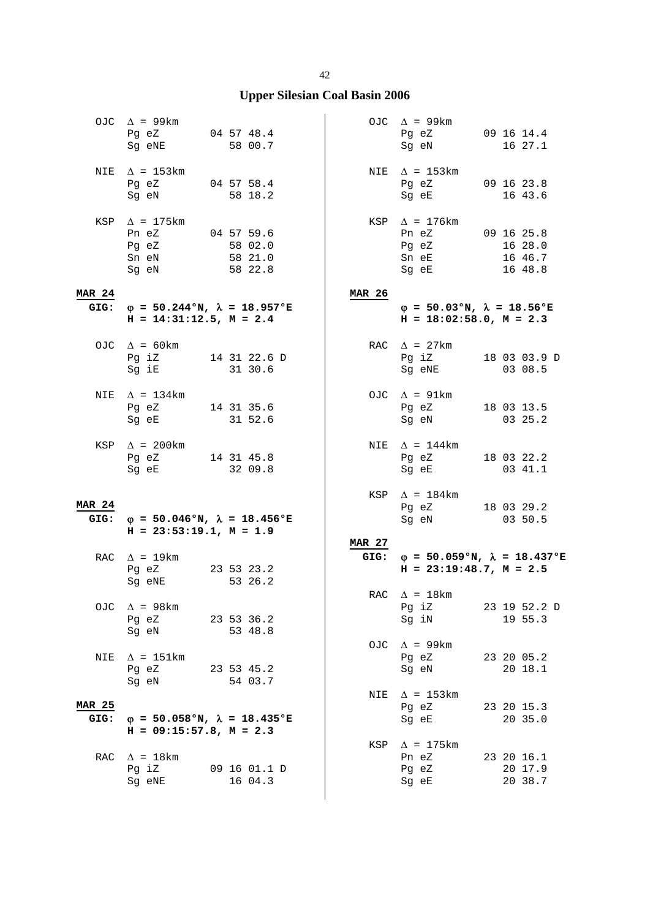|                       | OJC $\Delta$ = 99km<br>Pg eZ 04 57 48.4<br>Sg eNE         | 58 00.7                                           |               | OJC $\Delta$ = 99km<br>Pg eZ 09 16 14.4<br>Sg eN                        | 16 27.1                                        |  |
|-----------------------|-----------------------------------------------------------|---------------------------------------------------|---------------|-------------------------------------------------------------------------|------------------------------------------------|--|
| NIE                   | $\Delta$ = 153km<br>Pg eZ 04 57 58.4<br>Sg eN             | 58 18.2                                           |               | NIE $\Delta$ = 153km<br>Pg eZ 09 16 23.8<br>Sg eE                       | 16 43.6                                        |  |
|                       | KSP $\Delta$ = 175 km<br>Pn eZ<br>Pg eZ<br>Sn eN<br>Sg eN | $04\;57\;59.6$<br>58 02.0<br>58 21.0<br>58 22.8   |               | KSP $\Delta$ = 176km<br>Pn eZ 09 16 25.8<br>Pg eZ<br>Sn eE<br>Sg eE     | 16 28.0<br>16 46.7<br>16 48.8                  |  |
| <b>MAR 24</b>         | $H = 14:31:12.5, M = 2.4$                                 | GIG: $\varphi = 50.244$ °N, $\lambda = 18.957$ °E | <b>MAR 26</b> | $\varphi = 50.03$ °N, $\lambda = 18.56$ °E<br>$H = 18:02:58.0, M = 2.3$ |                                                |  |
|                       | OJC $\Delta = 60 \text{km}$<br>Sg iE 31 30.6              | Pg iZ 14 31 22.6 D                                |               | RAC $\Delta$ = 27km<br>Sg eNE                                           | Pg iZ 18 03 03.9 D<br>03 08.5                  |  |
|                       | NIE $\Delta$ = 134km<br>Pg eZ $14$ 31 35.6<br>Sg eE       | 31 52.6                                           |               | OJC $\Delta$ = 91km<br>Pg eZ<br>Sg eN                                   | 18 03 13.5<br>03 25.2                          |  |
|                       | KSP $\Delta$ = 200km<br>Pg eZ 14 31 45.8<br>Sg eE 32 09.8 |                                                   |               | NIE $\Delta$ = 144km<br>Pg eZ 18 03 22.2<br>Sg eE 03 41.1               |                                                |  |
| <b>MAR 24</b><br>GIG: | $H = 23:53:19.1, M = 1.9$                                 | $\varphi = 50.046$ °N, $\lambda = 18.456$ °E      |               | KSP $\Delta$ = 184km<br>Pg eZ 18 03 29.2<br>Sg eN 03 50.5               |                                                |  |
|                       | RAC $\Delta$ = 19km<br>Pg eZ 23 53 23.2<br>Sg eNE         | 53 26.2                                           | <b>MAR 27</b> | $H = 23:19:48.7$ , $M = 2.5$                                            | GIG: $\phi = 50.059$ °N, $\lambda = 18.437$ °E |  |
|                       | OJC $\Delta$ = 98km<br>Pg eZ<br>Sg eN                     | 23 53 36.2<br>53 48.8                             |               | RAC $\Delta$ = 18km<br>Pq iZ<br>Sg iN                                   | 23 19 52.2 D<br>19 55.3                        |  |
| NIE                   | $\Delta$ = 151km<br>Pg eZ 23 53 45.2<br>Sq eN             | 54 03.7                                           |               | OJC $\Delta$ = 99km<br>Pg eZ<br>Sg eN                                   | 23 20 05.2<br>20 18.1                          |  |
| <b>MAR 25</b><br>GIG: | $H = 09:15:57.8$ , $M = 2.3$                              | $\varphi$ = 50.058°N, $\lambda$ = 18.435°E        |               | NIE $\Delta$ = 153km<br>Pg eZ<br>Sg eE                                  | 23 20 15.3<br>20 35.0                          |  |
| RAC                   | $\Delta$ = 18km<br>Pg iZ<br>Sg eNE                        | 09 16 01.1 D<br>16 04.3                           | KSP           | $\Delta$ = 175 km<br>Pn eZ<br>Pg eZ<br>Sg eE                            | 23 20 16.1<br>20 17.9<br>20 38.7               |  |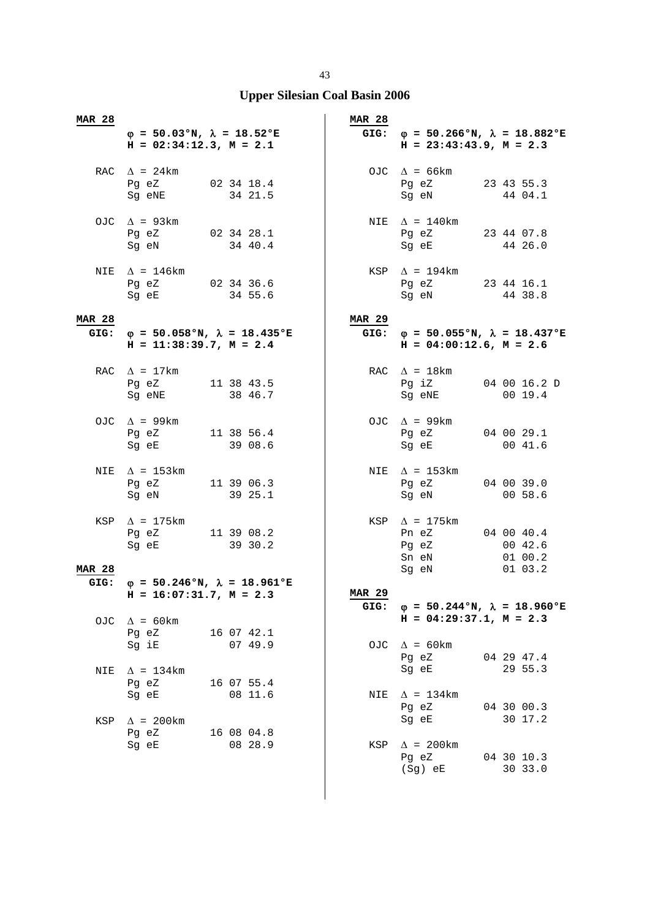| <b>MAR 28</b> | $\varphi = 50.03$ °N, $\lambda = 18.52$ °E<br>$H = 02:34:12.3$ , $M = 2.1$        |                       | <b>MAR 28</b>         | GIG: $\varphi = 50.266$ °N, $\lambda = 18.882$ °E<br>$H = 23:43:43.9$ , $M = 2.3$ |                               |
|---------------|-----------------------------------------------------------------------------------|-----------------------|-----------------------|-----------------------------------------------------------------------------------|-------------------------------|
|               | RAC $\Delta = 24 \text{km}$<br>Pg eZ 02 34 18.4<br>Sg eNE 34 21.5                 |                       |                       | OJC $\Delta = 66 \text{km}$<br>Pg eZ 23 43 55.3<br>Sg eN                          | 44 04.1                       |
|               | OJC $\Delta$ = 93km<br>Pg eZ 02 34 28.1<br>Sg eN 34 40.4                          |                       |                       | NIE $\Delta = 140$ km<br>Pg eZ 23 44 07.8<br>Sg eE 44 26.0                        |                               |
| NIE           | $\Delta$ = 146km<br>Pg eZ 02 34 36.6<br>Sg eE 34 55.6                             |                       |                       | $KSP \quad \Delta = 194 \text{km}$<br>Pg eZ 23 44 16.1<br>Sg eN                   | 44 38.8                       |
| <b>MAR 28</b> | GIG: $\varphi = 50.058$ °N, $\lambda = 18.435$ °E<br>$H = 11:38:39.7$ , $M = 2.4$ |                       | <b>MAR 29</b>         | GIG: $\varphi = 50.055$ °N, $\lambda = 18.437$ °E<br>$H = 04:00:12.6$ , $M = 2.6$ |                               |
|               | RAC $\Delta = 17 \text{km}$<br>Pg eZ 11 38 43.5<br>Sq eNE 38 46.7                 |                       |                       | RAC $\Delta = 18$ km<br>Pg iZ 04 00 16.2 D<br>Sg eNE                              | 0019.4                        |
|               | OJC $\Delta$ = 99km<br>Pg eZ 11 38 56.4<br>Sg eE                                  | 39 08.6               |                       | OJC $\Delta$ = 99km<br>Pg eZ 04 00 29.1<br>Sg eE                                  | 00 41.6                       |
|               | NIE $\Delta$ = 153km<br>Pg eZ 11 39 06.3<br>Sg eN 39 25.1                         |                       |                       | NIE $\Delta$ = 153km<br>Pg eZ 04 00 39.0<br>Sg eN 00 58.6                         |                               |
| <b>MAR 28</b> | KSP $\Delta$ = 175km<br>Pg eZ 11 39 08.2<br>Sg eE 39 30.2                         |                       |                       | KSP $\Delta$ = 175km<br>Pn eZ 04 00 40.4<br>Pg eZ<br>Sn eN<br>Sg eN               | 00 42.6<br>01 00.2<br>01 03.2 |
|               | GIG: $\varphi = 50.246$ °N, $\lambda = 18.961$ °E                                 |                       |                       |                                                                                   |                               |
| OJC.          | $H = 16:07:31.7$ , $M = 2.3$<br>$\Delta$ = 60km<br>Pg eZ                          | 16 07 42.1            | <b>MAR 29</b><br>GIG: | $\varphi = 50.244$ °N, $\lambda = 18.960$ °E<br>$H = 04:29:37.1, M = 2.3$         |                               |
| NIE           | Sg iE<br>$\Delta$ = 134km                                                         | 07 49.9               |                       | OJC $\Delta = 60 \text{km}$<br>Pg eZ<br>Sg eE                                     | 04 29 47.4<br>29 55.3         |
|               | Pg eZ<br>Sg eE                                                                    | 16 07 55.4<br>08 11.6 |                       | NIE $\Delta = 134 \text{km}$<br>Pg eZ<br>Sg eE                                    | 04 30 00.3<br>30 17.2         |
| KSP           | $\Delta$ = 200km<br>Pg eZ<br>Sg eE                                                | 16 08 04.8<br>08 28.9 | KSP                   | $\Delta$ = 200km<br>Pg eZ<br>(Sg) eE                                              | 04 30 10.3<br>30 33.0         |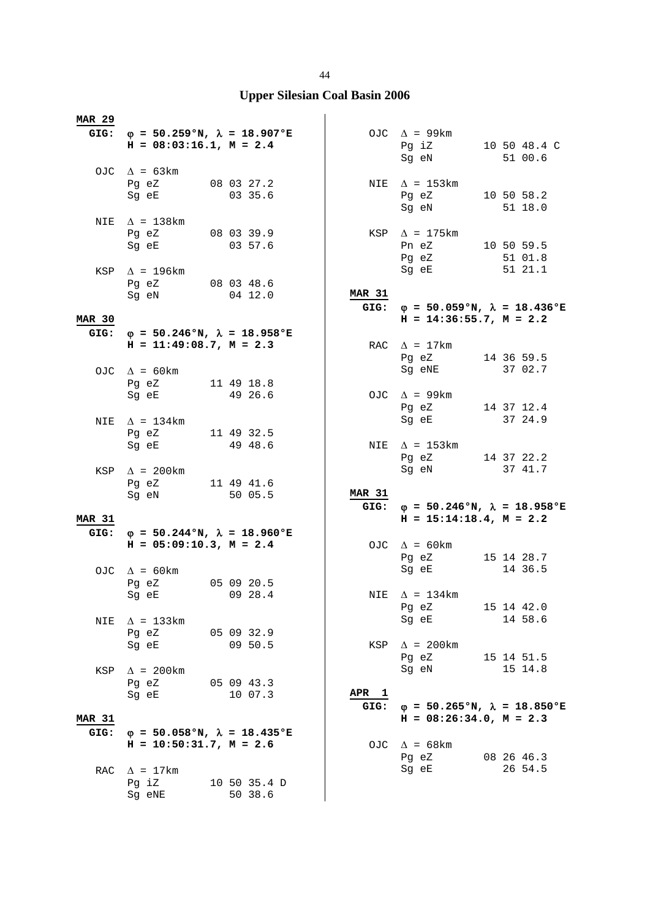| <b>MAR 29</b>         |                                                                                |                         |                  |                                                            |                                                   |
|-----------------------|--------------------------------------------------------------------------------|-------------------------|------------------|------------------------------------------------------------|---------------------------------------------------|
|                       | GIG: $\phi = 50.259$ °N, $\lambda = 18.907$ °E<br>$H = 08:03:16.1, M = 2.4$    |                         |                  | OJC $\Delta$ = 99km<br>Pg iZ 10 50 48.4 C<br>Sg eN 51 00.6 |                                                   |
|                       | OJC $\Delta = 63 \text{km}$<br>Pg eZ 08 03 27.2<br>Sg eE 03 35.6               |                         |                  | NIE $\Delta$ = 153km<br>Pg eZ 10 50 58.2                   |                                                   |
|                       | NIE $\Delta$ = 138km<br>Pg eZ 08 03 39.9                                       |                         |                  | Sg eN 51 18.0<br>KSP $\Delta$ = 175km                      |                                                   |
|                       | Sq eE<br>KSP $\Delta$ = 196km                                                  | 03 57.6                 |                  | Pn eZ 10 50 59.5<br>Pg eZ 51 01.8<br>Sg eE 51 21.1         |                                                   |
|                       | Pg eZ 08 03 48.6<br>Sg eN 04 12.0                                              |                         | <b>MAR 31</b>    |                                                            |                                                   |
| <b>MAR 30</b>         |                                                                                |                         |                  | $H = 14:36:55.7$ , $M = 2.2$                               | GIG: $\varphi = 50.059$ °N, $\lambda = 18.436$ °E |
|                       | GIG: $\varphi = 50.246$ °N, $\lambda = 18.958$ °E<br>$H = 11:49:08.7, M = 2.3$ |                         |                  | RAC $\Delta$ = 17km<br>Pg eZ 14 36 59.5                    |                                                   |
|                       | OJC $\Delta$ = 60km<br>Pg eZ 11 49 18.8                                        |                         |                  | Sg eNE                                                     | 37 02.7                                           |
|                       | Sg eE 49 26.6<br>NIE $\Delta$ = 134km                                          |                         |                  | OJC $\Delta$ = 99km<br>Pg eZ 14 37 12.4<br>Sg eE 37 24.9   |                                                   |
|                       | Pg eZ 11 49 32.5<br>Sg eE 49 48.6                                              |                         |                  | NIE $\Delta$ = 153km                                       |                                                   |
|                       | KSP $\Delta$ = 200km                                                           |                         |                  | Pg eZ 14 37 22.2<br>Sg eN                                  | 37 41.7                                           |
|                       | Pg eZ 11 49 41.6<br>Sg eN 50 05.5                                              |                         | <b>MAR 31</b>    |                                                            | GIG: $\varphi = 50.246$ °N, $\lambda = 18.958$ °E |
| <b>MAR 31</b>         | GIG: $\varphi = 50.244 \text{°N}$ , $\lambda = 18.960 \text{°E}$               |                         |                  | $H = 15:14:18.4$ , $M = 2.2$                               |                                                   |
|                       | $H = 05:09:10.3, M = 2.4$<br>OJC $\Delta = 60 \text{km}$                       |                         |                  | OJC $\Delta = 60 \text{km}$<br>Pg eZ<br>Sg eE              | 15 14 28.7<br>14 36.5                             |
|                       | Pg eZ 05 09 20.5<br>Sg eE                                                      | 09 28.4                 | NIE              | $\Lambda$ = 134 km                                         |                                                   |
| NIE                   | $\Delta$ = 133km<br>Pg eZ                                                      | 05 09 32.9              |                  | Pg eZ<br>Sg eE                                             | 15 14 42.0<br>14 58.6                             |
|                       | Sg eE                                                                          | 09 50.5                 |                  | KSP $\Delta$ = 200km<br>Pg eZ<br>Sg eN                     | 15 14 51.5<br>15 14.8                             |
| KSP                   | $\Delta$ = 200km<br>Pg eZ<br>Sg eE                                             | 05 09 43.3<br>10 07.3   | APR <sub>1</sub> |                                                            |                                                   |
| <b>MAR 31</b><br>GIG: | $\varphi$ = 50.058°N, $\lambda$ = 18.435°E                                     |                         | GIG:             | $H = 08:26:34.0, M = 2.3$                                  | $\varphi = 50.265$ °N, $\lambda = 18.850$ °E      |
|                       | $H = 10:50:31.7$ , $M = 2.6$                                                   |                         |                  | OJC $\Delta = 68$ km<br>Pg eZ                              | 08 26 46.3                                        |
| RAC                   | $\Delta$ = 17km<br>Pg iZ<br>Sg eNE                                             | 10 50 35.4 D<br>50 38.6 |                  | Sg eE                                                      | 26 54.5                                           |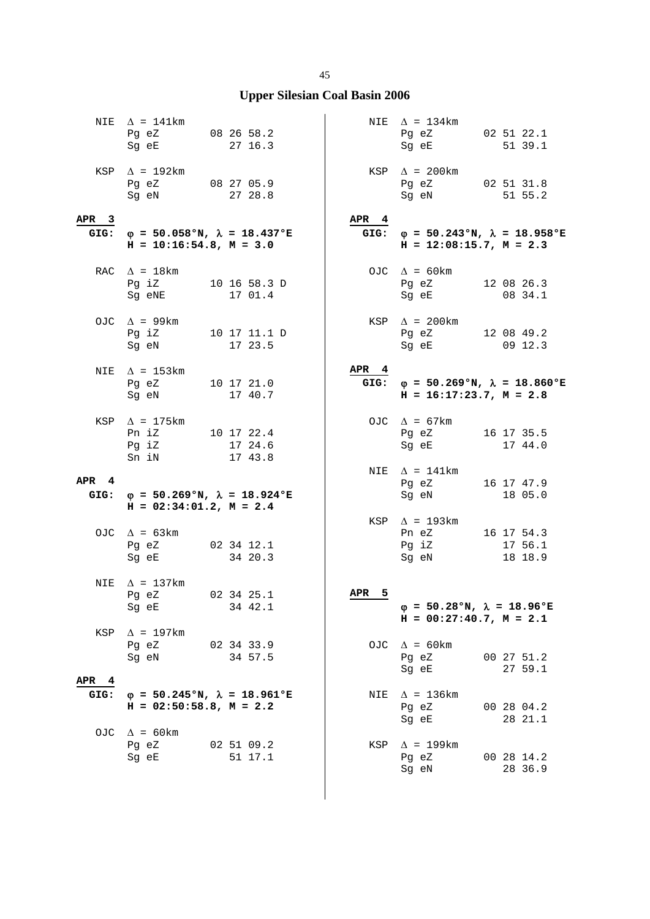|                          | NIE $\Delta = 141 \text{km}$<br>Pg eZ 08 26 58.2<br>Sg eE  | 27 16.3                                      |                  | NIE $\Delta = 134 \text{km}$<br>Pg eZ<br>Sg eE                                                                                                                                                                                | 02 51 22.1<br>51 39.1                             |
|--------------------------|------------------------------------------------------------|----------------------------------------------|------------------|-------------------------------------------------------------------------------------------------------------------------------------------------------------------------------------------------------------------------------|---------------------------------------------------|
|                          | KSP $\Delta$ = 192km<br>Pg eZ 08 27 05.9<br>Sg eN          | 27 28.8                                      |                  | KSP $\Delta$ = 200km<br>Pg eZ 02 51 31.8<br>Sg eN                                                                                                                                                                             | 51 55.2                                           |
| APR <sub>3</sub><br>GIG: |                                                            | $\varphi$ = 50.058°N, $\lambda$ = 18.437°E   | APR <sub>4</sub> |                                                                                                                                                                                                                               | GIG: $\varphi = 50.243$ °N, $\lambda = 18.958$ °E |
|                          | $H = 10:16:54.8, M = 3.0$                                  |                                              |                  | $H = 12:08:15.7$ , $M = 2.3$                                                                                                                                                                                                  |                                                   |
|                          | RAC $\Delta = 18 \text{km}$<br>Sg eNE                      | Pg iZ 10 16 58.3 D<br>17 01.4                |                  | OJC $\Delta = 60 \text{km}$<br>Pg eZ<br>Sg eE                                                                                                                                                                                 | 12 08 26.3<br>08 34.1                             |
|                          | OJC $\Delta$ = 99km<br>Sg eN                               | Pq iZ 10 17 11.1 D<br>17 23.5                |                  | KSP $\Delta$ = 200km<br>Pg eZ 12 08 49.2<br>Sg eE 09 12.3                                                                                                                                                                     |                                                   |
| NIE                      | $\Delta$ = 153km<br>Pg eZ 10 17 21.0<br>Sg eN              | 17 40.7                                      | APR 4            | $H = 16:17:23.7, M = 2.8$                                                                                                                                                                                                     | GIG: $\varphi = 50.269$ °N, $\lambda = 18.860$ °E |
|                          | KSP $\Delta$ = 175km<br>Pn iZ 10 17 22.4<br>Pg iZ<br>Sn iN | 17 24.6<br>17 43.8                           |                  | OJC $\Delta = 67 \text{km}$<br>Pg eZ<br>Sg eE                                                                                                                                                                                 | 16 17 35.5<br>17 44.0                             |
| APR <sub>4</sub>         |                                                            |                                              |                  | NIE $\Delta$ = 141km<br>Pg eZ                                                                                                                                                                                                 | 16 17 47.9                                        |
| GIG:                     | $H = 02:34:01.2$ , $M = 2.4$                               | $\varphi = 50.269$ °N, $\lambda = 18.924$ °E |                  | Sg eN and the state of the state of the state of the state of the state of the state of the state of the state of the state of the state of the state of the state of the state of the state of the state of the state of the | 18 05.0                                           |
|                          | OJC $\Delta = 63 \text{km}$<br>Pg eZ<br>Sg eE              | 02 34 12.1<br>34 20.3                        |                  | KSP $\Delta$ = 193km<br>Pn eZ<br>Pg iZ<br>Sg eN                                                                                                                                                                               | 16 17 54.3<br>17 56.1<br>18 18.9                  |
| NIE                      | $\Delta$ = 137km<br>Pg eZ<br>Sq eE                         | 02 34 25.1<br>34 42.1                        | APR<br>5         | $\varphi = 50.28$ °N, $\lambda = 18.96$ °E<br>$H = 00:27:40.7$ , $M = 2.1$                                                                                                                                                    |                                                   |
| KSP                      | $\Delta$ = 197km<br>Pg eZ<br>Sg eN                         | 02 34 33.9<br>34 57.5                        |                  | OJC $\Delta = 60 \text{km}$<br>Pg eZ<br>Sg eE                                                                                                                                                                                 | 00 27 51.2<br>27 59.1                             |
| APR <sub>4</sub><br>GIG: | $H = 02:50:58.8$ , $M = 2.2$                               | $\varphi = 50.245$ °N, $\lambda = 18.961$ °E | NIE              | $\Delta$ = 136km<br>Pg eZ<br>Sq eE                                                                                                                                                                                            | 00 28 04.2<br>28 21.1                             |
| OJC                      | $\Delta$ = 60 km<br>Pg eZ<br>Sq eE                         | 02 51 09.2<br>51 17.1                        | KSP              | $\Delta$ = 199km<br>Pg eZ<br>Sg eN                                                                                                                                                                                            | 00 28 14.2<br>28 36.9                             |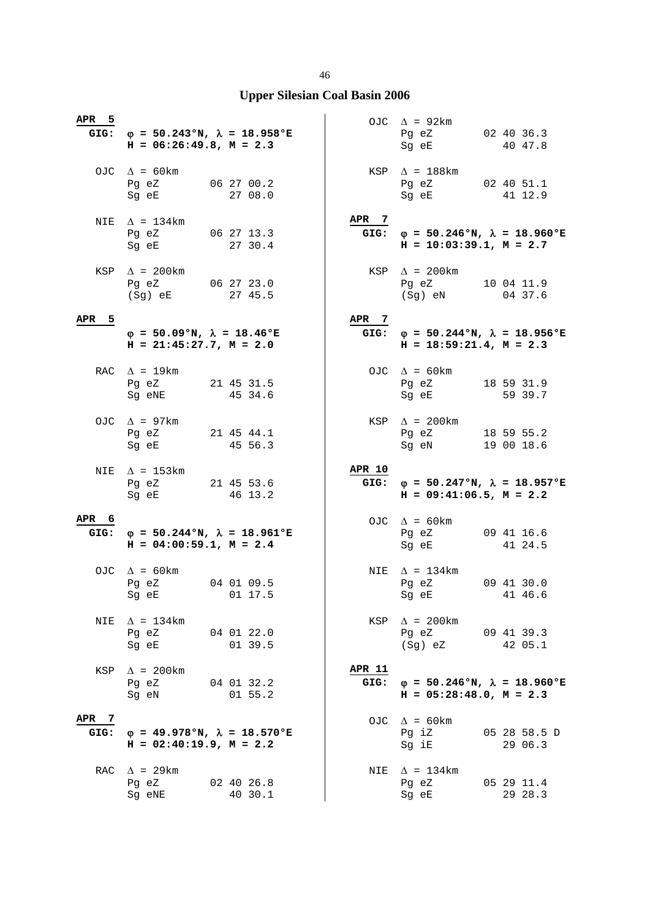| APR 5            | $H = 06:26:49.8, M = 2.3$                                                                                                                                         | GIG: $\varphi = 50.243$ °N, $\lambda = 18.958$ °E |                       | OJC $\Delta$ = 92km<br>Pg eZ<br>Sg eE                                                                                                                              | 02 40 36.3<br>40 47.8    |
|------------------|-------------------------------------------------------------------------------------------------------------------------------------------------------------------|---------------------------------------------------|-----------------------|--------------------------------------------------------------------------------------------------------------------------------------------------------------------|--------------------------|
|                  | OJC $\Delta = 60 \text{km}$<br>Pg eZ 06 27 00.2<br>Sg eE and the state of the state of the state of the state of the state of the state of the state of the state | 27 08.0                                           |                       | $KSP \quad \Delta = 188 \text{km}$<br>Pg eZ 02 40 51.1<br>Sg eE                                                                                                    | 41 12.9                  |
|                  | NIE $\Delta$ = 134km<br>Pg eZ 06 27 13.3<br>Sg eE 27 30.4                                                                                                         |                                                   | APR 7                 | GIG: $\varphi = 50.246$ °N, $\lambda = 18.960$ °E<br>$H = 10:03:39.1, M = 2.7$                                                                                     |                          |
|                  | KSP $\Delta$ = 200km<br>Pg eZ 06 27 23.0<br>(Sg) eE                                                                                                               | 27 45.5                                           |                       | $KSP \quad \Delta = 200 \text{km}$<br>Pg eZ<br>(Sg) eN                                                                                                             | 10 04 11.9<br>04 37.6    |
| APR <sub>5</sub> | $\varphi = 50.09$ °N, $\lambda = 18.46$ °E<br>$H = 21:45:27.7$ , $M = 2.0$                                                                                        |                                                   | APR 7                 | GIG: $\phi = 50.244$ °N, $\lambda = 18.956$ °E<br>$H = 18:59:21.4$ , $M = 2.3$                                                                                     |                          |
|                  | RAC $\Delta$ = 19 km<br>Pg eZ<br>Sg eNE                                                                                                                           | 21 45 31.5<br>45 34.6                             |                       | OJC $\Delta = 60 \text{km}$<br>Pg eZ<br>Sg eE                                                                                                                      | 18 59 31.9<br>59 39.7    |
|                  | OJC $\Delta$ = 97km<br>Pg eZ 21 45 44.1<br>Sg eE                                                                                                                  | 45 56.3                                           |                       | KSP $\Delta$ = 200km<br>Pg eZ<br>Sg eN                                                                                                                             | 18 59 55.2<br>19 00 18.6 |
|                  |                                                                                                                                                                   |                                                   |                       |                                                                                                                                                                    |                          |
|                  | NIE $\Delta$ = 153km<br>Pg eZ 21 45 53.6<br>Sg eE and the state of the state of the state of the state of the state of the state of the state of the state        | 46 13.2                                           | <b>APR 10</b><br>GIG: | $\varphi = 50.247$ °N, $\lambda = 18.957$ °E<br>$H = 09:41:06.5, M = 2.2$                                                                                          |                          |
| APR 6            | $H = 04:00:59.1, M = 2.4$                                                                                                                                         | GIG: $\varphi = 50.244$ °N, $\lambda = 18.961$ °E |                       | OJC $\Delta = 60 \text{km}$<br>Pg eZ<br>Sg eE                                                                                                                      | 09 41 16.6<br>41 24.5    |
|                  | OJC $\Delta = 60 \text{km}$<br>Pg eZ 04 01 09.5<br>Sg eE 01 17.5                                                                                                  |                                                   |                       | NIE $\Delta = 134 \text{km}$<br>Pg eZ 09 41 30.0<br>Sg eE and the state of the state of the state of the state of the state of the state of the state of the state | 41 46.6                  |
| NIE              | $\Delta$ = 134km<br>Pg eZ 04 01 22.0<br>Sg eE 01 39.5                                                                                                             |                                                   |                       | $KSP \quad \Delta = 200 \text{km}$<br>Pg eZ 09 41 39.3<br>(Sg) eZ 42 05.1                                                                                          |                          |
| KSP              | $\Delta$ = 200km<br>Pg eZ 04 01 32.2<br>Sg eN                                                                                                                     | $01\;\;55.2$                                      | <b>APR 11</b>         | GIG: $\phi = 50.246$ °N, $\lambda = 18.960$ °E<br>$H = 05:28:48.0, M = 2.3$                                                                                        |                          |
| APR 7<br>GIG:    | $H = 02:40:19.9$ , $M = 2.2$                                                                                                                                      | $\varphi = 49.978$ °N, $\lambda = 18.570$ °E      |                       | OJC $\Delta = 60 \text{km}$<br>Pg iZ<br>Sg iE                                                                                                                      | 05 28 58.5 D<br>29 06.3  |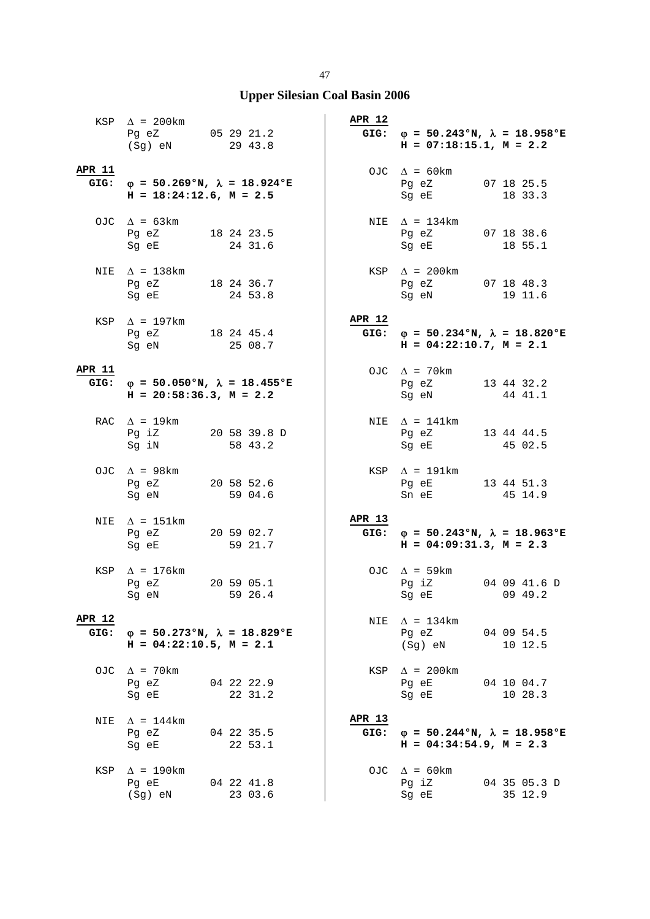|                       | KSP $\Delta$ = 200km<br>Pg eZ 05 29 21.2<br>(Sg) eN 29 43.8                                                                                                                                                                                                               |                       | <b>APR 12</b> | GIG: $\varphi = 50.243 \text{°N}$ , $\lambda = 18.958 \text{°E}$<br>$H = 07:18:15.1, M = 2.2$                                                                     |                         |
|-----------------------|---------------------------------------------------------------------------------------------------------------------------------------------------------------------------------------------------------------------------------------------------------------------------|-----------------------|---------------|-------------------------------------------------------------------------------------------------------------------------------------------------------------------|-------------------------|
| <b>APR 11</b>         | GIG: $\phi = 50.269$ °N, $\lambda = 18.924$ °E<br>$H = 18:24:12.6$ , $M = 2.5$                                                                                                                                                                                            |                       |               | OJC $\Delta = 60 \text{km}$<br>Pg eZ 07 18 25.5<br>Sg eE and the state of the state of the state of the state of the state of the state of the state of the state | 18 33.3                 |
|                       | OJC $\Delta = 63 \text{km}$<br>Pg eZ 18 24 23.5<br>Sg eE 24 31.6                                                                                                                                                                                                          |                       |               | NIE $\Delta = 134 \text{km}$<br>Pg eZ 07 18 38.6<br>Sg eE 18 55.1                                                                                                 |                         |
|                       | NIE $\Delta$ = 138km<br>Pg eZ 18 24 36.7<br>Sg eE 24 53.8                                                                                                                                                                                                                 |                       |               | $KSP \quad \Delta = 200 \text{km}$<br>Pg eZ 07 18 48.3<br>Sg eN 19 11.6<br>Sg eN                                                                                  |                         |
|                       | KSP $\Delta$ = 197km<br>Pg eZ 18 24 45.4<br>Sg eN 25 08.7                                                                                                                                                                                                                 |                       | <b>APR 12</b> | GIG: $\varphi = 50.234 \text{°N}$ , $\lambda = 18.820 \text{°E}$<br>$H = 04:22:10.7$ , $M = 2.1$                                                                  |                         |
| APR 11                | GIG: $\varphi = 50.050$ °N, $\lambda = 18.455$ °E<br>$H = 20:58:36.3$ , $M = 2.2$                                                                                                                                                                                         |                       |               | OJC $\Delta$ = 70km<br>Pg eZ 13 44 32.2<br>Sg eN                                                                                                                  | 44 41.1                 |
|                       | RAC $\Delta = 19 \text{km}$<br>Pg iZ 20 58 39.8 D<br>Sg iN                                                                                                                                                                                                                | 58 43.2               |               | NIE $\Delta$ = 141km<br>Pg eZ 13 44 44.5<br>Sg eE                                                                                                                 | 45 02.5                 |
|                       | OJC $\Delta$ = 98km<br>Pg eZ 20 58 52.6<br>Sg eN 59 04.6                                                                                                                                                                                                                  |                       |               | $KSP \quad \Delta = 191 \text{km}$<br>Pg eE 13 44 51.3<br>Sn eE 45 14.9                                                                                           |                         |
| NIE                   | $\Delta$ = 151km<br>Pg eZ 20 59 02.7<br>Sg eE                                                                                                                                                                                                                             | 59 21.7               | APR 13        | GIG: $\varphi = 50.243 \text{°N}$ , $\lambda = 18.963 \text{°E}$<br>$H = 04:09:31.3$ , $M = 2.3$                                                                  |                         |
|                       | KSP $\Delta$ = 176km<br>Pg eZ 20 59 05.1<br>Sg eN and the state of the state of the state of the state of the state of the state of the state of the state of the state of the state of the state of the state of the state of the state of the state of the state of the | 59 26.4               |               | OJC $\Delta$ = 59km<br>Pg iZ 04 09 41.6 D<br>Sg eE 09 49.2                                                                                                        |                         |
| <b>APR 12</b><br>GIG: | $\varphi = 50.273$ °N, $\lambda = 18.829$ °E<br>$H = 04:22:10.5$ , $M = 2.1$                                                                                                                                                                                              |                       |               | NIE $\Delta = 134 \text{km}$<br>Pg eZ<br>(Sg) eN                                                                                                                  | 04 09 54.5<br>10 12.5   |
|                       | OJC $\Delta$ = 70km<br>Pg eZ<br>Sg eE                                                                                                                                                                                                                                     | 04 22 22.9<br>22 31.2 |               | $KSP \quad \Delta = 200 \text{km}$<br>Pg eE 04 10 04.7<br>Sg eE                                                                                                   | 10 28.3                 |
| NIE                   | $\Delta$ = 144km<br>Pg eZ 04 22 35.5<br>Sg eE                                                                                                                                                                                                                             | 22 53.1               | APR 13        | GIG: $\varphi = 50.244 \text{°N}$ , $\lambda = 18.958 \text{°E}$<br>$H = 04:34:54.9$ , $M = 2.3$                                                                  |                         |
| KSP                   | $\Delta$ = 190km<br>Pg eE<br>(Sg) eN                                                                                                                                                                                                                                      | 04 22 41.8<br>23 03.6 |               | OJC $\Delta$ = 60 km<br>Pg iZ<br>Sg eE                                                                                                                            | 04 35 05.3 D<br>35 12.9 |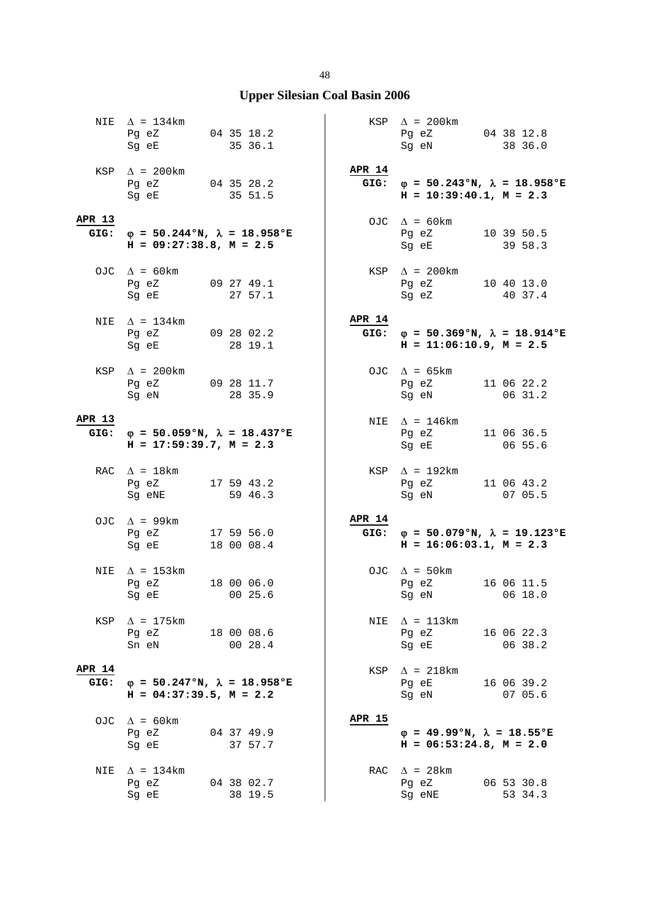|                       | NIE $\Delta$ = 134km<br>Pg eZ 04 35 18.2<br>Sg eE                 | 35 36.1                                           |                       | $KSP \quad \Delta = 200 \text{km}$<br>Pg eZ 04 38 12.8<br>Sg eN                   | 38 36.0               |
|-----------------------|-------------------------------------------------------------------|---------------------------------------------------|-----------------------|-----------------------------------------------------------------------------------|-----------------------|
|                       | KSP $\Delta$ = 200km<br>Pg eZ 04 35 28.2<br>Sg eE 35 51.5         |                                                   | <b>APR 14</b>         | GIG: $\varphi = 50.243$ °N, $\lambda = 18.958$ °E<br>$H = 10:39:40.1, M = 2.3$    |                       |
| APR 13<br>GIG:        | $H = 09:27:38.8$ , $M = 2.5$                                      | $φ = 50.244°N, λ = 18.958°E$                      |                       | OJC $\Delta = 60 \text{km}$<br>Pg eZ 10 39 50.5<br>Sg eE                          | 39 58.3               |
|                       | OJC $\Delta = 60 \text{km}$<br>Pg eZ 09 27 49.1<br>Sg eE          | 27 57.1                                           |                       | $KSP \quad \Delta = 200 \text{km}$<br>Pg eZ 10 40 13.0<br>Sg eZ 40 37.4<br>Sg eZ  |                       |
| NIE                   | $\Delta$ = 134km<br>Pg eZ 09 28 02.2<br>Sg eE 28 19.1             |                                                   | <b>APR 14</b>         | GIG: $\varphi = 50.369$ °N, $\lambda = 18.914$ °E<br>$H = 11:06:10.9$ , $M = 2.5$ |                       |
|                       | KSP $\Delta$ = 200km<br>Pg eZ 09 28 11.7<br>Sq eN                 | 28 35.9                                           |                       | OJC $\Delta = 65 \text{km}$<br>Pg eZ 11 06 22.2<br>Sg eN                          | 06 31.2               |
| APR 13                | $H = 17:59:39.7, M = 2.3$                                         | GIG: $\varphi = 50.059$ °N, $\lambda = 18.437$ °E |                       | NIE $\Delta$ = 146km<br>Pg eZ 11 06 36.5<br>Sg eE                                 | 06 55.6               |
|                       | RAC $\Delta = 18 \text{km}$<br>Pg eZ 17 59 43.2<br>Sg eNE 59 46.3 |                                                   | KSP                   | $\Delta$ = 192km<br>Pg eZ 11 06 43.2<br>Sg eN 07 05.5                             |                       |
|                       | OJC $\Delta$ = 99km<br>Pg eZ<br>Sq eE 18 00 08.4                  | 17 59 56.0                                        | <b>APR 14</b><br>GIG: | $\varphi = 50.079$ °N, $\lambda = 19.123$ °E<br>$H = 16:06:03.1, M = 2.3$         |                       |
| NIE                   | $\Delta$ = 153km<br>Pg eZ 18 00 06.0<br>Sg eE 00 25.6             |                                                   |                       | OJC $\Delta = 50 \text{km}$<br>Pg eZ 16 06 11.5<br>Sg eN 06 18.0                  |                       |
| KSP                   | $\Delta$ = 175km<br>Pg eZ<br>Sn eN 00 28.4                        | 18 00 08.6                                        |                       | NIE $\Delta = 113 \text{km}$<br>Pg eZ<br>Sg eE                                    | 16 06 22.3<br>06 38.2 |
| <b>APR 14</b><br>GIG: | $H = 04:37:39.5$ , $M = 2.2$                                      | $\varphi = 50.247$ °N, $\lambda = 18.958$ °E      |                       | $KSP \quad \Delta = 218 \text{km}$<br>Pg eE<br>Sg eN                              | 16 06 39.2<br>07 05.6 |
| OJC                   | $\Delta$ = 60 km<br>Pg eZ 04 37 49.9<br>Sg eE                     | 37 57.7                                           | <b>APR 15</b>         | $\varphi = 49.99$ °N, $\lambda = 18.55$ °E<br>$H = 06:53:24.8$ , $M = 2.0$        |                       |
| NIE                   | $\Delta$ = 134km<br>Pg eZ<br>Sg eE                                | 04 38 02.7<br>38 19.5                             |                       | RAC $\Delta$ = 28 km<br>Pg eZ<br>Sg eNE                                           | 06 53 30.8<br>53 34.3 |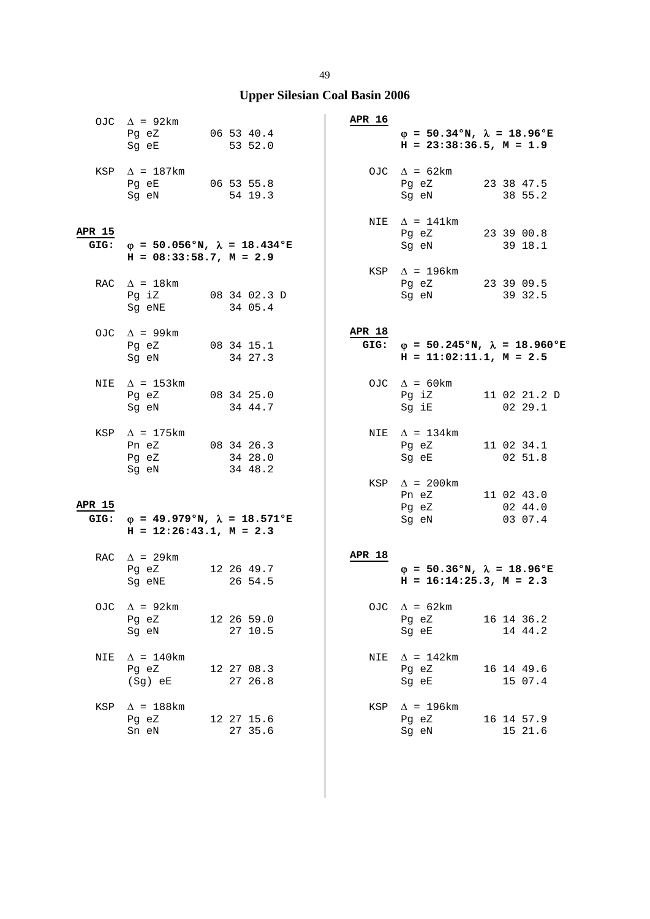|                       | OJC $\Delta$ = 92km<br>Pg eZ 06 53 40.4<br>Sg eE 53 52.0                |                         | APR 16        | $\varphi = 50.34$ °N, $\lambda = 18.96$ °E<br>$H = 23:38:36.5, M = 1.9$ |                                                   |
|-----------------------|-------------------------------------------------------------------------|-------------------------|---------------|-------------------------------------------------------------------------|---------------------------------------------------|
|                       | KSP $\Delta$ = 187km<br>Pg eE 06 53 55.8<br>Sg eN                       | 54 19.3                 |               | OJC $\Delta = 62 \text{km}$<br>Pg eZ<br>Sg eN                           | 23 38 47.5<br>38 55.2                             |
| APR 15                |                                                                         |                         |               | NIE $\Delta$ = 141km<br>Pg eZ 23 39 00.8                                |                                                   |
| GIG:                  | $\varphi$ = 50.056°N, $\lambda$ = 18.434°E<br>$H = 08:33:58.7, M = 2.9$ |                         |               | Sg eN                                                                   | 39 18.1                                           |
|                       | RAC $\Delta$ = 18km<br>Pg iZ<br>Sg eNE                                  | 08 34 02.3 D<br>34 05.4 |               | KSP $\Delta$ = 196km<br>Pg eZ 23 39 09.5<br>Sg eN                       | 39 32.5                                           |
|                       | OJC $\Delta$ = 99km<br>Pg eZ<br>Sg eN                                   | 08 34 15.1<br>34 27.3   | <b>APR 18</b> | $H = 11:02:11.1, M = 2.5$                                               | GIG: $\varphi = 50.245$ °N, $\lambda = 18.960$ °E |
| NIE                   | $\Delta$ = 153km<br>Pg eZ 08 34 25.0<br>Sg eN                           | 34 44.7                 |               | OJC $\Delta = 60 \text{km}$<br>Pg iZ 11 02 21.2 D<br>Sg iE              | 0229.1                                            |
|                       | KSP $\Delta$ = 175 km<br>Pn eZ 08 34 26.3<br>Pg eZ<br>Sg eN             | 34 28.0<br>34 48.2      |               | NIE $\Delta$ = 134km<br>Pg eZ<br>Sg eE<br>KSP $\Delta$ = 200km          | 11 02 34.1<br>$02\;\;51.8$                        |
| <b>APR 15</b><br>GIG: | $\varphi$ = 49.979°N, $\lambda$ = 18.571°E<br>$H = 12:26:43.1, M = 2.3$ |                         |               | Pn eZ<br>Pg eZ 02 44.0<br>Sg eN 03 07.4                                 | 11 02 43.0                                        |
|                       | RAC $\Delta$ = 29km<br>Pg eZ<br>Sg eNE                                  | 12 26 49.7<br>26 54.5   | <b>APR 18</b> | $\varphi = 50.36$ °N, $\lambda = 18.96$ °E<br>$H = 16:14:25.3, M = 2.3$ |                                                   |
|                       | OJC $\Delta$ = 92km<br>Pg eZ<br>Sg eN                                   | 12 26 59.0<br>27 10.5   |               | OJC $\Delta = 62 \text{km}$<br>Pg eZ<br>Sg eE                           | 16 14 36.2<br>14 44.2                             |
| NIE                   | $\Delta$ = 140km<br>Pq eZ<br>$(Sg)$ eE                                  | 12 27 08.3<br>27 26.8   | NIE           | $\Delta$ = 142km<br>Pg eZ<br>Sg eE                                      | 16 14 49.6<br>15 07.4                             |
| KSP                   | $\Delta$ = 188km<br>Pg eZ<br>Sn eN                                      | 12 27 15.6<br>27 35.6   |               | KSP $\Delta$ = 196km<br>Pg eZ<br>Sg eN                                  | 16 14 57.9<br>15 21.6                             |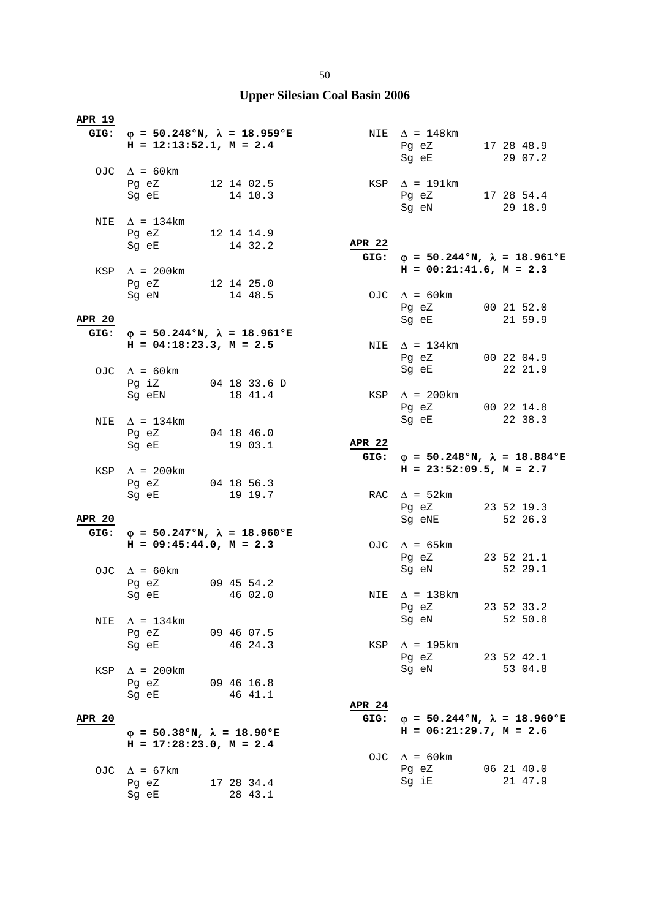| <u>APR 19</u>         |                                                                                               |                       |                       |                                                                              |                       |
|-----------------------|-----------------------------------------------------------------------------------------------|-----------------------|-----------------------|------------------------------------------------------------------------------|-----------------------|
|                       | GIG: $\varphi = 50.248$ °N, $\lambda = 18.959$ °E<br>$H = 12:13:52.1, M = 2.4$                |                       |                       | NIE $\Delta$ = 148km<br>Pg eZ 17 28 48.9<br>Sg eE 29 07.2                    |                       |
|                       | OJC $\Delta = 60 \text{km}$<br>Pg eZ 12 14 02.5<br>Sg eE 14 10.3                              |                       |                       | KSP $\Delta$ = 191km<br>Pg eZ 17 28 54.4<br>Sg eN 29 18.9                    |                       |
|                       | NIE $\Delta$ = 134km<br>Pg eZ 12 14 14.9<br>Sg eE                                             | 14 32.2               | <b>APR 22</b>         | GIG: $\varphi = 50.244 \text{°N}$ , $\lambda = 18.961 \text{°E}$             |                       |
|                       | KSP $\Delta$ = 200km<br>Pg eZ 12 14 25.0<br>Sg eN 14 48.5                                     |                       |                       | $H = 00:21:41.6$ , $M = 2.3$<br>OJC $\Delta = 60 \text{km}$                  |                       |
| <b>APR 20</b>         |                                                                                               |                       |                       | Pg eZ 00 21 52.0<br>Sg eE                                                    | 21 59.9               |
|                       | GIG: $\varphi = 50.244 \text{°N}$ , $\lambda = 18.961 \text{°E}$<br>$H = 04:18:23.3, M = 2.5$ |                       |                       | NIE $\Delta$ = 134km<br>Pg eZ 00 22 04.9<br>Sg eE                            | 22 21.9               |
|                       | OJC $\Delta$ = 60km<br>Pg iZ 04 18 33.6 D<br>Sg eEN                                           | 18 41.4               |                       | $KSP \quad \Delta = 200 \text{km}$<br>Pg eZ 00 22 14.8                       |                       |
|                       | NIE $\Delta$ = 134km<br>Pg eZ 04 18 46.0<br>Sg eE 19 03.1                                     |                       | <b>APR 22</b>         | Sg eE 22 38.3                                                                |                       |
|                       | KSP $\Delta$ = 200km                                                                          |                       | GIG:                  | $\varphi = 50.248$ °N, $\lambda = 18.884$ °E<br>$H = 23:52:09.5$ , $M = 2.7$ |                       |
|                       | Pg eZ 04 18 56.3<br>Sg eE                                                                     | 19 19.7               |                       | RAC $\Delta$ = 52km                                                          |                       |
|                       |                                                                                               |                       |                       | Pg eZ 23 52 19.3                                                             |                       |
| <b>APR 20</b><br>GIG: | $φ = 50.247°N, λ = 18.960°E$<br>$H = 09:45:44.0, M = 2.3$                                     |                       |                       | Sg eNE<br>OJC $\Delta$ = 65km                                                | 52 26.3               |
|                       | OJC $\Delta = 60 \text{km}$<br>Pg eZ 09 45 54.2                                               |                       |                       | Pg eZ 23 52 21.1<br>Sq eN                                                    | 52 29.1               |
| NIE                   | Sg eE<br>$\Delta$ = 134km                                                                     | 46 02.0               | NIE                   | $\Delta$ = 138km<br>Pg eZ<br>Sg eN                                           | 23 52 33.2<br>52 50.8 |
|                       | Pg eZ<br>Sq eE                                                                                | 09 46 07.5<br>46 24.3 |                       | KSP $\Delta$ = 195km<br>Pg eZ                                                | 23 52 42.1            |
| KSP                   | $\Delta$ = 200km<br>Pg eZ<br>Sq eE                                                            | 09 46 16.8<br>46 41.1 |                       | Sg eN                                                                        | 53 04.8               |
| <b>APR 20</b>         | $\varphi = 50.38$ °N, $\lambda = 18.90$ °E                                                    |                       | <b>APR 24</b><br>GIG: | $\varphi = 50.244$ °N, $\lambda = 18.960$ °E<br>$H = 06:21:29.7, M = 2.6$    |                       |
| OJC.                  | $H = 17:28:23.0, M = 2.4$<br>$\Delta$ = 67km                                                  |                       | OJC                   | $\Delta$ = 60 km<br>Pg eZ                                                    | 06 21 40.0<br>21 47.9 |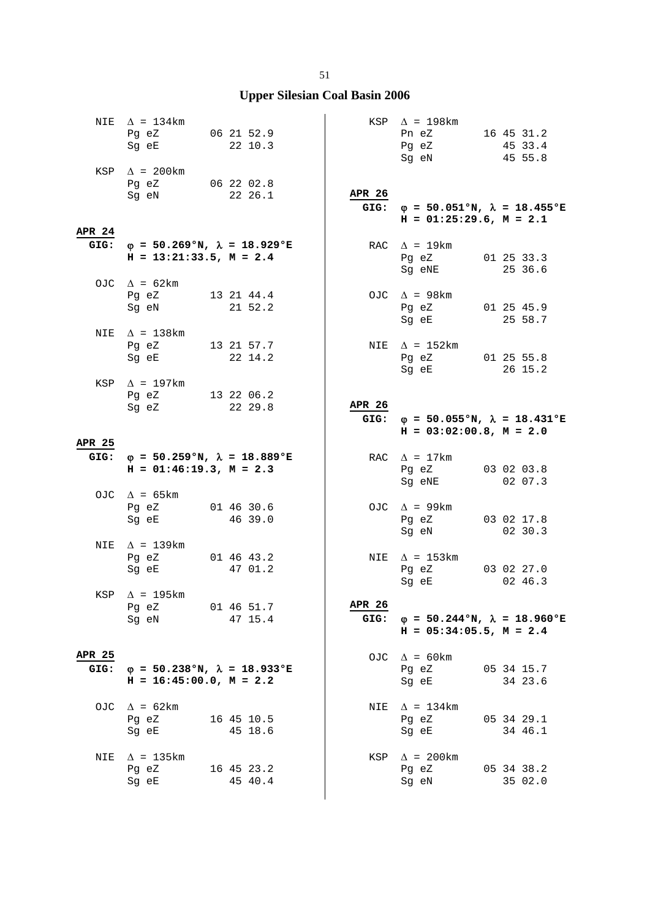|                       | NIE $\Delta = 134 \text{km}$<br>Pg eZ 06 21 52.9<br>Sq eE                                                                                              | 22 10.3               |                | $KSP \quad \Delta = 198 \text{km}$<br>Pn eZ 16 45 31.2<br>Pg eZ<br>Sg eN          | 45 33.4<br>45 55.8    |
|-----------------------|--------------------------------------------------------------------------------------------------------------------------------------------------------|-----------------------|----------------|-----------------------------------------------------------------------------------|-----------------------|
| <b>APR 24</b>         | KSP $\Delta$ = 200km<br>Pg eZ 06 22 02.8<br>Sg eN 22 26.1                                                                                              |                       | APR 26<br>GIG: | $\varphi$ = 50.051°N, $\lambda$ = 18.455°E<br>$H = 01:25:29.6$ , $M = 2.1$        |                       |
| GIG:                  | $\varphi$ = 50.269°N, $\lambda$ = 18.929°E<br>$H = 13:21:33.5$ , $M = 2.4$                                                                             |                       |                | RAC $\Delta$ = 19km<br>Pg eZ 01 25 33.3<br>Sg eNE                                 | 25 36.6               |
|                       | OJC $\Delta = 62 \text{km}$<br>Pg eZ 13 21 44.4<br>Sg eN                                                                                               | 21 52.2               |                | OJC $\Delta$ = 98km<br>Pg eZ 01 25 45.9<br>Sg eE                                  | 25 58.7               |
|                       | NIE $\Delta$ = 138km<br>Pg eZ 13 21 57.7<br>Sg eE 22 14.2                                                                                              |                       |                | NIE $\Delta = 152 \text{km}$<br>Pg eZ 01 25 55.8<br>Sg eE                         | 26 15.2               |
|                       | KSP $\Delta$ = 197km<br>Pg eZ 13 22 06.2<br>Sg eZ                                                                                                      | 22 29.8               | APR 26         | GIG: $\varphi = 50.055$ °N, $\lambda = 18.431$ °E<br>$H = 03:02:00.8$ , $M = 2.0$ |                       |
| APR 25                |                                                                                                                                                        |                       |                |                                                                                   |                       |
| GIG:                  | $\varphi = 50.259$ °N, $\lambda = 18.889$ °E<br>$H = 01:46:19.3, M = 2.3$                                                                              |                       |                | RAC $\Delta = 17$ km<br>Pg eZ 03 02 03.8<br>Sg eNE                                | 02 07.3               |
|                       | OJC $\Delta$ = 65km<br>Pg eZ 01 46 30.6<br>Sg eE                                                                                                       | 46 39.0               |                | OJC $\Delta$ = 99km<br>Pg eZ 03 02 17.8<br>Sg eN                                  | 02 30.3               |
| NIE                   | $\Delta$ = 139km<br>Pg eZ 01 46 43.2<br>Sg eE and the state of the state of the state of the state of the state of the state of the state of the state | 47 01.2               |                | NIE $\Delta$ = 153km<br>Pg eZ 03 02 27.0<br>Sg eE                                 | 02 46.3               |
|                       | KSP $\Delta$ = 195km<br>Pq eZ<br>Sg eN                                                                                                                 | 01 46 51.7<br>47 15.4 | APR 26<br>GIG: | $\varphi = 50.244$ °N, $\lambda = 18.960$ °E<br>$H = 05:34:05.5$ , $M = 2.4$      |                       |
| <b>APR 25</b><br>GIG: | $\varphi = 50.238$ °N, $\lambda = 18.933$ °E                                                                                                           |                       |                | OJC $\Delta = 60 \text{km}$<br>Pg eZ                                              | 05 34 15.7            |
|                       | $H = 16:45:00.0, M = 2.2$                                                                                                                              |                       |                | Sg eE                                                                             | 34 23.6               |
| OJC                   | $\Delta$ = 62km<br>Pg eZ<br>Sg eE                                                                                                                      | 16 45 10.5<br>45 18.6 | NIE            | $\Delta$ = 134km<br>Pg eZ<br>Sg eE                                                | 05 34 29.1<br>34 46.1 |
| NIE                   | $\Delta$ = 135km<br>Pg eZ<br>Sg eE                                                                                                                     | 16 45 23.2<br>45 40.4 |                | $KSP \quad \Delta = 200 \text{km}$<br>Pg eZ<br>Sg eN                              | 05 34 38.2<br>35 02.0 |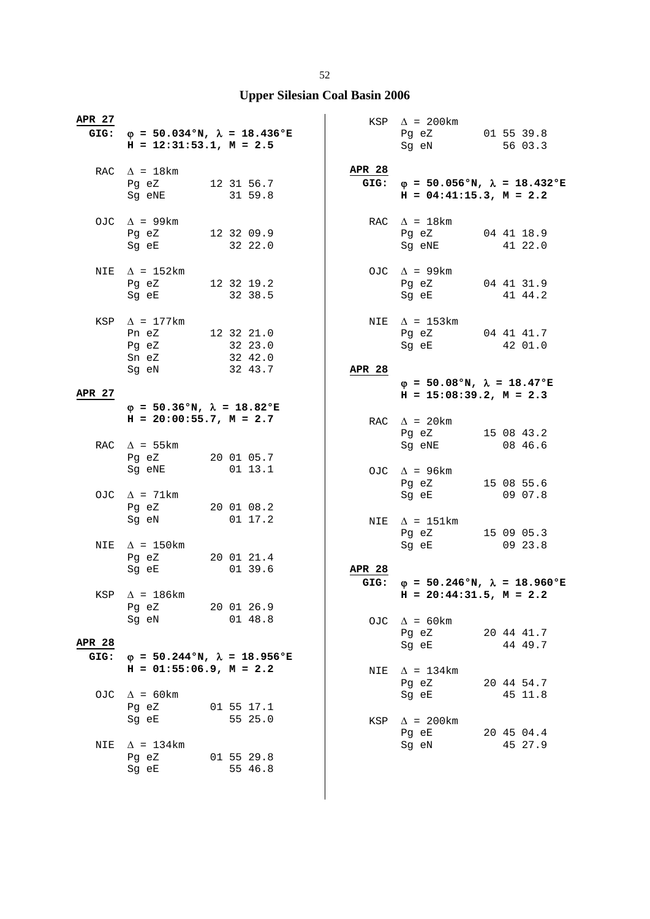| APR 27                | GIG: $\varphi = 50.034$ °N, $\lambda = 18.436$ °E<br>$H = 12:31:53.1, M = 2.5$                                                                                           |            |         |               | $KSP \quad \Delta = 200 \text{km}$<br>Pg eZ 01 55 39.8<br>Sg eN                   | 56 03.3               |
|-----------------------|--------------------------------------------------------------------------------------------------------------------------------------------------------------------------|------------|---------|---------------|-----------------------------------------------------------------------------------|-----------------------|
|                       | RAC $\Delta = 18 \text{km}$<br>Pg eZ 12 31 56.7<br>Sg eNE 31 59.8                                                                                                        |            |         | <b>APR 28</b> | GIG: $\varphi = 50.056$ °N, $\lambda = 18.432$ °E<br>$H = 04:41:15.3, M = 2.2$    |                       |
|                       | OJC $\Delta$ = 99km<br>Pg eZ 12 32 09.9<br>Sg eE 32 22.0                                                                                                                 |            |         |               | RAC $\Delta = 18$ km<br>Pg eZ 04 41 18.9<br>Sg eNE 41 22.0                        |                       |
| NIE                   | $\Delta$ = 152km<br>Pg eZ 12 32 19.2<br>Sg eE                                                                                                                            | 32 38.5    |         |               | OJC $\Delta$ = 99km<br>Pg eZ 04 41 31.9<br>Sg eE                                  | 41 44.2               |
|                       | KSP $\Delta$ = 177km<br>Pn eZ 12 32 21.0<br>Pg eZ 32 23.0<br>Sn eZ 32 42.0<br>Sg eN                                                                                      | 32 43.7    |         | <b>APR 28</b> | NIE $\Delta$ = 153km<br>Pg eZ 04 41 41.7<br>Sg eE 42 01.0                         |                       |
| APR 27                |                                                                                                                                                                          |            |         |               | $\varphi = 50.08$ °N, $\lambda = 18.47$ °E<br>$H = 15:08:39.2, M = 2.3$           |                       |
|                       | $\varphi = 50.36$ °N, $\lambda = 18.82$ °E<br>$H = 20:00:55.7$ , $M = 2.7$                                                                                               |            |         |               | RAC $\Delta$ = 20km<br>Pg eZ 15 08 43.2                                           |                       |
|                       | RAC $\Delta$ = 55km<br>Pg eZ 20 01 05.7<br>Sg eNE 01 13.1                                                                                                                |            |         |               | Sg eNE<br>OJC $\Delta$ = 96km<br>Pg eZ 15 08 55.6                                 | 08 46.6               |
|                       | OJC $\Delta$ = 71km<br>Pg eZ 20 01 08.2<br>Sg eN                                                                                                                         |            | 01 17.2 |               | Sg eE 09 07.8<br>NIE $\Delta$ = 151km<br>Pg eZ 15 09 05.3                         |                       |
| NIE                   | $\Delta$ = 150km<br>Pg eZ 20 01 21.4<br>Sg eE                                                                                                                            |            | 01 39.6 | <b>APR 28</b> | Sg eE 09 23.8                                                                     |                       |
|                       | KSP $\Delta$ = 186km<br>Pg eZ 20 01 26.9                                                                                                                                 |            |         |               | GIG: $\varphi = 50.246$ °N, $\lambda = 18.960$ °E<br>$H = 20:44:31.5$ , $M = 2.2$ |                       |
| <b>APR 28</b><br>GIG: | Sg eN and the state of the state of the state of the state of the state of the state of the state of the state<br>$\varphi = 50.244\text{°N}, \lambda = 18.956\text{°E}$ |            | 01 48.8 |               | OJC $\Delta = 60 \text{km}$<br>Pg eZ<br>Sq eE                                     | 20 44 41.7<br>44 49.7 |
|                       | $H = 01:55:06.9$ , $M = 2.2$                                                                                                                                             |            |         |               | NIE $\Delta = 134 \text{km}$<br>Pg eZ                                             | 20 44 54.7            |
|                       | OJC $\Delta = 60 \text{km}$<br>Pg eZ<br>Sg eE                                                                                                                            | 01 55 17.1 | 55 25.0 |               | Sg eE<br>KSP $\Delta$ = 200km                                                     | 45 11.8               |
| NIE                   | $\Delta$ = 134km<br>Pg eZ 01 55 29.8<br>Sg eE                                                                                                                            |            | 55 46.8 |               | Pg eE<br>Sg eN                                                                    | 20 45 04.4<br>45 27.9 |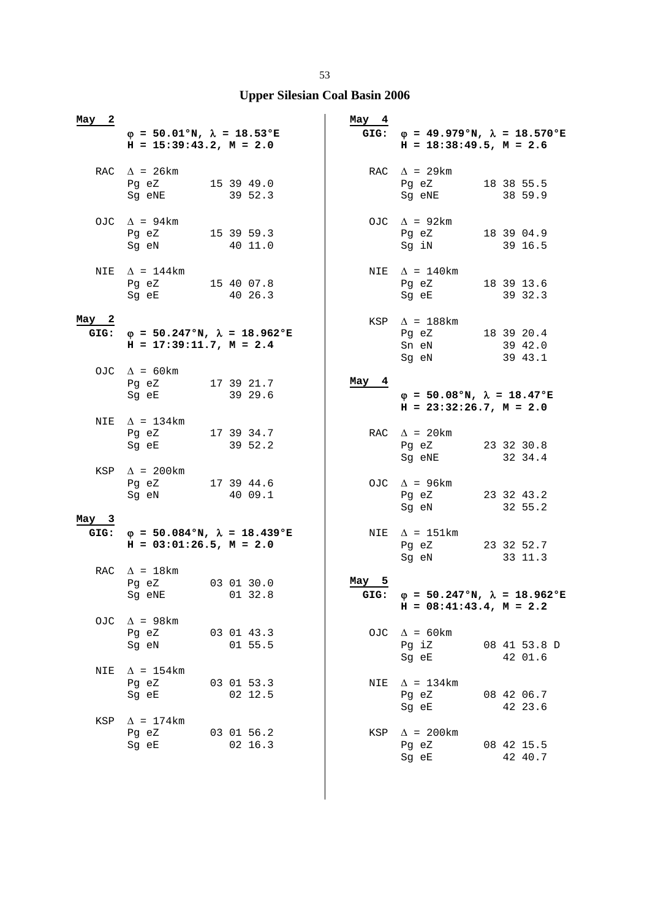| 2<br>May         | $\varphi = 50.01$ °N, $\lambda = 18.53$ °E<br>$H = 15:39:43.2, M = 2.0$ |                                                   | May 4         | GIG: $\varphi = 49.979 \text{°N}, \lambda = 18.570 \text{°E}$<br>$H = 18:38:49.5$ , $M = 2.6$ |                         |
|------------------|-------------------------------------------------------------------------|---------------------------------------------------|---------------|-----------------------------------------------------------------------------------------------|-------------------------|
|                  | RAC $\Delta$ = 26km<br>Pg eZ 15 39 49.0<br>Sg eNE                       | 39 52.3                                           |               | RAC $\Delta$ = 29km<br>Pg eZ<br>Sg eNE                                                        | 18 38 55.5<br>38 59.9   |
|                  | OJC $\Delta$ = 94km<br>Pg eZ 15 39 59.3<br>Sg eN                        | 40 11.0                                           |               | OJC $\Delta$ = 92km<br>Pg eZ 18 39 04.9<br>Sg iN                                              | 39 16.5                 |
| NIE              | $\Delta$ = 144km<br>Pg eZ 15 40 07.8<br>Sg eE 40 26.3                   |                                                   |               | NIE $\Delta = 140$ km<br>Pg eZ<br>Sg eE                                                       | 18 39 13.6<br>39 32.3   |
| May <sub>2</sub> | $H = 17:39:11.7, M = 2.4$                                               | GIG: $\varphi = 50.247$ °N, $\lambda = 18.962$ °E |               | KSP $\Delta$ = 188km<br>Pg eZ 18 39 20.4<br>Sn eN<br>Sg eN                                    | 39 42.0<br>39 43.1      |
|                  | OJC $\Delta = 60 \text{km}$<br>Pg eZ 17 39 21.7<br>Sq eE                | 39 29.6                                           | May 4         | $\varphi = 50.08$ °N, $\lambda = 18.47$ °E<br>$H = 23:32:26.7$ , $M = 2.0$                    |                         |
| NIE              | $\Delta$ = 134km<br>Pg eZ 17 39 34.7<br>Sg eE                           | 39 52.2                                           |               | RAC $\Delta$ = 20 km<br>Pg eZ<br>Sg eNE                                                       | 23 32 30.8<br>32 34.4   |
|                  | KSP $\Delta$ = 200km<br>Pg eZ 17 39 44.6<br>Sg eN                       | 40 09.1                                           |               | OJC $\Delta$ = 96km<br>Pg eZ 23 32 43.2<br>Sg eN                                              | 32 55.2                 |
| May 3            | $H = 03:01:26.5, M = 2.0$                                               | GIG: $\varphi = 50.084$ °N, $\lambda = 18.439$ °E |               | NIE $\Delta$ = 151km<br>Pg eZ<br>Sg eN                                                        | 23 32 52.7<br>33 11.3   |
|                  | RAC $\Delta = 18 \text{km}$<br>Pq eZ<br>Sg eNE 01 32.8                  | 03 01 30.0                                        | May 5<br>GIG: | $\varphi$ = 50.247°N, $\lambda$ = 18.962°E<br>$H = 08:41:43.4$ , $M = 2.2$                    |                         |
| OJC.             | $\Delta$ = 98km<br>Pg eZ<br>Sg eN                                       | 03 01 43.3<br>01 55.5                             |               | OJC $\Delta$ = 60km<br>Pg iZ<br>Sg eE                                                         | 08 41 53.8 D<br>42 01.6 |
| NIE              | $\Delta$ = 154km<br>Pg eZ<br>Sg eE                                      | 03 01 53.3<br>02 12.5                             |               | NIE $\Delta = 134 \text{km}$<br>Pg eZ<br>Sg eE                                                | 08 42 06.7<br>42 23.6   |
| KSP              | $\Delta$ = 174km<br>Pg eZ<br>Sg eE                                      | 03 01 56.2<br>02 16.3                             |               | KSP $\Delta$ = 200km<br>Pg eZ<br>Sg eE                                                        | 08 42 15.5<br>42 40.7   |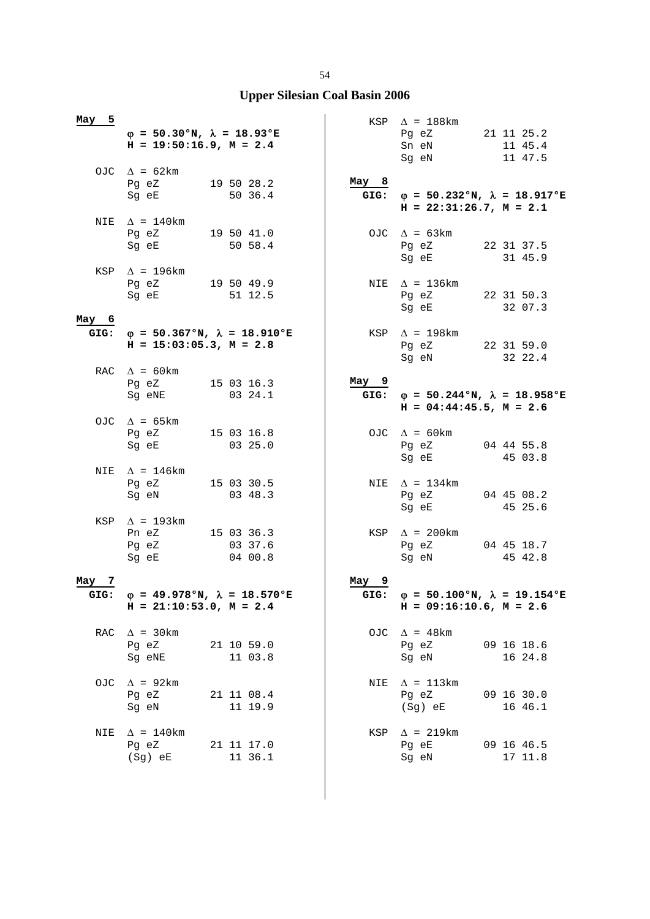| May 5    | $\varphi = 50.30$ °N, $\lambda = 18.93$ °E<br>$H = 19:50:16.9, M = 2.4$                                                                                           |                                  |               | $KSP \quad \Delta = 188 \text{km}$<br>Pg eZ<br>Sn eN<br>Sg eN                     | 21 11 25.2<br>11 45.4<br>11 47.5 |
|----------|-------------------------------------------------------------------------------------------------------------------------------------------------------------------|----------------------------------|---------------|-----------------------------------------------------------------------------------|----------------------------------|
|          | OJC $\Delta = 62 \text{km}$<br>Pg eZ 19 50 28.2<br>Sg eE and the state of the state of the state of the state of the state of the state of the state of the state | 50 36.4                          | May 8<br>GIG: | $\varphi = 50.232$ °N, $\lambda = 18.917$ °E<br>$H = 22:31:26.7$ , $M = 2.1$      |                                  |
|          | NIE $\Delta = 140$ km<br>Pg eZ<br>Sg eE and the state of the state of the state of the state of the state of the state of the state of the state                  | 19 50 41.0<br>50 58.4            |               | OJC $\Delta = 63 \text{km}$<br>Pg eZ<br>Sg eE                                     | 22 31 37.5<br>31 45.9            |
|          | KSP $\Delta$ = 196km<br>Pg eZ 19 50 49.9<br>Sg eE                                                                                                                 | 51 12.5                          |               | NIE $\Delta$ = 136km<br>Pg eZ<br>Sg eE                                            | 22 31 50.3<br>32 07.3            |
| May 6    | GIG: $\phi = 50.367$ °N, $\lambda = 18.910$ °E<br>$H = 15:03:05.3$ , $M = 2.8$                                                                                    |                                  |               | KSP $\Delta$ = 198km<br>Pg eZ 22 31 59.0<br>Sg eN                                 | 32 22.4                          |
|          | RAC $\Delta = 60 \text{km}$<br>Pg eZ<br>Sg eNE                                                                                                                    | 15 03 16.3<br>03 24.1            | $May_9$       | GIG: $\varphi = 50.244$ °N, $\lambda = 18.958$ °E<br>$H = 04:44:45.5$ , $M = 2.6$ |                                  |
|          | OJC $\Delta$ = 65km<br>Pg eZ 15 03 16.8<br>Sg eE                                                                                                                  | 03 25.0                          |               | OJC $\Delta$ = 60km<br>Pg eZ<br>Sg eE                                             | 04 44 55.8<br>45 03.8            |
|          | NIE $\Delta$ = 146 km<br>Pg eZ 15 03 30.5<br>Sg eN                                                                                                                | 03 48.3                          |               | NIE $\Delta = 134 \text{km}$<br>Pg eZ 04 45 08.2<br>Sg eE                         | 45 25.6                          |
|          | KSP $\Delta$ = 193km<br>Pn eZ<br>Pg eZ<br>Sg eE                                                                                                                   | 15 03 36.3<br>03 37.6<br>04 00.8 |               | KSP $\Delta$ = 200km<br>Pg eZ<br>Sg eN                                            | 04 45 18.7<br>45 42.8            |
| May<br>7 |                                                                                                                                                                   |                                  | May 9         |                                                                                   |                                  |
| GIG:     | $φ = 49.978°N, λ = 18.570°E$<br>$H = 21:10:53.0, M = 2.4$                                                                                                         |                                  | GIG:          | $\varphi = 50.100$ °N, $\lambda = 19.154$ °E<br>$H = 09:16:10.6$ , $M = 2.6$      |                                  |
| RAC      | $\Delta$ = 30 km<br>Pg eZ<br>Sg eNE                                                                                                                               | 21 10 59.0<br>11 03.8            |               | OJC $\Delta$ = 48km<br>Pg eZ<br>Sg eN                                             | 09 16 18.6<br>16 24.8            |
| OJC      | $\Delta$ = 92km<br>Pg eZ<br>Sg eN                                                                                                                                 | 21 11 08.4<br>11 19.9            | NIE           | $\Delta$ = 113km<br>Pg eZ<br>$(Sg)$ eE                                            | 09 16 30.0<br>16 46.1            |
| NIE      | $\Delta$ = 140km<br>Pg eZ<br>(Sg) eE                                                                                                                              | 21 11 17.0<br>11 36.1            | KSP           | $\Delta$ = 219km<br>Pg eE<br>Sg eN                                                | 09 16 46.5<br>17 11.8            |

 $\overline{\phantom{a}}$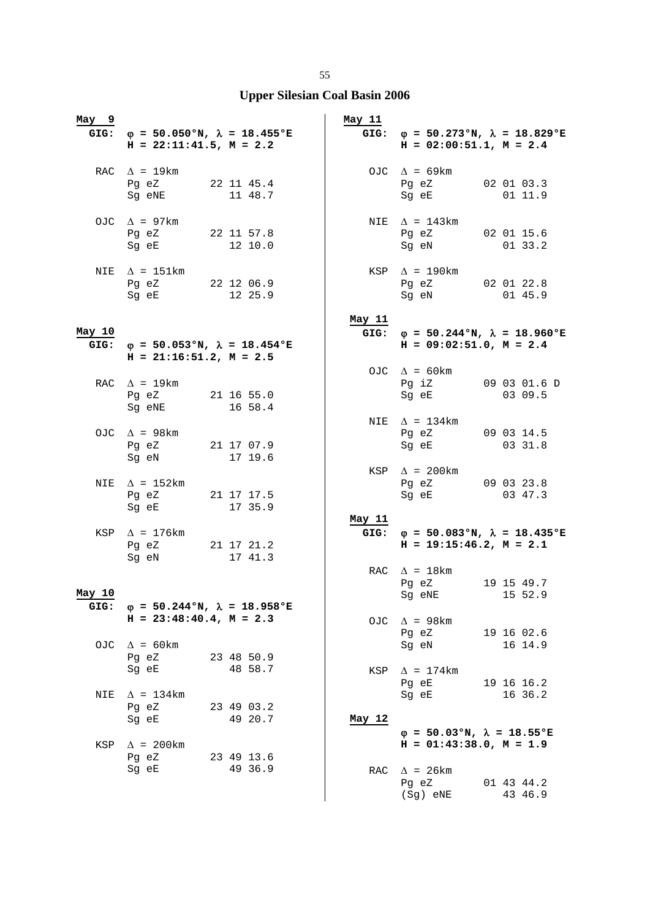| May 9  |                                                                                                                                    |  |                       | May 11 |                                                                                |            |
|--------|------------------------------------------------------------------------------------------------------------------------------------|--|-----------------------|--------|--------------------------------------------------------------------------------|------------|
|        | GIG: $\varphi = 50.050$ °N, $\lambda = 18.455$ °E<br>$H = 22:11:41.5$ , $M = 2.2$                                                  |  |                       |        | GIG: $\varphi = 50.273$ °N, $\lambda = 18.829$ °E<br>$H = 02:00:51.1, M = 2.4$ |            |
|        | RAC $\Delta = 19 \text{km}$<br>Pg eZ 22 11 45.4                                                                                    |  |                       |        | OJC $\Delta = 69 \text{km}$<br>Pg eZ 02 01 03.3                                |            |
|        | Sg eNE                                                                                                                             |  | 11 48.7               |        | Sg eE                                                                          | 01 11.9    |
|        | OJC $\Delta$ = 97km<br>Pg eZ 22 11 57.8                                                                                            |  |                       |        | NIE $\Delta$ = 143km<br>Pg eZ 02 01 15.6                                       |            |
|        | Sg eE and the state of the state of the state of the state of the state of the state of the state of the state                     |  | 12 10.0               |        | Sg eN 01 33.2                                                                  |            |
| NIE    | $\Delta$ = 151km<br>Pg eZ 22 12 06.9                                                                                               |  |                       |        | $KSP \triangle = 190km$<br>Pg eZ 02 01 22.8                                    |            |
|        | Sg eE                                                                                                                              |  | 12 25.9               |        | Sg eN                                                                          | 01 45.9    |
| May 10 |                                                                                                                                    |  |                       | May 11 | GIG: $\varphi = 50.244 \text{°N}, \lambda = 18.960 \text{°E}$                  |            |
|        | GIG: $\varphi = 50.053$ °N, $\lambda = 18.454$ °E<br>$H = 21:16:51.2, M = 2.5$                                                     |  |                       |        | $H = 09:02:51.0, M = 2.4$                                                      |            |
|        |                                                                                                                                    |  |                       |        | OJC $\Delta = 60 \text{km}$                                                    |            |
|        | RAC $\Delta$ = 19 km<br>Pg eZ 21 16 55.0                                                                                           |  |                       |        | Pg iZ 09 03 01.6 D<br>Sq eE                                                    | 03 09.5    |
|        | Sg eNE                                                                                                                             |  | 16 58.4               |        | NIE $\Delta = 134 \text{km}$                                                   |            |
|        | OJC $\Delta$ = 98km                                                                                                                |  |                       |        | Pg eZ 09 03 14.5                                                               |            |
|        | Pg eZ 21 17 07.9<br>Sg eN                                                                                                          |  | 17 19.6               |        | Sg eE                                                                          | 03 31.8    |
|        | NIE $\Delta$ = 152km                                                                                                               |  |                       |        | KSP $\Delta$ = 200km<br>Pg eZ 09 03 23.8                                       |            |
|        | Pg eZ 21 17 17.5<br>Sg eE and the state of the state of the state of the state of the state of the state of the state of the state |  | 17 35.9               |        | Sg eE 03 47.3                                                                  |            |
|        |                                                                                                                                    |  |                       | May 11 |                                                                                |            |
|        | $KSP \quad \Delta = 176km$<br>Pg eZ 21 17 21.2<br>Sg eN                                                                            |  | 17 41.3               |        | GIG: $\varphi = 50.083$ °N, $\lambda = 18.435$ °E<br>$H = 19:15:46.2, M = 2.1$ |            |
|        |                                                                                                                                    |  |                       |        | RAC $\Delta = 18$ km                                                           |            |
| May 10 |                                                                                                                                    |  |                       |        | Pg eZ<br>Sg eNE 15 52.9                                                        | 19 15 49.7 |
| GIG:   | $\varphi = 50.244$ °N, $\lambda = 18.958$ °E<br>$H = 23:48:40.4$ , $M = 2.3$                                                       |  |                       |        |                                                                                |            |
|        |                                                                                                                                    |  |                       | OJC    | $\Delta$ = 98km<br>Pg eZ                                                       | 19 16 02.6 |
| OJC.   | $\Delta$ = 60 km<br>Pg eZ                                                                                                          |  | 23 48 50.9            |        | Sq eN                                                                          | 16 14.9    |
|        | Sg eE                                                                                                                              |  | 48 58.7               | KSP    | $\Delta$ = 174km                                                               | 19 16 16.2 |
| NIE    | $\Delta$ = 134km                                                                                                                   |  |                       |        | Pg eE<br>Sg eE                                                                 | 16 36.2    |
|        | Pg eZ<br>Sg eE                                                                                                                     |  | 23 49 03.2<br>49 20.7 | May 12 |                                                                                |            |
|        |                                                                                                                                    |  |                       |        | $\varphi = 50.03$ °N, $\lambda = 18.55$ °E                                     |            |
| KSP    | $\Delta$ = 200km<br>Pg eZ                                                                                                          |  | 23 49 13.6            |        | $H = 01:43:38.0, M = 1.9$                                                      |            |
|        | Sg eE                                                                                                                              |  | 49 36.9               | RAC    | $\Delta$ = 26km<br>Pg eZ                                                       | 01 43 44.2 |
|        |                                                                                                                                    |  |                       |        | $(Sg)$ eNE                                                                     | 43 46.9    |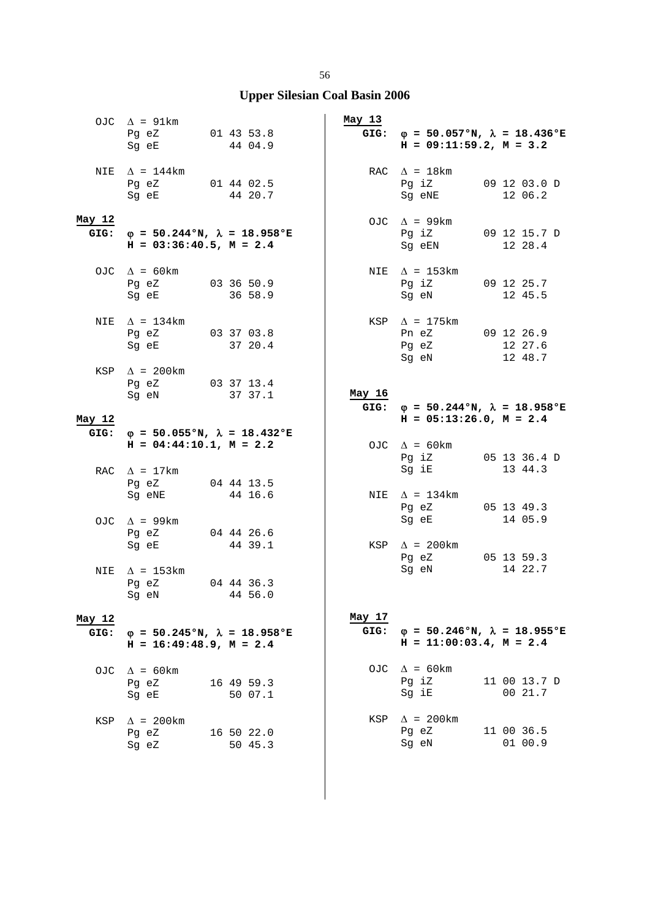|                | OJC $\Delta$ = 91km<br>Pg eZ 01 43 53.8<br>Sg eE                               |            | 44 04.9 | May 13         | GIG: $\varphi = 50.057$ °N, $\lambda = 18.436$ °E<br>$H = 09:11:59.2, M = 3.2$ |                         |
|----------------|--------------------------------------------------------------------------------|------------|---------|----------------|--------------------------------------------------------------------------------|-------------------------|
|                | NIE $\Delta$ = 144km<br>Pg eZ 01 44 02.5<br>Sg eE 44 20.7                      |            |         |                | RAC $\Delta = 18$ km<br>Pg iZ 09 12 03.0 D<br>Sg eNE                           | 12 06.2                 |
| May 12<br>GIG: | $\varphi = 50.244$ °N, $\lambda = 18.958$ °E<br>$H = 03:36:40.5$ , $M = 2.4$   |            |         |                | OJC $\Delta$ = 99km<br>Pg iZ 09 12 15.7 D<br>Sg eEN 12 28.4                    |                         |
|                | OJC $\Delta = 60 \text{km}$<br>Pg eZ 03 36 50.9<br>Sg eE                       | 36 58.9    |         |                | NIE $\Delta$ = 153km<br>Pg iZ 09 12 25.7<br>Sg eN                              | 12 45.5                 |
|                | NIE $\Delta = 134 \text{km}$<br>Pg eZ 03 37 03.8<br>Sg eE 37 20.4              |            |         |                | KSP $\Delta$ = 175km<br>Pn eZ 09 12 26.9<br>Pg eZ 12 27.6<br>Sg eN 12 48.7     |                         |
|                | KSP $\Delta$ = 200km<br>Pg eZ 03 37 13.4<br>Sg eN 37 37.1                      |            |         | May 16         | GIG: $\varphi = 50.244 \text{°N}$ , $\lambda = 18.958 \text{°E}$               |                         |
| May 12         |                                                                                |            |         |                | $H = 05:13:26.0, M = 2.4$                                                      |                         |
|                | GIG: $\varphi = 50.055$ °N, $\lambda = 18.432$ °E<br>$H = 04:44:10.1, M = 2.2$ |            |         |                | OJC $\Delta = 60 \text{km}$<br>Pg iZ 05 13 36.4 D<br>Sg iE 13 44.3             |                         |
|                | RAC $\Delta = 17 \text{km}$<br>Pg eZ 04 44 13.5<br>Sg eNE 44 16.6              |            |         |                | NIE $\Delta$ = 134km<br>Pg eZ 05 13 49.3                                       |                         |
|                | OJC $\Delta$ = 99km<br>Pg eZ 04 44 26.6                                        |            |         |                | Sg eE                                                                          | 14 05.9                 |
|                | Sg eE 44 39.1<br>$\Delta$ = 153km                                              |            |         |                | KSP $\Delta$ = 200km<br>Pg eZ 05 13 59.3<br>Sg eN                              | 14 22.7                 |
| NIE            | 04 44 36.3<br>Pg eZ<br>Sg eN 44 56.0                                           |            |         |                |                                                                                |                         |
| May 12<br>GIG: | $\varphi = 50.245$ °N, $\lambda = 18.958$ °E<br>$H = 16:49:48.9$ , $M = 2.4$   |            |         | May 17<br>GIG: | $\varphi = 50.246$ °N, $\lambda = 18.955$ °E<br>$H = 11:00:03.4$ , $M = 2.4$   |                         |
| OJC            | $\Delta$ = 60 km<br>Pg eZ<br>Sg eE                                             | 16 49 59.3 | 50 07.1 |                | OJC $\Delta = 60 \text{km}$<br>Pg iZ<br>Sg iE                                  | 11 00 13.7 D<br>00 21.7 |
| KSP            | $\Delta$ = 200km<br>Pg eZ<br>Sg eZ                                             | 16 50 22.0 | 50 45.3 | KSP            | $\Delta$ = 200km<br>Pg eZ<br>Sg eN                                             | 11 00 36.5<br>01 00.9   |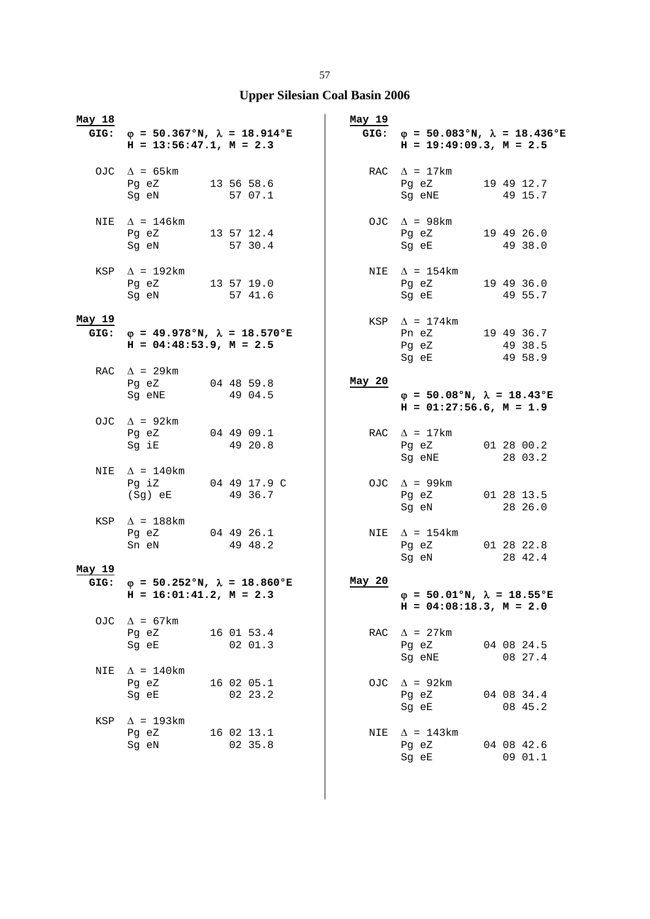| May 18         | GIG: $\varphi = 50.367$ °N, $\lambda = 18.914$ °E<br>$H = 13:56:47.1, M = 2.3$ |                       | May 19 | GIG: $\varphi = 50.083$ °N, $\lambda = 18.436$ °E<br>$H = 19:49:09.3, M = 2.5$ |                       |
|----------------|--------------------------------------------------------------------------------|-----------------------|--------|--------------------------------------------------------------------------------|-----------------------|
|                | OJC $\Delta = 65 \text{km}$<br>Pg eZ 13 56 58.6<br>Sg eN                       | 57 07.1               |        | RAC $\Delta = 17 \text{km}$<br>Pg eZ 19 49 12.7<br>Sg eNE 49 15.7              |                       |
| NIE            | $\Delta$ = 146km<br>Pg eZ 13 57 12.4<br>Sg eN                                  | 57 30.4               |        | OJC $\Delta$ = 98km<br>Pg eZ<br>Sq eE 49 38.0                                  | 19 49 26.0            |
|                | KSP $\Delta$ = 192km<br>Pg eZ 13 57 19.0<br>Sg eN                              | 57 41.6               |        | NIE $\Delta = 154 \text{km}$<br>Pg eZ<br>Sg eE                                 | 19 49 36.0<br>49 55.7 |
| May 19<br>GIG: | $\varphi = 49.978$ °N, $\lambda = 18.570$ °E<br>$H = 04:48:53.9$ , $M = 2.5$   |                       |        | KSP $\Delta$ = 174km<br>Pn eZ 19 49 36.7<br>Pg eZ 49 38.5<br>Sg eE             | 49 58.9               |
|                | RAC $\Delta$ = 29km<br>Pg eZ<br>Sg eNE                                         | 04 48 59.8<br>49 04.5 | May 20 | $\varphi = 50.08$ °N, $\lambda = 18.43$ °E<br>$H = 01:27:56.6$ , $M = 1.9$     |                       |
|                | OJC $\Delta$ = 92km<br>Pg eZ 04 49 09.1<br>Sg iE                               | 49 20.8               |        | RAC $\Delta = 17 \text{km}$<br>Pg eZ 01 28 00.2<br>Sg eNE                      | 28 03.2               |
| NIE            | $\Delta$ = 140km<br>Pg iZ 04 49 17.9 C<br>(Sg) eE 49 36.7                      |                       |        | OJC $\Delta$ = 99km<br>Pg eZ 01 28 13.5<br>Sg eN 28 26.0                       |                       |
|                | KSP $\Delta$ = 188km<br>Pg eZ 04 49 26.1<br>Sn eN                              | 49 48.2               |        | NIE $\Delta$ = 154km<br>Pg eZ 01 28 22.8<br>Sg eN                              | 28 42.4               |
| May 19         | GIG: $\varphi = 50.252$ °N, $\lambda = 18.860$ °E                              |                       | May 20 |                                                                                |                       |
|                | $H = 16:01:41.2, M = 2.3$                                                      |                       |        | $\varphi = 50.01$ °N, $\lambda = 18.55$ °E<br>$H = 04:08:18.3$ , $M = 2.0$     |                       |
|                | OJC $\Delta = 67 \text{km}$<br>Pq eZ<br>Sq eE                                  | 16 01 53.4<br>02 01.3 |        | RAC $\Delta$ = 27km<br>Pg eZ<br>Sg eNE                                         | 04 08 24.5<br>08 27.4 |
| NIE            | $\Delta$ = 140km<br>Pg eZ<br>Sg eE                                             | 16 02 05.1<br>02 23.2 |        | OJC $\Delta$ = 92km<br>Pg eZ<br>Sg eE                                          | 04 08 34.4<br>08 45.2 |
| KSP            | $\Delta$ = 193km<br>Pg eZ<br>Sg eN                                             | 16 02 13.1<br>02 35.8 | NIE    | $\Delta$ = 143km<br>Pg eZ<br>Sg eE                                             | 04 08 42.6<br>09 01.1 |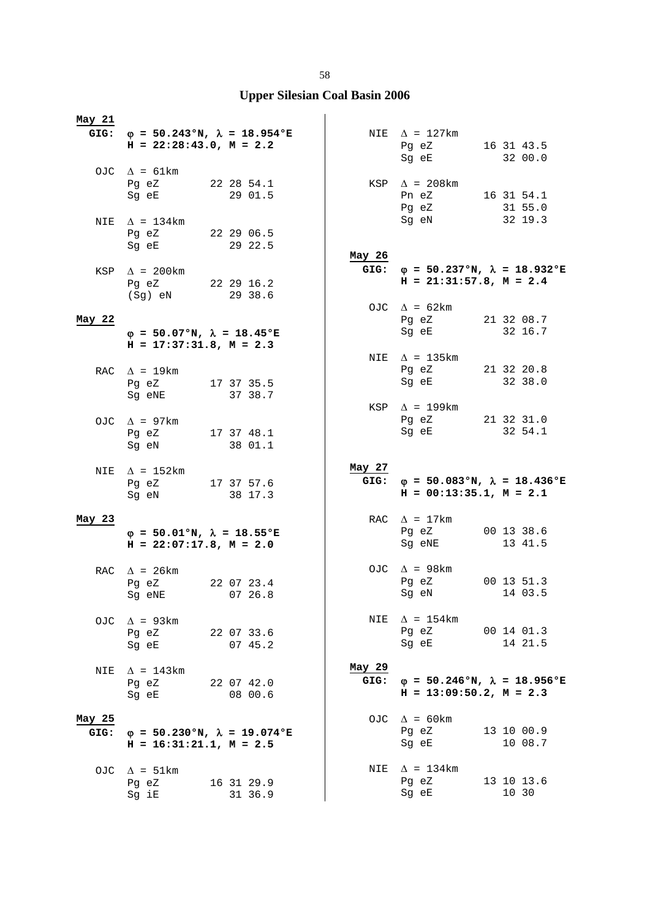| May 21         |                                                                                                                                                                      |            |         |                |                                                                                                                                                         |                       |  |
|----------------|----------------------------------------------------------------------------------------------------------------------------------------------------------------------|------------|---------|----------------|---------------------------------------------------------------------------------------------------------------------------------------------------------|-----------------------|--|
|                | GIG: $\varphi = 50.243$ °N, $\lambda = 18.954$ °E<br>$H = 22:28:43.0, M = 2.2$                                                                                       |            |         |                | NIE $\Delta = 127 \text{km}$<br>Pg eZ<br>Sg eE and the state of the state of the state of the state of the state of the state of the state of the state | 16 31 43.5<br>32 00.0 |  |
|                | OJC $\Delta = 61 \text{km}$<br>Pg eZ<br>22 28 54.1<br>Sg eE and the state of the state of the state of the state of the state of the state of the state of the state |            | 29 01.5 |                | KSP $\Delta$ = 208km<br>Pn eZ<br>Pg eZ                                                                                                                  | 16 31 54.1<br>31 55.0 |  |
| NIE            | $\Delta$ = 134km<br>Pq eZ<br>Sq eE                                                                                                                                   | 22 29 06.5 | 29 22.5 | May 26         | Sg eN                                                                                                                                                   | 32 19.3               |  |
| KSP            | $\Delta$ = 200km<br>Pg eZ 22 29 16.2<br>(Sg) eN                                                                                                                      |            | 29 38.6 | GIG:           | $\varphi$ = 50.237°N, $\lambda$ = 18.932°E<br>$H = 21:31:57.8, M = 2.4$                                                                                 |                       |  |
| May 22         |                                                                                                                                                                      |            |         |                | OJC $\Delta = 62 \text{km}$<br>Pg eZ                                                                                                                    | 21 32 08.7            |  |
|                | $\varphi = 50.07$ °N, $\lambda = 18.45$ °E<br>$H = 17:37:31.8, M = 2.3$                                                                                              |            |         |                | Sg eE                                                                                                                                                   | 32 16.7               |  |
|                | RAC $\Delta = 19 \text{km}$<br>Pg eZ 17 37 35.5<br>Sg eNE                                                                                                            |            | 37 38.7 |                | NIE $\Delta$ = 135km<br>Pg eZ<br>Sg eE                                                                                                                  | 21 32 20.8<br>32 38.0 |  |
|                | OJC $\Delta$ = 97km<br>Pg eZ 17 37 48.1<br>Sg eN                                                                                                                     |            | 38 01.1 |                | KSP $\Delta$ = 199km<br>Pg eZ<br>Sg eE                                                                                                                  | 21 32 31.0<br>32 54.1 |  |
|                |                                                                                                                                                                      |            |         |                |                                                                                                                                                         |                       |  |
| NIE            | $\Delta$ = 152km<br>Pg eZ 17 37 57.6<br>Sg eN                                                                                                                        |            | 38 17.3 | May 27         | GIG: $\varphi = 50.083$ °N, $\lambda = 18.436$ °E<br>$H = 00:13:35.1, M = 2.1$                                                                          |                       |  |
| May 23         | $\varphi = 50.01$ °N, $\lambda = 18.55$ °E<br>$H = 22:07:17.8$ , $M = 2.0$                                                                                           |            |         |                | RAC $\Delta = 17 \text{km}$<br>Pg eZ<br>Sg eNE                                                                                                          | 00 13 38.6<br>13 41.5 |  |
|                | RAC $\Delta$ = 26km<br>Pg eZ<br>Sq eNE                                                                                                                               | 22 07 23.4 | 0726.8  |                | OJC $\Delta$ = 98km<br>Pg eZ<br>Sg eN                                                                                                                   | 00 13 51.3<br>14 03.5 |  |
|                | OJC $\Delta$ = 93km<br>Pq eZ<br>Sg eE                                                                                                                                | 22 07 33.6 | 07 45.2 |                | NIE $\Delta$ = 154km<br>Pg eZ<br>Sg eE                                                                                                                  | 00 14 01.3<br>14 21.5 |  |
| NIE            | $\Delta$ = 143km<br>Pq eZ<br>Sg eE                                                                                                                                   | 22 07 42.0 | 08 00.6 | May 29<br>GIG: | $\varphi = 50.246$ °N, $\lambda = 18.956$ °E<br>$H = 13:09:50.2$ , $M = 2.3$                                                                            |                       |  |
| May 25<br>GIG: | $\varphi = 50.230^{\circ}N$ , $\lambda = 19.074^{\circ}E$<br>$H = 16:31:21.1, M = 2.5$                                                                               |            |         |                | OJC $\Delta$ = 60 km<br>Pg eZ<br>Sg eE                                                                                                                  | 13 10 00.9<br>10 08.7 |  |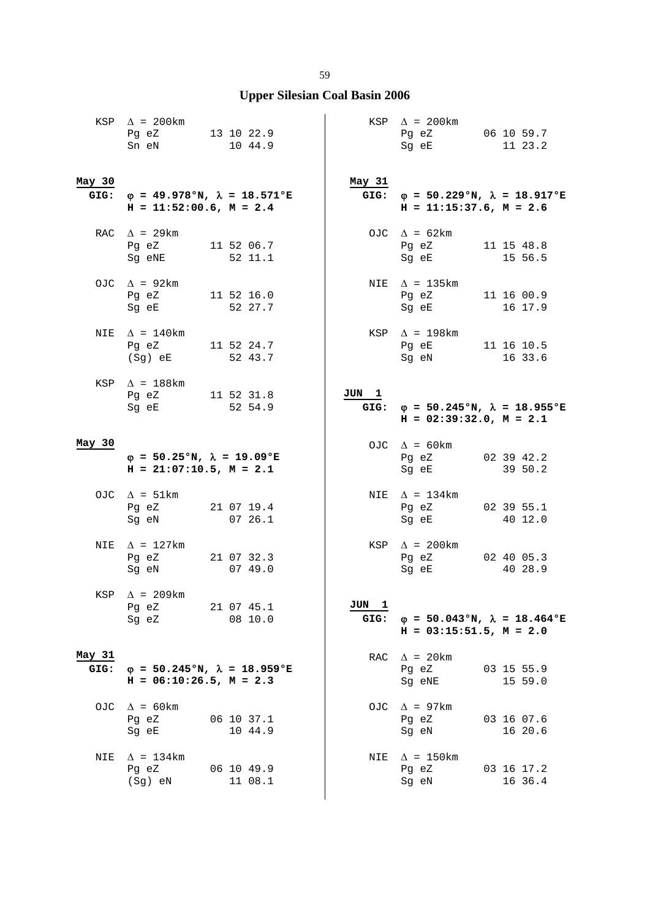|                | KSP $\Delta$ = 200km<br>Pg eZ 13 10 22.9<br>Sn eN                            | 10 44.9               |         |  |                | $KSP \quad \Delta = 200 \text{km}$<br>Pg eZ 06 10 59.7<br>Sg eE                | 11 23.2               |
|----------------|------------------------------------------------------------------------------|-----------------------|---------|--|----------------|--------------------------------------------------------------------------------|-----------------------|
| May 30<br>GIG: | $\varphi$ = 49.978°N, $\lambda$ = 18.571°E<br>$H = 11:52:00.6$ , $M = 2.4$   |                       |         |  | May 31<br>GIG: | $\varphi = 50.229$ °N, $\lambda = 18.917$ °E<br>$H = 11:15:37.6$ , $M = 2.6$   |                       |
|                | RAC $\Delta$ = 29km<br>Pg eZ<br>Sg eNE                                       | 11 52 06.7<br>52 11.1 |         |  |                | OJC $\Delta = 62 \text{km}$<br>Pg eZ<br>Sg eE                                  | 11 15 48.8<br>15 56.5 |
|                | OJC $\Delta$ = 92km<br>Pg eZ<br>Sg eE                                        | 11 52 16.0<br>52 27.7 |         |  |                | NIE $\Delta$ = 135km<br>Pg eZ<br>Sg eE                                         | 11 16 00.9<br>16 17.9 |
| NIE            | $\Delta$ = 140km<br>Pq eZ 11 52 24.7<br>$(Sg)$ eE                            | 52 43.7               |         |  |                | KSP $\Delta$ = 198km<br>Pg eE 11 16 10.5<br>Sg eN 16 33.6                      |                       |
|                | KSP $\Delta$ = 188km<br>Pg eZ 11 52 31.8<br>Sg eE                            | 52 54.9               |         |  | JUN 1          | GIG: $\varphi = 50.245$ °N, $\lambda = 18.955$ °E<br>$H = 02:39:32.0, M = 2.1$ |                       |
| May 30         | $\varphi = 50.25$ °N, $\lambda = 19.09$ °E<br>$H = 21:07:10.5$ , $M = 2.1$   |                       |         |  |                | OJC $\Delta = 60 \text{km}$<br>Pg eZ 02 39 42.2<br>Sg eE 39 50.2               |                       |
|                | OJC $\Delta = 51 \text{km}$<br>Pg eZ<br>Sg eN                                | 21 07 19.4<br>0726.1  |         |  |                | NIE $\Delta$ = 134km<br>Pg eZ<br>Sg eE                                         | 02 39 55.1<br>40 12.0 |
| NIE            | $\Delta$ = 127km<br>Pg eZ 21 07 32.3<br>Sg eN                                |                       | 07 49.0 |  |                | KSP $\Delta$ = 200km<br>Pg eZ 02 40 05.3<br>Sg eE                              | 40 28.9               |
|                | KSP $\Delta$ = 209km<br>21 07 45.1<br>Pg eZ<br>Sg eZ                         |                       | 08 10.0 |  | JUN 1<br>GIG:  | $\varphi = 50.043$ °N, $\lambda = 18.464$ °E<br>$H = 03:15:51.5$ , $M = 2.0$   |                       |
| May 31<br>GIG: | $\varphi = 50.245$ °N, $\lambda = 18.959$ °E<br>$H = 06:10:26.5$ , $M = 2.3$ |                       |         |  |                | RAC $\Delta$ = 20 km<br>Pg eZ<br>Sg eNE                                        | 03 15 55.9<br>15 59.0 |
| OJC            | $\Delta$ = 60 km<br>Pg eZ<br>Sq eE                                           | 06 10 37.1            | 10 44.9 |  | OJC            | $\Delta$ = 97km<br>Pg eZ<br>Sg eN                                              | 03 16 07.6<br>16 20.6 |
| NIE            | $\Delta$ = 134km<br>Pg eZ<br>$(Sg)$ eN                                       | 06 10 49.9            | 11 08.1 |  | NIE            | $\Delta$ = 150 km<br>Pg eZ<br>Sg eN                                            | 03 16 17.2<br>16 36.4 |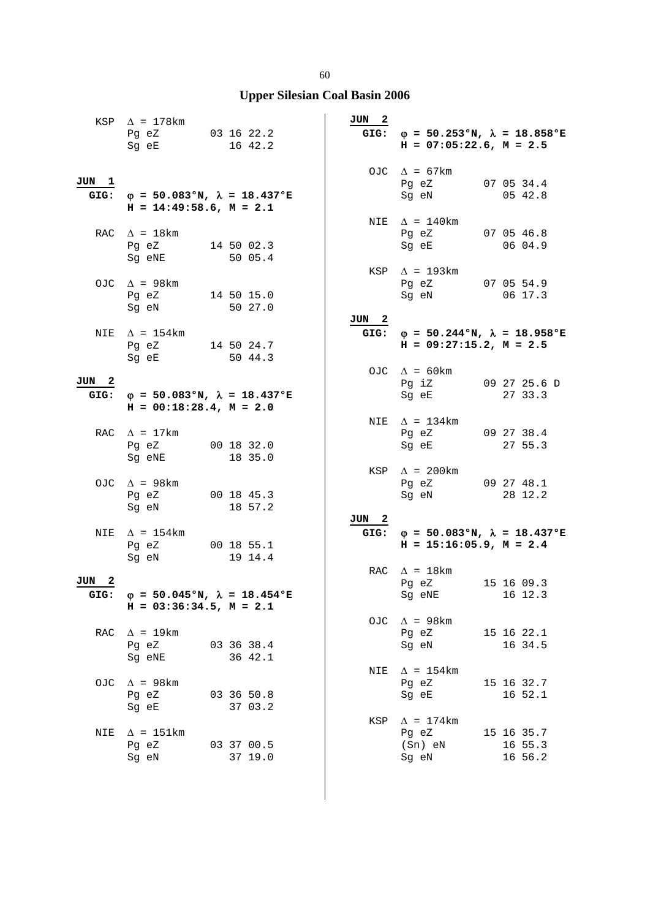|               | KSP $\Delta$ = 178km<br>Pg eZ 03 16 22.2<br>Sg eE                                                                                                                                                                                                                        |                       | 16 42.2    | JUN 2 |     | GIG: $\varphi = 50.253 \text{°N}$ , $\lambda = 18.858 \text{°E}$<br>$H = 07:05:22.6$ , $M = 2.5$ |                                  |
|---------------|--------------------------------------------------------------------------------------------------------------------------------------------------------------------------------------------------------------------------------------------------------------------------|-----------------------|------------|-------|-----|--------------------------------------------------------------------------------------------------|----------------------------------|
| JUN 1         | GIG: $\varphi = 50.083$ °N, $\lambda = 18.437$ °E<br>$H = 14:49:58.6$ , $M = 2.1$                                                                                                                                                                                        |                       |            |       |     | OJC $\Delta = 67 \text{km}$<br>Pg eZ<br>Sg eN                                                    | 07 05 34.4<br>05 42.8            |
|               | RAC $\Delta = 18 \text{km}$<br>Pg eZ<br>Sg eNE                                                                                                                                                                                                                           | 14 50 02.3<br>50 05.4 |            |       |     | NIE $\Delta = 140$ km<br>Pg eZ 07 05 46.8<br>Sg eE 06 04.9                                       |                                  |
|               | OJC $\Delta$ = 98km<br>Pg eZ<br>Sg eN                                                                                                                                                                                                                                    | 14 50 15.0<br>50 27.0 |            |       |     | $KSP \quad \Delta = 193km$<br>Pg eZ 07 05 54.9<br>Sg eN                                          | 06 17.3                          |
| NIE           | $\Delta$ = 154 km<br>Pg eZ 14 50 24.7<br>Sg eE and the state of the state of the state of the state of the state of the state of the state of the state                                                                                                                  | 50 44.3               |            | JUN 2 |     | GIG: $\varphi = 50.244 \text{°N}$ , $\lambda = 18.958 \text{°E}$<br>$H = 09:27:15.2, M = 2.5$    |                                  |
| JUN 2         | GIG: $\varphi = 50.083$ °N, $\lambda = 18.437$ °E<br>$H = 00:18:28.4$ , $M = 2.0$                                                                                                                                                                                        |                       |            |       |     | OJC $\Delta = 60 \text{km}$<br>Pg iZ<br>Sg eE                                                    | 09 27 25.6 D<br>27 33.3          |
|               | RAC $\Delta = 17 \text{km}$<br>Pg eZ 00 18 32.0<br>Sg eNE                                                                                                                                                                                                                | 18 35.0               |            |       |     | NIE $\Delta$ = 134km<br>Pg eZ 09 27 38.4<br>Sg eE                                                | 27 55.3                          |
|               | OJC $\Delta$ = 98km<br>Pg eZ 00 18 45.3<br>Sg eN and the state of the state of the state of the state of the state of the state of the state of the state of the state of the state of the state of the state of the state of the state of the state of the state of the | 18 57.2               |            |       |     | KSP $\Delta$ = 200km<br>Pg eZ 09 27 48.1<br>Sg eN                                                | 28 12.2                          |
| NIE           | $\Delta$ = 154km<br>Pg eZ<br>Sg eN                                                                                                                                                                                                                                       | 19 14.4               | 00 18 55.1 | JUN 2 |     | GIG: $\varphi = 50.083$ °N, $\lambda = 18.437$ °E<br>$H = 15:16:05.9$ , $M = 2.4$                |                                  |
| JUN 2<br>GIG: | $\varphi$ = 50.045°N, $\lambda$ = 18.454°E<br>$H = 03:36:34.5$ , $M = 2.1$                                                                                                                                                                                               |                       |            |       |     | RAC $\Delta$ = 18km<br>Pg eZ<br>Sg eNE 16 12.3                                                   | 15 16 09.3                       |
| RAC           | $\Delta$ = 19km<br>Pg eZ<br>Sg eNE                                                                                                                                                                                                                                       | 03 36 38.4<br>36 42.1 |            |       | OJC | $\Delta$ = 98km<br>Pg eZ<br>Sg eN                                                                | 15 16 22.1<br>16 34.5            |
| OJC           | $\Delta$ = 98km<br>Pg eZ<br>Sg eE                                                                                                                                                                                                                                        | 03 36 50.8<br>37 03.2 |            |       |     | NIE $\Delta$ = 154km<br>Pg eZ<br>Sg eE                                                           | 15 16 32.7<br>16 52.1            |
| NIE           | $\Delta$ = 151km<br>Pg eZ<br>03 37 00.5<br>Sg eN                                                                                                                                                                                                                         | 37 19.0               |            |       |     | KSP $\Delta$ = 174km<br>Pg eZ<br>$(Sn)$ eN<br>Sg eN                                              | 15 16 35.7<br>16 55.3<br>16 56.2 |

60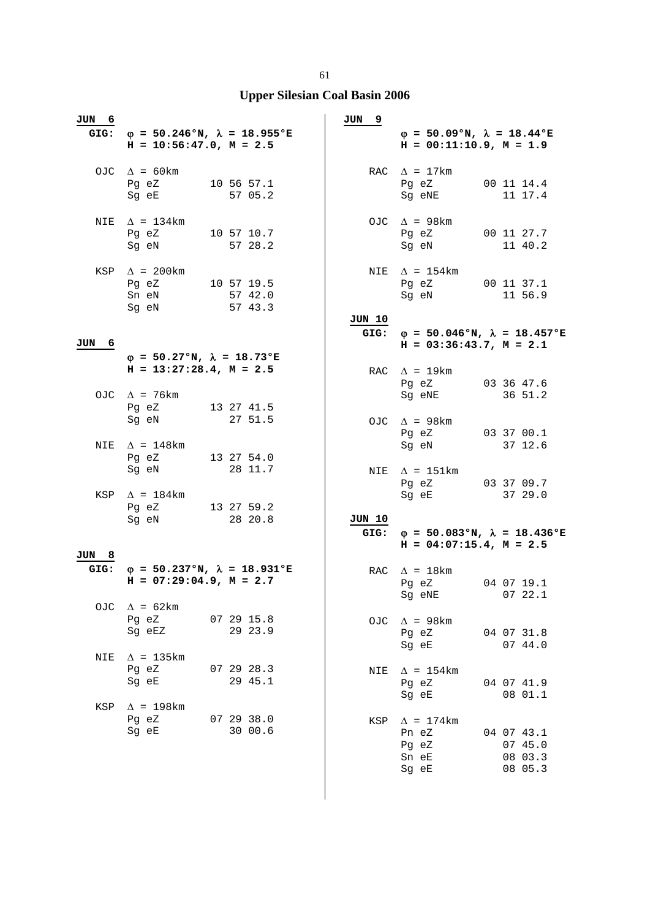## **Upper Silesian Coal Basin 2006**

| JUN 6         | GIG: $\varphi = 50.246$ °N, $\lambda = 18.955$ °E<br>$H = 10:56:47.0$ , $M = 2.5$                                                  |  |                                  | JUN<br>9       | $\varphi = 50.09$ °N, $\lambda = 18.44$ °E<br>$H = 00:11:10.9, M = 1.9$      |                                             |
|---------------|------------------------------------------------------------------------------------------------------------------------------------|--|----------------------------------|----------------|------------------------------------------------------------------------------|---------------------------------------------|
|               | OJC $\Delta = 60 \text{km}$<br>Pg eZ<br>Sg eE                                                                                      |  | 10 56 57.1<br>57 05.2            |                | RAC $\Delta = 17 \text{km}$<br>Pg eZ<br>Sg eNE                               | 00 11 14.4<br>11 17.4                       |
| NIE           | $\Delta$ = 134km<br>Pg eZ<br>Sq eN                                                                                                 |  | 10 57 10.7<br>57 28.2            |                | OJC $\Delta$ = 98km<br>Pq eZ<br>Sg eN                                        | 00 11 27.7<br>11 40.2                       |
| KSP           | $\Delta$ = 200km<br>Pq eZ<br>Sn eN<br>Sg eN                                                                                        |  | 10 57 19.5<br>57 42.0<br>57 43.3 |                | NIE $\Delta = 154 \text{km}$<br>Pg eZ<br>Sg eN                               | 00 11 37.1<br>11 56.9                       |
| JUN<br>6      |                                                                                                                                    |  |                                  | JUN 10<br>GIG: | $\varphi = 50.046$ °N, $\lambda = 18.457$ °E<br>$H = 03:36:43.7$ , $M = 2.1$ |                                             |
|               | $\varphi = 50.27$ °N, $\lambda = 18.73$ °E                                                                                         |  |                                  |                |                                                                              |                                             |
|               | $H = 13:27:28.4$ , $M = 2.5$                                                                                                       |  |                                  |                | RAC $\Delta$ = 19km<br>Pg eZ                                                 | 03 36 47.6                                  |
|               | OJC $\Delta$ = 76km<br>Pg eZ                                                                                                       |  | 13 27 41.5                       |                | Sq eNE                                                                       | 36 51.2                                     |
|               | Sg eN                                                                                                                              |  | 27 51.5                          |                | OJC $\Delta$ = 98km<br>Pg eZ                                                 | 03 37 00.1                                  |
| NIE           | $\Delta$ = 148km                                                                                                                   |  |                                  |                | Sg eN                                                                        | 37 12.6                                     |
|               | Pg eZ<br>Sg eN                                                                                                                     |  | 13 27 54.0<br>28 11.7            | NIE            | $\Delta$ = 151km<br>Pg eZ                                                    | 03 37 09.7                                  |
| KSP           | $\Delta$ = 184km<br>Pg eZ<br>Sg eN                                                                                                 |  | 13 27 59.2<br>28 20.8            | JUN 10         | Sg eE                                                                        | 37 29.0                                     |
|               |                                                                                                                                    |  |                                  | GIG:           | $\varphi = 50.083$ °N, $\lambda = 18.436$ °E<br>$H = 04:07:15.4$ , $M = 2.5$ |                                             |
| JUN 8<br>GIG: | $\varphi = 50.237$ °N, $\lambda = 18.931$ °E                                                                                       |  |                                  |                | RAC $\Delta = 18$ km                                                         |                                             |
|               | $H = 07:29:04.9$ , $M = 2.7$                                                                                                       |  |                                  |                | Pg eZ<br>Sg eNE 07 22.1                                                      | 04 07 19.1                                  |
| OJC.          | $\Delta$ = 62km<br>Pg eZ                                                                                                           |  | 07 29 15.8                       | OJC            | $\Delta$ = 98km                                                              |                                             |
|               | Sg eEZ                                                                                                                             |  | 29 23.9                          |                | Pg eZ<br>Sg eE                                                               | 04 07 31.8<br>07 44.0                       |
| NIE           | $\Delta$ = 135km                                                                                                                   |  | 07 29 28.3                       |                |                                                                              |                                             |
|               | Pq eZ<br>Sq eE                                                                                                                     |  | 29 45.1                          |                | NIE $\Delta = 154 \text{km}$<br>Pg eZ<br>Sg eE                               | 04 07 41.9<br>08 01.1                       |
| KSP           | $\Delta$ = 198 km                                                                                                                  |  |                                  |                |                                                                              |                                             |
|               | Pg eZ 07 29 38.0<br>Sg eE and the state of the state of the state of the state of the state of the state of the state of the state |  | 30 00.6                          | KSP            | $\Delta$ = 174km<br>Pn eZ<br>Pg eZ<br>Sn eE<br>Sg eE                         | 04 07 43.1<br>07 45.0<br>08 03.3<br>08 05.3 |

 $\overline{\phantom{a}}$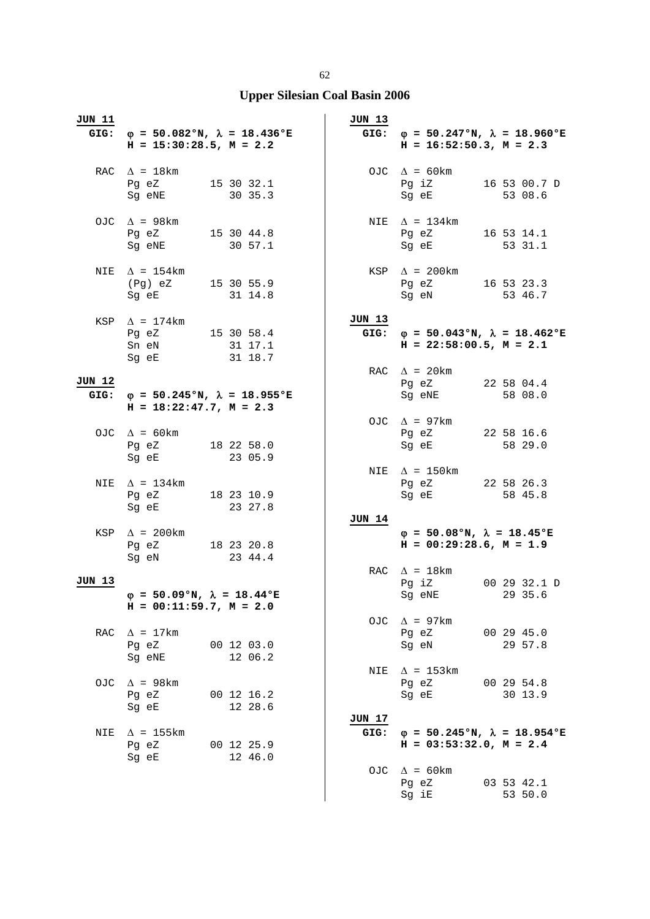| JUN 11        | $H = 15:30:28.5$ , $M = 2.2$                                                                                                                               | GIG: $\varphi = 50.082$ °N, $\lambda = 18.436$ °E | <b>JUN 13</b>  | GIG: $\varphi = 50.247$ °N, $\lambda = 18.960$ °E<br>$H = 16:52:50.3$ , $M = 2.3$                                                                                        |
|---------------|------------------------------------------------------------------------------------------------------------------------------------------------------------|---------------------------------------------------|----------------|--------------------------------------------------------------------------------------------------------------------------------------------------------------------------|
|               | RAC $\Delta = 18 \text{km}$<br>Pg eZ 15 30 32.1<br>Sg eNE                                                                                                  | 30 35.3                                           |                | OJC $\Delta = 60 \text{km}$<br>Pg iZ<br>16 53 00.7 D<br>Sg eE<br>53 08.6                                                                                                 |
|               | OJC $\Delta$ = 98km<br>Pg eZ 15 30 44.8<br>Sg eNE                                                                                                          | 30 57.1                                           |                | NIE $\Delta$ = 134km<br>Pg eZ<br>16 53 14.1<br>Sg eE and the state of the state of the state of the state of the state of the state of the state of the state<br>53 31.1 |
|               | NIE $\Delta = 154 \text{km}$<br>(Pg) eZ 15 30 55.9<br>Sg eE                                                                                                | 31 14.8                                           |                | $KSP \quad \Delta = 200 \text{km}$<br>Pg eZ 16 53 23.3<br>53 46.7<br>Sg eN                                                                                               |
|               | KSP $\Delta$ = 174km<br>Pg eZ 15 30 58.4<br>Sn eN<br>Sg eE                                                                                                 | 31 17.1<br>31 18.7                                | JUN 13         | GIG: $\varphi = 50.043$ °N, $\lambda = 18.462$ °E<br>$H = 22:58:00.5$ , $M = 2.1$                                                                                        |
| JUN 12        | $H = 18:22:47.7, M = 2.3$                                                                                                                                  | GIG: $\varphi = 50.245$ °N, $\lambda = 18.955$ °E |                | RAC $\Delta$ = 20 km<br>Pg eZ 22 58 04.4<br>Sg eNE<br>58 08.0                                                                                                            |
|               | OJC $\Delta = 60 \text{km}$<br>Pg eZ 18 22 58.0<br>Sg eE                                                                                                   | 23 05.9                                           |                | OJC $\Delta$ = 97km<br>Pg eZ<br>22 58 16.6<br>58 29.0<br>Sg eE                                                                                                           |
|               | NIE $\Delta$ = 134km<br>Pg eZ 18 23 10.9<br>Sg eE and the state of the state of the state of the state of the state of the state of the state of the state | 23 27.8                                           |                | NIE $\Delta$ = 150km<br>Pg eZ 22 58 26.3<br>Sg eE 58 45.8                                                                                                                |
|               | KSP $\Delta$ = 200km<br>Pg eZ 18 23 20.8<br>Sg eN                                                                                                          | 23 44.4                                           | <b>JUN 14</b>  | $\varphi = 50.08$ °N, $\lambda = 18.45$ °E<br>$H = 00:29:28.6$ , $M = 1.9$                                                                                               |
| <b>JUN 13</b> | $\varphi = 50.09$ °N, $\lambda = 18.44$ °E<br>$H = 00:11:59.7, M = 2.0$                                                                                    |                                                   |                | RAC $\Delta = 18$ km<br>Pg iZ<br>00 29 32.1 D<br>29 35.6<br>Sg eNE                                                                                                       |
|               | RAC $\Delta = 17 \text{km}$<br>Pg eZ<br>Sg eNE                                                                                                             | 00 12 03.0<br>12 06.2                             | OJC            | $\Delta$ = 97km<br>00 29 45.0<br>Pg eZ<br>29 57.8<br>Sq eN                                                                                                               |
| OJC.          | $\Delta$ = 98km<br>Pg eZ<br>Sg eE                                                                                                                          | 00 12 16.2<br>12 28.6                             | NIE            | $\Delta$ = 153km<br>00 29 54.8<br>Pg eZ<br>30 13.9<br>Sg eE                                                                                                              |
|               | NIE $\Delta$ = 155km<br>Pg eZ<br>Sg eE                                                                                                                     | 00 12 25.9<br>12 46.0                             | JUN 17<br>GIG: | $\varphi = 50.245$ °N, $\lambda = 18.954$ °E<br>$H = 03:53:32.0, M = 2.4$                                                                                                |
|               |                                                                                                                                                            |                                                   |                | OJC $\Delta = 60 \text{km}$<br>03 53 42.1<br>Pg eZ<br>Sg iE<br>53 50.0                                                                                                   |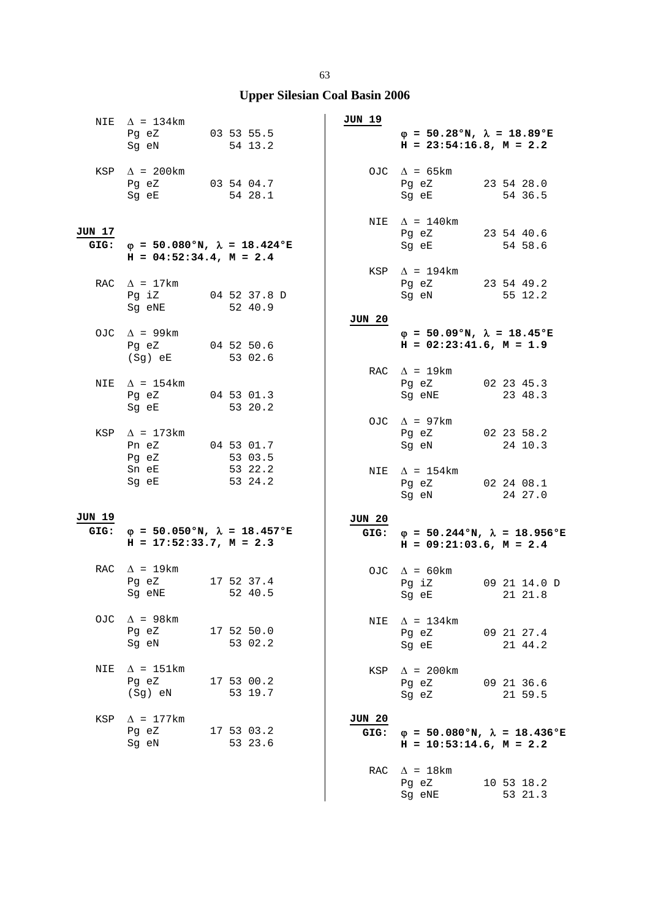## **Upper Silesian Coal Basin 2006**

|                | NIE $\Delta$ = 134km<br>Pg eZ 03 53 55.5<br>Sg eN and the state of the state of the state of the state of the state of the state of the state of the state of the state of the state of the state of the state of the state of the state of the state of the state of the |  | 54 13.2                 | JUN 19         | $\varphi = 50.28$ °N, $\lambda = 18.89$ °E<br>$H = 23:54:16.8$ , $M = 2.2$ |                                                   |
|----------------|---------------------------------------------------------------------------------------------------------------------------------------------------------------------------------------------------------------------------------------------------------------------------|--|-------------------------|----------------|----------------------------------------------------------------------------|---------------------------------------------------|
|                | KSP $\Delta$ = 200km<br>Pg eZ 03 54 04.7<br>Sg eE                                                                                                                                                                                                                         |  | 54 28.1                 |                | OJC $\Delta$ = 65km<br>Pg eZ 23 54 28.0<br>Sg eE                           | 54 36.5                                           |
| JUN 17         | GIG: $\varphi = 50.080$ °N, $\lambda = 18.424$ °E<br>$H = 04:52:34.4$ , $M = 2.4$                                                                                                                                                                                         |  |                         |                | NIE $\Delta = 140 \text{km}$<br>Pg eZ 23 54 40.6<br>Sg eE                  | 54 58.6                                           |
|                | RAC $\Delta = 17 \text{km}$<br>Pg iZ<br>Sg eNE                                                                                                                                                                                                                            |  | 04 52 37.8 D<br>52 40.9 |                | KSP $\Delta$ = 194km<br>Pg eZ 23 54 49.2<br>Sg eN 55 12.2                  |                                                   |
|                | OJC $\Delta$ = 99km<br>Pq eZ<br>$(Sg)$ eE                                                                                                                                                                                                                                 |  | 04 52 50.6<br>53 02.6   | JUN 20         | $\varphi = 50.09$ °N, $\lambda = 18.45$ °E<br>$H = 02:23:41.6$ , $M = 1.9$ |                                                   |
| NIE            | $\Delta$ = 154 km<br>Pg eZ 04 53 01.3<br>Sq eE and the state of the state of the state of the state of the state of the state of the state of the state                                                                                                                   |  | 53 20.2                 |                | RAC $\Delta = 19 \text{km}$<br>Pg eZ 02 23 45.3<br>Sg eNE                  | 23 48.3                                           |
|                | KSP $\Delta$ = 173km<br>Pn eZ 04 53 01.7<br>Pg eZ                                                                                                                                                                                                                         |  | 53 03.5                 |                | OJC $\Delta$ = 97km<br>Pg eZ<br>Sg eN                                      | 02 23 58.2<br>24 10.3                             |
|                | Sn eE<br>Sg eE                                                                                                                                                                                                                                                            |  | 53 22.2<br>53 24.2      |                | NIE $\Delta$ = 154km<br>Pg eZ 02 24 08.1<br>Sg eN                          | 24 27.0                                           |
| JUN 19<br>GIG: | $\varphi = 50.050$ °N, $\lambda = 18.457$ °E<br>$H = 17:52:33.7, M = 2.3$                                                                                                                                                                                                 |  |                         | JUN 20<br>GIG: | $H = 09:21:03.6$ , $M = 2.4$                                               | $\varphi = 50.244$ °N, $\lambda = 18.956$ °E      |
|                | RAC $\Delta$ = 19km<br>Pg eZ 17 52 37.4<br>Sg eNE                                                                                                                                                                                                                         |  | 52 40.5                 |                | OJC $\Delta$ = 60 km<br>Pg iZ<br>Sg eE                                     | 09 21 14.0 D<br>21 21.8                           |
|                | OJC $\Delta$ = 98km<br>Pg eZ 17 52 50.0<br>Sg eN                                                                                                                                                                                                                          |  | 53 02.2                 |                | NIE $\Delta$ = 134km<br>Pg eZ 09 21 27.4<br>Sg eE                          | 21 44.2                                           |
| NIE            | $\Delta$ = 151km<br>Pg eZ<br>(Sg) eN                                                                                                                                                                                                                                      |  | 17 53 00.2<br>53 19.7   | KSP            | $\Delta$ = 200km<br>Pg eZ<br>Sg eZ                                         | 09 21 36.6<br>21 59.5                             |
| KSP            | $\Delta$ = 177km<br>Pg eZ 17 53 03.2<br>Sg eN                                                                                                                                                                                                                             |  | 53 23.6                 | JUN 20         | $H = 10:53:14.6$ , $M = 2.2$                                               | GIG: $\varphi = 50.080$ °N, $\lambda = 18.436$ °E |
|                |                                                                                                                                                                                                                                                                           |  |                         |                | RAC $\Delta = 18$ km<br>Pg eZ<br>Sg eNE                                    | 10 53 18.2<br>53 21.3                             |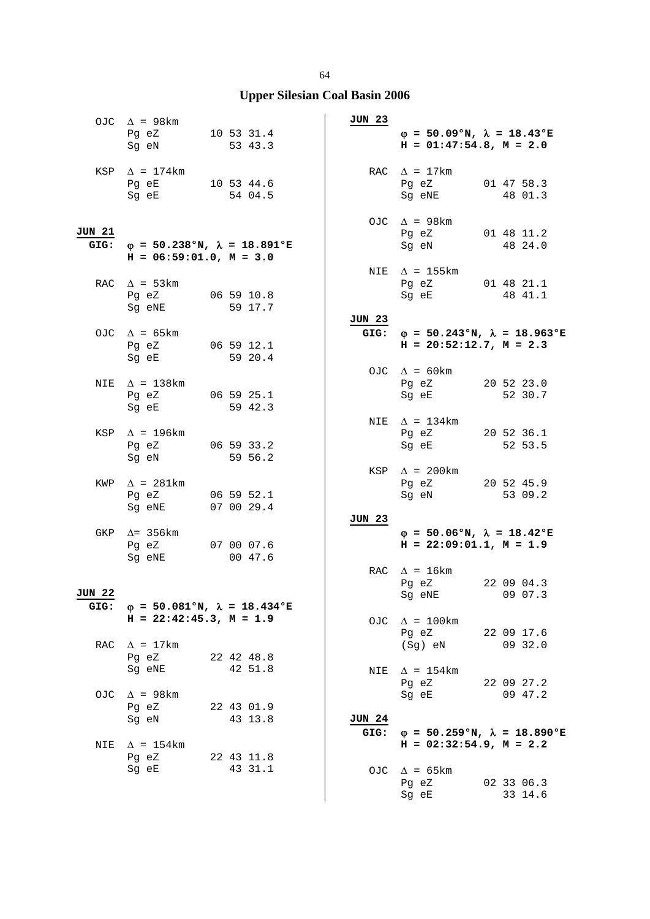|                | OJC $\Delta$ = 98km<br>Pg eZ<br>10 53 31.4<br>Sg eN                       | 53 43.3               |         | JUN 23        | $\varphi = 50.09$ °N, $\lambda = 18.43$ °E<br>$H = 01:47:54.8$ , $M = 2.0$        |                       |
|----------------|---------------------------------------------------------------------------|-----------------------|---------|---------------|-----------------------------------------------------------------------------------|-----------------------|
|                | KSP $\Delta$ = 174km<br>Pg eE 10 53 44.6<br>Sg eE                         |                       | 54 04.5 |               | RAC $\Delta = 17 \text{km}$<br>Pg eZ<br>Sg eNE                                    | 01 47 58.3<br>48 01.3 |
| JUN 21<br>GIG: | $\varphi = 50.238$ °N, $\lambda = 18.891$ °E<br>$H = 06:59:01.0, M = 3.0$ |                       |         |               | OJC $\Delta$ = 98km<br>Pg eZ 01 48 11.2<br>Sg eN                                  | 48 24.0               |
|                | RAC $\Delta$ = 53km<br>Pg eZ<br>Sg eNE                                    | 06 59 10.8            | 59 17.7 |               | NIE $\Delta$ = 155 km<br>Pg eZ 01 48 21.1<br>Sg eE                                | 48 41.1               |
|                | OJC $\Delta$ = 65 km<br>Pg eZ 06 59 12.1<br>Sq eE                         |                       | 59 20.4 | <b>JUN 23</b> | GIG: $\varphi = 50.243$ °N, $\lambda = 18.963$ °E<br>$H = 20:52:12.7$ , $M = 2.3$ |                       |
| NIE            | $\Delta$ = 138km<br>Pg eZ 06 59 25.1<br>Sg eE                             | 59 42.3               |         |               | OJC $\Delta = 60 \text{km}$<br>Pg eZ 20 52 23.0<br>Sq eE                          | 52 30.7               |
|                | KSP $\Delta$ = 196km<br>Pg eZ 06 59 33.2<br>Sg eN                         |                       | 59 56.2 |               | NIE $\Delta$ = 134km<br>Pg eZ<br>Sg eE                                            | 20 52 36.1<br>52 53.5 |
| KWP            | $\Delta$ = 281km<br>Pg eZ<br>Sg eNE 07 00 29.4                            | 06 59 52.1            |         |               | KSP $\Delta$ = 200km<br>Pg eZ 20 52 45.9<br>Sg eN                                 | 53 09.2               |
| GKP            | $\Delta$ = 356km<br>Pg eZ<br>Sg eNE                                       | 07 00 07.6            | 00 47.6 | <b>JUN 23</b> | $\varphi = 50.06$ °N, $\lambda = 18.42$ °E<br>$H = 22:09:01.1, M = 1.9$           |                       |
| JUN 22         | GIG: $\varphi = 50.081°N$ , $\lambda = 18.434°E$                          |                       |         |               | RAC $\Delta$ = 16km<br>Pg eZ<br>Sg eNE 09 07.3                                    | 22 09 04.3            |
|                | $H = 22:42:45.3$ , $M = 1.9$                                              |                       |         | OJC           | $\Delta$ = 100km<br>Pg eZ                                                         | 22 09 17.6            |
| RAC            | $\Delta$ = 17km<br>Pg eZ<br>Sg eNE                                        | 22 42 48.8<br>42 51.8 |         |               | (Sg) eN<br>NIE $\Delta = 154 \text{km}$                                           | 09 32.0               |
|                | OJC $\Delta$ = 98km<br>Pg eZ<br>Sg eN                                     | 22 43 01.9            | 43 13.8 | <b>JUN 24</b> | Pg eZ<br>Sg eE                                                                    | 22 09 27.2<br>09 47.2 |
| NIE            | $\Delta$ = 154km<br>Pg eZ 22 43 11.8                                      |                       |         |               | GIG: $\varphi = 50.259$ °N, $\lambda = 18.890$ °E<br>$H = 02:32:54.9$ , $M = 2.2$ |                       |
|                | Sg eE                                                                     |                       | 43 31.1 |               | OJC $\Delta$ = 65km<br>Pg eZ<br>Sg eE                                             | 02 33 06.3<br>33 14.6 |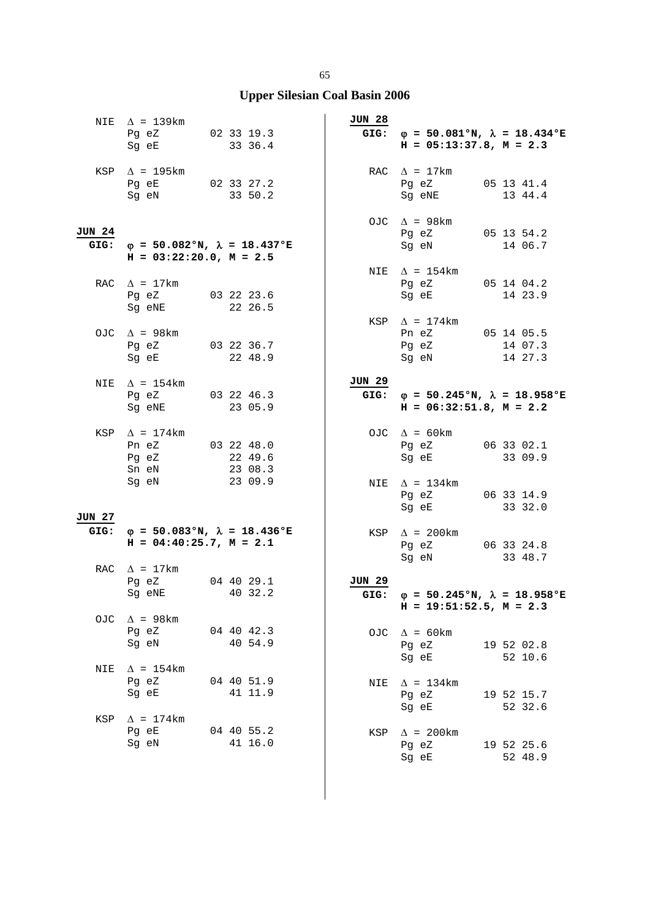|                       | NIE $\Delta$ = 139km<br>Pg eZ 02 33 19.3<br>Sg eE 33 36.4                    |            |         | <b>JUN 28</b>         | GIG: $\varphi = 50.081°N$ , $\lambda = 18.434°E$<br>$H = 05:13:37.8$ , $M = 2.3$  |                       |
|-----------------------|------------------------------------------------------------------------------|------------|---------|-----------------------|-----------------------------------------------------------------------------------|-----------------------|
|                       | KSP $\Delta$ = 195km<br>Pg eE 02 33 27.2<br>Sg eN 33 50.2                    |            |         |                       | RAC $\Delta = 17 \text{km}$<br>Pg eZ 05 13 41.4<br>Sg eNE 13 44.4                 |                       |
| <b>JUN 24</b><br>GIG: | $\varphi = 50.082$ °N, $\lambda = 18.437$ °E<br>$H = 03:22:20.0, M = 2.5$    |            |         |                       | OJC $\Delta$ = 98km<br>Pg eZ 05 13 54.2<br>Sg eN                                  | 14 06.7               |
|                       | RAC $\Delta = 17 \text{km}$<br>Pg eZ 03 22 23.6<br>Sg eNE                    | 22 26.5    |         |                       | NIE $\Delta = 154 \text{km}$<br>Pg eZ 05 14 04.2<br>Sg eE                         | 14 23.9               |
|                       | OJC $\Delta$ = 98km<br>Pg eZ 03 22 36.7<br>Sg eE 22 48.9                     |            |         |                       | KSP $\Delta$ = 174km<br>Pn eZ 05 14 05.5<br>Pg eZ 14 07.3<br>Sg eN                | 14 27.3               |
| NIE                   | $\Delta$ = 154km<br>Pg eZ 03 22 46.3<br>Sg eNE                               | 23 05.9    |         | JUN 29                | GIG: $\varphi = 50.245$ °N, $\lambda = 18.958$ °E<br>$H = 06:32:51.8$ , $M = 2.2$ |                       |
|                       | KSP $\Delta$ = 174km<br>Pn eZ 03 22 48.0<br>Pg eZ 22 49.6<br>Sn eN           | 23 08.3    |         |                       | OJC $\Delta = 60 \text{km}$<br>Pg eZ 06 33 02.1<br>Sg eE 33 09.9                  |                       |
| JUN 27                | Sg eN                                                                        | 23 09.9    |         |                       | NIE $\Delta$ = 134km<br>Pg eZ 06 33 14.9<br>Sg eE                                 | 33 32.0               |
| GIG:                  | $\varphi = 50.083$ °N, $\lambda = 18.436$ °E<br>$H = 04:40:25.7$ , $M = 2.1$ |            |         |                       | KSP $\Delta$ = 200km<br>Pg eZ 06 33 24.8<br>Sg eN                                 | 33 48.7               |
|                       | RAC $\Delta = 17 \text{km}$<br>Pg eZ 04 40 29.1<br>Sg eNE                    |            | 40 32.2 | <b>JUN 29</b><br>GIG: | $\varphi = 50.245$ °N, $\lambda = 18.958$ °E<br>$H = 19:51:52.5$ , $M = 2.3$      |                       |
| OJC                   | $\Delta$ = 98km<br>Pg eZ<br>Sg eN                                            | 04 40 42.3 | 40 54.9 |                       | OJC $\Delta$ = 60km<br>Pg eZ<br>Sg eE                                             | 19 52 02.8<br>52 10.6 |
| NIE                   | $\Delta$ = 154 km<br>Pq eZ<br>Sg eE                                          | 04 40 51.9 | 41 11.9 | NIE                   | $\Delta$ = 134km<br>Pg eZ<br>Sg eE                                                | 19 52 15.7<br>52 32.6 |
| KSP                   | $\Delta$ = 174 km<br>Pq eE<br>Sg eN                                          | 04 40 55.2 | 41 16.0 | KSP                   | $\Delta$ = 200km<br>Pg eZ<br>Sg eE                                                | 19 52 25.6<br>52 48.9 |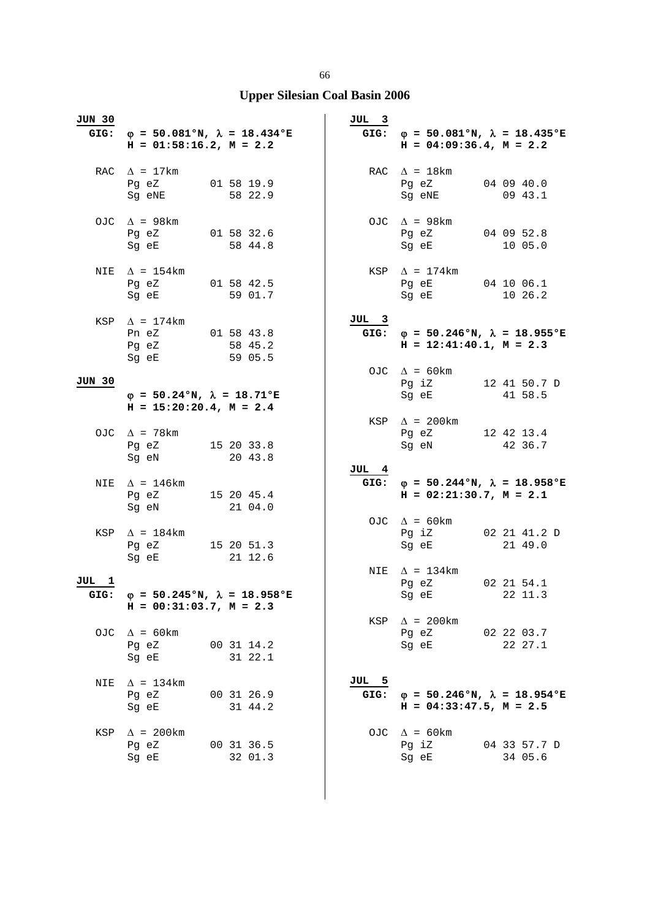| <b>JUN 30</b> | GIG: $\varphi = 50.081^\circ N$ , $\lambda = 18.434^\circ E$<br>$H = 01:58:16.2, M = 2.2$                                                                                                                                                                                  |                       | JUL 3 | GIG: $\varphi = 50.081$ °N, $\lambda = 18.435$ °E<br>$H = 04:09:36.4$ , $M = 2.2$                                                                         |                         |
|---------------|----------------------------------------------------------------------------------------------------------------------------------------------------------------------------------------------------------------------------------------------------------------------------|-----------------------|-------|-----------------------------------------------------------------------------------------------------------------------------------------------------------|-------------------------|
|               | RAC $\Delta = 17 \text{km}$<br>Pg eZ 01 58 19.9<br>Sg eNE                                                                                                                                                                                                                  | 58 22.9               |       | RAC $\Delta = 18$ km<br>Pg eZ<br>Sg eNE                                                                                                                   | 04 09 40.0<br>09 43.1   |
|               | OJC $\Delta$ = 98km<br>Pg eZ 01 58 32.6<br>Sg eE 58 44.8                                                                                                                                                                                                                   |                       |       | OJC $\Delta$ = 98km<br>Pg eZ 04 09 52.8<br>Sg eE and the state of the state of the state of the state of the state of the state of the state of the state | 10 05.0                 |
|               | NIE $\Delta = 154 \text{km}$<br>Pg eZ 01 58 42.5<br>Sg eE                                                                                                                                                                                                                  | 59 01.7               |       | $KSP \quad \Delta = 174 \text{km}$<br>Pg eE 04 10 06.1<br>Sg eE                                                                                           | 10 26.2                 |
|               | KSP $\Delta$ = 174km<br>Pn eZ 01 58 43.8<br>Pg eZ<br>Sg eE                                                                                                                                                                                                                 | 58 45.2<br>59 05.5    | JUL 3 | GIG: $\varphi = 50.246$ °N, $\lambda = 18.955$ °E<br>$H = 12:41:40.1, M = 2.3$                                                                            |                         |
| <b>JUN 30</b> | $\varphi = 50.24$ °N, $\lambda = 18.71$ °E<br>$H = 15:20:20.4$ , $M = 2.4$                                                                                                                                                                                                 |                       |       | OJC $\Delta = 60 \text{km}$<br>Pg iZ 12 41 50.7 D<br>Sg eE                                                                                                | 41 58.5                 |
|               | OJC $\Delta$ = 78km<br>Pg eZ 15 20 33.8<br>Sg eN                                                                                                                                                                                                                           | 20 43.8               |       | $KSP \quad \Delta = 200 \text{km}$<br>Pg eZ 12 42 13.4<br>Sg eN                                                                                           | 42 36.7                 |
|               | NIE $\Delta$ = 146 km<br>Pg eZ 15 20 45.4<br>Sg eN and the state of the state of the state of the state of the state of the state of the state of the state of the state of the state of the state of the state of the state of the state of the state of the state of the | 21 04.0               | JUL 4 | GIG: $\varphi = 50.244 \text{°N}$ , $\lambda = 18.958 \text{°E}$<br>$H = 02:21:30.7$ , $M = 2.1$                                                          |                         |
|               | KSP $\Delta$ = 184km<br>Pg eZ 15 20 51.3<br>Sg eE                                                                                                                                                                                                                          | 21 12.6               |       | OJC $\Delta = 60 \text{km}$<br>Pg iZ<br>Sg eE                                                                                                             | 02 21 41.2 D<br>21 49.0 |
| JUL 1<br>GIG: | $\varphi = 50.245$ °N, $\lambda = 18.958$ °E<br>$H = 00:31:03.7$ , $M = 2.3$                                                                                                                                                                                               |                       |       | NIE $\Delta = 134 \text{km}$<br>$Pg$ eZ<br>Sg eE 22 11.3                                                                                                  | 02 21 54.1              |
|               | OJC $\Delta = 60 \text{km}$<br>Pg eZ<br>Sq eE                                                                                                                                                                                                                              | 00 31 14.2<br>31 22.1 | KSP   | $\Delta$ = 200km<br>$Pg$ eZ<br>Sq eE                                                                                                                      | 02 22 03.7<br>22 27.1   |
| NIE           | $\Delta$ = 134km<br>Pg eZ<br>Sg eE                                                                                                                                                                                                                                         | 00 31 26.9<br>31 44.2 | JUL 5 | GIG: $\varphi = 50.246$ °N, $\lambda = 18.954$ °E<br>$H = 04:33:47.5$ , $M = 2.5$                                                                         |                         |
| KSP           | $\Delta$ = 200km<br>Pg eZ<br>Sg eE                                                                                                                                                                                                                                         | 00 31 36.5<br>32 01.3 |       | OJC $\Delta = 60 \text{km}$<br>Pg iZ<br>Sg eE                                                                                                             | 04 33 57.7 D<br>34 05.6 |

 $\overline{\phantom{a}}$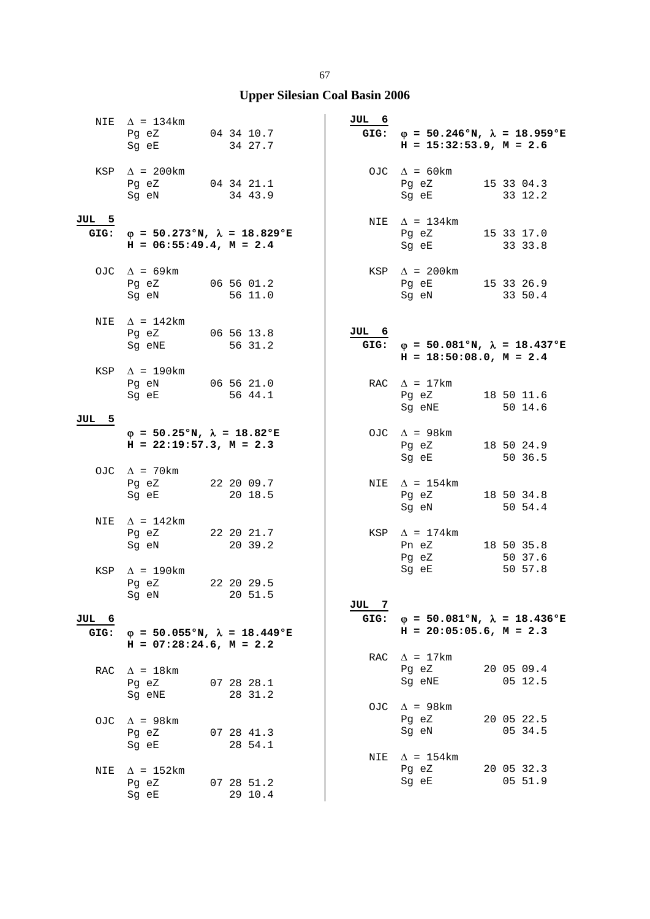|               | NIE $\Delta = 134 \text{km}$<br>Pg eZ<br>Sg eE                                                                                                            | 04 34 10.7<br>34 27.7                        | JUL 6 | GIG: $\varphi = 50.246$ °N, $\lambda = 18.959$ °E<br>$H = 15:32:53.9, M = 2.6$ |                       |
|---------------|-----------------------------------------------------------------------------------------------------------------------------------------------------------|----------------------------------------------|-------|--------------------------------------------------------------------------------|-----------------------|
|               | KSP $\Delta$ = 200km<br>Pg eZ 04 34 21.1<br>Sg eN 34 43.9                                                                                                 |                                              |       | OJC $\Delta = 60 \text{km}$<br>Pg eZ<br>Sg eE                                  | 15 33 04.3<br>33 12.2 |
| JUL 5<br>GIG: | $H = 06:55:49.4$ , $M = 2.4$                                                                                                                              | $\varphi$ = 50.273°N, $\lambda$ = 18.829°E   |       | NIE $\Delta = 134 \text{km}$<br>Pg eZ<br>Sg eE                                 | 15 33 17.0<br>33 33.8 |
|               | OJC $\Delta = 69 \text{km}$<br>Pg eZ<br>Sg eN                                                                                                             | 06 56 01.2<br>56 11.0                        |       | $KSP \quad \Delta = 200 \text{km}$<br>Pg eE<br>Sg eN                           | 15 33 26.9<br>33 50.4 |
| NIE           | $\Delta$ = 142km<br>Pg eZ 06 56 13.8<br>Sg eNE                                                                                                            | 56 31.2                                      | JUL 6 | GIG: $\varphi = 50.081°N$ , $\lambda = 18.437°E$<br>$H = 18:50:08.0, M = 2.4$  |                       |
|               | KSP $\Delta$ = 190km<br>Pg eN 06 56 21.0<br>Sg eE                                                                                                         | 56 44.1                                      |       | RAC $\Delta = 17 \text{km}$<br>Pg eZ<br>Sg eNE                                 | 18 50 11.6<br>50 14.6 |
| JUL 5         | $\varphi = 50.25$ °N, $\lambda = 18.82$ °E<br>$H = 22:19:57.3, M = 2.3$                                                                                   |                                              |       | OJC $\Delta$ = 98km<br>Pg eZ<br>Sg eE                                          | 18 50 24.9<br>50 36.5 |
|               | OJC $\Delta$ = 70km<br>Pg eZ 22 20 09.7<br>Sg eE and the state of the state of the state of the state of the state of the state of the state of the state | 20 18.5                                      |       | NIE $\Delta$ = 154km<br>Pg eZ<br>Sg eN                                         | 18 50 34.8<br>50 54.4 |
| NIE           | $\Delta$ = 142km<br>Pg eZ<br>Sg eN                                                                                                                        | 22 20 21.7<br>20 39.2                        |       | KSP $\Delta$ = 174km<br>Pn eZ<br>Pg eZ                                         | 18 50 35.8<br>50 37.6 |
|               | KSP $\Delta$ = 190km<br>Pg eZ<br>Sg eN 20 51.5                                                                                                            | 22 20 29.5                                   | JUL 7 | Sg eE                                                                          | 50 57.8               |
| JUL 6<br>GIG: | $H = 07:28:24.6$ , $M = 2.2$                                                                                                                              | $\varphi = 50.055$ °N, $\lambda = 18.449$ °E | GIG:  | $\varphi = 50.081$ °N, $\lambda = 18.436$ °E<br>$H = 20:05:05.6$ , $M = 2.3$   |                       |
| RAC           | $\Delta$ = 18km<br>Pg eZ<br>Sg eNE                                                                                                                        | 07 28 28.1<br>28 31.2                        |       | RAC $\Delta = 17 \text{km}$<br>Pg eZ<br>Sg eNE                                 | 20 05 09.4<br>05 12.5 |
| OJ C          | $\Delta$ = 98km<br>Pg eZ<br>Sg eE                                                                                                                         | 07 28 41.3<br>28 54.1                        | OJC   | $\Delta$ = 98km<br>Pg eZ<br>Sg eN                                              | 20 05 22.5<br>05 34.5 |
| NIE           | $\Delta$ = 152km<br>Pg eZ<br>Sg eE                                                                                                                        | 07 28 51.2<br>29 10.4                        |       | NIE $\Delta = 154 \text{km}$<br>Pg eZ<br>Sg eE                                 | 20 05 32.3<br>05 51.9 |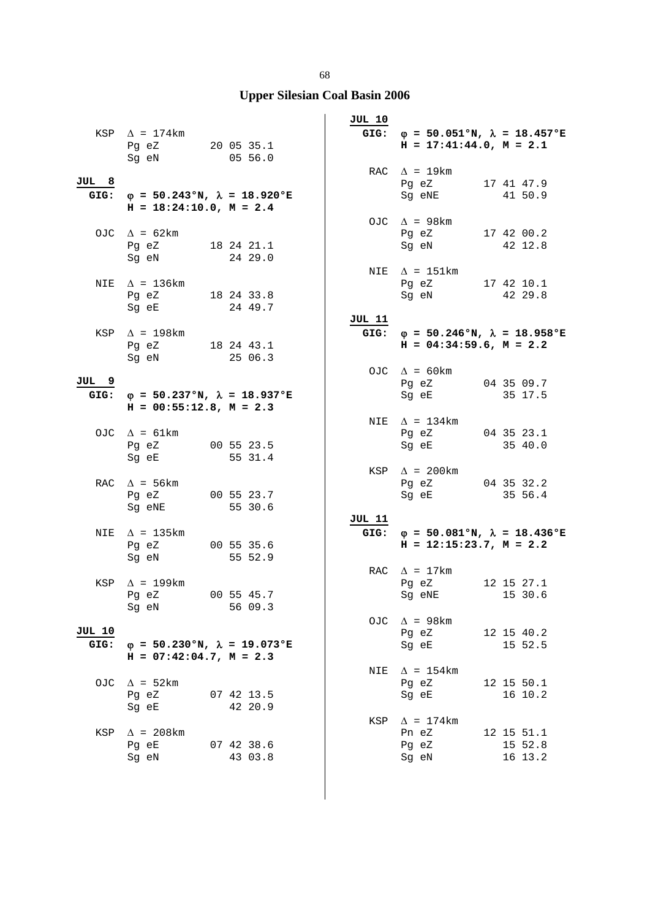## **Upper Silesian Coal Basin 2006**

|                       | KSP $\Delta$ = 174km<br>Pg eZ 20 05 35.1<br>Sg eN                                 | 05 56.0               | <b>JUL 10</b> | GIG: $\varphi = 50.051$ °N, $\lambda = 18.457$ °E<br>$H = 17:41:44.0, M = 2.1$                                                                         |                                  |
|-----------------------|-----------------------------------------------------------------------------------|-----------------------|---------------|--------------------------------------------------------------------------------------------------------------------------------------------------------|----------------------------------|
| JUL 8                 | GIG: $\varphi = 50.243$ °N, $\lambda = 18.920$ °E<br>$H = 18:24:10.0, M = 2.4$    |                       |               | RAC $\Delta = 19 \text{km}$<br>Pg eZ 17 41 47.9<br>Sg eNE 41 50.9                                                                                      |                                  |
|                       | OJC $\Delta = 62 \text{km}$<br>Pg eZ 18 24 21.1<br>Sg eN                          | 24 29.0               |               | OJC $\Delta$ = 98km<br>Pg eZ 17 42 00.2<br>Sg eN 42 12.8                                                                                               |                                  |
| NIE                   | $\Delta$ = 136km<br>Pg eZ 18 24 33.8<br>Sg eE                                     | 24 49.7               |               | NIE $\Delta = 151 \text{km}$<br>Pg eZ 17 42 10.1<br>Sg eN                                                                                              | 42 29.8                          |
|                       | KSP $\Delta$ = 198km<br>Pg eZ 18 24 43.1<br>Sg eN 25 06.3                         |                       | JUL 11        | GIG: $\varphi = 50.246$ °N, $\lambda = 18.958$ °E<br>$H = 04:34:59.6$ , $M = 2.2$                                                                      |                                  |
| JUL 9                 | GIG: $\varphi = 50.237$ °N, $\lambda = 18.937$ °E<br>$H = 00:55:12.8$ , $M = 2.3$ |                       |               | OJC $\Delta = 60 \text{km}$<br>Pg eZ<br>Sg eE                                                                                                          | 04 35 09.7<br>35 17.5            |
|                       | OJC $\Delta = 61 \text{km}$<br>Pg eZ 00 55 23.5<br>Sg eE                          | 55 31.4               |               | NIE $\Delta$ = 134km<br>Pg eZ 04 35 23.1<br>Sg eE                                                                                                      | 35 40.0                          |
|                       | RAC $\Delta$ = 56km<br>Pg eZ 00 55 23.7<br>Sg eNE                                 | 55 30.6               | KSP           | $\Delta$ = 200km<br>Pg eZ 04 35 32.2<br>Sg eE and the state of the state of the state of the state of the state of the state of the state of the state | 35 56.4                          |
| NIE                   | $\Delta$ = 135km<br>Pg eZ 00 55 35.6<br>Sg eN                                     | 55 52.9               | JUL 11        | GIG: $\varphi = 50.081°N$ , $\lambda = 18.436°E$<br>$H = 12:15:23.7, M = 2.2$                                                                          |                                  |
| KSP                   | $\Delta$ = 199km<br>Pg eZ<br>Sg eN                                                | 00 55 45.7<br>56 09.3 |               | RAC $\Delta = 17 \text{km}$<br>Pg eZ<br>Sg eNE 15 30.6                                                                                                 | 12 15 27.1                       |
| <b>JUL 10</b><br>GIG: | $\varphi = 50.230$ °N, $\lambda = 19.073$ °E<br>$H = 07:42:04.7$ , $M = 2.3$      |                       |               | OJC $\Delta$ = 98km<br>Pg eZ<br>Sg eE                                                                                                                  | 12 15 40.2<br>15 52.5            |
|                       | OJC $\Delta = 52 \text{km}$<br>Pq eZ<br>Sg eE                                     | 07 42 13.5<br>42 20.9 |               | NIE $\Delta$ = 154km<br>Pg eZ<br>Sg eE                                                                                                                 | 12 15 50.1<br>16 10.2            |
| KSP                   | $\Delta$ = 208km<br>Pg eE<br>Sq eN                                                | 07 42 38.6<br>43 03.8 |               | KSP $\Delta$ = 174km<br>Pn eZ<br>Pg eZ<br>Sg eN                                                                                                        | 12 15 51.1<br>15 52.8<br>16 13.2 |

 $\overline{\phantom{a}}$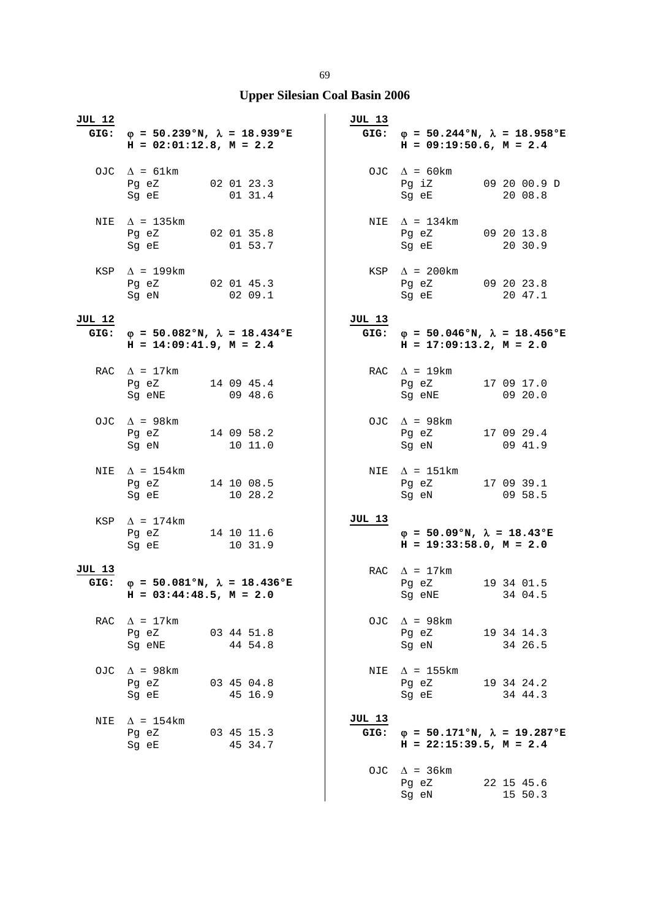| JUL 12 | GIG: $\varphi = 50.239$ °N, $\lambda = 18.939$ °E<br>$H = 02:01:12.8$ , $M = 2.2$ |                       | <b>JUL 13</b> | GIG: $\varphi = 50.244 \text{°N}$ , $\lambda = 18.958 \text{°E}$<br>$H = 09:19:50.6$ , $M = 2.4$ |                       |
|--------|-----------------------------------------------------------------------------------|-----------------------|---------------|--------------------------------------------------------------------------------------------------|-----------------------|
|        | OJC $\Delta = 61 \text{km}$<br>Pg eZ 02 01 23.3<br>Sg eE                          | 01 31.4               |               | OJC $\Delta = 60 \text{km}$<br>Pg iZ 09 20 00.9 D<br>Sg eE                                       | 20 08.8               |
|        | NIE $\Delta$ = 135km<br>Pg eZ 02 01 35.8<br>Sg eE 01 53.7                         |                       |               | NIE $\Delta = 134 \text{km}$<br>Pg eZ 09 20 13.8<br>Sg eE 20 30.9                                |                       |
|        | KSP $\Delta$ = 199km<br>Pg eZ 02 01 45.3<br>Sg eN 02 09.1                         |                       |               | $KSP \quad \Delta = 200 \text{km}$<br>Pg eZ 09 20 23.8<br>Sg eE                                  | 20 47.1               |
| JUL 12 | GIG: $\varphi = 50.082$ °N, $\lambda = 18.434$ °E<br>$H = 14:09:41.9$ , $M = 2.4$ |                       | JUL 13        | GIG: $\varphi = 50.046$ °N, $\lambda = 18.456$ °E<br>$H = 17:09:13.2, M = 2.0$                   |                       |
|        | RAC $\Delta = 17 \text{km}$<br>Pg eZ 14 09 45.4<br>Sg eNE                         | 09 48.6               |               | RAC $\Delta$ = 19km<br>Pg eZ 17 09 17.0<br>Sg eNE                                                | 09 20.0               |
|        | OJC $\Delta$ = 98km<br>Pg eZ 14 09 58.2<br>Sg eN                                  | 10 11.0               |               | OJC $\Delta$ = 98km<br>Pg eZ 17 09 29.4<br>Sg eN                                                 | 09 41.9               |
|        | NIE $\Delta$ = 154km<br>Pg eZ 14 10 08.5<br>Sg eE 10 28.2                         |                       |               | NIE $\Delta$ = 151km<br>Pg eZ 17 09 39.1<br>Sg eN 09 58.5                                        |                       |
|        | KSP $\Delta$ = 174km<br>Pg eZ 14 10 11.6<br>Sg eE 10 31.9                         |                       | JUL 13        | $\varphi = 50.09$ °N, $\lambda = 18.43$ °E<br>$H = 19:33:58.0, M = 2.0$                          |                       |
| JUL 13 | GIG: $\varphi = 50.081°N$ , $\lambda = 18.436°E$<br>$H = 03:44:48.5$ , $M = 2.0$  |                       |               | RAC $\Delta = 17 \text{km}$<br>Pg eZ<br>Sg eNE 34 04.5                                           | 19 34 01.5            |
| RAC    | $\Delta$ = 17km<br>Pg eZ 03 44 51.8<br>Sg eNE 44 54.8                             |                       |               | OJC $\Delta$ = 98km<br>Pg eZ<br>Sg eN 34 26.5                                                    | 19 34 14.3            |
| OJC    | $\Delta$ = 98km<br>Pg eZ<br>Sg eE                                                 | 03 45 04.8<br>45 16.9 |               | NIE $\Delta$ = 155km<br>Pg eZ<br>Sg eE                                                           | 19 34 24.2<br>34 44.3 |
| NIE    | $\Delta$ = 154km<br>Pg eZ 03 45 15.3<br>Sg eE                                     | 45 34.7               | <b>JUL 13</b> | GIG: $\varphi = 50.171^{\circ}N$ , $\lambda = 19.287^{\circ}E$<br>$H = 22:15:39.5$ , $M = 2.4$   |                       |
|        |                                                                                   |                       |               | OJC $\Delta$ = 36km<br>Pg eZ<br>Sg eN                                                            | 22 15 45.6<br>15 50.3 |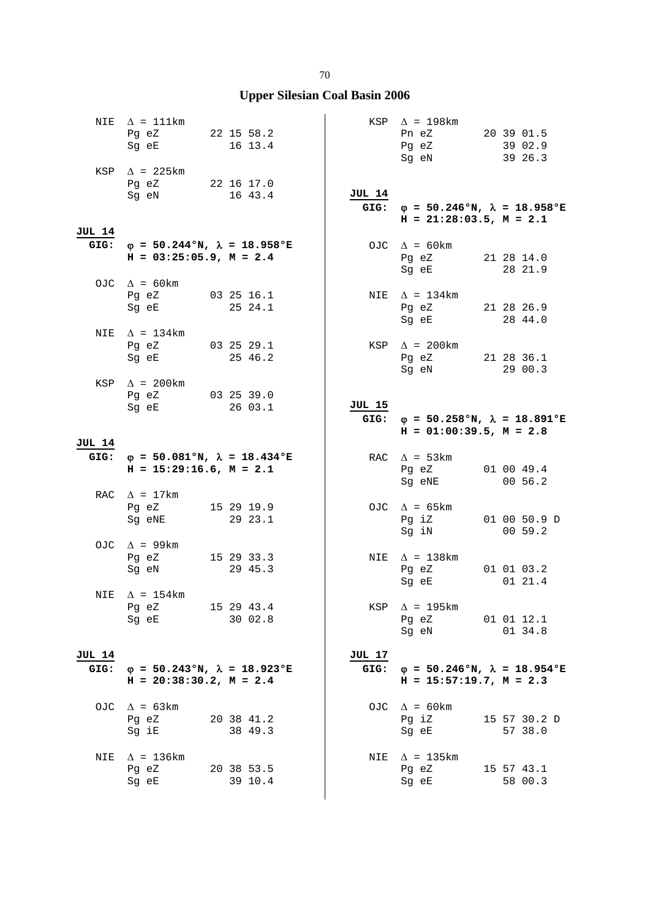|               | NIE $\Delta = 111 \text{km}$<br>Pg eZ 22 15 58.2<br>Sg eE 16 13.4 |                                                                  |               | KSP $\Delta$ = 198km<br>Pn eZ 20 39 01.5<br>Pg eZ 39 02.9<br>Sg eN                | 39 26.3                 |
|---------------|-------------------------------------------------------------------|------------------------------------------------------------------|---------------|-----------------------------------------------------------------------------------|-------------------------|
|               | KSP $\Delta$ = 225km<br>Pg eZ 22 16 17.0<br>Sg eN 16 43.4         |                                                                  | <b>JUL 14</b> | GIG: $\varphi = 50.246$ °N, $\lambda = 18.958$ °E<br>$H = 21:28:03.5$ , $M = 2.1$ |                         |
| JUL 14        | $H = 03:25:05.9$ , $M = 2.4$                                      | GIG: $\varphi = 50.244 \text{°N}$ , $\lambda = 18.958 \text{°E}$ |               | OJC $\Delta = 60 \text{km}$<br>Pg eZ 21 28 14.0<br>Sg eE 28 21.9                  |                         |
|               | OJC $\Delta = 60 \text{km}$<br>Pg eZ 03 25 16.1<br>Sg eE          | 25 24.1                                                          |               | NIE $\Delta = 134 \text{km}$<br>Pg eZ 21 28 26.9<br>Sg eE                         | 28 44.0                 |
|               | NIE $\Delta = 134 \text{km}$<br>Pg eZ 03 25 29.1<br>Sg eE 25 46.2 |                                                                  |               | KSP $\Delta$ = 200km<br>Pg eZ 21 28 36.1<br>Sg eN 29 00.3                         |                         |
|               | KSP $\Delta$ = 200km<br>Pg eZ 03 25 39.0<br>Sg eE 26 03.1         |                                                                  | JUL 15        | GIG: $\varphi = 50.258$ °N, $\lambda = 18.891$ °E<br>$H = 01:00:39.5$ , $M = 2.8$ |                         |
| JUL 14        |                                                                   |                                                                  |               |                                                                                   |                         |
|               | $H = 15:29:16.6$ , $M = 2.1$                                      | GIG: $\varphi = 50.081$ °N, $\lambda = 18.434$ °E                |               | RAC $\Delta$ = 53km<br>Pg eZ 01 00 49.4<br>Sg eNE 00 56.2                         |                         |
|               | RAC $\Delta = 17 \text{km}$<br>Pg eZ 15 29 19.9<br>Sg eNE 29 23.1 |                                                                  |               | OJC $\Delta = 65 \text{km}$<br>Pg iZ<br>Sg iN                                     | 01 00 50.9 D<br>0059.2  |
|               | OJC $\Delta$ = 99km<br>Pg eZ 15 29 33.3<br>Sg eN                  | 29 45.3                                                          |               | NIE $\Delta$ = 138km<br>Pg eZ 01 01 03.2<br>Sg eE                                 | 01 21.4                 |
|               | NIE $\Delta$ = 154km<br>Pg eZ<br>Sg eE                            | 15 29 43.4<br>30 02.8                                            | KSP           | $\Delta$ = 195km<br>Pg eZ<br>Sq eN                                                | 01 01 12.1<br>01 34.8   |
| <b>JUL 14</b> |                                                                   |                                                                  | JUL 17        |                                                                                   |                         |
| GIG:          | $H = 20:38:30.2$ , $M = 2.4$                                      | $\varphi = 50.243 \text{°N}$ , $\lambda = 18.923 \text{°E}$      | GIG:          | $\varphi = 50.246$ °N, $\lambda = 18.954$ °E<br>$H = 15:57:19.7$ , $M = 2.3$      |                         |
| OJC           | $\Delta$ = 63 km<br>Pq eZ<br>Sg iE                                | 20 38 41.2<br>38 49.3                                            |               | OJC $\Delta = 60 \text{km}$<br>Pg iZ<br>Sg eE                                     | 15 57 30.2 D<br>57 38.0 |
| NIE           | $\Delta$ = 136km<br>Pg eZ<br>Sg eE                                | 20 38 53.5<br>39 10.4                                            |               | NIE $\Delta$ = 135km<br>Pg eZ<br>Sg eE                                            | 15 57 43.1<br>58 00.3   |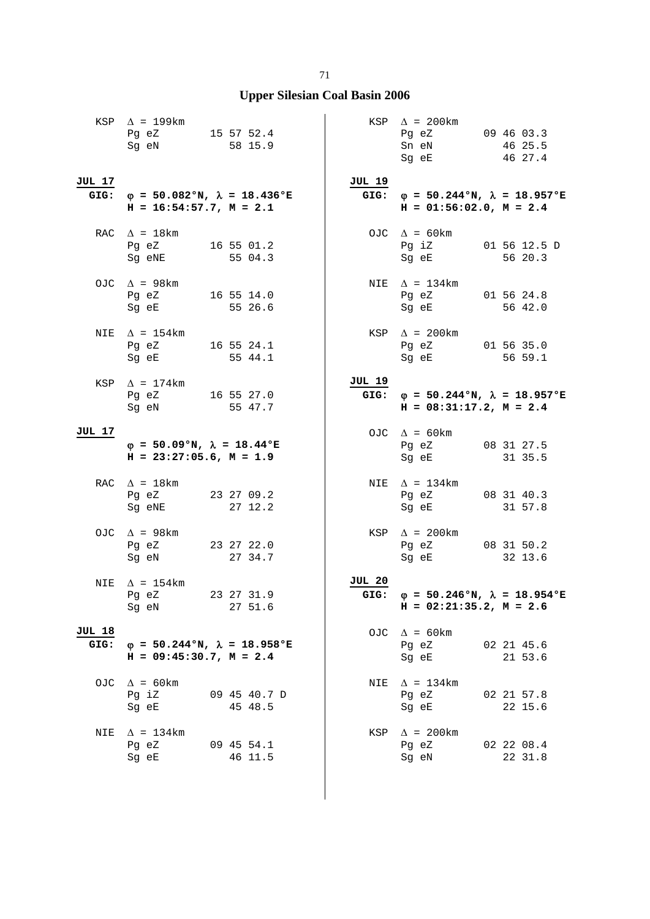|                       | KSP $\Delta$ = 199km<br>Pg eZ 15 57 52.4<br>Sg eN<br>58 15.9                      |               | KSP $\Delta$ = 200km<br>Pg eZ 09 46 03.3<br>Sn eN<br>Sg eE                                                                                                 | $46\;\;25.5$<br>46 27.4 |
|-----------------------|-----------------------------------------------------------------------------------|---------------|------------------------------------------------------------------------------------------------------------------------------------------------------------|-------------------------|
| JUL 17                | GIG: $\varphi = 50.082$ °N, $\lambda = 18.436$ °E<br>$H = 16:54:57.7$ , $M = 2.1$ | <b>JUL 19</b> | GIG: $\varphi = 50.244$ °N, $\lambda = 18.957$ °E<br>$H = 01:56:02.0$ , $M = 2.4$                                                                          |                         |
|                       | RAC $\Delta$ = 18 km<br>Pg eZ 16 55 01.2<br>Sg eNE<br>55 04.3                     |               | OJC $\Delta = 60 \text{km}$<br>Pg iZ 01 56 12.5 D<br>Sg eE                                                                                                 | 56 20.3                 |
|                       | OJC $\Delta$ = 98km<br>Pg eZ 16 55 14.0<br>55 26.6<br>Sg eE                       |               | NIE $\Delta$ = 134km<br>Pg eZ 01 56 24.8<br>Sg eE                                                                                                          | 56 42.0                 |
|                       | NIE $\Delta$ = 154km<br>Pg eZ 16 55 24.1<br>Sg eE 55 44.1                         |               | KSP $\Delta$ = 200km<br>Pg eZ 01 56 35.0<br>Sg eE 56 59.1                                                                                                  |                         |
|                       | KSP $\Delta$ = 174 km<br>Pg eZ 16 55 27.0<br>Sg eN<br>55 47.7                     | JUL 19        | GIG: $\varphi = 50.244$ °N, $\lambda = 18.957$ °E<br>$H = 08:31:17.2, M = 2.4$                                                                             |                         |
| JUL 17                | $\varphi = 50.09$ °N, $\lambda = 18.44$ °E<br>$H = 23:27:05.6$ , $M = 1.9$        |               | OJC $\Delta = 60 \text{km}$<br>Pg eZ 08 31 27.5<br>Sg eE                                                                                                   | 31 35.5                 |
|                       | RAC $\Delta = 18 \text{km}$<br>Pg eZ 23 27 09.2<br>27 12.2<br>Sg eNE              |               | NIE $\Delta$ = 134km<br>Pg eZ 08 31 40.3<br>Sg eE and the state of the state of the state of the state of the state of the state of the state of the state | 31 57.8                 |
|                       | OJC $\Delta$ = 98km<br>Pg eZ 23 27 22.0<br>Sg eN<br>27 34.7                       |               | $KSP \quad \Delta = 200 \text{km}$<br>Pg eZ 08 31 50.2<br>Sg eE                                                                                            | 32 13.6                 |
| NIE                   | $\Delta$ = 154km<br>23 27 31.9<br>Pg eZ<br>27 51.6<br>Sq eN                       | <b>JUL 20</b> | GIG: $\varphi = 50.246$ °N, $\lambda = 18.954$ °E<br>$H = 02:21:35.2, M = 2.6$                                                                             |                         |
| <b>JUL 18</b><br>GIG: | $\varphi = 50.244$ °N, $\lambda = 18.958$ °E<br>$H = 09:45:30.7$ , $M = 2.4$      |               | OJC $\Delta = 60 \text{km}$<br>Pg eZ<br>Sg eE                                                                                                              | 02 21 45.6<br>21 53.6   |
| OJ C                  | $\Delta$ = 60km<br>Pg iZ<br>09 45 40.7 D<br>Sg eE<br>45 48.5                      |               | NIE $\Delta = 134 \text{km}$<br>Pg eZ<br>Sg eE                                                                                                             | 02 21 57.8<br>22 15.6   |
| NIE                   | $\Delta$ = 134km<br>Pg eZ<br>09 45 54.1<br>Sg eE<br>46 11.5                       | KSP           | $\Delta$ = 200km<br>Pg eZ<br>Sg eN                                                                                                                         | 02 22 08.4<br>22 31.8   |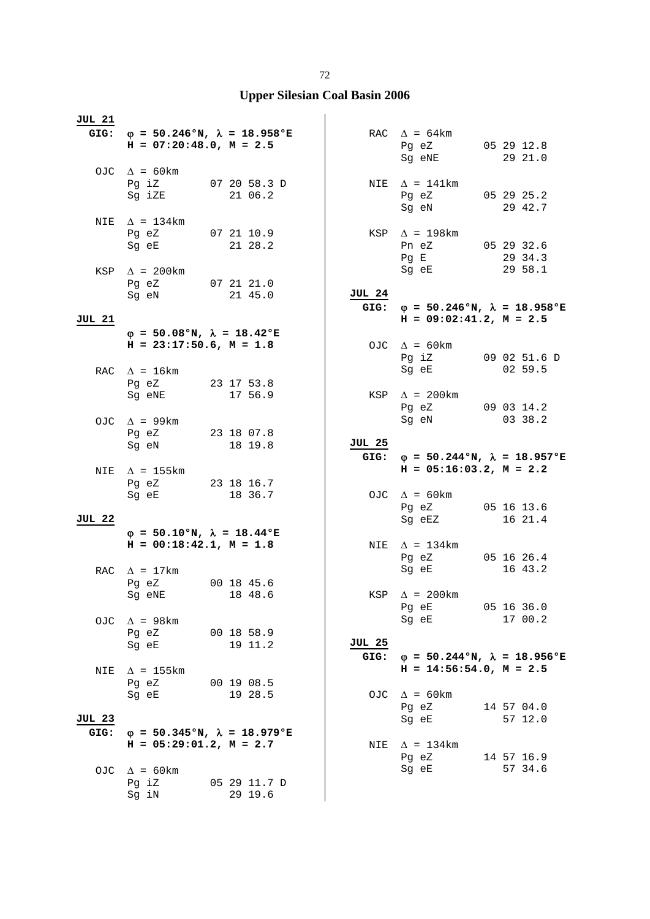| JUL 21                                                                                                                                                                                                                                                               |                                              |
|----------------------------------------------------------------------------------------------------------------------------------------------------------------------------------------------------------------------------------------------------------------------|----------------------------------------------|
| GIG: $\varphi = 50.246$ °N, $\lambda = 18.958$ °E<br>RAC $\Delta = 64 \text{km}$                                                                                                                                                                                     |                                              |
| $H = 07:20:48.0, M = 2.5$<br>Pg eZ                                                                                                                                                                                                                                   | 05 29 12.8                                   |
| Sg eNE                                                                                                                                                                                                                                                               | 29 21.0                                      |
| OJC $\Delta$ = 60km                                                                                                                                                                                                                                                  |                                              |
| Pg iZ 07 20 58.3 D<br>$\Delta$ = 141km<br>NIE                                                                                                                                                                                                                        |                                              |
| 21 06.2<br>Sg iZE<br>Pg eZ 05 29 25.2                                                                                                                                                                                                                                | Sg eN 29 42.7                                |
| $\Delta$ = 134km<br>NIE                                                                                                                                                                                                                                              |                                              |
| Pg eZ<br>07 21 10.9<br>$KSP \triangle = 198km$                                                                                                                                                                                                                       |                                              |
| 21 28.2<br>Sg eE<br>Pn eZ                                                                                                                                                                                                                                            | 05 29 32.6                                   |
| Pg E                                                                                                                                                                                                                                                                 | 29 34.3                                      |
| Sg eE<br>KSP $\Delta$ = 200km                                                                                                                                                                                                                                        | 29 58.1                                      |
| Pg eZ 07 21 21.0<br>JUL 24<br>21 45.0<br>Sg eN                                                                                                                                                                                                                       |                                              |
| GIG: $\varphi = 50.246$ °N, $\lambda = 18.958$ °E                                                                                                                                                                                                                    |                                              |
| $H = 09:02:41.2, M = 2.5$<br><b>JUL 21</b>                                                                                                                                                                                                                           |                                              |
| $\varphi = 50.08$ °N, $\lambda = 18.42$ °E                                                                                                                                                                                                                           |                                              |
| $H = 23:17:50.6$ , $M = 1.8$<br>OJC $\Delta = 60 \text{km}$                                                                                                                                                                                                          |                                              |
| Pg iZ<br>Sg eE                                                                                                                                                                                                                                                       | 09 02 51.6 D<br>02 59.5                      |
| RAC $\Delta = 16 \text{km}$<br>Pg eZ<br>23 17 53.8                                                                                                                                                                                                                   |                                              |
| 17 56.9<br>KSP $\Delta$ = 200km<br>Sg eNE                                                                                                                                                                                                                            |                                              |
|                                                                                                                                                                                                                                                                      | Pg eZ 09 03 14.2                             |
| Sg eN<br>OJC $\Delta$ = 99km                                                                                                                                                                                                                                         | 03 38.2                                      |
| Pg eZ 23 18 07.8<br><b>JUL 25</b>                                                                                                                                                                                                                                    |                                              |
| Sg eN<br>18 19.8<br>GIG:                                                                                                                                                                                                                                             | $\varphi = 50.244$ °N, $\lambda = 18.957$ °E |
| $H = 05:16:03.2, M = 2.2$<br>$\Delta$ = 155 km<br>NIE                                                                                                                                                                                                                |                                              |
| Pg eZ 23 18 16.7                                                                                                                                                                                                                                                     |                                              |
| Sg eE and the state of the state of the state of the state of the state of the state of the state of the state<br>18 36.7<br>OJC $\Delta = 60 \text{km}$                                                                                                             |                                              |
|                                                                                                                                                                                                                                                                      |                                              |
| Pg eZ                                                                                                                                                                                                                                                                | 05 16 13.6                                   |
| <b>JUL 22</b><br>Sg eEZ                                                                                                                                                                                                                                              | 16 21.4                                      |
| $\varphi = 50.10$ °N, $\lambda = 18.44$ °E<br>NIE $\Delta$ = 134km                                                                                                                                                                                                   |                                              |
| $H = 00:18:42.1, M = 1.8$<br>Pg eZ                                                                                                                                                                                                                                   | 05 16 26.4                                   |
| Sg eE<br>RAC $\Delta = 17 \text{km}$                                                                                                                                                                                                                                 | 16 43.2                                      |
| Pg eZ<br>00 18 45.6                                                                                                                                                                                                                                                  |                                              |
| 18 48.6<br>$\Delta$ = 200km<br>Sg eNE and the state of the state of the state of the state of the state of the state of the state of the state of the state of the state of the state of the state of the state of the state of the state of the state of the<br>KSP |                                              |
| Pg eE                                                                                                                                                                                                                                                                | 05 16 36.0                                   |
| Sg eE<br>$\Delta$ = 98 km<br>OJC.                                                                                                                                                                                                                                    | 17 00.2                                      |
| 00 18 58.9<br>Pg eZ<br><u>JUL 25</u><br>19 11.2<br>Sg eE                                                                                                                                                                                                             |                                              |
| GIG: $\varphi = 50.244 \text{°N}$ , $\lambda = 18.956 \text{°E}$                                                                                                                                                                                                     |                                              |
| $\Delta$ = 155km<br>NIE                                                                                                                                                                                                                                              | $H = 14:56:54.0, M = 2.5$                    |
| 00 19 08.5<br>Pq eZ                                                                                                                                                                                                                                                  |                                              |
| 19 28.5<br>OJC $\Delta = 60 \text{km}$<br>Sq eE                                                                                                                                                                                                                      |                                              |
| Pg eZ<br><b>JUL 23</b><br>Sg eE                                                                                                                                                                                                                                      | 14 57 04.0<br>57 12.0                        |
| $\varphi = 50.345$ °N, $\lambda = 18.979$ °E<br>GIG:                                                                                                                                                                                                                 |                                              |
| $H = 05:29:01.2$ , $M = 2.7$<br>NIE $\Delta = 134 \text{km}$                                                                                                                                                                                                         |                                              |
| Pg eZ                                                                                                                                                                                                                                                                | 14 57 16.9                                   |
| Sg eE<br>$\Delta$ = 60 km<br>OJC.<br>Pg iZ<br>05 29 11.7 D                                                                                                                                                                                                           | 57 34.6                                      |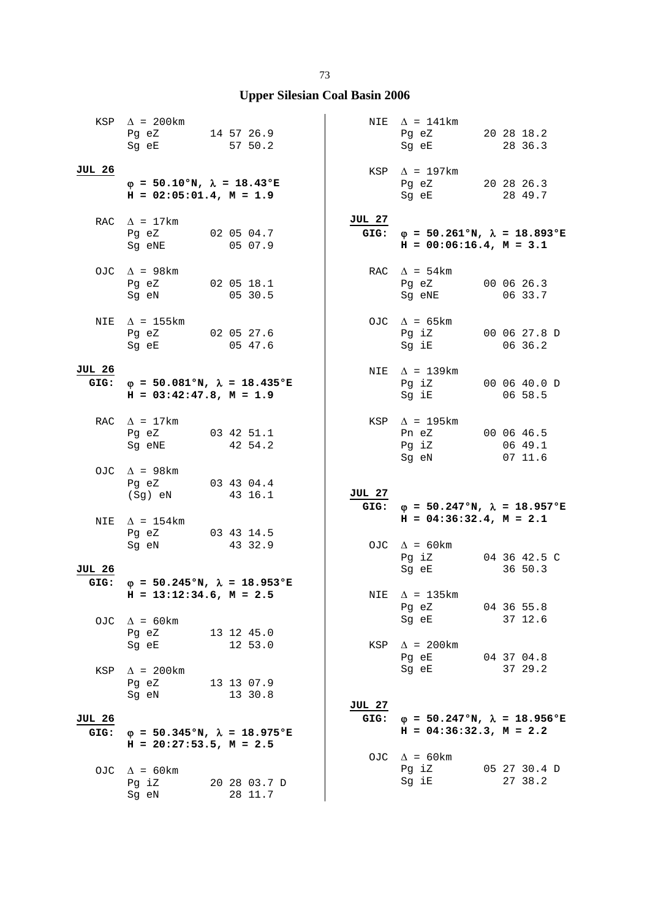|                       | KSP $\Delta$ = 200km<br>Pg eZ 14 57 26.9<br>Sg eE                          | 57 50.2                 |                       | NIE $\Delta$ = 141km<br>Pg eZ 20 28 18.2<br>Sg eE                            | 28 36.3                 |
|-----------------------|----------------------------------------------------------------------------|-------------------------|-----------------------|------------------------------------------------------------------------------|-------------------------|
| <b>JUL 26</b>         | $\varphi = 50.10$ °N, $\lambda = 18.43$ °E<br>$H = 02:05:01.4$ , $M = 1.9$ |                         |                       | $KSP \quad \Delta = 197 \text{km}$<br>Pg eZ 20 28 26.3<br>Sg eE              | 28 49.7                 |
|                       | RAC $\Delta$ = 17km<br>Pg eZ 02 05 04.7<br>Sg eNE 05 07.9                  |                         | <b>JUL 27</b><br>GIG: | $\varphi = 50.261$ °N, $\lambda = 18.893$ °E<br>$H = 00:06:16.4, M = 3.1$    |                         |
|                       | OJC $\Delta$ = 98km<br>Pg eZ<br>Sg eN                                      | 02 05 18.1<br>0530.5    |                       | RAC $\Delta = 54 \text{km}$<br>Pg eZ<br>Sg eNE                               | 00 06 26.3<br>06 33.7   |
| NIE                   | $\Delta$ = 155 km<br>Pg eZ 02 05 27.6<br>Sg eE 05 47.6                     |                         |                       | OJC $\Delta$ = 65km<br>Pg iZ 00 06 27.8 D<br>Sg iE                           | 06 36.2                 |
| JUL 26<br>GIG:        | $\varphi$ = 50.081°N, $\lambda$ = 18.435°E<br>$H = 03:42:47.8$ , $M = 1.9$ |                         |                       | NIE $\Delta$ = 139km<br>Pg iZ 00 06 40.0 D<br>Sg iE                          | 06 58.5                 |
|                       | RAC $\Delta = 17 \text{km}$<br>Pg eZ 03 42 51.1<br>Sg eNE                  | 42 54.2                 |                       | KSP $\Delta$ = 195 km<br>Pn eZ 00 06 46.5<br>Pg iZ<br>Sg eN                  | 06 49.1<br>0711.6       |
|                       | OJC $\Delta$ = 98km<br>Pg eZ 03 43 04.4<br>(Sg) eN 43 16.1                 |                         | <b>JUL 27</b><br>GIG: | $\varphi = 50.247$ °N, $\lambda = 18.957$ °E                                 |                         |
| NIE                   | $\Delta$ = 154km<br>Pg eZ 03 43 14.5                                       |                         |                       | $H = 04:36:32.4, M = 2.1$                                                    |                         |
| <b>JUL 26</b>         | Sq eN 43 32.9<br>$\varphi = 50.245$ °N, $\lambda = 18.953$ °E              |                         |                       | OJC $\Delta$ = 60km<br>Pg iZ<br>Sg eE                                        | 04 36 42.5 C<br>36 50.3 |
| GIG:                  | $H = 13:12:34.6$ , $M = 2.5$                                               |                         |                       | NIE $\Delta$ = 135km<br>Pg eZ                                                | 04 36 55.8              |
| OJC                   | $\Delta$ = 60km<br>Pg eZ                                                   | 13 12 45.0              |                       | Sg eE                                                                        | 37 12.6                 |
| KSP                   | Sq eE<br>$\Delta$ = 200km                                                  | 12 53.0                 |                       | $KSP \quad \Delta = 200 \text{km}$<br>Pg eE<br>Sg eE                         | 04 37 04.8<br>37 29.2   |
|                       | Pg eZ<br>Sg eN                                                             | 13 13 07.9<br>13 30.8   | JUL 27                |                                                                              |                         |
| <b>JUL 26</b><br>GIG: | $\varphi$ = 50.345°N, $\lambda$ = 18.975°E                                 |                         | GIG:                  | $\varphi = 50.247$ °N, $\lambda = 18.956$ °E<br>$H = 04:36:32.3$ , $M = 2.2$ |                         |
|                       | $H = 20:27:53.5$ , $M = 2.5$                                               |                         |                       |                                                                              |                         |
|                       | OJC $\Delta = 60 \text{km}$<br>Pg iZ<br>Sg eN                              | 20 28 03.7 D<br>28 11.7 |                       | OJC $\Delta$ = 60 km<br>Pg iZ<br>Sg iE                                       | 05 27 30.4 D<br>27 38.2 |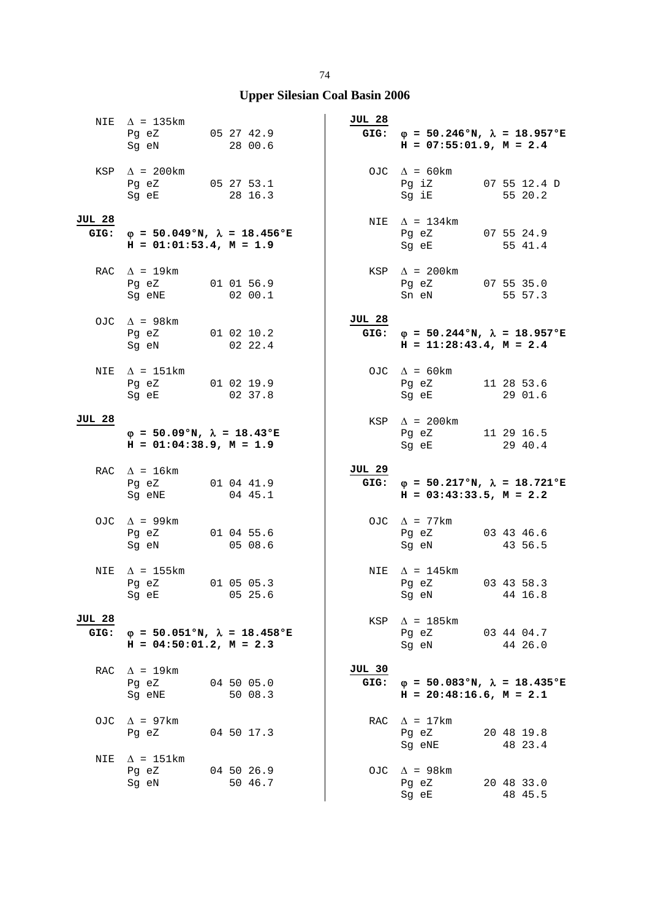|                       | NIE $\Delta$ = 135km<br>Pg eZ 05 27 42.9<br>Sg eN                          | 28 00.6                                      | <b>JUL 28</b>         | GIG: $\varphi = 50.246$ °N, $\lambda = 18.957$ °E<br>$H = 07:55:01.9$ , $M = 2.4$ |                       |
|-----------------------|----------------------------------------------------------------------------|----------------------------------------------|-----------------------|-----------------------------------------------------------------------------------|-----------------------|
|                       | KSP $\Delta$ = 200km<br>Pg eZ 05 27 53.1<br>Sg eE 28 16.3                  |                                              |                       | OJC $\Delta = 60 \text{km}$<br>Pg iZ 07 55 12.4 D<br>Sg iE                        | 55 20.2               |
| <b>JUL 28</b><br>GIG: | $H = 01:01:53.4, M = 1.9$                                                  | $\varphi = 50.049$ °N, $\lambda = 18.456$ °E |                       | NIE $\Delta$ = 134km<br>Pg eZ 07 55 24.9<br>Sg eE 55 41.4                         |                       |
|                       | RAC $\Delta = 19 \text{km}$<br>Pg eZ 01 01 56.9<br>Sg eNE                  | 0200.1                                       |                       | $KSP \quad \Delta = 200 \text{km}$<br>Pg eZ $07$ 55 35.0<br>Sn eN                 | 55 57.3               |
|                       | OJC $\Delta$ = 98km<br>Pg eZ 01 02 10.2<br>Sg eN 02 22.4                   |                                              | <b>JUL 28</b>         | GIG: $\varphi = 50.244$ °N, $\lambda = 18.957$ °E<br>$H = 11:28:43.4$ , $M = 2.4$ |                       |
| NIE                   | $\Delta$ = 151km<br>Pg eZ 01 02 19.9<br>Sg eE 02 37.8                      |                                              |                       | OJC $\Delta = 60 \text{km}$<br>Pg eZ 11 28 53.6<br>Sq eE                          | 29 01.6               |
| <b>JUL 28</b>         | $\varphi = 50.09$ °N, $\lambda = 18.43$ °E<br>$H = 01:04:38.9$ , $M = 1.9$ |                                              |                       | $KSP \quad \Delta = 200 \text{km}$<br>Pg eZ 11 29 16.5<br>Sg eE                   | 29 40.4               |
|                       |                                                                            |                                              |                       |                                                                                   |                       |
|                       | RAC $\Delta = 16 \text{km}$<br>Pg eZ 01 04 41.9<br>Sg eNE 04 45.1          |                                              | <b>JUL 29</b><br>GIG: | $\varphi = 50.217$ °N, $\lambda = 18.721$ °E<br>$H = 03:43:33.5$ , $M = 2.2$      |                       |
|                       | OJC $\Delta$ = 99km<br>Pg eZ 01 04 55.6<br>Sg eN 05 08.6                   |                                              |                       | OJC $\Delta$ = 77km<br>Pg eZ 03 43 46.6<br>Sg eN                                  | 43 56.5               |
| NIE                   | $\Delta$ = 155km<br>Pq eZ<br>Sg eE 05 25.6                                 | 01 05 05.3                                   |                       | NIE $\Delta$ = 145 km<br>Pg eZ 03 43 58.3<br>Sg eN 44 16.8                        |                       |
| JUL 28<br>GIG:        | $H = 04:50:01.2$ , $M = 2.3$                                               | $\varphi = 50.051$ °N, $\lambda = 18.458$ °E | KSP                   | $\Delta$ = 185 km<br>Pg eZ 03 44 04.7<br>Sg eN                                    | 44 26.0               |
| RAC                   | $\Delta$ = 19km<br>Pg eZ<br>Sg eNE                                         | 04 50 05.0<br>50 08.3                        | <b>JUL 30</b><br>GIG: | $\varphi = 50.083$ °N, $\lambda = 18.435$ °E<br>$H = 20:48:16.6$ , $M = 2.1$      |                       |
| OJC                   | $\Delta$ = 97km<br>Pg eZ<br>$\Delta$ = 151km                               | 04 50 17.3                                   |                       | RAC $\Delta = 17 \text{km}$<br>Pg eZ<br>Sg eNE                                    | 20 48 19.8<br>48 23.4 |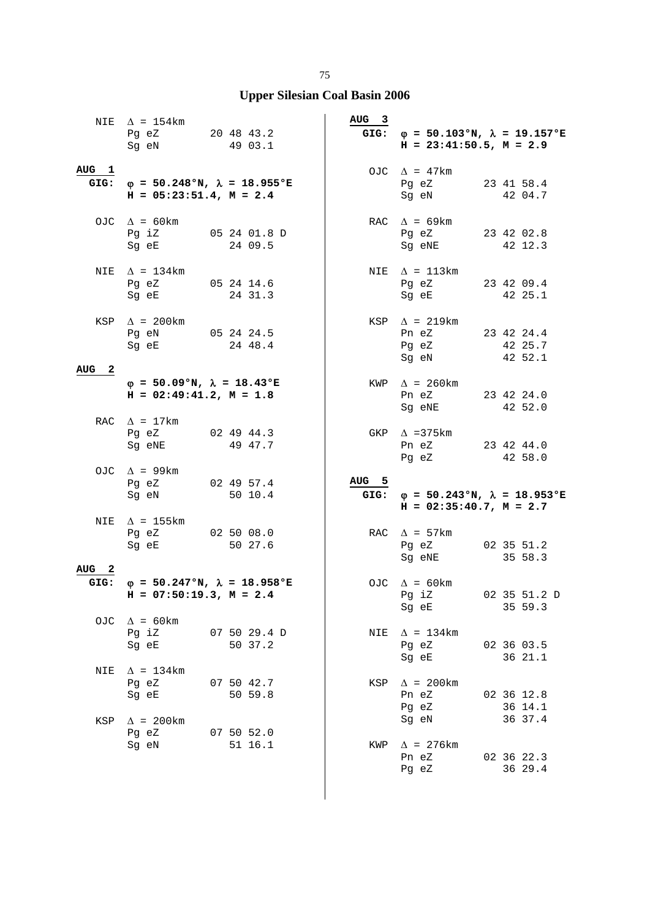|                     | NIE $\Delta$ = 154km<br>Pg eZ 20 48 43.2<br>Sg eN                                 |  | 49 03.1               |  | AUG <sub>3</sub> | GIG: $\varphi = 50.103$ °N, $\lambda = 19.157$ °E<br>$H = 23:41:50.5$ , $M = 2.9$ |  |                                  |  |
|---------------------|-----------------------------------------------------------------------------------|--|-----------------------|--|------------------|-----------------------------------------------------------------------------------|--|----------------------------------|--|
| AUG <sub>1</sub>    | GIG: $\varphi = 50.248$ °N, $\lambda = 18.955$ °E<br>$H = 05:23:51.4$ , $M = 2.4$ |  |                       |  |                  | OJC $\Delta$ = 47km<br>Pg eZ<br>Sg eN                                             |  | 23 41 58.4<br>42 04.7            |  |
|                     | OJC $\Delta = 60 \text{km}$<br>Pq iZ 05 24 01.8 D<br>Sg eE 24 09.5                |  |                       |  |                  | RAC $\Delta$ = 69km<br>Pg eZ 23 42 02.8<br>Sg eNE 42 12.3                         |  |                                  |  |
| NIE                 | $\Delta$ = 134km<br>Pg eZ<br>Sg eE                                                |  | 05 24 14.6<br>24 31.3 |  |                  | NIE $\Delta = 113 \text{km}$<br>Pg eZ<br>Sg eE                                    |  | 23 42 09.4<br>42 25.1            |  |
| $\mathbf{2}$<br>AUG | KSP $\Delta$ = 200km<br>Pg eN 05 24 24.5<br>Sg eE                                 |  | 24 48.4               |  |                  | KSP $\Delta$ = 219km<br>Pn eZ 23 42 24.4<br>Pg eZ<br>Sg eN                        |  | 42 25.7<br>42 52.1               |  |
|                     | $\varphi = 50.09$ °N, $\lambda = 18.43$ °E<br>$H = 02:49:41.2, M = 1.8$           |  |                       |  |                  | KWP $\Delta$ = 260 km<br>Pn eZ<br>Sg eNE                                          |  | 23 42 24.0<br>42 52.0            |  |
|                     | RAC $\Delta = 17 \text{km}$<br>Pg eZ<br>Sg eNE                                    |  | 02 49 44.3<br>49 47.7 |  |                  | GKP $\Delta$ =375km<br>Pn eZ 23 42 44.0<br>Pg eZ                                  |  | 42 58.0                          |  |
|                     | OJC $\Delta$ = 99km<br>Pg eZ 02 49 57.4<br>Sg eN 50 10.4                          |  |                       |  | AUG 5<br>GIG:    | $\varphi = 50.243$ °N, $\lambda = 18.953$ °E<br>$H = 02:35:40.7$ , $M = 2.7$      |  |                                  |  |
| NIE                 | $\Delta$ = 155km<br>Pg eZ<br>Sg eE                                                |  | 02 50 08.0<br>50 27.6 |  |                  | RAC $\Delta$ = 57km<br>Pq eZ<br>Sg eNE                                            |  | 02 35 51.2<br>35 58.3            |  |
| AUG <sub>2</sub>    | GIG: $\varphi = 50.247$ °N, $\lambda = 18.958$ °E<br>$H = 07:50:19.3$ , $M = 2.4$ |  |                       |  |                  | OJC $\Delta = 60 \text{km}$<br>Pg iZ<br>Sg eE                                     |  | 02 35 51.2 D<br>35 59.3          |  |
| OJC                 | $\Delta$ = 60km<br>Pg iZ 07 50 29.4 D<br>Sg eE 50 37.2                            |  |                       |  | NIE              | $\Delta$ = 134km<br>Pg eZ<br>Sg eE                                                |  | 02 36 03.5<br>36 21.1            |  |
| NIE                 | $\Delta$ = 134km<br>Pg eZ<br>Sg eE                                                |  | 07 50 42.7<br>50 59.8 |  |                  | KSP $\Delta$ = 200km<br>Pn eZ<br>Pg eZ                                            |  | 02 36 12.8<br>36 14.1            |  |
| KSP                 | $\Delta$ = 200km<br>Pg eZ 07 50 52.0<br>Sg eN                                     |  | 51 16.1               |  | KWP              | Sg eN<br>$\Delta$ = 276 km<br>Pn eZ<br>Pg eZ                                      |  | 36 37.4<br>02 36 22.3<br>36 29.4 |  |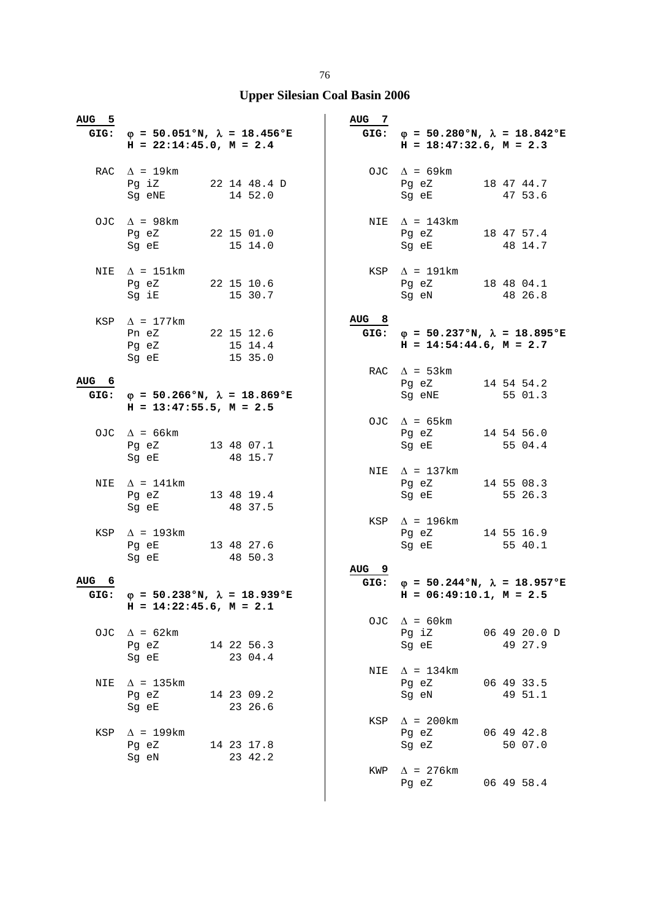| <u>AUG 5</u>     |                                                                                                                                                                                                                               |                       | <u>AUG 7</u>     |                                                                                                |                         |
|------------------|-------------------------------------------------------------------------------------------------------------------------------------------------------------------------------------------------------------------------------|-----------------------|------------------|------------------------------------------------------------------------------------------------|-------------------------|
|                  | GIG: $\varphi = 50.051$ °N, $\lambda = 18.456$ °E<br>$H = 22:14:45.0$ , $M = 2.4$                                                                                                                                             |                       |                  | GIG: $\varphi = 50.280^{\circ}N$ , $\lambda = 18.842^{\circ}E$<br>$H = 18:47:32.6$ , $M = 2.3$ |                         |
|                  | RAC $\Delta$ = 19km<br>Pg iZ 22 14 48.4 D<br>Sg eNE                                                                                                                                                                           | 14 52.0               |                  | OJC $\Delta$ = 69km<br>Pg eZ 18 47 44.7<br>Sg eE                                               | 47 53.6                 |
|                  | OJC $\Delta$ = 98km<br>Pg eZ 22 15 01.0<br>Sg eE                                                                                                                                                                              | 15 14.0               |                  | NIE $\Delta$ = 143km<br>Pg eZ<br>Sg eE                                                         | 18 47 57.4<br>48 14.7   |
|                  | NIE $\Delta$ = 151km<br>Pg eZ 22 15 10.6<br>Sg iE                                                                                                                                                                             | 15 30.7               |                  | $KSP \quad \Delta = 191 \text{km}$<br>Pg eZ 18 48 04.1<br>Sg eN                                | 48 26.8                 |
|                  | KSP $\Delta$ = 177km<br>Pn eZ 22 15 12.6<br>Pg eZ 15 14.4<br>Sg eE 15 35.0                                                                                                                                                    |                       | AUG <sub>8</sub> | GIG: $\varphi = 50.237$ °N, $\lambda = 18.895$ °E<br>$H = 14:54:44.6$ , $M = 2.7$              |                         |
|                  |                                                                                                                                                                                                                               |                       |                  | RAC $\Delta$ = 53km                                                                            |                         |
| AUG <sub>6</sub> | GIG: $\varphi = 50.266$ °N, $\lambda = 18.869$ °E                                                                                                                                                                             |                       |                  | Pg eZ 14 54 54.2<br>Sg eNE                                                                     | 55 01.3                 |
|                  | $H = 13:47:55.5$ , $M = 2.5$                                                                                                                                                                                                  |                       |                  |                                                                                                |                         |
|                  | OJC $\Delta$ = 66km<br>Pg eZ 13 48 07.1                                                                                                                                                                                       |                       |                  | OJC $\Delta$ = 65km<br>Pg eZ 14 54 56.0<br>Sg eE                                               | 55 04.4                 |
|                  | Sg eE 48 15.7                                                                                                                                                                                                                 |                       |                  |                                                                                                |                         |
| NIE              | $\Delta$ = 141km<br>Pg eZ 13 48 19.4<br>Sg eE                                                                                                                                                                                 | 48 37.5               |                  | NIE $\Delta$ = 137km<br>Pg eZ<br>Sg eE                                                         | 14 55 08.3<br>55 26.3   |
|                  | KSP $\Delta$ = 193km<br>Pg eE 13 48 27.6<br>Sg eE                                                                                                                                                                             | 48 50.3               |                  | $KSP \quad \Delta = 196 \text{km}$<br>Pg eZ 14 55 16.9<br>Sg eE                                | 55 40.1                 |
|                  |                                                                                                                                                                                                                               |                       | AUG <sub>9</sub> |                                                                                                |                         |
| AUG 6<br>GIG:    | $\varphi = 50.238$ °N, $\lambda = 18.939$ °E<br>$H = 14:22:45.6$ , $M = 2.1$                                                                                                                                                  |                       |                  | GIG: $\varphi = 50.244 \text{°N}$ , $\lambda = 18.957 \text{°E}$<br>$H = 06:49:10.1, M = 2.5$  |                         |
| OJC              | $\Delta$ = 62km<br>Pg eZ<br>Sg eE                                                                                                                                                                                             | 14 22 56.3<br>23 04.4 |                  | OJC $\Delta$ = 60km<br>Pg iZ<br>Sq eE                                                          | 06 49 20.0 D<br>49 27.9 |
| NIE              | $\Delta$ = 135km<br>Pg eZ<br>14 23 09.2<br>Sg eE                                                                                                                                                                              | 23 26.6               |                  | NIE $\Delta = 134 \text{km}$<br>Pg eZ<br>Sg eN                                                 | 06 49 33.5<br>49 51.1   |
| KSP              | $\Delta$ = 199km<br>Pg eZ<br>14 23 17.8                                                                                                                                                                                       |                       | KSP              | $\Delta$ = 200km<br>Pg eZ<br>Sg eZ                                                             | 06 49 42.8<br>50 07.0   |
|                  | Sg eN and the state of the state of the state of the state of the state of the state of the state of the state of the state of the state of the state of the state of the state of the state of the state of the state of the | 23 42.2               |                  | KWP $\Delta$ = 276km<br>Pq eZ                                                                  | 06 49 58.4              |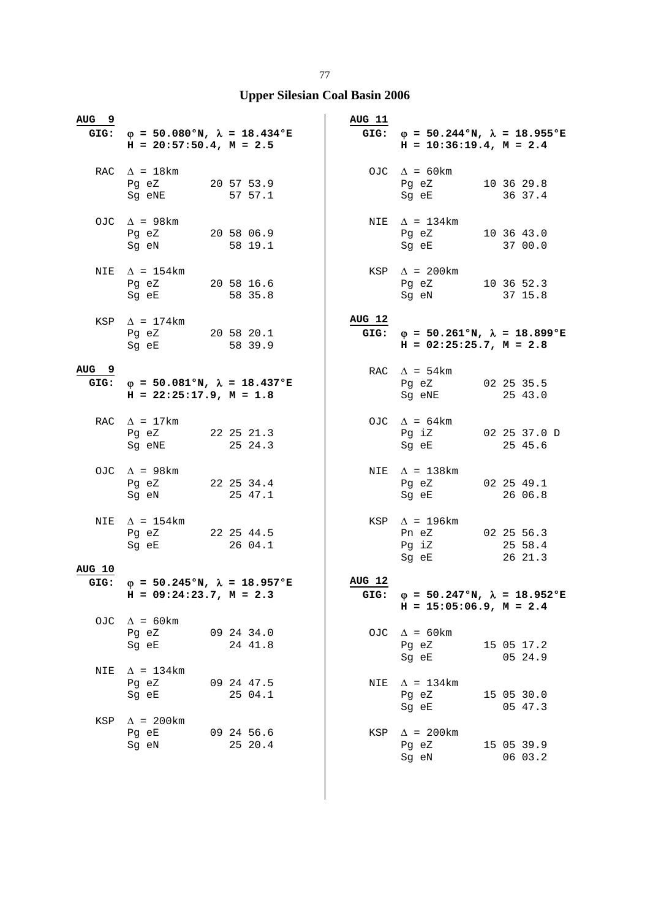| AUG <sub>9</sub> | GIG: $\varphi = 50.080$ °N, $\lambda = 18.434$ °E<br>$H = 20:57:50.4$ , $M = 2.5$              |                       | <b>AUG 11</b> | GIG: $\varphi = 50.244 \text{°N}$ , $\lambda = 18.955 \text{°E}$<br>$H = 10:36:19.4$ , $M = 2.4$ |                                  |
|------------------|------------------------------------------------------------------------------------------------|-----------------------|---------------|--------------------------------------------------------------------------------------------------|----------------------------------|
|                  | RAC $\Delta$ = 18km<br>Pg eZ 20 57 53.9<br>Sg eNE                                              | 57 57.1               |               | OJC $\Delta = 60 \text{km}$<br>Pg eZ 10 36 29.8<br>Sg eE                                         | 36 37.4                          |
|                  | OJC $\Delta$ = 98 km<br>Pg eZ 20 58 06.9<br>Sg eN 58 19.1                                      |                       |               | NIE $\Delta$ = 134km<br>Pg eZ 10 36 43.0<br>Sq eE 37 00.0                                        |                                  |
| NIE              | $\Delta$ = 154km<br>Pg eZ 20 58 16.6<br>Sg eE                                                  | 58 35.8               |               | $KSP \quad \Delta = 200 \text{km}$<br>Pg eZ 10 36 52.3<br>Sg eN                                  | 37 15.8                          |
|                  | KSP $\Delta$ = 174km<br>Pg eZ 20 58 20.1<br>Sg eE 58 39.9                                      |                       | AUG 12        | GIG: $\varphi = 50.261$ °N, $\lambda = 18.899$ °E<br>$H = 02:25:25.7$ , $M = 2.8$                |                                  |
| AUG <sub>9</sub> | GIG: $\varphi = 50.081^{\circ}N$ , $\lambda = 18.437^{\circ}E$<br>$H = 22:25:17.9$ , $M = 1.8$ |                       |               | RAC $\Delta = 54 \text{km}$<br>Pg eZ 02 25 35.5<br>Sg eNE                                        | 25 43.0                          |
|                  | RAC $\Delta = 17 \text{km}$<br>Pg eZ 22 25 21.3<br>Sg eNE                                      | 25 24.3               |               | OJC $\Delta = 64 \text{km}$<br>Pg iZ 02 25 37.0 D<br>Sg eE                                       | 25 45.6                          |
|                  | OJC $\Delta$ = 98km<br>Pg eZ 22 25 34.4<br>Sg eN 25 47.1                                       |                       |               | NIE $\Delta$ = 138km<br>Pg eZ 02 25 49.1<br>Sg eE 26 06.8                                        |                                  |
| NIE              | $\Delta$ = 154km<br>Pg eZ 22 25 44.5<br>Sg eE 26 04.1                                          |                       |               | KSP $\Delta$ = 196km<br>Pn eZ<br>Pg iZ<br>Sg eE                                                  | 02 25 56.3<br>25 58.4<br>26 21.3 |
| <b>AUG 10</b>    | GIG: $\varphi = 50.245$ °N, $\lambda = 18.957$ °E<br>$H = 09:24:23.7$ , $M = 2.3$              |                       | AUG 12        | GIG: $\varphi = 50.247$ °N, $\lambda = 18.952$ °E<br>$H = 15:05:06.9$ , $M = 2.4$                |                                  |
| OJC.             | $\Delta$ = 60km<br>Pg eZ 09 24 34.0<br>Sq eE                                                   | 24 41.8               |               | OJC $\Delta = 60 \text{km}$<br>Pg eZ<br>Sg eE                                                    | 15 05 17.2<br>05 24.9            |
| NIE              | $\Delta$ = 134km<br>Pg eZ<br>Sg eE                                                             | 09 24 47.5<br>25 04.1 |               | NIE $\Delta = 134 \text{km}$<br>Pg eZ<br>Sg eE                                                   | 15 05 30.0<br>05 47.3            |
| KSP              | $\Delta$ = 200km<br>Pg eE<br>Sg eN                                                             | 09 24 56.6<br>25 20.4 | KSP           | $\Delta$ = 200km<br>Pg eZ<br>Sg eN                                                               | 15 05 39.9<br>06 03.2            |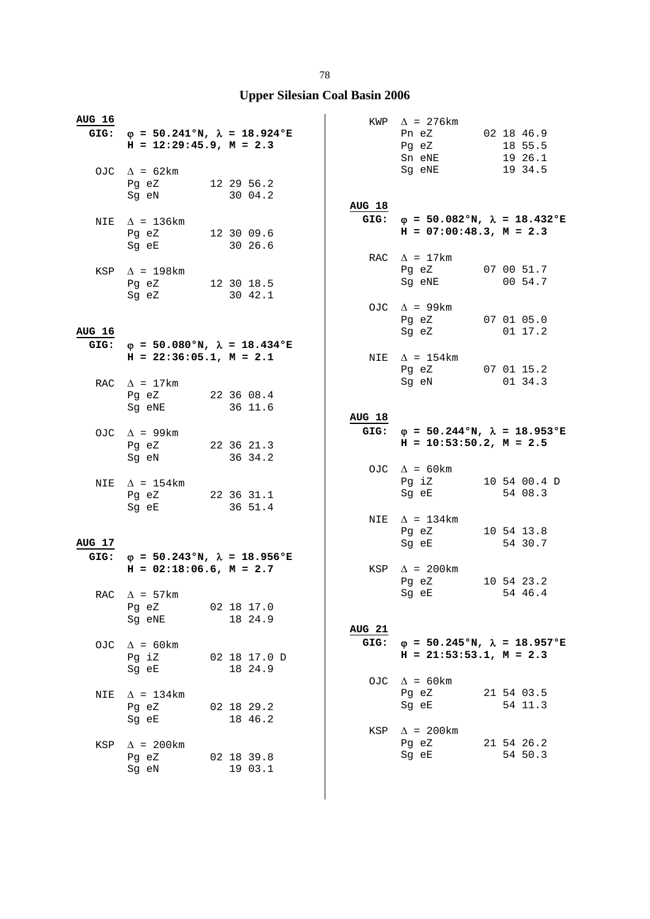| <b>AUG 16</b> | $H = 12:29:45.9$ , $M = 2.3$            | GIG: $\varphi = 50.241$ °N, $\lambda = 18.924$ °E |               | $KWP \quad \Delta = 276km$<br>Pn eZ 02 18 46.9<br>Pg eZ 18 55.5<br>Sn eNE 19 26.1                              |                                                                  |
|---------------|-----------------------------------------|---------------------------------------------------|---------------|----------------------------------------------------------------------------------------------------------------|------------------------------------------------------------------|
|               | OJC $\Delta = 62 \text{km}$             |                                                   |               | Sg eNE 19 34.5                                                                                                 |                                                                  |
|               | Pg eZ 12 29 56.2                        |                                                   |               |                                                                                                                |                                                                  |
|               | Sg eN 30 04.2                           |                                                   | <b>AUG 18</b> |                                                                                                                |                                                                  |
|               | NIE $\Delta$ = 136km                    |                                                   |               |                                                                                                                | GIG: $\varphi = 50.082$ °N, $\lambda = 18.432$ °E                |
|               | Pg eZ 12 30 09.6                        |                                                   |               | $H = 07:00:48.3$ , $M = 2.3$                                                                                   |                                                                  |
|               | Sg eE 30 26.6                           |                                                   |               |                                                                                                                |                                                                  |
|               |                                         |                                                   |               | RAC $\Delta$ = 17km<br>Pg eZ 07 00 51.7                                                                        |                                                                  |
|               | KSP $\Delta$ = 198km                    | Pg eZ 12 30 18.5                                  |               | Sg eNE                                                                                                         | 00 54.7                                                          |
|               | Sg eZ                                   | 30 42.1                                           |               |                                                                                                                |                                                                  |
|               |                                         |                                                   |               | OJC $\Delta$ = 99km                                                                                            |                                                                  |
| <b>AUG 16</b> |                                         |                                                   |               | Pg eZ 07 01 05.0<br>Sq eZ 01 17.2                                                                              |                                                                  |
|               |                                         | GIG: $\phi = 50.080$ °N, $\lambda = 18.434$ °E    |               |                                                                                                                |                                                                  |
|               | $H = 22:36:05.1, M = 2.1$               |                                                   |               | NIE $\Delta$ = 154km                                                                                           |                                                                  |
|               |                                         |                                                   |               | Pg eZ 07 01 15.2                                                                                               |                                                                  |
|               | RAC $\Delta$ = 17km<br>Pg eZ 22 36 08.4 |                                                   |               | Sg eN                                                                                                          | 01 34.3                                                          |
|               | Sg eNE                                  | 36 11.6                                           |               |                                                                                                                |                                                                  |
|               |                                         |                                                   | <b>AUG 18</b> |                                                                                                                |                                                                  |
|               | OJC $\Delta$ = 99km                     |                                                   |               | $H = 10:53:50.2$ , $M = 2.5$                                                                                   | GIG: $\varphi = 50.244 \text{°N}$ , $\lambda = 18.953 \text{°E}$ |
|               | Sg eN                                   | Pg eZ 22 36 21.3<br>36 34.2                       |               |                                                                                                                |                                                                  |
|               |                                         |                                                   |               | OJC $\Delta = 60 \text{km}$                                                                                    |                                                                  |
|               | NIE $\Delta$ = 154km                    |                                                   |               | Pg iZ 10 54 00.4 D                                                                                             |                                                                  |
|               |                                         | Pg eZ 22 36 31.1                                  |               | Sg eE 54 08.3                                                                                                  |                                                                  |
|               |                                         |                                                   |               |                                                                                                                |                                                                  |
|               | Sg eE 36 51.4                           |                                                   |               |                                                                                                                |                                                                  |
|               |                                         |                                                   |               | NIE $\Delta = 134 \text{km}$<br>Pq eZ                                                                          | 10 54 13.8                                                       |
| <b>AUG 17</b> |                                         |                                                   |               | Sg eE                                                                                                          | 54 30.7                                                          |
|               |                                         | GIG: $\varphi = 50.243$ °N, $\lambda = 18.956$ °E |               |                                                                                                                |                                                                  |
|               | $H = 02:18:06.6$ , $M = 2.7$            |                                                   |               | KSP $\Delta$ = 200km<br>Pg eZ                                                                                  | 10 54 23.2                                                       |
|               | RAC $\Delta$ = 57km                     |                                                   |               | Sg eE and the state of the state of the state of the state of the state of the state of the state of the state | 54 46.4                                                          |
|               | Pg eZ                                   | 02 18 17.0                                        |               |                                                                                                                |                                                                  |
|               | Sg eNE                                  | 18 24.9                                           |               |                                                                                                                |                                                                  |
|               | OJC $\Delta = 60 \text{km}$             |                                                   | <b>AUG 21</b> |                                                                                                                | GIG: $\varphi = 50.245$ °N, $\lambda = 18.957$ °E                |
|               | Pg iZ                                   | 02 18 17.0 D                                      |               | $H = 21:53:53.1, M = 2.3$                                                                                      |                                                                  |
|               | Sg eE                                   | 18 24.9                                           |               |                                                                                                                |                                                                  |
|               |                                         |                                                   |               | OJC $\Delta = 60 \text{km}$                                                                                    |                                                                  |
| NIE           | $\Delta$ = 134km<br>Pg eZ               | 02 18 29.2                                        |               | Pg eZ<br>Sg eE                                                                                                 | 21 54 03.5<br>54 11.3                                            |
|               | Sg eE                                   | 18 46.2                                           |               |                                                                                                                |                                                                  |
|               |                                         |                                                   | KSP           | $\Delta$ = 200 km                                                                                              |                                                                  |
| KSP           | $\Delta$ = 200km                        |                                                   |               | Pg eZ                                                                                                          | 21 54 26.2                                                       |
|               | Pg eZ<br>Sg eN                          | 02 18 39.8<br>19 03.1                             |               | Sg eE                                                                                                          | 54 50.3                                                          |
|               |                                         |                                                   |               |                                                                                                                |                                                                  |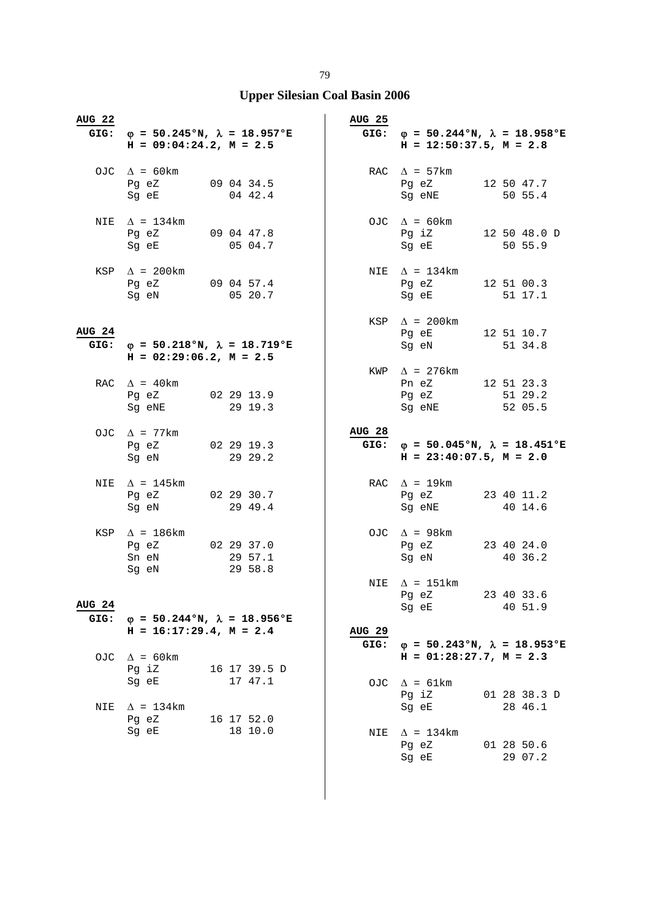| <b>AUG 22</b>         | GIG: $\varphi = 50.245$ °N, $\lambda = 18.957$ °E<br>$H = 09:04:24.2, M = 2.5$    |                         | <b>AUG 25</b> | GIG: $\varphi = 50.244 \text{°N}$ , $\lambda = 18.958 \text{°E}$<br>$H = 12:50:37.5$ , $M = 2.8$         |                         |
|-----------------------|-----------------------------------------------------------------------------------|-------------------------|---------------|----------------------------------------------------------------------------------------------------------|-------------------------|
|                       | OJC $\Delta = 60 \text{km}$<br>Pg eZ 09 04 34.5<br>Sg eE                          | 04 42.4                 |               | RAC $\Delta$ = 57km<br>Pg eZ 12 50 47.7<br>Sg eNE                                                        | 50 55.4                 |
|                       | NIE $\Delta = 134 \text{km}$<br>Pq eZ 09 04 47.8<br>Sg eE 05 04.7                 |                         |               | OJC $\Delta = 60 \text{km}$<br>Pg iZ 12 50 48.0 D<br>Sg eE 50 55.9                                       |                         |
|                       | KSP $\Delta$ = 200km<br>Pg eZ 09 04 57.4<br>Sg eN                                 | 05 20.7                 |               | NIE $\Delta = 134 \text{km}$<br>Pg eZ 12 51 00.3<br>Sg eE                                                | 51 17.1                 |
| <b>AUG 24</b>         | GIG: $\varphi = 50.218$ °N, $\lambda = 18.719$ °E<br>$H = 02:29:06.2$ , $M = 2.5$ |                         |               | KSP $\Delta$ = 200km<br>Pg eE 12 51 10.7<br>Sg eN 51 34.8                                                |                         |
|                       | RAC $\Delta$ = 40 km<br>Pg eZ 02 29 13.9<br>Sg eNE                                | 29 19.3                 |               | KWP $\Delta$ = 276km<br>Pn eZ 12 51 23.3<br>Pg eZ<br>Sg eNE                                              | 51 29.2<br>52 05.5      |
|                       | OJC $\Delta$ = 77km<br>Pg eZ 02 29 19.3<br>Sg eN                                  | 29 29.2                 | AUG 28        | GIG: $\varphi = 50.045$ °N, $\lambda = 18.451$ °E<br>$H = 23:40:07.5$ , $M = 2.0$                        |                         |
| NIE                   | $\Delta$ = 145km<br>Pg eZ 02 29 30.7<br>Sg eN 29 49.4                             |                         |               | RAC $\Delta = 19 \text{km}$<br>Pg eZ 23 40 11.2<br>Sg eNE 40 14.6                                        |                         |
|                       | KSP $\Delta$ = 186km<br>Pg eZ 02 29 37.0<br>Sn eN<br>Sg eN                        | 29 57.1<br>29 58.8      |               | OJC $\Delta$ = 98km<br>Pg eZ 23 40 24.0<br>Sg eN                                                         | 40 36.2                 |
| <b>AUG 24</b><br>GIG: | $\varphi = 50.244$ °N, $\lambda = 18.956$ °E<br>$H = 16:17:29.4, M = 2.4$         |                         | <b>AUG 29</b> | NIE $\Delta$ = 151km<br>Pg eZ<br>Sg eE                                                                   | 23 40 33.6<br>40 51.9   |
| OJC.                  | $\Delta$ = 60km<br>Pg iZ<br>Sg eE                                                 | 16 17 39.5 D<br>17 47.1 | GIG:          | $\varphi = 50.243$ °N, $\lambda = 18.953$ °E<br>$H = 01:28:27.7, M = 2.3$<br>OJC $\Delta = 61 \text{km}$ |                         |
| NIE                   | $\Delta$ = 134km<br>Pg eZ                                                         | 16 17 52.0              |               | Pg iZ<br>Sg eE                                                                                           | 01 28 38.3 D<br>28 46.1 |
|                       | Sg eE                                                                             | 18 10.0                 | NIE           | $\Delta$ = 134km<br>Pg eZ<br>Sg eE                                                                       | 01 28 50.6<br>29 07.2   |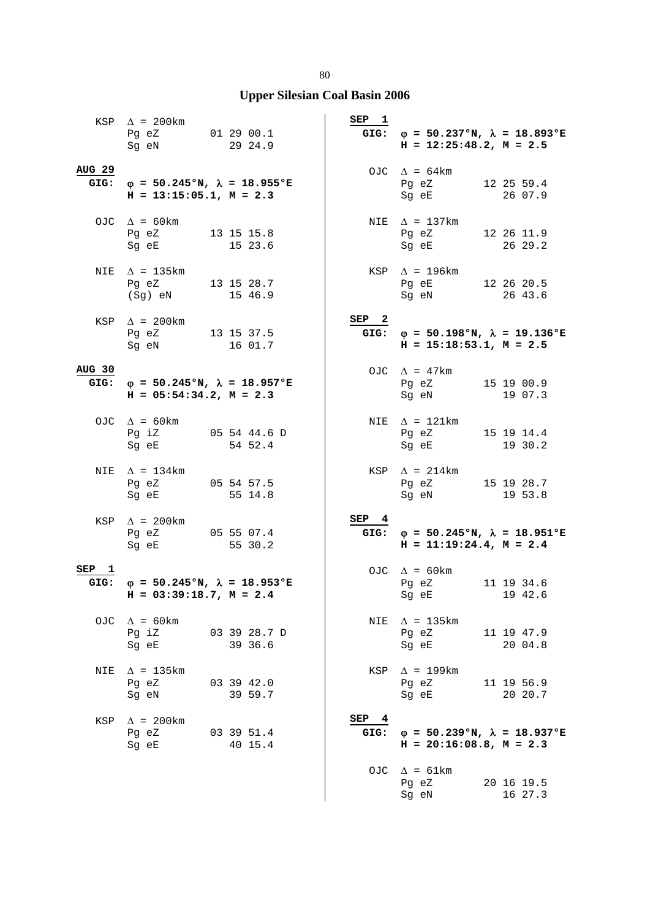|                  | $KSP \quad \Delta = 200 \text{km}$<br>Pg eZ 01 29 00.1<br>Sg eN                   | 29 24.9               | SEP <sub>1</sub> | GIG: $\varphi = 50.237$ °N, $\lambda = 18.893$ °E<br>$H = 12:25:48.2$ , $M = 2.5$ |                       |
|------------------|-----------------------------------------------------------------------------------|-----------------------|------------------|-----------------------------------------------------------------------------------|-----------------------|
| <b>AUG 29</b>    | GIG: $\phi = 50.245$ °N, $\lambda = 18.955$ °E<br>$H = 13:15:05.1, M = 2.3$       |                       |                  | OJC $\Delta = 64 \text{km}$<br>Pg eZ 12 25 59.4<br>Sg eE 26 07.9                  |                       |
|                  | OJC $\Delta = 60 \text{km}$<br>Pg eZ 13 15 15.8<br>Sg eE 15 23.6                  |                       |                  | NIE $\Delta$ = 137km<br>Pg eZ 12 26 11.9<br>Sg eE 26 29.2                         |                       |
|                  | NIE $\Delta$ = 135km<br>Pg eZ 13 15 28.7<br>(Sg) eN                               | 15 46.9               |                  | $KSP \triangle$ = 196km<br>Pg eE 12 26 20.5<br>Sg eN 26 43.6<br>Sg eN             |                       |
|                  | KSP $\Delta$ = 200km<br>Pg eZ 13 15 37.5<br>Sg eN 16 01.7                         |                       | SEP <sub>2</sub> | GIG: $\varphi = 50.198$ °N, $\lambda = 19.136$ °E<br>$H = 15:18:53.1, M = 2.5$    |                       |
| AUG 30           | GIG: $\varphi = 50.245$ °N, $\lambda = 18.957$ °E<br>$H = 05:54:34.2, M = 2.3$    |                       |                  | OJC $\Delta$ = 47km<br>Pg eZ 15 19 00.9<br>Sg eN                                  | 19 07.3               |
|                  | OJC $\Delta = 60 \text{km}$<br>Pg iZ 05 54 44.6 D<br>Sg eE                        | 54 52.4               |                  | NIE $\Delta$ = 121km<br>Pg eZ 15 19 14.4<br>Sg eE 19 30.2                         |                       |
|                  | NIE $\Delta$ = 134km<br>Pg eZ 05 54 57.5<br>Sg eE 55 14.8                         |                       |                  | $KSP \quad \Delta = 214 \text{km}$<br>Pg eZ 15 19 28.7<br>Sg eN 19 53.8           |                       |
|                  | KSP $\Delta$ = 200km<br>Pg eZ 05 55 07.4<br>Sg eE                                 | 55 30.2               | SEP 4            | GIG: $\varphi = 50.245$ °N, $\lambda = 18.951$ °E<br>$H = 11:19:24.4, M = 2.4$    |                       |
| SEP <sub>1</sub> | GIG: $\varphi = 50.245$ °N, $\lambda = 18.953$ °E<br>$H = 03:39:18.7$ , $M = 2.4$ |                       |                  | OJC $\Delta = 60 \text{km}$<br>Pg eZ<br>Sg eE 19 42.6                             | 11 19 34.6            |
|                  | OJC $\Delta = 60 \text{km}$<br>Pg iZ 03 39 28.7 D<br>Sg eE                        | 39 36.6               |                  | NIE $\Delta$ = 135km<br>Pg eZ<br>Sg eE                                            | 11 19 47.9<br>20 04.8 |
| NIE              | $\Delta$ = 135km<br>Pg eZ<br>Sg eN                                                | 03 39 42.0<br>39 59.7 |                  | KSP $\Delta$ = 199km<br>Pg eZ<br>Sg eE                                            | 11 19 56.9<br>20 20.7 |
| KSP              | $\Delta$ = 200km<br>Pg eZ 03 39 51.4<br>Sg eE 40 15.4                             |                       | SEP 4            | GIG: $\varphi = 50.239$ °N, $\lambda = 18.937$ °E<br>$H = 20:16:08.8$ , $M = 2.3$ |                       |
|                  |                                                                                   |                       |                  | OJC $\Delta = 61 \text{km}$<br>Pg eZ<br>Sg eN                                     | 20 16 19.5<br>16 27.3 |

80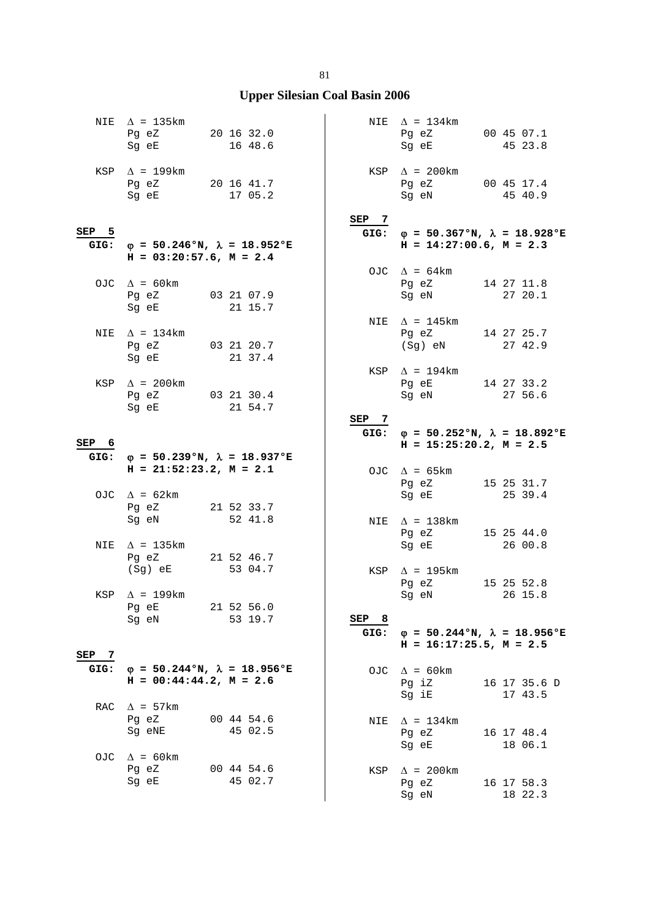|       | NIE $\Delta$ = 135km<br>Pg eZ 20 16 32.0<br>Sg eE                                                                                                                                                                             | 16 48.6                                           |            | NIE $\Delta = 134 \text{km}$<br>Pg eZ<br>Sg eE                                                                          | 00 45 07.1<br>45 23.8   |
|-------|-------------------------------------------------------------------------------------------------------------------------------------------------------------------------------------------------------------------------------|---------------------------------------------------|------------|-------------------------------------------------------------------------------------------------------------------------|-------------------------|
|       | KSP $\Delta$ = 199km<br>Pg eZ 20 16 41.7<br>Sg eE                                                                                                                                                                             | 17 05.2                                           |            | KSP $\Delta$ = 200km<br>Pg eZ 00 45 17.4<br>Sg eN                                                                       | 45 40.9                 |
|       |                                                                                                                                                                                                                               |                                                   | SEP 7      |                                                                                                                         |                         |
| SEP 5 | GIG: $\varphi = 50.246$ °N, $\lambda = 18.952$ °E<br>$H = 03:20:57.6$ , $M = 2.4$                                                                                                                                             |                                                   |            | GIG: $\varphi = 50.367$ °N, $\lambda = 18.928$ °E<br>$H = 14:27:00.6$ , $M = 2.3$                                       |                         |
|       |                                                                                                                                                                                                                               |                                                   |            | OJC $\Delta = 64 \text{km}$                                                                                             |                         |
|       | OJC $\Delta$ = 60 km<br>Pg eZ 03 21 07.9<br>Sg eE                                                                                                                                                                             | 21 15.7                                           |            | Pg eZ 14 27 11.8<br>Sg eN                                                                                               | 27 20.1                 |
| NIE   | $\Delta$ = 134km                                                                                                                                                                                                              |                                                   |            | NIE $\Delta$ = 145km<br>Pg eZ 14 27 25.7                                                                                |                         |
|       | Pg eZ 03 21 20.7<br>Sg eE 21 37.4                                                                                                                                                                                             |                                                   |            | (Sg) eN                                                                                                                 | 27 42.9                 |
|       |                                                                                                                                                                                                                               |                                                   |            | KSP $\Delta$ = 194km                                                                                                    |                         |
|       | KSP $\Delta$ = 200km<br>Pg eZ 03 21 30.4                                                                                                                                                                                      |                                                   |            | Pg eE<br>Sg eN                                                                                                          | 14 27 33.2<br>27 56.6   |
|       | Sg eE                                                                                                                                                                                                                         | 21 54.7                                           |            |                                                                                                                         |                         |
|       |                                                                                                                                                                                                                               |                                                   | SEP 7      | GIG: $\varphi = 50.252$ °N, $\lambda = 18.892$ °E                                                                       |                         |
| SEP 6 |                                                                                                                                                                                                                               |                                                   |            | $H = 15:25:20.2, M = 2.5$                                                                                               |                         |
|       |                                                                                                                                                                                                                               |                                                   |            |                                                                                                                         |                         |
|       |                                                                                                                                                                                                                               | GIG: $\varphi = 50.239$ °N, $\lambda = 18.937$ °E |            |                                                                                                                         |                         |
|       | $H = 21:52:23.2, M = 2.1$                                                                                                                                                                                                     |                                                   |            | OJC $\Delta$ = 65km                                                                                                     |                         |
|       | OJC $\Delta = 62 \text{km}$                                                                                                                                                                                                   |                                                   |            | Pg eZ<br>Sg eE and the state of the state of the state of the state of the state of the state of the state of the state | 15 25 31.7<br>25 39.4   |
|       | Pg eZ                                                                                                                                                                                                                         | 21 52 33.7                                        |            |                                                                                                                         |                         |
|       | Sg eN                                                                                                                                                                                                                         | 52 41.8                                           |            | NIE $\Delta = 138 \text{km}$                                                                                            |                         |
| NIE   | $\Delta$ = 135km                                                                                                                                                                                                              |                                                   |            | Pg eZ<br>Sg eE                                                                                                          | 15 25 44.0<br>26 00.8   |
|       | Pq eZ 21 52 46.7                                                                                                                                                                                                              |                                                   |            |                                                                                                                         |                         |
|       | (Sg) eE                                                                                                                                                                                                                       | 53 04.7                                           |            | KSP $\Delta$ = 195km                                                                                                    |                         |
|       | KSP $\Delta$ = 199km                                                                                                                                                                                                          |                                                   |            | Pg eZ<br>Sg eN 26 15.8                                                                                                  | 15 25 52.8              |
|       | Pg eE                                                                                                                                                                                                                         | 21 52 56.0                                        |            |                                                                                                                         |                         |
|       | Sg eN and the state of the state of the state of the state of the state of the state of the state of the state of the state of the state of the state of the state of the state of the state of the state of the state of the | 53 19.7                                           | SEP<br>- 8 |                                                                                                                         |                         |
|       |                                                                                                                                                                                                                               |                                                   | GIG:       | $\varphi = 50.244$ °N, $\lambda = 18.956$ °E<br>$H = 16:17:25.5$ , $M = 2.5$                                            |                         |
| SEP 7 |                                                                                                                                                                                                                               |                                                   |            |                                                                                                                         |                         |
| GIG:  | $\varphi = 50.244 \text{°N}, \lambda = 18.956 \text{°E}$<br>$H = 00:44:44.2, M = 2.6$                                                                                                                                         |                                                   |            | OJC $\Delta = 60 \text{km}$<br>Pg iZ<br>Sg iE                                                                           | 16 17 35.6 D<br>17 43.5 |
| RAC   | $\Delta$ = 57km                                                                                                                                                                                                               |                                                   |            |                                                                                                                         |                         |
|       | Pg eZ<br>Sq eNE                                                                                                                                                                                                               | 00 44 54.6<br>45 02.5                             | NIE        | $\Delta$ = 134km<br>Pg eZ                                                                                               | 16 17 48.4              |
| OJC   | $\Delta$ = 60 km                                                                                                                                                                                                              |                                                   |            | Sg eE                                                                                                                   | 18 06.1                 |
|       | Pg eZ<br>Sg eE                                                                                                                                                                                                                | 00 44 54.6<br>45 02.7                             | KSP        | $\Delta$ = 200km<br>Pg eZ                                                                                               | 16 17 58.3              |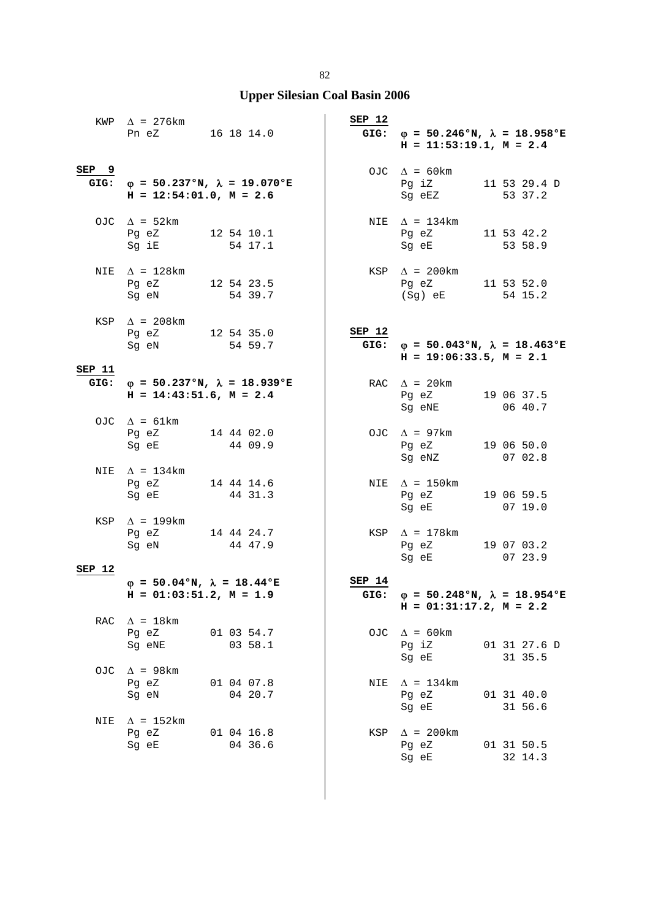|                  | KWP $\Delta$ = 276km<br>Pn eZ 16 18 14.0                                          |                       | SEP 12 | GIG: $\varphi = 50.246$ °N, $\lambda = 18.958$ °E<br>$H = 11:53:19.1, M = 2.4$ |                         |
|------------------|-----------------------------------------------------------------------------------|-----------------------|--------|--------------------------------------------------------------------------------|-------------------------|
| SEP <sub>9</sub> | GIG: $\varphi = 50.237$ °N, $\lambda = 19.070$ °E<br>$H = 12:54:01.0$ , $M = 2.6$ |                       |        | OJC $\Delta = 60 \text{km}$<br>Pg iZ 11 53 29.4 D<br>Sg eEZ                    | 53 37.2                 |
|                  | OJC $\Delta$ = 52km<br>Pg eZ 12 54 10.1<br>Sg iE 54 17.1                          |                       |        | NIE $\Delta$ = 134km<br>Pg eZ<br>Sg eE 53 58.9                                 | 11 53 42.2              |
|                  | NIE $\Delta$ = 128km<br>Pg eZ 12 54 23.5<br>Sg eN                                 | 54 39.7               |        | $KSP \quad \Delta = 200 \text{km}$<br>Pg eZ 11 53 52.0<br>$(Sg)$ eE            | 54 15.2                 |
|                  | KSP $\Delta$ = 208km<br>Pg eZ 12 54 35.0<br>Sg eN 54 59.7                         |                       | SEP 12 | GIG: $\varphi = 50.043$ °N, $\lambda = 18.463$ °E<br>$H = 19:06:33.5, M = 2.1$ |                         |
| SEP 11           | GIG: $\varphi = 50.237$ °N, $\lambda = 18.939$ °E<br>$H = 14:43:51.6$ , $M = 2.4$ |                       |        | RAC $\Delta$ = 20 km<br>Pg eZ<br>Sg eNE                                        | 19 06 37.5<br>06 40.7   |
|                  | OJC $\Delta = 61 \text{km}$<br>Pg eZ 14 44 02.0<br>Sg eE                          | 44 09.9               |        | OJC $\Delta$ = 97km<br>Pg eZ 19 06 50.0<br>Sg eNZ                              | 0702.8                  |
|                  | NIE $\Delta = 134 \text{km}$<br>Pg eZ 14 44 14.6<br>Sg eE 44 31.3                 |                       |        | NIE $\Delta$ = 150km<br>Pg eZ<br>Sg eE 07 19.0                                 | 19 06 59.5              |
|                  | KSP $\Delta$ = 199km<br>Pg eZ 14 44 24.7<br>Sg eN 44 47.9                         |                       |        | KSP $\Delta$ = 178km<br>Pg eZ<br>Sg eE                                         | 19 07 03.2<br>07 23.9   |
| SEP 12           |                                                                                   |                       | SEP 14 |                                                                                |                         |
|                  | $\varphi = 50.04$ °N, $\lambda = 18.44$ °E<br>$H = 01:03:51.2, M = 1.9$           |                       |        | GIG: $\varphi = 50.248$ °N, $\lambda = 18.954$ °E<br>$H = 01:31:17.2, M = 2.2$ |                         |
| RAC              | $\Delta$ = 18 km<br>Pg eZ<br>Sg eNE                                               | 01 03 54.7<br>03 58.1 |        | OJC $\Delta = 60 \text{km}$<br>Pg iZ<br>Sg eE                                  | 01 31 27.6 D<br>31 35.5 |
| OJ C             | $\Delta$ = 98km<br>Pg eZ<br>Sg eN                                                 | 01 04 07.8<br>04 20.7 | NIE    | $\Delta$ = 134km<br>Pg eZ<br>Sg eE                                             | 01 31 40.0<br>31 56.6   |
| NIE              | $\Delta$ = 152km<br>Pg eZ<br>Sg eE                                                | 01 04 16.8<br>04 36.6 | KSP    | $\Delta$ = 200km<br>Pg eZ<br>Sg eE                                             | 01 31 50.5<br>32 14.3   |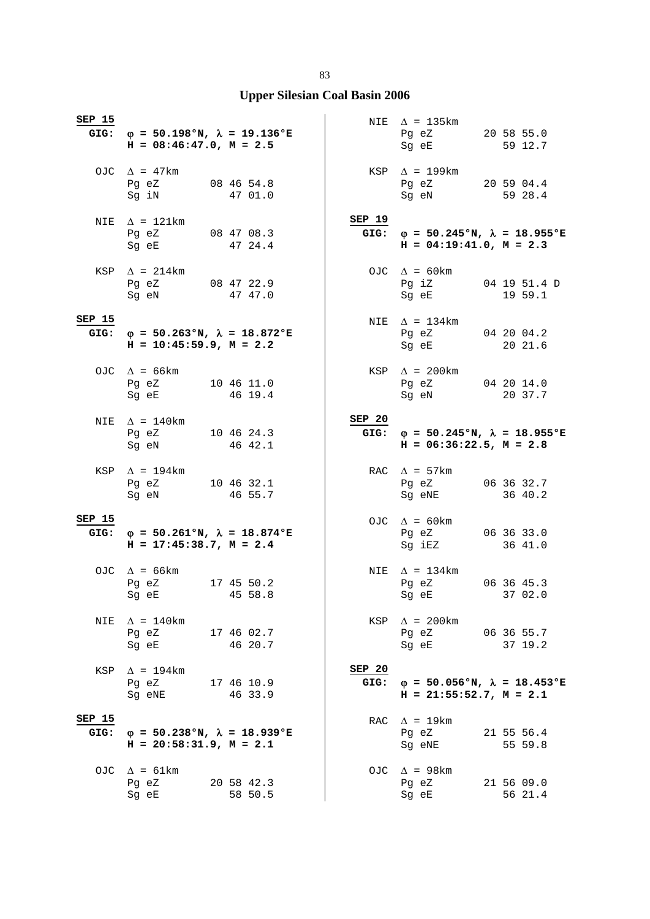| <b>SEP 15</b>  | GIG: $\varphi = 50.198$ °N, $\lambda = 19.136$ °E<br>$H = 08:46:47.0$ , $M = 2.5$                                                           |                       |                | NIE $\Delta$ = 135km<br>Pg eZ 20 58 55.0<br>Sg eE                                 | 59 12.7               |
|----------------|---------------------------------------------------------------------------------------------------------------------------------------------|-----------------------|----------------|-----------------------------------------------------------------------------------|-----------------------|
|                | OJC $\Delta$ = 47km<br>Pg eZ 08 46 54.8<br>Sg iN 47 01.0                                                                                    |                       |                | $KSP \quad \Delta = 199km$<br>Pg eZ 20 59 04.4<br>Sg eN                           | 59 28.4               |
| NIE            | $\Delta$ = 121km<br>Pg eZ 08 47 08.3<br>Sg eE 47 24.4                                                                                       |                       | SEP 19<br>GIG: | $\varphi = 50.245$ °N, $\lambda = 18.955$ °E<br>$H = 04:19:41.0, M = 2.3$         |                       |
|                | KSP $\Delta$ = 214km<br>Pg eZ 08 47 22.9<br>Sg eN                                                                                           | 47 47.0               |                | OJC $\Delta$ = 60km<br>Pg iZ 04 19 51.4 D<br>Sg eE                                | 19 59.1               |
| SEP 15         | GIG: $\varphi = 50.263$ °N, $\lambda = 18.872$ °E<br>$H = 10:45:59.9$ , $M = 2.2$                                                           |                       |                | NIE $\Delta = 134 \text{km}$<br>Pg eZ 04 20 04.2<br>Sg eE 20 21.6                 |                       |
|                | OJC $\Delta$ = 66km<br>Pg eZ 10 46 11.0<br>Sg eE                                                                                            | 46 19.4               |                | KSP $\Delta$ = 200km<br>Pg eZ 04 20 14.0<br>Sg eN                                 | 20 37.7               |
|                | NIE $\Delta = 140$ km<br>Pg eZ 10 46 24.3<br>Sg eN                                                                                          | 46 42.1               | SEP 20         | GIG: $\varphi = 50.245$ °N, $\lambda = 18.955$ °E<br>$H = 06:36:22.5, M = 2.8$    |                       |
|                |                                                                                                                                             |                       |                |                                                                                   |                       |
|                | KSP $\Delta$ = 194km<br>Pg eZ 10 46 32.1<br>Sg eN 46 55.7                                                                                   |                       |                | RAC $\Delta$ = 57km<br>Pg eZ 06 36 32.7<br>Sg eNE                                 | 36 40.2               |
| SEP 15<br>GIG: | $\varphi = 50.261$ °N, $\lambda = 18.874$ °E<br>$H = 17:45:38.7$ , $M = 2.4$                                                                |                       |                | OJC $\Delta = 60 \text{km}$<br>Pg eZ<br>Sg iEZ                                    | 06 36 33.0<br>36 41.0 |
|                | OJC $\Delta$ = 66km<br>Pg eZ 17 45 50.2<br>Sg eE 45 58.8                                                                                    |                       |                | NIE $\Delta$ = 134km<br>Pg eZ 06 36 45.3<br>Sg eE 37 02.0                         |                       |
| NIE            | $\Delta$ = 140km<br>Pg eZ<br>Sg eE and the state of the state of the state of the state of the state of the state of the state of the state | 17 46 02.7<br>46 20.7 |                | $KSP \quad \Delta = 200 \text{km}$<br>Pg eZ 06 36 55.7<br>Sg eE                   | 37 19.2               |
| KSP            | $\Delta$ = 194km<br>Pg eZ 17 46 10.9<br>Sg eNE                                                                                              | 46 33.9               | SEP 20         | GIG: $\varphi = 50.056$ °N, $\lambda = 18.453$ °E<br>$H = 21:55:52.7$ , $M = 2.1$ |                       |
| SEP 15<br>GIG: | $\varphi = 50.238$ °N, $\lambda = 18.939$ °E<br>$H = 20:58:31.9$ , $M = 2.1$                                                                |                       |                | RAC $\Delta$ = 19km<br>Pg eZ<br>Sq eNE                                            | 21 55 56.4<br>55 59.8 |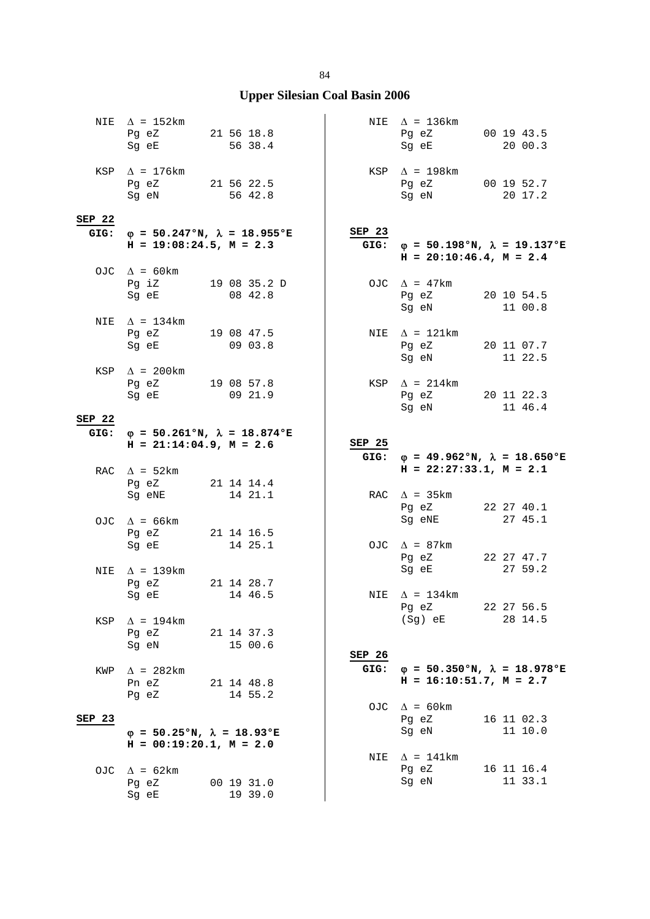|        | NIE $\Delta$ = 152km<br>Pg eZ 21 56 18.8<br>Sg eE         | 56 38.4               |        | NIE $\Delta$ = 136km<br>Pg eZ 00 19 43.5<br>Sg eE                            | 20 00.3    |
|--------|-----------------------------------------------------------|-----------------------|--------|------------------------------------------------------------------------------|------------|
|        | KSP $\Delta$ = 176km<br>Pg eZ 21 56 22.5<br>Sg eN         | 56 42.8               |        | $KSP \quad \Delta = 198 \text{km}$<br>Pg eZ 00 19 52.7<br>Sg eN              | 20 17.2    |
| SEP 22 |                                                           |                       |        |                                                                              |            |
| GIG:   | $\varphi$ = 50.247°N, $\lambda$ = 18.955°E                |                       | SEP 23 |                                                                              |            |
|        | $H = 19:08:24.5$ , $M = 2.3$                              |                       | GIG:   | $\varphi = 50.198$ °N, $\lambda = 19.137$ °E<br>$H = 20:10:46.4$ , $M = 2.4$ |            |
|        | OJC $\Delta$ = 60km                                       |                       |        |                                                                              |            |
|        | Pg iZ 19 08 35.2 D<br>Sg eE                               | 08 42.8               |        | OJC $\Delta$ = 47km<br>Pg eZ 20 10 54.5<br>Sg eN                             | 11 00.8    |
|        | NIE $\Delta = 134 \text{km}$                              |                       |        |                                                                              |            |
|        | Pg eZ 19 08 47.5<br>Sg eE                                 | 0903.8                |        | NIE $\Delta$ = 121km<br>Pg eZ 20 11 07.7<br>Sg eN 11 22.5                    |            |
|        | KSP $\Delta$ = 200km<br>Pg eZ 19 08 57.8<br>Sg eE 09 21.9 |                       |        | KSP $\Delta$ = 214km<br>Pg eZ 20 11 22.3<br>Sg eN                            | 11 46.4    |
| SEP 22 |                                                           |                       |        |                                                                              |            |
|        | GIG: $\varphi = 50.261$ °N, $\lambda = 18.874$ °E         |                       |        |                                                                              |            |
|        | $H = 21:14:04.9, M = 2.6$                                 |                       | SEP 25 |                                                                              |            |
|        |                                                           |                       | GIG:   | $\varphi = 49.962$ °N, $\lambda = 18.650$ °E                                 |            |
|        |                                                           |                       |        |                                                                              |            |
|        | RAC $\Delta$ = 52km                                       |                       |        | $H = 22:27:33.1, M = 2.1$                                                    |            |
|        | Pg eZ 21 14 14.4<br>Sg eNE                                | 14 21.1               |        | RAC $\Delta$ = 35km                                                          |            |
|        |                                                           |                       |        | Pg eZ                                                                        | 22 27 40.1 |
|        | OJC $\Delta$ = 66km                                       |                       |        | Sg eNE                                                                       | 27 45.1    |
|        | Pg eZ 21 14 16.5<br>Sg eE                                 | 14 25.1               |        | OJC $\Delta$ = 87km                                                          |            |
|        |                                                           |                       |        | Pg eZ                                                                        | 22 27 47.7 |
| NIE    | $\Delta$ = 139km                                          |                       |        | Sg eE                                                                        | 27 59.2    |
|        | Pq eZ                                                     | 21 14 28.7            |        |                                                                              |            |
|        | Sg eE 14 46.5                                             |                       |        | NIE $\Delta = 134 \text{km}$<br>Pg eZ                                        | 22 27 56.5 |
| KSP    | $\Delta$ = 194km                                          |                       |        | (Sg) eE                                                                      | 28 14.5    |
|        | Pg eZ                                                     | 21 14 37.3            |        |                                                                              |            |
|        | Sq eN                                                     | 15 00.6               | SEP 26 |                                                                              |            |
| KWP    | $\Delta$ = 282km                                          |                       | GIG:   | $\varphi = 50.350$ °N, $\lambda = 18.978$ °E                                 |            |
|        | Pn eZ                                                     | 21 14 48.8            |        | $H = 16:10:51.7$ , $M = 2.7$                                                 |            |
|        | Pg eZ                                                     | 14 55.2               |        | OJC $\Delta$ = 60km                                                          |            |
| SEP 23 |                                                           |                       |        | Pg eZ                                                                        | 16 11 02.3 |
|        | $\varphi = 50.25$ °N, $\lambda = 18.93$ °E                |                       |        | Sg eN                                                                        | 11 10.0    |
|        | $H = 00:19:20.1, M = 2.0$                                 |                       | NIE    | $\Delta$ = 141km                                                             |            |
| OJC    | $\Delta$ = 62km                                           |                       |        | Pg eZ                                                                        | 16 11 16.4 |
|        | Pg eZ<br>Sg eE                                            | 00 19 31.0<br>19 39.0 |        | Sg eN                                                                        | 11 33.1    |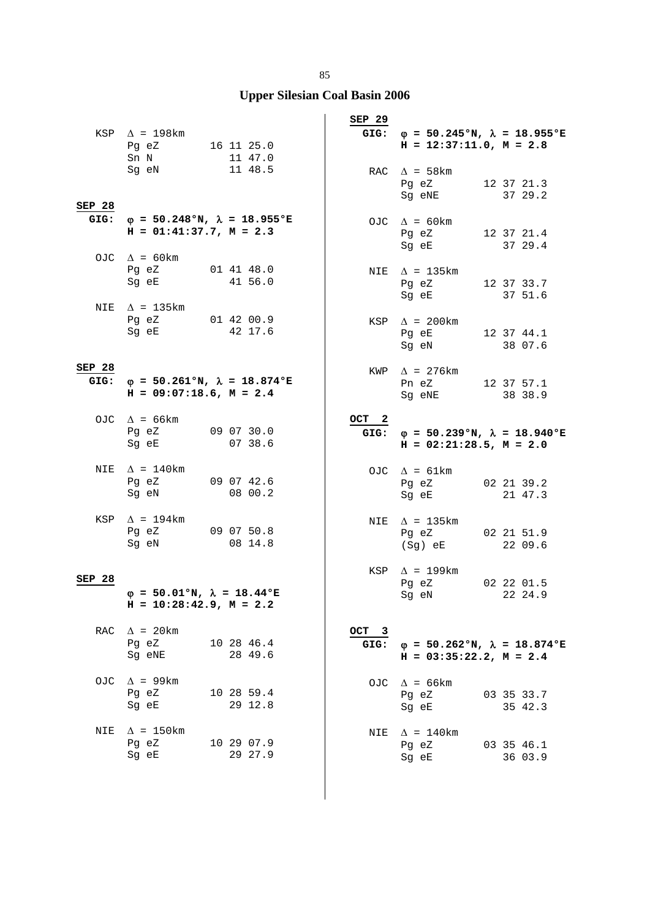|                | KSP $\Delta$ = 198km<br>Pg eZ 16 11 25.0<br>Sn N<br>Sg eN                  | 11 47.0<br>11 48.5                                | SEP 29           | GIG: $\varphi = 50.245$ °N, $\lambda = 18.955$ °E<br>$H = 12:37:11.0, M = 2.8$<br>RAC $\Delta$ = 58km<br>Pg eZ | 12 37 21.3                       |
|----------------|----------------------------------------------------------------------------|---------------------------------------------------|------------------|----------------------------------------------------------------------------------------------------------------|----------------------------------|
| SEP 28<br>GIG: | $H = 01:41:37.7, M = 2.3$                                                  | $\varphi = 50.248$ °N, $\lambda = 18.955$ °E      |                  | Sg eNE<br>OJC $\Delta = 60 \text{km}$<br>Pg eZ<br>Sg eE                                                        | 37 29.2<br>12 37 21.4<br>37 29.4 |
|                | OJC $\Delta = 60 \text{km}$<br>Pg eZ<br>Sg eE<br>NIE $\Delta$ = 135km      | 01 41 48.0<br>41 56.0                             |                  | NIE $\Delta$ = 135km<br>Pg eZ<br>Sg eE                                                                         | 12 37 33.7<br>37 51.6            |
|                | Pg eZ 01 42 00.9<br>Sg eE 42 17.6                                          |                                                   |                  | KSP $\Delta$ = 200km<br>Pg eE 12 37 44.1<br>Sg eN                                                              | 38 07.6                          |
| SEP 28         | $H = 09:07:18.6$ , $M = 2.4$                                               | GIG: $\varphi = 50.261$ °N, $\lambda = 18.874$ °E |                  | KWP $\Delta$ = 276 km<br>Pn eZ<br>Sg eNE                                                                       | 12 37 57.1<br>38 38.9            |
|                | OJC $\Delta$ = 66km<br>Pg eZ 09 07 30.0<br>Sg eE 07 38.6                   |                                                   | OCT <sub>2</sub> | GIG: $\varphi = 50.239$ °N, $\lambda = 18.940$ °E<br>$H = 02:21:28.5$ , $M = 2.0$                              |                                  |
| NIE            | $\Delta$ = 140km<br>Pg eZ<br>Sg eN                                         | 09 07 42.6<br>08 00.2                             |                  | OJC $\Delta = 61 \text{km}$<br>Pg eZ 02 21 39.2<br>Sg eE 21 47.3                                               |                                  |
| KSP            | $\Delta$ = 194km<br>Pg eZ 09 07 50.8<br>Sg eN                              | 08 14.8                                           |                  | NIE $\Delta$ = 135km<br>Pg eZ<br>(Sg) eE                                                                       | 02 21 51.9<br>22 09.6            |
| SEP 28         | $\varphi = 50.01$ °N, $\lambda = 18.44$ °E<br>$H = 10:28:42.9$ , $M = 2.2$ |                                                   |                  | KSP $\Delta$ = 199km<br>Pg eZ<br>Sg eN 22 24.9                                                                 | 02 22 01.5                       |
| RAC            | $\Delta$ = 20 km<br>Pg eZ<br>Sg eNE                                        | 10 28 46.4<br>28 49.6                             | OCT 3<br>GIG:    | $\varphi = 50.262$ °N, $\lambda = 18.874$ °E<br>$H = 03:35:22.2, M = 2.4$                                      |                                  |
| OJC            | $\Delta$ = 99km<br>Pg eZ<br>Sg eE                                          | 10 28 59.4<br>29 12.8                             |                  | OJC $\Delta = 66 \text{km}$<br>Pg eZ<br>Sg eE                                                                  | 03 35 33.7<br>35 42.3            |
| NIE            | $\Delta$ = 150 km<br>Pg eZ<br>Sg eE                                        | 10 29 07.9<br>29 27.9                             | NIE              | $\Delta$ = 140km<br>Pg eZ<br>Sg eE                                                                             | 03 35 46.1<br>36 03.9            |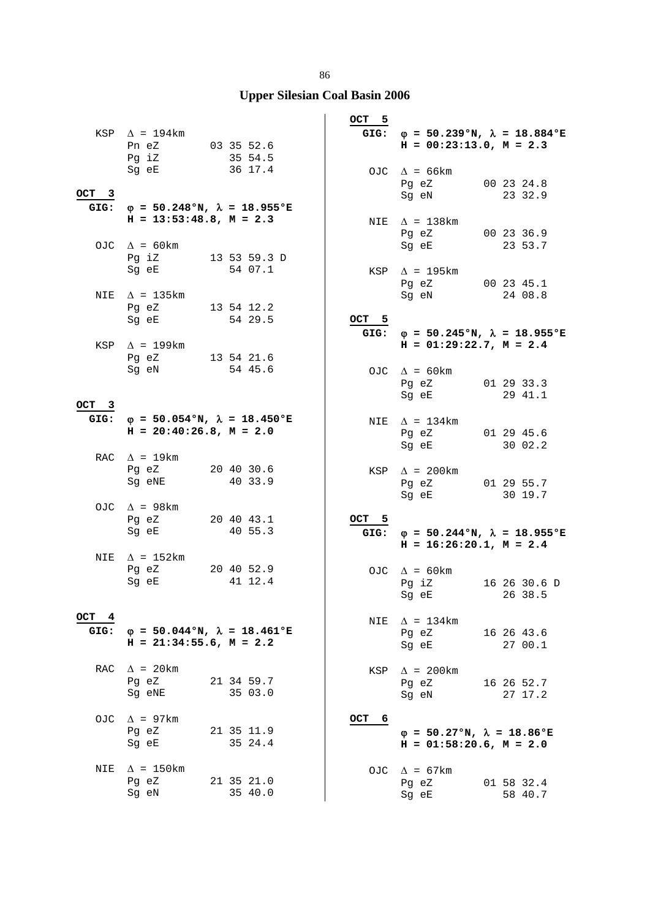|               | KSP $\Delta$ = 194km<br>Pn eZ 03 35 52.6                                       |                       | $OCT = 5$  | GIG: $\varphi = 50.239$ °N, $\lambda = 18.884$ °E<br>$H = 00:23:13.0, M = 2.3$                                                                                     |                         |
|---------------|--------------------------------------------------------------------------------|-----------------------|------------|--------------------------------------------------------------------------------------------------------------------------------------------------------------------|-------------------------|
|               | Pg iZ 35 54.5<br>Sg eE 36 17.4                                                 |                       |            | OJC $\Delta = 66$ km<br>Pg eZ 00 23 24.8                                                                                                                           |                         |
| OCT 3<br>GIG: | $\varphi = 50.248$ °N, $\lambda = 18.955$ °E<br>$H = 13:53:48.8, M = 2.3$      |                       |            | Sg eN 23 32.9                                                                                                                                                      |                         |
|               | OJC $\Delta = 60 \text{km}$                                                    |                       |            | NIE $\Delta$ = 138km<br>Pg eZ<br>Sg eE                                                                                                                             | 00 23 36.9<br>23 53.7   |
|               | Pg iZ 13 53 59.3 D<br>Sg eE                                                    | 54 07.1               |            | KSP $\Delta$ = 195km<br>Pg eZ 00 23 45.1                                                                                                                           |                         |
|               | NIE $\Delta$ = 135km<br>Pg eZ 13 54 12.2<br>Sg eE                              | 54 29.5               | OCT 5      | Sg eN 24 08.8                                                                                                                                                      |                         |
|               | KSP $\Delta$ = 199km<br>Pg eZ $13\ 54\ 21.6$                                   |                       |            | GIG: $\varphi = 50.245$ °N, $\lambda = 18.955$ °E<br>$H = 01:29:22.7, M = 2.4$                                                                                     |                         |
|               | Sg eN                                                                          | 54 45.6               |            | OJC $\Delta = 60 \text{km}$<br>Pg eZ 01 29 33.3<br>Sg eE                                                                                                           | 29 41.1                 |
| OCT 3         |                                                                                |                       |            |                                                                                                                                                                    |                         |
|               | GIG: $\varphi = 50.054$ °N, $\lambda = 18.450$ °E<br>$H = 20:40:26.8, M = 2.0$ |                       |            | NIE $\Delta = 134 \text{km}$<br>Pg eZ 01 29 45.6<br>Sg eE and the state of the state of the state of the state of the state of the state of the state of the state | 30 02.2                 |
|               | RAC $\Delta$ = 19km<br>Pg eZ<br>Sg eNE                                         | 20 40 30.6<br>40 33.9 |            | KSP $\Delta$ = 200km<br>Pg eZ 01 29 55.7<br>Sg eE                                                                                                                  | 30 19.7                 |
|               | OJC $\Delta$ = 98km<br>Pg eZ<br>Sg eE                                          | 20 40 43.1<br>40 55.3 | OCT 5      | GIG: $\varphi = 50.244$ °N, $\lambda = 18.955$ °E<br>$H = 16:26:20.1, M = 2.4$                                                                                     |                         |
| NIE           | $\Delta$ = 152km<br>Pg eZ 20 40 52.9<br>Sg eE                                  | 41 12.4               |            | OJC $\Delta = 60 \text{km}$<br>$Pg$ iZ<br>Sg eE and the state of the state of the state of the state of the state of the state of the state of the state           | 16 26 30.6 D<br>26 38.5 |
| OCT 4<br>GIG: | $\varphi = 50.044$ °N, $\lambda = 18.461$ °E<br>$H = 21:34:55.6$ , $M = 2.2$   |                       | NIE        | $\Delta$ = 134km<br>Pg eZ<br>Sg eE                                                                                                                                 | 16 26 43.6<br>27 00.1   |
| RAC           | $\Delta$ = 20 km<br>Pq eZ<br>Sq eNE                                            | 21 34 59.7<br>35 03.0 | KSP        | $\Delta$ = 200km<br>Pg eZ<br>Sg eN                                                                                                                                 | 16 26 52.7<br>27 17.2   |
| OJC.          | $\Delta$ = 97km<br>Pg eZ<br>Sg eE                                              | 21 35 11.9<br>35 24.4 | OCT<br>- 6 | $\varphi = 50.27$ °N, $\lambda = 18.86$ °E<br>$H = 01:58:20.6$ , $M = 2.0$                                                                                         |                         |
| NIE           | $\Delta$ = 150km<br>Pq eZ<br>Sg eN                                             | 21 35 21.0<br>35 40.0 |            | OJC $\Delta = 67 \text{km}$<br>Pg eZ<br>Sg eE                                                                                                                      | 01 58 32.4<br>58 40.7   |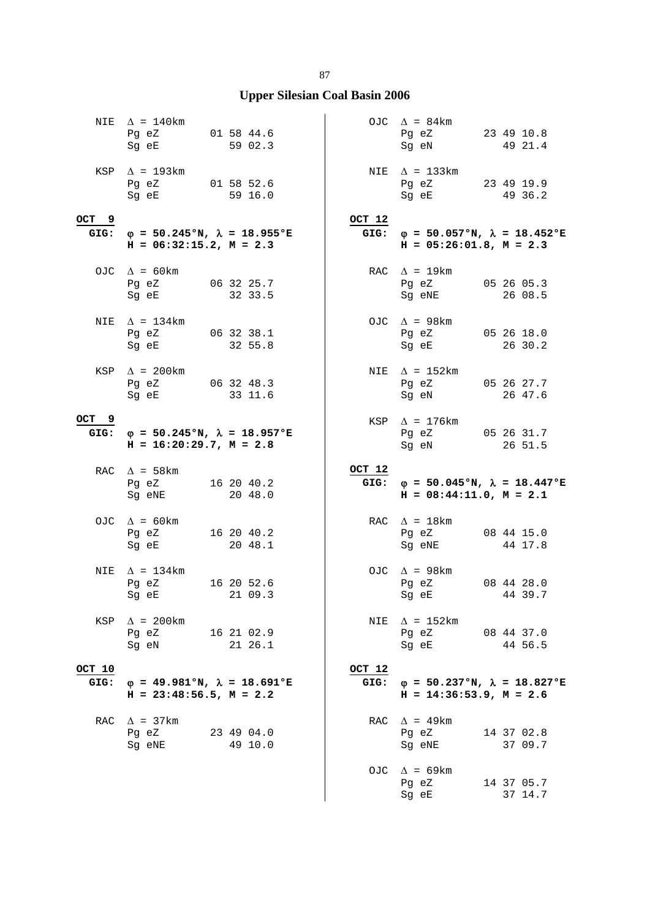|                | NIE $\Delta = 140$ km<br>Pg eZ 01 58 44.6<br>Sg eE                                                                                                                                                                                                         | 59 02.3               |                | OJC $\Delta = 84 \text{km}$<br>Pg eZ<br>Sg eN                                                                                                          | 23 49 10.8<br>49 21.4 |
|----------------|------------------------------------------------------------------------------------------------------------------------------------------------------------------------------------------------------------------------------------------------------------|-----------------------|----------------|--------------------------------------------------------------------------------------------------------------------------------------------------------|-----------------------|
|                | KSP $\Delta$ = 193km<br>Pg eZ 01 58 52.6<br>Sg eE                                                                                                                                                                                                          | 59 16.0               |                | NIE $\Delta = 133 \text{km}$<br>Pg eZ 23 49 19.9<br>Sg eE                                                                                              | 49 36.2               |
| OCT 9<br>GIG:  | $\varphi$ = 50.245°N, $\lambda$ = 18.955°E<br>$H = 06:32:15.2, M = 2.3$                                                                                                                                                                                    |                       | OCT 12<br>GIG: | $\varphi = 50.057$ °N, $\lambda = 18.452$ °E<br>$H = 05:26:01.8$ , $M = 2.3$                                                                           |                       |
|                | OJC $\Delta$ = 60km<br>Pg eZ 06 32 25.7<br>Sg eE                                                                                                                                                                                                           | 32 33.5               |                | RAC $\Delta$ = 19km<br>Pg eZ<br>Sg eNE                                                                                                                 | 05 26 05.3<br>26 08.5 |
| NIE            | $\Delta$ = 134km<br>Pg eZ 06 32 38.1<br>Sg eE                                                                                                                                                                                                              | 32 55.8               |                | OJC $\Delta$ = 98km<br>Pg eZ 05 26 18.0<br>Sg eE                                                                                                       | 26 30.2               |
|                | KSP $\Delta$ = 200km<br>Pg eZ 06 32 48.3<br>Sg eE                                                                                                                                                                                                          | 33 11.6               |                | NIE $\Delta$ = 152km<br>Pg eZ 05 26 27.7<br>Sg eN                                                                                                      | 26 47.6               |
| OCT 9          | GIG: $\varphi = 50.245$ °N, $\lambda = 18.957$ °E<br>$H = 16:20:29.7, M = 2.8$                                                                                                                                                                             |                       |                | $KSP \quad \Delta = 176 \text{km}$<br>Pg eZ 05 26 31.7<br>Sg eN                                                                                        | 26 51.5               |
|                |                                                                                                                                                                                                                                                            |                       |                |                                                                                                                                                        |                       |
|                | RAC $\Delta$ = 58km<br>Pg eZ 16 20 40.2<br>Sg eNE                                                                                                                                                                                                          | 20 48.0               | OCT 12<br>GIG: | $\varphi = 50.045$ °N, $\lambda = 18.447$ °E<br>$H = 08:44:11.0, M = 2.1$                                                                              |                       |
|                | OJC $\Delta$ = 60km<br>Pg eZ<br>Sg eE                                                                                                                                                                                                                      | 16 20 40.2<br>20 48.1 |                | RAC $\Delta = 18 \text{km}$<br>Pg eZ<br>Sg eNE                                                                                                         | 08 44 15.0<br>44 17.8 |
| NIE            | $\Delta$ = 134km<br>Pq eZ<br>Sg eE 21 09.3                                                                                                                                                                                                                 | 16 20 52.6            |                | OJC $\Delta$ = 98km<br>Pg eZ 08 44 28.0<br>Sg eE 44 39.7                                                                                               |                       |
| KSP            | $\Delta$ = 200km<br>Pg eZ<br>Sg eN and the state of the state of the state of the state of the state of the state of the state of the state of the state of the state of the state of the state of the state of the state of the state of the state of the | 16 21 02.9<br>21 26.1 | NIE            | $\Delta$ = 152km<br>Pg eZ 08 44 37.0<br>Sq eE and the state of the state of the state of the state of the state of the state of the state of the state | 44 56.5               |
| OCT 10<br>GIG: | $\varphi = 49.981^{\circ}N, \lambda = 18.691^{\circ}E$<br>$H = 23:48:56.5$ , $M = 2.2$                                                                                                                                                                     |                       | OCT 12<br>GIG: | $\varphi = 50.237$ °N, $\lambda = 18.827$ °E<br>$H = 14:36:53.9$ , $M = 2.6$                                                                           |                       |
| RAC            | $\Delta$ = 37km<br>Pg eZ<br>Sg eNE                                                                                                                                                                                                                         | 23 49 04.0<br>49 10.0 |                | RAC $\Delta$ = 49km<br>Pg eZ<br>Sg eNE                                                                                                                 | 14 37 02.8<br>37 09.7 |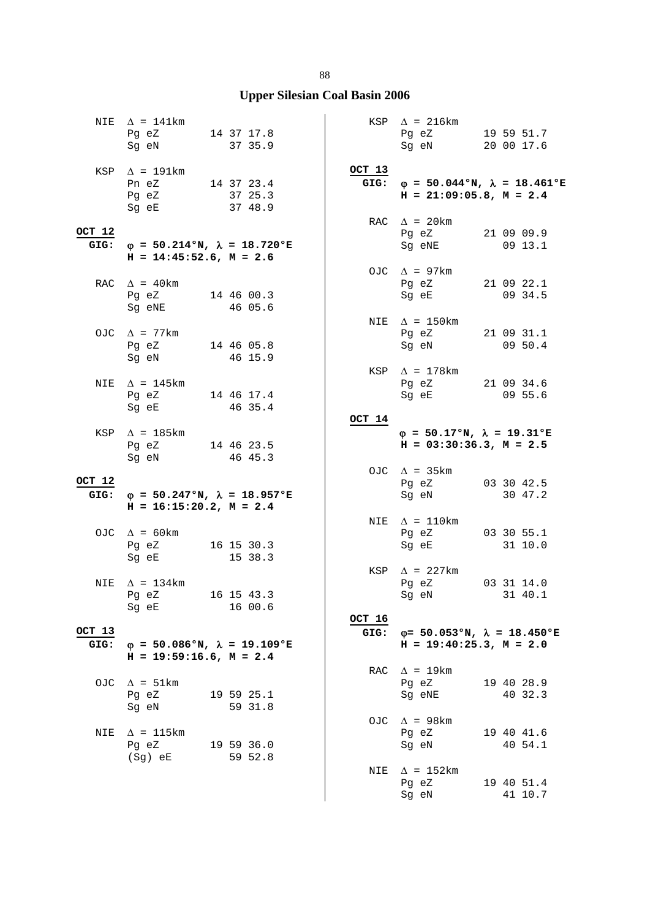|                | NIE $\Delta$ = 141km<br>Pg eZ 14 37 17.8<br>Sg eN                        | 37 35.9                                      |                | $KSP \quad \Delta = 216 \text{km}$<br>Pg eZ 19 59 51.7<br>Sg eN 20 00 17.6 |                                                          |
|----------------|--------------------------------------------------------------------------|----------------------------------------------|----------------|----------------------------------------------------------------------------|----------------------------------------------------------|
|                | $KSP \quad \Delta = 191km$<br>Pn eZ 14 37 23.4<br>Pg eZ<br>Sg eE 37 48.9 | 37 25.3                                      | OCT 13<br>GIG: | $H = 21:09:05.8$ , $M = 2.4$                                               | $\varphi = 50.044 \text{°N}, \lambda = 18.461 \text{°E}$ |
| OCT 12<br>GIG: | $H = 14:45:52.6$ , $M = 2.6$                                             | $\varphi = 50.214$ °N, $\lambda = 18.720$ °E |                | RAC $\Delta$ = 20 km<br>Pg eZ 21 09 09.9<br>Sg eNE                         | $09$ 13.1                                                |
|                | RAC $\Delta$ = 40 km<br>Pg eZ 14 46 00.3<br>Sg eNE                       | 46 05.6                                      |                | OJC $\Delta$ = 97km<br>Pg eZ 21 09 22.1<br>Sg eE                           | 09 34.5                                                  |
|                | OJC $\Delta$ = 77km<br>Pg eZ 14 46 05.8<br>Sg eN 46 15.9                 |                                              |                | NIE $\Delta$ = 150km<br>Pq eZ 21 09 31.1<br>Sg eN 09 50.4                  |                                                          |
| NIE            | $\Delta$ = 145km<br>Pg eZ 14 46 17.4<br>Sg eE                            | 46 35.4                                      |                | KSP $\Delta$ = 178km<br>Pg eZ 21 09 34.6<br>Sg eE                          | 09 55.6                                                  |
|                | KSP $\Delta$ = 185km<br>Pg eZ 14 46 23.5<br>Sg eN                        | 46 45.3                                      | OCT 14         | $\varphi = 50.17$ °N, $\lambda = 19.31$ °E<br>$H = 03:30:36.3, M = 2.5$    |                                                          |
| OCT 12<br>GIG: | $H = 16:15:20.2, M = 2.4$                                                | $\varphi = 50.247$ °N, $\lambda = 18.957$ °E |                | OJC $\Delta$ = 35km<br>Pg eZ 03 30 42.5<br>Sg eN                           | 30 47.2                                                  |
|                | OJC $\Delta = 60 \text{km}$<br>Pg eZ 16 15 30.3<br>Sg eE                 | 15 38.3                                      |                | NIE $\Delta = 110 \text{km}$<br>Pg eZ 03 30 55.1<br>Sg eE                  | 31 10.0                                                  |
| NIE            | $\Delta$ = 134km<br>Pg eZ 16 15 43.3<br>Sg eE                            | 16 00.6                                      |                | KSP $\Delta$ = 227km<br>Pg eZ 03 31 14.0<br>Sg eN 31 40.1                  |                                                          |
| OCT 13<br>GIG: | $H = 19:59:16.6$ , $M = 2.4$                                             | $\varphi = 50.086$ °N, $\lambda = 19.109$ °E | OCT 16<br>GIG: | $H = 19:40:25.3$ , $M = 2.0$                                               | $\varphi$ = 50.053°N, $\lambda$ = 18.450°E               |
|                | OJC $\Delta = 51 \text{km}$<br>Pg eZ<br>Sg eN                            | 19 59 25.1<br>59 31.8                        |                | RAC $\Delta$ = 19km<br>Pg eZ<br>Sg eNE                                     | 19 40 28.9<br>40 32.3                                    |
| NIE            | $\Delta$ = 115km<br>Pq eZ<br>(Sg) eE                                     | 19 59 36.0<br>59 52.8                        |                | OJC $\Delta$ = 98km<br>Pg eZ<br>Sg eN                                      | 19 40 41.6<br>40 54.1                                    |
|                |                                                                          |                                              | NIE            | $\Delta$ = 152km<br>Pg eZ<br>Sg eN                                         | 19 40 51.4<br>41 10.7                                    |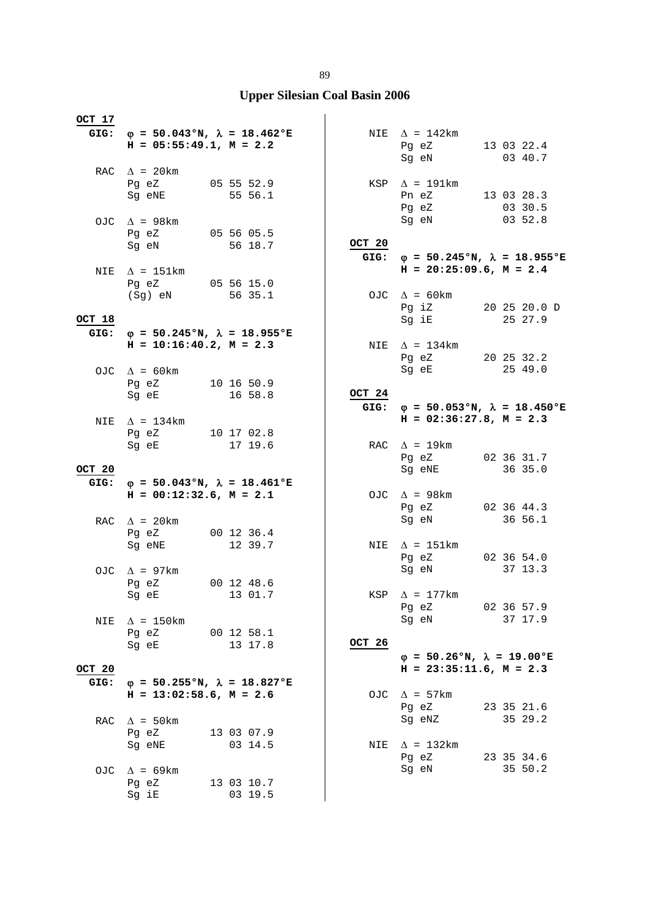| OCT 17         | GIG: $\varphi = 50.043$ °N, $\lambda = 18.462$ °E                            |                       |                | NIE $\Delta = 142 \text{km}$                      |                                                   |
|----------------|------------------------------------------------------------------------------|-----------------------|----------------|---------------------------------------------------|---------------------------------------------------|
|                | $H = 05:55:49.1, M = 2.2$                                                    |                       |                | Pg eZ 13 03 22.4<br>Sg eN 03 40.7                 |                                                   |
|                | RAC $\Delta$ = 20 km<br>Pg eZ 05 55 52.9<br>Sg eNE 55 56.1                   |                       |                | KSP $\Delta$ = 191km<br>Pn eZ 13 03 28.3<br>Pg eZ | 03 30.5                                           |
|                | OJC $\Delta$ = 98km<br>Pg eZ<br>Sg eN                                        | 05 56 05.5<br>56 18.7 | OCT 20         | Sg eN                                             | 0352.8                                            |
| NIE            | $\Delta$ = 151km                                                             |                       |                | $H = 20:25:09.6$ , $M = 2.4$                      | GIG: $\varphi = 50.245$ °N, $\lambda = 18.955$ °E |
|                | Pg eZ 05 56 15.0<br>(Sg) eN 56 35.1                                          |                       |                | OJC $\Delta = 60 \text{km}$<br>Pg iZ 20 25 20.0 D |                                                   |
| OCT 18         |                                                                              |                       |                | Sg iE                                             | 25 27.9                                           |
| GIG:           | $\varphi$ = 50.245°N, $\lambda$ = 18.955°E<br>$H = 10:16:40.2, M = 2.3$      |                       |                | NIE $\Delta$ = 134km                              |                                                   |
|                | OJC $\Delta = 60 \text{km}$<br>Pg eZ 10 16 50.9                              |                       |                | Pg eZ 20 25 32.2<br>Sg eE                         | 25 49.0                                           |
|                | Sg eE                                                                        | 16 58.8               | OCT 24<br>GIG: |                                                   | $\varphi = 50.053$ °N, $\lambda = 18.450$ °E      |
|                | NIE $\Delta$ = 134km                                                         |                       |                | $H = 02:36:27.8$ , $M = 2.3$                      |                                                   |
|                | Pg eZ 10 17 02.8<br>Sg eE 17 19.6                                            |                       |                | RAC $\Delta = 19 \text{km}$                       |                                                   |
| OCT 20         |                                                                              |                       |                | Pg eZ<br>Sg eNE                                   | 02 36 31.7<br>36 35.0                             |
| GIG:           | $\varphi = 50.043$ °N, $\lambda = 18.461$ °E<br>$H = 00:12:32.6$ , $M = 2.1$ |                       |                | OJC $\Delta$ = 98km<br>Pg eZ                      | 02 36 44.3                                        |
|                | RAC $\Delta$ = 20 km                                                         |                       |                | Sg eN                                             | 36 56.1                                           |
|                | Pq eZ 00 12 36.4                                                             |                       |                |                                                   |                                                   |
|                | Sg eNE                                                                       | 12 39.7               |                | NIE $\Delta$ = 151km<br>Pg eZ 02 36 54.0<br>Sg eN | 37 13.3                                           |
|                | OJC $\Delta$ = 97km<br>Pq eZ 00 12 48.6                                      |                       |                |                                                   |                                                   |
|                | Sg eE                                                                        | 13 01.7               | KSP            | $\Delta$ = 177km<br>Pg eZ                         | 02 36 57.9                                        |
| NIE            | $\Delta$ = 150km<br>Pg eZ                                                    | 00 12 58.1            |                | Sg eN                                             | 37 17.9                                           |
|                | Sg eE                                                                        | 13 17.8               | OCT 26         | $\varphi = 50.26$ °N, $\lambda = 19.00$ °E        |                                                   |
| OCT 20<br>GIG: | $\varphi$ = 50.255°N, $\lambda$ = 18.827°E                                   |                       |                | $H = 23:35:11.6$ , $M = 2.3$                      |                                                   |
|                | $H = 13:02:58.6$ , $M = 2.6$                                                 |                       | OJC            | $\Delta$ = 57km<br>Pg eZ                          | 23 35 21.6                                        |
| RAC            | $\Delta$ = 50 km<br>Pg eZ                                                    | 13 03 07.9            |                | Sq eNZ                                            | 35 29.2                                           |
|                | Sg eNE                                                                       | 03 14.5               | NIE            | $\Delta$ = 132km<br>Pg eZ<br>Sg eN                | 23 35 34.6<br>35 50.2                             |
| OJC.           | $\Delta$ = 69km<br>Pg eZ                                                     | 13 03 10.7            |                |                                                   |                                                   |
|                | Sg iE                                                                        | 03 19.5               |                |                                                   |                                                   |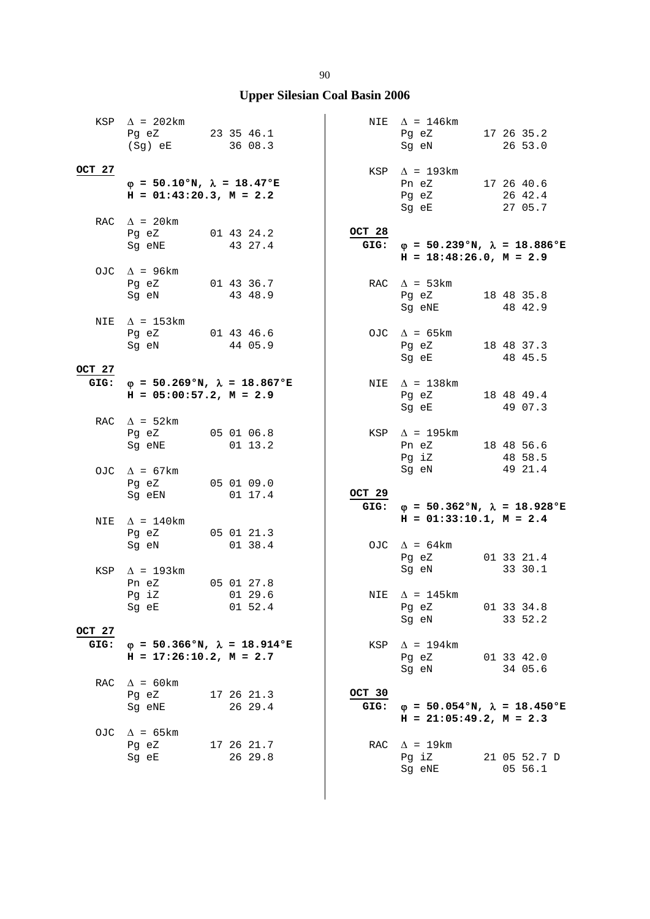|                | KSP $\Delta$ = 202km<br>Pg $eZ$ 23 35 46.1<br>(Sg) eE                   | 36 08.3                                           |                | NIE $\Delta$ = 146 km<br>Pg eZ<br>Sg eN                                          | 17 26 35.2<br>26 53.0            |
|----------------|-------------------------------------------------------------------------|---------------------------------------------------|----------------|----------------------------------------------------------------------------------|----------------------------------|
| OCT 27         | $\varphi = 50.10$ °N, $\lambda = 18.47$ °E<br>$H = 01:43:20.3, M = 2.2$ |                                                   |                | $KSP \quad \Delta = 193km$<br>Pn eZ 17 26 40.6<br>Pg eZ 26 42.4<br>Sg eE 27 05.7 |                                  |
|                | RAC $\Delta$ = 20 km<br>Pg eZ 01 43 24.2<br>Sq eNE 43 27.4              |                                                   | OCT 28<br>GIG: | $\varphi = 50.239$ °N, $\lambda = 18.886$ °E<br>$H = 18:48:26.0, M = 2.9$        |                                  |
|                | OJC $\Delta$ = 96km<br>Pg eZ<br>Sg eN                                   | 01 43 36.7<br>43 48.9                             |                | RAC $\Delta$ = 53km<br>Pg eZ 18 48 35.8<br>Sg eNE                                | 48 42.9                          |
| NIE            | $\Delta$ = 153km<br>Pg eZ 01 43 46.6<br>Sg eN 44 05.9                   |                                                   |                | OJC $\Delta = 65 \text{km}$<br>Pg eZ<br>Sg eE                                    | 18 48 37.3<br>48 45.5            |
| OCT 27         | $H = 05:00:57.2$ , $M = 2.9$                                            | GIG: $\varphi = 50.269$ °N, $\lambda = 18.867$ °E |                | NIE $\Delta$ = 138km<br>Pg eZ<br>Sg eE                                           | 18 48 49.4<br>49 07.3            |
|                | RAC $\Delta = 52 \text{km}$<br>Pg eZ 05 01 06.8<br>Sg eNE               | 01 13.2                                           |                | KSP $\Delta$ = 195km<br>Pn eZ 18 48 56.6<br>Pg iZ 48 58.5                        |                                  |
|                | OJC $\Delta$ = 67km<br>Pg eZ 05 01 09.0<br>Sg eEN                       | 01 17.4                                           | OCT 29<br>GIG: | Sg eN 49 21.4<br>$\varphi = 50.362$ °N, $\lambda = 18.928$ °E                    |                                  |
| NIE            | $\Delta$ = 140km<br>Pg eZ 05 01 21.3<br>Sg eN                           | 01 38.4                                           |                | $H = 01:33:10.1, M = 2.4$<br>OJC $\Delta = 64 \text{km}$<br>Pg eZ                | 01 33 21.4                       |
| KSP            | $\Delta$ = 193km<br>Pn eZ<br>Pg iZ 01 29.6<br>Sg eE                     | 05 01 27.8<br>01 52.4                             |                | Sg eN<br>NIE $\Delta$ = 145km<br>Pg eZ<br>Sg eN                                  | 33 30.1<br>01 33 34.8<br>33 52.2 |
| OCT 27<br>GIG: | $H = 17:26:10.2, M = 2.7$                                               | $\varphi = 50.366$ °N, $\lambda = 18.914$ °E      |                | $KSP \quad \Delta = 194 \text{km}$<br>Pg eZ<br>Sg eN                             | 01 33 42.0<br>34 05.6            |
|                | RAC $\Delta$ = 60km<br>Pg eZ<br>Sg eNE                                  | 17 26 21.3<br>26 29.4                             | OCT 30<br>GIG: | $\varphi = 50.054$ °N, $\lambda = 18.450$ °E<br>$H = 21:05:49.2$ , $M = 2.3$     |                                  |
| OJC            | $\Delta$ = 65 km<br>Pg eZ<br>Sg eE                                      | 17 26 21.7<br>26 29.8                             |                | RAC $\Delta$ = 19km<br>Pg iZ<br>Sg eNE                                           | 21 05 52.7 D<br>05 56.1          |

#### 90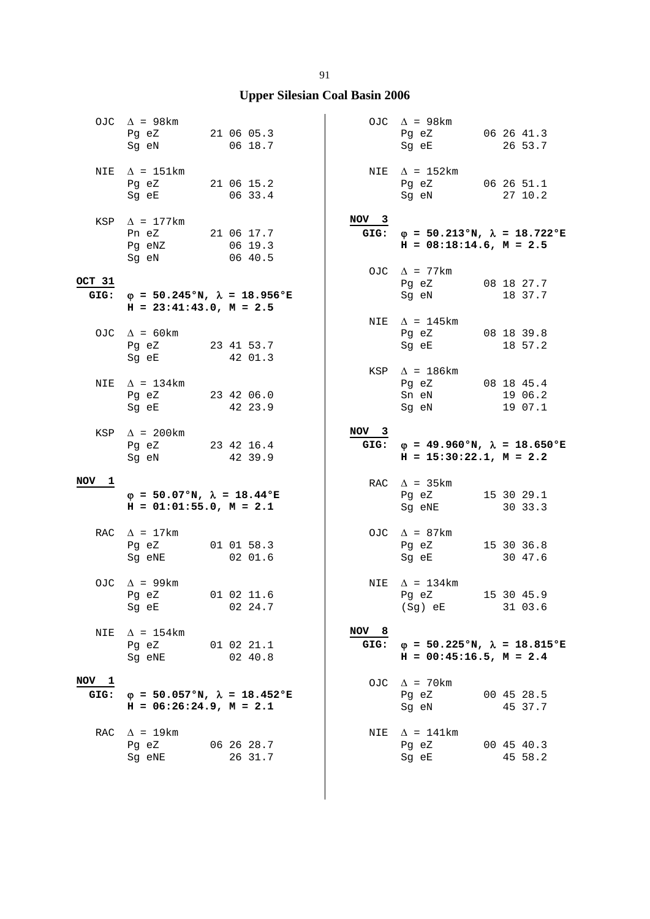# **Upper Silesian Coal Basin 2006**

|                 | OJC $\Delta$ = 98km<br>Pg eZ<br>Sg eN                                      | 21 06 05.3 |         | 06 18.7    |                          | OJC $\Delta$ = 98km<br>Pg eZ<br>Sg eE                                        | 06 26 41.3<br>26 53.7            |
|-----------------|----------------------------------------------------------------------------|------------|---------|------------|--------------------------|------------------------------------------------------------------------------|----------------------------------|
| NIE             | $\Delta$ = 151km<br>21 06 15.2<br>Pg eZ<br>Sg eE                           |            |         | 06 33.4    |                          | NIE $\Delta = 152 \text{km}$<br>Pg eZ 06 26 51.1<br>Sg eN                    | 27 10.2                          |
| KSP             | $\Delta$ = 177km<br>Pn eZ<br>Pg eNZ<br>Sg eN                               | 21 06 17.7 | 06 40.5 | 06 19.3    | NOV <sub>3</sub><br>GIG: | $\varphi = 50.213$ °N, $\lambda = 18.722$ °E<br>$H = 08:18:14.6$ , $M = 2.5$ |                                  |
| OCT 31<br>GIG:  | $\varphi$ = 50.245°N, $\lambda$ = 18.956°E<br>$H = 23:41:43.0, M = 2.5$    |            |         |            |                          | OJC $\Delta$ = 77km<br>Pg eZ<br>Sg eN                                        | 08 18 27.7<br>18 37.7            |
|                 | OJC $\Delta = 60 \text{km}$<br>Pq eZ 23 41 53.7<br>Sg eE                   |            | 42 01.3 |            |                          | NIE $\Delta$ = 145km<br>Pg eZ<br>Sg eE                                       | 08 18 39.8<br>18 57.2            |
| NIE             | $\Delta$ = 134km<br>Pg eZ<br>Sg eE                                         | 23 42 06.0 | 42 23.9 |            |                          | KSP $\Delta$ = 186km<br>Pg eZ<br>Sn eN<br>Sg eN                              | 08 18 45.4<br>19 06.2<br>19 07.1 |
|                 | KSP $\Delta$ = 200km<br>Pg eZ 23 42 16.4<br>Sg eN                          |            | 42 39.9 |            | NOV <sub>3</sub><br>GIG: | $\varphi$ = 49.960°N, $\lambda$ = 18.650°E<br>$H = 15:30:22.1, M = 2.2$      |                                  |
| NOV<br>1        | $\varphi = 50.07$ °N, $\lambda = 18.44$ °E<br>$H = 01:01:55.0$ , $M = 2.1$ |            |         |            |                          | RAC $\Delta$ = 35km<br>Pg eZ<br>Sg eNE                                       | 15 30 29.1<br>30 33.3            |
|                 | RAC $\Delta = 17 \text{km}$<br>Pg eZ<br>Sg eNE                             | 01 01 58.3 | 02 01.6 |            |                          | OJC $\Delta$ = 87km<br>Pg eZ<br>Sg eE                                        | 15 30 36.8<br>30 47.6            |
| OJC             | $\Delta$ = 99km<br>Pg eZ<br>Sg eE                                          |            | 02 24.7 | 01 02 11.6 |                          | NIE $\Delta = 134 \text{km}$<br>Pg eZ<br>$(Sg)$ eE                           | 15 30 45.9<br>31 03.6            |
| NIE             | $\Delta$ = 154 km<br>Pg eZ<br>Sq eNE                                       | 01 02 21.1 | 02 40.8 |            | NOV 8<br>GIG:            | $\varphi = 50.225$ °N, $\lambda = 18.815$ °E<br>$H = 00:45:16.5$ , $M = 2.4$ |                                  |
| $NOV$ 1<br>GIG: | $\varphi = 50.057$ °N, $\lambda = 18.452$ °E<br>$H = 06:26:24.9, M = 2.1$  |            |         |            |                          | OJC $\Delta$ = 70km<br>Pg eZ<br>Sg eN                                        | 00 45 28.5<br>45 37.7            |
| RAC             | $\Delta$ = 19km<br>Pg eZ<br>Sq eNE                                         | 06 26 28.7 | 26 31.7 |            | NIE                      | $\Delta$ = 141km<br>Pg eZ<br>Sg eE                                           | 00 45 40.3<br>45 58.2            |

 $\vert$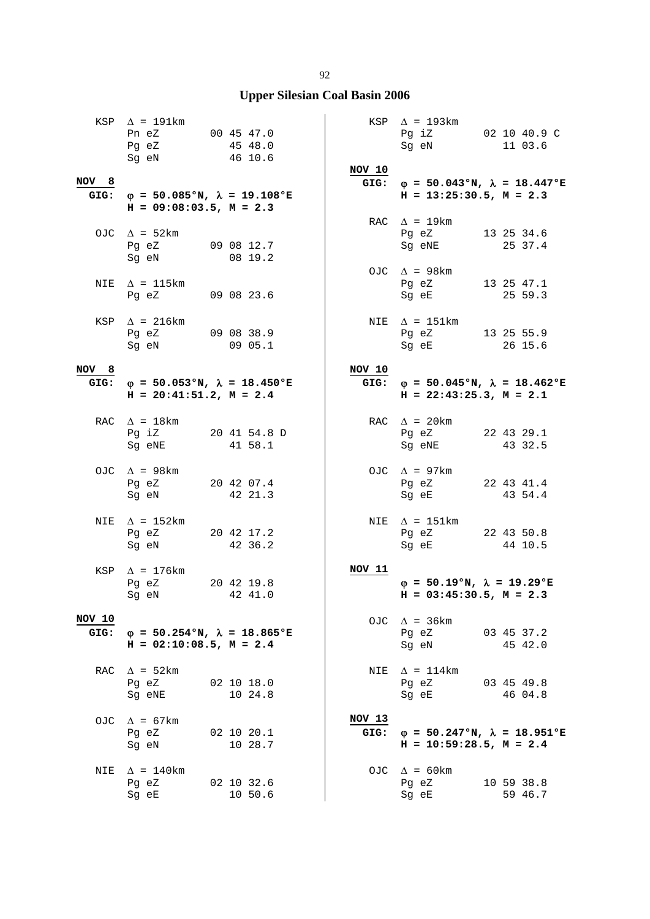|                | KSP $\Delta$ = 191km<br>Pn eZ 00 45 47.0<br>Pg eZ<br>Sg eN                        | 45 48.0<br>46 10.6    | NOV 10         | $KSP \quad \Delta = 193km$<br>Pg iZ 02 10 40.9 C<br>Sg eN                         | 11 03.6               |
|----------------|-----------------------------------------------------------------------------------|-----------------------|----------------|-----------------------------------------------------------------------------------|-----------------------|
| NOV 8          | GIG: $\varphi = 50.085$ °N, $\lambda = 19.108$ °E<br>$H = 09:08:03.5$ , $M = 2.3$ |                       |                | GIG: $\varphi = 50.043$ °N, $\lambda = 18.447$ °E<br>$H = 13:25:30.5$ , $M = 2.3$ |                       |
|                | OJC $\Delta$ = 52km<br>Pg eZ<br>Sg eN                                             | 09 08 12.7<br>08 19.2 |                | RAC $\Delta$ = 19km<br>Pg eZ 13 25 34.6<br>Sg eNE 25 37.4                         |                       |
|                | NIE $\Delta$ = 115km<br>Pg eZ 09 08 23.6                                          |                       |                | OJC $\Delta$ = 98km<br>Pg eZ<br>Sg eE                                             | 13 25 47.1<br>25 59.3 |
|                | KSP $\Delta$ = 216km<br>Pg eZ 09 08 38.9<br>Sg eN 09 05.1                         |                       |                | NIE $\Delta$ = 151km<br>Pg eZ 13 25 55.9<br>Sg eE 26 15.6                         |                       |
| NOV 8          |                                                                                   |                       | NOV 10         |                                                                                   |                       |
|                | GIG: $\varphi = 50.053$ °N, $\lambda = 18.450$ °E<br>$H = 20:41:51.2, M = 2.4$    |                       |                | GIG: $\varphi = 50.045$ °N, $\lambda = 18.462$ °E<br>$H = 22:43:25.3$ , $M = 2.1$ |                       |
|                | RAC $\Delta$ = 18km<br>Pg iZ 20 41 54.8 D<br>Sg eNE                               | 41 58.1               |                | RAC $\Delta$ = 20km<br>Pg eZ 22 43 29.1<br>Sg eNE                                 | 43 32.5               |
|                | OJC $\Delta$ = 98km<br>Pg eZ 20 42 07.4<br>Sg eN 42 21.3                          |                       |                | OJC $\Delta$ = 97km<br>Pg eZ 22 43 41.4<br>Sg eE 43 54.4                          |                       |
| NIE            | $\Delta$ = 152km<br>Pg eZ 20 42 17.2<br>Sg eN                                     | 42 36.2               |                | NIE $\Delta$ = 151km<br>Pg eZ 22 43 50.8<br>Sg eE                                 | 44 10.5               |
|                | KSP $\Delta$ = 176km<br>Pg eZ 20 42 19.8<br>Sg eN 42 41.0                         |                       | NOV 11         | $\varphi = 50.19$ °N, $\lambda = 19.29$ °E<br>$H = 03:45:30.5$ , $M = 2.3$        |                       |
| NOV 10<br>GIG: | $\varphi = 50.254$ °N, $\lambda = 18.865$ °E<br>$H = 02:10:08.5$ , $M = 2.4$      |                       |                | OJC $\Delta$ = 36km<br>Pg eZ<br>Sg eN                                             | 03 45 37.2<br>45 42.0 |
|                | RAC $\Delta = 52 \text{km}$<br>Pg eZ<br>Sg eNE                                    | 02 10 18.0<br>10 24.8 |                | NIE $\Delta = 114 \text{km}$<br>Pg eZ<br>Sg eE                                    | 03 45 49.8<br>46 04.8 |
| OJC            | $\Delta$ = 67km<br>Pg eZ<br>Sg eN                                                 | 02 10 20.1<br>10 28.7 | NOV 13<br>GIG: | $\varphi = 50.247$ °N, $\lambda = 18.951$ °E<br>$H = 10:59:28.5$ , $M = 2.4$      |                       |
| NIE            | $\Delta$ = 140km<br>Pg eZ<br>Sg eE                                                | 02 10 32.6<br>10 50.6 |                | OJC $\Delta$ = 60 km<br>Pg eZ<br>Sg eE                                            | 10 59 38.8<br>59 46.7 |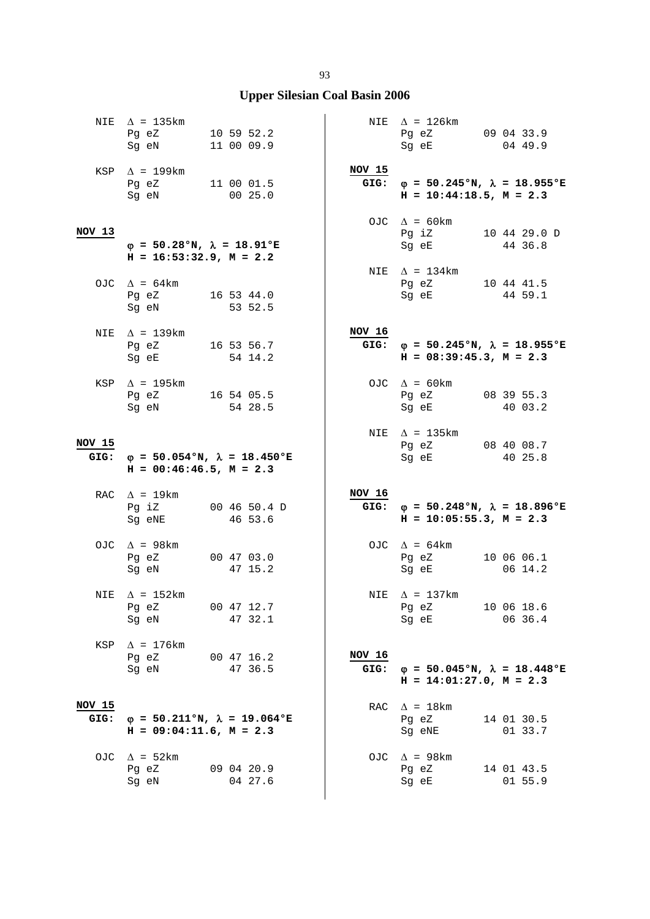|                | NIE $\Delta$ = 135km<br>Pg eZ<br>Sg eN 11 00 09.9                          | 10 59 52.2                                        |                | NIE $\Delta$ = 126km<br>Pg eZ 09 04 33.9<br>Sg eE                                 | 04 49.9               |
|----------------|----------------------------------------------------------------------------|---------------------------------------------------|----------------|-----------------------------------------------------------------------------------|-----------------------|
|                | KSP $\Delta$ = 199km<br>Pg eZ 11 00 01.5<br>Sg eN 00 25.0                  |                                                   | <b>NOV 15</b>  | GIG: $\varphi = 50.245$ °N, $\lambda = 18.955$ °E<br>$H = 10:44:18.5$ , $M = 2.3$ |                       |
| NOV 13         | $\varphi = 50.28$ °N, $\lambda = 18.91$ °E<br>$H = 16:53:32.9$ , $M = 2.2$ |                                                   |                | OJC $\Delta = 60 \text{km}$<br>Pq iZ 10 44 29.0 D<br>Sg eE 44 36.8                |                       |
|                | OJC $\Delta = 64 \text{km}$<br>Pg eZ 16 53 44.0<br>Sg eN                   | 53 52.5                                           |                | NIE $\Delta = 134 \text{km}$<br>Pg eZ 10 44 41.5<br>Sg eE                         | 44 59.1               |
|                | NIE $\Delta$ = 139km<br>Pg eZ 16 53 56.7<br>Sg eE 54 14.2                  |                                                   | NOV 16         | GIG: $\varphi = 50.245$ °N, $\lambda = 18.955$ °E<br>$H = 08:39:45.3, M = 2.3$    |                       |
|                | KSP $\Delta$ = 195km<br>Pg eZ 16 54 05.5<br>Sg eN                          | 54 28.5                                           |                | OJC $\Delta = 60 \text{km}$<br>Pg eZ<br>Sg eE                                     | 08 39 55.3<br>40 03.2 |
| NOV 15         | $H = 00:46:46.5$ , $M = 2.3$                                               | GIG: $\varphi = 50.054$ °N, $\lambda = 18.450$ °E |                | NIE $\Delta$ = 135km<br>Pg eZ 08 40 08.7<br>Sg eE                                 | 40 25.8               |
|                | RAC $\Delta$ = 19km<br>Sg eNE                                              | Pg iZ 00 46 50.4 D<br>46 53.6                     | NOV 16         | GIG: $\varphi = 50.248$ °N, $\lambda = 18.896$ °E<br>$H = 10:05:55.3, M = 2.3$    |                       |
|                | OJC $\Delta$ = 98km<br>Pg eZ<br>Sg eN                                      | 00 47 03.0<br>47 15.2                             |                | OJC $\Delta = 64 \text{km}$<br>Pg eZ<br>Sg eE                                     | 10 06 06.1<br>06 14.2 |
|                | NIE $\Delta$ = 152km<br>Pg eZ<br>Sg eN                                     | 00 47 12.7<br>47 32.1                             |                | NIE $\Delta$ = 137km<br>Pg eZ<br>Sg eE                                            | 10 06 18.6<br>06 36.4 |
| KSP            | $\Delta$ = 176km<br>Pg eZ<br>Sg eN                                         | 00 47 16.2<br>47 36.5                             | NOV 16<br>GIG: | $\varphi = 50.045$ °N, $\lambda = 18.448$ °E<br>$H = 14:01:27.0$ , $M = 2.3$      |                       |
| NOV 15<br>GIG: | $H = 09:04:11.6$ , $M = 2.3$                                               | $\varphi = 50.211$ °N, $\lambda = 19.064$ °E      |                | RAC $\Delta = 18 \text{km}$<br>Pg eZ<br>Sg eNE                                    | 14 01 30.5<br>01 33.7 |
| OJC            | $\Delta$ = 52km<br>Pg eZ<br>Sg eN                                          | 09 04 20.9<br>04 27.6                             |                | OJC $\Delta$ = 98km<br>Pg eZ<br>Sg eE                                             | 14 01 43.5<br>01 55.9 |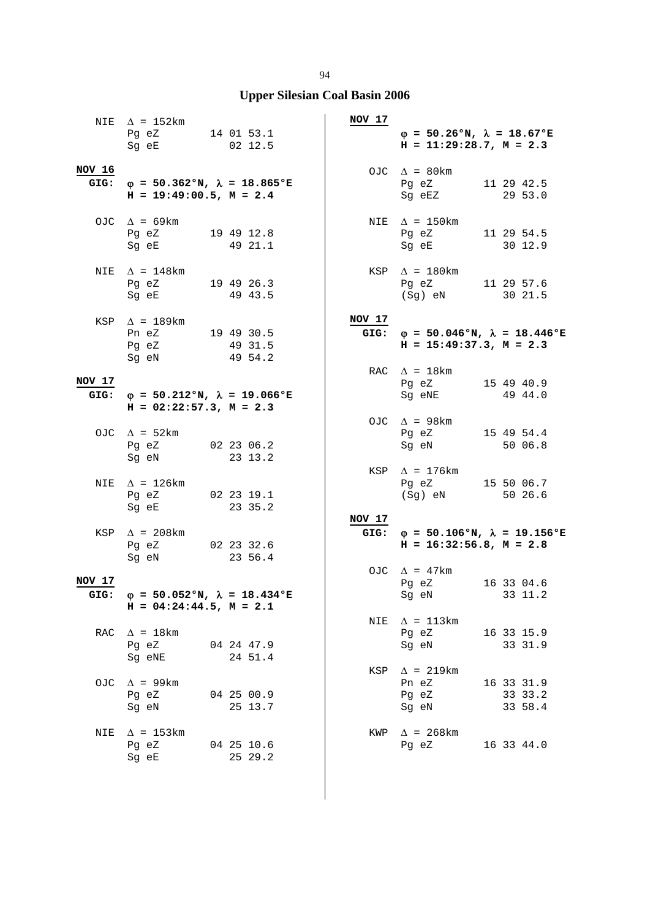|        | NIE $\Delta$ = 152km<br>Pg eZ 14 01 53.1<br>Sg eE 02 12.5                         |                       | <b>NOV 17</b> | $\varphi = 50.26$ °N, $\lambda = 18.67$ °E<br>$H = 11:29:28.7, M = 2.3$        |                                  |
|--------|-----------------------------------------------------------------------------------|-----------------------|---------------|--------------------------------------------------------------------------------|----------------------------------|
| NOV 16 | GIG: $\varphi = 50.362$ °N, $\lambda = 18.865$ °E<br>$H = 19:49:00.5$ , $M = 2.4$ |                       |               | OJC $\Delta = 80 \text{km}$<br>Pg eZ 11 29 42.5<br>Sg eEZ 29 53.0              |                                  |
|        | OJC $\Delta$ = 69km<br>Pg eZ 19 49 12.8<br>Sg eE 49 21.1                          |                       |               | NIE $\Delta$ = 150km<br>Pg eZ 11 29 54.5<br>Sg eE 30 12.9                      |                                  |
|        | NIE $\Delta$ = 148km<br>Pg eZ 19 49 26.3<br>Sg eE                                 | 49 43.5               |               | $KSP \triangle = 180km$<br>Pg eZ 11 29 57.6<br>(Sg) eN 30 21.5                 |                                  |
|        | KSP $\Delta$ = 189km<br>Pn eZ 19 49 30.5<br>Pg eZ 49 31.5<br>Sg eN 49 54.2        |                       | NOV 17        | GIG: $\varphi = 50.046$ °N, $\lambda = 18.446$ °E<br>$H = 15:49:37.3, M = 2.3$ |                                  |
| NOV 17 | GIG: $\varphi = 50.212$ °N, $\lambda = 19.066$ °E<br>$H = 02:22:57.3$ , $M = 2.3$ |                       |               | RAC $\Delta = 18$ km<br>Pg eZ 15 49 40.9<br>Sg eNE                             | 49 44.0                          |
|        | OJC $\Delta = 52 \text{km}$<br>Pg eZ 02 23 06.2<br>Sg eN 23 13.2                  |                       |               | OJC $\Delta$ = 98km<br>Pg eZ 15 49 54.4<br>Sg eN                               | 50 06.8                          |
| NIE    | $\Delta$ = 126km<br>Pg eZ 02 23 19.1<br>Sg eE 23 35.2                             |                       | KSP           | $\Delta$ = 176km<br>Pg eZ 15 50 06.7<br>(Sg) eN 50 26.6                        |                                  |
|        | KSP $\Delta$ = 208km<br>Pg eZ 02 23 32.6<br>Sq eN 23 56.4<br>Sg eN                | 23 56.4               | <b>NOV 17</b> | GIG: $\phi = 50.106$ °N, $\lambda = 19.156$ °E<br>$H = 16:32:56.8$ , $M = 2.8$ |                                  |
| NOV 17 | GIG: $\omega = 50.052$ °N, $\lambda = 18.434$ °E<br>$H = 04:24:44.5$ , $M = 2.1$  |                       |               | OJC $\Delta$ = 47km<br>Pg eZ 16 33 04.6<br>Sg eN 33 11.2                       |                                  |
| RAC    | $\Delta$ = 18km<br>Pg eZ<br>Sg eNE                                                | 04 24 47.9<br>24 51.4 | NIE           | $\Delta$ = 113km<br>Pg eZ<br>Sq eN                                             | 16 33 15.9<br>33 31.9            |
|        | OJC $\Delta$ = 99km<br>Pg eZ<br>Sg eN                                             | 04 25 00.9<br>25 13.7 |               | KSP $\Delta$ = 219km<br>Pn eZ<br>Pg eZ<br>Sg eN                                | 16 33 31.9<br>33 33.2<br>33 58.4 |
| NIE    | $\Delta$ = 153km<br>Pg eZ<br>Sg eE                                                | 04 25 10.6<br>25 29.2 | KWP           | $\Delta$ = 268 km<br>Pq eZ                                                     | 16 33 44.0                       |

94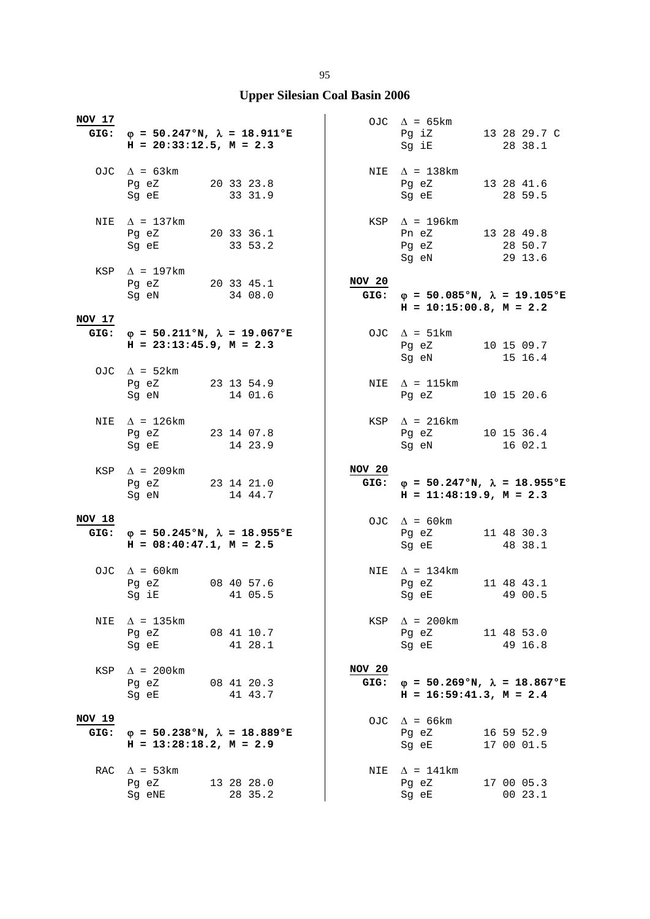| <b>NOV 17</b>  | GIG: $\varphi = 50.247$ °N, $\lambda = 18.911$ °E<br>$H = 20:33:12.5$ , $M = 2.3$                |            |                | OJC $\Delta$ = 65km<br>Pg iZ 13 28 29.7 C<br>Sg iE                                | 28 38.1                  |
|----------------|--------------------------------------------------------------------------------------------------|------------|----------------|-----------------------------------------------------------------------------------|--------------------------|
|                | OJC $\Delta = 63 \text{km}$<br>Pg eZ 20 33 23.8<br>Sg eE 33 31.9                                 |            |                | NIE $\Delta$ = 138km<br>Pg eZ 13 28 41.6<br>Sg eE 28 59.5                         |                          |
| NIE            | $\Delta$ = 137km<br>Pg eZ 20 33 36.1<br>Sg eE 33 53.2                                            |            |                | $KSP \quad \Delta = 196 \text{km}$<br>Pn eZ 13 28 49.8<br>Pg eZ 28 50.7<br>Sg eN  | 29 13.6                  |
|                | KSP $\Delta$ = 197km<br>Pg eZ<br>Sg eN<br>34 08.0                                                |            | NOV 20         | GIG: $\varphi = 50.085$ °N, $\lambda = 19.105$ °E<br>$H = 10:15:00.8$ , $M = 2.2$ |                          |
| NOV 17         | GIG: $\varphi = 50.211 \text{°N}$ , $\lambda = 19.067 \text{°E}$<br>$H = 23:13:45.9$ , $M = 2.3$ |            |                | OJC $\Delta = 51 \text{km}$<br>Pg eZ 10 15 09.7<br>Sg eN 15 16.4                  |                          |
|                | OJC $\Delta$ = 52km<br>Pg eZ 23 13 54.9<br>Sg eN 14 01.6                                         |            |                | NIE $\Delta$ = 115km<br>Pq eZ                                                     | 10 15 20.6               |
|                | NIE $\Delta$ = 126km<br>Pg eZ 23 14 07.8<br>Sg eE 14 23.9                                        |            |                | $KSP \quad \Delta = 216 \text{km}$<br>Pg eZ 10 15 36.4<br>Sg eN 16 02.1           |                          |
|                |                                                                                                  |            |                |                                                                                   |                          |
|                | KSP $\Delta$ = 209km<br>Pg eZ 23 14 21.0<br>Sg eN 14 44.7                                        |            | NOV 20<br>GIG: | $\varphi = 50.247$ °N, $\lambda = 18.955$ °E<br>$H = 11:48:19.9, M = 2.3$         |                          |
| NOV 18<br>GIG: | $\varphi = 50.245^{\circ}N$ , $\lambda = 18.955^{\circ}E$<br>$H = 08:40:47.1, M = 2.5$           |            |                | OJC $\Delta = 60 \text{km}$<br>Pg eZ 11 48 30.3<br>Sg eE                          | 48 38.1                  |
|                | OJC $\Delta$ = 60km<br>Pg eZ 08 40 57.6<br>Sg iE 41 05.5                                         |            |                | NIE $\Delta = 134 \text{km}$<br>Pg eZ<br>Sg eE 49 00.5                            | 11 48 43.1               |
| NIE            | $\Delta$ = 135km<br>Pg eZ<br>Sg eE 41 28.1                                                       | 08 41 10.7 |                | KSP $\Delta$ = 200km<br>Pg eZ<br>Sg eE 49 16.8                                    | 11 48 53.0               |
| KSP            | $\Delta$ = 200km<br>Pg eZ 08 41 20.3<br>Sq eE                                                    | 41 43.7    | NOV 20         | GIG: $\varphi = 50.269$ °N, $\lambda = 18.867$ °E<br>$H = 16:59:41.3, M = 2.4$    |                          |
| NOV 19<br>GIG: | $\varphi = 50.238$ °N, $\lambda = 18.889$ °E<br>$H = 13:28:18.2, M = 2.9$                        |            |                | OJC $\Delta$ = 66km<br>Pg eZ<br>Sg eE                                             | 16 59 52.9<br>17 00 01.5 |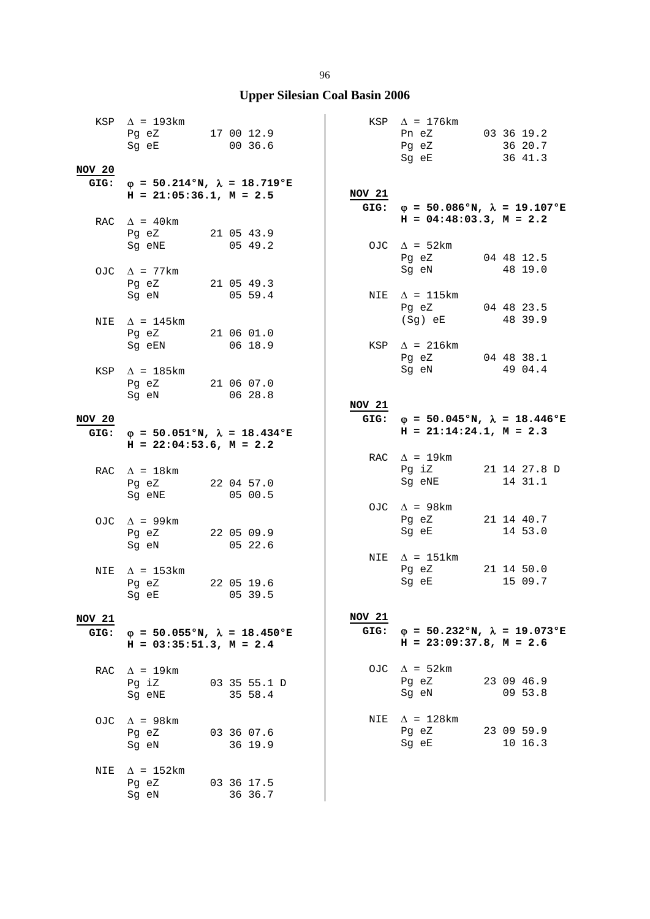| NOV 20        | KSP $\Delta$ = 193km<br>Pg eZ 17 00 12.9<br>Sg eE 00 36.6 |                                                   |        | KSP $\Delta$ = 176km<br>Pn eZ 03 36 19.2<br>Pg eZ 36 20.7<br>Sg eE 36 41.3                                                                                 |                       |
|---------------|-----------------------------------------------------------|---------------------------------------------------|--------|------------------------------------------------------------------------------------------------------------------------------------------------------------|-----------------------|
|               | $H = 21:05:36.1, M = 2.5$                                 | GIG: $\varphi = 50.214$ °N, $\lambda = 18.719$ °E | NOV 21 | GIG: $\varphi = 50.086$ °N, $\lambda = 19.107$ °E                                                                                                          |                       |
|               | RAC $\Delta$ = 40km<br>Pg eZ 21 05 43.9<br>Sg eNE         | 05 49.2                                           |        | $H = 04:48:03.3, M = 2.2$<br>OJC $\Delta = 52 \text{km}$                                                                                                   |                       |
|               | OJC $\Delta$ = 77km<br>Pg eZ 21 05 49.3                   |                                                   |        | Pg eZ 04 48 12.5<br>Sg eN 48 19.0                                                                                                                          |                       |
|               | Sg eN 05 59.4<br>NIE $\Delta$ = 145km                     |                                                   |        | NIE $\Delta$ = 115km<br>Pg eZ 04 48 23.5<br>(Sg) eE 48 39.9                                                                                                |                       |
|               | Pg eZ 21 06 01.0<br>Sg eEN 06 18.9                        |                                                   |        | KSP $\Delta$ = 216km<br>Pg eZ 04 48 38.1<br>Sg eN 49 04.4                                                                                                  |                       |
|               | KSP $\Delta$ = 185km<br>Pg eZ 21 06 07.0<br>Sg eN 06 28.8 |                                                   | NOV 21 |                                                                                                                                                            |                       |
| <b>NOV 20</b> |                                                           |                                                   |        | GIG: $\varphi = 50.045$ °N, $\lambda = 18.446$ °E                                                                                                          |                       |
| GIG:          | $H = 22:04:53.6$ , $M = 2.2$                              | $\varphi = 50.051$ °N, $\lambda = 18.434$ °E      |        | $H = 21:14:24.1, M = 2.3$<br>RAC $\Delta$ = 19km                                                                                                           |                       |
|               | RAC $\Delta = 18 \text{km}$<br>Pg eZ 22 04 57.0<br>Sg eNE | 0500.5                                            |        | Pg iZ 21 14 27.8 D<br>Sg eNE                                                                                                                               | 14 31.1               |
|               | OJC $\Delta$ = 99km<br>Pg eZ 22 05 09.9<br>Sg eN 05 22.6  |                                                   |        | OJC $\Delta$ = 98km<br>Pg eZ 21 14 40.7<br>Sg eE 14 53.0                                                                                                   |                       |
|               | NIE $\Delta$ = 153km<br>Pg eZ 22 05 19.6<br>Sg eE         | 05 39.5                                           |        | NIE $\Delta$ = 151km<br>Pg eZ 21 14 50.0<br>Sg eE and the state of the state of the state of the state of the state of the state of the state of the state | 15 09.7               |
| <b>NOV 21</b> | $H = 03:35:51.3$ , $M = 2.4$                              | GIG: $\varphi = 50.055$ °N, $\lambda = 18.450$ °E | NOV 21 | GIG: $\varphi = 50.232$ °N, $\lambda = 19.073$ °E<br>$H = 23:09:37.8$ , $M = 2.6$                                                                          |                       |
|               | RAC $\Delta$ = 19km<br>Pg iZ<br>Sg eNE                    | 03 35 55.1 D<br>35 58.4                           |        | OJC $\Delta$ = 52km<br>Pg eZ<br>Sg eN                                                                                                                      | 23 09 46.9<br>09 53.8 |
|               | OJC $\Delta$ = 98km<br>Pg eZ<br>Sg eN                     | 03 36 07.6<br>36 19.9                             |        | NIE $\Delta = 128 \text{km}$<br>Pg eZ<br>Sg eE                                                                                                             | 23 09 59.9<br>10 16.3 |
| NIE           | $\Delta$ = 152km<br>Pg eZ<br>Sg eN                        | 03 36 17.5<br>36 36.7                             |        |                                                                                                                                                            |                       |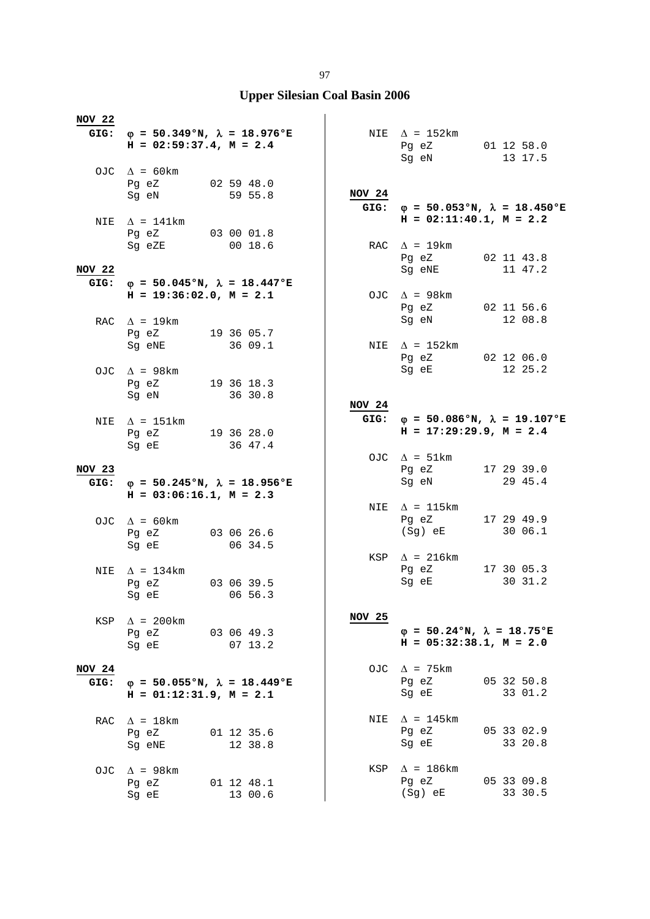| <b>NOV 22</b> | GIG: $\phi = 50.349$ °N, $\lambda = 18.976$ °E             |            |               | NIE $\Delta$ = 152km                                                           |            |
|---------------|------------------------------------------------------------|------------|---------------|--------------------------------------------------------------------------------|------------|
|               | $H = 02:59:37.4$ , $M = 2.4$                               |            |               | Pg eZ 01 12 58.0<br>Sg eN 13 17.5                                              |            |
|               | OJC $\Delta = 60 \text{km}$<br>Pg eZ 02 59 48.0            |            |               |                                                                                |            |
|               | Sg eN 59 55.8                                              |            | NOV 24        | GIG: $\varphi = 50.053$ °N, $\lambda = 18.450$ °E<br>$H = 02:11:40.1, M = 2.2$ |            |
|               | NIE $\Delta = 141 \text{km}$<br>Pg eZ 03 00 01.8<br>Sg eZE | 00 18.6    |               | RAC $\Delta = 19 \text{km}$                                                    |            |
| <b>NOV 22</b> |                                                            |            |               | Pg eZ 02 11 43.8<br>Sg eNE                                                     | 11 47.2    |
| GIG:          | $\varphi = 50.045$ °N, $\lambda = 18.447$ °E               |            |               |                                                                                |            |
|               | $H = 19:36:02.0, M = 2.1$                                  |            |               | OJC $\Delta$ = 98km<br>Pg eZ                                                   | 02 11 56.6 |
|               | RAC $\Delta$ = 19km                                        |            |               | Sg eN                                                                          | 12 08.8    |
|               | Pg eZ 19 36 05.7                                           |            |               |                                                                                |            |
|               | Sg eNE                                                     | 36 09.1    |               | NIE $\Delta$ = 152km<br>Pg eZ 02 12 06.0                                       |            |
|               | OJC $\Delta$ = 98km                                        |            |               | Sg eE                                                                          | 12 25.2    |
|               | Pq eZ 19 36 18.3                                           |            |               |                                                                                |            |
|               | Sg eN                                                      | 36 30.8    |               |                                                                                |            |
|               |                                                            |            | NOV 24        |                                                                                |            |
|               | NIE $\Delta$ = 151km                                       |            |               | GIG: $\varphi = 50.086$ °N, $\lambda = 19.107$ °E                              |            |
|               | Pg eZ 19 36 28.0                                           |            |               | $H = 17:29:29.9, M = 2.4$                                                      |            |
|               | Sg eE 36 47.4                                              |            |               |                                                                                |            |
|               |                                                            |            |               | OJC $\Delta = 51 \text{km}$                                                    |            |
| NOV 23        |                                                            |            |               | Pg eZ                                                                          | 17 29 39.0 |
| GIG:          | $\varphi = 50.245$ °N, $\lambda = 18.956$ °E               |            |               | Sg eN                                                                          | 29 45.4    |
|               | $H = 03:06:16.1, M = 2.3$                                  |            |               |                                                                                |            |
|               |                                                            |            |               | NIE $\Delta$ = 115km                                                           |            |
|               | OJC $\Delta = 60 \text{km}$                                |            |               | Pg eZ                                                                          | 17 29 49.9 |
|               | Pg eZ 03 06 26.6                                           |            |               | (Sg) eE                                                                        | 30 06.1    |
|               | Sg eE                                                      | 06 34.5    |               |                                                                                |            |
|               |                                                            |            |               | $KSP \quad \Delta = 216 \text{km}$                                             |            |
| NIE           | $\Delta$ = 134km                                           |            |               | Pg eZ                                                                          | 17 30 05.3 |
|               | Pg eZ 03 06 39.5                                           |            |               | Sg eE                                                                          | 30 31.2    |
|               | Sg eE                                                      | 06 56.3    |               |                                                                                |            |
|               |                                                            |            |               |                                                                                |            |
| KSP           | $\Delta$ = 200km                                           |            | <b>NOV 25</b> |                                                                                |            |
|               | Pq eZ                                                      | 03 06 49.3 |               | $\varphi = 50.24$ °N, $\lambda = 18.75$ °E                                     |            |
|               | Sg eE                                                      | 0713.2     |               | $H = 05:32:38.1, M = 2.0$                                                      |            |
|               |                                                            |            |               |                                                                                |            |
| <b>NOV 24</b> |                                                            |            |               | OJC $\Delta$ = 75km                                                            |            |
| GIG:          | $\varphi$ = 50.055°N, $\lambda$ = 18.449°E                 |            |               | Pq eZ                                                                          | 05 32 50.8 |
|               | $H = 01:12:31.9$ , $M = 2.1$                               |            |               | Sq eE                                                                          | 33 01.2    |
|               |                                                            |            |               |                                                                                |            |
| RAC           | $\Delta$ = 18km                                            |            | NIE           | $\Delta$ = 145 km                                                              |            |
|               | Pg eZ                                                      | 01 12 35.6 |               | Pq eZ                                                                          | 05 33 02.9 |
|               | Sg eNE                                                     | 12 38.8    |               | Sg eE                                                                          | 33 20.8    |
|               |                                                            |            |               |                                                                                |            |
| OJC           | $\Delta$ = 98km                                            |            | KSP           | $\Delta$ = 186km                                                               |            |
|               | Pq eZ                                                      | 01 12 48.1 |               | Pq eZ                                                                          | 05 33 09.8 |
|               | Sg eE                                                      | 13 00.6    |               | $(Sg)$ eE                                                                      | 33 30.5    |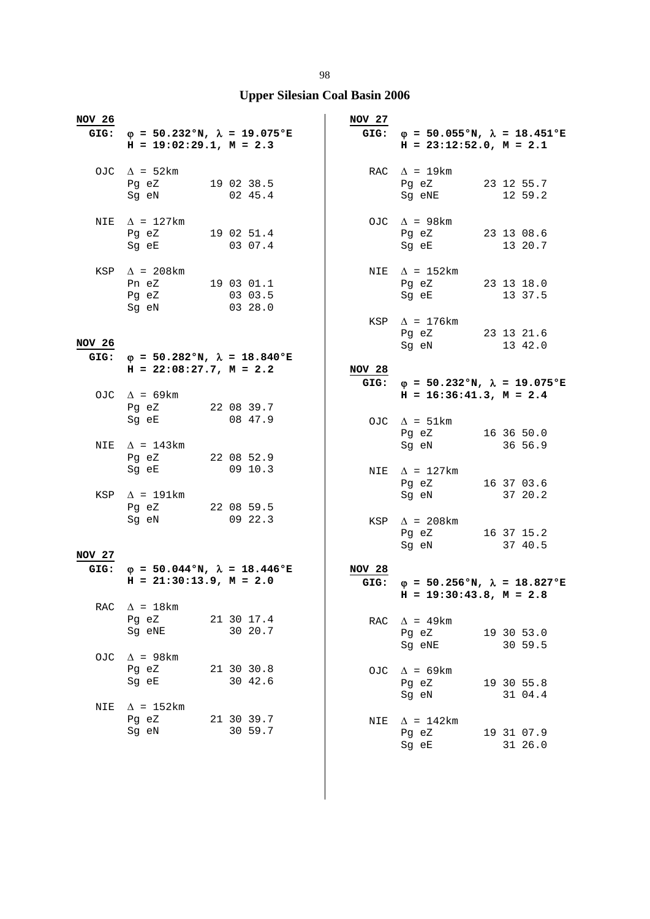| <b>NOV 26</b> | GIG: $\varphi = 50.232 \text{°N}$ , $\lambda = 19.075 \text{°E}$<br>$H = 19:02:29.1, M = 2.3$ |                       | <b>NOV 27</b> | GIG: $\varphi = 50.055$ °N, $\lambda = 18.451$ °E<br>$H = 23:12:52.0$ , $M = 2.1$ |                       |
|---------------|-----------------------------------------------------------------------------------------------|-----------------------|---------------|-----------------------------------------------------------------------------------|-----------------------|
|               | OJC $\Delta = 52 \text{km}$<br>Pg eZ 19 02 38.5<br>Sg eN 02 45.4                              |                       |               | RAC $\Delta = 19 \text{km}$<br>Pg eZ 23 12 55.7<br>Sg eNE                         | 12 59.2               |
|               | NIE $\Delta$ = 127km<br>Pg eZ 19 02 51.4<br>Sg eE 03 07.4                                     |                       |               | OJC $\Delta$ = 98km<br>Pg eZ 23 13 08.6<br>Sg eE 13 20.7                          |                       |
|               | KSP $\Delta$ = 208km<br>Pn eZ 19 03 01.1<br>Pg eZ<br>0328.0<br>Sg eN                          | 03 03.5               |               | NIE $\Delta = 152 \text{km}$<br>Pg eZ 23 13 18.0<br>Sg eE                         | 13 37.5               |
| <b>NOV 26</b> |                                                                                               |                       |               | KSP $\Delta$ = 176km<br>Pg eZ 23 13 21.6<br>Sg eN 13 42.0                         |                       |
|               | GIG: $\varphi = 50.282$ °N, $\lambda = 18.840$ °E<br>$H = 22:08:27.7, M = 2.2$                |                       | NOV 28        |                                                                                   |                       |
|               |                                                                                               |                       |               | GIG: $\varphi = 50.232$ °N, $\lambda = 19.075$ °E                                 |                       |
|               | OJC $\Delta$ = 69km<br>Pg eZ 22 08 39.7                                                       |                       |               | $H = 16:36:41.3, M = 2.4$                                                         |                       |
|               | Sg eE<br>NIE $\Delta$ = 143km                                                                 | 08 47.9               |               | OJC $\Delta = 51 \text{km}$<br>Pg eZ 16 36 50.0<br>Sg eN                          | 36 56.9               |
|               | Pg eZ 22 08 52.9<br>Sg eE 09 10.3                                                             |                       |               | NIE $\Delta$ = 127km<br>Pg eZ 16 37 03.6                                          |                       |
|               | KSP $\Delta$ = 191km<br>Pg eZ 22 08 59.5                                                      |                       |               | Sg eN 37 20.2                                                                     |                       |
| <b>NOV 27</b> | Sg eN 09 22.3                                                                                 |                       |               | $KSP \quad \Delta = 208 \text{km}$<br>Pg eZ 16 37 15.2<br>Sg eN 37 40.5           |                       |
|               | GIG: $\varphi = 50.044$ °N, $\lambda = 18.446$ °E<br>$H = 21:30:13.9, M = 2.0$                |                       | <b>NOV 28</b> | GIG: $\varphi = 50.256$ °N, $\lambda = 18.827$ °E<br>$H = 19:30:43.8, M = 2.8$    |                       |
| RAC           | $\Delta$ = 18 km<br>Pg eZ<br>Sg eNE                                                           | 21 30 17.4<br>30 20.7 | RAC           | $\Delta$ = 49km<br>Pg eZ                                                          | 19 30 53.0            |
| OJC.          | $\Delta$ = 98 km<br>Pg eZ<br>Sg eE                                                            | 21 30 30.8<br>30 42.6 |               | Sq eNE<br>OJC $\Delta$ = 69km<br>Pg eZ                                            | 30 59.5<br>19 30 55.8 |
| NIE           | $\Delta$ = 152km                                                                              |                       |               | Sg eN                                                                             | 31 04.4               |
|               | Pg eZ<br>Sq eN                                                                                | 21 30 39.7<br>30 59.7 | NIE           | $\Delta$ = 142km<br>Pg eZ<br>Sg eE                                                | 19 31 07.9<br>31 26.0 |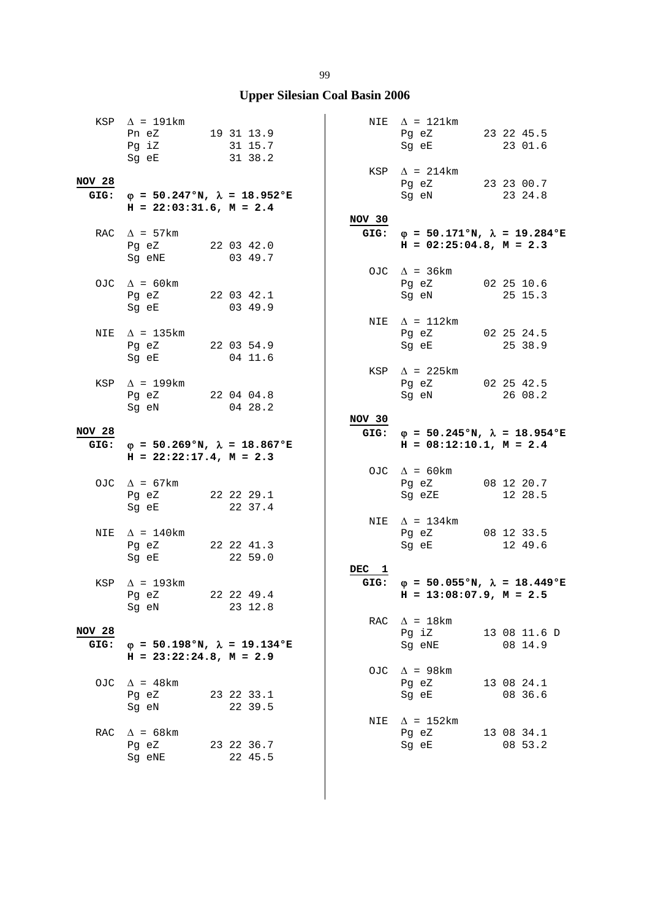|                       | KSP $\Delta$ = 191km<br>Pn eZ 19 31 13.9<br>Pg iZ<br>Sg eE                     | 31 15.7<br>31 38.2               |        | NIE $\Delta$ = 121km<br>Pg eZ 23 22 45.5<br>Sg eE                                 | 23 01.6                 |
|-----------------------|--------------------------------------------------------------------------------|----------------------------------|--------|-----------------------------------------------------------------------------------|-------------------------|
| <b>NOV 28</b><br>GIG: | $\varphi = 50.247$ °N, $\lambda = 18.952$ °E<br>$H = 22:03:31.6$ , $M = 2.4$   |                                  |        | $KSP \quad \Delta = 214 \text{km}$<br>Pg eZ 23 23 00.7<br>Sg eN 23 24.8           |                         |
|                       | RAC $\Delta$ = 57km<br>Pg eZ 22 03 42.0<br>Sg eNE                              | 03 49.7                          | NOV 30 | GIG: $\varphi = 50.171°N$ , $\lambda = 19.284°E$<br>$H = 02:25:04.8$ , $M = 2.3$  |                         |
|                       | OJC $\Delta = 60 \text{km}$<br>Pg eZ 22 03 42.1<br>Sg eE                       | 0349.9                           |        | OJC $\Delta$ = 36km<br>Pg eZ 02 25 10.6<br>Sg eN                                  | 25 15.3                 |
| NIE                   | $\Delta$ = 135km<br>Pg eZ 22 03 54.9<br>Sg eE 04 11.6                          |                                  |        | NIE $\Delta = 112 \text{km}$<br>Pg eZ 02 25 24.5<br>Sg eE 25 38.9                 |                         |
|                       | KSP $\Delta$ = 199km<br>Pg eZ 22 04 04.8                                       |                                  |        | KSP $\Delta$ = 225km<br>Pg eZ 02 25 42.5<br>Sg eN                                 | 26 08.2                 |
| <b>NOV 28</b>         | Sg eN                                                                          | 04 28.2                          | NOV 30 | GIG: $\varphi = 50.245$ °N, $\lambda = 18.954$ °E                                 |                         |
|                       |                                                                                |                                  |        |                                                                                   |                         |
|                       | GIG: $\varphi = 50.269$ °N, $\lambda = 18.867$ °E<br>$H = 22:22:17.4, M = 2.3$ |                                  |        | $H = 08:12:10.1, M = 2.4$                                                         |                         |
|                       | OJC $\Delta = 67 \text{km}$<br>Pg eZ 22 22 29.1<br>Sg eE 22 37.4               |                                  |        | OJC $\Delta = 60 \text{km}$<br>Pg eZ 08 12 20.7<br>Sg eZE 12 28.5                 |                         |
| NIE                   | $\Delta$ = 140km<br>Pg eZ 22 22 41.3                                           |                                  |        | NIE $\Delta = 134 \text{km}$<br>Pg eZ 08 12 33.5<br>Sg eE                         | 12 49.6                 |
|                       | Sg eE<br>KSP $\Delta$ = 193km<br>Pg eZ<br>Sg eN                                | 22 59.0<br>22 22 49.4<br>23 12.8 | DEC 1  | GIG: $\varphi = 50.055$ °N, $\lambda = 18.449$ °E<br>$H = 13:08:07.9$ , $M = 2.5$ |                         |
| <b>NOV 28</b><br>GIG: | $\varphi = 50.198$ °N, $\lambda = 19.134$ °E<br>$H = 23:22:24.8, M = 2.9$      |                                  |        | RAC $\Delta = 18 \text{km}$<br>Pg iZ<br>Sg eNE                                    | 13 08 11.6 D<br>08 14.9 |
|                       | OJC $\Delta$ = 48km<br>Pq eZ<br>Sq eN                                          | 23 22 33.1<br>22 39.5            |        | OJC $\Delta$ = 98km<br>Pg eZ<br>Sg eE                                             | 13 08 24.1<br>08 36.6   |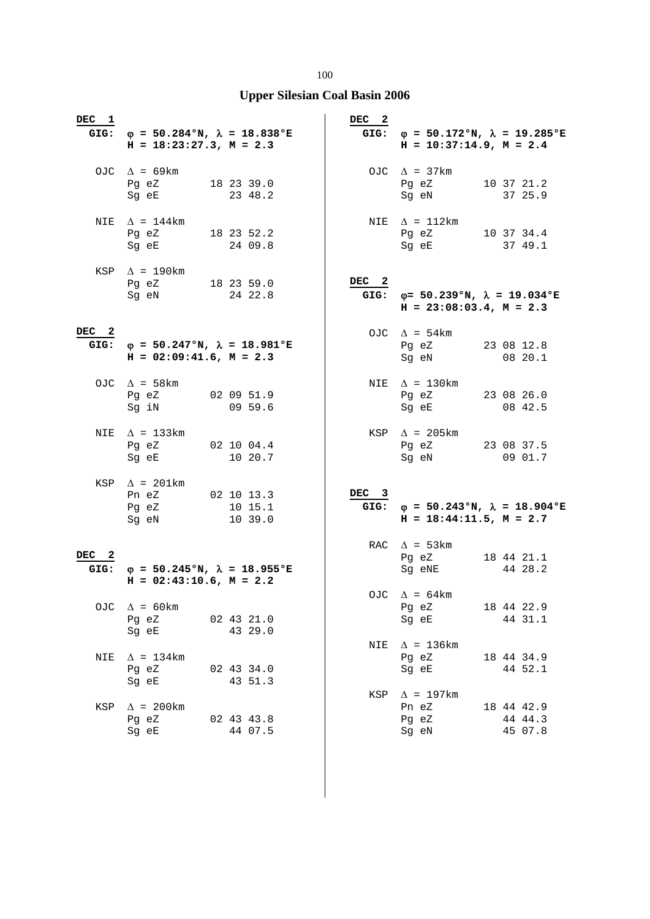| DEC 1                    | GIG: $\varphi = 50.284$ °N, $\lambda = 18.838$ °E<br>$H = 18:23:27.3, M = 2.3$                                                                  |                                  | DEC <sub>2</sub> | GIG: $\varphi = 50.172$ °N, $\lambda = 19.285$ °E<br>$H = 10:37:14.9$ , $M = 2.4$ |                                  |
|--------------------------|-------------------------------------------------------------------------------------------------------------------------------------------------|----------------------------------|------------------|-----------------------------------------------------------------------------------|----------------------------------|
|                          | OJC $\Delta$ = 69km<br>Pg eZ 18 23 39.0<br>Sg eE                                                                                                | 23 48.2                          |                  | OJC $\Delta$ = 37km<br>Pg eZ<br>Sg eN                                             | 10 37 21.2<br>37 25.9            |
|                          | NIE $\Delta$ = 144km<br>Pg eZ<br>Sq eE and the state of the state of the state of the state of the state of the state of the state of the state | 18 23 52.2<br>24 09.8            |                  | NIE $\Delta$ = 112km<br>Pg eZ<br>Sg eE                                            | 10 37 34.4<br>37 49.1            |
|                          | KSP $\Delta$ = 190km<br>Pg eZ 18 23 59.0<br>Sg eN                                                                                               | 24 22.8                          | DEC <sub>2</sub> | GIG: $\varphi = 50.239$ °N, $\lambda = 19.034$ °E<br>$H = 23:08:03.4$ , $M = 2.3$ |                                  |
| DEC <sub>2</sub><br>GIG: | $\varphi$ = 50.247°N, $\lambda$ = 18.981°E<br>$H = 02:09:41.6$ , $M = 2.3$                                                                      |                                  |                  | OJC $\Delta = 54 \text{km}$<br>Pg eZ<br>Sg eN                                     | 23 08 12.8<br>0820.1             |
|                          | OJC $\Delta$ = 58 km<br>Pg eZ<br>Sg iN                                                                                                          | 02 09 51.9<br>09 59.6            |                  | NIE $\Delta = 130 \text{km}$<br>Pg eZ<br>Sg eE                                    | 23 08 26.0<br>08 42.5            |
|                          | NIE $\Delta$ = 133km<br>Pg eZ 02 10 04.4<br>Sg eE                                                                                               | 10 20.7                          |                  | KSP $\Delta$ = 205km<br>Pg eZ 23 08 37.5<br>Sg eN                                 | 09 01.7                          |
|                          | KSP $\Delta$ = 201km<br>Pn eZ<br>Pg eZ<br>Sg eN                                                                                                 | 02 10 13.3<br>10 15.1<br>10 39.0 | DEC 3<br>GIG:    | $\varphi = 50.243$ °N, $\lambda = 18.904$ °E<br>$H = 18:44:11.5$ , $M = 2.7$      |                                  |
| DEC <sub>2</sub><br>GIG: | $\varphi = 50.245$ °N, $\lambda = 18.955$ °E<br>$H = 02:43:10.6$ , $M = 2.2$                                                                    |                                  |                  | RAC $\Delta$ = 53km<br>Pg eZ<br>Sg eNE                                            | 18 44 21.1<br>44 28.2            |
| OJC.                     | $\Delta$ = 60 km<br>Pg eZ<br>Sg eE                                                                                                              | 02 43 21.0<br>43 29.0            |                  | OJC $\Delta = 64 \text{km}$<br>Pg eZ<br>Sg eE                                     | 18 44 22.9<br>44 31.1            |
| NIE                      | $\Delta$ = 134km<br>Pg eZ<br>Sq eE                                                                                                              | 02 43 34.0<br>43 51.3            | NIE              | $\Delta$ = 136km<br>Pg eZ<br>Sg eE                                                | 18 44 34.9<br>44 52.1            |
| KSP                      | $\Delta$ = 200 km<br>Pg eZ<br>Sq eE                                                                                                             | 02 43 43.8<br>44 07.5            | KSP              | $\Delta$ = 197km<br>Pn eZ<br>Pg eZ<br>Sg eN                                       | 18 44 42.9<br>44 44.3<br>45 07.8 |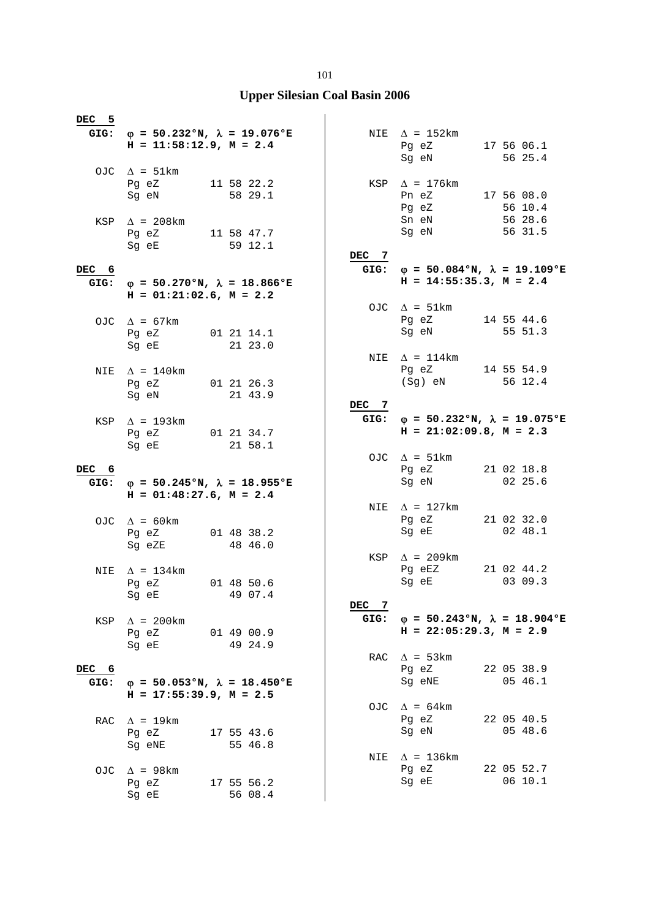#### **Upper Silesian Coal Basin 2006**

**DEC 5** GIG:  $\phi = 50.232$ °N,  $\lambda = 19.076$ °E  **H = 11:58:12.9, M = 2.4**  OJC  $\Delta = 51 \text{km}$ <br>Pq eZ Pg eZ 11 58 22.2 Sq eN 58 29.1 KSP  $\Delta$  = 208km Pg eZ 11 58 47.7<br>Sq eE 59 12.1  $59 12.1$ **DEC 6** GIG:  $\varphi = 50.270$ °N,  $\lambda = 18.866$ °E  $H = 01:21:02.6$ ,  $M = 2.2$ OJC  $\Delta = 67 \text{km}$  Pg eZ 01 21 14.1 Sq eE 21 23.0 NIE  $\Delta = 140$ km Pg eZ 01 21 26.3 Sg eN 21 43.9 KSP  $\Delta$  = 193km Pg eZ 01 21 34.7<br>Sq eE 21 58.1 21 58.1 **DEC 6** GIG:  $\varphi = 50.245$ °N,  $\lambda = 18.955$ °E  **H = 01:48:27.6, M = 2.4**   $Q\overline{AC}$   $\Lambda = 60 \text{km}$ Pg eZ 01 48 38.2<br>Sq eZE 48 46.0 48 46.0 NIE  $\Delta = 134$ km Pg eZ 01 48 50.6<br>Sq eE 49 07.4 49 07.4 KSP  $\Delta$  = 200km Pg eZ 01 49 00.9 Sq eE 49 24.9 **DEC 6** GIG:  $\phi = 50.053$ °N,  $\lambda = 18.450$ °E  **H = 17:55:39.9, M = 2.5** RAC  $\Delta = 19 \text{km}$ <br>Pg eZ Pg eZ 17 55 43.6<br>Sq eNE 55 46.8  $55, 46.8$ OJC  $\Delta$  = 98km Pg eZ 17 55 56.2<br>Sq eE 56 08.4  $5608.4$ NIE  $\Delta$  = 152km Pg eZ 17 56 06.1 Sg eN 56 25.4 KSP  $\Delta = 176 \text{km}$ <br>Pn eZ Pn eZ 17 56 08.0<br>Pq eZ 56 10.4  $56 10.4$ Sn eN 56 28.6<br>Sg eN 56 31.5  $56 \, 31.5$ **DEC 7** GIG:  $\varphi = 50.084^{\circ}N$ ,  $\lambda = 19.109^{\circ}E$  **H = 14:55:35.3, M = 2.4**  OJC  $\Delta = 51 \text{km}$ <br>Pg eZ Pg eZ 14 55 44.6<br>Sq eN 55 51.3 Sg eN 55 51.3 NIE  $\Delta = 114$ km Pg eZ 14 55 54.9<br>(Sq) eN 56 12.4  $(Sq)$  eN **DEC 7 GIG:** ϕ **= 50.232°N,** λ **= 19.075°E H = 21:02:09.8, M = 2.3**  OJC  $\Delta = 51 \text{km}$ Pg eZ 21 02 18.8<br>Sq eN 02 25.6  $02 \t25.6$ NIE  $\Delta = 127 \text{km}$ <br>Pg eZ Pg eZ 21 02 32.0<br>Sq eE 02 48.1  $02 \t48.1$ KSP  $\Delta$  = 209km Pg eEZ 21 02 44.2<br>Sq eE 03 09.3  $0309.3$ **DEC 7** GIG:  $\phi = 50.243°N$ ,  $\lambda = 18.904°E$  **H = 22:05:29.3, M = 2.9**  RAC  $\Delta$  = 53km Pg eZ 22 05 38.9<br>Sa eNE 65 46.1  $Sq$  eNE OJC  $\Delta = 64 \text{km}$  Pg eZ 22 05 40.5 Sg eN 05 48.6 NIE  $\Delta = 136 \text{km}$ <br>Pg eZ Pg eZ 22 05 52.7<br>Sq eE 06 10.1  $06 10.1$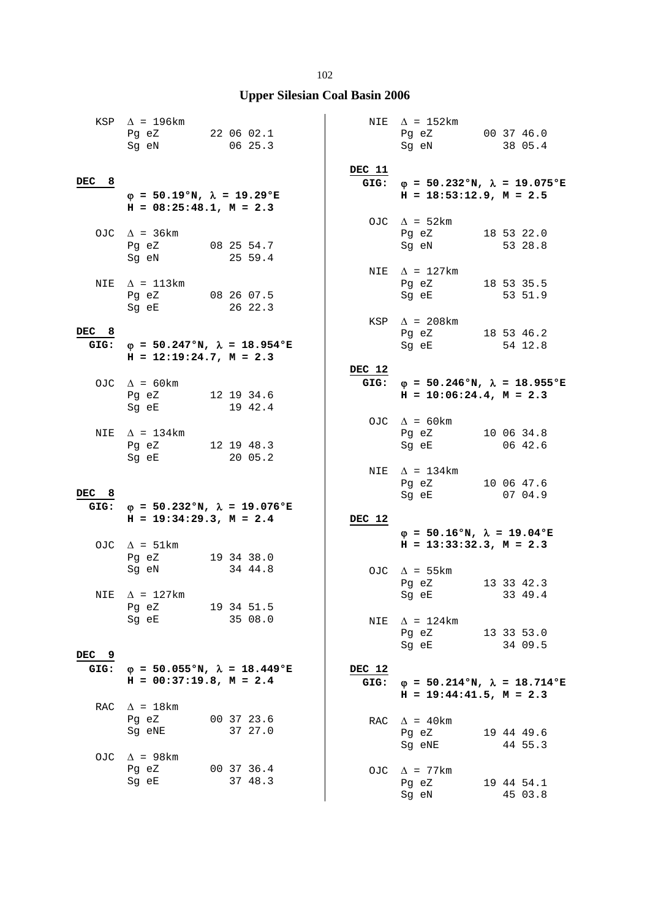|          | KSP $\Delta$ = 196km<br>Pg eZ 22 06 02.1<br>Sg eN 06 25.3               |                                                   |                | NIE $\Delta$ = 152km<br>Pg eZ 00 37 46.0<br>Sg eN         | 38 05.4                                           |
|----------|-------------------------------------------------------------------------|---------------------------------------------------|----------------|-----------------------------------------------------------|---------------------------------------------------|
| DEC<br>8 | $\varphi = 50.19$ °N, $\lambda = 19.29$ °E<br>$H = 08:25:48.1, M = 2.3$ |                                                   | DEC 11         | $H = 18:53:12.9, M = 2.5$                                 | GIG: $\varphi = 50.232$ °N, $\lambda = 19.075$ °E |
|          | OJC $\Delta$ = 36km<br>Pg eZ 08 25 54.7<br>Sg eN                        | 25 59.4                                           |                | OJC $\Delta$ = 52km<br>Pg eZ<br>Sg eN                     | 18 53 22.0<br>53 28.8                             |
|          | NIE $\Delta$ = 113km<br>Pg eZ 08 26 07.5<br>Sg eE 26 22.3               |                                                   |                | NIE $\Delta$ = 127km<br>Pg eZ 18 53 35.5<br>Sg eE 53 51.9 |                                                   |
| DEC 8    | $H = 12:19:24.7$ , $M = 2.3$                                            | GIG: $\varphi = 50.247$ °N, $\lambda = 18.954$ °E |                | KSP $\Delta$ = 208km<br>Pg eZ 18 53 46.2<br>Sg eE         | 54 12.8                                           |
|          | OJC $\Delta = 60 \text{km}$<br>Pg eZ 12 19 34.6<br>Sg eE                | 19 42.4                                           | DEC 12         | $H = 10:06:24.4$ , $M = 2.3$                              | GIG: $\varphi = 50.246$ °N, $\lambda = 18.955$ °E |
|          | NIE $\Delta$ = 134km<br>Pg eZ 12 19 48.3<br>Sg eE                       | 20 05.2                                           |                | OJC $\Delta = 60 \text{km}$<br>Pg eZ<br>Sg eE             | 10 06 34.8<br>06 42.6                             |
| DEC 8    |                                                                         | GIG: $\varphi = 50.232$ °N, $\lambda = 19.076$ °E |                | NIE $\Delta$ = 134km<br>Pg eZ<br>Sg eE                    | 10 06 47.6<br>07 04.9                             |
|          | $H = 19:34:29.3, M = 2.4$                                               |                                                   | DEC 12         | $\varphi = 50.16$ °N, $\lambda = 19.04$ °E                |                                                   |
|          | OJC $\Delta = 51 \text{km}$<br>Pg eZ 19 34 38.0<br>Sg eN                | 34 44.8                                           |                | $H = 13:33:32.3, M = 2.3$<br>OJC $\Delta$ = 55km<br>Pg eZ | 13 33 42.3                                        |
|          | NIE $\Delta$ = 127km<br>Pg eZ<br>Sq eE                                  | 19 34 51.5<br>35 08.0                             | NIE            | Sg eE<br>$\Delta$ = 124km                                 | 33 49.4                                           |
| DEC 9    |                                                                         |                                                   |                | Pg eZ<br>Sg eE                                            | 13 33 53.0<br>34 09.5                             |
| GIG:     | $H = 00:37:19.8$ , $M = 2.4$                                            | $\varphi = 50.055$ °N, $\lambda = 18.449$ °E      | DEC 12<br>GIG: | $H = 19:44:41.5$ , $M = 2.3$                              | $\varphi = 50.214$ °N, $\lambda = 18.714$ °E      |
| RAC      | $\Delta$ = 18km<br>Pg eZ<br>Sg eNE                                      | 00 37 23.6<br>37 27.0                             |                | RAC $\Delta$ = 40km<br>Pg eZ<br>Sg eNE                    | 19 44 49.6<br>44 55.3                             |
| OJC      | $\Delta$ = 98km<br>Pg eZ<br>Sg eE                                       | 00 37 36.4<br>37 48.3                             |                | OJC $\Delta$ = 77km<br>Pg eZ<br>Sg eN                     | 19 44 54.1<br>45 03.8                             |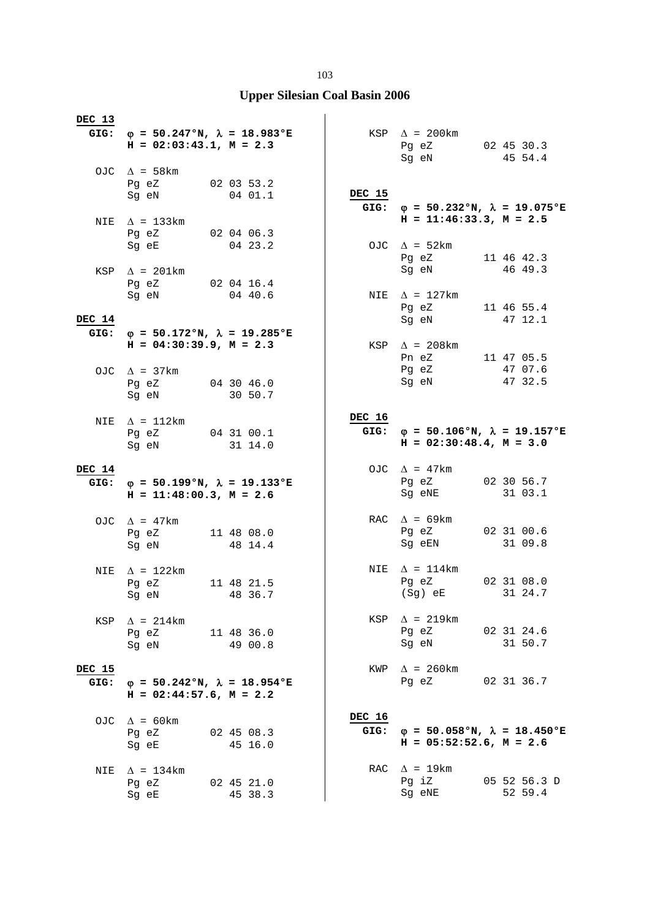| DEC 13         | GIG: $\varphi = 50.247$ °N, $\lambda = 18.983$ °E<br>$H = 02:03:43.1, M = 2.3$           |                       |                | $KSP \quad \Delta = 200 \text{km}$<br>Pg eZ 02 45 30.3                         |                       |
|----------------|------------------------------------------------------------------------------------------|-----------------------|----------------|--------------------------------------------------------------------------------|-----------------------|
|                | OJC $\Delta$ = 58 km<br>Pg eZ 02 03 53.2<br>Sg eN 04 01.1                                |                       | DEC 15         | Sg eN                                                                          | 45 54.4               |
| NIE            | $\Delta$ = 133km<br>Pg eZ                                                                | 02 04 06.3            |                | GIG: $\varphi = 50.232$ °N, $\lambda = 19.075$ °E<br>$H = 11:46:33.3, M = 2.5$ |                       |
|                | Sg eE 04 23.2<br>KSP $\Delta$ = 201km                                                    |                       |                | OJC $\Delta = 52 \text{km}$<br>Pg eZ 11 46 42.3<br>Sg eN                       | 46 49.3               |
|                | Pg eZ 02 04 16.4<br>Sg eN 04 40.6                                                        |                       |                | NIE $\Delta$ = 127km<br>Pg eZ                                                  | 11 46 55.4            |
| DEC 14         |                                                                                          |                       |                | Sg eN 47 12.1                                                                  |                       |
| GIG:           | $\varphi = 50.172$ °N, $\lambda = 19.285$ °E                                             |                       |                |                                                                                |                       |
|                | $H = 04:30:39.9, M = 2.3$<br>OJC $\Delta$ = 37km                                         |                       |                | KSP $\Delta$ = 208km<br>Pn eZ<br>Pg eZ                                         | 11 47 05.5<br>47 07.6 |
|                | Pg eZ 04 30 46.0<br>Sg eN                                                                | 30 50.7               |                | Sg eN                                                                          | 47 32.5               |
|                | NIE $\Delta$ = 112km<br>Pg eZ 04 31 00.1                                                 |                       | DEC 16<br>GIG: | $\varphi = 50.106$ °N, $\lambda = 19.157$ °E                                   |                       |
|                | Sg eN 31 14.0                                                                            |                       |                | $H = 02:30:48.4$ , $M = 3.0$                                                   |                       |
| DEC 14<br>GIG: | $\varphi$ = 50.199°N, $\lambda$ = 19.133°E<br>$H = 11:48:00.3$ , $M = 2.6$               |                       |                | OJC $\Delta$ = 47km<br>Pg eZ<br>Sg eNE                                         | 02 30 56.7<br>31 03.1 |
|                |                                                                                          |                       |                |                                                                                |                       |
|                | OJC $\Delta$ = 47km<br>Pg eZ 11 48 08.0<br>Sg eN                                         | 48 14.4               |                | RAC $\Delta$ = 69km<br>Pg eZ 02 31 00.6<br>Sg eEN                              | 31 09.8               |
|                |                                                                                          |                       |                |                                                                                |                       |
| NIE            | $\Delta$ = 122km<br>Pg eZ 11 48 21.5<br>Sg eN 48 36.7                                    |                       |                | NIE $\Delta = 114 \text{km}$<br>Pg eZ<br>(Sg) eE                               | 02 31 08.0<br>31 24.7 |
| KSP            | $\Delta$ = 214km<br>Pg eZ<br>Sg eN                                                       | 11 48 36.0<br>49 00.8 |                | $KSP \quad \Delta = 219km$<br>Pg eZ<br>Sg eN                                   | 02 31 24.6<br>31 50.7 |
|                |                                                                                          |                       |                |                                                                                |                       |
| DEC 15<br>GIG: | $\varphi = 50.242 \text{°N}, \lambda = 18.954 \text{°E}$<br>$H = 02:44:57.6$ , $M = 2.2$ |                       |                | KWP $\Delta$ = 260km<br>Pq eZ                                                  | 02 31 36.7            |
|                | OJC $\Delta$ = 60 km                                                                     |                       | DEC 16         |                                                                                |                       |
|                | Pq eZ<br>Sq eE                                                                           | 02 45 08.3<br>45 16.0 | GIG:           | $\varphi = 50.058$ °N, $\lambda = 18.450$ °E<br>$H = 05:52:52.6$ , $M = 2.6$   |                       |
| NIE            | $\Delta$ = 134km<br>Pg eZ                                                                | 02 45 21.0            |                | RAC $\Delta = 19 \text{km}$<br>Pg iZ                                           | 05 52 56.3 D          |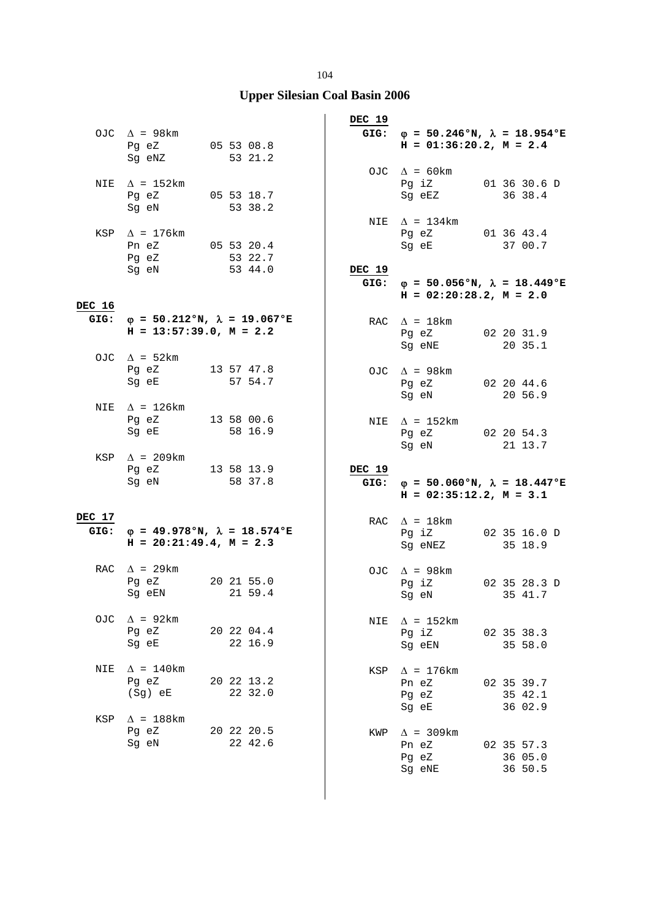## **Upper Silesian Coal Basin 2006**

|        | OJC $\Delta$ = 98km<br>Pg eZ 05 53 08.8<br>Sg eNZ 53 21.2                         |  |                       | DEC 19         | GIG: $\varphi = 50.246$ °N, $\lambda = 18.954$ °E<br>$H = 01:36:20.2, M = 2.4$ |  |                                  |  |
|--------|-----------------------------------------------------------------------------------|--|-----------------------|----------------|--------------------------------------------------------------------------------|--|----------------------------------|--|
|        | NIE $\Delta$ = 152km<br>Pg eZ 05 53 18.7                                          |  |                       |                | OJC $\Delta = 60 \text{km}$<br>Pg iZ 01 36 30.6 D<br>Sg eEZ 36 38.4            |  |                                  |  |
|        | Sg eN<br>KSP $\Delta$ = 176km<br>Pn eZ 05 53 20.4                                 |  | 53 38.2               |                | NIE $\Delta = 134 \text{km}$<br>Pg eZ 01 36 43.4<br>Sg eE 37 00.7              |  |                                  |  |
| DEC 16 | Pg eZ 53 22.7<br>Sq eN 53 44.0<br>Sg eN                                           |  | 53 44.0               | DEC 19         | GIG: $\varphi = 50.056$ °N, $\lambda = 18.449$ °E<br>$H = 02:20:28.2, M = 2.0$ |  |                                  |  |
|        | GIG: $\varphi = 50.212$ °N, $\lambda = 19.067$ °E<br>$H = 13:57:39.0, M = 2.2$    |  |                       |                | RAC $\Delta = 18$ km<br>Pg eZ 02 20 31.9<br>Sg eNE 20 35.1                     |  |                                  |  |
|        | OJC $\Delta$ = 52km<br>Pg eZ 13 57 47.8<br>Sg eE                                  |  | 57 54.7               |                | OJC $\Delta$ = 98km<br>Pg eZ 02 20 44.6<br>Sg eN                               |  | 20 56.9                          |  |
|        | NIE $\Delta$ = 126km<br>Pg eZ 13 58 00.6<br>Sg eE                                 |  | 58 16.9               |                | NIE $\Delta$ = 152km<br>Pg eZ 02 20 54.3<br>Sg eN                              |  | 21 13.7                          |  |
|        | KSP $\Delta$ = 209km<br>Pg eZ 13 58 13.9<br>Sg eN                                 |  | 58 37.8               | DEC 19<br>GIG: | $\varphi = 50.060$ °N, $\lambda = 18.447$ °E<br>$H = 02:35:12.2, M = 3.1$      |  |                                  |  |
| DEC 17 | GIG: $\varphi = 49.978$ °N, $\lambda = 18.574$ °E<br>$H = 20:21:49.4$ , $M = 2.3$ |  |                       |                | RAC $\Delta = 18 \text{km}$<br>Pg iZ 02 35 16.0 D<br>Sg eNEZ                   |  | 35 18.9                          |  |
|        | RAC $\Delta$ = 29km<br>Pg eZ 20 21 55.0<br>Sg eEN                                 |  | 21 59.4               |                | OJC $\Delta$ = 98km<br>Pg iZ 02 35 28.3 D<br>Sg eN 35 41.7                     |  |                                  |  |
| OJC    | $\Delta$ = 92km<br>Pg eZ<br>Sg eE                                                 |  | 20 22 04.4<br>22 16.9 | NIE            | $\Delta$ = 152km<br>Pg iZ<br>Sg eEN                                            |  | 02 35 38.3<br>35 58.0            |  |
| NIE    | $\Delta$ = 140km<br>Pq eZ<br>$(Sg)$ eE                                            |  | 20 22 13.2<br>22 32.0 |                | KSP $\Delta$ = 176km<br>Pn eZ<br>Pg eZ                                         |  | 02 35 39.7<br>35 42.1<br>36 02.9 |  |
| KSP    | $\Delta$ = 188km<br>Pq eZ<br>Sg eN                                                |  | 20 22 20.5<br>22 42.6 | KWP            | Sg eE<br>$\Delta$ = 309km<br>Pn eZ<br>Pg eZ<br>Sg eNE                          |  | 02 35 57.3<br>36 05.0<br>36 50.5 |  |

 $\overline{\phantom{a}}$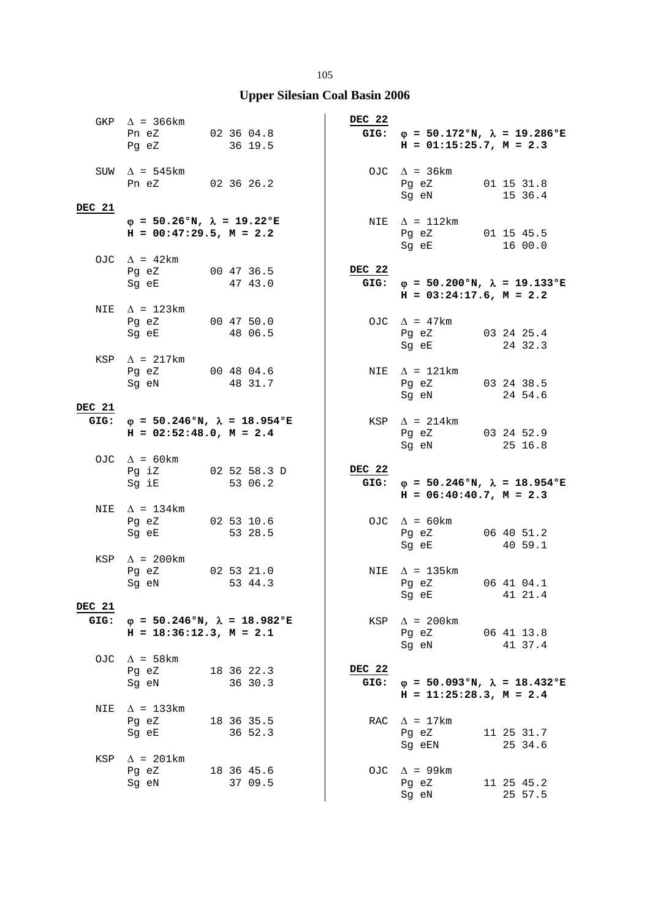|                       | GKP $\Delta$ = 366km<br>Pn eZ 02 36 04.8<br>Pq eZ 36 19.5<br>Pg eZ         | 36 19.5                                           | DEC 22         | GIG: $\varphi = 50.172$ °N, $\lambda = 19.286$ °E<br>$H = 01:15:25.7$ , $M = 2.3$                                                                                                         |
|-----------------------|----------------------------------------------------------------------------|---------------------------------------------------|----------------|-------------------------------------------------------------------------------------------------------------------------------------------------------------------------------------------|
| DEC 21                | SUW $\Delta$ = 545km<br>Pn eZ 02 36 26.2                                   |                                                   |                | OJC $\Delta$ = 36km<br>Pg eZ 01 15 31.8<br>Sg eN 15 36.4                                                                                                                                  |
|                       | $\varphi = 50.26$ °N, $\lambda = 19.22$ °E<br>$H = 00:47:29.5$ , $M = 2.2$ |                                                   |                | NIE $\Delta = 112 \text{km}$<br>Pg eZ 01 15 45.5<br>Sg eE 16 00.0                                                                                                                         |
|                       | OJC $\Delta = 42 \text{km}$<br>Pg eZ 00 47 36.5<br>Sg eE                   | 47 43.0                                           | DEC 22         | GIG: $\varphi = 50.200$ °N, $\lambda = 19.133$ °E<br>$H = 03:24:17.6$ , $M = 2.2$                                                                                                         |
| NIE                   | $\Delta$ = 123km<br>Pg eZ 00 47 50.0<br>Sg eE 48 06.5                      |                                                   |                | OJC $\Delta$ = 47km<br>Pg eZ 03 24 25.4<br>Sg eE 24 32.3                                                                                                                                  |
|                       | KSP $\Delta$ = 217km<br>Pg eZ 00 48 04.6<br>Sg eN                          | 48 31.7                                           |                | NIE $\Delta = 121 \text{km}$<br>Pg eZ 03 24 38.5<br>24 54.6<br>Sg eN                                                                                                                      |
| DEC 21                | $H = 02:52:48.0, M = 2.4$                                                  | GIG: $\varphi = 50.246$ °N, $\lambda = 18.954$ °E |                | KSP $\Delta$ = 214km<br>Pg eZ 03 24 52.9<br>Sg eN 25 16.8                                                                                                                                 |
|                       | OJC $\Delta = 60 \text{km}$<br>Sg iE 53 06.2                               | Pg iZ 02 52 58.3 D                                | DEC 22<br>GIG: | $\varphi = 50.246$ °N, $\lambda = 18.954$ °E                                                                                                                                              |
| NIE                   | $\Delta$ = 134km<br>Pg eZ 02 53 10.6<br>Sg eE                              | 53 28.5                                           |                | $H = 06:40:40.7$ , $M = 2.3$<br>OJC $\Delta = 60 \text{km}$<br>Pg eZ 06 40 51.2                                                                                                           |
|                       | KSP $\Delta$ = 200km<br>Pg eZ 02 53 21.0<br>Sg eN                          | 53 44.3                                           |                | 40 59.1<br>Sg eE<br>NIE $\Delta$ = 135km<br>Pg eZ 06 41 04.1<br>41 21.4<br>Sq eE and the state of the state of the state of the state of the state of the state of the state of the state |
| <b>DEC 21</b><br>GIG: | $H = 18:36:12.3, M = 2.1$                                                  | $\varphi = 50.246$ °N, $\lambda = 18.982$ °E      |                | $KSP \quad \Delta = 200 \text{km}$<br>Pg eZ<br>06 41 13.8<br>41 37.4<br>Sg eN                                                                                                             |
| OJC                   | $\Delta$ = 58 km<br>Pg eZ<br>Sg eN                                         | 18 36 22.3<br>36 30.3                             | DEC 22<br>GIG: | $\varphi = 50.093$ °N, $\lambda = 18.432$ °E<br>$H = 11:25:28.3, M = 2.4$                                                                                                                 |
| NIE                   | $\Delta$ = 133km<br>Pg eZ<br>Sq eE                                         | 18 36 35.5<br>36 52.3                             |                | RAC $\Delta$ = 17km<br>11 25 31.7<br>Pg eZ                                                                                                                                                |
| KSP                   | $\Delta$ = 201km<br>Pg eZ<br>Sg eN                                         | 18 36 45.6<br>37 09.5                             |                | 25 34.6<br>Sq eEN<br>OJC $\Delta$ = 99km<br>Pq eZ<br>11 25 45.2<br>25 57.5<br>Sg eN                                                                                                       |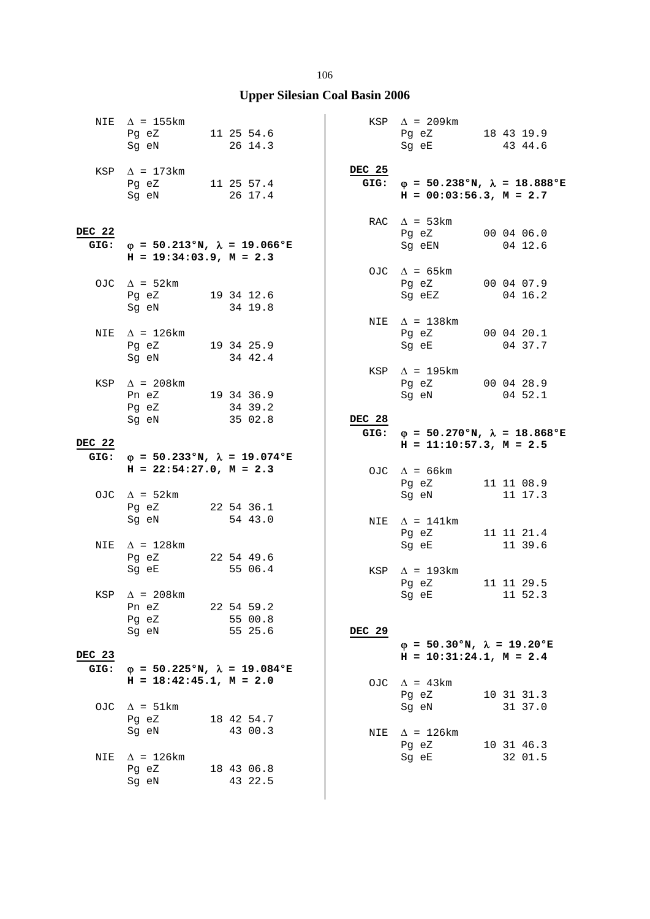|                | NIE $\Delta$ = 155 km<br>Pg eZ 11 25 54.6<br>Sg eN              | 26 14.3                                                      |        | $KSP \quad \Delta = 209km$<br>Pg eZ 18 43 19.9<br>Sg eE                                                                                | 43 44.6               |
|----------------|-----------------------------------------------------------------|--------------------------------------------------------------|--------|----------------------------------------------------------------------------------------------------------------------------------------|-----------------------|
|                | KSP $\Delta$ = 173km<br>Pg eZ 11 25 57.4<br>Sg eN 26 17.4       |                                                              | DEC 25 | GIG: $\varphi = 50.238$ °N, $\lambda = 18.888$ °E<br>$H = 00:03:56.3, M = 2.7$                                                         |                       |
| DEC 22<br>GIG: | $H = 19:34:03.9$ , $M = 2.3$                                    | $\varphi = 50.213$ °N, $\lambda = 19.066$ °E                 |        | RAC $\Delta$ = 53km<br>Pg eZ 00 04 06.0<br>Sg eEN 04 12.6                                                                              |                       |
|                | OJC $\Delta = 52 \text{km}$<br>Pg eZ 19 34 12.6<br>Sg eN        | 34 19.8                                                      |        | OJC $\Delta = 65 \text{km}$<br>Pg eZ 00 04 07.9<br>Sg eEZ                                                                              | 04 16.2               |
|                | NIE $\Delta$ = 126km<br>Pg eZ 19 34 25.9<br>Sg eN 34 42.4       |                                                              |        | NIE $\Delta$ = 138km<br>Pg eZ 00 04 20.1<br>Sg eE                                                                                      | 04 37.7               |
|                | $KSP \quad \Delta = 208 \text{km}$<br>Pn eZ 19 34 36.9<br>Pg eZ | 34 39.2                                                      |        | KSP $\Delta$ = 195km<br>Pg eZ 00 04 28.9<br>Sg eN 04 52.1                                                                              |                       |
| DEC 22         | Sq eN                                                           | 35 02.8<br>GIG: $\varphi = 50.233$ °N, $\lambda = 19.074$ °E | DEC 28 | GIG: $\varphi = 50.270$ °N, $\lambda = 18.868$ °E<br>$H = 11:10:57.3, M = 2.5$                                                         |                       |
|                | $H = 22:54:27.0$ , $M = 2.3$                                    |                                                              |        | OJC $\Delta$ = 66km<br>Pg eZ 11 11 08.9                                                                                                |                       |
|                | OJC $\Delta$ = 52km<br>Pg eZ 22 54 36.1<br>Sg eN 54 43.0        |                                                              |        | Sg eN 11 17.3<br>NIE $\Delta = 141 \text{km}$<br>Pg eZ                                                                                 | 11 11 21.4            |
| NIE            | $\Delta$ = 128km<br>Pg eZ 22 54 49.6<br>Sg eE                   | 55 06.4                                                      |        | Sg eE and the state of the state of the state of the state of the state of the state of the state of the state<br>KSP $\Delta$ = 193km | 11 39.6               |
|                | KSP $\Delta$ = 208km<br>Pn eZ                                   | 22 54 59.2                                                   |        | Pg eZ<br>Sg eE 11 52.3                                                                                                                 | 11 11 29.5            |
| DEC 23         | Pg eZ<br>Sg eN                                                  | 55 00.8<br>55 25.6                                           | DEC 29 | $\varphi = 50.30$ °N, $\lambda = 19.20$ °E<br>$H = 10:31:24.1, M = 2.4$                                                                |                       |
| GIG:           | $H = 18:42:45.1, M = 2.0$                                       | $\varphi = 50.225$ °N, $\lambda = 19.084$ °E                 |        | OJC $\Delta = 43 \text{km}$<br>Pg eZ                                                                                                   | 10 31 31.3            |
| OJC            | $\Delta$ = 51km<br>Pg eZ<br>Sq eN                               | 18 42 54.7<br>43 00.3                                        |        | Sg eN                                                                                                                                  | 31 37.0               |
| NIE            | $\Delta$ = 126km<br>Pq eZ<br>Sg eN                              | 18 43 06.8<br>43 22.5                                        |        | NIE $\Delta$ = 126km<br>Pg eZ<br>Sg eE                                                                                                 | 10 31 46.3<br>32 01.5 |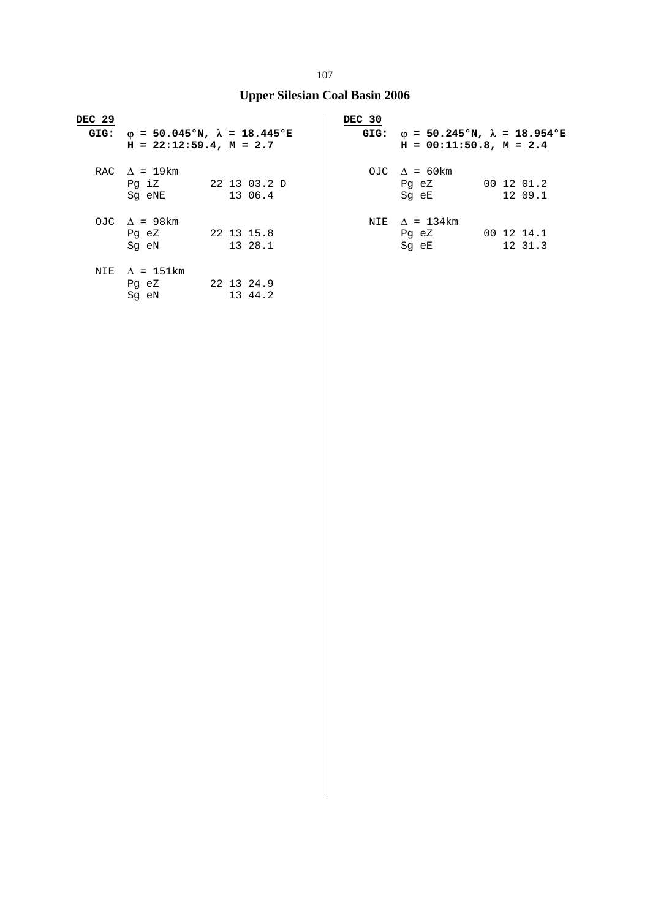| DEC <sub>29</sub> |                                                                    | DEC 30 |                                                                           |
|-------------------|--------------------------------------------------------------------|--------|---------------------------------------------------------------------------|
| GIG:              | $φ = 50.045°N, λ = 18.445°E$<br>$H = 22:12:59.4$ , $M = 2.7$       | GIG:   | $\phi = 50.245$ °N, $\lambda = 18.954$ °E<br>$H = 00:11:50.8$ , $M = 2.4$ |
|                   | RAC $\Delta$ = 19 km<br>Pq iZ<br>22 13 03.2 D<br>13 06.4<br>Sq eNE |        | OJC $\Delta$ = 60 km<br>00 12 01.2<br>Pg eZ<br>12 09.1<br>Sg eE           |
|                   | OJC $\Delta$ = 98 km<br>22 13 15.8<br>Pg eZ<br>13 28.1<br>Sq eN    | NIE    | $\Lambda = 134 \text{km}$<br>00 12 14.1<br>Pg eZ<br>12 31.3<br>Sq eE      |
| NIE               | $\Delta$ = 151km<br>22 13 24.9<br>Pg eZ<br>13 44.2<br>Sq eN        |        |                                                                           |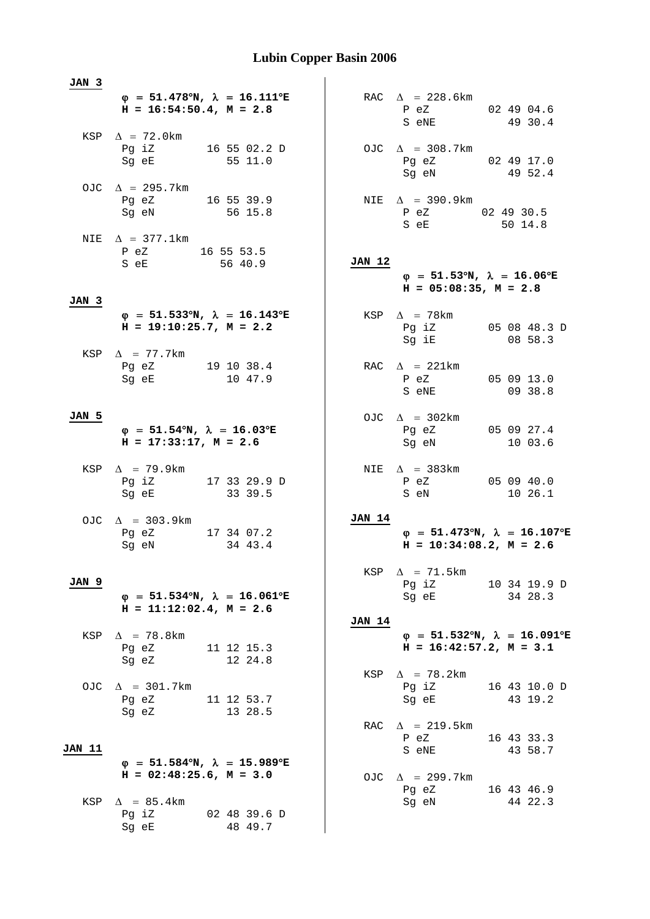**JAN 3**  $\phi = 51.478^{\circ}N$ ,  $\lambda = 16.111^{\circ}E$  $H = 16:54:50.4, M = 2.8$ KSP  $\Delta = 72.0$ km Pg iZ 16 55 02.2 D<br>Sq eE 55 11.0  $55 11.0$ OJC  $\Delta = 295.7 \text{km}$  Pg eZ 16 55 39.9 Sg eN 56 15.8 NIE  $\Delta = 377.1$ km P eZ 16 55 53.5 S eE 56 40.9 **JAN 3**  $\phi = 51.533^{\circ}N$ ,  $\lambda = 16.143^{\circ}E$  **H = 19:10:25.7, M = 2.2**  KSP  $\Delta$  = 77.7km Pg eZ 19 10 38.4 Sg eE 10 47.9 **JAN 5**  $\varphi = 51.54^{\circ}N$ ,  $\lambda = 16.03^{\circ}E$  **H = 17:33:17, M = 2.6**  KSP  $\Delta$  = 79.9km Pg iZ 17 33 29.9 D Sg eE 33 39.5 OJC  $\Delta$  = 303.9km Pg eZ 17 34 07.2 Sg eN 34 43.4 **JAN 9**  $\phi = 51.534^{\circ}N$ ,  $\lambda = 16.061^{\circ}E$  **H = 11:12:02.4, M = 2.6**  KSP  $\Delta$  = 78.8km Pg eZ 11 12 15.3<br>Sg eZ 12 24.8  $12 \t24.8$ OJC  $\Delta$  = 301.7km Pg eZ 11 12 53.7 Sg eZ 13 28.5 **JAN 11**  $\phi = 51.584^{\circ}N$ ,  $\lambda = 15.989^{\circ}E$  $H = 02:48:25.6$ ,  $M = 3.0$ KSP  $\Delta$  = 85.4km Pg iZ 02 48 39.6 D Sg eE 48 49.7 RAC  $\Delta$  = 228.6km P eZ 02 49 04.6 S eNE 49 30.4 OJC  $\Delta$  = 308.7km Pg eZ 02 49 17.0<br>Sg eN 49 52.4 Sg eN 49 52.4 NIE  $\Delta$  = 390.9km P eZ 02 49 30.5 S eE 50 14.8 **JAN 12**  $\phi = 51.53^{\circ}N$ ,  $\lambda = 16.06^{\circ}E$  **H = 05:08:35, M = 2.8**  KSP  $\Delta$  = 78 km Pg iZ 05 08 48.3 D Sg iE 08 58.3 RAC  $\Delta$  = 221km P eZ 05 09 13.0 S eNE 09 38.8 OJC  $\Delta$  = 302km Pg eZ 05 09 27.4 Sg eN 10 03.6 NIE  $\Delta$  = 383km P eZ 05 09 40.0 S eN 10 26.1 **JAN 14**  $\phi = 51.473^{\circ}N$ ,  $\lambda = 16.107^{\circ}E$  $H = 10:34:08.2$ ,  $M = 2.6$ KSP  $\Delta$  = 71.5km Pg iZ 10 34 19.9 D Sq eE 34 28.3 **JAN 14**  $\varphi = 51.532^{\circ}N$ ,  $\lambda = 16.091^{\circ}E$  **H = 16:42:57.2, M = 3.1**  KSP  $\Delta$  = 78.2km Pg iZ 16 43 10.0 D<br>Sq eE 43 19.2 43 19.2 RAC  $\Delta$  = 219.5km P eZ 16 43 33.3 S eNE 43 58.7 OJC  $\Delta$  = 299.7km Pg eZ 16 43 46.9 Sg eN 44 22.3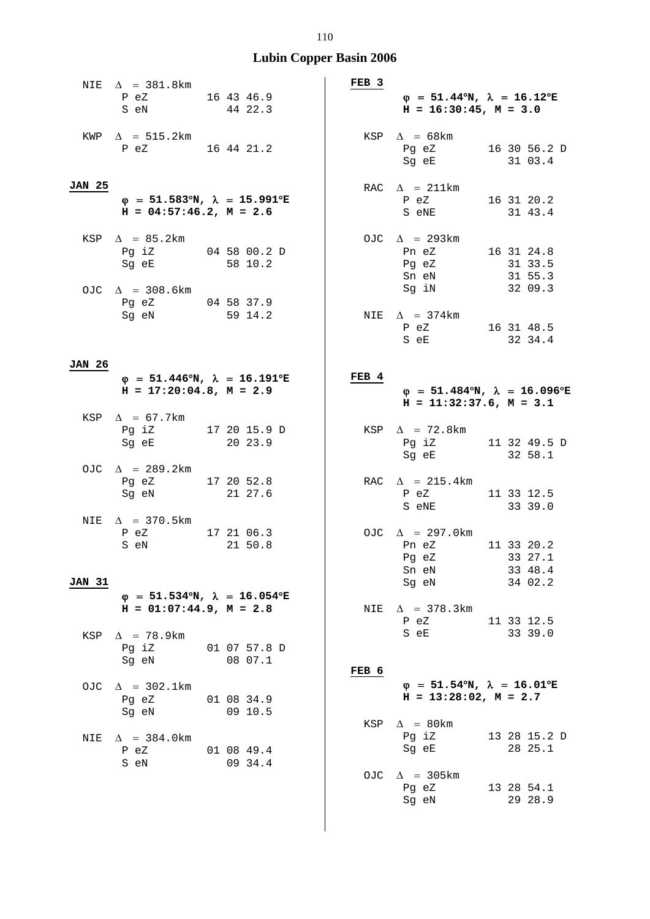|               | NIE $\Delta$ = 381.8km                                                                    |                        | FEB 3 |                                                                                       |                                                           |
|---------------|-------------------------------------------------------------------------------------------|------------------------|-------|---------------------------------------------------------------------------------------|-----------------------------------------------------------|
|               | P eZ<br>S eN                                                                              | 16 43 46.9<br>44 22.3  |       | $\varphi = 51.44^{\circ}N$ , $\lambda = 16.12^{\circ}E$<br>$H = 16:30:45$ , $M = 3.0$ |                                                           |
|               | KWP $\Delta$ = 515.2km<br>P eZ 16 44 21.2                                                 |                        |       | KSP $\Delta$ = 68km<br>Pg eZ 16 30 56.2 D<br>Sg eE                                    | 31 03.4                                                   |
| <b>JAN 25</b> | $\varphi$ = 51.583°N, $\lambda$ = 15.991°E<br>$H = 04:57:46.2$ , $M = 2.6$                |                        |       | RAC $\Delta$ = 211km<br>$P$ eZ<br>S eNE                                               | 16 31 20.2<br>31 43.4                                     |
|               | KSP $\Delta$ = 85.2km<br>Pg iZ 04 58 00.2 D<br>Sg eE 58 10.2                              |                        |       | OJC $\Delta$ = 293km<br>Pn eZ<br>Pg eZ<br>Sn eN 31 55.3                               | 16 31 24.8<br>31 33.5                                     |
|               | OJC $\Delta$ = 308.6km<br>Pg eZ 04 58 37.9<br>Sg eN 59 14.2                               |                        |       | Sg iN 32 09.3<br>NIE $\Delta$ = 374km<br>P eZ 16 31 48.5<br>S eE 32 34.4              |                                                           |
| <b>JAN 26</b> |                                                                                           |                        |       |                                                                                       |                                                           |
|               | $\varphi = 51.446^{\circ}N$ , $\lambda = 16.191^{\circ}E$<br>$H = 17:20:04.8$ , $M = 2.9$ |                        | FEB 4 | $H = 11:32:37.6$ , $M = 3.1$                                                          | $\varphi = 51.484^{\circ}N$ , $\lambda = 16.096^{\circ}E$ |
|               | KSP $\Delta$ = 67.7km<br>Pg iZ 17 20 15.9 D<br>Sg eE 20 23.9                              |                        |       | KSP $\Delta$ = 72.8km<br>Pg iZ<br>Sg eE 32 58.1                                       | 11 32 49.5 D                                              |
|               | OJC $\Delta$ = 289.2km<br>Pg eZ 17 20 52.8<br>Sq eN                                       | 21 27.6                |       | RAC $\Delta$ = 215.4km<br>P eZ<br>S eNE 33 39.0                                       | 11 33 12.5                                                |
| <b>JAN 31</b> | NIE $\Delta$ = 370.5km<br>P eZ<br>S eN                                                    | 17 21 06.3<br>21 50.8  |       | OJC $\Delta$ = 297.0km<br>Pn eZ<br>Pg eZ 33 27.1<br>Sn eN<br>Sg eN                    | 11 33 20.2<br>33 48.4<br>34 02.2                          |
|               | $\varphi$ = 51.534°N, $\lambda$ = 16.054°E<br>$H = 01:07:44.9$ , $M = 2.8$                |                        | NIE   | $\Delta$ = 378.3km<br>P eZ                                                            | 11 33 12.5                                                |
|               | KSP $\Delta$ = 78.9km<br>Pg iZ<br>Sg eN                                                   | 01 07 57.8 D<br>0807.1 | FEB 6 | S eE                                                                                  | 33 39.0                                                   |
| OJC.          | $\Delta$ = 302.1km<br>Pg eZ<br>Sg eN                                                      | 01 08 34.9<br>09 10.5  |       | $\varphi = 51.54^{\circ}N$ , $\lambda = 16.01^{\circ}E$<br>$H = 13:28:02$ , $M = 2.7$ |                                                           |
| NIE           | $\Delta$ = 384.0km<br>P eZ<br>S eN                                                        | 01 08 49.4<br>09 34.4  | KSP   | $\Delta$ = 80km<br>Pg iZ<br>Sg eE                                                     | 13 28 15.2 D<br>28 25.1                                   |
|               |                                                                                           |                        |       | OJC $\Delta$ = 305km<br>Pg eZ<br>Sg eN                                                | 13 28 54.1<br>29 28.9                                     |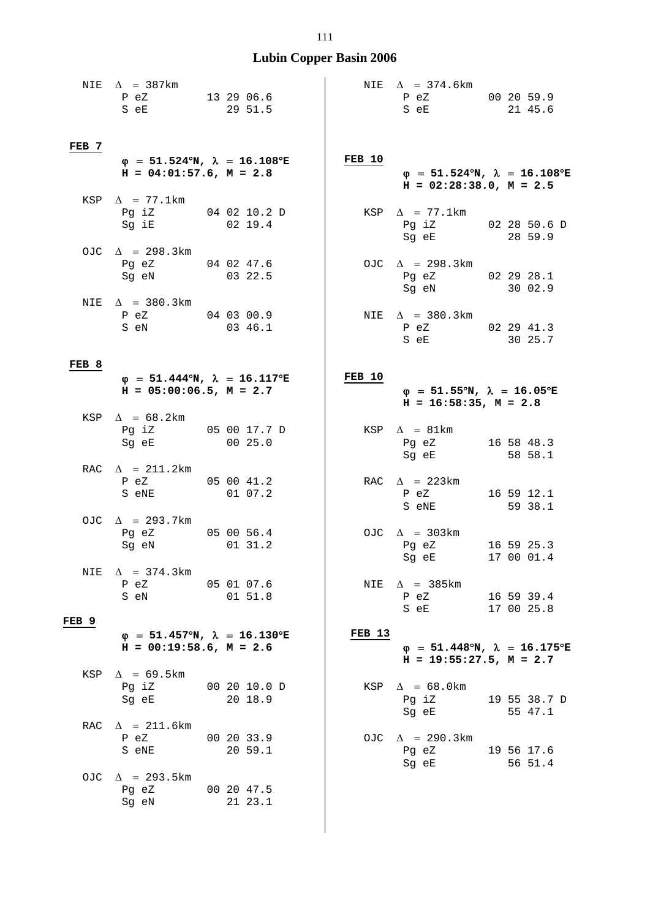|              | NIE $\Delta$ = 387km<br>P eZ<br>S eE                                                                 | 13 29 06.6<br>29 51.5   |        | NIE $\Delta$ = 374.6km<br>P eZ<br>S eE                                     | 00 20 59.9<br>21 45.6    |
|--------------|------------------------------------------------------------------------------------------------------|-------------------------|--------|----------------------------------------------------------------------------|--------------------------|
| FEB 7        | $\varphi$ = 51.524°N, $\lambda$ = 16.108°E<br>$H = 04:01:57.6$ , $M = 2.8$                           |                         | FEB 10 | $\varphi$ = 51.524°N, $\lambda$ = 16.108°E<br>$H = 02:28:38.0, M = 2.5$    |                          |
|              | KSP $\Delta$ = 77.1km<br>Pg iZ 04 02 10.2 D<br>Sq iE                                                 | 02 19.4                 |        | KSP $\Delta$ = 77.1km<br>Pg iZ 02 28 50.6 D<br>Sg eE                       | 28 59.9                  |
|              | OJC $\Delta$ = 298.3km<br>Pg eZ 04 02 47.6<br>Sg eN                                                  | 03 22.5                 |        | OJC $\Delta$ = 298.3km<br>Pg eZ 02 29 28.1<br>Sg eN 30 02.9                |                          |
|              | NIE $\Delta$ = 380.3km<br>P eZ 04 03 00.9<br>S eN                                                    | 03 46.1                 |        | NIE $\Delta$ = 380.3km<br>P eZ 02 29 41.3<br>S eE                          | 30 25.7                  |
| FEB 8        | $\varphi$ = 51.444 <sup>o</sup> N, $\lambda$ = 16.117 <sup>o</sup> E<br>$H = 05:00:06.5$ , $M = 2.7$ |                         | FEB 10 | $\varphi$ = 51.55°N, $\lambda$ = 16.05°E<br>$H = 16:58:35$ , $M = 2.8$     |                          |
|              | KSP $\Delta$ = 68.2km<br>Pg iZ<br>Sg eE                                                              | 05 00 17.7 D<br>00 25.0 |        | KSP $\Delta = 81 \text{km}$<br>Pg eZ<br>Sg eE                              | 16 58 48.3<br>58 58.1    |
|              | RAC $\Delta$ = 211.2km<br>$P$ eZ $\sim$<br>S eNE                                                     | 05 00 41.2<br>01 07.2   |        | RAC $\Delta$ = 223km<br>P eZ<br>S eNE                                      | 16 59 12.1<br>59 38.1    |
|              | OJC $\Delta$ = 293.7km<br>Pg eZ<br>Sg eN                                                             | 05 00 56.4<br>01 31.2   |        | OJC $\Delta$ = 303km<br>Pg eZ<br>Sg eE 17 00 01.4                          | 16 59 25.3               |
| NIE<br>FEB 9 | $\Delta$ = 374.3km<br>P eZ 05 01 07.6<br>S eN                                                        | 01 51.8                 | NIE    | $\Delta$ = 385 km<br>P eZ 16 59 39.4<br>S eE 17 00 25.8                    |                          |
|              | $\varphi$ = 51.457°N, $\lambda$ = 16.130°E<br>$H = 00:19:58.6$ , $M = 2.6$                           |                         | FEB 13 | $\varphi$ = 51.448°N, $\lambda$ = 16.175°E<br>$H = 19:55:27.5$ , $M = 2.7$ |                          |
|              | KSP $\Delta$ = 69.5km<br>Pg iZ 00 20 10.0 D<br>Sg eE 20 18.9                                         |                         |        | KSP $\Delta = 68.0$ km<br>Pg iZ 19 55 38.7 D<br>Sg eE 55 47.1              |                          |
|              | RAC $\Delta$ = 211.6km<br>P eZ<br>S eNE                                                              | 00 20 33.9<br>20 59.1   |        | OJC $\Delta$ = 290.3km<br>Pg eZ<br>Sg eE                                   | 19 56 17.6<br>$56\;51.4$ |
|              | OJC $\Delta$ = 293.5km<br>Pg eZ 00 20 47.5<br>Sg eN                                                  | 21 23.1                 |        |                                                                            |                          |

#### 111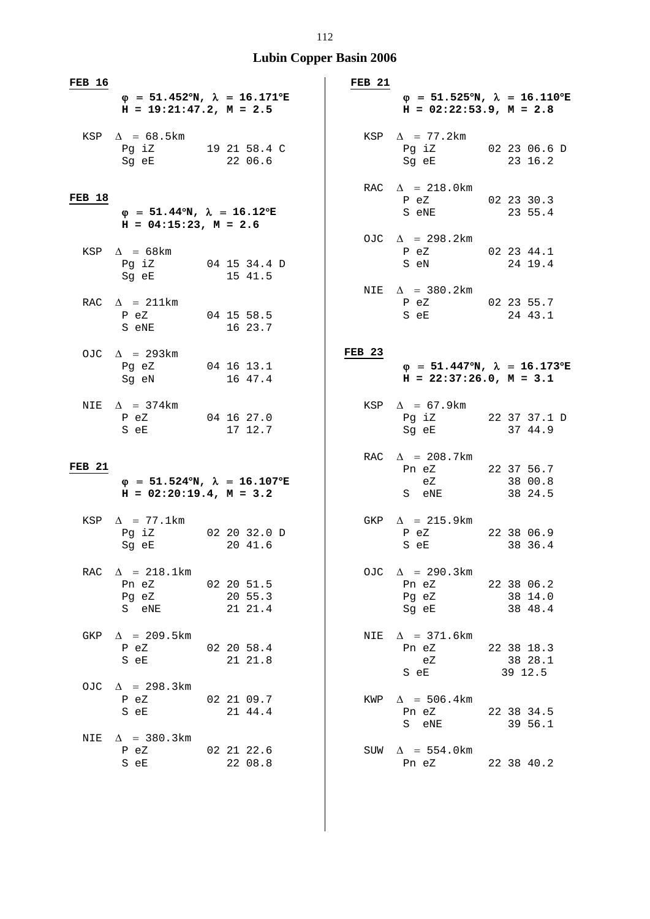| FEB 16        |                                                                                       |                                            | FEB <sub>21</sub> |                                                                   |                                            |
|---------------|---------------------------------------------------------------------------------------|--------------------------------------------|-------------------|-------------------------------------------------------------------|--------------------------------------------|
|               | $H = 19:21:47.2, M = 2.5$                                                             | $\varphi$ = 51.452°N, $\lambda$ = 16.171°E |                   | $H = 02:22:53.9, M = 2.8$                                         | $\varphi$ = 51.525°N, $\lambda$ = 16.110°E |
|               | KSP $\Delta$ = 68.5km<br>Pg iz 19 21 58.4 C<br>Sg eE                                  | 22 06.6                                    |                   | KSP $\Delta$ = 77.2km<br>Pg iZ 02 23 06.6 D<br>Sg eE              | 23 16.2                                    |
| <b>FEB 18</b> | $\varphi = 51.44^{\circ}N$ , $\lambda = 16.12^{\circ}E$<br>$H = 04:15:23$ , $M = 2.6$ |                                            |                   | RAC $\Delta$ = 218.0km<br>P eZ<br>S eNE                           | 02 23 30.3<br>23 55.4                      |
|               | KSP $\Delta$ = 68km<br>Pg iZ 04 15 34.4 D<br>Sg eE 15 41.5                            |                                            |                   | OJC $\Delta$ = 298.2km<br>P eZ<br>S eN                            | 02 23 44.1<br>24 19.4                      |
|               | RAC $\Delta$ = 211km<br>P eZ 04 15 58.5<br>S eNE 16 23.7                              |                                            |                   | NIE $\Delta$ = 380.2km<br>P eZ 02 23 55.7<br>S eE 24 43.1         |                                            |
|               | OJC $\Delta$ = 293km<br>Pg eZ 04 16 13.1<br>Sg eN 16 47.4                             |                                            | <b>FEB 23</b>     | $H = 22:37:26.0, M = 3.1$                                         | $\varphi$ = 51.447°N, $\lambda$ = 16.173°E |
|               | NIE $\Delta$ = 374km<br>P eZ<br>S eE                                                  | 04 16 27.0<br>17 12.7                      |                   | KSP $\Delta$ = 67.9km<br>Pg iZ 22 37 37.1 D<br>Sg eE 37 44.9      |                                            |
| <b>FEB 21</b> | $H = 02:20:19.4$ , $M = 3.2$                                                          | $\varphi$ = 51.524°N, $\lambda$ = 16.107°E |                   | RAC $\Delta$ = 208.7km<br>Pn eZ<br>eZ<br>S eNE                    | 22 37 56.7<br>38 00.8<br>38 24.5           |
|               | KSP $\Delta$ = 77.1km<br>Pg iZ 02 20 32.0 D<br>Sg eE                                  | 20 41.6                                    |                   | GKP $\Delta$ = 215.9km<br>P eZ<br>S eE                            | 22 38 06.9<br>38 36.4                      |
| RAC           | $\Delta$ = 218.1km<br>Pn eZ 02 20 51.5<br>Pg eZ 20 55.3<br>S eNE 21 21.4              |                                            |                   | OJC $\Delta$ = 290.3km<br>Pn eZ<br>Pg eZ 38 14.0<br>Sq eE 38 48.4 | 22 38 06.2                                 |
| GKP           | $\Delta$ = 209.5km<br>P eZ<br>S eE                                                    | 02 20 58.4<br>21 21.8                      | NIE               | $\Delta$ = 371.6km<br>Pn eZ<br>eZ<br>S eE                         | 22 38 18.3<br>38 28.1<br>39 12.5           |
|               | OJC $\Delta$ = 298.3km<br>P eZ<br>S eE                                                | 02 21 09.7<br>21 44.4                      |                   | KWP $\Delta$ = 506.4km<br>Pn eZ 22 38 34.5<br>S eNE               | 39 56.1                                    |
| NIE           | $\Delta$ = 380.3km<br>P eZ 02 21 22.6<br>S eE                                         | 22 08.8                                    |                   | SUW $\Delta$ = 554.0 km<br>Pn eZ                                  | 22 38 40.2                                 |

#### 112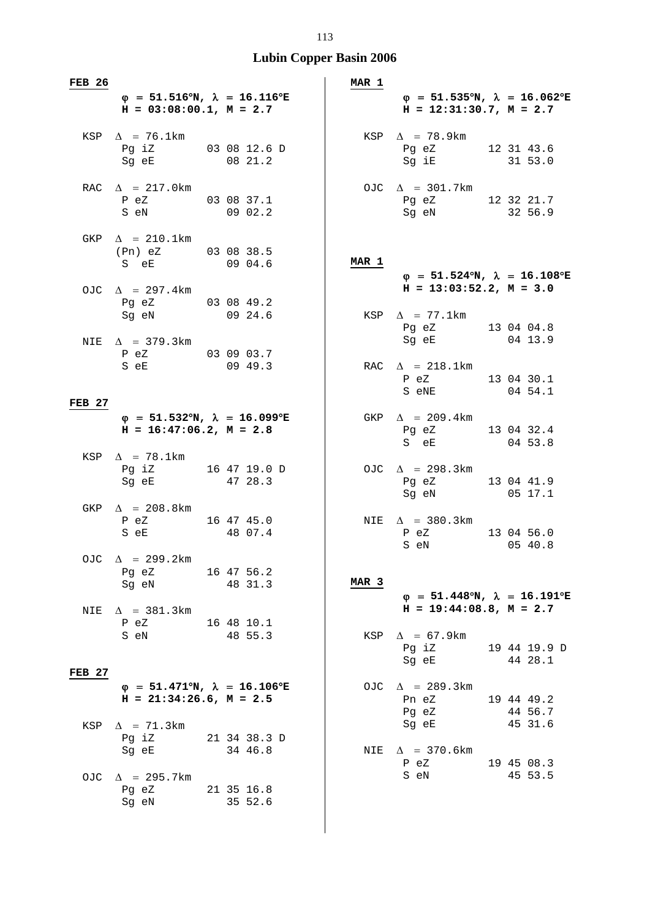| <b>FEB 26</b> |                                                                                                                                                                                                                                                                            |                         |         |  | MAR 1            |                                                                            |  |                       |
|---------------|----------------------------------------------------------------------------------------------------------------------------------------------------------------------------------------------------------------------------------------------------------------------------|-------------------------|---------|--|------------------|----------------------------------------------------------------------------|--|-----------------------|
|               | $\varphi$ = 51.516°N, $\lambda$ = 16.116°E<br>$H = 03:08:00.1, M = 2.7$                                                                                                                                                                                                    |                         |         |  |                  | $\varphi$ = 51.535°N, $\lambda$ = 16.062°E<br>$H = 12:31:30.7$ , $M = 2.7$ |  |                       |
|               | KSP $\Delta$ = 76.1km<br>Pg iZ 03 08 12.6 D<br>Sg eE 08 21 2                                                                                                                                                                                                               |                         |         |  |                  | KSP $\Delta$ = 78.9km<br>Pg eZ 12 31 43.6<br>Sg iE 31 53.0                 |  |                       |
|               | RAC $\Delta$ = 217.0km<br>P eZ 03 08 37.1<br>S eN                                                                                                                                                                                                                          | 09 02.2                 |         |  |                  | OJC $\Delta$ = 301.7km<br>Pg eZ 12 32 21.7<br>Sq eN 32 56.9                |  |                       |
|               | GKP $\Delta$ = 210.1km<br>(Pn) eZ 03 08 38.5<br>S e E 09 04.6                                                                                                                                                                                                              |                         |         |  | MAR 1            | $\varphi$ = 51.524°N, $\lambda$ = 16.108°E                                 |  |                       |
|               | OJC $\Delta$ = 297.4km<br>Pg eZ 03 08 49.2<br>Sg eN 09 24.6                                                                                                                                                                                                                |                         |         |  |                  | $H = 13:03:52.2, M = 3.0$<br>KSP $\Delta$ = 77.1km                         |  |                       |
|               | NIE $\Delta$ = 379.3km<br>P eZ 03 09 03.7<br>S e E 09 49.3                                                                                                                                                                                                                 |                         |         |  |                  | Pg eZ 13 04 04.8<br>Sg eE 04 13.9<br>RAC $\Delta$ = 218.1km                |  |                       |
| <b>FEB 27</b> |                                                                                                                                                                                                                                                                            |                         |         |  |                  | P eZ 13 04 30.1<br>S eNE 04 54.1                                           |  |                       |
|               | $\varphi = 51.532^{\circ}N$ , $\lambda = 16.099^{\circ}E$<br>$H = 16:47:06.2, M = 2.8$                                                                                                                                                                                     |                         |         |  |                  | GKP $\Delta$ = 209.4km<br>Pg eZ 13 04 32.4<br>S eE                         |  | 04 53.8               |
|               | KSP $\Delta$ = 78.1km<br>Pg iZ 16 47 19.0 D<br>47 28.3<br>Sg eE                                                                                                                                                                                                            |                         |         |  |                  | OJC $\Delta$ = 298.3km<br>Pg eZ<br>Sg eN 05 17.1                           |  | 13 04 41.9            |
|               | GKP $\Delta$ = 208.8km<br>P eZ 16 47 45.0<br>S eE 48 07.4                                                                                                                                                                                                                  |                         |         |  |                  | NIE $\Delta$ = 380.3km<br>P eZ<br>S eN                                     |  | 13 04 56.0<br>05 40.8 |
|               | OJC $\Delta$ = 299.2km<br>Pg eZ<br>16 47 56.2<br>Sg eN                                                                                                                                                                                                                     |                         | 48 31.3 |  | MAR <sub>3</sub> | $\varphi$ = 51.448°N, $\lambda$ = 16.191°E                                 |  |                       |
| NIE           | $\Delta$ = 381.3km<br>P eZ<br>16 48 10.1<br>S eN Santa Contractor Services and Services and Services and Services and Services and Services and Services and Services and Services and Services and Services and Services and Services and Services and Services and Servi |                         | 48 55.3 |  | KSP              | $H = 19:44:08.8$ , $M = 2.7$<br>$\Delta$ = 67.9km<br>Pg iZ                 |  | 19 44 19.9 D          |
| <b>FEB 27</b> |                                                                                                                                                                                                                                                                            |                         |         |  |                  | Sg eE                                                                      |  | 44 28.1               |
|               | $\varphi$ = 51.471°N, $\lambda$ = 16.106°E<br>$H = 21:34:26.6$ , $M = 2.5$                                                                                                                                                                                                 |                         |         |  |                  | OJC $\Delta$ = 289.3km<br>Pn eZ<br>Pg eZ                                   |  | 19 44 49.2<br>44 56.7 |
| KSP           | $\Delta$ = 71.3km<br>Pg iZ<br>Sg eE                                                                                                                                                                                                                                        | 21 34 38.3 D<br>34 46.8 |         |  | NIE              | Sg eE<br>$\Delta$ = 370.6km<br>P eZ                                        |  | 45 31.6<br>19 45 08.3 |
|               | OJC $\Delta$ = 295.7km<br>Pg eZ 21 35 16.8<br>Sg eN                                                                                                                                                                                                                        |                         | 35 52.6 |  |                  | S eN                                                                       |  | 45 53.5               |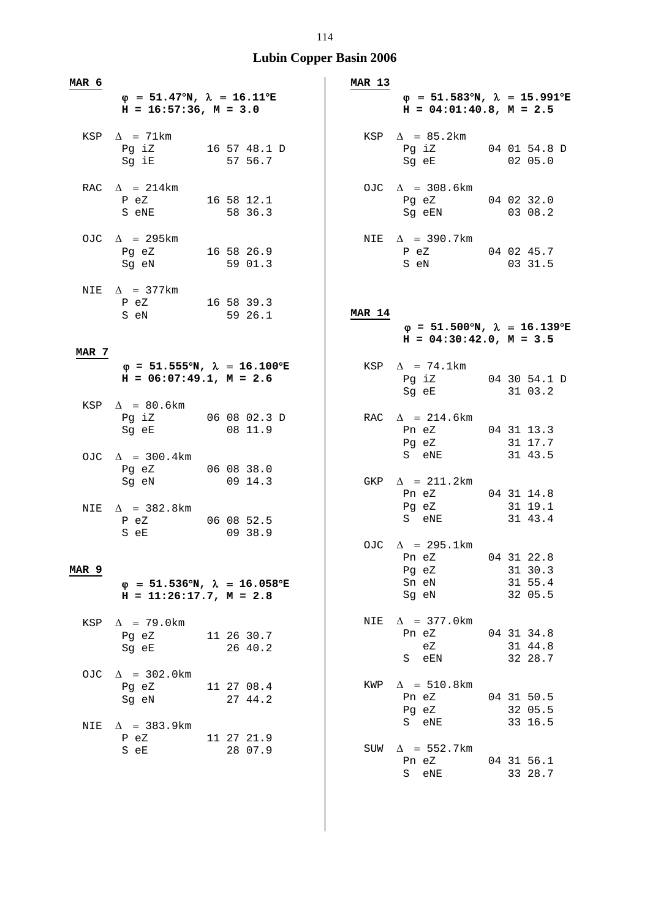| <b>MAR 6</b> |                                                                                       |                       | MAR 13        |                                                                                        |                                             |
|--------------|---------------------------------------------------------------------------------------|-----------------------|---------------|----------------------------------------------------------------------------------------|---------------------------------------------|
|              | $\varphi = 51.47^{\circ}N$ , $\lambda = 16.11^{\circ}E$<br>$H = 16:57:36$ , $M = 3.0$ |                       |               | $\varphi$ = 51.583°N, $\lambda$ = 15.991°E<br>$H = 04:01:40.8$ , $M = 2.5$             |                                             |
|              | $KSP \quad \Delta = 71km$<br>Pg iz $16\ 57\ 48.1$ D<br>Sg iE                          | 57 56.7               |               | KSP $\Delta$ = 85.2km<br>Pg iZ 04 01 54.8 D<br>-3 --<br>Sg eE                          | 02 05.0                                     |
|              | RAC $\Delta$ = 214km<br>P eZ<br>S eNE                                                 | 16 58 12.1<br>58 36.3 |               | OJC $\Delta$ = 308.6km<br>Pg eZ 04 02 32.0<br>Sg eEN                                   | 03 08.2                                     |
|              | OJC $\Delta$ = 295km<br>Pg eZ 16 58 26.9<br>Sg eN                                     | 59 01.3               |               | NIE $\Delta$ = 390.7km<br>P eZ 04 02 45.7<br>S eN                                      | 03 31.5                                     |
|              | NIE $\Delta$ = 377km<br>P eZ 16 58 39.3<br>S eN 59 26.1                               |                       | <b>MAR 14</b> | $\varphi = 51.500^{\circ}N$ , $\lambda = 16.139^{\circ}E$<br>$H = 04:30:42.0, M = 3.5$ |                                             |
| MAR 7        | $\varphi$ = 51.555°N, $\lambda$ = 16.100°E<br>$H = 06:07:49.1, M = 2.6$               |                       |               | KSP $\Delta$ = 74.1km<br>Pg iZ 04 30 54.1 D<br>Sg eE 31 03.2                           |                                             |
|              | KSP $\Delta$ = 80.6km<br>Pg iZ 06 08 02.3 D<br>Sg eE 08 11.9                          |                       |               | RAC $\Delta$ = 214.6km<br>Pn eZ<br>Pg eZ                                               | 04 31 13.3<br>31 17.7                       |
|              | OJC $\Delta$ = 300.4km<br>Pg eZ 06 08 38.0<br>Sg eN                                   | 09 14.3               |               | S eNE<br>GKP $\Delta$ = 211.2km<br>Pn eZ 04 31 14.8                                    | 31 43.5                                     |
|              | NIE $\Delta$ = 382.8km<br>P eZ<br>S eE                                                | 06 08 52.5<br>09 38.9 |               | Pg eZ<br>S eNE 31 43.4<br>OJC $\Delta$ = 295.1km                                       | 31 19.1                                     |
| MAR 9        | $\varphi$ = 51.536°N, $\lambda$ = 16.058°E<br>$H = 11:26:17.7, M = 2.8$               |                       |               | Pn eZ<br>Pg eZ<br>Sn eN<br>Sg eN                                                       | 04 31 22.8<br>31 30.3<br>31 55.4<br>32 05.5 |
| KSP          | $\Delta$ = 79.0km<br>11 26 30.7<br>Pg eZ<br>Sg eE 26 40.2                             |                       | NIE           | $\Delta$ = 377.0 km<br>Pn eZ<br>eZ<br>S eEN                                            | 04 31 34.8<br>31 44.8<br>32 28.7            |
| OJC          | $\Delta$ = 302.0km<br>Pg eZ<br>Sg eN                                                  | 11 27 08.4<br>27 44.2 | KWP           | $\Delta$ = 510.8km<br>Pn eZ<br>Pg eZ                                                   | 04 31 50.5<br>32 05.5                       |
| NIE          | $\Delta$ = 383.9km<br>P eZ<br>S eE                                                    | 11 27 21.9<br>28 07.9 | SUW           | S eNE<br>$\Delta$ = 552.7km<br>Pn eZ<br>S eNE                                          | 33 16.5<br>04 31 56.1<br>33 28.7            |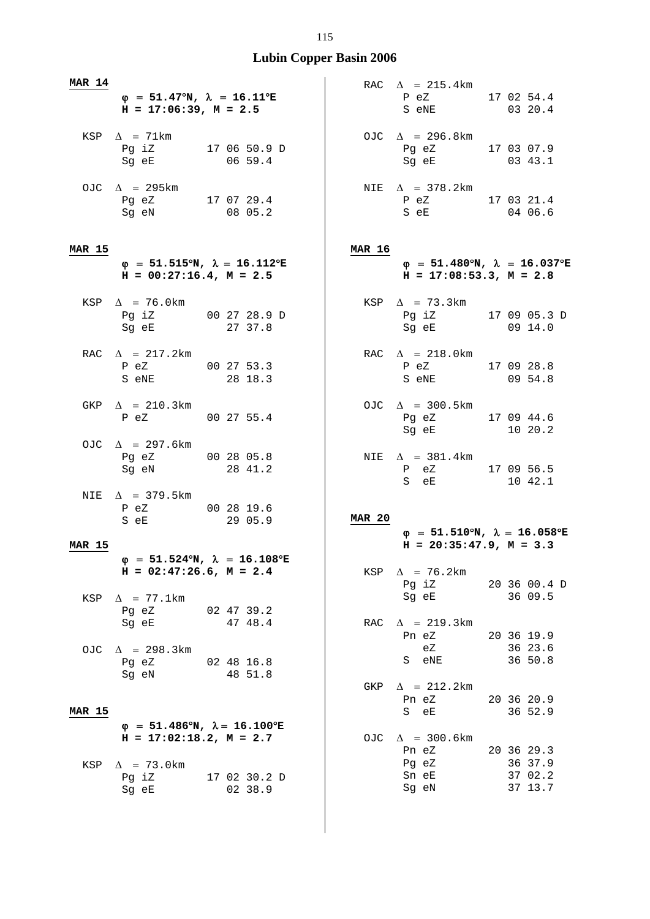| MAR 14        | $\varphi = 51.47^{\circ}N$ , $\lambda = 16.11^{\circ}E$<br>$H = 17:06:39$ , $M = 2.5$ |                                                           |               | RAC $\Delta$ = 215.4km<br>P eZ 17 02 54.4<br>S eNE                                                                                               | 03 20.4                                     |
|---------------|---------------------------------------------------------------------------------------|-----------------------------------------------------------|---------------|--------------------------------------------------------------------------------------------------------------------------------------------------|---------------------------------------------|
|               | KSP $\Delta$ = 71km<br>Pg iz $170650.9 D$<br>Sg eE                                    | 0659.4                                                    |               | OJC $\Delta$ = 296.8km<br>Pg eZ 17 03 07.9<br>Sg eE                                                                                              | 03 43.1                                     |
|               | OJC $\Delta$ = 295km<br>Pg eZ 17 07 29.4<br>Sg eN 08 05.2                             |                                                           |               | NIE $\Delta$ = 378.2km<br>P eZ 17 03 21.4<br>S eE                                                                                                | 04 06.6                                     |
| <b>MAR 15</b> |                                                                                       |                                                           | <b>MAR 16</b> |                                                                                                                                                  |                                             |
|               | $H = 00:27:16.4$ , $M = 2.5$                                                          | $\varphi$ = 51.515°N, $\lambda$ = 16.112°E                |               | $\varphi$ = 51.480°N, $\lambda$ = 16.037°E<br>$H = 17:08:53.3, M = 2.8$                                                                          |                                             |
|               | KSP $\Delta$ = 76.0km<br>Pg iZ 00 27 28.9 D<br>Sg eE 27 37.8                          |                                                           |               | KSP $\Delta$ = 73.3km<br>Pg iZ 17 09 05.3 D<br>Sg eE 09 14.0                                                                                     |                                             |
|               | RAC $\Delta$ = 217.2km<br>P eZ 00 27 53.3<br>S eNE 28 18.3                            |                                                           |               | RAC $\Delta$ = 218.0km<br>P eZ 17 09 28.8<br>S eNE 09 54.8                                                                                       |                                             |
|               | GKP $\Delta$ = 210.3km<br>P eZ 00 27 55.4                                             |                                                           |               | OJC $\Delta$ = 300.5km<br>Pg eZ 17 09 44.6<br>Sg eE 10 20.2                                                                                      |                                             |
|               | OJC $\Delta$ = 297.6km<br>Pg eZ 00 28 05.8<br>Sg eN                                   | 28 41.2                                                   |               | NIE $\Delta$ = 381.4km<br>P eZ 17 09 56.5<br>S eE                                                                                                | 10 42.1                                     |
|               | NIE $\Delta$ = 379.5km<br>P eZ 00 28 19.6<br>S eE                                     | 29 05.9                                                   | <b>MAR 20</b> | $\varphi$ = 51.510°N, $\lambda$ = 16.058°E                                                                                                       |                                             |
| <b>MAR 15</b> |                                                                                       |                                                           |               | $H = 20:35:47.9$ , $M = 3.3$                                                                                                                     |                                             |
| KSP           | $H = 02:47:26.6$ , $M = 2.4$<br>$\Delta$ = 77.1km                                     | $\varphi = 51.524$ °N, $\lambda = 16.108$ °E              |               | KSP $\Delta$ = 76.2km<br>Pg iZ<br>Sg eE and the state of the state of the state of the state of the state of the state of the state of the state | 20 36 00.4 D<br>36 09.5                     |
|               | Pg eZ 02 47 39.2<br>Sg eE 47 48.4<br>OJC $\Delta$ = 298.3km                           |                                                           | RAC           | $\Delta$ = 219.3km<br>Pn eZ<br>eZ                                                                                                                | 20 36 19.9<br>36 23.6                       |
|               | Pg eZ 02 48 16.8<br>Sg eN 48 51.8                                                     |                                                           | GKP           | S eNE<br>$\Delta$ = 212.2km                                                                                                                      | 36 50.8                                     |
| <b>MAR 15</b> |                                                                                       |                                                           |               | Pn eZ<br>S eE                                                                                                                                    | 20 36 20.9<br>36 52.9                       |
|               | $H = 17:02:18.2, M = 2.7$                                                             | $\varphi = 51.486^{\circ}N$ , $\lambda = 16.100^{\circ}E$ |               | OJC $\Delta$ = 300.6km                                                                                                                           |                                             |
| KSP           | $\Delta$ = 73.0km<br>Sg eE                                                            | Pg iZ 17 02 30.2 D<br>02 38.9                             |               | Pn eZ<br>Pg eZ<br>Sn eE<br>Sg eN                                                                                                                 | 20 36 29.3<br>36 37.9<br>37 02.2<br>37 13.7 |

 $\overline{\phantom{a}}$  $\mathsf{I}$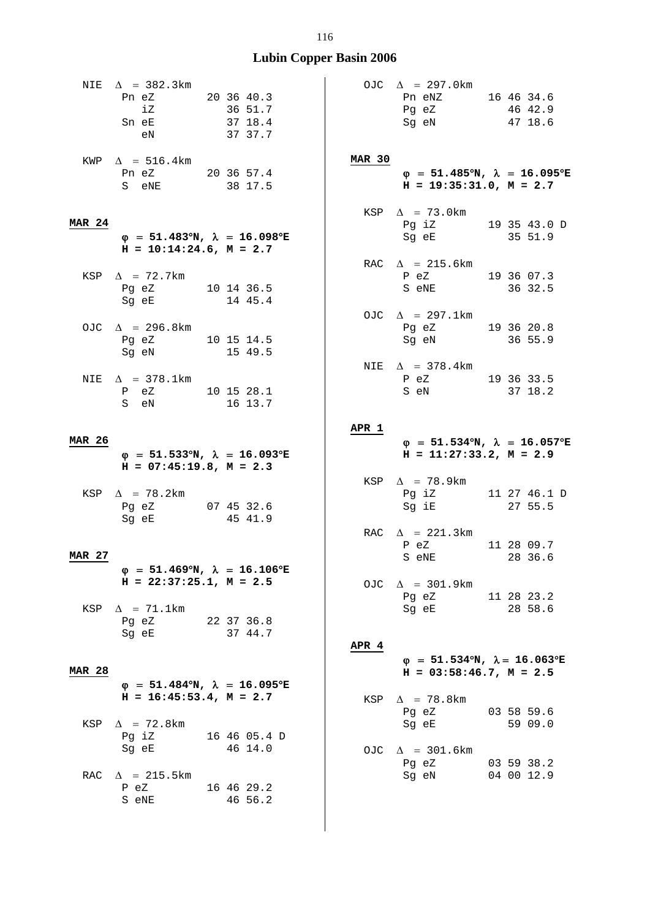| NIE           | $\Delta$ = 382.3km<br>Pn eZ<br>iZ<br>Sn eE<br>e <sub>N</sub>           | 20 36 40.3<br>36 51.7<br>37 18.4<br>37 37.7               |               | OJC $\Delta$ = 297.0km<br>Pn eNZ 16 46 34.6<br>Pg eZ 46 42.9<br>Sg eN                                                                                        | 47 18.6                                    |
|---------------|------------------------------------------------------------------------|-----------------------------------------------------------|---------------|--------------------------------------------------------------------------------------------------------------------------------------------------------------|--------------------------------------------|
|               | KWP $\Delta$ = 516.4km<br>Pn eZ 20 36 57.4<br>S eNE                    | 38 17.5                                                   | <b>MAR 30</b> | $H = 19:35:31.0, M = 2.7$                                                                                                                                    | $\varphi$ = 51.485°N, $\lambda$ = 16.095°E |
| <b>MAR 24</b> |                                                                        |                                                           |               | KSP $\Delta$ = 73.0km<br>Pg iZ 19 35 43.0 D                                                                                                                  |                                            |
|               | $H = 10:14:24.6$ , $M = 2.7$                                           | $\varphi$ = 51.483°N, $\lambda$ = 16.098°E                |               | Sg eE 35 51.9                                                                                                                                                |                                            |
|               | KSP $\Delta$ = 72.7km<br>Pg eZ 10 14 36.5<br>Sg eE 14 45.4             |                                                           |               | RAC $\Delta$ = 215.6km<br>P eZ 19 36 07.3<br>S eNE 36 32.5                                                                                                   |                                            |
|               | OJC $\Delta$ = 296.8km<br>Pg eZ 10 15 14.5<br>Sg eN 15 49.5            |                                                           |               | OJC $\Delta$ = 297.1km<br>Pg eZ 19 36 20.8<br>Sg eN 36 55.9                                                                                                  |                                            |
|               | NIE $\Delta$ = 378.1km<br>P eZ 10 15 28.1<br>S eN                      | 16 13.7                                                   |               | NIE $\Delta$ = 378.4km<br>P eZ 19 36 33.5<br>S eN 37 18.2                                                                                                    |                                            |
|               |                                                                        |                                                           | APR 1         |                                                                                                                                                              |                                            |
| <b>MAR 26</b> | $H = 07:45:19.8, M = 2.3$                                              | $\varphi$ = 51.533°N, $\lambda$ = 16.093°E                |               | $H = 11:27:33.2, M = 2.9$                                                                                                                                    | $\varphi$ = 51.534°N, $\lambda$ = 16.057°E |
|               | KSP $\Delta$ = 78.2km<br>Pg eZ 07 45 32.6<br>Sg eE 45 41.9             |                                                           |               | KSP $\Delta$ = 78.9km<br>$Pg$ iZ<br>Sg iE 27 55.5                                                                                                            | 11 27 46.1 D                               |
|               |                                                                        |                                                           |               | RAC $\Delta$ = 221.3km<br>$P$ eZ                                                                                                                             | 11 28 09.7                                 |
| <b>MAR 27</b> |                                                                        |                                                           |               | S eNE 28 36.6                                                                                                                                                |                                            |
|               | $H = 22:37:25.1, M = 2.5$<br>KSP $\Delta$ = 71.1km<br>Pg eZ 22 37 36.8 | $\varphi$ = 51.469°N, $\lambda$ = 16.106°E                |               | OJC $\Delta$ = 301.9km<br>Pg eZ 11 28 23.2<br>Sg eE and the state of the state of the state of the state of the state of the state of the state of the state | 28 58.6                                    |
|               | Sg eE 37 44.7                                                          |                                                           | APR 4         |                                                                                                                                                              |                                            |
| <b>MAR 28</b> |                                                                        | $\varphi = 51.484^{\circ}N$ , $\lambda = 16.095^{\circ}E$ |               | $H = 03:58:46.7$ , $M = 2.5$                                                                                                                                 | $\varphi$ = 51.534°N, $\lambda$ = 16.063°E |
|               | $H = 16:45:53.4, M = 2.7$                                              |                                                           | KSP           | $\Delta$ = 78.8km<br>Pg eZ                                                                                                                                   | 03 58 59.6                                 |
| KSP           | $\Delta$ = 72.8km<br>Sg eE                                             | Pg iZ 16 46 05.4 D<br>46 14.0                             |               | Sg eE<br>OJC $\Delta$ = 301.6km                                                                                                                              | 59 09.0                                    |
|               | RAC $\Delta$ = 215.5km<br>P eZ<br>S eNE                                | 16 46 29.2<br>46 56.2                                     |               | Pg eZ<br>Sg eN                                                                                                                                               | 03 59 38.2<br>04 00 12.9                   |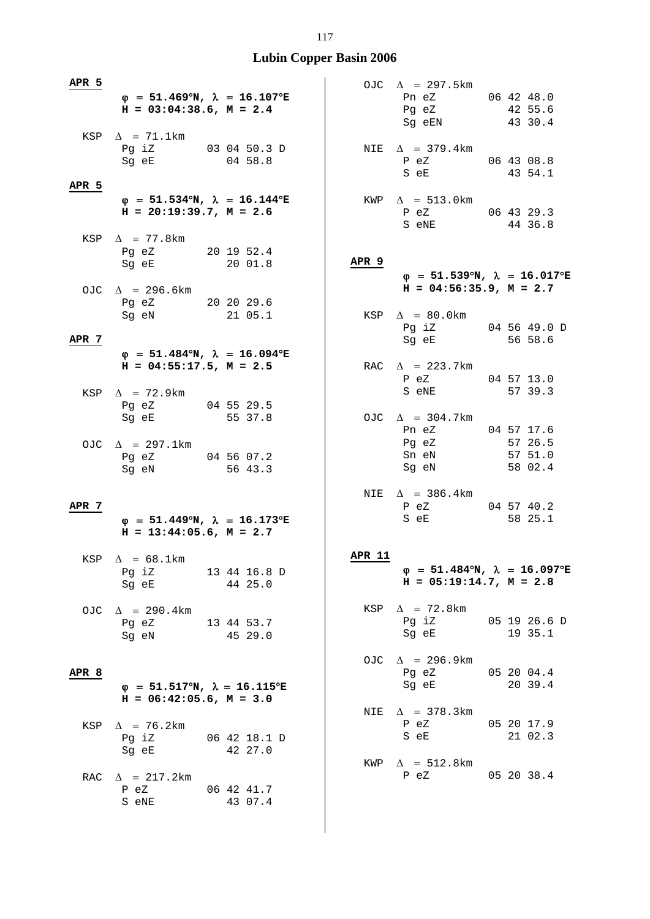| APR 5            | $H = 03:04:38.6$ , $M = 2.4$                                | $\varphi$ = 51.469°N, $\lambda$ = 16.107°E                |               | OJC $\Delta$ = 297.5km<br>Pn eZ 06 42 48.0<br>Pg eZ 42 55.6<br>Sg eEN 43 30.4                                                                              |                               |
|------------------|-------------------------------------------------------------|-----------------------------------------------------------|---------------|------------------------------------------------------------------------------------------------------------------------------------------------------------|-------------------------------|
|                  | KSP $\Delta$ = 71.1km<br>Pg iZ 03 04 50.3 D<br>Sg eE        | 0458.8                                                    |               | NIE $\Delta$ = 379.4km<br>P eZ 06 43 08.8<br>S eE                                                                                                          | 43 54.1                       |
| APR 5            | $H = 20:19:39.7$ , $M = 2.6$                                | $\varphi$ = 51.534°N, $\lambda$ = 16.144°E                |               | $KWP \quad \Delta = 513.0 \text{km}$<br>P eZ 06 43 29.3<br>S eNE                                                                                           | 44 36.8                       |
|                  | KSP $\Delta$ = 77.8 km<br>Pg eZ 20 19 52.4<br>Sg eE 20 01.8 |                                                           | APR 9         | $\varphi$ = 51.539°N, $\lambda$ = 16.017°E                                                                                                                 |                               |
|                  | OJC $\Delta$ = 296.6km<br>Pg eZ 20 20 29.6<br>Sg eN 21 05.1 |                                                           |               | $H = 04:56:35.9$ , $M = 2.7$<br>KSP $\Delta = 80.0$ km                                                                                                     |                               |
| APR 7            |                                                             | $\varphi$ = 51.484°N, $\lambda$ = 16.094°E                |               | Pg iZ 04 56 49.0 D<br>Sg eE 56 58.6                                                                                                                        |                               |
|                  | $H = 04:55:17.5$ , $M = 2.5$<br>KSP $\Delta$ = 72.9km       |                                                           |               | RAC $\Delta$ = 223.7km<br>P eZ 04 57 13.0<br>S eNE 57 39.3                                                                                                 |                               |
|                  | Pg eZ 04 55 29.5<br>Sg eE 55 37.8                           |                                                           |               | OJC $\Delta$ = 304.7km<br>Pn eZ 04 57 17.6                                                                                                                 |                               |
|                  | OJC $\Delta$ = 297.1km<br>Pg eZ 04 56 07.2<br>Sg eN 56 43.3 |                                                           |               | Pg eZ<br>Sn eN<br>Sg eN                                                                                                                                    | 57 26.5<br>57 51.0<br>58 02.4 |
| APR 7            | $H = 13:44:05.6$ , $M = 2.7$                                | $\varphi = 51.449^{\circ}N$ , $\lambda = 16.173^{\circ}E$ |               | NIE $\Delta$ = 386.4km<br>P eZ 04 57 40.2<br>S eE and the state of the state of the state of the state of the state of the state of the state of the state | 58 25.1                       |
|                  | KSP $\Delta = 68.1 \text{km}$<br>Pg iZ<br>Sg eE             | 13 44 16.8 D<br>44 25.0                                   | <b>APR 11</b> | $\varphi = 51.484^{\circ}N$ , $\lambda = 16.097^{\circ}E$<br>$H = 05:19:14.7, M = 2.8$                                                                     |                               |
|                  | OJC $\Delta$ = 290.4km<br>Pg eZ<br>Sg eN 45 29.0            | 13 44 53.7                                                |               | KSP $\Delta$ = 72.8km<br>Pg iZ 05 19 26.6 D<br>Sg eE 19 35.1                                                                                               |                               |
| APR <sub>8</sub> |                                                             |                                                           |               | OJC $\Delta$ = 296.9km<br>Pg eZ                                                                                                                            | 05 20 04.4                    |
|                  | $H = 06:42:05.6$ , $M = 3.0$                                | $\varphi$ = 51.517°N, $\lambda$ = 16.115°E                |               | Sg eE                                                                                                                                                      | 20 39.4                       |
|                  | KSP $\Delta$ = 76.2km<br>Pg iZ<br>Sg eE                     | 06 42 18.1 D<br>42 27.0                                   |               | NIE $\Delta$ = 378.3km<br>P eZ<br>S eE                                                                                                                     | 05 20 17.9<br>21 02.3         |
|                  | RAC $\Delta$ = 217.2km<br>P eZ<br>S eNE                     | 06 42 41.7<br>43 07.4                                     |               | KWP $\Delta$ = 512.8km<br>P eZ 05 20 38.4                                                                                                                  |                               |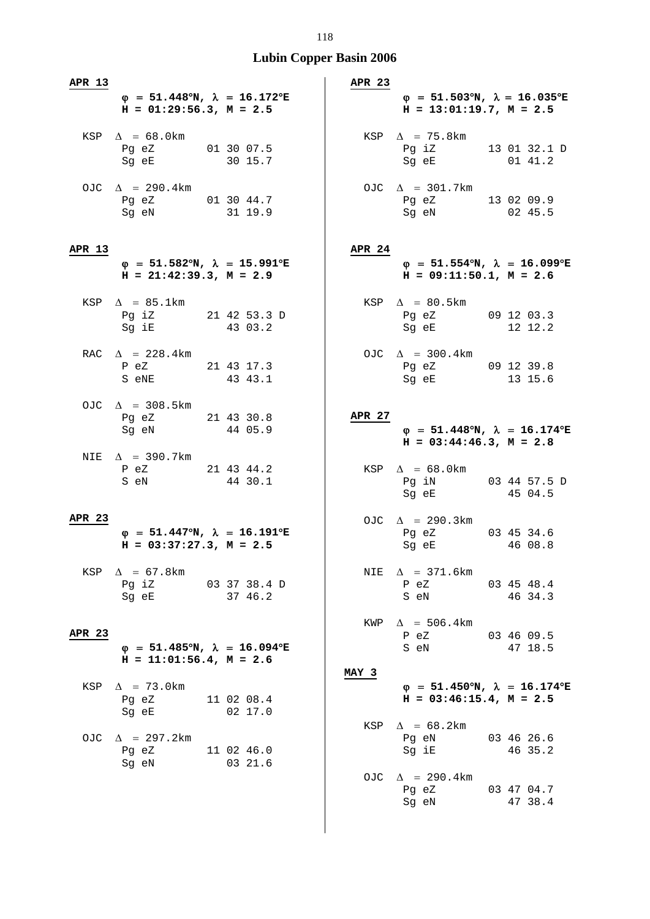| APR 13 |                                                                                           |                          | <b>APR 23</b> |                                                                                                                                                              |                       |
|--------|-------------------------------------------------------------------------------------------|--------------------------|---------------|--------------------------------------------------------------------------------------------------------------------------------------------------------------|-----------------------|
|        | $\varphi = 51.448^{\circ}N$ , $\lambda = 16.172^{\circ}E$<br>$H = 01:29:56.3, M = 2.5$    |                          |               | $\varphi = 51.503^{\circ}N$ , $\lambda = 16.035^{\circ}E$<br>$H = 13:01:19.7, M = 2.5$                                                                       |                       |
|        | KSP $\Delta$ = 68.0km<br>Pg eZ<br>Sq eE 30 15.7                                           |                          |               | KSP $\Delta$ = 75.8km<br>Pg iZ 13 01 32.1 D<br>Sg eE 01 41.2                                                                                                 |                       |
|        | OJC $\Delta$ = 290.4km<br>Pg eZ 01 30 44.7<br>Sg eN 31 19.9                               |                          |               | OJC $\Delta$ = 301.7km<br>Pg eZ 13 02 09.9<br>Sg eN 02 45.5                                                                                                  |                       |
| APR 13 | $\varphi$ = 51.582°N, $\lambda$ = 15.991°E<br>$H = 21:42:39.3, M = 2.9$                   |                          | <b>APR 24</b> | $\varphi$ = 51.554°N, $\lambda$ = 16.099°E<br>$H = 09:11:50.1, M = 2.6$                                                                                      |                       |
|        | KSP $\Delta$ = 85.1km<br>Pg iZ 21 42 53.3 D<br>Sg iE 43 03.2                              |                          |               | $KSP \quad \Delta = 80.5km$<br>Pg eZ 09 12 03.3<br>Sg eE 12 12.2                                                                                             |                       |
|        | RAC $\Delta$ = 228.4km<br>P eZ 21 43 17.3<br>S eNE 43 43.1                                |                          |               | OJC $\Delta$ = 300.4km<br>Pg eZ 09 12 39.8<br>Sg eE 13 15.6                                                                                                  |                       |
|        | OJC $\Delta$ = 308.5km<br>Pg eZ 21 43 30.8<br>Sg eN 44 05.9                               |                          | APR 27        | $\varphi$ = 51.448°N, $\lambda$ = 16.174°E<br>$H = 03:44:46.3, M = 2.8$                                                                                      |                       |
|        | NIE $\Delta$ = 390.7km<br>P eZ 21 43 44.2<br>S eN                                         | 44 30.1                  |               | KSP $\Delta$ = 68.0km<br>Pg iN 03 44 57.5 D<br>Sg eE 45 04.5                                                                                                 |                       |
| APR 23 |                                                                                           |                          |               |                                                                                                                                                              |                       |
|        | $\varphi = 51.447^{\circ}N$ , $\lambda = 16.191^{\circ}E$<br>$H = 03:37:27.3$ , $M = 2.5$ |                          |               | OJC $\Delta$ = 290.3km<br>Pg eZ 03 45 34.6<br>Sg eE and the state of the state of the state of the state of the state of the state of the state of the state | 46 08.8               |
| KSP    | $\Delta$ = 67.8km<br>Pg iZ<br>Sg eE 37 46.2                                               | 03 37 38.4 D             | NIE           | $\Delta$ = 371.6km<br>P eZ<br>S eN                                                                                                                           | 03 45 48.4<br>46 34.3 |
| APR 23 | $\varphi$ = 51.485°N, $\lambda$ = 16.094°E                                                |                          | KWP           | $\Delta$ = 506.4km<br>P eZ<br>S eN                                                                                                                           | 034609.5<br>47 18.5   |
|        | $H = 11:01:56.4$ , $M = 2.6$                                                              |                          | MAY 3         |                                                                                                                                                              |                       |
| KSP    | $\Delta$ = 73.0km<br>Pg eZ<br>Sg eE                                                       | 11 02 08.4<br>$02\;17.0$ |               | $\varphi$ = 51.450°N, $\lambda$ = 16.174°E<br>$H = 03:46:15.4$ , $M = 2.5$                                                                                   |                       |
|        | OJC $\Delta$ = 297.2km<br>Pg eZ 11 02 46.0<br>Sg eN                                       | 03 21.6                  | KSP           | $\Delta$ = 68.2km<br>Pg eN<br>Sg iE                                                                                                                          | 03 46 26.6<br>46 35.2 |
|        |                                                                                           |                          |               | OJC $\Delta$ = 290.4km<br>Pg eZ<br>Sg eN                                                                                                                     | 03 47 04.7<br>47 38.4 |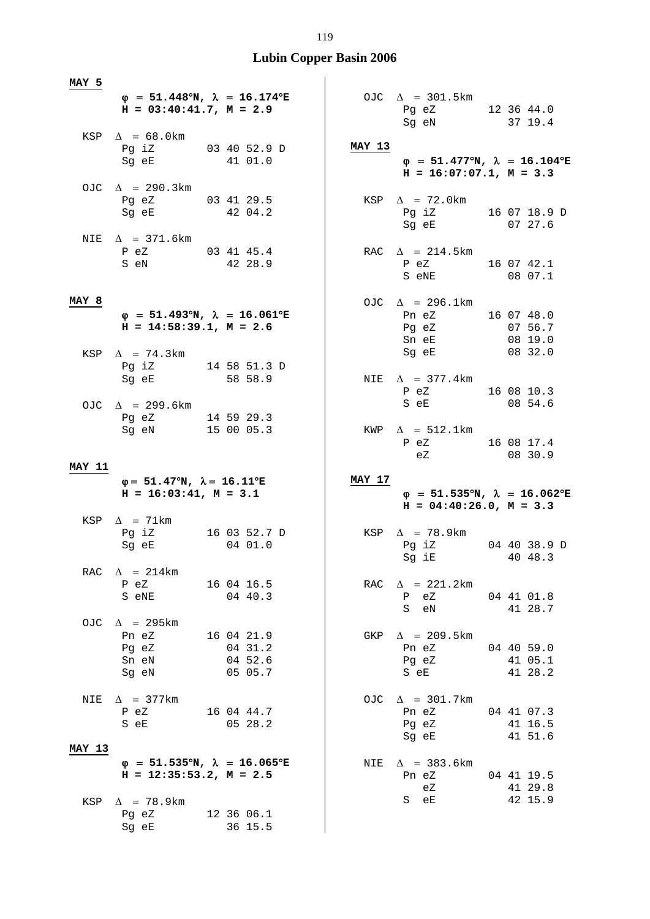| MAY 5         | $\varphi$ = 51.448°N, $\lambda$ = 16.174°E                                         |                                             |        | OJC $\Delta$ = 301.5km                                                  |                                  |
|---------------|------------------------------------------------------------------------------------|---------------------------------------------|--------|-------------------------------------------------------------------------|----------------------------------|
|               | $H = 03:40:41.7$ , $M = 2.9$                                                       |                                             |        | Pg eZ 12 36 44.0<br>Sg eN 37 19.4                                       |                                  |
|               | KSP $\Delta = 68.0$ km<br>Pg iZ 03 40 52.9 D<br>Sg eE 41 01.0                      |                                             | MAY 13 | $\varphi$ = 51.477°N, $\lambda$ = 16.104°E<br>$H = 16:07:07.1, M = 3.3$ |                                  |
|               | OJC $\Delta$ = 290.3km<br>Pg eZ 03 41 29.5<br>Sg eE 42 04.2                        |                                             |        | KSP $\Delta$ = 72.0km<br>Pg iZ 16 07 18.9 D<br>Sg eE 07 27.6            |                                  |
|               | NIE $\Delta$ = 371.6km<br>P eZ 03 41 45.4<br>S eN 42 28.9                          |                                             |        | RAC $\Delta$ = 214.5km<br>P eZ 16 07 42.1<br>S eNE 08 07.1              |                                  |
| MAY 8         | $\varphi$ = 51.493°N, $\lambda$ = 16.061°E<br>$H = 14:58:39.1, M = 2.6$            |                                             |        | OJC $\Delta$ = 296.1km<br>Pn eZ<br>Pg eZ<br>Sn eE                       | 16 07 48.0<br>07 56.7<br>08 19.0 |
|               | KSP $\Delta$ = 74.3km<br>Pg iZ 14 58 51.3 D<br>Sg eE                               | 58 58.9                                     |        | Sg eE 08 32.0<br>NIE $\Delta$ = 377.4km                                 |                                  |
|               | OJC $\Delta$ = 299.6km<br>Pg eZ 14 59 29.3                                         |                                             |        | P eZ 16 08 10.3<br>S eE 08 54.6                                         |                                  |
|               | Sg eN 15 00 05.3                                                                   |                                             |        | $KWP \quad \Delta = 512.1 \text{km}$<br>P eZ 16 08 17.4<br>eZ 08 30.9   |                                  |
|               |                                                                                    |                                             |        |                                                                         |                                  |
| <b>MAY 11</b> | $\varphi = 51.47^{\circ}N$ , $\lambda = 16.11^{\circ}E$<br>$H = 16:03:41, M = 3.1$ |                                             | MAY 17 | $\varphi$ = 51.535°N, $\lambda$ = 16.062°E<br>$H = 04:40:26.0, M = 3.3$ |                                  |
|               | KSP $\Delta$ = 71km<br>Pg iZ 16 03 52.7 D<br>Sg eE 04 01.0                         |                                             |        | KSP $\Delta$ = 78.9km<br>Pg iZ 04 40 38.9 D<br>Sg iE                    | 40 48.3                          |
| RAC           | $\Delta$ = 214km<br>P eZ<br>S eNE                                                  | 16 04 16.5<br>0440.3                        |        | RAC $\Delta$ = 221.2km<br>eZ<br>Ρ<br>S<br>eN                            | 04 41 01.8<br>41 28.7            |
|               | OJC $\Delta$ = 295km<br>Pn eZ<br>Pg eZ<br>Sn eN<br>Sg eN                           | 16 04 21.9<br>04 31.2<br>04 52.6<br>05 05.7 | GKP    | $\Delta$ = 209.5km<br>Pn eZ<br>Pg eZ<br>S eE                            | 04 40 59.0<br>41 05.1<br>41 28.2 |
| NIE           | $\Delta$ = 377km<br>P eZ<br>S eE                                                   | 16 04 44.7<br>05 28.2                       | OJC    | $\Delta$ = 301.7km<br>Pn eZ<br>Pg eZ<br>Sg eE                           | 04 41 07.3<br>41 16.5<br>41 51.6 |
| <b>MAY 13</b> | $\varphi$ = 51.535°N, $\lambda$ = 16.065°E<br>$H = 12:35:53.2, M = 2.5$            |                                             | NIE    | $\Delta$ = 383.6 km<br>Pn eZ<br>eZ                                      | 04 41 19.5<br>41 29.8            |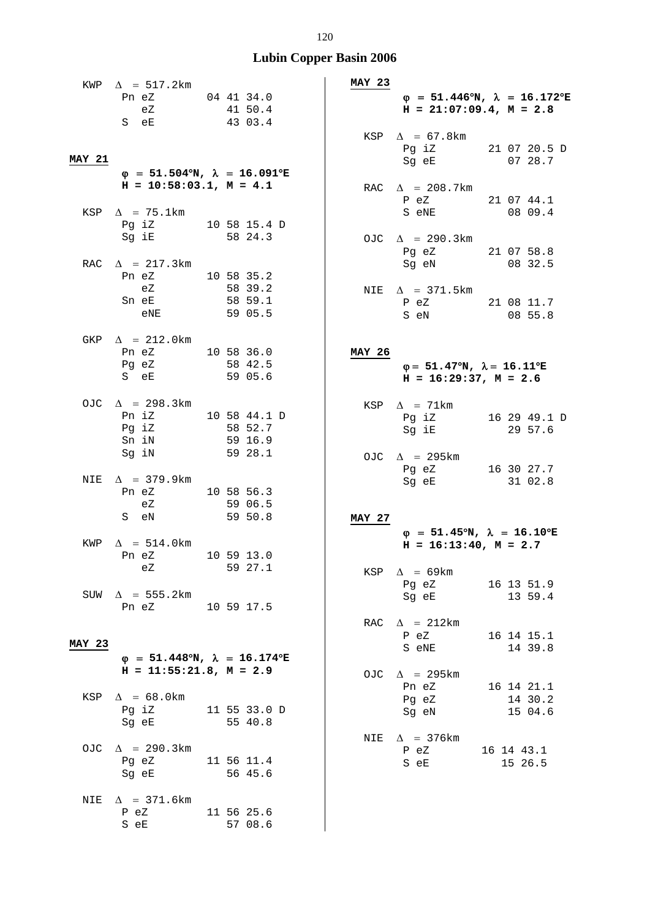|               | KWP $\Delta$ = 517.2km                                                                                         |  |                    | <b>MAY 23</b> |                                                                                                                |                                                           |
|---------------|----------------------------------------------------------------------------------------------------------------|--|--------------------|---------------|----------------------------------------------------------------------------------------------------------------|-----------------------------------------------------------|
|               | Pn eZ                                                                                                          |  | 04 41 34.0         |               |                                                                                                                | $\varphi = 51.446^{\circ}N$ , $\lambda = 16.172^{\circ}E$ |
|               | eZ                                                                                                             |  | 41 50.4            |               | $H = 21:07:09.4, M = 2.8$                                                                                      |                                                           |
|               | S eE                                                                                                           |  | 43 03.4            |               |                                                                                                                |                                                           |
|               |                                                                                                                |  |                    |               | KSP $\Delta$ = 67.8km                                                                                          |                                                           |
| <b>MAY 21</b> |                                                                                                                |  |                    |               | Sg eE                                                                                                          | Pg iZ 21 07 20.5 D<br>0728.7                              |
|               | $\varphi$ = 51.504°N, $\lambda$ = 16.091°E                                                                     |  |                    |               |                                                                                                                |                                                           |
|               | $H = 10:58:03.1, M = 4.1$                                                                                      |  |                    |               | RAC $\Delta$ = 208.7km                                                                                         |                                                           |
|               |                                                                                                                |  |                    |               | P eZ                                                                                                           | 21 07 44.1                                                |
|               | KSP $\Delta$ = 75.1km                                                                                          |  |                    |               | S eNE                                                                                                          | 08 09.4                                                   |
|               | Pq iZ 10 58 15.4 D                                                                                             |  |                    |               |                                                                                                                |                                                           |
|               | Sg iE de la seg                                                                                                |  | 58 24.3            |               | OJC $\Delta$ = 290.3km                                                                                         |                                                           |
|               | RAC $\Delta$ = 217.3km                                                                                         |  |                    |               | Pg eZ 21 07 58.8<br>Sg eN                                                                                      | 08 32.5                                                   |
|               | Pn eZ<br>10 58 35.2                                                                                            |  |                    |               |                                                                                                                |                                                           |
|               | eZ                                                                                                             |  | 58 39.2            |               | NIE $\Delta$ = 371.5km                                                                                         |                                                           |
|               | Sn eE                                                                                                          |  | 58 59.1            |               | P eZ 21 08 11.7                                                                                                |                                                           |
|               | eNE                                                                                                            |  | 59 05.5            |               | S eN                                                                                                           | 08 55.8                                                   |
|               |                                                                                                                |  |                    |               |                                                                                                                |                                                           |
|               | GKP $\Delta$ = 212.0km                                                                                         |  |                    |               |                                                                                                                |                                                           |
|               | Pn eZ 10 58 36.0<br>Pg eZ                                                                                      |  | 58 42.5            | <b>MAY 26</b> | $\varphi = 51.47^{\circ}N$ , $\lambda = 16.11^{\circ}E$                                                        |                                                           |
|               | S eE                                                                                                           |  | 59 05.6            |               | $H = 16:29:37$ , $M = 2.6$                                                                                     |                                                           |
|               |                                                                                                                |  |                    |               |                                                                                                                |                                                           |
|               | OJC $\Delta$ = 298.3km                                                                                         |  |                    |               | KSP $\Delta$ = 71km                                                                                            |                                                           |
|               | Pn iZ 10 58 44.1 D                                                                                             |  |                    |               | Pg iZ                                                                                                          | 16 29 49.1 D                                              |
|               | Pg iZ                                                                                                          |  | 58 52.7            |               | Sg iE                                                                                                          | 29 57.6                                                   |
|               | Sn iN<br>Sg iN                                                                                                 |  | 59 16.9<br>59 28.1 |               |                                                                                                                |                                                           |
|               |                                                                                                                |  |                    |               | OJC $\Delta$ = 295km<br>Pg eZ                                                                                  |                                                           |
| NIE           | $\Delta$ = 379.9km                                                                                             |  |                    |               | Sg eE                                                                                                          | 16 30 27.7<br>31 02.8                                     |
|               | Pn eZ 10 58 56.3                                                                                               |  |                    |               |                                                                                                                |                                                           |
|               | eZ                                                                                                             |  | 59 06.5            |               |                                                                                                                |                                                           |
|               | S eN                                                                                                           |  | 59 50.8            | <b>MAY 27</b> |                                                                                                                |                                                           |
| KWP           | $\Delta$ = 514.0km                                                                                             |  |                    |               |                                                                                                                | $\varphi$ = 51.45°N, $\lambda$ = 16.10°E                  |
|               | Pn eZ                                                                                                          |  | 10 59 13.0         |               | $H = 16:13:40$ , $M = 2.7$                                                                                     |                                                           |
|               | eZ                                                                                                             |  | 59 27.1            |               | KSP $\Delta$ = 69km                                                                                            |                                                           |
|               |                                                                                                                |  |                    |               | Pg eZ 16 13 51.9                                                                                               |                                                           |
|               | SUW $\Delta$ = 555.2km                                                                                         |  |                    |               | Sg eE and the state of the state of the state of the state of the state of the state of the state of the state | 13 59.4                                                   |
|               | Pn eZ 10 59 17.5                                                                                               |  |                    |               |                                                                                                                |                                                           |
|               |                                                                                                                |  |                    |               | RAC $\Delta$ = 212km                                                                                           |                                                           |
| <b>MAY 23</b> |                                                                                                                |  |                    |               | P eZ                                                                                                           | 16 14 15.1                                                |
|               | $\varphi$ = 51.448°N, $\lambda$ = 16.174°E                                                                     |  |                    |               | S eNE                                                                                                          | $14\,39.8$                                                |
|               | $H = 11:55:21.8, M = 2.9$                                                                                      |  |                    |               | OJC $\Delta$ = 295km                                                                                           |                                                           |
|               |                                                                                                                |  |                    |               | Pn eZ                                                                                                          | 16 14 21.1                                                |
|               | KSP $\Delta$ = 68.0km                                                                                          |  |                    |               | Pg eZ                                                                                                          | 14 30.2                                                   |
|               | Pg iZ 11 55 33.0 D                                                                                             |  |                    |               | Sg eN                                                                                                          | 15 04.6                                                   |
|               | Sg eE and the state of the state of the state of the state of the state of the state of the state of the state |  | 55 40.8            |               |                                                                                                                |                                                           |
|               | OJC $\Delta$ = 290.3km                                                                                         |  |                    |               | NIE $\Delta$ = 376km                                                                                           |                                                           |
|               | Pg eZ 11 56 11.4                                                                                               |  |                    |               | P eZ<br>S eE                                                                                                   | 16 14 43.1<br>15 26.5                                     |
|               | Sg eE and the state of the state of the state of the state of the state of the state of the state of the state |  | 56 45.6            |               |                                                                                                                |                                                           |
|               |                                                                                                                |  |                    |               |                                                                                                                |                                                           |
|               | NIE $\Delta$ = 371.6km                                                                                         |  |                    |               |                                                                                                                |                                                           |
|               | P eZ<br>11 56 25.6                                                                                             |  |                    |               |                                                                                                                |                                                           |
|               | S eE                                                                                                           |  | 57 08.6            |               |                                                                                                                |                                                           |
|               |                                                                                                                |  |                    |               |                                                                                                                |                                                           |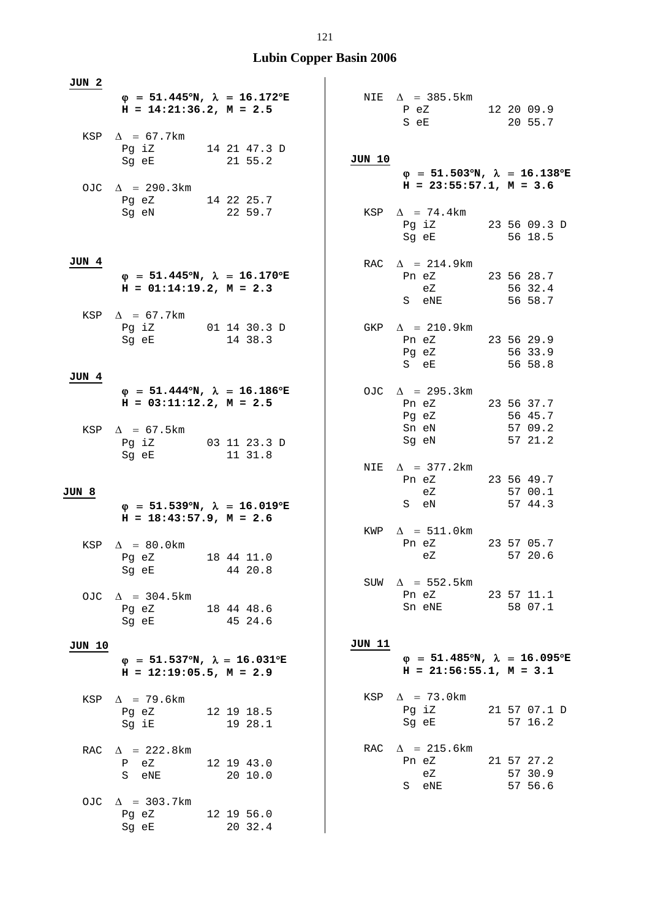| JUN 2  |                                                                                                                                                               |  |                       |        |                                                                         |                                             |
|--------|---------------------------------------------------------------------------------------------------------------------------------------------------------------|--|-----------------------|--------|-------------------------------------------------------------------------|---------------------------------------------|
|        | $\varphi$ = 51.445°N, $\lambda$ = 16.172°E<br>$H = 14:21:36.2, M = 2.5$                                                                                       |  |                       |        | NIE $\Delta$ = 385.5km<br>$P$ eZ<br>S eE                                | 12 20 09.9<br>20 55.7                       |
|        | KSP $\Delta$ = 67.7km<br>Pg iZ 14 21 47.3 D<br>Sg eE and the state of the state of the state of the state of the state of the state of the state of the state |  | 21 55.2               | JUN 10 | $\varphi$ = 51.503°N, $\lambda$ = 16.138°E                              |                                             |
|        | OJC $\Delta$ = 290.3km<br>Pg eZ 14 22 25.7                                                                                                                    |  |                       |        | $H = 23:55:57.1, M = 3.6$                                               |                                             |
|        | Sg eN and the state of the state of the state of the state of the state of the state of the state of the state                                                |  | 22 59.7               |        | KSP $\Delta$ = 74.4km<br>Pg iZ 23 56 09.3 D<br>Sg eE                    | 56 18.5                                     |
| JUN 4  | $\varphi = 51.445^{\circ}N$ , $\lambda = 16.170^{\circ}E$<br>$H = 01:14:19.2, M = 2.3$                                                                        |  |                       |        | RAC $\Delta$ = 214.9km<br>Pn eZ<br>eZ<br>S eNE                          | 23 56 28.7<br>56 32.4                       |
|        | KSP $\Delta$ = 67.7km<br>Pg iZ 01 14 30.3 D<br>Sg eE                                                                                                          |  | 14 38.3               |        | GKP $\Delta$ = 210.9km<br>Pn eZ<br>Pg eZ                                | 56 58.7<br>23 56 29.9<br>56 33.9            |
| JUN 4  |                                                                                                                                                               |  |                       |        | S eE                                                                    | 56 58.8                                     |
|        | $\varphi$ = 51.444 <sup>o</sup> N, $\lambda$ = 16.186 <sup>o</sup> E<br>$H = 03:11:12.2, M = 2.5$<br>KSP $\Delta$ = 67.5km<br>Pg iZ 03 11 23.3 D              |  |                       |        | OJC $\Delta$ = 295.3km<br>Pn eZ<br>Pg eZ<br>Sn eN<br>Sg eN              | 23 56 37.7<br>56 45.7<br>57 09.2<br>57 21.2 |
| JUN 8  | Sg eE                                                                                                                                                         |  | 11 31.8               | NIE    | $\Delta$ = 377.2km<br>Pn eZ<br>eZ                                       | 23 56 49.7<br>57 00.1                       |
|        | $\varphi = 51.539^{\circ}N$ , $\lambda = 16.019^{\circ}E$<br>$H = 18:43:57.9$ , $M = 2.6$                                                                     |  |                       |        | S eN                                                                    | 57 44.3                                     |
| KSP    | $\Delta$ = 80.0km<br>Pq eZ<br>Sg eE                                                                                                                           |  | 18 44 11.0<br>44 20.8 | KWP    | $\Delta$ = 511.0km<br>Pn eZ<br>еZ                                       | 23 57 05.7<br>57 20.6                       |
|        | OJC $\Delta$ = 304.5km<br>Pg eZ<br>18 44 48.6<br>Sq eE                                                                                                        |  | 45 24.6               |        | SUW $\Delta$ = 552.5km<br>Pn eZ<br>Sn eNE                               | 23 57 11.1<br>58 07.1                       |
| JUN 10 |                                                                                                                                                               |  |                       | JUN 11 |                                                                         |                                             |
|        | $\varphi$ = 51.537°N, $\lambda$ = 16.031°E<br>$H = 12:19:05.5$ , $M = 2.9$                                                                                    |  |                       |        | $\varphi$ = 51.485°N, $\lambda$ = 16.095°E<br>$H = 21:56:55.1, M = 3.1$ |                                             |
|        | KSP $\Delta$ = 79.6km<br>Pg eZ<br>Sg iE                                                                                                                       |  | 12 19 18.5<br>19 28.1 | KSP    | $\Delta$ = 73.0km<br>Pg iZ<br>Sg eE                                     | 21 57 07.1 D<br>57 16.2                     |
|        | RAC $\Delta$ = 222.8km<br>eZ<br>P<br>S<br>eNE                                                                                                                 |  | 12 19 43.0<br>20 10.0 | RAC    | $\Delta$ = 215.6km<br>Pn eZ<br>eZ<br>S eNE                              | 21 57 27.2<br>57 30.9<br>57 56.6            |
| OJC    | $\Delta$ = 303.7km<br>Pg eZ<br>Sg eE                                                                                                                          |  | 12 19 56.0<br>20 32.4 |        |                                                                         |                                             |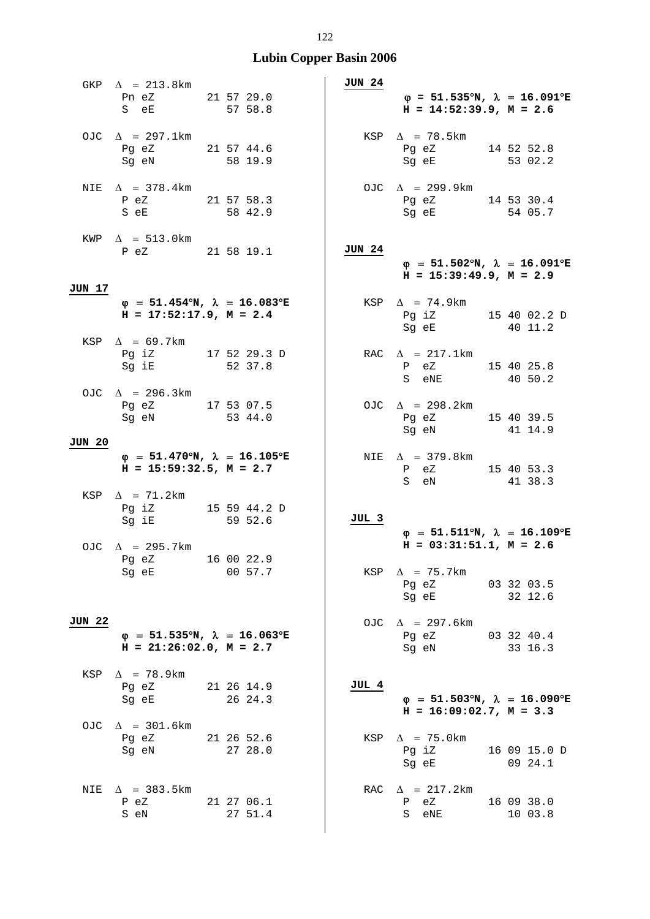|               | GKP $\Delta$ = 213.8km                                                     |  |         |  | <b>JUN 24</b> |                                                                                           |                         |  |
|---------------|----------------------------------------------------------------------------|--|---------|--|---------------|-------------------------------------------------------------------------------------------|-------------------------|--|
|               | Pn eZ 21 57 29.0<br>S eE 57 58.8                                           |  |         |  |               | $\varphi = 51.535^{\circ}N$ , $\lambda = 16.091^{\circ}E$<br>$H = 14:52:39.9, M = 2.6$    |                         |  |
|               | OJC $\Delta$ = 297.1km<br>Pg eZ 21 57 44.6<br>Sg eN 58 19.9                |  |         |  |               | KSP $\Delta$ = 78.5km<br>Pg eZ 14 52 52.8<br>Sg eE 53 02.2                                |                         |  |
|               | NIE $\Delta$ = 378.4km<br>P eZ 21 57 58.3<br>S eE 58 42.9                  |  |         |  |               | OJC $\Delta$ = 299.9km<br>Pg eZ 14 53 30.4<br>Sg eE 54 05.7                               |                         |  |
|               | $KWP \quad \Delta = 513.0 \text{km}$<br>P eZ 21 58 19.1                    |  |         |  | <b>JUN 24</b> | $\varphi = 51.502^{\circ}N$ , $\lambda = 16.091^{\circ}E$<br>$H = 15:39:49.9, M = 2.9$    |                         |  |
| JUN 17        |                                                                            |  |         |  |               |                                                                                           |                         |  |
|               | $\varphi$ = 51.454°N, $\lambda$ = 16.083°E<br>$H = 17:52:17.9$ , $M = 2.4$ |  |         |  |               | $KSP \quad \Delta = 74.9 \text{km}$<br>Pg iZ 15 40 02.2 D<br>Sg eE 40 11.2                |                         |  |
|               | KSP $\Delta$ = 69.7km                                                      |  |         |  |               |                                                                                           |                         |  |
|               | Pg iZ 17 52 29.3 D<br>Sg iE 52 37.8                                        |  |         |  |               | RAC $\Delta$ = 217.1km<br>P eZ 15 40 25.8<br>S eNE 40 50.2                                |                         |  |
|               | OJC $\Delta$ = 296.3km<br>Pg eZ 17 53 07.5<br>Sg eN 53 44.0                |  |         |  |               | OJC $\Delta$ = 298.2km<br>Pg eZ 15 40 39.5<br>Sg eN 41 14.9                               |                         |  |
| <b>JUN 20</b> |                                                                            |  |         |  |               |                                                                                           |                         |  |
|               | $\varphi$ = 51.470°N, $\lambda$ = 16.105°E<br>$H = 15:59:32.5, M = 2.7$    |  |         |  |               | NIE $\Delta$ = 379.8km<br>P eZ 15 40 53.3<br>41 38.3<br>S eN                              |                         |  |
|               | KSP $\Delta$ = 71.2km<br>Pg iZ 15 59 44.2 D<br>59 52.6<br>Sg iE            |  |         |  | JUL 3         |                                                                                           |                         |  |
|               | OJC $\Delta$ = 295.7km                                                     |  |         |  |               | $\varphi = 51.511^{\circ}N$ , $\lambda = 16.109^{\circ}E$<br>$H = 03:31:51.1, M = 2.6$    |                         |  |
|               | Pg eZ 16 00 22.9<br>Sq eE                                                  |  | 00 57.7 |  |               | KSP $\Delta$ = 75.7km                                                                     |                         |  |
|               |                                                                            |  |         |  |               | Pg eZ 03 32 03.5<br>Sg eE 32 12.6                                                         |                         |  |
|               |                                                                            |  |         |  |               |                                                                                           |                         |  |
| JUN 22        | $\varphi$ = 51.535°N, $\lambda$ = 16.063°E<br>$H = 21:26:02.0, M = 2.7$    |  |         |  |               | OJC $\Delta$ = 297.6km<br>Pg eZ 03 32 40.4<br>Sq eN 33 16.3                               |                         |  |
|               | KSP $\Delta$ = 78.9km                                                      |  |         |  |               |                                                                                           |                         |  |
|               | 21 26 14.9<br>Pg eZ<br>Sg eE                                               |  | 26 24.3 |  | JUL 4         | $\varphi = 51.503^{\circ}N$ , $\lambda = 16.090^{\circ}E$<br>$H = 16:09:02.7$ , $M = 3.3$ |                         |  |
|               | OJC $\Delta$ = 301.6km<br>Pg eZ 21 26 52.6<br>Sg eN                        |  | 27 28.0 |  | KSP           | $\Delta$ = 75.0km<br>Pg iZ<br>Sg eE                                                       | 16 09 15.0 D<br>09 24.1 |  |
| NIE           | $\Delta$ = 383.5km<br>21 27 06.1<br>P eZ<br>S eN                           |  | 27 51.4 |  |               | RAC $\Delta$ = 217.2km<br>P eZ<br>S<br>$e$ NE                                             | 16 09 38.0<br>10 03.8   |  |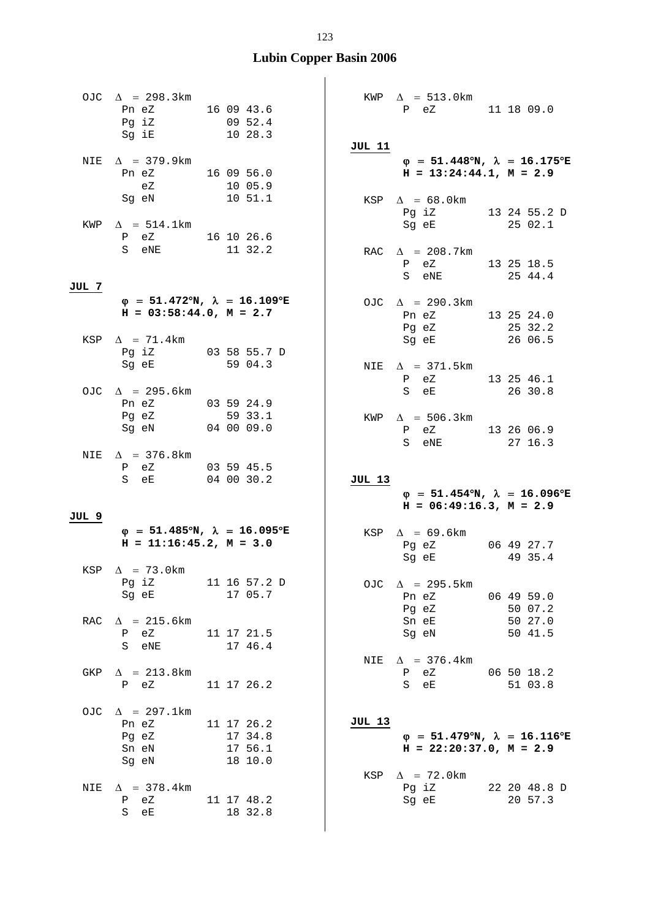|       | OJC $\Delta$ = 298.3km<br>Pn eZ 16 09 43.6<br>Pg iZ 09 52.4<br>Sg iE 10 28.3           |                                             | JUL 11        | KWP $\Delta$ = 513.0km<br>P eZ 11 18 09.0                                                                               |                       |
|-------|----------------------------------------------------------------------------------------|---------------------------------------------|---------------|-------------------------------------------------------------------------------------------------------------------------|-----------------------|
|       | NIE $\Delta$ = 379.9km<br>Pn eZ 16 09 56.0<br>eZ 10 05.9<br>Sg eN 10 51.1              |                                             |               | $\varphi$ = 51.448°N, $\lambda$ = 16.175°E<br>$H = 13:24:44.1, M = 2.9$<br>KSP $\Delta = 68.0$ km<br>Pg iZ 13 24 55.2 D |                       |
|       | KWP $\Delta = 514.1 \text{km}$<br>P eZ 16 10 26.6<br>S eNE 11 32.2                     |                                             |               | Sg eE 25 02.1<br>RAC $\Delta$ = 208.7km<br>P eZ 13 25 18.5<br>S eNE 25 44.4                                             |                       |
| JUL 7 | $\varphi = 51.472^{\circ}N$ , $\lambda = 16.109^{\circ}E$<br>$H = 03:58:44.0, M = 2.7$ |                                             |               | OJC $\Delta$ = 290.3km<br>Pn eZ<br>Pg eZ                                                                                | 13 25 24.0<br>25 32.2 |
|       | KSP $\Delta$ = 71.4km<br>Pg iZ 03 58 55.7 D<br>Sg eE 59 04.3                           |                                             |               | $Sg$ eE 26 06.5<br>NIE $\Delta$ = 371.5km<br>P eZ                                                                       | 13 25 46.1            |
|       | OJC $\Delta$ = 295.6km<br>Pn eZ 03 59 24.9<br>Pg eZ 59 33.1<br>Sg eN 04 00 09.0        |                                             |               | S eE 26 30.8<br>KWP $\Delta$ = 506.3km<br>P eZ 13 26 06.9<br>S eNE 27 16.3                                              |                       |
|       |                                                                                        |                                             |               |                                                                                                                         |                       |
|       | NIE $\Delta$ = 376.8km<br>P eZ 03 59 45.5<br>S eE 04 00 30.2                           |                                             | JUL 13        | $\varphi$ = 51.454°N, $\lambda$ = 16.096°E                                                                              |                       |
|       |                                                                                        |                                             |               | $H = 06:49:16.3, M = 2.9$                                                                                               |                       |
| JUL 9 | $\varphi$ = 51.485°N, $\lambda$ = 16.095°E<br>$H = 11:16:45.2, M = 3.0$                |                                             |               | KSP $\Delta$ = 69.6km<br>Pg eZ 06 49 27.7<br>Sg eE                                                                      | 49 35.4               |
| KSP   | $\Delta$ = 73.0 km<br>Pg iZ<br>Sq eE                                                   | 11 16 57.2 D<br>17 05.7                     |               | OJC $\Delta$ = 295.5km<br>Pn eZ<br>Pg eZ                                                                                | 06 49 59.0<br>50 07.2 |
| RAC   | $\Delta$ = 215.6km<br>eZ<br>P<br>eNE<br>S                                              | 11 17 21.5<br>17 46.4                       | NIE           | Sn eE<br>Sg eN                                                                                                          | 50 27.0<br>50 41.5    |
| GKP   | $\Delta$ = 213.8km<br>P eZ                                                             | 11 17 26.2                                  |               | $\Delta$ = 376.4km<br>P eZ<br>S<br>eE                                                                                   | 06 50 18.2<br>51 03.8 |
| OJC   | $\Delta$ = 297.1km<br>Pn eZ<br>Pg eZ<br>Sn eN<br>Sg eN                                 | 11 17 26.2<br>17 34.8<br>17 56.1<br>18 10.0 | JUL 13<br>KSP | $\varphi = 51.479^{\circ}N$ , $\lambda = 16.116^{\circ}E$<br>$H = 22:20:37.0, M = 2.9$<br>$\Delta$ = 72.0km             |                       |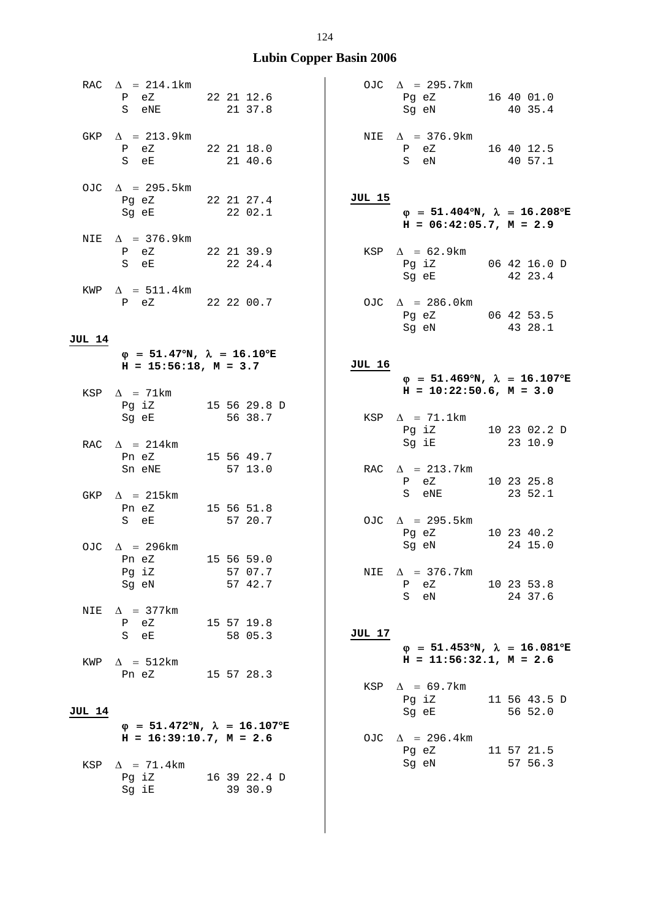|               | RAC $\Delta = 214.1 \text{km}$<br>P eZ 22 21 12.6<br>S eNE                            |         | 21 37.8                 |               | OJC $\Delta$ = 295.7km<br>Pg eZ 16 40 01.0<br>Sg eN 40 35.4                               |                         |
|---------------|---------------------------------------------------------------------------------------|---------|-------------------------|---------------|-------------------------------------------------------------------------------------------|-------------------------|
|               | GKP $\Delta$ = 213.9km<br>P eZ 22 21 18.0<br>S eE 21 40.6                             |         |                         |               | NIE $\Delta$ = 376.9km<br>$P$ eZ 16 40 12.5<br>S eN                                       | 40 57.1                 |
|               | OJC $\Delta$ = 295.5km<br>Pg eZ 22 21 27.4<br>Sg eE 22 02.1                           |         |                         | JUL 15        | $\varphi = 51.404^{\circ}N$ , $\lambda = 16.208^{\circ}E$<br>$H = 06:42:05.7$ , $M = 2.9$ |                         |
|               | NIE $\Delta$ = 376.9km<br>P eZ 22 21 39.9<br>S eE 22 24.4                             |         |                         |               | KSP $\Delta = 62.9 \text{km}$<br>Pg iZ 06 42 16.0 D<br>Sg eE 42 23.4                      |                         |
|               | $KWP \quad \Delta = 511.4 \text{km}$<br>P eZ 22 22 00.7                               |         |                         |               | OJC $\Delta$ = 286.0km<br>Pg eZ 06 42 53.5<br>Sg eN 43 28.1                               |                         |
| <b>JUL 14</b> |                                                                                       |         |                         |               |                                                                                           |                         |
|               | $\varphi = 51.47^{\circ}N$ , $\lambda = 16.10^{\circ}E$<br>$H = 15:56:18$ , $M = 3.7$ |         |                         | JUL 16        | $\varphi$ = 51.469°N, $\lambda$ = 16.107°E                                                |                         |
|               | KSP $\Delta$ = 71km<br>Pg iZ 15 56 29.8 D<br>Sg eE 56 38.7                            |         |                         |               | $H = 10:22:50.6$ , $M = 3.0$<br>KSP $\Delta$ = 71.1km                                     |                         |
|               | RAC $\Delta$ = 214km<br>Pn eZ 15 56 49.7                                              |         |                         |               | Pg iZ 10 23 02.2 D<br>Sg iE 23 10.9                                                       |                         |
|               | Sn eNE<br>GKP $\Delta$ = 215km                                                        | 57 13.0 |                         |               | RAC $\Delta$ = 213.7km<br>P eZ<br>S eNE 23 52.1                                           | 10 23 25.8              |
|               | Pn eZ 15 56 51.8<br>S eE                                                              |         | 57 20.7                 |               | OJC $\Delta$ = 295.5km<br>Pg eZ                                                           | 10 23 40.2              |
|               | OJC $\Delta$ = 296km<br>Pn eZ                                                         |         | 15 56 59.0              |               | Sg eN                                                                                     | 24 15.0                 |
|               | Pg iZ<br>Sg eN                                                                        |         | 57 07.7<br>57 42.7      | NIE           | $\Delta$ = 376.7km<br>eZ<br>Ρ<br>S eN                                                     | 10 23 53.8<br>24 37.6   |
| NIE           | $\Delta$ = 377km<br>P eZ<br>S eE                                                      |         | 15 57 19.8<br>58 05.3   | <b>JUL 17</b> | $\varphi$ = 51.453°N, $\lambda$ = 16.081°E                                                |                         |
| KWP           | $\Delta$ = 512km<br>Pn eZ                                                             |         | 15 57 28.3              |               | $H = 11:56:32.1, M = 2.6$                                                                 |                         |
| JUL 14        |                                                                                       |         |                         | KSP           | $\Delta$ = 69.7km<br>Pg iZ<br>Sg eE                                                       | 11 56 43.5 D<br>56 52.0 |
|               | $\varphi$ = 51.472°N, $\lambda$ = 16.107°E<br>$H = 16:39:10.7$ , $M = 2.6$            |         |                         |               | OJC $\Delta$ = 296.4km                                                                    |                         |
| KSP           | $\Delta$ = 71.4km                                                                     |         |                         |               | Pg eZ<br>Sg eN                                                                            | 11 57 21.5<br>57 56.3   |
|               | Pg iZ<br>Sg iE                                                                        |         | 16 39 22.4 D<br>39 30.9 |               |                                                                                           |                         |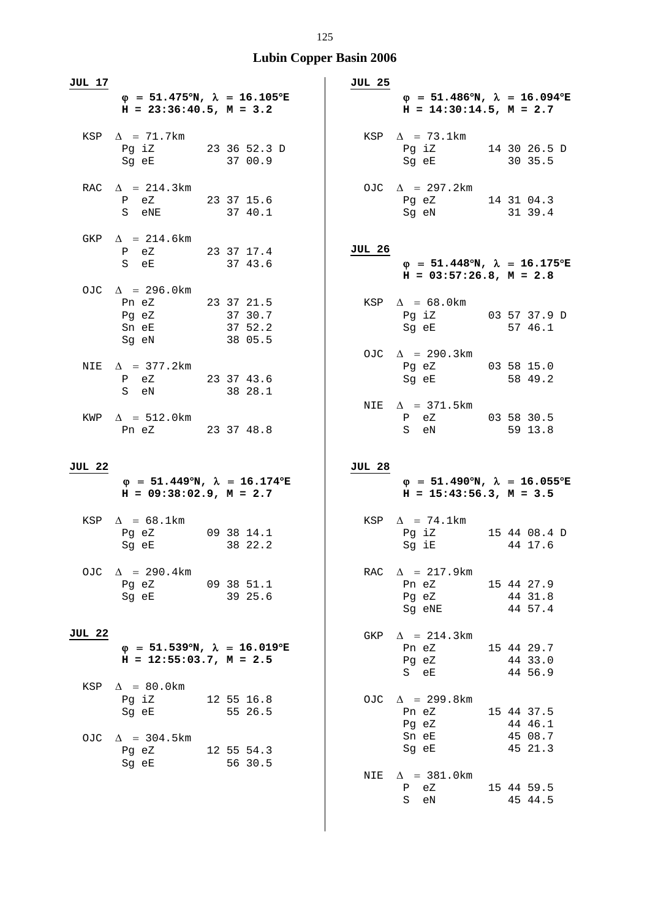| <b>JUL 17</b> |                                                                                                                                                          |            |         |  | <b>JUL 25</b> |                        |                                                                                        |  |                                  |  |
|---------------|----------------------------------------------------------------------------------------------------------------------------------------------------------|------------|---------|--|---------------|------------------------|----------------------------------------------------------------------------------------|--|----------------------------------|--|
|               | $\varphi$ = 51.475°N, $\lambda$ = 16.105°E<br>$H = 23:36:40.5$ , $M = 3.2$                                                                               |            |         |  |               |                        | $\varphi = 51.486^{\circ}N$ , $\lambda = 16.094^{\circ}E$<br>$H = 14:30:14.5, M = 2.7$ |  |                                  |  |
|               | KSP $\Delta$ = 71.7km<br>Pg iZ 23 36 52.3 D<br>Sg eE 37 00.9                                                                                             |            |         |  |               | KSP $\Delta$ = 73.1km  | Pg iZ 14 30 26.5 D<br>Sg eE 30 35.5                                                    |  |                                  |  |
|               | RAC $\Delta$ = 214.3km<br>P eZ 23 37 15.6<br>37 40.1<br>S eNE                                                                                            |            |         |  |               |                        | OJC $\Delta$ = 297.2km<br>Pg eZ 14 31 04.3<br>Sg eN 31 39.4                            |  |                                  |  |
|               | GKP $\Delta$ = 214.6km<br>P eZ 23 37 17.4<br>S eE 37 43.6                                                                                                |            |         |  | <b>JUL 26</b> |                        | $\varphi$ = 51.448°N, $\lambda$ = 16.175°E<br>$H = 03:57:26.8$ , $M = 2.8$             |  |                                  |  |
|               | OJC $\Delta$ = 296.0km<br>Pn eZ 23 37 21.5<br>Pg eZ 37 30.7<br>Sn eE 37 52.2<br>Sg eN                                                                    | 38 05.5    |         |  |               | KSP $\Delta$ = 68.0km  | Pg iZ 03 57 37.9 D<br>Sg eE 57 46.1                                                    |  |                                  |  |
|               | NIE $\Delta$ = 377.2km<br>P eZ 23 37 43.6<br>S eN                                                                                                        | 38 28.1    |         |  |               |                        | OJC $\Delta$ = 290.3km<br>Pg eZ 03 58 15.0<br>Sg eE                                    |  | 58 49.2                          |  |
|               | $KWP \quad \Delta = 512.0 \text{km}$<br>Pn eZ 23 37 48.8                                                                                                 |            |         |  |               | S eN                   | NIE $\Delta$ = 371.5km<br>P eZ 03 58 30.5                                              |  | 59 13.8                          |  |
|               |                                                                                                                                                          |            |         |  |               |                        |                                                                                        |  |                                  |  |
| <b>JUL 22</b> |                                                                                                                                                          |            |         |  | JUL 28        |                        |                                                                                        |  |                                  |  |
|               | $\varphi$ = 51.449°N, $\lambda$ = 16.174°E<br>$H = 09:38:02.9$ , $M = 2.7$                                                                               |            |         |  |               |                        | $\varphi$ = 51.490°N, $\lambda$ = 16.055°E<br>$H = 15:43:56.3, M = 3.5$                |  |                                  |  |
|               | KSP $\Delta = 68.1$ km<br>Pg eZ 09 38 14.1<br>Sg eE                                                                                                      |            | 38 22.2 |  |               | KSP $\Delta$ = 74.1km  | Pg iZ 15 44 08.4 D<br>Sg iE 44 17.6                                                    |  |                                  |  |
| OJC.          | $\Delta$ = 290.4km<br>Pg eZ 09 38 51.1<br>Sq eE and the state of the state of the state of the state of the state of the state of the state of the state |            | 39 25.6 |  | RAC           | Pn eZ                  | $\Delta$ = 217.9km<br>Pg eZ<br>Sq eNE                                                  |  | 15 44 27.9<br>44 31.8<br>44 57.4 |  |
| <b>JUL 22</b> | $\varphi$ = 51.539°N, $\lambda$ = 16.019°E<br>$H = 12:55:03.7$ , $M = 2.5$                                                                               |            |         |  | GKP           | Pn eZ<br>Pg eZ<br>S eE | $\Delta$ = 214.3 km                                                                    |  | 15 44 29.7<br>44 33.0<br>44 56.9 |  |
| KSP           | $\Delta$ = 80.0km<br>Pg iZ<br>Sg eE                                                                                                                      | 12 55 16.8 | 55 26.5 |  | OJC.          | Pn eZ<br>Pg eZ         | $\Delta$ = 299.8km                                                                     |  | 15 44 37.5<br>44 46.1            |  |
| OJC.          | $\Delta$ = 304.5km<br>12 55 54.3<br>Pg eZ<br>Sg eE                                                                                                       |            | 56 30.5 |  | NIE           | Sn eE<br>Sg eE         | $\Delta$ = 381.0 km                                                                    |  | 45 08.7<br>45 21.3               |  |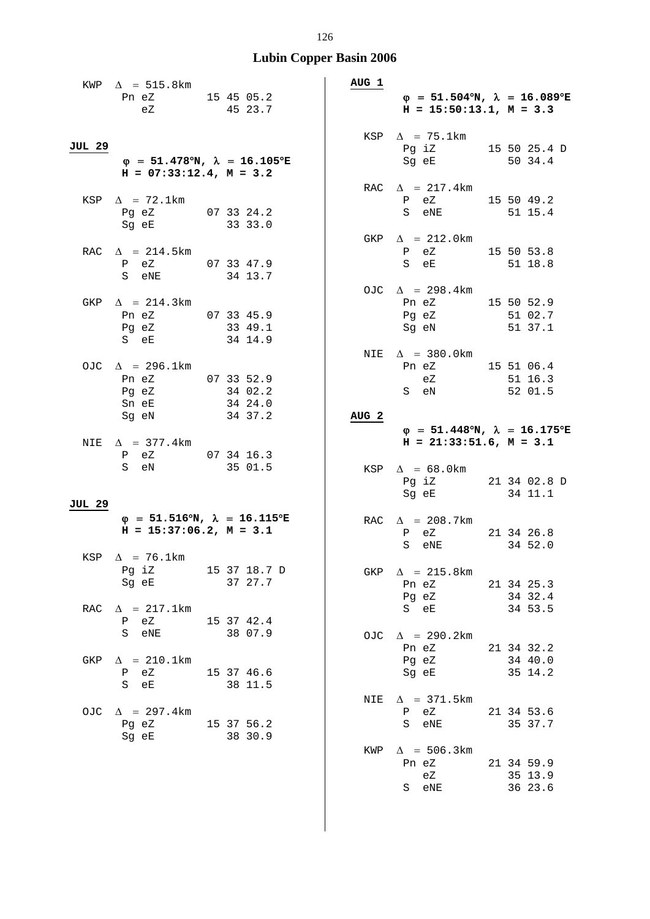|               | KWP $\Delta$ = 515.8km                                                                                            |                    |  | AUG 1            |                                                                                                                                           |  |                                  |
|---------------|-------------------------------------------------------------------------------------------------------------------|--------------------|--|------------------|-------------------------------------------------------------------------------------------------------------------------------------------|--|----------------------------------|
|               | Pn eZ 15 45 05.2<br>eZ 45 23.7                                                                                    |                    |  |                  | $\varphi = 51.504^{\circ}N$ , $\lambda = 16.089^{\circ}E$<br>$H = 15:50:13.1, M = 3.3$                                                    |  |                                  |
| JUL 29        | $\varphi$ = 51.478°N, $\lambda$ = 16.105°E<br>$H = 07:33:12.4$ , $M = 3.2$                                        |                    |  |                  | KSP $\Delta$ = 75.1km<br>Pg iZ 15 50 25.4 D<br>Sg eE                                                                                      |  | 50 34.4                          |
|               | KSP $\Delta$ = 72.1km<br>Pg eZ 07 33 24.2<br>Sg eE 33 33.0                                                        |                    |  |                  | RAC $\Delta$ = 217.4km<br>P eZ 15 50 49.2<br>S eNE                                                                                        |  | 51 15.4                          |
|               | RAC $\Delta$ = 214.5km<br>P eZ 07 33 47.9<br>S eNE 34 13.7                                                        |                    |  |                  | GKP $\Delta$ = 212.0km<br>P eZ 15 50 53.8<br>S eE                                                                                         |  | 51 18.8                          |
| GKP           | $\Delta$ = 214.3km<br>Pn eZ 07 33 45.9<br>Pg eZ 33 49.1<br>S eE 34 14.9                                           |                    |  |                  | OJC $\Delta$ = 298.4km<br>Pn eZ 15 50 52.9<br>Pg eZ 51 02.7<br>Sg eN 51 37.1                                                              |  |                                  |
|               | OJC $\Delta$ = 296.1km<br>Pn eZ 07 33 52.9<br>Pg eZ 34 02.2<br>Sn eE<br>Sg eN                                     | 34 24.0<br>34 37.2 |  | AUG <sub>2</sub> | NIE $\Delta$ = 380.0km<br>Pn eZ 15 51 06.4<br>eZ 51 16.3<br>S eN 52 01.5                                                                  |  |                                  |
| NIE           | $\Delta$ = 377.4km<br>P eZ 07 34 16.3<br>35 01.5<br>S eN                                                          |                    |  |                  | $\varphi = 51.448^{\circ}N$ , $\lambda = 16.175^{\circ}E$<br>$H = 21:33:51.6$ , $M = 3.1$<br>KSP $\Delta = 68.0$ km<br>Pg iZ 21 34 02.8 D |  |                                  |
| <b>JUL 29</b> |                                                                                                                   |                    |  |                  | Sq eE                                                                                                                                     |  | 34 11.1                          |
|               | $\varphi$ = 51.516°N, $\lambda$ = 16.115°E<br>$H = 15:37:06.2$ , $M = 3.1$<br>$KSP \quad \Delta = 76.1 \text{km}$ |                    |  |                  | RAC $\Delta$ = 208.7km<br>P eZ<br>S eNE                                                                                                   |  | 21 34 26.8<br>34 52.0            |
|               | Pg iZ 15 37 18.7 D<br>Sg eE 37 27.7                                                                               |                    |  |                  | GKP $\Delta$ = 215.8km                                                                                                                    |  |                                  |
|               |                                                                                                                   |                    |  |                  | 21 34 25.3<br>Pn eZ<br>Pg eZ                                                                                                              |  | 34 32.4                          |
| RAC           | $\Delta$ = 217.1km<br>P eZ<br>15 37 42.4<br>S eNE 38 07.9                                                         |                    |  | OJC.             | S eE<br>$\Delta$ = 290.2km                                                                                                                |  | 34 53.5                          |
| GKP           | $\Delta$ = 210.1km<br>15 37 46.6<br>P eZ<br>S eE                                                                  | 38 11.5            |  |                  | Pn eZ<br>Pg eZ<br>Sq eE                                                                                                                   |  | 21 34 32.2<br>34 40.0<br>35 14.2 |
| OJC           | $\Delta$ = 297.4km<br>Pg eZ 15 37 56.2<br>Sg eE                                                                   | 38 30.9            |  | NIE              | $\Delta$ = 371.5km<br>P eZ<br>S eNE                                                                                                       |  | 21 34 53.6<br>35 37.7            |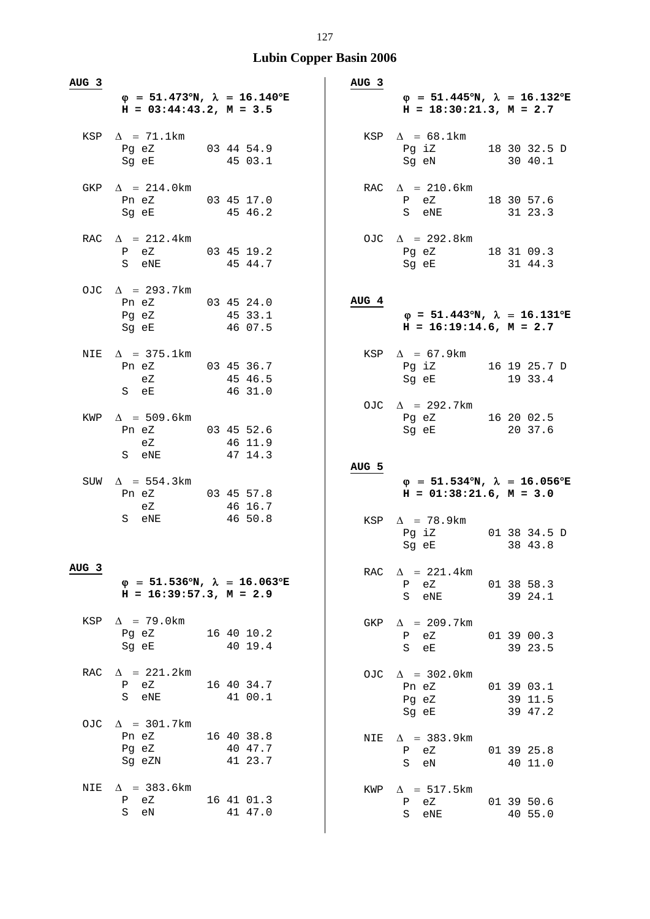| AUG 3            | $\varphi$ = 51.473°N, $\lambda$ = 16.140°E<br>$H = 03:44:43.2, M = 3.5$      |                       | AUG <sub>3</sub> | $\varphi = 51.445^{\circ}N$ , $\lambda = 16.132^{\circ}E$<br>$H = 18:30:21.3, M = 2.7$                                                        |  |
|------------------|------------------------------------------------------------------------------|-----------------------|------------------|-----------------------------------------------------------------------------------------------------------------------------------------------|--|
|                  | KSP $\Delta$ = 71.1km<br>Pg eZ 03 44 54.9<br>Sg eE 45 03.1                   |                       |                  | KSP $\Delta = 68.1$ km<br>Pg iZ 18 30 32.5 D<br>Sg eN 30 40.1                                                                                 |  |
|                  | GKP $\Delta$ = 214.0km<br>Pn eZ 03 45 17.0<br>Sg eE 45 46.2                  |                       |                  | RAC $\Delta$ = 210.6km<br>P eZ 18 30 57.6<br>S eNE 31 23.3                                                                                    |  |
|                  | RAC $\Delta$ = 212.4km<br>P eZ 03 45 19.2<br>S eNE                           | 45 44.7               |                  | OJC $\Delta$ = 292.8km<br>Pg eZ 18 31 09.3<br>Sg eE 31 44.3                                                                                   |  |
|                  | OJC $\Delta$ = 293.7km<br>Pn eZ 03 45 24.0<br>Pq eZ 45 33.1<br>Sg eE 46 07.5 |                       | AUG 4            | $\varphi$ = 51.443°N, $\lambda$ = 16.131°E<br>$H = 16:19:14.6$ , $M = 2.7$                                                                    |  |
|                  | NIE $\Delta$ = 375.1km<br>Pn eZ 03 45 36.7<br>eZ 45 46.5<br>S eE 46 31.0     |                       |                  | KSP $\Delta$ = 67.9km<br>Pg iZ 16 19 25.7 D<br>Sg eE 19 33.4                                                                                  |  |
|                  | KWP $\Delta$ = 509.6km<br>Pn eZ 03 45 52.6<br>eZ 46 11.9<br>S eNE 47 14.3    |                       |                  | OJC $\Delta$ = 292.7km<br>Pg eZ 16 20 02.5<br>Sg eE 20 37.6                                                                                   |  |
|                  |                                                                              |                       |                  |                                                                                                                                               |  |
|                  | SUW $\Delta$ = 554.3km<br>Pn eZ 03 45 57.8<br>eZ<br>S eNE 46 50.8            | 46 16.7               | AUG 5            | $\varphi$ = 51.534°N, $\lambda$ = 16.056°E<br>$H = 01:38:21.6$ , $M = 3.0$<br>KSP $\Delta$ = 78.9km<br>Pg iZ 01 38 34.5 D<br>38 43.8<br>Sg eE |  |
| AUG <sub>3</sub> | $\varphi$ = 51.536°N, $\lambda$ = 16.063°E<br>$H = 16:39:57.3, M = 2.9$      |                       |                  | RAC $\Delta$ = 221.4km<br>P eZ 01 38 58.3<br>S eNE 39 24.1                                                                                    |  |
|                  | KSP $\Delta$ = 79.0km<br>Pg eZ 16 40 10.2<br>Sg eE 40 19.4                   |                       | GKP              | $\Delta$ = 209.7km<br>01 39 00.3<br>P eZ<br>S eE 39 23.5                                                                                      |  |
| RAC              | $\Delta$ = 221.2km<br>P eZ<br>S eNE                                          | 16 40 34.7<br>41 00.1 |                  | OJC $\Delta$ = 302.0km<br>Pn eZ 01 39 03.1<br>Pg eZ<br>39 11.5                                                                                |  |
|                  | OJC $\Delta$ = 301.7km<br>Pn eZ 16 40 38.8<br>Pg eZ<br>Sg eZN 41 23.7        | 40 47.7               |                  | Sg eE 39 47.2<br>NIE $\Delta$ = 383.9km<br>01 39 25.8<br>P eZ<br>S eN<br>40 11.0                                                              |  |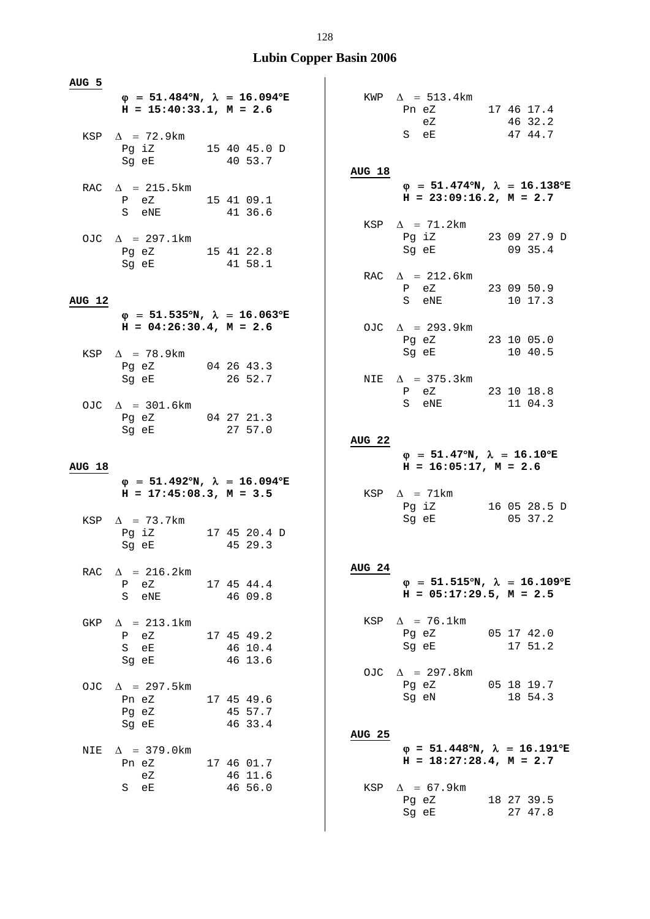| AUG 5         |                                                                                                                                                                                                                                        |                       |                   |                                                                                                                |                       |
|---------------|----------------------------------------------------------------------------------------------------------------------------------------------------------------------------------------------------------------------------------------|-----------------------|-------------------|----------------------------------------------------------------------------------------------------------------|-----------------------|
|               | $\varphi$ = 51.484°N, $\lambda$ = 16.094°E<br>$H = 15:40:33.1, M = 2.6$                                                                                                                                                                |                       |                   | KWP $\Delta$ = 513.4km                                                                                         |                       |
|               |                                                                                                                                                                                                                                        |                       |                   | Pn eZ 17 46 17.4<br>eZ                                                                                         | 46 32.2               |
|               | KSP $\Delta$ = 72.9km                                                                                                                                                                                                                  |                       |                   | S eE                                                                                                           | 47 44.7               |
|               | Pg iZ $15\ 40\ 45.0\ D$                                                                                                                                                                                                                |                       |                   |                                                                                                                |                       |
|               | Sg eE                                                                                                                                                                                                                                  | 40 53.7               | <b>AUG 18</b>     |                                                                                                                |                       |
|               | RAC $\Delta$ = 215.5km                                                                                                                                                                                                                 |                       |                   | $\varphi$ = 51.474°N, $\lambda$ = 16.138°E                                                                     |                       |
|               | P eZ 15 41 09.1                                                                                                                                                                                                                        |                       |                   | $H = 23:09:16.2, M = 2.7$                                                                                      |                       |
|               | S eNE 41 36.6                                                                                                                                                                                                                          |                       |                   | KSP $\Delta$ = 71.2km                                                                                          |                       |
|               | OJC $\Delta$ = 297.1km                                                                                                                                                                                                                 |                       |                   | Pg iZ 23 09 27.9 D                                                                                             |                       |
|               | Pg eZ 15 41 22.8                                                                                                                                                                                                                       |                       |                   | Sg eE 09 35.4                                                                                                  |                       |
|               | Sg eE 41 58.1                                                                                                                                                                                                                          |                       |                   |                                                                                                                |                       |
|               |                                                                                                                                                                                                                                        |                       |                   | RAC $\Delta$ = 212.6km<br>P eZ 23 09 50.9                                                                      |                       |
| <b>AUG 12</b> |                                                                                                                                                                                                                                        |                       |                   | S eNE 10 17.3                                                                                                  |                       |
|               | $\varphi$ = 51.535°N, $\lambda$ = 16.063°E                                                                                                                                                                                             |                       |                   |                                                                                                                |                       |
|               | $H = 04:26:30.4$ , $M = 2.6$                                                                                                                                                                                                           |                       |                   | OJC $\Delta$ = 293.9km                                                                                         |                       |
|               | KSP $\Delta$ = 78.9km                                                                                                                                                                                                                  |                       |                   | Pg eZ 23 10 05.0<br>Sg eE 10 40.5                                                                              |                       |
|               | Pg eZ 04 26 43.3                                                                                                                                                                                                                       |                       |                   |                                                                                                                |                       |
|               | Sg eE 26 52.7                                                                                                                                                                                                                          |                       |                   | NIE $\Delta$ = 375.3km                                                                                         |                       |
|               |                                                                                                                                                                                                                                        |                       |                   | P eZ 23 10 18.8                                                                                                |                       |
|               | OJC $\Delta$ = 301.6km                                                                                                                                                                                                                 |                       |                   | S eNE                                                                                                          | 11 04.3               |
|               | Pg eZ 04 27 21.3<br>Sg eE                                                                                                                                                                                                              | 27 57.0               |                   |                                                                                                                |                       |
|               |                                                                                                                                                                                                                                        |                       | AUG 22            |                                                                                                                |                       |
|               |                                                                                                                                                                                                                                        |                       |                   |                                                                                                                |                       |
|               |                                                                                                                                                                                                                                        |                       |                   | $\varphi$ = 51.47°N, $\lambda$ = 16.10°E                                                                       |                       |
| AUG 18        |                                                                                                                                                                                                                                        |                       |                   | $H = 16:05:17$ , $M = 2.6$                                                                                     |                       |
|               | $\varphi = 51.492^{\circ}N$ , $\lambda = 16.094^{\circ}E$<br>$H = 17:45:08.3, M = 3.5$                                                                                                                                                 |                       |                   | KSP $\Delta$ = 71km                                                                                            |                       |
|               |                                                                                                                                                                                                                                        |                       |                   | Pg iZ 16 05 28.5 D                                                                                             |                       |
|               | KSP $\Delta$ = 73.7km                                                                                                                                                                                                                  |                       |                   | Sg eE and the state of the state of the state of the state of the state of the state of the state of the state | 05 37.2               |
|               | Pg iZ 17 45 20.4 D<br>Sg eE 45 29.3                                                                                                                                                                                                    |                       |                   |                                                                                                                |                       |
|               |                                                                                                                                                                                                                                        |                       |                   |                                                                                                                |                       |
| RAC           | $\Delta$ = 216.2km                                                                                                                                                                                                                     |                       | AUG <sub>24</sub> |                                                                                                                |                       |
|               | P eZ<br>S eNE and the set of the set of the set of the set of the set of the set of the set of the set of the set of the set of the set of the set of the set of the set of the set of the set of the set of the set of the set of the | 17 45 44.4<br>46 09.8 |                   | $\varphi$ = 51.515°N, $\lambda$ = 16.109°E<br>$H = 05:17:29.5$ , $M = 2.5$                                     |                       |
|               |                                                                                                                                                                                                                                        |                       |                   |                                                                                                                |                       |
| GKP           | $\Delta$ = 213.1km                                                                                                                                                                                                                     |                       | KSP               | $\Delta$ = 76.1km                                                                                              |                       |
|               | P eZ                                                                                                                                                                                                                                   | 17 45 49.2            |                   | Pg eZ<br>Sg eE                                                                                                 | 05 17 42.0<br>17 51.2 |
|               | S eE<br>Sg eE                                                                                                                                                                                                                          | 46 10.4<br>46 13.6    |                   |                                                                                                                |                       |
|               |                                                                                                                                                                                                                                        |                       |                   | OJC $\Delta$ = 297.8km                                                                                         |                       |
|               | OJC $\Delta$ = 297.5km                                                                                                                                                                                                                 |                       |                   | Pg eZ                                                                                                          | 05 18 19.7            |
|               | Pn eZ<br>Pg eZ                                                                                                                                                                                                                         | 17 45 49.6<br>45 57.7 |                   | Sg eN                                                                                                          | 18 54.3               |
|               | Sg eE                                                                                                                                                                                                                                  | 46 33.4               |                   |                                                                                                                |                       |
|               |                                                                                                                                                                                                                                        |                       | <b>AUG 25</b>     |                                                                                                                |                       |
| NIE           | $\Delta$ = 379.0 km<br>Pn eZ                                                                                                                                                                                                           |                       |                   | $\varphi = 51.448^{\circ}N$ , $\lambda = 16.191^{\circ}E$<br>$H = 18:27:28.4$ , $M = 2.7$                      |                       |
|               | еZ                                                                                                                                                                                                                                     | 17 46 01.7<br>46 11.6 |                   |                                                                                                                |                       |
|               | S eE                                                                                                                                                                                                                                   | 46 56.0               | KSP               | $\Delta$ = 67.9km                                                                                              |                       |
|               |                                                                                                                                                                                                                                        |                       |                   | Pg eZ<br>Sg eE                                                                                                 | 18 27 39.5<br>27 47.8 |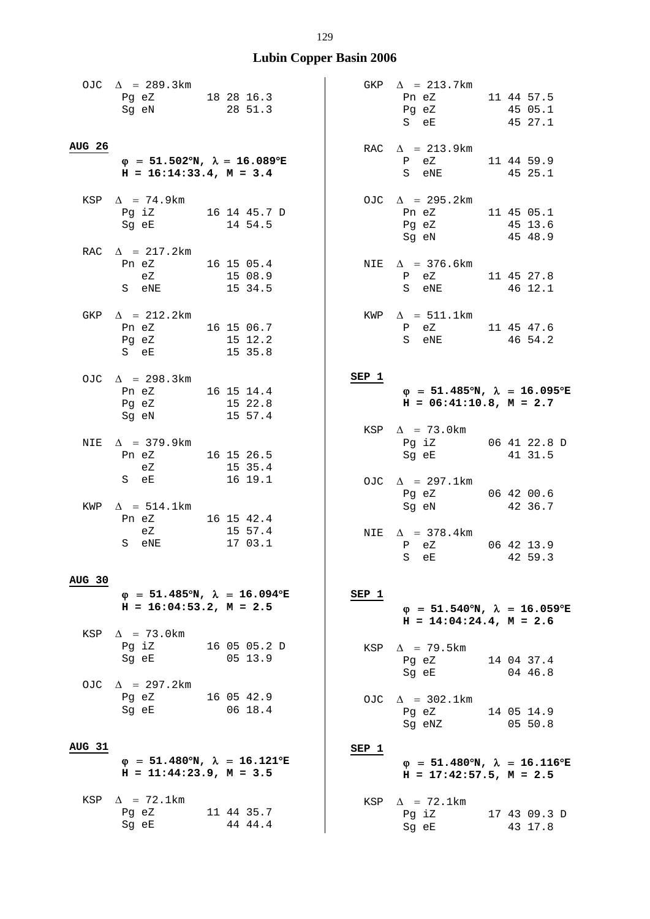OJC  $\Delta = 289.3 \text{km}$ Pg eZ 18 28 16.3 Sg eN 28 51.3 **AUG 26**  $\varphi = 51.502^{\circ}N$ ,  $\lambda = 16.089^{\circ}E$  **H = 16:14:33.4, M = 3.4**  KSP  $\Lambda$  = 74.9km Pg iZ 16 14 45.7 D Sg eE 14 54.5 RAC  $\Delta$  = 217.2km Pn eZ 16 15 05.4<br>eZ 15 08.9  $15 \t08.9$ <br> $15 \t34.5$ S eNE  $GKP \quad \Delta = 212.2 \text{km}$  Pn eZ 16 15 06.7 Pg eZ 15 12.2<br>S eE 15 35.8  $S$  eE OJC  $\Delta$  = 298.3km Pn eZ 16 15 14.4<br>Pq eZ 15 22.8  $15 \ \ 22.8$ Sg eN  $15\,57.4$ NIE  $\Delta$  = 379.9km Pn eZ 16 15 26.5<br>eZ 15 35.4 eZ<br>S eE  $16 19.1$  $KWP \quad \Delta = 514.1 \text{km}$ Pn eZ 16 15 42.4 eZ 15 57.4 S eNE 17 03.1 **AUG 30**  $\phi = 51.485^{\circ}N$ ,  $\lambda = 16.094^{\circ}E$  **H = 16:04:53.2, M = 2.5**  KSP  $\Delta$  = 73.0km Pg iZ 16 05 05.2 D Sg eE 05 13.9 OJC  $\Delta$  = 297.2km Pg eZ 16 05 42.9 Sg eE 06 18.4  **AUG 31**  $\phi = 51.480^{\circ}N$ ,  $\lambda = 16.121^{\circ}E$  **H = 11:44:23.9, M = 3.5**  KSP  $\Delta$  = 72.1km Pg eZ 11 44 35.7 GKP  $\Delta$  = 213.7km Pn eZ 11 44 57.5 Pg eZ 45 05.1 S eE 45 27.1 RAC  $\Delta$  = 213.9km P eZ 11 44 59.9<br>S eNE 45 25.1 S eNE 45 25.1 OJC  $\Lambda$  = 295.2km Pn eZ 11 45 05.1<br>Pq eZ 45 13.6 Pg eZ 45 13.6 Sg eN 45 48.9 NIE  $\Delta$  = 376.6km P eZ 11 45 27.8<br>S eNE 46 12.1 46 12.1 KWP  $\Delta$  = 511.1km P eZ 11 45 47.6<br>S eNE 46 54.2  $46 \t54.2$ **SEP 1**  $\phi = 51.485^{\circ}N$ ,  $\lambda = 16.095^{\circ}E$  $H = 06:41:10.8$ ,  $M = 2.7$ KSP  $\Delta$  = 73.0km Pg iZ 06 41 22.8 D Sg eE 41 31.5 OJC  $\Delta$  = 297.1km Pg eZ 06 42 00.6 Sg eN 42 36.7 NIE  $\Delta$  = 378.4km P eZ 06 42 13.9 S eE 42 59.3 **SEP 1**  $\phi = 51.540^{\circ}N$ ,  $\lambda = 16.059^{\circ}E$  **H = 14:04:24.4, M = 2.6**  KSP  $\Delta$  = 79.5km Pg eZ 14 04 37.4 Sg eE 04 46.8 OJC  $\Delta = 302.1$ km Pg eZ 14 05 14.9 Sg eNZ 05 50.8  **SEP 1**  $\phi = 51.480^{\circ}N$ ,  $\lambda = 16.116^{\circ}E$  $H = 17:42:57.5$ ,  $M = 2.5$ KSP  $\Delta$  = 72.1km Pg iZ 17 43 09.3 D

Sg eE 43 17.8

Sg eE 44 44.4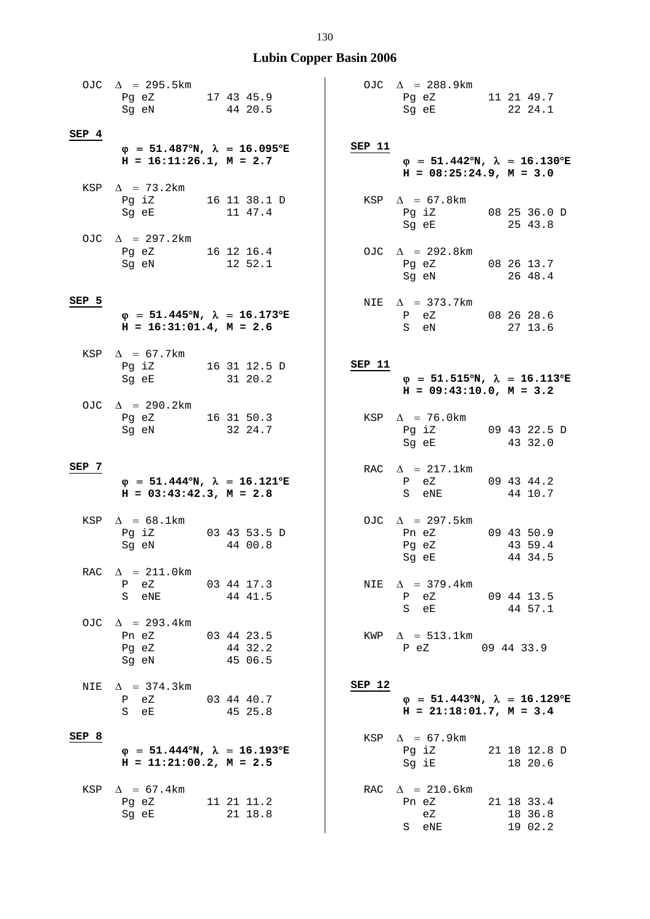|       | OJC $\Delta$ = 295.5km<br>Pg eZ 17 43 45.9<br>Sg eN 44 20.5   |                                                                      | OJC $\Delta$ = 288.9km<br>Pg eZ 11 21 49.7<br>Sg eE 22 24.1                                                                                                                              |
|-------|---------------------------------------------------------------|----------------------------------------------------------------------|------------------------------------------------------------------------------------------------------------------------------------------------------------------------------------------|
| SEP 4 |                                                               |                                                                      |                                                                                                                                                                                          |
|       | $H = 16:11:26.1, M = 2.7$                                     | $\varphi$ = 51.487°N, $\lambda$ = 16.095°E                           | SEP 11<br>$\varphi$ = 51.442°N, $\lambda$ = 16.130°E<br>$H = 08:25:24.9, M = 3.0$                                                                                                        |
|       | KSP $\Delta$ = 73.2km<br>Pg iZ 16 11 38.1 D<br>Sg eE 11 47.4  |                                                                      | KSP $\Delta$ = 67.8km<br>Pg iZ 08 25 36.0 D<br>Sg eE 25 43.8                                                                                                                             |
|       | OJC $\Delta$ = 297.2km<br>Pg eZ 16 12 16.4<br>Sg eN 12 52.1   |                                                                      | OJC $\Delta$ = 292.8km<br>Pg eZ 08 26 13.7<br>Sg eN 26 48.4                                                                                                                              |
| SEP 5 | $H = 16:31:01.4$ , $M = 2.6$                                  | $\varphi$ = 51.445°N, $\lambda$ = 16.173°E                           | NIE $\Delta$ = 373.7km<br>P eZ 08 26 28.6<br>S eN 27 13.6                                                                                                                                |
|       | KSP $\Delta$ = 67.7km<br>Pg iZ 16 31 12.5 D<br>Sg eE 31 20.2  |                                                                      | SEP 11<br>$\varphi = 51.515^{\circ}N$ , $\lambda = 16.113^{\circ}E$<br>$H = 09:43:10.0, M = 3.2$                                                                                         |
|       | OJC $\Delta$ = 290.2km<br>Pg eZ 16 31 50.3<br>Sg eN           | 32 24.7                                                              | KSP $\Delta$ = 76.0km<br>Pg iZ 09 43 22.5 D<br>43 32.0<br>Sg eE                                                                                                                          |
| SEP 7 | $H = 03:43:42.3$ , $M = 2.8$                                  | $\varphi$ = 51.444 <sup>o</sup> N, $\lambda$ = 16.121 <sup>o</sup> E | RAC $\Delta$ = 217.1km<br>P eZ 09 43 44.2<br>S eNE 44 10.7                                                                                                                               |
|       | KSP $\Delta = 68.1$ km<br>Pg iZ 03 43 53.5 D<br>Sg eN 44 00.8 |                                                                      | OJC $\Delta$ = 297.5km<br>Pn eZ 09 43 50.9<br>Pg eZ 43 59.4<br>Sg eE and the state of the state of the state of the state of the state of the state of the state of the state<br>44 34.5 |
| RAC   | $\Delta$ = 211.0km<br>P eZ<br>S eNE 44 41.5                   | 03 44 17.3                                                           | $\Delta$ = 379.4km<br>NIE<br>P eZ<br>$09$ 44 13.5<br>S eE 44 57.1                                                                                                                        |
|       | OJC $\Delta$ = 293.4km<br>Pn eZ<br>Pg eZ<br>Sg eN             | 03 44 23.5<br>44 32.2<br>45 06.5                                     | KWP $\Delta$ = 513.1km<br>P eZ 09 44 33.9                                                                                                                                                |
| NIE   | $\Delta$ = 374.3km<br>P eZ 03 44 40.7<br>S eE                 | 45 25.8                                                              | SEP 12<br>$\varphi$ = 51.443°N, $\lambda$ = 16.129°E<br>$H = 21:18:01.7$ , $M = 3.4$                                                                                                     |
| SEP 8 | $H = 11:21:00.2, M = 2.5$                                     | $\varphi = 51.444^{\circ}N$ , $\lambda = 16.193^{\circ}E$            | $\Delta$ = 67.9km<br>KSP<br>$Pg$ iZ<br>21 18 12.8 D<br>Sg iE<br>18 20.6                                                                                                                  |
| KSP   | $\Delta$ = 67.4 km<br>Pg eZ 11 21 11.2<br>Sg eE               | 21 18.8                                                              | RAC $\Delta$ = 210.6km<br>21 18 33.4<br>Pn eZ<br>eZ<br>18 36.8<br>19 02.2<br>S eNE                                                                                                       |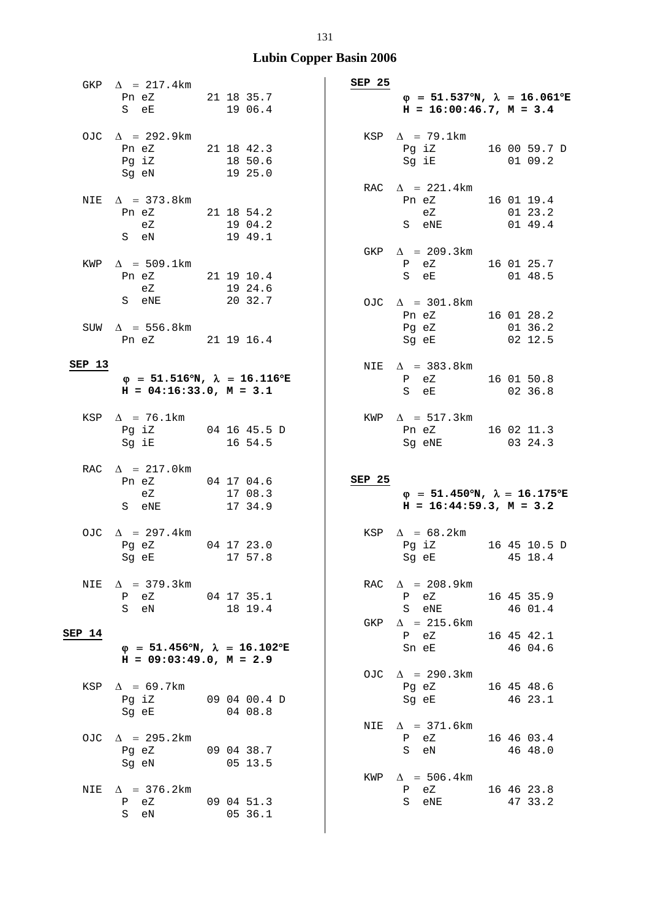|        | GKP $\Delta$ = 217.4km<br>Pn eZ<br>S eE                                 | 21 18 35.7<br>19 06.4            |
|--------|-------------------------------------------------------------------------|----------------------------------|
|        | OJC $\Delta$ = 292.9km<br>Pn eZ<br>Pg iZ<br>Sg eN                       | 21 18 42.3<br>18 50.6<br>19 25.0 |
|        | NIE $\Delta$ = 373.8km<br>Pn eZ<br>eZ<br>S eN                           | 21 18 54.2<br>19 04.2<br>19 49.1 |
|        | KWP $\Delta$ = 509.1km<br>Pn eZ<br>eZ<br>S eNE                          | 21 19 10.4<br>19 24.6<br>20 32.7 |
|        | SUW $\Delta$ = 556.8km<br>Pn eZ                                         | 21 19 16.4                       |
| SEP 13 |                                                                         |                                  |
|        | $\varphi$ = 51.516°N, $\lambda$ = 16.116°E<br>$H = 04:16:33.0, M = 3.1$ |                                  |
|        | KSP $\Delta$ = 76.1km<br>Pg iZ<br>Sg iE                                 | 04 16 45.5 D<br>16 54.5          |
|        | RAC $\Delta$ = 217.0km<br>Pn eZ<br>eZ<br>S eNE                          | 04 17 04.6<br>17 08.3<br>17 34.9 |
|        | OJC $\Delta$ = 297.4km<br>Pg eZ<br>Sg eE                                | 04 17 23.0<br>17 57.8            |
| NIE    | $\Delta$ = 379.3 km<br>P eZ<br>S<br>eN                                  | 04 17 35.1<br>18 19.4            |
| SEP 14 | $\Phi = 51.456^{\circ}N$ , $\lambda = 16.102^{\circ}E$                  |                                  |
|        | $H = 09:03:49.0, M = 2.9$                                               |                                  |
| KSP    | $\Delta$ = 69.7km<br>Pg iZ<br>Sg eE                                     | 09 04 00.4 D<br>04 08.8          |
| OJC.   |                                                                         |                                  |
|        | $\Delta$ = 295.2km<br>Pq eZ<br>Sg eN                                    | 09 04 38.7<br>05 13.5            |

| SEP 25 | $\varphi = 51.537^{\circ}N$ , $\lambda = 16.061^{\circ}E$<br>$H = 16:00:46.7$ , $M = 3.4$ |  |                                  |
|--------|-------------------------------------------------------------------------------------------|--|----------------------------------|
| KSP    | $\Delta$ = 79.1km<br>Pg iZ<br>Sg iE                                                       |  | 16 00 59.7 D<br>01 09.2          |
|        | RAC $\Delta$ = 221.4km<br>Pn eZ<br>eZ<br>S eNE                                            |  | 16 01 19.4<br>01 23.2<br>01 49.4 |
|        | GKP $\Delta$ = 209.3km<br>P eZ<br>S eE                                                    |  | 16 01 25.7<br>01 48.5            |
|        | OJC $\Delta$ = 301.8km<br>Pn eZ<br>Pg eZ<br>Sg eE                                         |  | 16 01 28.2<br>01 36.2<br>02 12.5 |
|        | NIE $\Delta$ = 383.8km<br>P eZ<br>S eE                                                    |  | 16 01 50.8<br>02 36.8            |
|        | KWP $\Delta$ = 517.3km<br>Pn eZ<br>Sg eNE                                                 |  | 16 02 11.3<br>03 24.3            |
| SEP 25 |                                                                                           |  |                                  |
|        | $\varphi$ = 51.450°N, $\lambda$ = 16.175°E<br>$H = 16:44:59.3, M = 3.2$                   |  |                                  |
| KSP    | $\Delta = 68.2 \text{km}$<br>Pq iZ<br>Sg eE                                               |  | 16 45 10.5 D<br>45 18.4          |
|        | RAC $\Delta$ = 208.9km<br>P eZ<br>S<br>eNE                                                |  | 16 45 35.9<br>46 01.4            |

# GKP  $\Delta$  = 215.6km P eZ 16 45 42.1 Sn eE 46 04.6 OJC  $\Delta$  = 290.3km Pg eZ 16 45 48.6 Sg eE 46 23.1 NIE  $\Delta$  = 371.6km

 P eZ 16 46 03.4 S eN 46 48.0 KWP  $\Delta = 506.4$ km P eZ 16 46 23.8 S eNE 47 33.2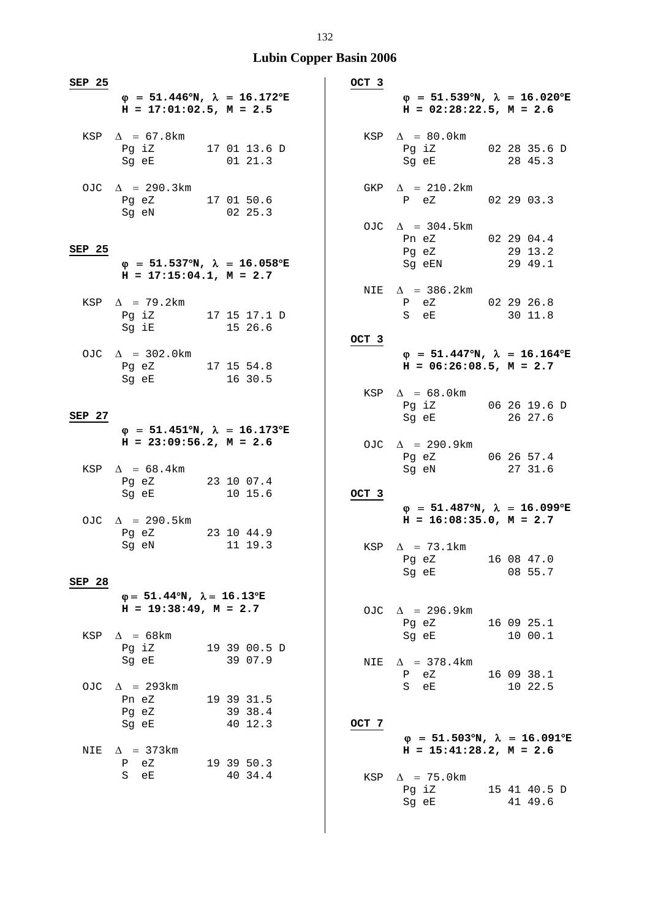| SEP 25 |                                                                                                                                                                      |  |                         | OCT 3 |                                                                                                                           |                         |
|--------|----------------------------------------------------------------------------------------------------------------------------------------------------------------------|--|-------------------------|-------|---------------------------------------------------------------------------------------------------------------------------|-------------------------|
|        | $\varphi = 51.446^{\circ}N$ , $\lambda = 16.172^{\circ}E$<br>$H = 17:01:02.5$ , $M = 2.5$                                                                            |  |                         |       | $\varphi$ = 51.539°N, $\lambda$ = 16.020°E<br>$H = 02:28:22.5$ , $M = 2.6$                                                |                         |
|        | KSP $\Delta$ = 67.8km<br>Pg iz $170113.6 D$<br>Sg eE                                                                                                                 |  | 0121.3                  |       | KSP $\Delta = 80.0$ km<br>Pg iZ 02 28 35.6 D<br>Sg eE                                                                     | 28 45.3                 |
|        | OJC $\Delta$ = 290.3km<br>Pg eZ 17 01 50.6<br>Sg eN                                                                                                                  |  | 02 25.3                 |       | GKP $\Delta$ = 210.2km<br>P eZ 02 29 03.3                                                                                 |                         |
| SEP 25 | $\varphi$ = 51.537°N, $\lambda$ = 16.058°E<br>$H = 17:15:04.1, M = 2.7$                                                                                              |  |                         |       | OJC $\Delta$ = 304.5km<br>Pn eZ 02 29 04.4<br>Pg eZ<br>Sg eEN 29 49.1                                                     | 29 13.2                 |
|        | KSP $\Delta$ = 79.2km<br>Pg iZ 17 15 17.1 D<br>Sg iE 15 26.6                                                                                                         |  |                         |       | NIE $\Delta$ = 386.2km<br>P eZ 02 29 26.8<br>S eE 30 11.8                                                                 |                         |
|        | OJC $\Delta = 302.0 \text{km}$<br>Pg eZ 17 15 54.8<br>Sg eE and the state of the state of the state of the state of the state of the state of the state of the state |  | 16 30.5                 | OCT 3 | $\varphi$ = 51.447°N, $\lambda$ = 16.164°E<br>$H = 06:26:08.5, M = 2.7$                                                   |                         |
| SEP 27 |                                                                                                                                                                      |  |                         |       | KSP $\Delta = 68.0 \text{km}$<br>Pg iZ 06 26 19.6 D<br>Sg eE 26 27.6                                                      |                         |
|        | $\varphi$ = 51.451°N, $\lambda$ = 16.173°E<br>$H = 23:09:56.2$ , $M = 2.6$<br>KSP $\Delta$ = 68.4km                                                                  |  |                         |       | OJC $\Delta$ = 290.9km<br>Pg eZ 06 26 57.4<br>Sg eN                                                                       | 27 31.6                 |
|        | Pg eZ 23 10 07.4<br>Sg eE                                                                                                                                            |  | 10 15.6                 | OCT 3 | $\varphi$ = 51.487°N, $\lambda$ = 16.099°E                                                                                |                         |
|        | OJC $\Delta$ = 290.5km<br>Pg eZ 23 10 44.9<br>Sg eN and the state of the state of the state of the state of the state of the state of the state of the state         |  | 11 19.3                 |       | $H = 16:08:35.0, M = 2.7$<br>KSP $\Delta$ = 73.1km                                                                        |                         |
| SEP 28 |                                                                                                                                                                      |  |                         |       | Pg eZ 16 08 47.0<br>Sg eE                                                                                                 | 08 55.7                 |
|        | $\varphi = 51.44^{\circ}N$ , $\lambda = 16.13^{\circ}E$<br>$H = 19:38:49$ , $M = 2.7$                                                                                |  |                         |       | OJC $\Delta$ = 296.9km<br>Pg eZ                                                                                           | 16 09 25.1              |
|        | KSP $\Delta$ = 68km<br>Pg iZ<br>Sg eE                                                                                                                                |  | 19 39 00.5 D<br>39 07.9 | NIE   | Sq eE and the state of the state of the state of the state of the state of the state of the state o<br>$\Delta$ = 378.4km | 10 00.1                 |
|        | OJC $\Delta$ = 293km<br>Pn eZ<br>Pg eZ                                                                                                                               |  | 19 39 31.5<br>39 38.4   |       | Ρ<br>eZ<br>S eE                                                                                                           | 16 09 38.1<br>10 22.5   |
| NIE    | Sg eE<br>$\Delta$ = 373 km<br>P eZ                                                                                                                                   |  | 40 12.3<br>19 39 50.3   | OCT 7 | $\varphi$ = 51.503°N, $\lambda$ = 16.091°E<br>$H = 15:41:28.2, M = 2.6$                                                   |                         |
|        | S eE                                                                                                                                                                 |  | 40 34.4                 | KSP   | $\Delta$ = 75.0km<br>$Pg$ i $Z$<br>Sg eE                                                                                  | 15 41 40.5 D<br>41 49.6 |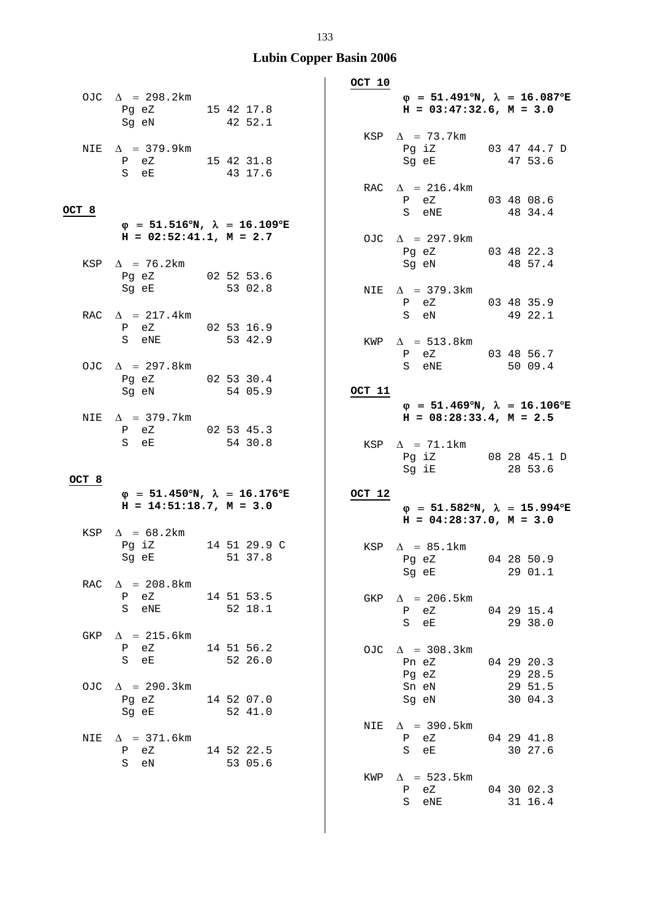|       |                                                             |                                                           | OCT 10 |                                                                                           |         |
|-------|-------------------------------------------------------------|-----------------------------------------------------------|--------|-------------------------------------------------------------------------------------------|---------|
|       | OJC $\Delta$ = 298.2km<br>Pg eZ 15 42 17.8<br>Sg eN 42 52.1 |                                                           |        | $\varphi = 51.491^{\circ}N$ , $\lambda = 16.087^{\circ}E$<br>$H = 03:47:32.6$ , $M = 3.0$ |         |
| NIE   | $\Delta$ = 379.9km<br>P eZ 15 42 31.8<br>S eE               | 43 17.6                                                   |        | KSP $\Delta$ = 73.7km<br>Pg iZ 03 47 44.7 D<br>Sg eE                                      | 47 53.6 |
| OCT 8 |                                                             |                                                           |        | RAC $\Delta$ = 216.4km<br>P eZ 03 48 08.6<br>S eNE                                        | 48 34.4 |
|       | $H = 02:52:41.1, M = 2.7$                                   | $\varphi$ = 51.516°N, $\lambda$ = 16.109°E                |        | OJC $\Delta$ = 297.9km<br>Pg eZ 03 48 22.3                                                |         |
|       | KSP $\Delta$ = 76.2km<br>Pg eZ 02 52 53.6<br>Sg eE 53 02.8  |                                                           |        | Sg eN<br>NIE $\Delta$ = 379.3km                                                           | 48 57.4 |
|       | RAC $\Delta$ = 217.4km<br>P eZ 02 53 16.9                   |                                                           |        | P eZ 03 48 35.9<br>S eN 49 22.1                                                           |         |
|       | S eNE 53 42.9<br>OJC $\Delta$ = 297.8km                     |                                                           | KWP    | $\Delta$ = 513.8km<br>P eZ 03 48 56.7<br>S eNE 50 09.4                                    |         |
|       | Pg eZ 02 53 30.4<br>Sg eN 54 05.9                           |                                                           | OCT 11 | $\varphi$ = 51.469°N, $\lambda$ = 16.106°E                                                |         |
|       | NIE $\Delta$ = 379.7km<br>P eZ 02 53 45.3<br>S eE           | 54 30.8                                                   |        | $H = 08:28:33.4$ , $M = 2.5$<br>KSP $\Delta$ = 71.1km<br>Pg iZ 08 28 45.1 D               |         |
| OCT 8 |                                                             |                                                           |        | Sg iE 28 53.6                                                                             |         |
|       | $H = 14:51:18.7, M = 3.0$                                   | $\varphi = 51.450^{\circ}N$ , $\lambda = 16.176^{\circ}E$ | OCT 12 | $\varphi = 51.582^{\circ}N$ , $\lambda = 15.994^{\circ}E$<br>$H = 04:28:37.0, M = 3.0$    |         |
|       | KSP $\Delta$ = 68.2km<br>Sg eE 51 37.8                      | Pg iZ 14 51 29.9 C                                        |        | KSP $\Delta$ = 85.1km<br>Pg eZ 04 28 50.9<br>Sg eE                                        | 29 01.1 |
| RAC   | $\Delta$ = 208.8km<br>P eZ 14 51 53.5<br>S eNE 52 18.1      |                                                           | GKP    | $\Delta$ = 206.5km<br>P eZ 04 29 15.4<br>S eE 29 38.0                                     |         |
| GKP   | $\Delta$ = 215.6km<br>P eZ<br>S eE 52 26.0                  | 14 51 56.2                                                |        | OJC $\Delta$ = 308.3km<br>Pn eZ 04 29 20.3                                                |         |
| OJC.  | $\Delta$ = 290.3km<br>Pg eZ 14 52 07.0<br>Sg eE 52 41.0     |                                                           |        | Pg eZ 29 28.5<br>Sn eN 29 51.5<br>Sg eN 30 04.3                                           |         |
| NIE   | $\Delta$ = 371.6km<br>P eZ 14 52 22.5<br>S eN 53 05.6       |                                                           |        | NIE $\Delta$ = 390.5km<br>P eZ 04 29 41.8<br>S eE 30 27.6                                 |         |
|       |                                                             |                                                           |        | KWP $\Delta$ = 523.5km<br>P eZ 04 30 02.3<br>S eNE 31 16.4                                |         |
|       |                                                             |                                                           |        |                                                                                           |         |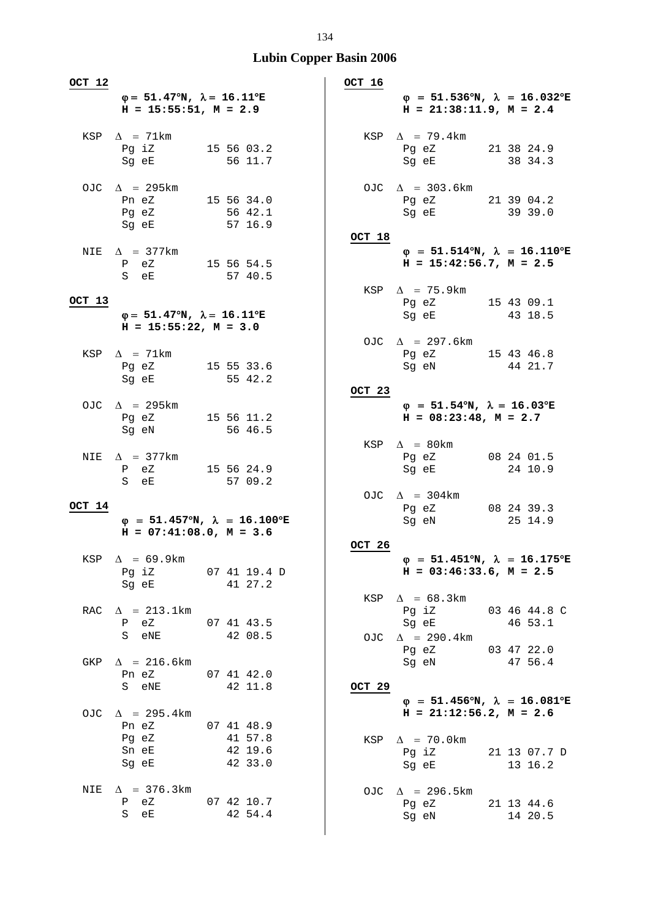| OCT 12 |                                                                                       |                                            | OCT 16 |                                                                                                                                                                                             |
|--------|---------------------------------------------------------------------------------------|--------------------------------------------|--------|---------------------------------------------------------------------------------------------------------------------------------------------------------------------------------------------|
|        | $\varphi = 51.47^{\circ}N$ , $\lambda = 16.11^{\circ}E$<br>$H = 15:55:51, M = 2.9$    |                                            |        | $\varphi$ = 51.536°N, $\lambda$ = 16.032°E<br>$H = 21:38:11.9$ , $M = 2.4$                                                                                                                  |
|        | KSP $\Delta$ = 71km<br>Pg iZ<br>Sg eE                                                 | 15 56 03.2<br>56 11.7                      |        | KSP $\Delta$ = 79.4km<br>Pg eZ 21 38 24.9<br>38 34.3<br>Sg eE                                                                                                                               |
|        | OJC $\Delta$ = 295km<br>Pn eZ 15 56 34.0<br>Pg eZ<br>Sg eE                            | 56 42.1<br>57 16.9                         |        | OJC $\Delta$ = 303.6km<br>Pg eZ 21 39 04.2<br>39 39.0<br>Sq eE                                                                                                                              |
|        | NIE $\Delta$ = 377km<br>P eZ 15 56 54.5<br>S eE                                       | 57 40.5                                    | OCT 18 | $\varphi$ = 51.514°N, $\lambda$ = 16.110°E<br>$H = 15:42:56.7$ , $M = 2.5$                                                                                                                  |
| OCT 13 | $\varphi = 51.47^{\circ}N$ , $\lambda = 16.11^{\circ}E$<br>$H = 15:55:22$ , $M = 3.0$ |                                            |        | KSP $\Delta$ = 75.9km<br>Pg eZ 15 43 09.1<br>Sg eE 43 18.5                                                                                                                                  |
|        | KSP $\Delta$ = 71km<br>Pg eZ 15 55 33.6<br>Sq eE 55 42.2                              |                                            |        | OJC $\Delta$ = 297.6km<br>Pg eZ 15 43 46.8<br>44 21.7<br>Sg eN and the state of the state of the state of the state of the state of the state of the state of the state                     |
|        | OJC $\Delta$ = 295km<br>Pg eZ<br>Sg eN                                                | 15 56 11.2<br>56 46.5                      | OCT 23 | $\varphi = 51.54^{\circ}N$ , $\lambda = 16.03^{\circ}E$<br>$H = 08:23:48$ , $M = 2.7$                                                                                                       |
| NIE    | $\Delta$ = 377km<br>P eZ<br>S eE                                                      | 15 56 24.9<br>57 09.2                      |        | KSP $\Delta$ = 80km<br>Pg eZ<br>08 24 01.5<br>24 10.9<br>Sg eE                                                                                                                              |
| OCT 14 | $H = 07:41:08.0, M = 3.6$                                                             | $\varphi$ = 51.457°N, $\lambda$ = 16.100°E |        | OJC $\Delta$ = 304km<br>08 24 39.3<br>Pg eZ<br>Sg eN<br>25 14.9                                                                                                                             |
|        | $KSP \quad \Delta = 69.9 \text{km}$<br>Sg eE 41 27.2                                  | Pg iZ 07 41 19.4 D                         | OCT 26 | $\varphi = 51.451^{\circ}N$ , $\lambda = 16.175^{\circ}E$<br>$H = 03:46:33.6$ , $M = 2.5$                                                                                                   |
| RAC    | $\Delta$ = 213.1km<br>P eZ 07 41 43.5<br>S eNE 42 08.5                                |                                            |        | KSP $\Delta = 68.3 \text{km}$<br>Pg iZ 03 46 44.8 C<br>Sg eE<br>46 53.1<br>OJC $\Delta$ = 290.4km                                                                                           |
| GKP    | $\Delta$ = 216.6km<br>Pn eZ 07 41 42.0<br>S eNE                                       | 42 11.8                                    | OCT 29 | Pg eZ 03 47 22.0<br>Sg eN 47 56.4                                                                                                                                                           |
| OJC.   | $\Delta$ = 295.4 km<br>Pn eZ<br>Pg eZ<br>Sn eE                                        | 07 41 48.9<br>41 57.8<br>42 19.6           |        | $\varphi$ = 51.456°N, $\lambda$ = 16.081°E<br>$H = 21:12:56.2, M = 2.6$<br>KSP $\Delta$ = 70.0km<br>Pg iZ 21 13 07.7 D                                                                      |
| NIE    | Sg eE<br>$\Delta$ = 376.3km<br>P eZ 07 42 10.7<br>S eE                                | 42 33.0<br>42 54.4                         |        | Sg eE and the state of the state of the state of the state of the state of the state of the state of the state<br>13 16.2<br>OJC $\Delta$ = 296.5km<br>Pg eZ 21 13 44.6<br>Sg eN<br>14 20.5 |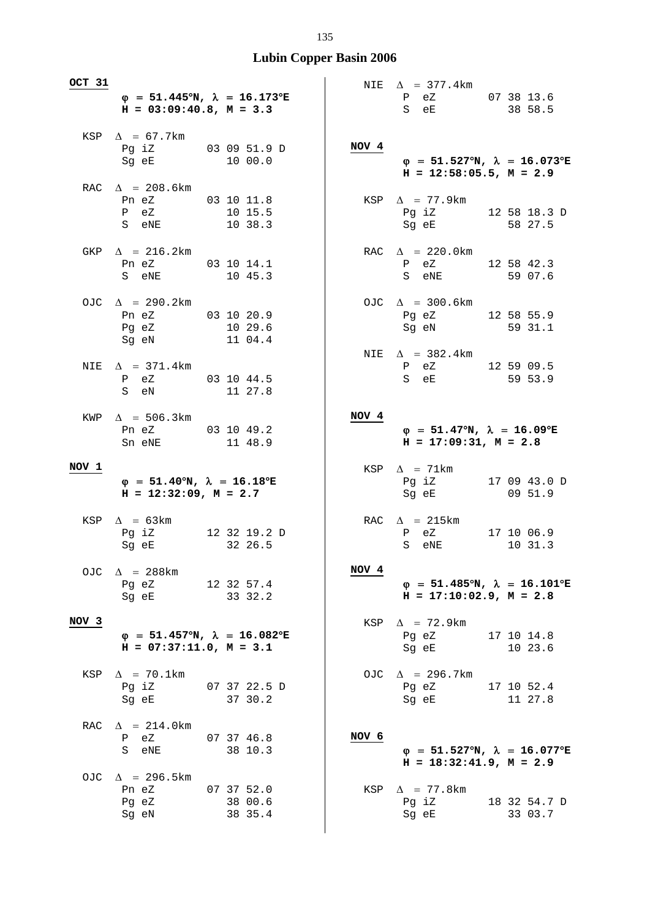| OCT 31           |                                                                                       |                                                           | NIE   | $\Delta$ = 377.4 km                                                                                                                                           |                         |
|------------------|---------------------------------------------------------------------------------------|-----------------------------------------------------------|-------|---------------------------------------------------------------------------------------------------------------------------------------------------------------|-------------------------|
|                  | $H = 03:09:40.8$ , $M = 3.3$                                                          | $\varphi$ = 51.445°N, $\lambda$ = 16.173°E                |       | P eZ 07 38 13.6<br>S eE                                                                                                                                       | 38 58.5                 |
|                  | KSP $\Delta$ = 67.7km<br>Pg iZ 03 09 51.9 D<br>Sg eE                                  | 10 00.0                                                   | NOV 4 | $\varphi$ = 51.527°N, $\lambda$ = 16.073°E<br>$H = 12:58:05.5$ , $M = 2.9$                                                                                    |                         |
|                  | RAC $\Delta$ = 208.6km<br>Pn eZ 03 10 11.8<br>P eZ<br>S eNE                           | 10 15.5<br>10 38.3                                        |       | KSP $\Delta$ = 77.9km<br>Pg iZ 12 58 18.3 D<br>Sg eE and the state of the state of the state of the state of the state of the state of the state of the state | 58 27.5                 |
|                  | GKP $\Delta$ = 216.2km<br>Pn eZ 03 10 14.1<br>S eNE                                   | 10 45.3                                                   |       | RAC $\Delta$ = 220.0km<br>P eZ<br>S eNE                                                                                                                       | 12 58 42.3<br>59 07.6   |
|                  | OJC $\Delta$ = 290.2km<br>Pn eZ 03 10 20.9<br>Pg eZ<br>Sg eN                          | 10 29.6<br>11 04.4                                        |       | OJC $\Delta$ = 300.6km<br>Pg eZ 12 58 55.9<br>Sg eN                                                                                                           | 59 31.1                 |
|                  | NIE $\Delta$ = 371.4km<br>P eZ 03 10 44.5<br>S eN                                     | 11 27.8                                                   |       | NIE $\Delta$ = 382.4km<br>$P$ eZ<br>S eE                                                                                                                      | 12 59 09.5<br>59 53.9   |
|                  | KWP $\Delta$ = 506.3km<br>Pn eZ 03 10 49.2<br>Sn eNE                                  | 11 48.9                                                   | NOV 4 | $\varphi = 51.47^{\circ}N$ , $\lambda = 16.09^{\circ}E$<br>$H = 17:09:31, M = 2.8$                                                                            |                         |
| NOV 1            | $\varphi = 51.40^{\circ}N$ , $\lambda = 16.18^{\circ}E$<br>$H = 12:32:09$ , $M = 2.7$ |                                                           |       | KSP $\Delta$ = 71km<br>Pg iZ 17 09 43.0 D<br>Sg eE                                                                                                            | 09 51.9                 |
|                  | KSP $\Delta$ = 63km<br>Pg iZ 12 32 19.2 D<br>Sg eE                                    | 32 26.5                                                   |       | RAC $\Delta$ = 215km<br>P eZ<br>S<br>eNE                                                                                                                      | 17 10 06.9<br>10 31.3   |
| OJC.             | $\Delta$ = 288km<br>Pg eZ<br>Sq eE                                                    | 12 32 57.4<br>33 32.2                                     | NOV 4 | $\varphi$ = 51.485°N, $\lambda$ = 16.101°E<br>$H = 17:10:02.9$ , $M = 2.8$                                                                                    |                         |
| NOV <sub>3</sub> | $H = 07:37:11.0, M = 3.1$                                                             | $\varphi = 51.457^{\circ}N$ , $\lambda = 16.082^{\circ}E$ | KSP   | $\Delta$ = 72.9km<br>Pg eZ<br>Sg eE                                                                                                                           | 17 10 14.8<br>10 23.6   |
|                  | KSP $\Delta$ = 70.1km<br>Sg eE                                                        | Pg iZ 07 37 22.5 D<br>37 30.2                             |       | OJC $\Delta$ = 296.7km<br>Pg eZ<br>Sq eE                                                                                                                      | 17 10 52.4<br>11 27.8   |
| RAC              | $\Delta$ = 214.0km<br>P eZ<br>S eNE                                                   | 07 37 46.8<br>38 10.3                                     | NOV 6 | $\varphi$ = 51.527°N, $\lambda$ = 16.077°E<br>$H = 18:32:41.9$ , $M = 2.9$                                                                                    |                         |
|                  | OJC $\Delta$ = 296.5km<br>Pn eZ<br>Pg eZ<br>Sg eN                                     | 07 37 52.0<br>38 00.6<br>38 35.4                          | KSP   | $\Delta$ = 77.8 km<br>Pg iZ<br>Sg eE                                                                                                                          | 18 32 54.7 D<br>33 03.7 |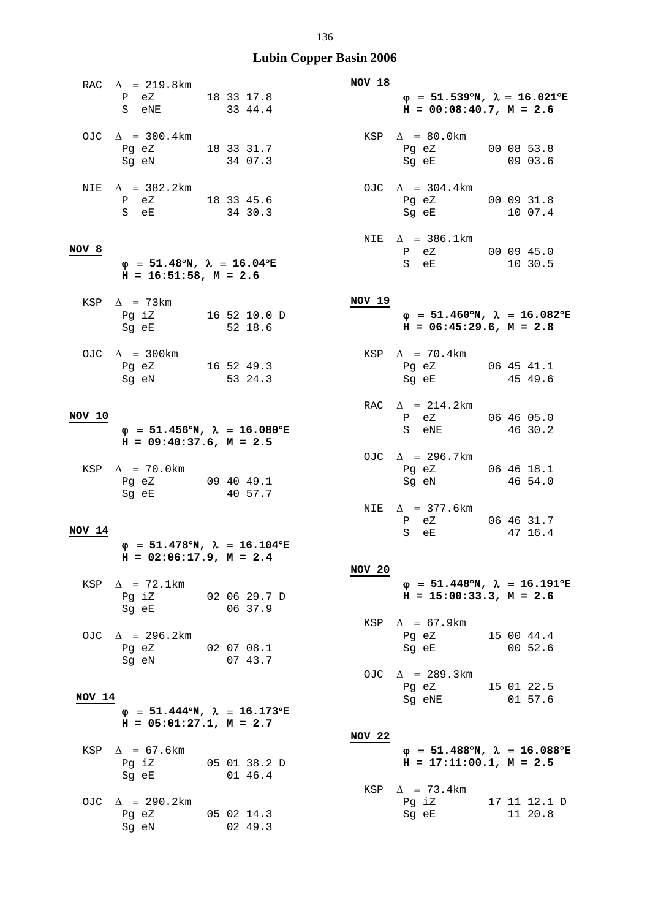|        | RAC $\Delta$ = 219.8km<br>P eZ 18 33 17.8<br>S eNE 33 44.4             |                                                                            | NOV 18        | $\varphi = 51.539^{\circ}N$ , $\lambda = 16.021^{\circ}E$<br>$H = 00:08:40.7$ , $M = 2.6$                                                                           |                         |
|--------|------------------------------------------------------------------------|----------------------------------------------------------------------------|---------------|---------------------------------------------------------------------------------------------------------------------------------------------------------------------|-------------------------|
|        | OJC $\Delta$ = 300.4km<br>Pg eZ 18 33 31.7<br>Sg eN                    | 34 07.3                                                                    |               | KSP $\Delta$ = 80.0km<br>Pg eZ 00 08 53.8<br>Sg eE                                                                                                                  | 09 03.6                 |
| NIE    | $\Delta$ = 382.2km<br>$P$ eZ 18 33 45.6<br>S eE                        | 34 30.3                                                                    |               | OJC $\Delta$ = 304.4km<br>Pg eZ 00 09 31.8<br>Sg eE                                                                                                                 | 10 07.4                 |
| NOV 8  | $\varphi$ = 51.48°N, $\lambda$ = 16.04°E<br>$H = 16:51:58$ , $M = 2.6$ |                                                                            |               | NIE $\Delta$ = 386.1km<br>P eZ 00 09 45.0<br>S eE                                                                                                                   | 10 30.5                 |
|        | KSP $\Delta$ = 73km<br>Pg iZ 16 52 10.0 D<br>Sg eE 52 18.6             |                                                                            | NOV 19        | $\varphi = 51.460^{\circ}N$ , $\lambda = 16.082^{\circ}E$<br>$H = 06:45:29.6$ , $M = 2.8$                                                                           |                         |
|        | OJC $\Delta$ = 300km<br>Pg eZ 16 52 49.3<br>Sg eN 53 24.3              |                                                                            |               | KSP $\Delta$ = 70.4km<br>Pg eZ 06 45 41.1<br>Sg eE 45 49.6                                                                                                          |                         |
| NOV 10 | $H = 09:40:37.6$ , $M = 2.5$                                           | $\varphi$ = 51.456°N, $\lambda$ = 16.080°E                                 |               | RAC $\Delta$ = 214.2km<br>P eZ 06 46 05.0<br>S eNE 46 30.2                                                                                                          |                         |
|        | KSP $\Delta$ = 70.0km<br>Pg eZ 09 40 49.1<br>Sq eE                     | 40 57.7                                                                    |               | OJC $\Delta$ = 296.7km<br>Pg eZ<br>Sg eN                                                                                                                            | 06 46 18.1<br>46 54.0   |
| NOV 14 |                                                                        | $\varphi$ = 51.478°N, $\lambda$ = 16.104°E<br>$H = 02:06:17.9$ , $M = 2.4$ |               | NIE $\Delta$ = 377.6km<br>$P$ eZ<br>S<br>eE                                                                                                                         | 06 46 31.7<br>47 16.4   |
| KSP    | $\Delta$ = 72.1km<br>Pg iZ 02 06 29.7 D<br>Sg eE 06 37.9               |                                                                            | <b>NOV 20</b> | $\varphi$ = 51.448°N, $\lambda$ = 16.191°E<br>$H = 15:00:33.3, M = 2.6$                                                                                             |                         |
|        | OJC $\Delta$ = 296.2km<br>Pg eZ 02 07 08.1<br>Sg eN                    | 07 43.7                                                                    |               | KSP $\Delta = 67.9 \text{km}$<br>Pg eZ 15 00 44.4<br>Sg eE and the state of the state of the state of the state of the state of the state of the state of the state | 00 52.6                 |
| NOV 14 | $H = 05:01:27.1, M = 2.7$                                              | $\varphi$ = 51.444 <sup>o</sup> N, $\lambda$ = 16.173 <sup>o</sup> E       |               | OJC $\Delta$ = 289.3km<br>Pg eZ 15 01 22.5<br>Sg eNE                                                                                                                | 01 57.6                 |
| KSP    | $\Delta$ = 67.6km<br>Sg eE                                             | Pg iZ 05 01 38.2 D<br>0146.4                                               | NOV 22        | $\varphi$ = 51.488°N, $\lambda$ = 16.088°E<br>$H = 17:11:00.1, M = 2.5$                                                                                             |                         |
|        | OJC $\Delta$ = 290.2km<br>Pg eZ<br>Sg eN                               | 05 02 14.3<br>02 49.3                                                      |               | KSP $\Delta$ = 73.4km<br>Pg iZ<br>Sg eE                                                                                                                             | 17 11 12.1 D<br>11 20.8 |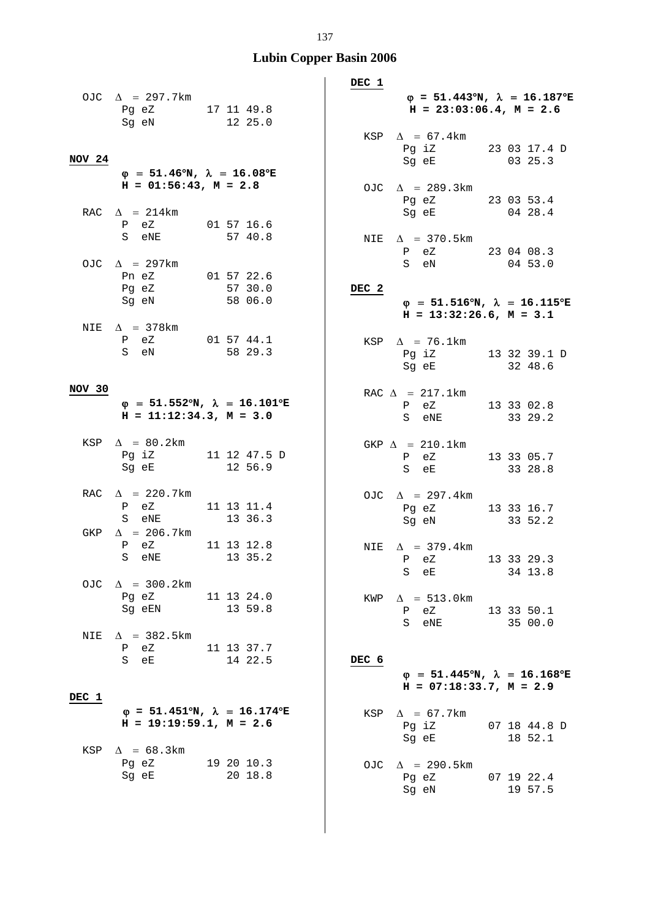|        | OJC $\Delta$ = 297.7km<br>Pg eZ 17 11 49.8<br>Sg eN 12 25.0                                                                                            |                                                           | DEC 1<br>$\varphi = 51.443^{\circ}N$ , $\lambda = 16.187^{\circ}E$<br>$H = 23:03:06.4$ , $M = 2.6$<br>KSP $\Delta$ = 67.4km |
|--------|--------------------------------------------------------------------------------------------------------------------------------------------------------|-----------------------------------------------------------|-----------------------------------------------------------------------------------------------------------------------------|
| NOV 24 | $\varphi = 51.46^{\circ}N$ , $\lambda = 16.08^{\circ}E$                                                                                                |                                                           | Pg iZ 23 03 17.4 D<br>03 25.3<br>Sg eE                                                                                      |
|        | $H = 01:56:43$ , $M = 2.8$<br>RAC $\Delta$ = 214km                                                                                                     |                                                           | OJC $\Delta$ = 289.3km<br>Pg eZ 23 03 53.4<br>Sg eE 04 28.4                                                                 |
|        | P eZ 01 57 16.6<br>S eNE                                                                                                                               | 57 40.8                                                   | NIE $\Delta$ = 370.5km<br>P eZ 23 04 08.3                                                                                   |
|        | OJC $\Delta$ = 297km<br>Pn eZ 01 57 22.6<br>Pg eZ 57 30.0<br>Sg eN 58 06.0                                                                             |                                                           | S eN<br>04 53.0<br>DEC <sub>2</sub><br>$\varphi$ = 51.516°N, $\lambda$ = 16.115°E<br>$H = 13:32:26.6, M = 3.1$              |
|        | NIE $\Delta$ = 378 km<br>P eZ 01 57 44.1<br>S eN 58 29.3                                                                                               |                                                           | KSP $\Delta$ = 76.1km<br>Pg iZ 13 32 39.1 D<br>Sg eE 32 48.6                                                                |
| NOV 30 | $H = 11:12:34.3, M = 3.0$                                                                                                                              | $\varphi$ = 51.552°N, $\lambda$ = 16.101°E                | RAC $\Delta$ = 217.1km<br>P eZ 13 33 02.8<br>S eNE 33 29.2                                                                  |
|        | KSP $\Delta = 80.2$ km<br>Pg iZ 11 12 47.5 D<br>Sg eE                                                                                                  | 12 56.9                                                   | GKP $\Delta$ = 210.1km<br>eZ 13 33 05.7<br>$\mathbf{P}$<br>S eE 33 28.8                                                     |
| GKP    | RAC $\Delta$ = 220.7km<br>P eZ 11 13 11.4<br>S eNE<br>$\Delta$ = 206.7km                                                                               | 13 36.3                                                   | OJC $\Delta$ = 297.4km<br>Pg eZ 13 33 16.7<br>33 52.2<br>Sg eN                                                              |
|        | P eZ<br>S eNE 13 35.2                                                                                                                                  | 11 13 12.8                                                | NIE $\Delta$ = 379.4km<br>P eZ 13 33 29.3<br>34 13.8<br>S eE                                                                |
| OJC    | $\Delta$ = 300.2km<br>Pg eZ 11 13 24.0<br>Sg eEN                                                                                                       | 13 59.8                                                   | $\Delta$ = 513.0km<br>KWP<br>P eZ 13 33 50.1<br>S eNE<br>35 00.0                                                            |
| NIE    | $\Delta$ = 382.5km<br>P eZ 11 13 37.7<br>S eE and the state of the state of the state of the state of the state of the state of the state of the state | 14 22.5                                                   | DEC 6<br>$\varphi$ = 51.445°N, $\lambda$ = 16.168°E<br>$H = 07:18:33.7, M = 2.9$                                            |
| DEC 1  | $H = 19:19:59.1, M = 2.6$                                                                                                                              | $\varphi = 51.451^{\circ}N$ , $\lambda = 16.174^{\circ}E$ | $\Delta$ = 67.7km<br>KSP<br>Pg iZ 07 18 44.8 D<br>Sg eE 18 52.1                                                             |
| KSP    | $\Delta$ = 68.3km<br>Pg eZ 19 20 10.3<br>Sg eE                                                                                                         | 20 18.8                                                   | $\Delta$ = 290.5km<br>OJC<br>07 19 22.4<br>Pg eZ<br>Sg eN<br>19 57.5                                                        |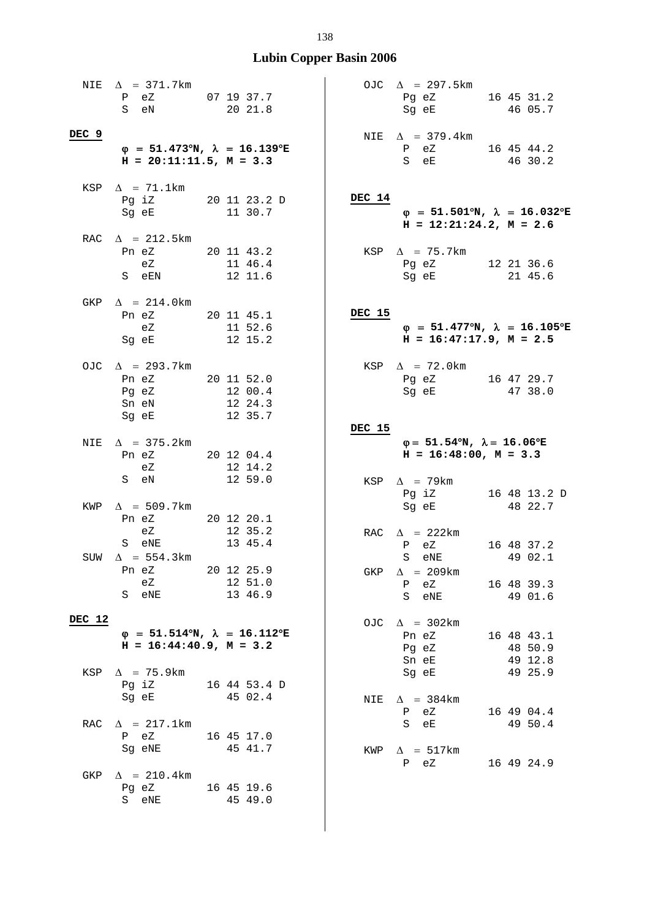$\mathsf{l}$ 

| NIE    | $\Delta$ = 371.7km<br>P eZ<br>S eN                                                     | 07 19 37.7<br>20 21.8            |        | OJC $\Delta$ = 297.5km<br>Pg eZ 16 45 31.2<br>Sg eE                                                                                                         |  | 46 05.7                          |
|--------|----------------------------------------------------------------------------------------|----------------------------------|--------|-------------------------------------------------------------------------------------------------------------------------------------------------------------|--|----------------------------------|
| DEC 9  | $\varphi$ = 51.473°N, $\lambda$ = 16.139°E<br>$H = 20:11:11.5$ , $M = 3.3$             |                                  |        | NIE $\Delta$ = 379.4km<br>P eZ 16 45 44.2<br>S eE                                                                                                           |  | 46 30.2                          |
| KSP    | $\Delta$ = 71.1km<br>Pg iZ 20 11 23.2 D<br>Sg eE                                       | 11 30.7                          | DEC 14 | $\varphi = 51.501^{\circ}N$ , $\lambda = 16.032$<br>$H = 12:21:24.2, M = 2.6$                                                                               |  |                                  |
|        | RAC $\Delta$ = 212.5km<br>Pn eZ<br>eZ<br>S eEN 12 11.6                                 | 20 11 43.2<br>11 46.4            |        | KSP $\Delta$ = 75.7km<br>Pg eZ 12 21 36.6<br>Sg eE and the state of the state of the state of the state of the state of the state of the state of the state |  | 21 45.6                          |
| GKP    | $\Delta$ = 214.0km<br>Pn eZ 20 11 45.1<br>eZ 11 52.6<br>Sg eE 12 15.2                  |                                  | DEC 15 | $\varphi$ = 51.477°N, $\lambda$ = 16.105<br>$H = 16:47:17.9$ , $M = 2.5$                                                                                    |  |                                  |
|        | OJC $\Delta$ = 293.7km<br>Pn eZ 20 11 52.0<br>Pg eZ<br>Sn eN<br>Sg eE                  | 12 00.4<br>12 24.3<br>12 35.7    |        | KSP $\Delta$ = 72.0km<br>Pg eZ 16 47 29.7<br>Sg eE                                                                                                          |  | 47 38.0                          |
| NIE    | $\Delta$ = 375.2km<br>Pn eZ 20 12 04.4<br>eZ                                           | 12 14.2                          | DEC 15 | $\varphi = 51.54^{\circ}N$ , $\lambda = 16.06^{\circ}E$<br>$H = 16:48:00, M = 3.3$                                                                          |  |                                  |
|        | S eN<br>KWP $\Delta$ = 509.7km<br>Pn eZ 20 12 20.1                                     | 12 59.0                          |        | KSP $\Delta$ = 79km<br>Pg iZ<br>Sg eE                                                                                                                       |  | 16 48 13.2<br>48 22.7            |
|        | eZ<br>S eNE<br>SUW $\Delta$ = 554.3km                                                  | 12 35.2<br>13 45.4               |        | RAC $\Delta$ = 222km<br>P eZ<br>S eNE                                                                                                                       |  | 16 48 37.2<br>49 02.1            |
|        | Pn eZ<br>eZ<br>S eNE                                                                   | 20 12 25.9<br>12 51.0<br>13 46.9 | GKP    | $\Delta$ = 209km<br>$P$ eZ<br>S eNE                                                                                                                         |  | 16 48 39.3<br>49 01.6            |
| DEC 12 | $\varphi = 51.514^{\circ}N$ , $\lambda = 16.112^{\circ}E$<br>$H = 16:44:40.9, M = 3.2$ |                                  |        | OJC $\Delta$ = 302km<br>Pn eZ<br>Pg eZ<br>Sn eE                                                                                                             |  | 16 48 43.1<br>48 50.9<br>49 12.8 |
|        | KSP $\Delta$ = 75.9km<br>Pq iZ<br>Sg eE                                                | 16 44 53.4 D<br>45 02.4          |        | Sg eE<br>NIE $\Delta$ = 384km<br>P eZ                                                                                                                       |  | 49 25.9<br>16 49 04.4            |
| RAC    | $\Delta$ = 217.1km<br>P eZ<br>Sg eNE                                                   | 16 45 17.0<br>45 41.7            |        | S eE<br>KWP $\Delta$ = 517km<br>$P$ eZ                                                                                                                      |  | 49 50.4<br>16 49 24.9            |
| GKP    | $\Delta$ = 210.4km<br>Pg eZ<br>eNE<br>S                                                | 16 45 19.6<br>45 49.0            |        |                                                                                                                                                             |  |                                  |

|               | OJC $\Delta$ = 297.5km<br>Pg eZ<br>Sg eE                                                  | 16 45 31.2<br>46 05.7   |
|---------------|-------------------------------------------------------------------------------------------|-------------------------|
|               | NIE $\Delta$ = 379.4km<br>P eZ<br>-<br>S eE                                               | 16 45 44.2<br>46 30.2   |
| <b>DEC 14</b> | $\varphi = 51.501^{\circ}N$ , $\lambda = 16.032^{\circ}E$<br>$H = 12:21:24.2, M = 2.6$    |                         |
|               | KSP $\Delta$ = 75.7km<br>Pg eZ<br>Sg eE                                                   | 12 21 36.6<br>21 45.6   |
| DEC 15        | $\varphi = 51.477^{\circ}N$ , $\lambda = 16.105^{\circ}E$<br>$H = 16:47:17.9$ , $M = 2.5$ |                         |
|               | KSP $\Delta$ = 72.0km<br>Pg eZ<br>Sg eE                                                   | 16 47 29.7<br>47 38.0   |
| DEC 15        | $\varphi = 51.54^{\circ}N$ , $\lambda = 16.06^{\circ}E$<br>$H = 16:48:00, M = 3.3$        |                         |
|               | KSP $\Delta$ = 79km<br>Pg iZ<br>Sg eE                                                     | 16 48 13.2 D<br>48 22.7 |
|               | RAC $\Delta$ = 222km<br>P eZ<br>S eNE<br>$\Delta$ = 209km                                 | 16 48 37.2<br>49 02.1   |
| GKP           | P eZ<br>S eNE                                                                             | 16 48 39.3<br>49 01.6   |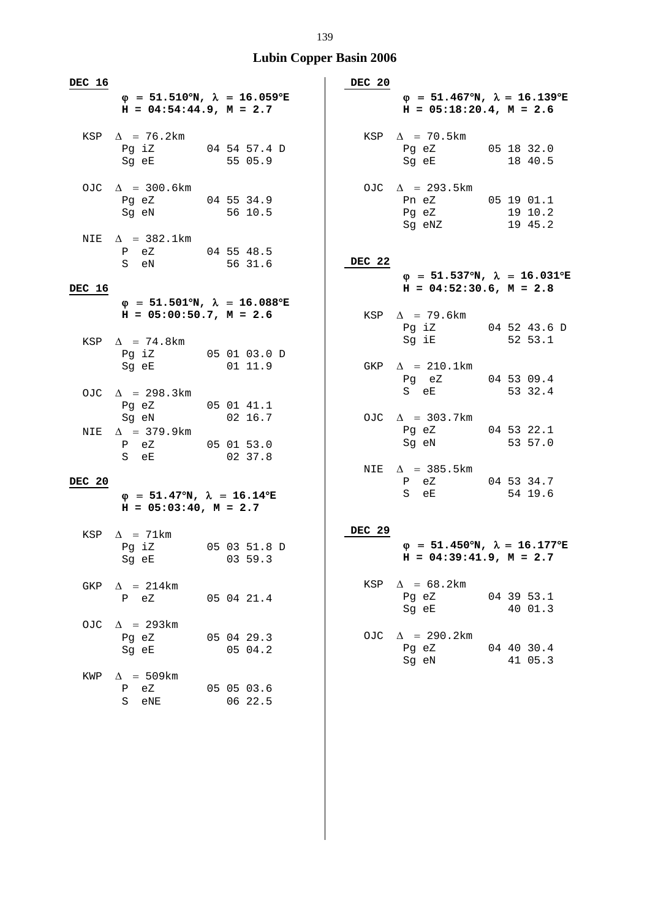| DEC 16 | $H = 04:54:44.9, M = 2.7$                                                             | $\varphi$ = 51.510°N, $\lambda$ = 16.059°E | DEC 20        | $\varphi = 51.467^{\circ}N$ , $\lambda = 16.139^{\circ}E$<br>$H = 05:18:20.4$ , $M = 2.6$ |                                                                            |
|--------|---------------------------------------------------------------------------------------|--------------------------------------------|---------------|-------------------------------------------------------------------------------------------|----------------------------------------------------------------------------|
|        | KSP $\Delta$ = 76.2km<br>Pg iZ 04 54 57.4 D<br>Sg eE                                  | 55 05.9                                    |               | KSP $\Delta$ = 70.5km<br>Pg eZ 05 18 32.0<br>Sg eE                                        | 18 40.5                                                                    |
|        | OJC $\Delta$ = 300.6km<br>Pg eZ 04 55 34.9<br>Sg eN                                   | $56\ 10.5$                                 |               | OJC $\Delta$ = 293.5km<br>Pn eZ 05 19 01.1<br>Pq eZ<br>Sg eNZ 19 45.2                     | 19 10.2                                                                    |
| NIE    | $\Delta$ = 382.1km<br>P eZ 04 55 48.5<br>S eN                                         | 56 31.6                                    | DEC 22        |                                                                                           | $\varphi$ = 51.537°N, $\lambda$ = 16.031°E                                 |
| DEC 16 |                                                                                       |                                            |               | $H = 04:52:30.6$ , $M = 2.8$                                                              |                                                                            |
|        | $H = 05:00:50.7$ , $M = 2.6$                                                          | $\varphi$ = 51.501°N, $\lambda$ = 16.088°E |               | KSP $\Delta$ = 79.6km<br>Pg iZ 04 52 43.6 D                                               |                                                                            |
|        | KSP $\Delta$ = 74.8km<br>Pg iZ 05 01 03.0 D<br>Sg eE 01 11.9                          |                                            |               | Sg iE 52 53.1<br>GKP $\Delta$ = 210.1km                                                   |                                                                            |
|        | OJC $\Delta$ = 298.3km<br>Pg eZ 05 01 41.1                                            |                                            |               | Pg eZ 04 53 09.4<br>S eE 53 32.4                                                          |                                                                            |
| NIE    | Sg eN 02 16.7<br>$\Delta$ = 379.9km<br>P eZ 05 01 53.0<br>S eE 02 37.8                |                                            |               | OJC $\Delta$ = 303.7km<br>Pg eZ 04 53 22.1<br>Sg eN                                       | 53 57.0                                                                    |
|        |                                                                                       |                                            |               | NIE $\Delta$ = 385.5km                                                                    |                                                                            |
| DEC 20 | $\varphi = 51.47^{\circ}N$ , $\lambda = 16.14^{\circ}E$<br>$H = 05:03:40$ , $M = 2.7$ |                                            |               | P eZ 04 53 34.7<br>S eE                                                                   | 54 19.6                                                                    |
|        | KSP $\Delta$ = 71km<br>Pg iZ<br>Sg eE 03 59.3                                         | 05 03 51.8 D                               | <b>DEC 29</b> |                                                                                           | $\varphi$ = 51.450°N, $\lambda$ = 16.177°E<br>$H = 04:39:41.9$ , $M = 2.7$ |
| GKP    | $\Delta$ = 214km<br>P eZ 05 04 21.4                                                   |                                            |               | KSP $\Delta$ = 68.2km<br>Pg eZ 04 39 53.1<br>Sg eE 40 01.3                                |                                                                            |
|        | OJC $\Delta$ = 293km<br>Pg eZ 05 04 29.3<br>Sg eE                                     | 05 04.2                                    |               | OJC $\Delta$ = 290.2km<br>Pg eZ 04 40 30.4<br>Sg eN 41 05.3                               |                                                                            |
| KWP    | $\Delta$ = 509km<br>P eZ<br>S eNE                                                     | 05 05 03.6<br>06 22.5                      |               |                                                                                           |                                                                            |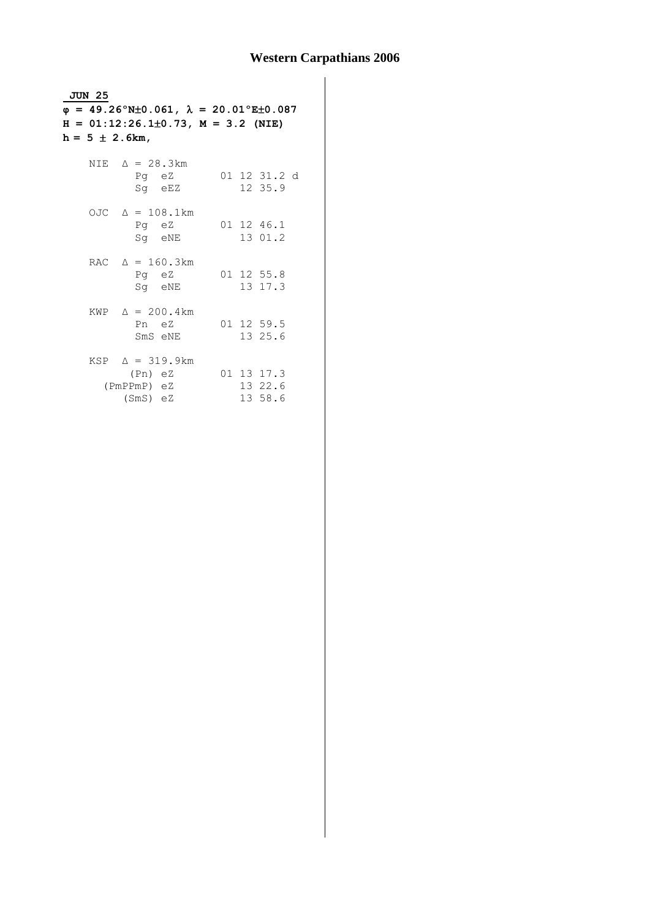| <b>JUN 25</b> |                                                                      |                  |  |  |                                  |  |  |
|---------------|----------------------------------------------------------------------|------------------|--|--|----------------------------------|--|--|
|               | $\varphi = 49.26^{\circ}$ N±0.061, $\lambda = 20.01^{\circ}$ E±0.087 |                  |  |  |                                  |  |  |
|               | $H = 01:12:26.1\pm0.73$ , $M = 3.2$ (NIE)                            |                  |  |  |                                  |  |  |
|               | $h = 5 \pm 2.6km,$                                                   |                  |  |  |                                  |  |  |
|               |                                                                      |                  |  |  |                                  |  |  |
|               | NIE $\Delta = 28.3 \text{km}$                                        | Pq eZ<br>Sg eEZ  |  |  | 01 12 31.2 d<br>12 35.9          |  |  |
|               | OJC $\Delta = 108.1 \text{km}$                                       | Pq eZ<br>Sq eNE  |  |  | 01 12 46.1<br>13 01.2            |  |  |
|               | RAC $\Delta = 160.3 \text{km}$                                       | Pq eZ<br>Sg eNE  |  |  | 01 12 55.8<br>13 17.3            |  |  |
|               | KWP $\Delta = 200.4 \text{ km}$                                      | Pn eZ<br>SmS eNE |  |  | 01 12 59.5<br>13 25.6            |  |  |
|               | $KSP \quad \Delta = 319.9 \text{ km}$<br>(PmPPmP) eZ<br>$(SmS)$ eZ   | (Pn) eZ          |  |  | 01 13 17.3<br>13 22.6<br>13 58.6 |  |  |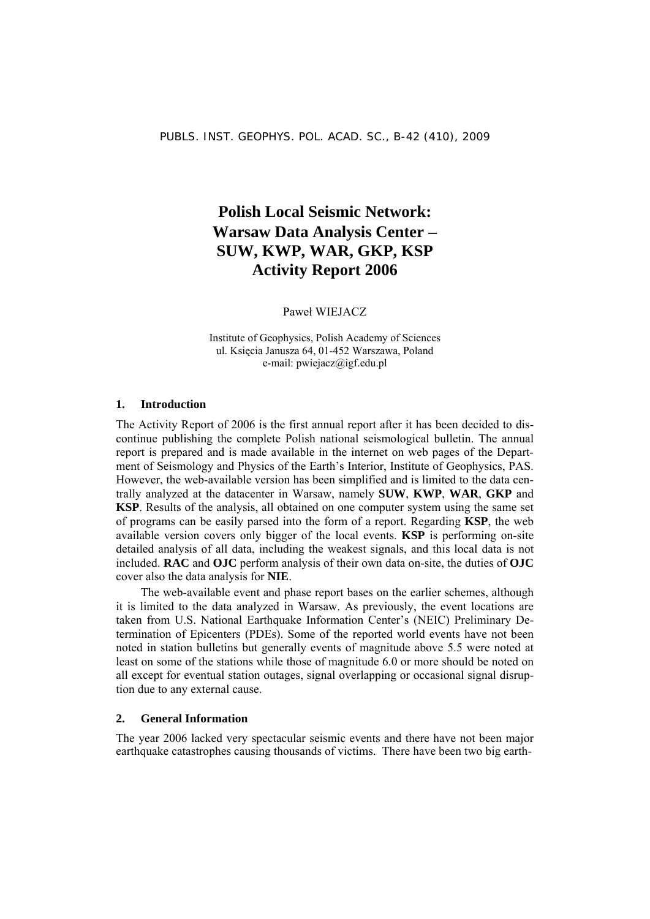## **Polish Local Seismic Network: Warsaw Data Analysis Center** − **SUW, KWP, WAR, GKP, KSP Activity Report 2006**

Paweł WIEJACZ

Institute of Geophysics, Polish Academy of Sciences ul. Księcia Janusza 64, 01-452 Warszawa, Poland e-mail: pwiejacz@igf.edu.pl

#### **1. Introduction**

The Activity Report of 2006 is the first annual report after it has been decided to discontinue publishing the complete Polish national seismological bulletin. The annual report is prepared and is made available in the internet on web pages of the Department of Seismology and Physics of the Earth's Interior, Institute of Geophysics, PAS. However, the web-available version has been simplified and is limited to the data centrally analyzed at the datacenter in Warsaw, namely **SUW**, **KWP**, **WAR**, **GKP** and **KSP**. Results of the analysis, all obtained on one computer system using the same set of programs can be easily parsed into the form of a report. Regarding **KSP**, the web available version covers only bigger of the local events. **KSP** is performing on-site detailed analysis of all data, including the weakest signals, and this local data is not included. **RAC** and **OJC** perform analysis of their own data on-site, the duties of **OJC** cover also the data analysis for **NIE**.

The web-available event and phase report bases on the earlier schemes, although it is limited to the data analyzed in Warsaw. As previously, the event locations are taken from U.S. National Earthquake Information Center's (NEIC) Preliminary Determination of Epicenters (PDEs). Some of the reported world events have not been noted in station bulletins but generally events of magnitude above 5.5 were noted at least on some of the stations while those of magnitude 6.0 or more should be noted on all except for eventual station outages, signal overlapping or occasional signal disruption due to any external cause.

#### **2. General Information**

The year 2006 lacked very spectacular seismic events and there have not been major earthquake catastrophes causing thousands of victims. There have been two big earth-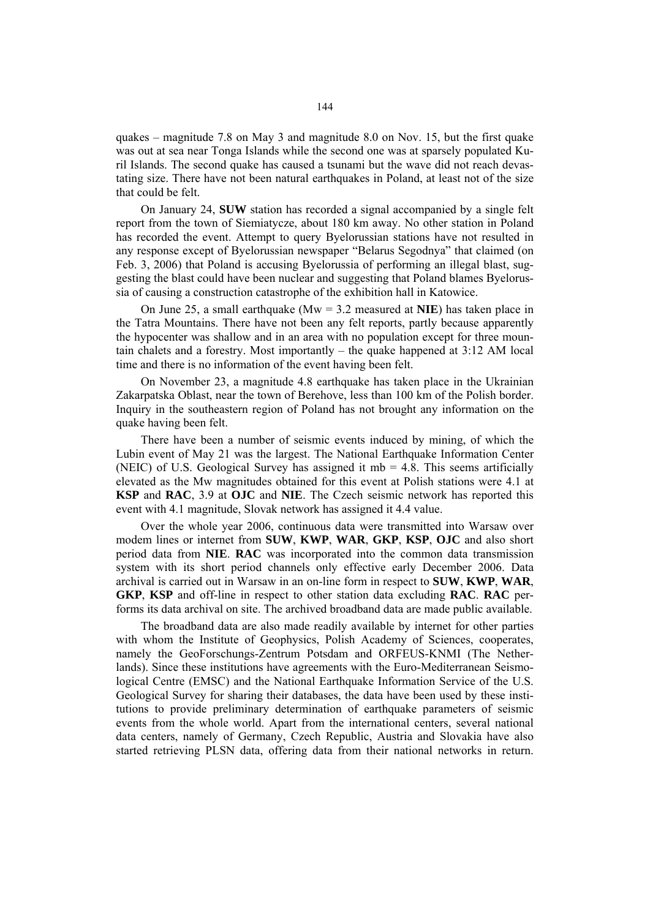quakes – magnitude 7.8 on May 3 and magnitude 8.0 on Nov. 15, but the first quake was out at sea near Tonga Islands while the second one was at sparsely populated Kuril Islands. The second quake has caused a tsunami but the wave did not reach devastating size. There have not been natural earthquakes in Poland, at least not of the size that could be felt.

On January 24, **SUW** station has recorded a signal accompanied by a single felt report from the town of Siemiatycze, about 180 km away. No other station in Poland has recorded the event. Attempt to query Byelorussian stations have not resulted in any response except of Byelorussian newspaper "Belarus Segodnya" that claimed (on Feb. 3, 2006) that Poland is accusing Byelorussia of performing an illegal blast, suggesting the blast could have been nuclear and suggesting that Poland blames Byelorussia of causing a construction catastrophe of the exhibition hall in Katowice.

On June 25, a small earthquake (Mw = 3.2 measured at **NIE**) has taken place in the Tatra Mountains. There have not been any felt reports, partly because apparently the hypocenter was shallow and in an area with no population except for three mountain chalets and a forestry. Most importantly – the quake happened at 3:12 AM local time and there is no information of the event having been felt.

On November 23, a magnitude 4.8 earthquake has taken place in the Ukrainian Zakarpatska Oblast, near the town of Berehove, less than 100 km of the Polish border. Inquiry in the southeastern region of Poland has not brought any information on the quake having been felt.

There have been a number of seismic events induced by mining, of which the Lubin event of May 21 was the largest. The National Earthquake Information Center (NEIC) of U.S. Geological Survey has assigned it mb  $=$  4.8. This seems artificially elevated as the Mw magnitudes obtained for this event at Polish stations were 4.1 at **KSP** and **RAC**, 3.9 at **OJC** and **NIE**. The Czech seismic network has reported this event with 4.1 magnitude, Slovak network has assigned it 4.4 value.

Over the whole year 2006, continuous data were transmitted into Warsaw over modem lines or internet from **SUW**, **KWP**, **WAR**, **GKP**, **KSP**, **OJC** and also short period data from **NIE**. **RAC** was incorporated into the common data transmission system with its short period channels only effective early December 2006. Data archival is carried out in Warsaw in an on-line form in respect to **SUW**, **KWP**, **WAR**, **GKP**, **KSP** and off-line in respect to other station data excluding **RAC**. **RAC** performs its data archival on site. The archived broadband data are made public available.

The broadband data are also made readily available by internet for other parties with whom the Institute of Geophysics, Polish Academy of Sciences, cooperates, namely the GeoForschungs-Zentrum Potsdam and ORFEUS-KNMI (The Netherlands). Since these institutions have agreements with the Euro-Mediterranean Seismological Centre (EMSC) and the National Earthquake Information Service of the U.S. Geological Survey for sharing their databases, the data have been used by these institutions to provide preliminary determination of earthquake parameters of seismic events from the whole world. Apart from the international centers, several national data centers, namely of Germany, Czech Republic, Austria and Slovakia have also started retrieving PLSN data, offering data from their national networks in return.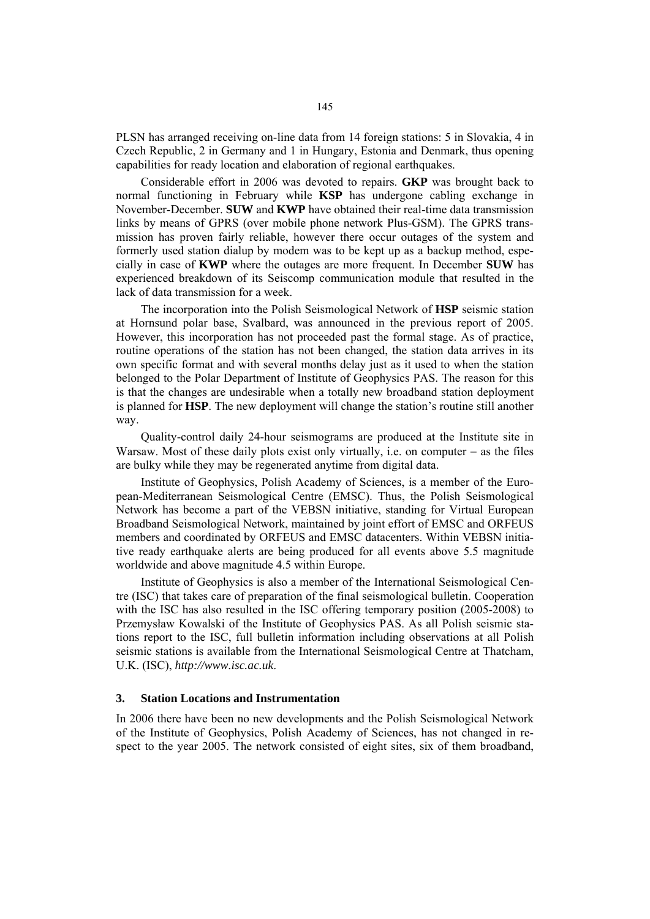PLSN has arranged receiving on-line data from 14 foreign stations: 5 in Slovakia, 4 in Czech Republic, 2 in Germany and 1 in Hungary, Estonia and Denmark, thus opening capabilities for ready location and elaboration of regional earthquakes.

Considerable effort in 2006 was devoted to repairs. **GKP** was brought back to normal functioning in February while **KSP** has undergone cabling exchange in November-December. **SUW** and **KWP** have obtained their real-time data transmission links by means of GPRS (over mobile phone network Plus-GSM). The GPRS transmission has proven fairly reliable, however there occur outages of the system and formerly used station dialup by modem was to be kept up as a backup method, especially in case of **KWP** where the outages are more frequent. In December **SUW** has experienced breakdown of its Seiscomp communication module that resulted in the lack of data transmission for a week.

The incorporation into the Polish Seismological Network of **HSP** seismic station at Hornsund polar base, Svalbard, was announced in the previous report of 2005. However, this incorporation has not proceeded past the formal stage. As of practice, routine operations of the station has not been changed, the station data arrives in its own specific format and with several months delay just as it used to when the station belonged to the Polar Department of Institute of Geophysics PAS. The reason for this is that the changes are undesirable when a totally new broadband station deployment is planned for **HSP**. The new deployment will change the station's routine still another way.

Quality-control daily 24-hour seismograms are produced at the Institute site in Warsaw. Most of these daily plots exist only virtually, i.e. on computer − as the files are bulky while they may be regenerated anytime from digital data.

Institute of Geophysics, Polish Academy of Sciences, is a member of the European-Mediterranean Seismological Centre (EMSC). Thus, the Polish Seismological Network has become a part of the VEBSN initiative, standing for Virtual European Broadband Seismological Network, maintained by joint effort of EMSC and ORFEUS members and coordinated by ORFEUS and EMSC datacenters. Within VEBSN initiative ready earthquake alerts are being produced for all events above 5.5 magnitude worldwide and above magnitude 4.5 within Europe.

Institute of Geophysics is also a member of the International Seismological Centre (ISC) that takes care of preparation of the final seismological bulletin. Cooperation with the ISC has also resulted in the ISC offering temporary position (2005-2008) to Przemysław Kowalski of the Institute of Geophysics PAS. As all Polish seismic stations report to the ISC, full bulletin information including observations at all Polish seismic stations is available from the International Seismological Centre at Thatcham, U.K. (ISC), *http://www.isc.ac.uk*.

#### **3. Station Locations and Instrumentation**

In 2006 there have been no new developments and the Polish Seismological Network of the Institute of Geophysics, Polish Academy of Sciences, has not changed in respect to the year 2005. The network consisted of eight sites, six of them broadband,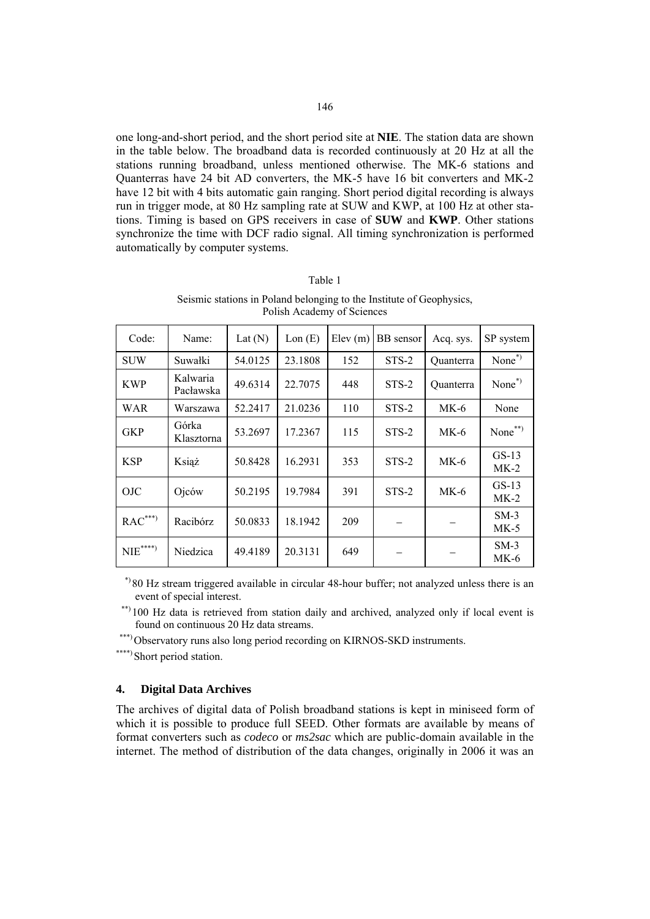one long-and-short period, and the short period site at **NIE**. The station data are shown in the table below. The broadband data is recorded continuously at 20 Hz at all the stations running broadband, unless mentioned otherwise. The MK-6 stations and Quanterras have 24 bit AD converters, the MK-5 have 16 bit converters and MK-2 have 12 bit with 4 bits automatic gain ranging. Short period digital recording is always run in trigger mode, at 80 Hz sampling rate at SUW and KWP, at 100 Hz at other stations. Timing is based on GPS receivers in case of **SUW** and **KWP**. Other stations synchronize the time with DCF radio signal. All timing synchronization is performed automatically by computer systems.

| Code:                | Name:                 | Lat $(N)$ | Lon(E)  | Elev(m) | BB sensor | Acq. sys.        | SP system         |
|----------------------|-----------------------|-----------|---------|---------|-----------|------------------|-------------------|
| <b>SUW</b>           | Suwałki               | 54.0125   | 23.1808 | 152     | $STS-2$   | <b>Ouanterra</b> | None $*$          |
| <b>KWP</b>           | Kalwaria<br>Pacławska | 49.6314   | 22.7075 | 448     | $STS-2$   | Quanterra        | None $*$          |
| WAR                  | Warszawa              | 52.2417   | 21.0236 | 110     | STS-2     | $MK-6$           | None              |
| <b>GKP</b>           | Górka<br>Klasztorna   | 53.2697   | 17.2367 | 115     | $STS-2$   | $MK-6$           | None**)           |
| <b>KSP</b>           | Książ                 | 50.8428   | 16.2931 | 353     | $STS-2$   | $MK-6$           | $GS-13$<br>$MK-2$ |
| <b>OJC</b>           | Ojców                 | 50.2195   | 19.7984 | 391     | $STS-2$   | $MK-6$           | $GS-13$<br>$MK-2$ |
| $RAC^{***}$          | Racibórz              | 50.0833   | 18.1942 | 209     |           |                  | $SM-3$<br>MK-5    |
| $\mathrm{NIE}^{***}$ | Niedzica              | 49.4189   | 20.3131 | 649     |           |                  | $SM-3$<br>$MK-6$  |

| Seismic stations in Poland belonging to the Institute of Geophysics, |
|----------------------------------------------------------------------|
| Polish Academy of Sciences                                           |

Table 1

 \*) 80 Hz stream triggered available in circular 48-hour buffer; not analyzed unless there is an event of special interest.

\*\*) 100 Hz data is retrieved from station daily and archived, analyzed only if local event is found on continuous 20 Hz data streams.

\*\*\*)Observatory runs also long period recording on KIRNOS-SKD instruments.

\*\*\*\*) Short period station.

#### **4. Digital Data Archives**

The archives of digital data of Polish broadband stations is kept in miniseed form of which it is possible to produce full SEED. Other formats are available by means of format converters such as *codeco* or *ms2sac* which are public-domain available in the internet. The method of distribution of the data changes, originally in 2006 it was an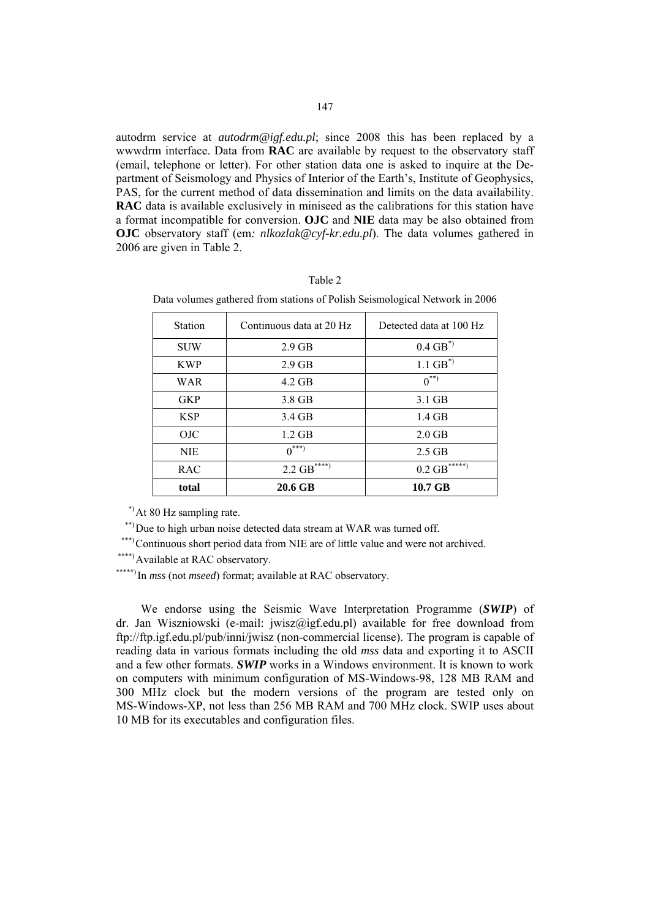autodrm service at *autodrm@igf.edu.pl*; since 2008 this has been replaced by a wwwdrm interface. Data from **RAC** are available by request to the observatory staff (email, telephone or letter). For other station data one is asked to inquire at the Department of Seismology and Physics of Interior of the Earth's, Institute of Geophysics, PAS, for the current method of data dissemination and limits on the data availability. **RAC** data is available exclusively in miniseed as the calibrations for this station have a format incompatible for conversion. **OJC** and **NIE** data may be also obtained from **OJC** observatory staff (em: *nlkozlak@cyf-kr.edu.pl*). The data volumes gathered in 2006 are given in Table 2.

| г<br>11 I |
|-----------|
|-----------|

| <b>Station</b> | Continuous data at 20 Hz    | Detected data at 100 Hz     |
|----------------|-----------------------------|-----------------------------|
| <b>SUW</b>     | $2.9$ GB                    | $0.4$ GB <sup>*)</sup>      |
| <b>KWP</b>     | $2.9$ GB                    | $1.1 \text{ GB}^{*}$        |
| WAR            | $4.2$ GB                    | $0^{**}$                    |
| <b>GKP</b>     | 3.8 GB                      | $3.1$ GB                    |
| <b>KSP</b>     | 3.4 GB                      | $1.4$ GB                    |
| <b>OJC</b>     | $1.2$ GB                    | $2.0$ GB                    |
| <b>NIE</b>     | $0^{***}$                   | $2.5$ GB                    |
| <b>RAC</b>     | $2.2$ GB <sup>*****</sup> ) | $0.2$ GB <sup>*****</sup> ) |
| total          | 20.6 GB                     | 10.7 GB                     |

Data volumes gathered from stations of Polish Seismological Network in 2006

\*)At 80 Hz sampling rate.

\*\*) Due to high urban noise detected data stream at WAR was turned off.

\*\*\*)Continuous short period data from NIE are of little value and were not archived.

\*\*\*\*\*) Available at RAC observatory.

\*\*\*\*\*) In *mss* (not *mseed*) format; available at RAC observatory.

We endorse using the Seismic Wave Interpretation Programme (*SWIP*) of dr. Jan Wiszniowski (e-mail: jwisz@igf.edu.pl) available for free download from ftp://ftp.igf.edu.pl/pub/inni/jwisz (non-commercial license). The program is capable of reading data in various formats including the old *mss* data and exporting it to ASCII and a few other formats. *SWIP* works in a Windows environment. It is known to work on computers with minimum configuration of MS-Windows-98, 128 MB RAM and 300 MHz clock but the modern versions of the program are tested only on MS-Windows-XP, not less than 256 MB RAM and 700 MHz clock. SWIP uses about 10 MB for its executables and configuration files.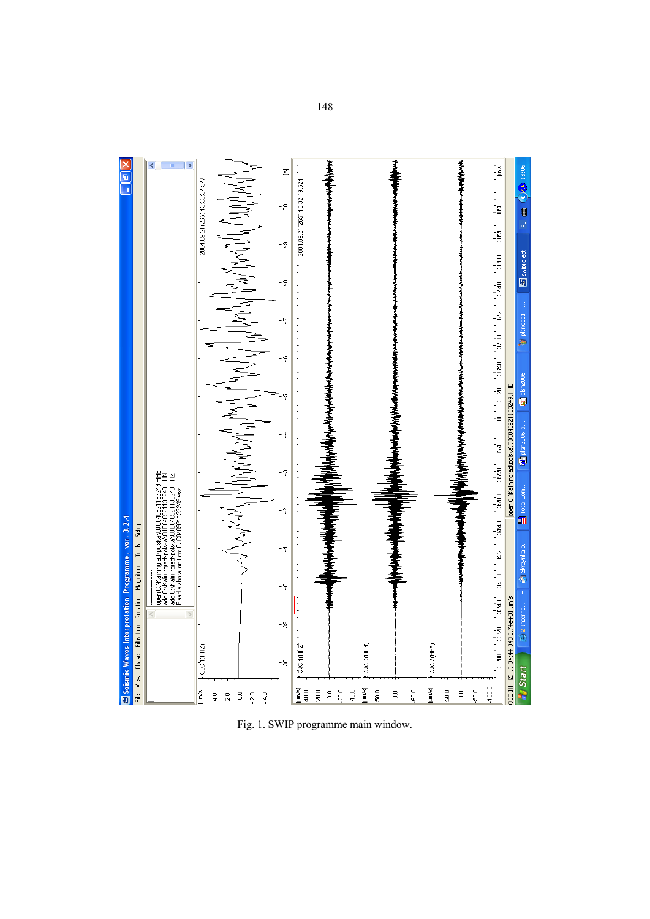